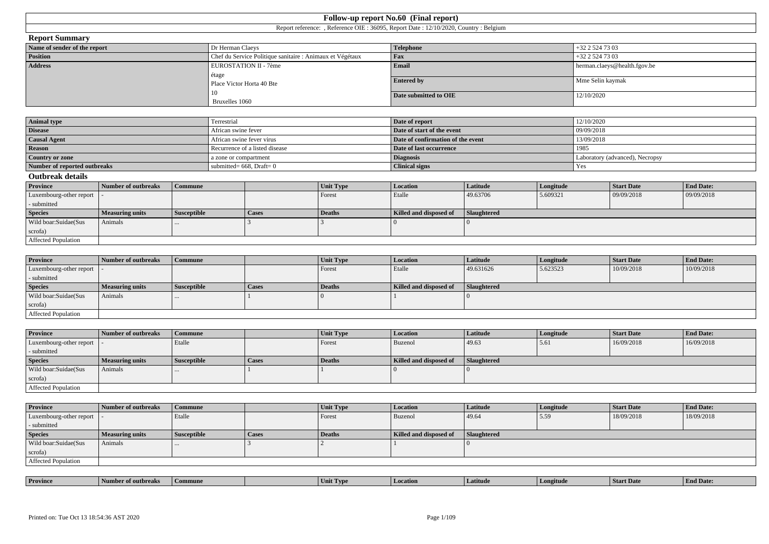|                              |                                                           | Report reference: , Reference OIE : 36095, Report Date : 12/10/2020, Country : Belgium |                              |
|------------------------------|-----------------------------------------------------------|----------------------------------------------------------------------------------------|------------------------------|
| <b>Report Summary</b>        |                                                           |                                                                                        |                              |
| Name of sender of the report | Dr Herman Claeys                                          | <b>Telephone</b>                                                                       | $+32$ 2 524 73 03            |
| Position                     | Chef du Service Politique sanitaire : Animaux et Végétaux | Fax                                                                                    | $+32$ 2 524 73 03            |
| <b>Address</b>               | EUROSTATION II - 7ème                                     | Email                                                                                  | herman.claeys@health.fgov.be |
|                              | étage                                                     |                                                                                        |                              |
|                              | Place Victor Horta 40 Bte                                 | <b>Entered by</b>                                                                      | Mme Selin kaymak             |
|                              | 10                                                        | Date submitted to OIE                                                                  | 12/10/2020                   |
|                              | Bruxelles 1060                                            |                                                                                        |                              |
|                              |                                                           |                                                                                        |                              |
|                              |                                                           |                                                                                        |                              |

**Follow-up report No.60 (Final report)**

| <b>Animal type</b>           | Terrestrial                    | Date of report                    | 12/10/2020                      |
|------------------------------|--------------------------------|-----------------------------------|---------------------------------|
| <b>Disease</b>               | African swine fever            | Date of start of the event        | 09/09/2018                      |
| <b>Causal Agent</b>          | African swine fever virus      | Date of confirmation of the event | 13/09/2018                      |
| <b>Reason</b>                | Recurrence of a listed disease | Date of last occurrence           | 198.                            |
| Country or zone              | a zone or compartment          | <b>Diagnosis</b>                  | Laboratory (advanced), Necropsy |
| Number of reported outbreaks | submitted= $668$ , Draft= 0    | <b>Clinical signs</b>             | Yes                             |

**Outbreak details**

| ______________             |                     |                    |       |               |                        |             |           |                   |                  |
|----------------------------|---------------------|--------------------|-------|---------------|------------------------|-------------|-----------|-------------------|------------------|
| <b>Province</b>            | Number of outbreaks | Commune            |       | Unit Type     | Location               | Latitude    | Longitude | <b>Start Date</b> | <b>End Date:</b> |
| Luxembourg-other report  - |                     |                    |       | Forest        | Etalle                 | 49.63706    | 5.609321  | 09/09/2018        | 09/09/2018       |
| - submitted                |                     |                    |       |               |                        |             |           |                   |                  |
| <b>Species</b>             | Measuring units     | <b>Susceptible</b> | Cases | <b>Deaths</b> | Killed and disposed of | Slaughtered |           |                   |                  |
| Wild boar:Suidae(Sus       | Animals             | $\cdots$           |       |               |                        |             |           |                   |                  |
| scrofa)                    |                     |                    |       |               |                        |             |           |                   |                  |
| Affected Population        |                     |                    |       |               |                        |             |           |                   |                  |

| <b>Province</b>         | Number of outbreaks | Commune            |       | Unit Type     | <b>Location</b>        | Latitude    | Longitude | <b>Start Date</b> | <b>End Date:</b> |
|-------------------------|---------------------|--------------------|-------|---------------|------------------------|-------------|-----------|-------------------|------------------|
| Luxembourg-other report |                     |                    |       | Forest        | Etalle                 | 49.631626   | 5.623523  | 10/09/2018        | 10/09/2018       |
| - submitted             |                     |                    |       |               |                        |             |           |                   |                  |
| <b>Species</b>          | Measuring units     | <b>Susceptible</b> | Cases | <b>Deaths</b> | Killed and disposed of | Slaughtered |           |                   |                  |
| Wild boar:Suidae(Sus    | Animals             | $\cdots$           |       |               |                        |             |           |                   |                  |
| scrofa)                 |                     |                    |       |               |                        |             |           |                   |                  |
| Affected Population     |                     |                    |       |               |                        |             |           |                   |                  |

| <b>Province</b>            | Number of outbreaks    | <b>Commune</b>     |              | Unit Type | <b>Location</b>        | <b>Latitude</b> | Longitude | <b>Start Date</b> | <b>End Date:</b> |
|----------------------------|------------------------|--------------------|--------------|-----------|------------------------|-----------------|-----------|-------------------|------------------|
| Luxembourg-other report  - |                        | Etalle             |              | Forest    | Buzenol                | 49.63           | 5.61      | 16/09/2018        | 16/09/2018       |
| - submitted                |                        |                    |              |           |                        |                 |           |                   |                  |
| <b>Species</b>             | <b>Measuring units</b> | <b>Susceptible</b> | <b>Cases</b> | Deaths    | Killed and disposed of | Slaughtered     |           |                   |                  |
| Wild boar:Suidae(Sus       | Animals                |                    |              |           |                        |                 |           |                   |                  |
| scrofa)                    |                        |                    |              |           |                        |                 |           |                   |                  |
| Affected Population        |                        |                    |              |           |                        |                 |           |                   |                  |

| <b>Province</b>            | Number of outbreaks    | <b>Commune</b>     |              | <b>Unit Type</b> | Location               | Latitude    | Longitude | <b>Start Date</b> | <b>End Date:</b> |
|----------------------------|------------------------|--------------------|--------------|------------------|------------------------|-------------|-----------|-------------------|------------------|
| Luxembourg-other report  - |                        | Etalle             |              | Forest           | Buzenol                | 49.64       | 5.59      | 18/09/2018        | 18/09/2018       |
| - submitted                |                        |                    |              |                  |                        |             |           |                   |                  |
| <b>Species</b>             | <b>Measuring units</b> | <b>Susceptible</b> | <b>Cases</b> | Deaths           | Killed and disposed of | Slaughtered |           |                   |                  |
| Wild boar:Suidae(Sus       | Animals                | $\cdots$           |              |                  |                        |             |           |                   |                  |
| scrofa)                    |                        |                    |              |                  |                        |             |           |                   |                  |
| Affected Population        |                        |                    |              |                  |                        |             |           |                   |                  |

| <b>Province</b> | пгеяк | nmune | <b>TVD</b><br>Unit | Latitud | `ngitude | <b>Start Date</b> | $\mathbf{r}$<br>nd Date:<br>- Eno |
|-----------------|-------|-------|--------------------|---------|----------|-------------------|-----------------------------------|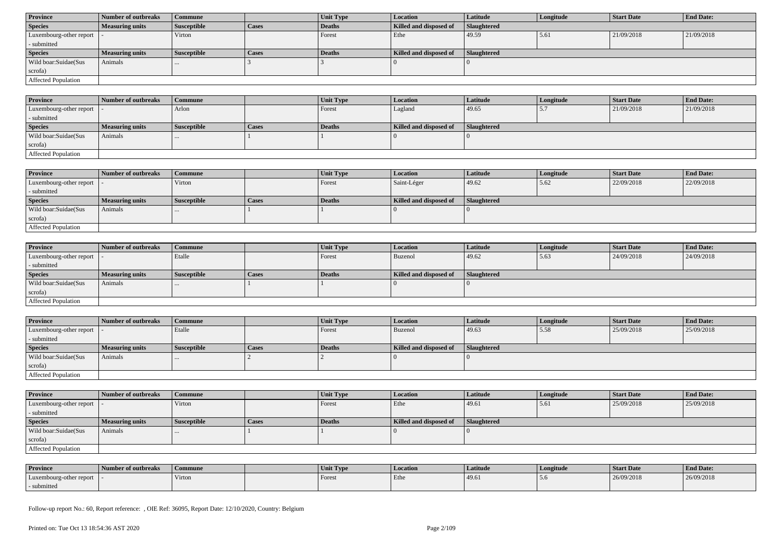| <b>Province</b>            | Number of outbreaks    | <b>Commune</b>     |              | Unit Type | Location               | <b>Latitude</b> | Longitude | <b>Start Date</b> | <b>End Date:</b> |
|----------------------------|------------------------|--------------------|--------------|-----------|------------------------|-----------------|-----------|-------------------|------------------|
| <b>Species</b>             | <b>Measuring units</b> | <b>Susceptible</b> | <b>Cases</b> | Deaths    | Killed and disposed of | Slaughtered     |           |                   |                  |
| Luxembourg-other report  - |                        | Virton             |              | Forest    | Ethe                   | 49.59           | 5.61      | 21/09/2018        | 21/09/2018       |
| - submitted                |                        |                    |              |           |                        |                 |           |                   |                  |
| <b>Species</b>             | <b>Measuring units</b> | <b>Susceptible</b> | <b>Cases</b> | Deaths    | Killed and disposed of | Slaughtered     |           |                   |                  |
| Wild boar:Suidae(Sus       | Animals                |                    |              |           |                        |                 |           |                   |                  |
| scrofa)                    |                        |                    |              |           |                        |                 |           |                   |                  |
| <b>Affected Population</b> |                        |                    |              |           |                        |                 |           |                   |                  |

| <b>Province</b>             | Number of outbreaks    | Commune            |       | Unit Type     | Location               | <b>Latitude</b> | Longitude                | <b>Start Date</b> | <b>End Date:</b> |
|-----------------------------|------------------------|--------------------|-------|---------------|------------------------|-----------------|--------------------------|-------------------|------------------|
| Luxembourg-other report   - |                        | Arlon              |       | Forest        | Lagland                | 49.65           | $\overline{\phantom{a}}$ | 21/09/2018        | 21/09/2018       |
| - submitted                 |                        |                    |       |               |                        |                 |                          |                   |                  |
| <b>Species</b>              | <b>Measuring units</b> | <b>Susceptible</b> | Cases | <b>Deaths</b> | Killed and disposed of | Slaughtered     |                          |                   |                  |
| Wild boar:Suidae(Sus        | Animals                | $\cdots$           |       |               |                        |                 |                          |                   |                  |
| scrofa)                     |                        |                    |       |               |                        |                 |                          |                   |                  |
| <b>Affected Population</b>  |                        |                    |       |               |                        |                 |                          |                   |                  |

| <b>Province</b>         | Number of outbreaks    | Commune            |              | Unit Type | <b>Location</b>        | <b>Latitude</b>    | Longitude | <b>Start Date</b> | <b>End Date:</b> |
|-------------------------|------------------------|--------------------|--------------|-----------|------------------------|--------------------|-----------|-------------------|------------------|
| Luxembourg-other report |                        | Virton             |              | Forest    | Saint-Léger            | 49.62              | 5.62      | 22/09/2018        | 22/09/2018       |
| - submitted             |                        |                    |              |           |                        |                    |           |                   |                  |
| <b>Species</b>          | <b>Measuring units</b> | <b>Susceptible</b> | <b>Cases</b> | Deaths    | Killed and disposed of | <b>Slaughtered</b> |           |                   |                  |
| Wild boar:Suidae(Sus    | Animals                | $\cdots$           |              |           |                        |                    |           |                   |                  |
| scrofa)                 |                        |                    |              |           |                        |                    |           |                   |                  |
| Affected Population     |                        |                    |              |           |                        |                    |           |                   |                  |

| <b>Province</b>            | Number of outbreaks    | <b>Commune</b>     |              | Unit Type | Location               | Latitude    | Longitude | <b>Start Date</b> | <b>End Date:</b> |
|----------------------------|------------------------|--------------------|--------------|-----------|------------------------|-------------|-----------|-------------------|------------------|
| Luxembourg-other report  - |                        | Etalle             |              | Forest    | Buzenol                | 49.62       | 5.63      | 24/09/2018        | 24/09/2018       |
| - submitted                |                        |                    |              |           |                        |             |           |                   |                  |
| <b>Species</b>             | <b>Measuring units</b> | <b>Susceptible</b> | <b>Cases</b> | Deaths    | Killed and disposed of | Slaughtered |           |                   |                  |
| Wild boar:Suidae(Sus       | Animals                |                    |              |           |                        |             |           |                   |                  |
| scrofa)                    |                        |                    |              |           |                        |             |           |                   |                  |
| Affected Population        |                        |                    |              |           |                        |             |           |                   |                  |

| <b>Province</b>            | Number of outbreaks    | <b>Commune</b>     |              | Unit Type | Location               | Latitude           | Longitude | <b>Start Date</b> | <b>End Date:</b> |
|----------------------------|------------------------|--------------------|--------------|-----------|------------------------|--------------------|-----------|-------------------|------------------|
| Luxembourg-other report  - |                        | Etalle             |              | Forest    | Buzenol                | 49.63              | 5.58      | 25/09/2018        | 25/09/2018       |
| - submitted                |                        |                    |              |           |                        |                    |           |                   |                  |
| <b>Species</b>             | <b>Measuring units</b> | <b>Susceptible</b> | <b>Cases</b> | Deaths    | Killed and disposed of | <b>Slaughtered</b> |           |                   |                  |
| Wild boar:Suidae(Sus       | Animals                |                    |              |           |                        |                    |           |                   |                  |
| scrofa)                    |                        |                    |              |           |                        |                    |           |                   |                  |
| Affected Population        |                        |                    |              |           |                        |                    |           |                   |                  |

| <b>Province</b>            | Number of outbreaks    | Commune            |       | <b>Unit Type</b> | Location               | Latitude    | Longitude | <b>Start Date</b> | <b>End Date:</b> |
|----------------------------|------------------------|--------------------|-------|------------------|------------------------|-------------|-----------|-------------------|------------------|
| Luxembourg-other report  - |                        | Virton             |       | Forest           | Ethe                   | 49.61       | 5.61      | 25/09/2018        | 25/09/2018       |
| - submitted                |                        |                    |       |                  |                        |             |           |                   |                  |
| <b>Species</b>             | <b>Measuring units</b> | <b>Susceptible</b> | Cases | Deaths           | Killed and disposed of | Slaughtered |           |                   |                  |
| Wild boar: Suidae (Sus     | <b>Animals</b>         |                    |       |                  |                        |             |           |                   |                  |
| scrofa)                    |                        |                    |       |                  |                        |             |           |                   |                  |
| Affected Population        |                        |                    |       |                  |                        |             |           |                   |                  |

| <b>Province</b>         | Number of outbreaks | Commune | Unit Type | Location | Latitude | Longitude | <b>Start Date</b> | <b>End Date:</b> |
|-------------------------|---------------------|---------|-----------|----------|----------|-----------|-------------------|------------------|
| Luxembourg-other report |                     | Virton  | Forest    | Ethe     | 49.6     | D.C       | 26/09/2018        | 26/09/2018       |
| - submitted             |                     |         |           |          |          |           |                   |                  |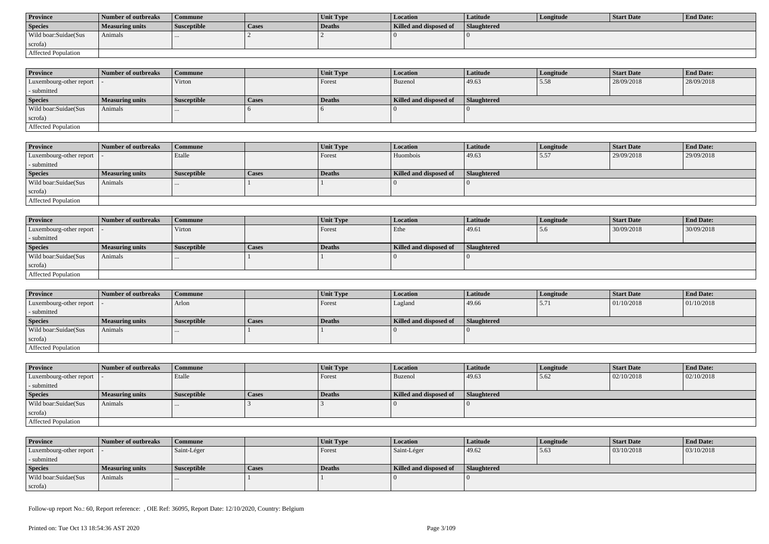| <b>Province</b>      | <b>Number of outbreaks</b> | Commune            |              | <b>Unit Type</b> | Location               | Latitude           | Longitude | Start Date | <b>End Date:</b> |
|----------------------|----------------------------|--------------------|--------------|------------------|------------------------|--------------------|-----------|------------|------------------|
| <b>Species</b>       | Measuring units            | <b>Susceptible</b> | <b>Cases</b> | Deaths           | Killed and disposed of | <b>Slaughtered</b> |           |            |                  |
| Wild boar:Suidae(Sus | Animals                    |                    |              |                  |                        |                    |           |            |                  |
| scrofa)              |                            |                    |              |                  |                        |                    |           |            |                  |
| Affected Population  |                            |                    |              |                  |                        |                    |           |            |                  |

| <b>Province</b>            | Number of outbreaks    | <b>Commune</b>     |              | Unit Type | <b>Location</b>        | Latitude           | Longitude | <b>Start Date</b> | <b>End Date:</b> |
|----------------------------|------------------------|--------------------|--------------|-----------|------------------------|--------------------|-----------|-------------------|------------------|
| Luxembourg-other report  - |                        | Virton             |              | Forest    | Buzenol                | 49.63              | 5.58      | 28/09/2018        | 28/09/2018       |
| - submitted                |                        |                    |              |           |                        |                    |           |                   |                  |
| <b>Species</b>             | <b>Measuring units</b> | <b>Susceptible</b> | <b>Cases</b> | Deaths    | Killed and disposed of | <b>Slaughtered</b> |           |                   |                  |
| Wild boar:Suidae(Sus       | Animals                |                    |              |           |                        |                    |           |                   |                  |
| scrofa)                    |                        |                    |              |           |                        |                    |           |                   |                  |
| Affected Population        |                        |                    |              |           |                        |                    |           |                   |                  |

| <b>Province</b>         | Number of outbreaks    | <b>Commune</b>     |       | Unit Type | <i>Location</i>        | Latitude    | Longitude | <b>Start Date</b> | <b>End Date:</b> |
|-------------------------|------------------------|--------------------|-------|-----------|------------------------|-------------|-----------|-------------------|------------------|
| Luxembourg-other report |                        | Etalle             |       | Forest    | Huombois               | 49.63       | 5.57      | 29/09/2018        | 29/09/2018       |
| - submitted             |                        |                    |       |           |                        |             |           |                   |                  |
| <b>Species</b>          | <b>Measuring units</b> | <b>Susceptible</b> | Cases | Deaths    | Killed and disposed of | Slaughtered |           |                   |                  |
| Wild boar:Suidae(Sus    | Animals                |                    |       |           |                        |             |           |                   |                  |
| scrofa)                 |                        |                    |       |           |                        |             |           |                   |                  |
| Affected Population     |                        |                    |       |           |                        |             |           |                   |                  |

| <b>Province</b>            | Number of outbreaks    | <b>Commune</b>     |              | Unit Type | <i>Location</i>        | Latitude    | Longitude | <b>Start Date</b> | <b>End Date:</b> |
|----------------------------|------------------------|--------------------|--------------|-----------|------------------------|-------------|-----------|-------------------|------------------|
| Luxembourg-other report  - |                        | Virton             |              | Forest    | Ethe                   | 49.61       | 5.6       | 30/09/2018        | 30/09/2018       |
| - submitted                |                        |                    |              |           |                        |             |           |                   |                  |
| <b>Species</b>             | <b>Measuring units</b> | <b>Susceptible</b> | <b>Cases</b> | Deaths    | Killed and disposed of | Slaughtered |           |                   |                  |
| Wild boar:Suidae(Sus       | Animals                |                    |              |           |                        |             |           |                   |                  |
| scrofa)                    |                        |                    |              |           |                        |             |           |                   |                  |
| Affected Population        |                        |                    |              |           |                        |             |           |                   |                  |

| <b>Province</b>         | Number of outbreaks    | l Commune          |              | <b>Unit Type</b> | Location               | Latitude    | Longitude | <b>Start Date</b> | <b>End Date:</b> |
|-------------------------|------------------------|--------------------|--------------|------------------|------------------------|-------------|-----------|-------------------|------------------|
| Luxembourg-other report |                        | Arlon              |              | Forest           | Lagland                | 49.66       | 3.11      | 01/10/2018        | 01/10/2018       |
| - submitted             |                        |                    |              |                  |                        |             |           |                   |                  |
| <b>Species</b>          | <b>Measuring units</b> | <b>Susceptible</b> | <b>Cases</b> | Deaths           | Killed and disposed of | Slaughtered |           |                   |                  |
| Wild boar: Suidae (Sus  | Animals                |                    |              |                  |                        |             |           |                   |                  |
| scrofa)                 |                        |                    |              |                  |                        |             |           |                   |                  |
| Affected Population     |                        |                    |              |                  |                        |             |           |                   |                  |

| <b>Province</b>            | Number of outbreaks    | <b>Commune</b>     |              | <b>Unit Type</b> | <b>Location</b>        | <b>Latitude</b> | Longitude | <b>Start Date</b> | <b>End Date:</b> |
|----------------------------|------------------------|--------------------|--------------|------------------|------------------------|-----------------|-----------|-------------------|------------------|
| Luxembourg-other report  - |                        | Etalle             |              | Forest           | Buzenol                | 49.63           | 15.62     | 02/10/2018        | 02/10/2018       |
| - submitted                |                        |                    |              |                  |                        |                 |           |                   |                  |
| <b>Species</b>             | <b>Measuring units</b> | <b>Susceptible</b> | <b>Cases</b> | Deaths           | Killed and disposed of | Slaughtered     |           |                   |                  |
| Wild boar:Suidae(Sus       | Animals                |                    |              |                  |                        |                 |           |                   |                  |
| scrofa)                    |                        |                    |              |                  |                        |                 |           |                   |                  |
| Affected Population        |                        |                    |              |                  |                        |                 |           |                   |                  |

| <b>Province</b>            | Number of outbreaks | Commune            |       | Unit Type | Location               | Latitude           | Longitude | <b>Start Date</b> | <b>End Date:</b> |
|----------------------------|---------------------|--------------------|-------|-----------|------------------------|--------------------|-----------|-------------------|------------------|
| Luxembourg-other report  - |                     | Saint-Léger        |       | Forest    | Saint-Léger            | 49.62              | 5.63      | 03/10/2018        | 03/10/2018       |
| - submitted                |                     |                    |       |           |                        |                    |           |                   |                  |
| <b>Species</b>             | Measuring units     | <b>Susceptible</b> | Cases | Deaths    | Killed and disposed of | <b>Slaughtered</b> |           |                   |                  |
| Wild boar:Suidae(Sus       | Animals             | $\cdots$           |       |           |                        |                    |           |                   |                  |
| scrofa)                    |                     |                    |       |           |                        |                    |           |                   |                  |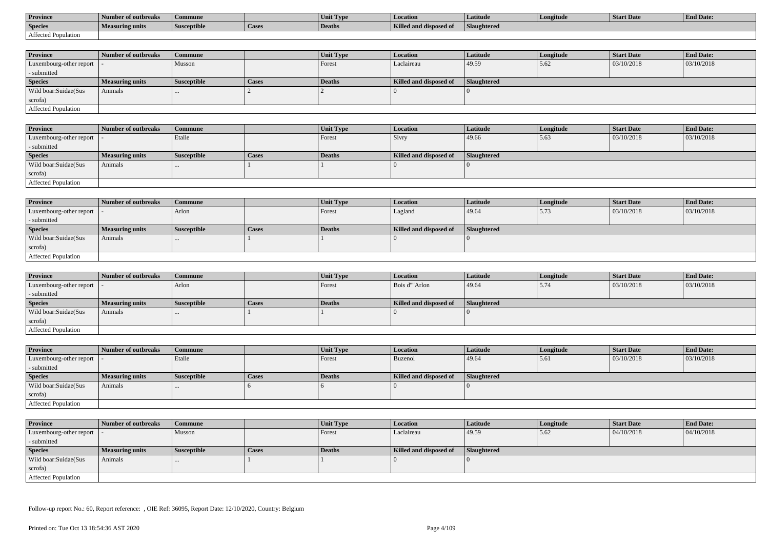| <b>Province</b>     | l Number of outbreaks  | Commune            |                    | Unit Type | Location               | Latitude                  | Longitude | <b>Start Date</b> | <b>End Date:</b> |
|---------------------|------------------------|--------------------|--------------------|-----------|------------------------|---------------------------|-----------|-------------------|------------------|
| <b>Species</b>      | <b>Measuring units</b> | <b>Susceptible</b> | <sup>1</sup> Cases | Deaths    | Killed and disposed of | $-$<br><b>Slaughtered</b> |           |                   |                  |
| Affected Population |                        |                    |                    |           |                        |                           |           |                   |                  |

| <b>Province</b>            | Number of outbreaks | Commune            |              | <b>Unit Type</b> | <b>Location</b>        | Latitude           | Longitude | <b>Start Date</b> | <b>End Date:</b> |
|----------------------------|---------------------|--------------------|--------------|------------------|------------------------|--------------------|-----------|-------------------|------------------|
| Luxembourg-other report  - |                     | Musson             |              | Forest           | Laclaireau             | 49.59              | 5.62      | 03/10/2018        | 03/10/2018       |
| - submitted                |                     |                    |              |                  |                        |                    |           |                   |                  |
| <b>Species</b>             | Measuring units     | <b>Susceptible</b> | <b>Cases</b> | Deaths           | Killed and disposed of | <b>Slaughtered</b> |           |                   |                  |
| Wild boar:Suidae(Sus       | Animals             | $\cdots$           |              |                  |                        |                    |           |                   |                  |
| scrofa)                    |                     |                    |              |                  |                        |                    |           |                   |                  |
| Affected Population        |                     |                    |              |                  |                        |                    |           |                   |                  |

| <b>Province</b>            | Number of outbreaks    | <b>Commune</b>     |              | <b>Unit Type</b> | Location               | <b>Latitude</b> | Longitude | <b>Start Date</b> | <b>End Date:</b> |
|----------------------------|------------------------|--------------------|--------------|------------------|------------------------|-----------------|-----------|-------------------|------------------|
| Luxembourg-other report  - |                        | Etalle             |              | Forest           | Sivry                  | 49.66           | 5.63      | 03/10/2018        | 03/10/2018       |
| - submitted                |                        |                    |              |                  |                        |                 |           |                   |                  |
| <b>Species</b>             | <b>Measuring units</b> | <b>Susceptible</b> | <b>Cases</b> | Deaths           | Killed and disposed of | Slaughtered     |           |                   |                  |
| Wild boar:Suidae(Sus       | Animals                |                    |              |                  |                        |                 |           |                   |                  |
| scrofa)                    |                        |                    |              |                  |                        |                 |           |                   |                  |
| Affected Population        |                        |                    |              |                  |                        |                 |           |                   |                  |

| <b>Province</b>            | Number of outbreaks    | <b>Commune</b>     |              | <b>Unit Type</b> | Location               | Latitude    | Longitude | <b>Start Date</b> | <b>End Date:</b> |
|----------------------------|------------------------|--------------------|--------------|------------------|------------------------|-------------|-----------|-------------------|------------------|
| Luxembourg-other report  - |                        | Arlon              |              | Forest           | Lagland                | 49.64       | 15.73     | 03/10/2018        | 03/10/2018       |
| - submitted                |                        |                    |              |                  |                        |             |           |                   |                  |
| <b>Species</b>             | <b>Measuring units</b> | <b>Susceptible</b> | <b>Cases</b> | Deaths           | Killed and disposed of | Slaughtered |           |                   |                  |
| Wild boar:Suidae(Sus       | Animals                |                    |              |                  |                        |             |           |                   |                  |
| scrofa)                    |                        |                    |              |                  |                        |             |           |                   |                  |
| Affected Population        |                        |                    |              |                  |                        |             |           |                   |                  |

| <b>Province</b>            | Number of outbreaks    | Commune            |              | <b>Unit Type</b> | <b>Location</b>        | Latitude    | Longitude | <b>Start Date</b> | <b>End Date:</b> |
|----------------------------|------------------------|--------------------|--------------|------------------|------------------------|-------------|-----------|-------------------|------------------|
| Luxembourg-other report  - |                        | Arlon              |              | Forest           | Bois d'"Arlon          | 49.64       | 5.74      | 03/10/2018        | 03/10/2018       |
| - submitted                |                        |                    |              |                  |                        |             |           |                   |                  |
| <b>Species</b>             | <b>Measuring units</b> | <b>Susceptible</b> | <b>Cases</b> | Deaths           | Killed and disposed of | Slaughtered |           |                   |                  |
| Wild boar: Suidae (Sus     | Animals                | $\cdots$           |              |                  |                        |             |           |                   |                  |
| scrofa)                    |                        |                    |              |                  |                        |             |           |                   |                  |
| Affected Population        |                        |                    |              |                  |                        |             |           |                   |                  |

| <b>Province</b>            | Number of outbreaks    | Commune            |       | Unit Type | <b>Location</b>        | <b>Latitude</b> | Longitude | <b>Start Date</b> | <b>End Date:</b> |
|----------------------------|------------------------|--------------------|-------|-----------|------------------------|-----------------|-----------|-------------------|------------------|
| Luxembourg-other report  - |                        | Etalle             |       | Forest    | Buzenol                | 49.64           | 5.61      | 03/10/2018        | 03/10/2018       |
| - submitted                |                        |                    |       |           |                        |                 |           |                   |                  |
| <b>Species</b>             | <b>Measuring units</b> | <b>Susceptible</b> | Cases | Deaths    | Killed and disposed of | Slaughtered     |           |                   |                  |
| Wild boar:Suidae(Sus       | Animals                | $\cdots$           |       |           |                        |                 |           |                   |                  |
| scrofa)                    |                        |                    |       |           |                        |                 |           |                   |                  |
| Affected Population        |                        |                    |       |           |                        |                 |           |                   |                  |

| <b>Province</b>            | Number of outbreaks    | <b>Commune</b>     |              | Unit Type | Location               | <b>Latitude</b> | Longitude | <b>Start Date</b> | <b>End Date:</b> |
|----------------------------|------------------------|--------------------|--------------|-----------|------------------------|-----------------|-----------|-------------------|------------------|
| Luxembourg-other report  - |                        | Musson             |              | Forest    | Laclaireau             | 49.59           | 5.62      | 04/10/2018        | 04/10/2018       |
| - submitted                |                        |                    |              |           |                        |                 |           |                   |                  |
| <b>Species</b>             | <b>Measuring units</b> | <b>Susceptible</b> | <b>Cases</b> | Deaths    | Killed and disposed of | Slaughtered     |           |                   |                  |
| Wild boar:Suidae(Sus       | Animals                | $\cdots$           |              |           |                        |                 |           |                   |                  |
| scrofa)                    |                        |                    |              |           |                        |                 |           |                   |                  |
| Affected Population        |                        |                    |              |           |                        |                 |           |                   |                  |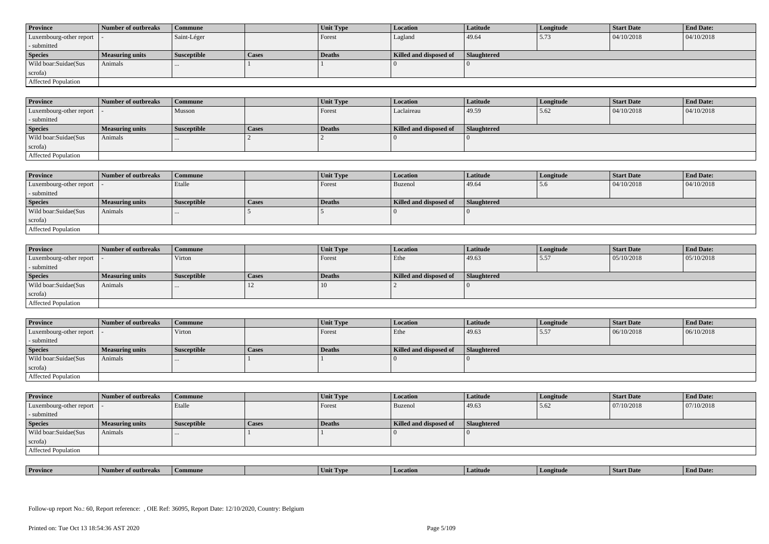| <b>Province</b>                             | Number of outbreaks    | <b>Commune</b>     |              | Unit Type | Location               | Latitude    | Longitude | <b>Start Date</b> | <b>End Date:</b> |
|---------------------------------------------|------------------------|--------------------|--------------|-----------|------------------------|-------------|-----------|-------------------|------------------|
| Luxembourg-other report $\vert \cdot \vert$ |                        | Saint-Léger        |              | Forest    | Lagland                | 49.64       | 5.73      | 04/10/2018        | 04/10/2018       |
| - submitted                                 |                        |                    |              |           |                        |             |           |                   |                  |
| <b>Species</b>                              | <b>Measuring units</b> | <b>Susceptible</b> | <b>Cases</b> | Deaths    | Killed and disposed of | Slaughtered |           |                   |                  |
| Wild boar:Suidae(Sus                        | Animals                |                    |              |           |                        |             |           |                   |                  |
| scrofa)                                     |                        |                    |              |           |                        |             |           |                   |                  |
| Affected Population                         |                        |                    |              |           |                        |             |           |                   |                  |

| <b>Province</b>            | Number of outbreaks    | Commune            |       | Unit Type | <b>Location</b>        | Latitude    | Longitude | <b>Start Date</b> | <b>End Date:</b> |
|----------------------------|------------------------|--------------------|-------|-----------|------------------------|-------------|-----------|-------------------|------------------|
| Luxembourg-other report  - |                        | Musson             |       | Forest    | Laclaireau             | 49.59       | 15.62     | 04/10/2018        | 04/10/2018       |
| - submitted                |                        |                    |       |           |                        |             |           |                   |                  |
| <b>Species</b>             | <b>Measuring units</b> | <b>Susceptible</b> | Cases | Deaths    | Killed and disposed of | Slaughtered |           |                   |                  |
| Wild boar:Suidae(Sus       | Animals                | $\cdots$           |       |           |                        |             |           |                   |                  |
| scrofa)                    |                        |                    |       |           |                        |             |           |                   |                  |
| Affected Population        |                        |                    |       |           |                        |             |           |                   |                  |

| <b>Province</b>         | Number of outbreaks | Commune            |       | Unit Type | Location               | Latitude    | Longitude | <b>Start Date</b> | <b>End Date:</b> |
|-------------------------|---------------------|--------------------|-------|-----------|------------------------|-------------|-----------|-------------------|------------------|
| Luxembourg-other report |                     | Etalle             |       | Forest    | Buzenol                | 49.64       | 5.6       | 04/10/2018        | 04/10/2018       |
| - submitted             |                     |                    |       |           |                        |             |           |                   |                  |
| <b>Species</b>          | Measuring units     | <b>Susceptible</b> | Cases | Deaths    | Killed and disposed of | Slaughtered |           |                   |                  |
| Wild boar:Suidae(Sus    | Animals             | $\cdots$           |       |           |                        |             |           |                   |                  |
| scrofa)                 |                     |                    |       |           |                        |             |           |                   |                  |
| Affected Population     |                     |                    |       |           |                        |             |           |                   |                  |

| <b>Province</b>            | Number of outbreaks    | Commune            |              | <b>Unit Type</b> | <b>Location</b>        | Latitude    | Longitude | <b>Start Date</b> | <b>End Date:</b> |
|----------------------------|------------------------|--------------------|--------------|------------------|------------------------|-------------|-----------|-------------------|------------------|
| Luxembourg-other report  - |                        | Virton             |              | Forest           | Ethe                   | 49.63       | 5.57      | 05/10/2018        | 05/10/2018       |
| - submitted                |                        |                    |              |                  |                        |             |           |                   |                  |
| <b>Species</b>             | <b>Measuring units</b> | <b>Susceptible</b> | <b>Cases</b> | <b>Deaths</b>    | Killed and disposed of | Slaughtered |           |                   |                  |
| Wild boar:Suidae(Sus       | Animals                | $\cdots$           |              |                  |                        |             |           |                   |                  |
| scrofa)                    |                        |                    |              |                  |                        |             |           |                   |                  |
| Affected Population        |                        |                    |              |                  |                        |             |           |                   |                  |

| <b>Province</b>            | Number of outbreaks | Commune            |       | Unit Type | <b>Location</b>        | <b>Latitude</b>    | Longitude | <b>Start Date</b> | <b>End Date:</b> |
|----------------------------|---------------------|--------------------|-------|-----------|------------------------|--------------------|-----------|-------------------|------------------|
| Luxembourg-other report  - |                     | Virton             |       | Forest    | Ethe                   | 49.63              | 5.57      | 06/10/2018        | 06/10/2018       |
| - submitted                |                     |                    |       |           |                        |                    |           |                   |                  |
| <b>Species</b>             | Measuring units     | <b>Susceptible</b> | Cases | Deaths    | Killed and disposed of | <b>Slaughtered</b> |           |                   |                  |
| Wild boar:Suidae(Sus       | Animals             |                    |       |           |                        |                    |           |                   |                  |
|                            |                     | $\cdots$           |       |           |                        |                    |           |                   |                  |
| scrofa)                    |                     |                    |       |           |                        |                    |           |                   |                  |

| <b>Province</b>            | Number of outbreaks    | <b>Commune</b>     |              | Unit Type | Location               | Latitude    | Longitude | <b>Start Date</b> | <b>End Date:</b> |  |
|----------------------------|------------------------|--------------------|--------------|-----------|------------------------|-------------|-----------|-------------------|------------------|--|
| Luxembourg-other report  - |                        | Etalle             |              | Forest    | Buzenol                | 49.63       | 5.62      | 07/10/2018        | 07/10/2018       |  |
| - submitted                |                        |                    |              |           |                        |             |           |                   |                  |  |
| <b>Species</b>             | <b>Measuring units</b> | <b>Susceptible</b> | <b>Cases</b> | Deaths    | Killed and disposed of | Slaughtered |           |                   |                  |  |
| Wild boar:Suidae(Sus       | Animals                |                    |              |           |                        |             |           |                   |                  |  |
| scrofa)                    |                        |                    |              |           |                        |             |           |                   |                  |  |
| Affected Population        |                        |                    |              |           |                        |             |           |                   |                  |  |

| <b>Province</b> | → ^f outbrea…<br>"Number" | Commune | C TVP | Location | Latitud <sup>,</sup> | l m<br><b><i>are</i>itude</b> | <b>Start Date</b> | $\mathbf{r}$<br>d Date. |
|-----------------|---------------------------|---------|-------|----------|----------------------|-------------------------------|-------------------|-------------------------|
|                 |                           |         |       |          |                      |                               |                   |                         |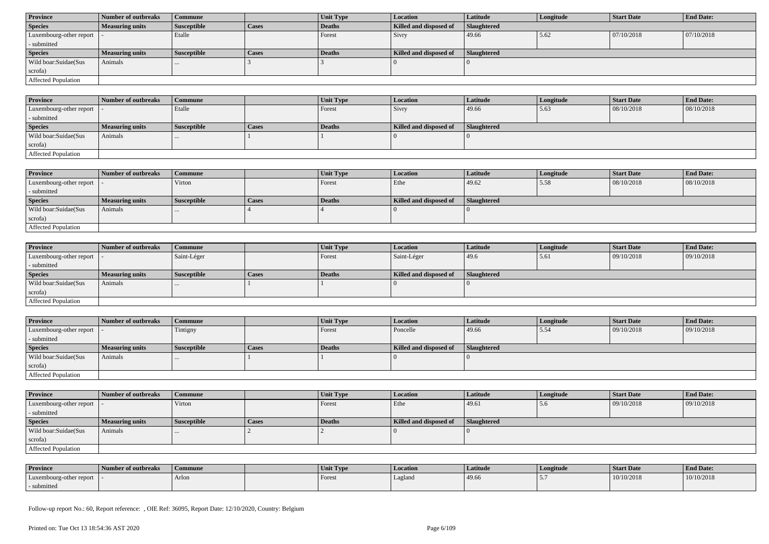| <b>Province</b>             | Number of outbreaks    | <b>Commune</b>     |              | Unit Type     | Location               | Latitude           | Longitude | <b>Start Date</b> | <b>End Date:</b> |
|-----------------------------|------------------------|--------------------|--------------|---------------|------------------------|--------------------|-----------|-------------------|------------------|
| <b>Species</b>              | <b>Measuring units</b> | <b>Susceptible</b> | <b>Cases</b> | Deaths        | Killed and disposed of | <b>Slaughtered</b> |           |                   |                  |
| Luxembourg-other report   - |                        | Etalle             |              | Forest        | Sivry                  | 49.66              | 5.62      | 07/10/2018        | 07/10/2018       |
| - submitted                 |                        |                    |              |               |                        |                    |           |                   |                  |
| <b>Species</b>              | <b>Measuring units</b> | <b>Susceptible</b> | <b>Cases</b> | <b>Deaths</b> | Killed and disposed of | Slaughtered        |           |                   |                  |
| Wild boar:Suidae(Sus        | Animals                |                    |              |               |                        |                    |           |                   |                  |
| scrofa)                     |                        |                    |              |               |                        |                    |           |                   |                  |
| <b>Affected Population</b>  |                        |                    |              |               |                        |                    |           |                   |                  |

| <b>Province</b>             | Number of outbreaks    | Commune            |       | Unit Type     | Location               | <b>Latitude</b>    | Longitude | <b>Start Date</b> | <b>End Date:</b> |
|-----------------------------|------------------------|--------------------|-------|---------------|------------------------|--------------------|-----------|-------------------|------------------|
| Luxembourg-other report   - |                        | Etalle             |       | Forest        | <b>Sivry</b>           | 49.66              | 5.63      | 08/10/2018        | 08/10/2018       |
| - submitted                 |                        |                    |       |               |                        |                    |           |                   |                  |
| <b>Species</b>              | <b>Measuring units</b> | <b>Susceptible</b> | Cases | <b>Deaths</b> | Killed and disposed of | <b>Slaughtered</b> |           |                   |                  |
| Wild boar:Suidae(Sus        | Animals                | $\cdots$           |       |               |                        |                    |           |                   |                  |
| scrofa)                     |                        |                    |       |               |                        |                    |           |                   |                  |
| <b>Affected Population</b>  |                        |                    |       |               |                        |                    |           |                   |                  |

| <b>Province</b>            | Number of outbreaks    | Commune            |              | <b>Unit Type</b> | <b>Location</b>        | Latitude           | Longitude | <b>Start Date</b> | <b>End Date:</b> |
|----------------------------|------------------------|--------------------|--------------|------------------|------------------------|--------------------|-----------|-------------------|------------------|
| Luxembourg-other report    |                        | Virton             |              | Forest           | Ethe                   | 49.62              | 5.58      | 08/10/2018        | 08/10/2018       |
| - submitted                |                        |                    |              |                  |                        |                    |           |                   |                  |
| <b>Species</b>             | <b>Measuring units</b> | <b>Susceptible</b> | <b>Cases</b> | Deaths           | Killed and disposed of | <b>Slaughtered</b> |           |                   |                  |
| Wild boar:Suidae(Sus       | Animals                |                    |              |                  |                        |                    |           |                   |                  |
| scrofa)                    |                        |                    |              |                  |                        |                    |           |                   |                  |
| <b>Affected Population</b> |                        |                    |              |                  |                        |                    |           |                   |                  |

| <b>Province</b>            | Number of outbreaks    | <b>Commune</b>     |              | <b>Unit Type</b> | <i>Location</i>        | <b>Latitude</b>    | Longitude | <b>Start Date</b> | <b>End Date:</b> |
|----------------------------|------------------------|--------------------|--------------|------------------|------------------------|--------------------|-----------|-------------------|------------------|
| Luxembourg-other report  - |                        | Saint-Léger        |              | Forest           | Saint-Léger            | 49.6               | 5.61      | 09/10/2018        | 09/10/2018       |
| - submitted                |                        |                    |              |                  |                        |                    |           |                   |                  |
| <b>Species</b>             | <b>Measuring units</b> | <b>Susceptible</b> | <b>Cases</b> | <b>Deaths</b>    | Killed and disposed of | <b>Slaughtered</b> |           |                   |                  |
| Wild boar:Suidae(Sus       | Animals                | $\cdots$           |              |                  |                        |                    |           |                   |                  |
| scrofa)                    |                        |                    |              |                  |                        |                    |           |                   |                  |
| Affected Population        |                        |                    |              |                  |                        |                    |           |                   |                  |

| <b>Province</b>            | Number of outbreaks    | <b>Commune</b>     |              | Unit Type | Location               | Latitude           | Longitude | <b>Start Date</b> | <b>End Date:</b> |
|----------------------------|------------------------|--------------------|--------------|-----------|------------------------|--------------------|-----------|-------------------|------------------|
| Luxembourg-other report  - |                        | Tintigny           |              | Forest    | Poncelle               | 49.66              | 15.54     | 09/10/2018        | 09/10/2018       |
| - submitted                |                        |                    |              |           |                        |                    |           |                   |                  |
| <b>Species</b>             | <b>Measuring units</b> | <b>Susceptible</b> | <b>Cases</b> | Deaths    | Killed and disposed of | <b>Slaughtered</b> |           |                   |                  |
| Wild boar:Suidae(Sus       | Animals                |                    |              |           |                        |                    |           |                   |                  |
| scrofa)                    |                        |                    |              |           |                        |                    |           |                   |                  |
|                            |                        |                    |              |           |                        |                    |           |                   |                  |

| <b>Province</b>            | Number of outbreaks    | Commune            |              | <b>Unit Type</b> | Location               | Latitude    | Longitude | <b>Start Date</b> | <b>End Date:</b> |
|----------------------------|------------------------|--------------------|--------------|------------------|------------------------|-------------|-----------|-------------------|------------------|
| Luxembourg-other report  - |                        | Virton             |              | Forest           | Ethe                   | 49.61       | 5.6       | 09/10/2018        | 09/10/2018       |
| - submitted                |                        |                    |              |                  |                        |             |           |                   |                  |
| <b>Species</b>             | <b>Measuring units</b> | <b>Susceptible</b> | <b>Cases</b> | Deaths           | Killed and disposed of | Slaughtered |           |                   |                  |
| Wild boar: Suidae (Sus     | Animals                |                    |              |                  |                        |             |           |                   |                  |
| scrofa)                    |                        |                    |              |                  |                        |             |           |                   |                  |
| Affected Population        |                        |                    |              |                  |                        |             |           |                   |                  |

| <b>Province</b>         | Number of outbreaks | <b>Commune</b> | Unit Type | Location | Latitude | Longitude | <b>Start Date</b> | <b>End Date:</b> |
|-------------------------|---------------------|----------------|-----------|----------|----------|-----------|-------------------|------------------|
| Luxembourg-other report |                     | Arlon          | Forest    | Lagland  | 49.66    | $\sim$    | 10/10/2018        | 10/10/2018       |
| - submitted             |                     |                |           |          |          |           |                   |                  |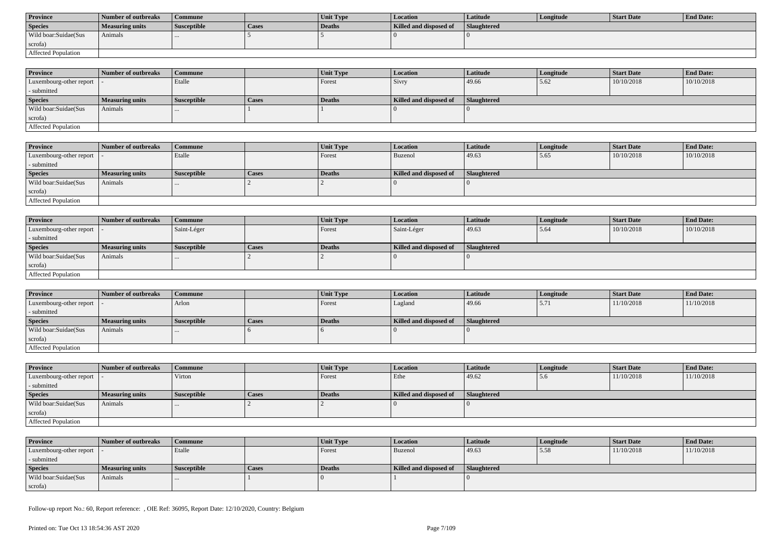| <b>Province</b>      | <b>Number of outbreaks</b> | Commune            |              | <b>Unit Type</b> | Location               | Latitude           | Longitude | Start Date | <b>End Date:</b> |
|----------------------|----------------------------|--------------------|--------------|------------------|------------------------|--------------------|-----------|------------|------------------|
| <b>Species</b>       | Measuring units            | <b>Susceptible</b> | <b>Cases</b> | Deaths           | Killed and disposed of | <b>Slaughtered</b> |           |            |                  |
| Wild boar:Suidae(Sus | Animals                    |                    |              |                  |                        |                    |           |            |                  |
| scrofa)              |                            |                    |              |                  |                        |                    |           |            |                  |
| Affected Population  |                            |                    |              |                  |                        |                    |           |            |                  |

| <b>Province</b>            | Number of outbreaks    | <b>Commune</b>     |              | <b>Unit Type</b> | <b>Location</b>        | Latitude           | Longitude | <b>Start Date</b> | <b>End Date:</b> |
|----------------------------|------------------------|--------------------|--------------|------------------|------------------------|--------------------|-----------|-------------------|------------------|
| Luxembourg-other report  - |                        | Etalle             |              | Forest           | <b>Sivry</b>           | 49.66              | 5.62      | 10/10/2018        | 10/10/2018       |
| - submitted                |                        |                    |              |                  |                        |                    |           |                   |                  |
| <b>Species</b>             | <b>Measuring units</b> | <b>Susceptible</b> | <b>Cases</b> | <b>Deaths</b>    | Killed and disposed of | <b>Slaughtered</b> |           |                   |                  |
| Wild boar:Suidae(Sus       | Animals                | $\cdots$           |              |                  |                        |                    |           |                   |                  |
| scrofa)                    |                        |                    |              |                  |                        |                    |           |                   |                  |
| Affected Population        |                        |                    |              |                  |                        |                    |           |                   |                  |

| <b>Province</b>         | Number of outbreaks    | <b>Commune</b>     |       | Unit Type | <i>Location</i>        | Latitude    | Longitude | <b>Start Date</b> | <b>End Date:</b> |
|-------------------------|------------------------|--------------------|-------|-----------|------------------------|-------------|-----------|-------------------|------------------|
| Luxembourg-other report |                        | Etalle             |       | Forest    | Buzenol                | 49.63       | 5.65      | 10/10/2018        | 10/10/2018       |
| - submitted             |                        |                    |       |           |                        |             |           |                   |                  |
| <b>Species</b>          | <b>Measuring units</b> | <b>Susceptible</b> | Cases | Deaths    | Killed and disposed of | Slaughtered |           |                   |                  |
| Wild boar:Suidae(Sus    | Animals                |                    |       |           |                        |             |           |                   |                  |
| scrofa)                 |                        |                    |       |           |                        |             |           |                   |                  |
| Affected Population     |                        |                    |       |           |                        |             |           |                   |                  |

| <b>Province</b>            | Number of outbreaks    | Commune            |              | Unit Type | Location               | Latitude    | Longitude | <b>Start Date</b> | <b>End Date:</b> |  |
|----------------------------|------------------------|--------------------|--------------|-----------|------------------------|-------------|-----------|-------------------|------------------|--|
| Luxembourg-other report  - |                        | Saint-Léger        |              | Forest    | Saint-Léger            | 49.63       | 5.64      | 10/10/2018        | 10/10/2018       |  |
| - submitted                |                        |                    |              |           |                        |             |           |                   |                  |  |
| <b>Species</b>             | <b>Measuring units</b> | <b>Susceptible</b> | <b>Cases</b> | Deaths    | Killed and disposed of | Slaughtered |           |                   |                  |  |
| Wild boar:Suidae(Sus       | Animals                |                    |              |           |                        |             |           |                   |                  |  |
| scrofa)                    |                        |                    |              |           |                        |             |           |                   |                  |  |
| Affected Population        |                        |                    |              |           |                        |             |           |                   |                  |  |

| <b>Province</b>         | Number of outbreaks    | l Commune          |              | <b>Unit Type</b> | Location               | Latitude    | Longitude | <b>Start Date</b> | <b>End Date:</b> |
|-------------------------|------------------------|--------------------|--------------|------------------|------------------------|-------------|-----------|-------------------|------------------|
| Luxembourg-other report |                        | Arlon              |              | Forest           | Lagland                | 49.66       | 3.11      | 11/10/2018        | 11/10/2018       |
| - submitted             |                        |                    |              |                  |                        |             |           |                   |                  |
| <b>Species</b>          | <b>Measuring units</b> | <b>Susceptible</b> | <b>Cases</b> | Deaths           | Killed and disposed of | Slaughtered |           |                   |                  |
| Wild boar: Suidae (Sus  | Animals                |                    |              |                  |                        |             |           |                   |                  |
| scrofa)                 |                        |                    |              |                  |                        |             |           |                   |                  |
| Affected Population     |                        |                    |              |                  |                        |             |           |                   |                  |

| <b>Province</b>                           | Number of outbreaks    | <b>Commune</b>     |              | <b>Unit Type</b> | <b>Location</b>        | <b>Latitude</b> | Longitude | <b>Start Date</b> | <b>End Date:</b> |
|-------------------------------------------|------------------------|--------------------|--------------|------------------|------------------------|-----------------|-----------|-------------------|------------------|
| $\vert$ Luxembourg-other report $\vert$ . |                        | Virton             |              | Forest           | Ethe                   | 49.62           | 5.6       | 11/10/2018        | 11/10/2018       |
| - submitted                               |                        |                    |              |                  |                        |                 |           |                   |                  |
| <b>Species</b>                            | <b>Measuring units</b> | <b>Susceptible</b> | <b>Cases</b> | Deaths           | Killed and disposed of | Slaughtered     |           |                   |                  |
| Wild boar:Suidae(Sus                      | Animals                | $\cdots$           |              |                  |                        |                 |           |                   |                  |
| scrofa)                                   |                        |                    |              |                  |                        |                 |           |                   |                  |
| Affected Population                       |                        |                    |              |                  |                        |                 |           |                   |                  |

| <b>Province</b>            | Number of outbreaks | Commune            |       | Unit Type | Location               | Latitude           | Longitude | <b>Start Date</b> | <b>End Date:</b> |
|----------------------------|---------------------|--------------------|-------|-----------|------------------------|--------------------|-----------|-------------------|------------------|
| Luxembourg-other report  - |                     | Etalle             |       | Forest    | <b>Buzenol</b>         | 49.63              | 5.58      | 11/10/2018        | 11/10/2018       |
| - submitted                |                     |                    |       |           |                        |                    |           |                   |                  |
| <b>Species</b>             | Measuring units     | <b>Susceptible</b> | Cases | Deaths    | Killed and disposed of | <b>Slaughtered</b> |           |                   |                  |
| Wild boar:Suidae(Sus       | Animals             | $\cdots$           |       |           |                        |                    |           |                   |                  |
| scrofa)                    |                     |                    |       |           |                        |                    |           |                   |                  |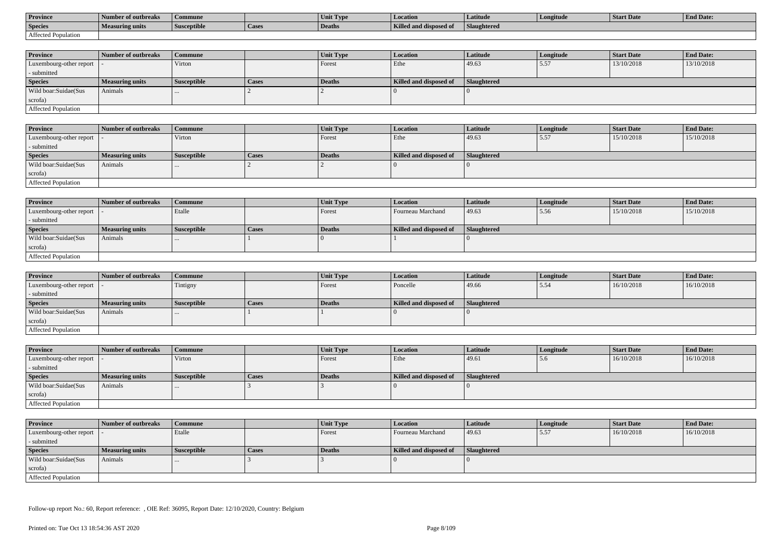| <b>Province</b>     | l Number of outbreaks  | Commune            |                    | Unit Type | Location               | Latitude                  | Longitude | <b>Start Date</b> | <b>End Date:</b> |
|---------------------|------------------------|--------------------|--------------------|-----------|------------------------|---------------------------|-----------|-------------------|------------------|
| <b>Species</b>      | <b>Measuring units</b> | <b>Susceptible</b> | <sup>1</sup> Cases | Deaths    | Killed and disposed of | $-$<br><b>Slaughtered</b> |           |                   |                  |
| Affected Population |                        |                    |                    |           |                        |                           |           |                   |                  |

| <b>Province</b>            | Number of outbreaks | <b>Commune</b>     |              | <b>Unit Type</b> | <i>Location</i>        | Latitude           | Longitude | <b>Start Date</b> | <b>End Date:</b> |
|----------------------------|---------------------|--------------------|--------------|------------------|------------------------|--------------------|-----------|-------------------|------------------|
| Luxembourg-other report  - |                     | Virton             |              | Forest           | Ethe                   | 49.63              | 5.57      | 13/10/2018        | 13/10/2018       |
| - submitted                |                     |                    |              |                  |                        |                    |           |                   |                  |
| <b>Species</b>             | Measuring units     | <b>Susceptible</b> | <b>Cases</b> | Deaths           | Killed and disposed of | <b>Slaughtered</b> |           |                   |                  |
| Wild boar:Suidae(Sus       | Animals             |                    |              |                  |                        |                    |           |                   |                  |
| scrofa)                    |                     |                    |              |                  |                        |                    |           |                   |                  |
| Affected Population        |                     |                    |              |                  |                        |                    |           |                   |                  |

| Province                   | Number of outbreaks    | Commune            |       | <b>Unit Type</b> | <b>Location</b>        | Latitude    | Longitude | <b>Start Date</b> | <b>End Date:</b> |
|----------------------------|------------------------|--------------------|-------|------------------|------------------------|-------------|-----------|-------------------|------------------|
| Luxembourg-other report  - |                        | Virton             |       | Forest           | Ethe                   | 49.63       | 5.57      | 15/10/2018        | 15/10/2018       |
| - submitted                |                        |                    |       |                  |                        |             |           |                   |                  |
| <b>Species</b>             | <b>Measuring units</b> | <b>Susceptible</b> | Cases | Deaths           | Killed and disposed of | Slaughtered |           |                   |                  |
| Wild boar:Suidae(Sus       | Animals                |                    |       |                  |                        |             |           |                   |                  |
| scrofa)                    |                        |                    |       |                  |                        |             |           |                   |                  |
| <b>Affected Population</b> |                        |                    |       |                  |                        |             |           |                   |                  |

| <b>Province</b>             | <b>Number of outbreaks</b> | Commune            |              | <b>Unit Type</b> | Location               | <b>Latitude</b> | Longitude | Start Date | <b>End Date:</b> |
|-----------------------------|----------------------------|--------------------|--------------|------------------|------------------------|-----------------|-----------|------------|------------------|
| Luxembourg-other report   - |                            | Etalle             |              | Forest           | Fourneau Marchand      | 49.63           | 5.56      | 15/10/2018 | 15/10/2018       |
| - submitted                 |                            |                    |              |                  |                        |                 |           |            |                  |
| <b>Species</b>              | Measuring units            | <b>Susceptible</b> | <b>Cases</b> | <b>Deaths</b>    | Killed and disposed of | Slaughtered     |           |            |                  |
| Wild boar:Suidae(Sus        | Animals                    |                    |              |                  |                        |                 |           |            |                  |
| scrofa)                     |                            |                    |              |                  |                        |                 |           |            |                  |
| <b>Affected Population</b>  |                            |                    |              |                  |                        |                 |           |            |                  |

| <b>Province</b>            | Number of outbreaks    | Commune            |              | <b>Unit Type</b> | <b>Location</b>        | Latitude    | Longitude | <b>Start Date</b> | <b>End Date:</b> |
|----------------------------|------------------------|--------------------|--------------|------------------|------------------------|-------------|-----------|-------------------|------------------|
| Luxembourg-other report  - |                        | Tintigny           |              | Forest           | Poncelle               | 49.66       | 5.54      | 16/10/2018        | 16/10/2018       |
| - submitted                |                        |                    |              |                  |                        |             |           |                   |                  |
| <b>Species</b>             | <b>Measuring units</b> | <b>Susceptible</b> | <b>Cases</b> | Deaths           | Killed and disposed of | Slaughtered |           |                   |                  |
| Wild boar:Suidae(Sus       | Animals                | $\cdots$           |              |                  |                        |             |           |                   |                  |
| scrofa)                    |                        |                    |              |                  |                        |             |           |                   |                  |
| Affected Population        |                        |                    |              |                  |                        |             |           |                   |                  |

| <b>Province</b>            | Number of outbreaks    | Commune            |       | Unit Type | <b>Location</b>        | <b>Latitude</b> | Longitude | <b>Start Date</b> | <b>End Date:</b> |
|----------------------------|------------------------|--------------------|-------|-----------|------------------------|-----------------|-----------|-------------------|------------------|
| Luxembourg-other report  - |                        | Virton             |       | Forest    | Ethe                   | 49.61           | 5.6       | 16/10/2018        | 16/10/2018       |
| - submitted                |                        |                    |       |           |                        |                 |           |                   |                  |
| <b>Species</b>             | <b>Measuring units</b> | <b>Susceptible</b> | Cases | Deaths    | Killed and disposed of | Slaughtered     |           |                   |                  |
| Wild boar:Suidae(Sus       | Animals                | $\cdots$           |       |           |                        |                 |           |                   |                  |
| scrofa)                    |                        |                    |       |           |                        |                 |           |                   |                  |
| Affected Population        |                        |                    |       |           |                        |                 |           |                   |                  |

| <b>Province</b>            | Number of outbreaks    | <b>Commune</b>     |              | Unit Type | Location               | <b>Latitude</b>    | Longitude | <b>Start Date</b> | <b>End Date:</b> |
|----------------------------|------------------------|--------------------|--------------|-----------|------------------------|--------------------|-----------|-------------------|------------------|
| Luxembourg-other report  - |                        | Etalle             |              | Forest    | Fourneau Marchand      | 49.63              | 5.57      | 16/10/2018        | 16/10/2018       |
| - submitted                |                        |                    |              |           |                        |                    |           |                   |                  |
| <b>Species</b>             | <b>Measuring units</b> | <b>Susceptible</b> | <b>Cases</b> | Deaths    | Killed and disposed of | <b>Slaughtered</b> |           |                   |                  |
| Wild boar:Suidae(Sus       | Animals                |                    |              |           |                        |                    |           |                   |                  |
| scrofa)                    |                        |                    |              |           |                        |                    |           |                   |                  |
| Affected Population        |                        |                    |              |           |                        |                    |           |                   |                  |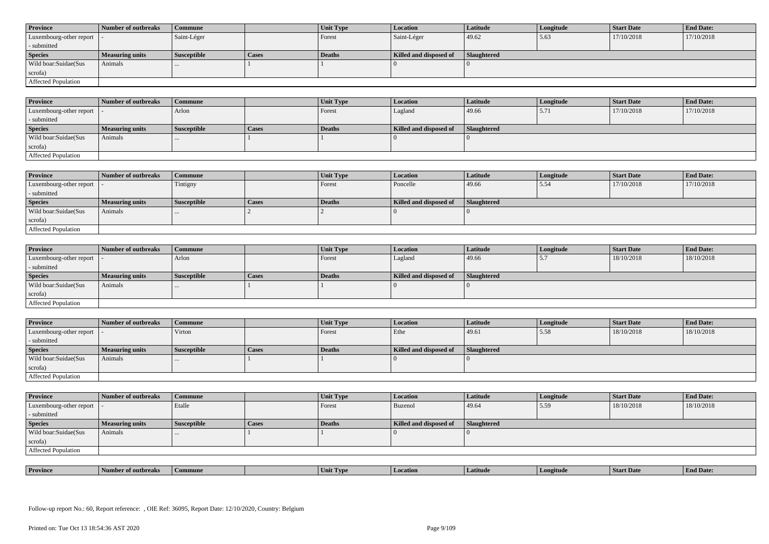| <b>Province</b>            | Number of outbreaks    | <b>Commune</b>     |              | Unit Type | Location               | <b>Latitude</b> | Longitude | <b>Start Date</b> | <b>End Date:</b> |
|----------------------------|------------------------|--------------------|--------------|-----------|------------------------|-----------------|-----------|-------------------|------------------|
| Luxembourg-other report  - |                        | Saint-Léger        |              | Forest    | Saint-Léger            | 49.62           | 5.63      | 17/10/2018        | 17/10/2018       |
| - submitted                |                        |                    |              |           |                        |                 |           |                   |                  |
| <b>Species</b>             | <b>Measuring units</b> | <b>Susceptible</b> | <b>Cases</b> | Deaths    | Killed and disposed of | Slaughtered     |           |                   |                  |
| Wild boar:Suidae(Sus       | Animals                |                    |              |           |                        |                 |           |                   |                  |
| scrofa)                    |                        |                    |              |           |                        |                 |           |                   |                  |
| Affected Population        |                        |                    |              |           |                        |                 |           |                   |                  |

| <b>Province</b>         | Number of outbreaks    | Commune            |       | Unit Type | <b>Location</b>        | Latitude           | Longitude | <b>Start Date</b> | <b>End Date:</b> |
|-------------------------|------------------------|--------------------|-------|-----------|------------------------|--------------------|-----------|-------------------|------------------|
| Luxembourg-other report |                        | Arlon              |       | Forest    | Lagland                | 49.66              | 15.71     | 17/10/2018        | 17/10/2018       |
| - submitted             |                        |                    |       |           |                        |                    |           |                   |                  |
| <b>Species</b>          | <b>Measuring units</b> | <b>Susceptible</b> | Cases | Deaths    | Killed and disposed of | <b>Slaughtered</b> |           |                   |                  |
| Wild boar:Suidae(Sus    | Animals                | $\cdots$           |       |           |                        |                    |           |                   |                  |
| scrofa)                 |                        |                    |       |           |                        |                    |           |                   |                  |
| Affected Population     |                        |                    |       |           |                        |                    |           |                   |                  |

| <b>Province</b>            | Number of outbreaks    | Commune            |              | Unit Type     | <b>Location</b>        | Latitude    | Longitude | <b>Start Date</b> | <b>End Date:</b> |
|----------------------------|------------------------|--------------------|--------------|---------------|------------------------|-------------|-----------|-------------------|------------------|
| Luxembourg-other report  - |                        | Tintigny           |              | Forest        | Poncelle               | 49.66       | 5.54      | 17/10/2018        | 17/10/2018       |
| - submitted                |                        |                    |              |               |                        |             |           |                   |                  |
| <b>Species</b>             | <b>Measuring units</b> | <b>Susceptible</b> | <b>Cases</b> | <b>Deaths</b> | Killed and disposed of | Slaughtered |           |                   |                  |
| Wild boar:Suidae(Sus       | Animals                |                    |              |               |                        |             |           |                   |                  |
| scrofa)                    |                        |                    |              |               |                        |             |           |                   |                  |
| Affected Population        |                        |                    |              |               |                        |             |           |                   |                  |

| <b>Province</b>            | Number of outbreaks    | <b>Commune</b>     |       | <b>Unit Type</b> | <i>Location</i>        | Latitude           | Longitude                | <b>Start Date</b> | <b>End Date:</b> |
|----------------------------|------------------------|--------------------|-------|------------------|------------------------|--------------------|--------------------------|-------------------|------------------|
| Luxembourg-other report  - |                        | Arlon              |       | Forest           | Lagland                | 49.66              | $\overline{\phantom{a}}$ | 18/10/2018        | 18/10/2018       |
| - submitted                |                        |                    |       |                  |                        |                    |                          |                   |                  |
| <b>Species</b>             | <b>Measuring units</b> | <b>Susceptible</b> | Cases | <b>Deaths</b>    | Killed and disposed of | <b>Slaughtered</b> |                          |                   |                  |
| Wild boar:Suidae(Sus       | Animals                | $\cdots$           |       |                  |                        |                    |                          |                   |                  |
| scrofa)                    |                        |                    |       |                  |                        |                    |                          |                   |                  |
| Affected Population        |                        |                    |       |                  |                        |                    |                          |                   |                  |

| <b>Province</b>             | <b>1 Number of outbreaks</b> | <b>Commune</b>     |       | Unit Type | <b>Location</b>        | <b>Latitude</b>    | Longitude | <b>Start Date</b> | <b>End Date:</b> |
|-----------------------------|------------------------------|--------------------|-------|-----------|------------------------|--------------------|-----------|-------------------|------------------|
| Luxembourg-other report   - |                              | Virton             |       | Forest    | Ethe                   | 49.61              | 5.58      | 18/10/2018        | 18/10/2018       |
| - submitted                 |                              |                    |       |           |                        |                    |           |                   |                  |
| <b>Species</b>              | <b>Measuring units</b>       | <b>Susceptible</b> | Cases | Deaths    | Killed and disposed of | <b>Slaughtered</b> |           |                   |                  |
| Wild boar:Suidae(Sus        | Animals                      |                    |       |           |                        |                    |           |                   |                  |
| scrofa)                     |                              |                    |       |           |                        |                    |           |                   |                  |
| <b>Affected Population</b>  |                              |                    |       |           |                        |                    |           |                   |                  |

| <b>Province</b>            | Number of outbreaks    | <b>Commune</b>     |              | <b>Unit Type</b> | Location               | Latitude           | Longitude | <b>Start Date</b> | <b>End Date:</b> |
|----------------------------|------------------------|--------------------|--------------|------------------|------------------------|--------------------|-----------|-------------------|------------------|
| Luxembourg-other report  - |                        | Etalle             |              | Forest           | <b>Buzenol</b>         | 49.64              | 5.59      | 18/10/2018        | 18/10/2018       |
| - submitted                |                        |                    |              |                  |                        |                    |           |                   |                  |
| <b>Species</b>             | <b>Measuring units</b> | <b>Susceptible</b> | <b>Cases</b> | <b>Deaths</b>    | Killed and disposed of | <b>Slaughtered</b> |           |                   |                  |
| Wild boar:Suidae(Sus       | Animals                |                    |              |                  |                        |                    |           |                   |                  |
| scrofa)                    |                        |                    |              |                  |                        |                    |           |                   |                  |
| <b>Affected Population</b> |                        |                    |              |                  |                        |                    |           |                   |                  |

| . | <b>Province</b> |         |       | U VD. |            |         | <b>Start Date</b> | $\mathbf{r}$<br>nd Date:<br>- Enc |
|---|-----------------|---------|-------|-------|------------|---------|-------------------|-----------------------------------|
|   |                 | tnreak: | nmune | Unit  | . Latitud⁄ | ngitude |                   |                                   |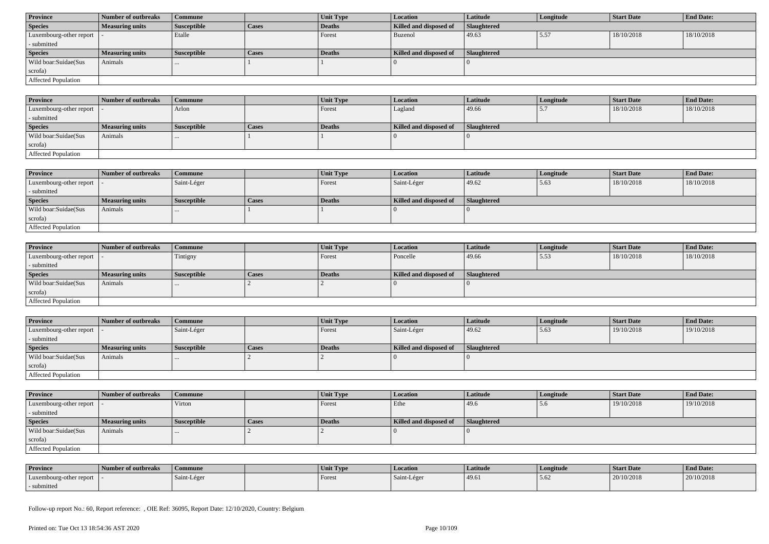| <b>Province</b>                           | Number of outbreaks    | Commune            |              | Unit Type | Location               | <b>Latitude</b> | Longitude | <b>Start Date</b> | <b>End Date:</b> |
|-------------------------------------------|------------------------|--------------------|--------------|-----------|------------------------|-----------------|-----------|-------------------|------------------|
| <b>Species</b>                            | <b>Measuring units</b> | <b>Susceptible</b> | <b>Cases</b> | Deaths    | Killed and disposed of | Slaughtered     |           |                   |                  |
| $\vert$ Luxembourg-other report $\vert$ . |                        | Etalle             |              | Forest    | Buzenol                | 49.63           | 5.57      | 18/10/2018        | 18/10/2018       |
| - submitted                               |                        |                    |              |           |                        |                 |           |                   |                  |
| <b>Species</b>                            | <b>Measuring units</b> | <b>Susceptible</b> | <b>Cases</b> | Deaths    | Killed and disposed of | Slaughtered     |           |                   |                  |
| Wild boar:Suidae(Sus                      | Animals                | $\cdots$           |              |           |                        |                 |           |                   |                  |
| scrofa)                                   |                        |                    |              |           |                        |                 |           |                   |                  |
|                                           |                        |                    |              |           |                        |                 |           |                   |                  |

| <b>Province</b>            | 1 Number of outbreaks  | Commune            |              | Unit Type     | Location               | <b>Latitude</b> | Longitude | <b>Start Date</b> | <b>End Date:</b> |
|----------------------------|------------------------|--------------------|--------------|---------------|------------------------|-----------------|-----------|-------------------|------------------|
| Luxembourg-other report  - |                        | Arlon              |              | Forest        | Lagland                | 49.66           | ، ، ب     | 18/10/2018        | 18/10/2018       |
| - submitted                |                        |                    |              |               |                        |                 |           |                   |                  |
| <b>Species</b>             | <b>Measuring units</b> | <b>Susceptible</b> | <b>Cases</b> | <b>Deaths</b> | Killed and disposed of | Slaughtered     |           |                   |                  |
| Wild boar:Suidae(Sus       | Animals                |                    |              |               |                        |                 |           |                   |                  |
| scrofa)                    |                        |                    |              |               |                        |                 |           |                   |                  |
| Affected Population        |                        |                    |              |               |                        |                 |           |                   |                  |

| <b>Province</b>            | Number of outbreaks    | <b>Commune</b>     |              | Unit Type | <b>Location</b>        | <b>Latitude</b> | Longitude | <b>Start Date</b> | <b>End Date:</b> |
|----------------------------|------------------------|--------------------|--------------|-----------|------------------------|-----------------|-----------|-------------------|------------------|
| Luxembourg-other report  - |                        | Saint-Léger        |              | Forest    | Saint-Léger            | 49.62           | 15.63     | 18/10/2018        | 18/10/2018       |
| - submitted                |                        |                    |              |           |                        |                 |           |                   |                  |
| <b>Species</b>             | <b>Measuring units</b> | <b>Susceptible</b> | <b>Cases</b> | Deaths    | Killed and disposed of | Slaughtered     |           |                   |                  |
| Wild boar:Suidae(Sus       | Animals                |                    |              |           |                        |                 |           |                   |                  |
| scrofa)                    |                        |                    |              |           |                        |                 |           |                   |                  |
| <b>Affected Population</b> |                        |                    |              |           |                        |                 |           |                   |                  |

| <b>Province</b>            | Number of outbreaks    | <b>Commune</b>     |              | <b>Unit Type</b> | <i>Location</i>        | <b>Latitude</b>    | Longitude | <b>Start Date</b> | <b>End Date:</b> |
|----------------------------|------------------------|--------------------|--------------|------------------|------------------------|--------------------|-----------|-------------------|------------------|
| Luxembourg-other report  - |                        | Tintigny           |              | Forest           | Poncelle               | 49.66              | 5.53      | 18/10/2018        | 18/10/2018       |
| - submitted                |                        |                    |              |                  |                        |                    |           |                   |                  |
| <b>Species</b>             | <b>Measuring units</b> | <b>Susceptible</b> | <b>Cases</b> | <b>Deaths</b>    | Killed and disposed of | <b>Slaughtered</b> |           |                   |                  |
| Wild boar:Suidae(Sus       | Animals                | $\cdots$           |              |                  |                        |                    |           |                   |                  |
| scrofa)                    |                        |                    |              |                  |                        |                    |           |                   |                  |
| Affected Population        |                        |                    |              |                  |                        |                    |           |                   |                  |

| <b>Province</b>            | Number of outbreaks    | <b>Commune</b>     |              | Unit Type | Location               | Latitude           | Longitude | <b>Start Date</b> | <b>End Date:</b> |
|----------------------------|------------------------|--------------------|--------------|-----------|------------------------|--------------------|-----------|-------------------|------------------|
| Luxembourg-other report  - |                        | Saint-Léger        |              | Forest    | Saint-Léger            | 49.62              | 5.63      | 19/10/2018        | 19/10/2018       |
| - submitted                |                        |                    |              |           |                        |                    |           |                   |                  |
| <b>Species</b>             | <b>Measuring units</b> | <b>Susceptible</b> | <b>Cases</b> | Deaths    | Killed and disposed of | <b>Slaughtered</b> |           |                   |                  |
| Wild boar:Suidae(Sus       | Animals                |                    |              |           |                        |                    |           |                   |                  |
| scrofa)                    |                        |                    |              |           |                        |                    |           |                   |                  |
| Affected Population        |                        |                    |              |           |                        |                    |           |                   |                  |

| <b>Province</b>         | Number of outbreaks | Commune            |              | Unit Type | Location               | Latitude    | Longitude | <b>Start Date</b> | <b>End Date:</b> |
|-------------------------|---------------------|--------------------|--------------|-----------|------------------------|-------------|-----------|-------------------|------------------|
| Luxembourg-other report |                     | Virton             |              | Forest    | Ethe                   | 49.6        | 5.6       | 19/10/2018        | 19/10/2018       |
| - submitted             |                     |                    |              |           |                        |             |           |                   |                  |
| <b>Species</b>          | Measuring units     | <b>Susceptible</b> | <b>Cases</b> | Deaths    | Killed and disposed of | Slaughtered |           |                   |                  |
| Wild boar: Suidae (Sus  | Animals             |                    |              |           |                        |             |           |                   |                  |
| scrofa)                 |                     |                    |              |           |                        |             |           |                   |                  |
| Affected Population     |                     |                    |              |           |                        |             |           |                   |                  |

| <b>Province</b>         | Number of outbreaks | Commune     | Unit Type | Location    | Latitude | Longitude | <b>Start Date</b> | <b>End Date:</b> |
|-------------------------|---------------------|-------------|-----------|-------------|----------|-----------|-------------------|------------------|
| Luxembourg-other report |                     | Saint-Léger | Forest    | Saint-Léger | 49.6     | 5.62      | 20/10/2018        | 20/10/2018       |
| - submitted             |                     |             |           |             |          |           |                   |                  |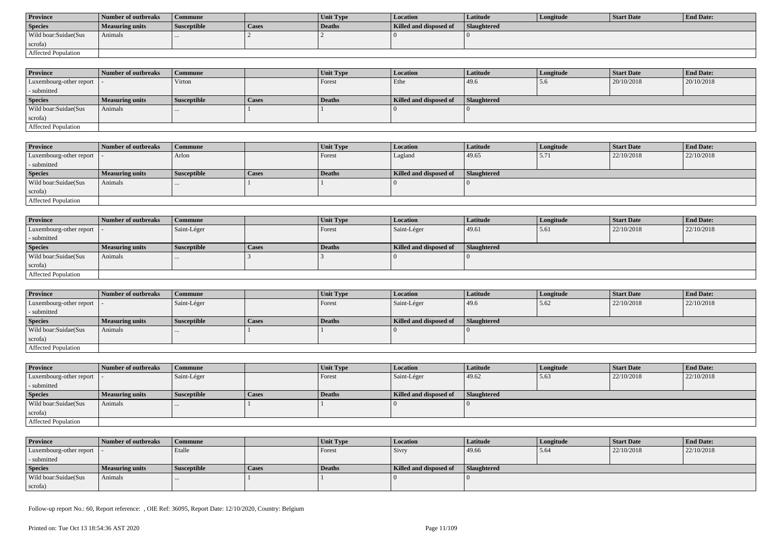| <b>Province</b>      | <b>Number of outbreaks</b> | Commune            |              | <b>Unit Type</b> | Location               | Latitude           | Longitude | Start Date | <b>End Date:</b> |
|----------------------|----------------------------|--------------------|--------------|------------------|------------------------|--------------------|-----------|------------|------------------|
| <b>Species</b>       | Measuring units            | <b>Susceptible</b> | <b>Cases</b> | Deaths           | Killed and disposed of | <b>Slaughtered</b> |           |            |                  |
| Wild boar:Suidae(Sus | Animals                    |                    |              |                  |                        |                    |           |            |                  |
| scrofa)              |                            |                    |              |                  |                        |                    |           |            |                  |
| Affected Population  |                            |                    |              |                  |                        |                    |           |            |                  |

| <b>Province</b>            | Number of outbreaks | Commune            |       | <b>Unit Type</b> | <b>Location</b>        | <b>Latitude</b>    | Longitude | <b>Start Date</b> | <b>End Date:</b> |
|----------------------------|---------------------|--------------------|-------|------------------|------------------------|--------------------|-----------|-------------------|------------------|
| Luxembourg-other report  - |                     | Virton             |       | Forest           | Ethe                   | 49.6               | 5.6       | 20/10/2018        | 20/10/2018       |
| - submitted                |                     |                    |       |                  |                        |                    |           |                   |                  |
| <b>Species</b>             | Measuring units     | <b>Susceptible</b> | Cases | <b>Deaths</b>    | Killed and disposed of | <b>Slaughtered</b> |           |                   |                  |
| Wild boar:Suidae(Sus       | Animals             | $\cdots$           |       |                  |                        |                    |           |                   |                  |
| scrofa)                    |                     |                    |       |                  |                        |                    |           |                   |                  |
| Affected Population        |                     |                    |       |                  |                        |                    |           |                   |                  |

| <b>Province</b>             | Number of outbreaks    | Commune            |       | Unit Type | Location               | <b>Latitude</b>    | Longitude | <b>Start Date</b> | <b>End Date:</b> |
|-----------------------------|------------------------|--------------------|-------|-----------|------------------------|--------------------|-----------|-------------------|------------------|
| Luxembourg-other report   - |                        | Arlon              |       | Forest    | Lagland                | 49.65              | 5.71      | 22/10/2018        | 22/10/2018       |
| - submitted                 |                        |                    |       |           |                        |                    |           |                   |                  |
| <b>Species</b>              | <b>Measuring units</b> | <i>Susceptible</i> | Cases | Deaths    | Killed and disposed of | <b>Slaughtered</b> |           |                   |                  |
| Wild boar:Suidae(Sus        | Animals                | $\cdots$           |       |           |                        |                    |           |                   |                  |
| scrofa)                     |                        |                    |       |           |                        |                    |           |                   |                  |
| <b>Affected Population</b>  |                        |                    |       |           |                        |                    |           |                   |                  |

| <b>Province</b>            | Number of outbreaks    | Commune            |              | Unit Type | Location               | Latitude    | Longitude | Start Date | <b>End Date:</b> |
|----------------------------|------------------------|--------------------|--------------|-----------|------------------------|-------------|-----------|------------|------------------|
| Luxembourg-other report  - |                        | Saint-Léger        |              | Forest    | Saint-Léger            | 49.61       | 5.61      | 22/10/2018 | 22/10/2018       |
| - submitted                |                        |                    |              |           |                        |             |           |            |                  |
| <b>Species</b>             | <b>Measuring units</b> | <b>Susceptible</b> | <b>Cases</b> | Deaths    | Killed and disposed of | Slaughtered |           |            |                  |
| Wild boar:Suidae(Sus       | Animals                |                    |              |           |                        |             |           |            |                  |
| scrofa)                    |                        |                    |              |           |                        |             |           |            |                  |
| Affected Population        |                        |                    |              |           |                        |             |           |            |                  |

| <b>Province</b>         | Number of outbreaks | l Commune          |              | <b>Unit Type</b> | Location               | Latitude    | Longitude | <b>Start Date</b> | <b>End Date:</b> |
|-------------------------|---------------------|--------------------|--------------|------------------|------------------------|-------------|-----------|-------------------|------------------|
| Luxembourg-other report |                     | Saint-Léger        |              | Forest           | Saint-Léger            | 49.6        | 5.62      | 22/10/2018        | 22/10/2018       |
| - submitted             |                     |                    |              |                  |                        |             |           |                   |                  |
| <b>Species</b>          | Measuring units     | <b>Susceptible</b> | <b>Cases</b> | Deaths           | Killed and disposed of | Slaughtered |           |                   |                  |
| Wild boar: Suidae (Sus  | Animals             |                    |              |                  |                        |             |           |                   |                  |
| scrofa)                 |                     |                    |              |                  |                        |             |           |                   |                  |
| Affected Population     |                     |                    |              |                  |                        |             |           |                   |                  |

| <b>Province</b>            | Number of outbreaks    | <b>Commune</b>     |              | <b>Unit Type</b> | Location               | <b>Latitude</b> | Longitude | <b>Start Date</b> | <b>End Date:</b> |
|----------------------------|------------------------|--------------------|--------------|------------------|------------------------|-----------------|-----------|-------------------|------------------|
| Luxembourg-other report  - |                        | Saint-Léger        |              | <b>Forest</b>    | Saint-Léger            | 49.62           | 5.63      | 22/10/2018        | 22/10/2018       |
| - submitted                |                        |                    |              |                  |                        |                 |           |                   |                  |
| <b>Species</b>             | <b>Measuring units</b> | <b>Susceptible</b> | <b>Cases</b> | Deaths           | Killed and disposed of | Slaughtered     |           |                   |                  |
| Wild boar:Suidae(Sus       | Animals                |                    |              |                  |                        |                 |           |                   |                  |
| scrofa)                    |                        |                    |              |                  |                        |                 |           |                   |                  |
| Affected Population        |                        |                    |              |                  |                        |                 |           |                   |                  |

| <b>Province</b>            | Number of outbreaks | Commune            |       | Unit Type | Location               | Latitude           | Longitude | <b>Start Date</b> | <b>End Date:</b> |
|----------------------------|---------------------|--------------------|-------|-----------|------------------------|--------------------|-----------|-------------------|------------------|
| Luxembourg-other report  - |                     | Etalle             |       | Forest    | Sivry                  | 49.66              | 5.64      | 22/10/2018        | 22/10/2018       |
| - submitted                |                     |                    |       |           |                        |                    |           |                   |                  |
| <b>Species</b>             | Measuring units     | <b>Susceptible</b> | Cases | Deaths    | Killed and disposed of | <b>Slaughtered</b> |           |                   |                  |
| Wild boar:Suidae(Sus       | Animals             | $\cdots$           |       |           |                        |                    |           |                   |                  |
| scrofa)                    |                     |                    |       |           |                        |                    |           |                   |                  |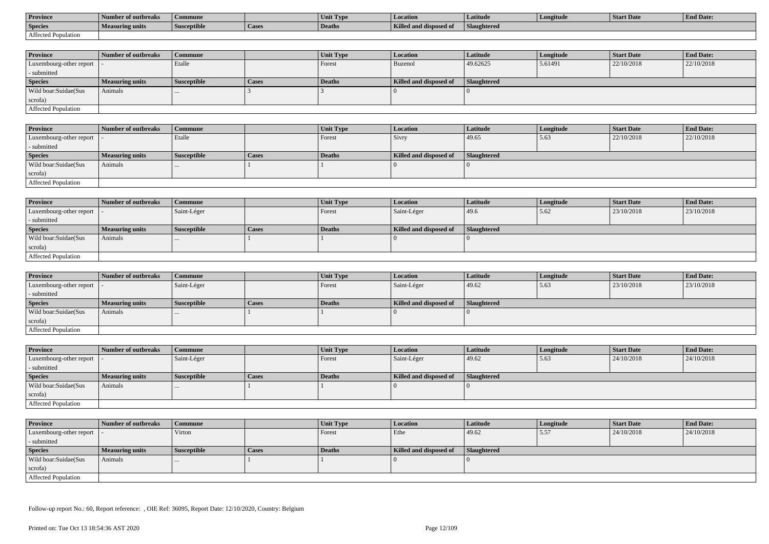| <b>Province</b>     | l Number of outbreaks  | Commune            |                    | Unit Type | Location               | Latitude                  | Longitude | <b>Start Date</b> | <b>End Date:</b> |
|---------------------|------------------------|--------------------|--------------------|-----------|------------------------|---------------------------|-----------|-------------------|------------------|
| <b>Species</b>      | <b>Measuring units</b> | <b>Susceptible</b> | <sup>1</sup> Cases | Deaths    | Killed and disposed of | $-$<br><b>Slaughtered</b> |           |                   |                  |
| Affected Population |                        |                    |                    |           |                        |                           |           |                   |                  |

| <b>Province</b>            | Number of outbreaks | Commune            |       | <b>Unit Type</b> | <i>Location</i>        | Latitude           | Longitude | <b>Start Date</b> | <b>End Date:</b> |
|----------------------------|---------------------|--------------------|-------|------------------|------------------------|--------------------|-----------|-------------------|------------------|
| Luxembourg-other report  - |                     | Etalle             |       | Forest           | Buzenol                | 49.62625           | 5.61491   | 22/10/2018        | 22/10/2018       |
| - submitted                |                     |                    |       |                  |                        |                    |           |                   |                  |
| <b>Species</b>             | Measuring units     | <b>Susceptible</b> | Cases | Deaths           | Killed and disposed of | <b>Slaughtered</b> |           |                   |                  |
| Wild boar:Suidae(Sus       | Animals             |                    |       |                  |                        |                    |           |                   |                  |
| scrofa)                    |                     |                    |       |                  |                        |                    |           |                   |                  |
| Affected Population        |                     |                    |       |                  |                        |                    |           |                   |                  |

| Province                          | Number of outbreaks    | Commune            |              | <b>Unit Type</b> | <b>Location</b>        | Latitude    | Longitude | <b>Start Date</b> | <b>End Date:</b> |
|-----------------------------------|------------------------|--------------------|--------------|------------------|------------------------|-------------|-----------|-------------------|------------------|
| Luxembourg-other report $\vert$ - |                        | Etalle             |              | Forest           | Sivry                  | 49.65       | 5.63      | 22/10/2018        | 22/10/2018       |
| - submitted                       |                        |                    |              |                  |                        |             |           |                   |                  |
| <b>Species</b>                    | <b>Measuring units</b> | <b>Susceptible</b> | <b>Cases</b> | Deaths           | Killed and disposed of | Slaughtered |           |                   |                  |
| Wild boar:Suidae(Sus              | Animals                | $\cdots$           |              |                  |                        |             |           |                   |                  |
| scrofa)                           |                        |                    |              |                  |                        |             |           |                   |                  |
| <b>Affected Population</b>        |                        |                    |              |                  |                        |             |           |                   |                  |

| <b>Province</b>            | Number of outbreaks    | <b>Commune</b>     |              | <b>Unit Type</b> | Location               | Latitude    | Longitude | <b>Start Date</b> | <b>End Date:</b> |
|----------------------------|------------------------|--------------------|--------------|------------------|------------------------|-------------|-----------|-------------------|------------------|
| Luxembourg-other report  - |                        | Saint-Léger        |              | Forest           | Saint-Léger            | 49.6        | 15.62     | 23/10/2018        | 23/10/2018       |
| - submitted                |                        |                    |              |                  |                        |             |           |                   |                  |
| <b>Species</b>             | <b>Measuring units</b> | <b>Susceptible</b> | <b>Cases</b> | Deaths           | Killed and disposed of | Slaughtered |           |                   |                  |
| Wild boar:Suidae(Sus       | Animals                |                    |              |                  |                        |             |           |                   |                  |
| scrofa)                    |                        |                    |              |                  |                        |             |           |                   |                  |
| Affected Population        |                        |                    |              |                  |                        |             |           |                   |                  |

| <b>Province</b>         | Number of outbreaks    | Commune            |              | <b>Unit Type</b> | <i>Location</i>        | <b>Latitude</b> | Longitude | <b>Start Date</b> | <b>End Date:</b> |
|-------------------------|------------------------|--------------------|--------------|------------------|------------------------|-----------------|-----------|-------------------|------------------|
| Luxembourg-other report |                        | Saint-Léger        |              | Forest           | Saint-Léger            | 49.62           | 5.63      | 23/10/2018        | 23/10/2018       |
| - submitted             |                        |                    |              |                  |                        |                 |           |                   |                  |
| <b>Species</b>          | <b>Measuring units</b> | <b>Susceptible</b> | <b>Cases</b> | Deaths           | Killed and disposed of | Slaughtered     |           |                   |                  |
| Wild boar:Suidae(Sus    | Animals                |                    |              |                  |                        |                 |           |                   |                  |
| scrofa)                 |                        |                    |              |                  |                        |                 |           |                   |                  |
| Affected Population     |                        |                    |              |                  |                        |                 |           |                   |                  |

| <b>Province</b>            | <b>Number of outbreaks</b> | Commune            |       | Unit Type | <b>Location</b>        | <b>Latitude</b> | Longitude | <b>Start Date</b> | <b>End Date:</b> |
|----------------------------|----------------------------|--------------------|-------|-----------|------------------------|-----------------|-----------|-------------------|------------------|
| Luxembourg-other report  - |                            | Saint-Léger        |       | Forest    | Saint-Léger            | 49.62           | 5.63      | 24/10/2018        | 24/10/2018       |
| - submitted                |                            |                    |       |           |                        |                 |           |                   |                  |
| <b>Species</b>             | <b>Measuring units</b>     | <b>Susceptible</b> | Cases | Deaths    | Killed and disposed of | Slaughtered     |           |                   |                  |
| Wild boar:Suidae(Sus       | Animals                    | $\cdots$           |       |           |                        |                 |           |                   |                  |
| scrofa)                    |                            |                    |       |           |                        |                 |           |                   |                  |
| Affected Population        |                            |                    |       |           |                        |                 |           |                   |                  |

| <b>Province</b>            | Number of outbreaks    | <b>Commune</b>     |              | Unit Type | Location               | <b>Latitude</b>    | Longitude | <b>Start Date</b> | <b>End Date:</b> |
|----------------------------|------------------------|--------------------|--------------|-----------|------------------------|--------------------|-----------|-------------------|------------------|
| Luxembourg-other report  - |                        | Virton             |              | Forest    | Ethe                   | 49.62              | 5.57      | 24/10/2018        | 24/10/2018       |
| - submitted                |                        |                    |              |           |                        |                    |           |                   |                  |
| <b>Species</b>             | <b>Measuring units</b> | <b>Susceptible</b> | <b>Cases</b> | Deaths    | Killed and disposed of | <b>Slaughtered</b> |           |                   |                  |
| Wild boar:Suidae(Sus       | Animals                | $\cdots$           |              |           |                        |                    |           |                   |                  |
| scrofa)                    |                        |                    |              |           |                        |                    |           |                   |                  |
| Affected Population        |                        |                    |              |           |                        |                    |           |                   |                  |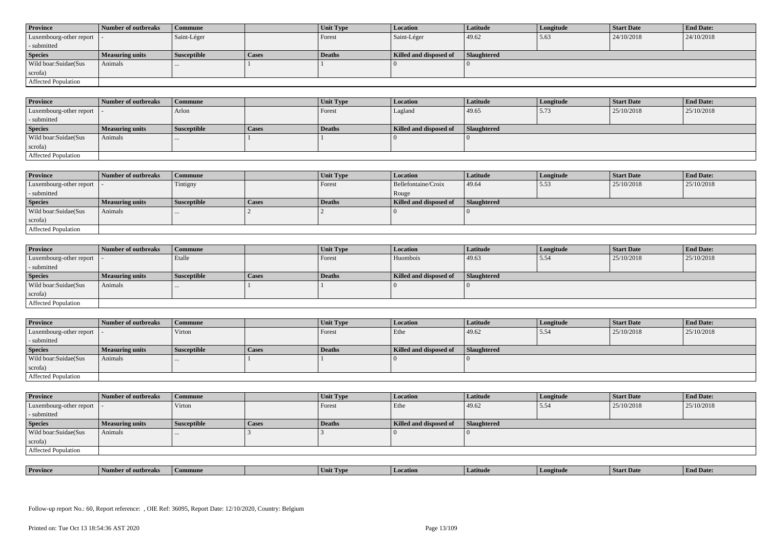| <b>Province</b>            | Number of outbreaks    | <b>Commune</b>     |              | Unit Type | Location               | <b>Latitude</b> | Longitude | <b>Start Date</b> | <b>End Date:</b> |
|----------------------------|------------------------|--------------------|--------------|-----------|------------------------|-----------------|-----------|-------------------|------------------|
| Luxembourg-other report  - |                        | Saint-Léger        |              | Forest    | Saint-Léger            | 49.62           | 5.63      | 24/10/2018        | 24/10/2018       |
| - submitted                |                        |                    |              |           |                        |                 |           |                   |                  |
| <b>Species</b>             | <b>Measuring units</b> | <b>Susceptible</b> | <b>Cases</b> | Deaths    | Killed and disposed of | Slaughtered     |           |                   |                  |
| Wild boar:Suidae(Sus       | Animals                |                    |              |           |                        |                 |           |                   |                  |
| scrofa)                    |                        |                    |              |           |                        |                 |           |                   |                  |
| Affected Population        |                        |                    |              |           |                        |                 |           |                   |                  |

| <b>Province</b>         | Number of outbreaks    | Commune            |       | Unit Type | <b>Location</b>        | Latitude           | Longitude | <b>Start Date</b> | <b>End Date:</b> |
|-------------------------|------------------------|--------------------|-------|-----------|------------------------|--------------------|-----------|-------------------|------------------|
| Luxembourg-other report |                        | Arlon              |       | Forest    | Lagland                | 49.65              | 5.73      | 25/10/2018        | 25/10/2018       |
| - submitted             |                        |                    |       |           |                        |                    |           |                   |                  |
| <b>Species</b>          | <b>Measuring units</b> | <b>Susceptible</b> | Cases | Deaths    | Killed and disposed of | <b>Slaughtered</b> |           |                   |                  |
| Wild boar:Suidae(Sus    | Animals                | $\cdots$           |       |           |                        |                    |           |                   |                  |
| scrofa)                 |                        |                    |       |           |                        |                    |           |                   |                  |
| Affected Population     |                        |                    |       |           |                        |                    |           |                   |                  |

| <b>Province</b>            | Number of outbreaks    | <b>Commune</b>     |              | Unit Type     | Location               | Latitude    | Longitude | <b>Start Date</b> | <b>End Date:</b> |
|----------------------------|------------------------|--------------------|--------------|---------------|------------------------|-------------|-----------|-------------------|------------------|
| Luxembourg-other report  - |                        | Tintigny           |              | Forest        | Bellefontaine/Croix    | 49.64       | 5.53      | 25/10/2018        | 25/10/2018       |
| - submitted                |                        |                    |              |               | Rouge                  |             |           |                   |                  |
| <b>Species</b>             | <b>Measuring units</b> | <b>Susceptible</b> | <b>Cases</b> | <b>Deaths</b> | Killed and disposed of | Slaughtered |           |                   |                  |
| Wild boar:Suidae(Sus       | Animals                |                    |              |               |                        |             |           |                   |                  |
| scrofa)                    |                        |                    |              |               |                        |             |           |                   |                  |
| Affected Population        |                        |                    |              |               |                        |             |           |                   |                  |

| <b>Province</b>            | Number of outbreaks    | <b>Commune</b>     |              | Unit Type     | Location               | <b>Latitude</b> | Longitude | <b>Start Date</b> | <b>End Date:</b> |
|----------------------------|------------------------|--------------------|--------------|---------------|------------------------|-----------------|-----------|-------------------|------------------|
| Luxembourg-other report  - |                        | Etalle             |              | Forest        | Huombois               | 49.63           | 15.54     | 25/10/2018        | 25/10/2018       |
| - submitted                |                        |                    |              |               |                        |                 |           |                   |                  |
| <b>Species</b>             | <b>Measuring units</b> | <b>Susceptible</b> | <b>Cases</b> | <b>Deaths</b> | Killed and disposed of | Slaughtered     |           |                   |                  |
| Wild boar:Suidae(Sus       | Animals                |                    |              |               |                        |                 |           |                   |                  |
| scrofa)                    |                        |                    |              |               |                        |                 |           |                   |                  |
| Affected Population        |                        |                    |              |               |                        |                 |           |                   |                  |

| <b>Province</b>             | <b>1 Number of outbreaks</b> | <b>Commune</b>     |       | Unit Type | <b>Location</b>        | <b>Latitude</b>    | Longitude | <b>Start Date</b> | <b>End Date:</b> |
|-----------------------------|------------------------------|--------------------|-------|-----------|------------------------|--------------------|-----------|-------------------|------------------|
| Luxembourg-other report   - |                              | Virton             |       | Forest    | Ethe                   | 49.62              | 5.54      | 25/10/2018        | 25/10/2018       |
| - submitted                 |                              |                    |       |           |                        |                    |           |                   |                  |
| <b>Species</b>              | <b>Measuring units</b>       | <b>Susceptible</b> | Cases | Deaths    | Killed and disposed of | <b>Slaughtered</b> |           |                   |                  |
| Wild boar:Suidae(Sus        | Animals                      |                    |       |           |                        |                    |           |                   |                  |
| scrofa)                     |                              |                    |       |           |                        |                    |           |                   |                  |
| <b>Affected Population</b>  |                              |                    |       |           |                        |                    |           |                   |                  |

| <b>Province</b>            | Number of outbreaks | <b>Commune</b>     |              | Unit Type | Location               | Latitude    | Longitude | <b>Start Date</b> | <b>End Date:</b> |
|----------------------------|---------------------|--------------------|--------------|-----------|------------------------|-------------|-----------|-------------------|------------------|
| Luxembourg-other report  - |                     | Virton             |              | Forest    | Ethe                   | 49.62       | 5.54      | 25/10/2018        | 25/10/2018       |
| - submitted                |                     |                    |              |           |                        |             |           |                   |                  |
| <b>Species</b>             | Measuring units     | <b>Susceptible</b> | <b>Cases</b> | Deaths    | Killed and disposed of | Slaughtered |           |                   |                  |
| Wild boar:Suidae(Sus       | Animals             |                    |              |           |                        |             |           |                   |                  |
| scrofa)                    |                     |                    |              |           |                        |             |           |                   |                  |
| Affected Population        |                     |                    |              |           |                        |             |           |                   |                  |

| . | <b>Province</b> |         |       | U VD. |            |         | <b>Start Date</b> | $\mathbf{r}$<br>nd Date:<br>- Enc |
|---|-----------------|---------|-------|-------|------------|---------|-------------------|-----------------------------------|
|   |                 | tnreak: | nmune | Unit  | . Latitud⁄ | ngitude |                   |                                   |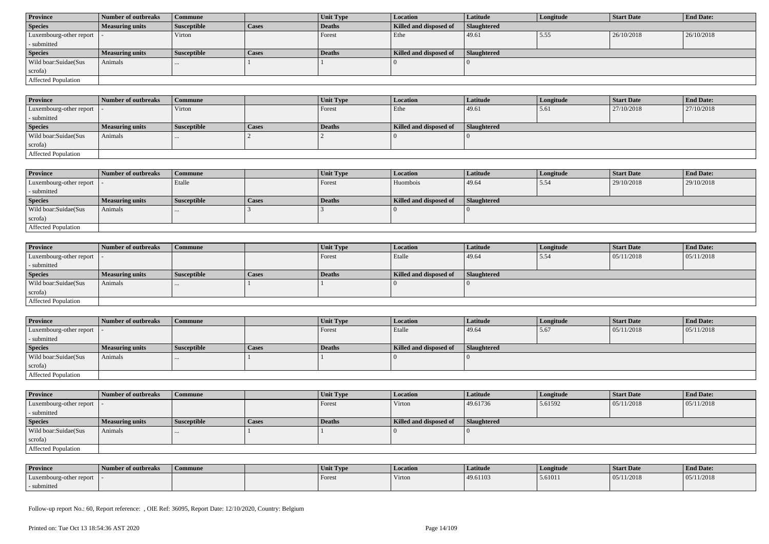| <b>Province</b>             | Number of outbreaks    | <b>Commune</b>     |              | Unit Type     | Location               | Latitude           | Longitude | <b>Start Date</b> | <b>End Date:</b> |
|-----------------------------|------------------------|--------------------|--------------|---------------|------------------------|--------------------|-----------|-------------------|------------------|
| <b>Species</b>              | <b>Measuring units</b> | <b>Susceptible</b> | <b>Cases</b> | Deaths        | Killed and disposed of | <b>Slaughtered</b> |           |                   |                  |
| Luxembourg-other report   - |                        | Virton             |              | Forest        | Ethe                   | 49.61              | 5.55      | 26/10/2018        | 26/10/2018       |
| - submitted                 |                        |                    |              |               |                        |                    |           |                   |                  |
| <b>Species</b>              | <b>Measuring units</b> | <b>Susceptible</b> | <b>Cases</b> | <b>Deaths</b> | Killed and disposed of | Slaughtered        |           |                   |                  |
| Wild boar:Suidae(Sus        | Animals                |                    |              |               |                        |                    |           |                   |                  |
| scrofa)                     |                        |                    |              |               |                        |                    |           |                   |                  |
| <b>Affected Population</b>  |                        |                    |              |               |                        |                    |           |                   |                  |

| <b>Province</b>             | Number of outbreaks    | Commune            |       | Unit Type     | Location               | <b>Latitude</b> | Longitude | <b>Start Date</b> | <b>End Date:</b> |
|-----------------------------|------------------------|--------------------|-------|---------------|------------------------|-----------------|-----------|-------------------|------------------|
| Luxembourg-other report   - |                        | Virton             |       | Forest        | Ethe                   | 49.61           | 5.61      | 27/10/2018        | 27/10/2018       |
| - submitted                 |                        |                    |       |               |                        |                 |           |                   |                  |
| <b>Species</b>              | <b>Measuring units</b> | <b>Susceptible</b> | Cases | <b>Deaths</b> | Killed and disposed of | Slaughtered     |           |                   |                  |
| Wild boar:Suidae(Sus        | Animals                | $\cdots$           |       |               |                        |                 |           |                   |                  |
| scrofa)                     |                        |                    |       |               |                        |                 |           |                   |                  |
| <b>Affected Population</b>  |                        |                    |       |               |                        |                 |           |                   |                  |

| <b>Province</b>         | Number of outbreaks    | Commune            |              | Unit Type | <b>Location</b>        | <b>Latitude</b>    | Longitude | <b>Start Date</b> | <b>End Date:</b> |
|-------------------------|------------------------|--------------------|--------------|-----------|------------------------|--------------------|-----------|-------------------|------------------|
| Luxembourg-other report |                        | Etalle             |              | Forest    | Huombois               | 49.64              | 5.54      | 29/10/2018        | 29/10/2018       |
| - submitted             |                        |                    |              |           |                        |                    |           |                   |                  |
| <b>Species</b>          | <b>Measuring units</b> | <b>Susceptible</b> | <b>Cases</b> | Deaths    | Killed and disposed of | <b>Slaughtered</b> |           |                   |                  |
| Wild boar:Suidae(Sus    | Animals                | $\cdots$           |              |           |                        |                    |           |                   |                  |
| scrofa)                 |                        |                    |              |           |                        |                    |           |                   |                  |
| Affected Population     |                        |                    |              |           |                        |                    |           |                   |                  |

| <b>Province</b>            | Number of outbreaks    | <b>Commune</b>     |              | <b>Unit Type</b> | <i>Location</i>        | <b>Latitude</b>    | Longitude | <b>Start Date</b> | <b>End Date:</b> |
|----------------------------|------------------------|--------------------|--------------|------------------|------------------------|--------------------|-----------|-------------------|------------------|
| Luxembourg-other report  - |                        |                    |              | Forest           | Etalle                 | 49.64              | 5.54      | 05/11/2018        | 05/11/2018       |
| - submitted                |                        |                    |              |                  |                        |                    |           |                   |                  |
| <b>Species</b>             | <b>Measuring units</b> | <b>Susceptible</b> | <b>Cases</b> | <b>Deaths</b>    | Killed and disposed of | <b>Slaughtered</b> |           |                   |                  |
| Wild boar:Suidae(Sus       | Animals                |                    |              |                  |                        |                    |           |                   |                  |
| scrofa)                    |                        |                    |              |                  |                        |                    |           |                   |                  |
| Affected Population        |                        |                    |              |                  |                        |                    |           |                   |                  |

| <b>Province</b>            | Number of outbreaks    | <b>Commune</b>     |              | Unit Type | Location               | Latitude           | Longitude | <b>Start Date</b> | <b>End Date:</b> |
|----------------------------|------------------------|--------------------|--------------|-----------|------------------------|--------------------|-----------|-------------------|------------------|
| Luxembourg-other report  - |                        |                    |              | Forest    | Etalle                 | 49.64              | 5.67      | 05/11/2018        | 05/11/2018       |
| - submitted                |                        |                    |              |           |                        |                    |           |                   |                  |
| <b>Species</b>             | <b>Measuring units</b> | <b>Susceptible</b> | <b>Cases</b> | Deaths    | Killed and disposed of | <b>Slaughtered</b> |           |                   |                  |
| Wild boar:Suidae(Sus       | Animals                |                    |              |           |                        |                    |           |                   |                  |
| scrofa)                    |                        |                    |              |           |                        |                    |           |                   |                  |
|                            |                        |                    |              |           |                        |                    |           |                   |                  |

| <b>Province</b>         | Number of outbreaks    | <b>Commune</b>     |       | Unit Type | <b>Location</b>        | <b>Latitude</b>    | Longitude | <b>Start Date</b> | <b>End Date:</b> |
|-------------------------|------------------------|--------------------|-------|-----------|------------------------|--------------------|-----------|-------------------|------------------|
| Luxembourg-other report |                        |                    |       | Forest    | Virton                 | 49.61736           | 5.61592   | 05/11/2018        | 05/11/2018       |
| - submitted             |                        |                    |       |           |                        |                    |           |                   |                  |
| <b>Species</b>          | <b>Measuring units</b> | <b>Susceptible</b> | Cases | Deaths    | Killed and disposed of | <b>Slaughtered</b> |           |                   |                  |
| Wild boar:Suidae(Sus    | Animals                |                    |       |           |                        |                    |           |                   |                  |
|                         |                        |                    |       |           |                        |                    |           |                   |                  |
| scrofa)                 |                        |                    |       |           |                        |                    |           |                   |                  |

| <b>Province</b>         | Number of outbreaks | Commune | Unit Type | <b>Location</b> | Latitude | Longitude | Start Date | <b>End Date:</b> |
|-------------------------|---------------------|---------|-----------|-----------------|----------|-----------|------------|------------------|
| Luxembourg-other report |                     |         | Forest    | Virton          | 49.61103 | 5.61011   | 05/11/2018 | 05/11/2018       |
| - submitted             |                     |         |           |                 |          |           |            |                  |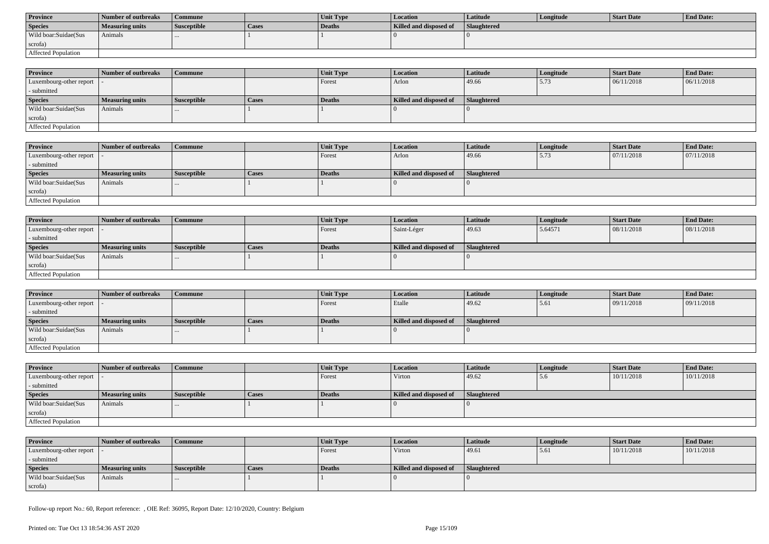| <b>Province</b>      | Number of outbreaks | Commune            |       | <b>Unit Type</b> | Location               | Latitude           | Longitude | Start Date | <b>End Date:</b> |
|----------------------|---------------------|--------------------|-------|------------------|------------------------|--------------------|-----------|------------|------------------|
| <b>Species</b>       | Measuring units     | <b>Susceptible</b> | Cases | Deaths           | Killed and disposed of | <b>Slaughtered</b> |           |            |                  |
| Wild boar:Suidae(Sus | Animals             |                    |       |                  |                        |                    |           |            |                  |
| scrofa)              |                     |                    |       |                  |                        |                    |           |            |                  |
| Affected Population  |                     |                    |       |                  |                        |                    |           |            |                  |

| <b>Province</b>                             | Number of outbreaks | <b>Commune</b>     |       | <b>Unit Type</b> | <b>Location</b>        | <b>Latitude</b>    | Longitude | <b>Start Date</b> | <b>End Date:</b> |
|---------------------------------------------|---------------------|--------------------|-------|------------------|------------------------|--------------------|-----------|-------------------|------------------|
| Luxembourg-other report $\vert \cdot \vert$ |                     |                    |       | Forest           | Arlon                  | 49.66              | 5.73      | 06/11/2018        | 06/11/2018       |
| - submitted                                 |                     |                    |       |                  |                        |                    |           |                   |                  |
| <b>Species</b>                              | Measuring units     | <b>Susceptible</b> | Cases | <b>Deaths</b>    | Killed and disposed of | <b>Slaughtered</b> |           |                   |                  |
| Wild boar:Suidae(Sus                        | Animals             | $\cdots$           |       |                  |                        |                    |           |                   |                  |
| scrofa)                                     |                     |                    |       |                  |                        |                    |           |                   |                  |
| Affected Population                         |                     |                    |       |                  |                        |                    |           |                   |                  |

| <b>Province</b>         | Number of outbreaks    | Commune            |       | Unit Type | <i>Location</i>        | Latitude    | Longitude | Start Date | <b>End Date:</b> |
|-------------------------|------------------------|--------------------|-------|-----------|------------------------|-------------|-----------|------------|------------------|
| Luxembourg-other report |                        |                    |       | Forest    | Arlon                  | 49.66       | 5.73      | 07/11/2018 | 07/11/2018       |
| - submitted             |                        |                    |       |           |                        |             |           |            |                  |
| <b>Species</b>          | <b>Measuring units</b> | <b>Susceptible</b> | Cases | Deaths    | Killed and disposed of | Slaughtered |           |            |                  |
| Wild boar:Suidae(Sus    | Animals                |                    |       |           |                        |             |           |            |                  |
| scrofa)                 |                        |                    |       |           |                        |             |           |            |                  |
| Affected Population     |                        |                    |       |           |                        |             |           |            |                  |

| <b>Province</b>            | Number of outbreaks | Commune            |              | Unit Type | Location               | Latitude    | Longitude | Start Date | <b>End Date:</b> |
|----------------------------|---------------------|--------------------|--------------|-----------|------------------------|-------------|-----------|------------|------------------|
| Luxembourg-other report  - |                     |                    |              | Forest    | Saint-Léger            | 49.63       | 5.64571   | 08/11/2018 | 08/11/2018       |
| - submitted                |                     |                    |              |           |                        |             |           |            |                  |
| <b>Species</b>             | Measuring units     | <b>Susceptible</b> | <b>Cases</b> | Deaths    | Killed and disposed of | Slaughtered |           |            |                  |
| Wild boar:Suidae(Sus       | Animals             | $\cdots$           |              |           |                        |             |           |            |                  |
| scrofa)                    |                     |                    |              |           |                        |             |           |            |                  |
| Affected Population        |                     |                    |              |           |                        |             |           |            |                  |

| <b>Province</b>            | Number of outbreaks    | Commune            |       | Unit Type     | <i>Location</i>        | <b>Latitude</b>    | Longitude | <b>Start Date</b> | <b>End Date:</b> |
|----------------------------|------------------------|--------------------|-------|---------------|------------------------|--------------------|-----------|-------------------|------------------|
| Luxembourg-other report  - |                        |                    |       | <b>Forest</b> | Etalle                 | 49.62              | 15.61     | 09/11/2018        | 09/11/2018       |
| - submitted                |                        |                    |       |               |                        |                    |           |                   |                  |
| <b>Species</b>             | <b>Measuring units</b> | <b>Susceptible</b> | Cases | Deaths        | Killed and disposed of | <b>Slaughtered</b> |           |                   |                  |
| Wild boar: Suidae (Sus     | Animals                | $\cdots$           |       |               |                        |                    |           |                   |                  |
| scrofa)                    |                        |                    |       |               |                        |                    |           |                   |                  |
| Affected Population        |                        |                    |       |               |                        |                    |           |                   |                  |

| <b>Province</b>            | Number of outbreaks    | <b>Commune</b>     |              | <b>Unit Type</b> | <b>Location</b>        | <b>Latitude</b> | Longitude | <b>Start Date</b> | <b>End Date:</b> |
|----------------------------|------------------------|--------------------|--------------|------------------|------------------------|-----------------|-----------|-------------------|------------------|
| Luxembourg-other report  - |                        |                    |              | Forest           | Virton                 | 49.62           | 5.6       | 10/11/2018        | 10/11/2018       |
| - submitted                |                        |                    |              |                  |                        |                 |           |                   |                  |
| <b>Species</b>             | <b>Measuring units</b> | <b>Susceptible</b> | <b>Cases</b> | Deaths           | Killed and disposed of | Slaughtered     |           |                   |                  |
| Wild boar:Suidae(Sus       | Animals                | $\cdots$           |              |                  |                        |                 |           |                   |                  |
| scrofa)                    |                        |                    |              |                  |                        |                 |           |                   |                  |
| Affected Population        |                        |                    |              |                  |                        |                 |           |                   |                  |

| <b>Province</b>            | Number of outbreaks    | Commune            |       | <b>Unit Type</b> | <b>Location</b>        | Latitude           | Longitude | Start Date | <b>End Date:</b> |
|----------------------------|------------------------|--------------------|-------|------------------|------------------------|--------------------|-----------|------------|------------------|
| Luxembourg-other report  - |                        |                    |       | Forest           | Virton                 | 49.61              | 5.61      | 10/11/2018 | 10/11/2018       |
| - submitted                |                        |                    |       |                  |                        |                    |           |            |                  |
| <b>Species</b>             | <b>Measuring units</b> | <b>Susceptible</b> | Cases | Deaths           | Killed and disposed of | <b>Slaughtered</b> |           |            |                  |
| Wild boar:Suidae(Sus       | Animals                |                    |       |                  |                        |                    |           |            |                  |
| scrofa)                    |                        |                    |       |                  |                        |                    |           |            |                  |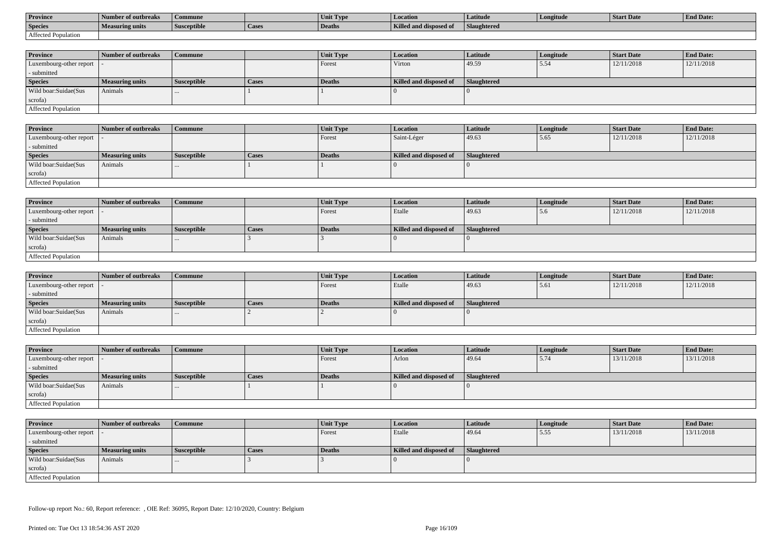| <b>Province</b>     | Number of outbreaks    | Commune            |                    | Unit Typ. | Location                             | Latitude    | Longitude | <b>Start Date</b> | <b>End Date:</b> |
|---------------------|------------------------|--------------------|--------------------|-----------|--------------------------------------|-------------|-----------|-------------------|------------------|
| <b>Species</b>      | <b>Measuring units</b> | <b>Susceptible</b> | <sup>1</sup> Cases | Deaths    | <b>Killed and disposy</b><br>™ od of | Slaughtered |           |                   |                  |
| Affected Population |                        |                    |                    |           |                                      |             |           |                   |                  |

| <b>Province</b>         | Number of outbreaks    | <b>Commune</b>     |              | Unit Type | <b>Location</b>        | <b>Latitude</b>    | Longitude | <b>Start Date</b> | <b>End Date:</b> |
|-------------------------|------------------------|--------------------|--------------|-----------|------------------------|--------------------|-----------|-------------------|------------------|
| Luxembourg-other report |                        |                    |              | Forest    | Virton                 | 49.59              | 5.54      | 12/11/2018        | 12/11/2018       |
| - submitted             |                        |                    |              |           |                        |                    |           |                   |                  |
| <b>Species</b>          | <b>Measuring units</b> | <b>Susceptible</b> | <b>Cases</b> | Deaths    | Killed and disposed of | <b>Slaughtered</b> |           |                   |                  |
| Wild boar:Suidae(Sus    | Animals                |                    |              |           |                        |                    |           |                   |                  |
| scrofa)                 |                        |                    |              |           |                        |                    |           |                   |                  |
| Affected Population     |                        |                    |              |           |                        |                    |           |                   |                  |

| <b>Province</b>            | Number of outbreaks | Commune            |              | <b>Unit Type</b> | Location               | Latitude    | Longitude | <b>Start Date</b> | <b>End Date:</b> |
|----------------------------|---------------------|--------------------|--------------|------------------|------------------------|-------------|-----------|-------------------|------------------|
| Luxembourg-other report  - |                     |                    |              | Forest           | Saint-Léger            | 49.63       | 5.65      | 12/11/2018        | 12/11/2018       |
| - submitted                |                     |                    |              |                  |                        |             |           |                   |                  |
| <b>Species</b>             | Measuring units     | <b>Susceptible</b> | <b>Cases</b> | Deaths           | Killed and disposed of | Slaughtered |           |                   |                  |
| Wild boar:Suidae(Sus       | Animals             |                    |              |                  |                        |             |           |                   |                  |
| scrofa)                    |                     |                    |              |                  |                        |             |           |                   |                  |
| Affected Population        |                     |                    |              |                  |                        |             |           |                   |                  |

| <b>Province</b>            | Number of outbreaks    | <b>Commune</b>     |              | Unit Type | Location               | Latitude    | Longitude | <b>Start Date</b> | <b>End Date:</b> |
|----------------------------|------------------------|--------------------|--------------|-----------|------------------------|-------------|-----------|-------------------|------------------|
| Luxembourg-other report  - |                        |                    |              | Forest    | Etalle                 | 49.63       | 5.6       | 12/11/2018        | 12/11/2018       |
| - submitted                |                        |                    |              |           |                        |             |           |                   |                  |
| <b>Species</b>             | <b>Measuring units</b> | <b>Susceptible</b> | <b>Cases</b> | Deaths    | Killed and disposed of | Slaughtered |           |                   |                  |
| Wild boar:Suidae(Sus       | Animals                |                    |              |           |                        |             |           |                   |                  |
| scrofa)                    |                        |                    |              |           |                        |             |           |                   |                  |
| Affected Population        |                        |                    |              |           |                        |             |           |                   |                  |

| <b>Province</b>            | Number of outbreaks | <b>Commune</b>     |       | Unit Type     | Location               | Latitude           | Longitude | <b>Start Date</b> | <b>End Date:</b> |
|----------------------------|---------------------|--------------------|-------|---------------|------------------------|--------------------|-----------|-------------------|------------------|
| Luxembourg-other report  - |                     |                    |       | Forest        | Etalle                 | 49.63              | 15.61     | 12/11/2018        | 12/11/2018       |
| - submitted                |                     |                    |       |               |                        |                    |           |                   |                  |
| <b>Species</b>             | Measuring units     | <b>Susceptible</b> | Cases | <b>Deaths</b> | Killed and disposed of | <b>Slaughtered</b> |           |                   |                  |
| Wild boar:Suidae(Sus       | Animals             | $\cdots$           |       |               |                        |                    |           |                   |                  |
| scrofa)                    |                     |                    |       |               |                        |                    |           |                   |                  |
| Affected Population        |                     |                    |       |               |                        |                    |           |                   |                  |

| <b>Province</b>            | Number of outbreaks    | <b>Commune</b>     |       | Unit Type | <b>Location</b>        | <b>Latitude</b> | Longitude | <b>Start Date</b> | <b>End Date:</b> |
|----------------------------|------------------------|--------------------|-------|-----------|------------------------|-----------------|-----------|-------------------|------------------|
| Luxembourg-other report    |                        |                    |       | Forest    | Arlon                  | 49.64           | 5.74      | 13/11/2018        | 13/11/2018       |
| - submitted                |                        |                    |       |           |                        |                 |           |                   |                  |
| <b>Species</b>             | <b>Measuring units</b> | <b>Susceptible</b> | Cases | Deaths    | Killed and disposed of | Slaughtered     |           |                   |                  |
| Wild boar:Suidae(Sus       | Animals                |                    |       |           |                        |                 |           |                   |                  |
| scrofa)                    |                        |                    |       |           |                        |                 |           |                   |                  |
| <b>Affected Population</b> |                        |                    |       |           |                        |                 |           |                   |                  |

| <b>Province</b>            | Number of outbreaks    | <b>Commune</b>     |       | Unit Type     | Location               | <b>Latitude</b>    | Longitude | <b>Start Date</b> | <b>End Date:</b> |
|----------------------------|------------------------|--------------------|-------|---------------|------------------------|--------------------|-----------|-------------------|------------------|
| Luxembourg-other report  - |                        |                    |       | Forest        | Etalle                 | 49.64              | 5.55      | 13/11/2018        | 13/11/2018       |
| - submitted                |                        |                    |       |               |                        |                    |           |                   |                  |
| <b>Species</b>             | <b>Measuring units</b> | <b>Susceptible</b> | Cases | <b>Deaths</b> | Killed and disposed of | <b>Slaughtered</b> |           |                   |                  |
| Wild boar:Suidae(Sus       | Animals                | $\cdots$           |       |               |                        |                    |           |                   |                  |
| scrofa)                    |                        |                    |       |               |                        |                    |           |                   |                  |
| Affected Population        |                        |                    |       |               |                        |                    |           |                   |                  |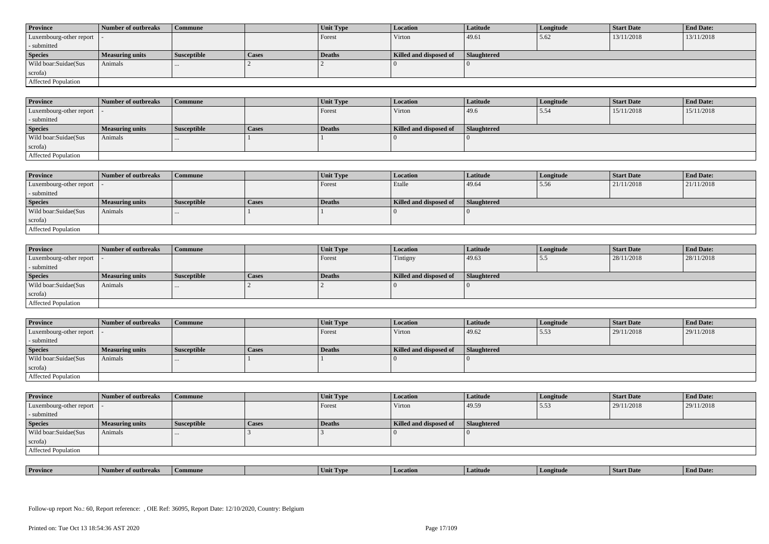| <b>Province</b>            | Number of outbreaks    | <b>Commune</b>     |              | Unit Type | Location               | <b>Latitude</b> | Longitude | <b>Start Date</b> | <b>End Date:</b> |
|----------------------------|------------------------|--------------------|--------------|-----------|------------------------|-----------------|-----------|-------------------|------------------|
| Luxembourg-other report  - |                        |                    |              | Forest    | Virton                 | 49.61           | 5.62      | 13/11/2018        | 13/11/2018       |
| - submitted                |                        |                    |              |           |                        |                 |           |                   |                  |
| <b>Species</b>             | <b>Measuring units</b> | <b>Susceptible</b> | <b>Cases</b> | Deaths    | Killed and disposed of | Slaughtered     |           |                   |                  |
| Wild boar: Suidae (Sus     | Animals                |                    |              |           |                        |                 |           |                   |                  |
| scrofa)                    |                        |                    |              |           |                        |                 |           |                   |                  |
| Affected Population        |                        |                    |              |           |                        |                 |           |                   |                  |

| <b>Province</b>         | Number of outbreaks    | Commune            |       | Unit Type | <b>Location</b>        | Latitude    | Longitude | <b>Start Date</b> | <b>End Date:</b> |
|-------------------------|------------------------|--------------------|-------|-----------|------------------------|-------------|-----------|-------------------|------------------|
| Luxembourg-other report |                        |                    |       | Forest    | Virton                 | 49.6        | 5.54      | 15/11/2018        | 15/11/2018       |
| - submitted             |                        |                    |       |           |                        |             |           |                   |                  |
| <b>Species</b>          | <b>Measuring units</b> | <b>Susceptible</b> | Cases | Deaths    | Killed and disposed of | Slaughtered |           |                   |                  |
| Wild boar:Suidae(Sus    | Animals                | $\cdots$           |       |           |                        |             |           |                   |                  |
| scrofa)                 |                        |                    |       |           |                        |             |           |                   |                  |
| Affected Population     |                        |                    |       |           |                        |             |           |                   |                  |

| <b>Province</b>            | Number of outbreaks    | Commune            |              | Unit Type | <b>Location</b>        | Latitude    | Longitude | Start Date | <b>End Date:</b> |
|----------------------------|------------------------|--------------------|--------------|-----------|------------------------|-------------|-----------|------------|------------------|
| Luxembourg-other report  - |                        |                    |              | Forest    | Etalle                 | 49.64       | 5.56      | 21/11/2018 | 21/11/2018       |
| - submitted                |                        |                    |              |           |                        |             |           |            |                  |
| <b>Species</b>             | <b>Measuring units</b> | <b>Susceptible</b> | <b>Cases</b> | Deaths    | Killed and disposed of | Slaughtered |           |            |                  |
| Wild boar:Suidae(Sus       | Animals                |                    |              |           |                        |             |           |            |                  |
| scrofa)                    |                        |                    |              |           |                        |             |           |            |                  |
| Affected Population        |                        |                    |              |           |                        |             |           |            |                  |

| <b>Province</b>            | Number of outbreaks    | <b>Commune</b>     |              | Unit Type     | Location               | <b>Latitude</b> | Longitude | <b>Start Date</b> | <b>End Date:</b> |
|----------------------------|------------------------|--------------------|--------------|---------------|------------------------|-----------------|-----------|-------------------|------------------|
| Luxembourg-other report  - |                        |                    |              | Forest        | Tintigny               | 49.63           | 5.5       | 28/11/2018        | 28/11/2018       |
| - submitted                |                        |                    |              |               |                        |                 |           |                   |                  |
| <b>Species</b>             | <b>Measuring units</b> | <b>Susceptible</b> | <b>Cases</b> | <b>Deaths</b> | Killed and disposed of | Slaughtered     |           |                   |                  |
| Wild boar:Suidae(Sus       | Animals                |                    |              |               |                        |                 |           |                   |                  |
| scrofa)                    |                        |                    |              |               |                        |                 |           |                   |                  |
| Affected Population        |                        |                    |              |               |                        |                 |           |                   |                  |

| <b>Province</b>             | <b>1 Number of outbreaks</b> | <b>Commune</b>     |       | Unit Type | <b>Location</b>        | <b>Latitude</b>    | Longitude | <b>Start Date</b> | <b>End Date:</b> |
|-----------------------------|------------------------------|--------------------|-------|-----------|------------------------|--------------------|-----------|-------------------|------------------|
| Luxembourg-other report   - |                              |                    |       | Forest    | Virton                 | 49.62              | 5.53      | 29/11/2018        | 29/11/2018       |
| - submitted                 |                              |                    |       |           |                        |                    |           |                   |                  |
| <b>Species</b>              | <b>Measuring units</b>       | <b>Susceptible</b> | Cases | Deaths    | Killed and disposed of | <b>Slaughtered</b> |           |                   |                  |
| Wild boar:Suidae(Sus        | Animals                      |                    |       |           |                        |                    |           |                   |                  |
| scrofa)                     |                              |                    |       |           |                        |                    |           |                   |                  |
| <b>Affected Population</b>  |                              |                    |       |           |                        |                    |           |                   |                  |

| <b>Province</b>            | Number of outbreaks    | <b>Commune</b>     |              | Unit Type | Location               | <b>Latitude</b>    | Longitude | <b>Start Date</b> | <b>End Date:</b> |
|----------------------------|------------------------|--------------------|--------------|-----------|------------------------|--------------------|-----------|-------------------|------------------|
| Luxembourg-other report  - |                        |                    |              | Forest    | Virton                 | 49.59              | 5.53      | 29/11/2018        | 29/11/2018       |
| - submitted                |                        |                    |              |           |                        |                    |           |                   |                  |
| <b>Species</b>             | <b>Measuring units</b> | <b>Susceptible</b> | <b>Cases</b> | Deaths    | Killed and disposed of | <b>Slaughtered</b> |           |                   |                  |
| Wild boar: Suidae (Sus     | Animals                |                    |              |           |                        |                    |           |                   |                  |
| scrofa)                    |                        |                    |              |           |                        |                    |           |                   |                  |
| Affected Population        |                        |                    |              |           |                        |                    |           |                   |                  |

| <b>Province</b> | <b>CONTRACTOR</b><br>er of outbreaks | Commune | . IVP | <i>cation</i><br>l Loc | Latitud | gitud | SIAIT Dave | <b>d</b> Date: |
|-----------------|--------------------------------------|---------|-------|------------------------|---------|-------|------------|----------------|
|                 |                                      |         |       |                        |         |       |            |                |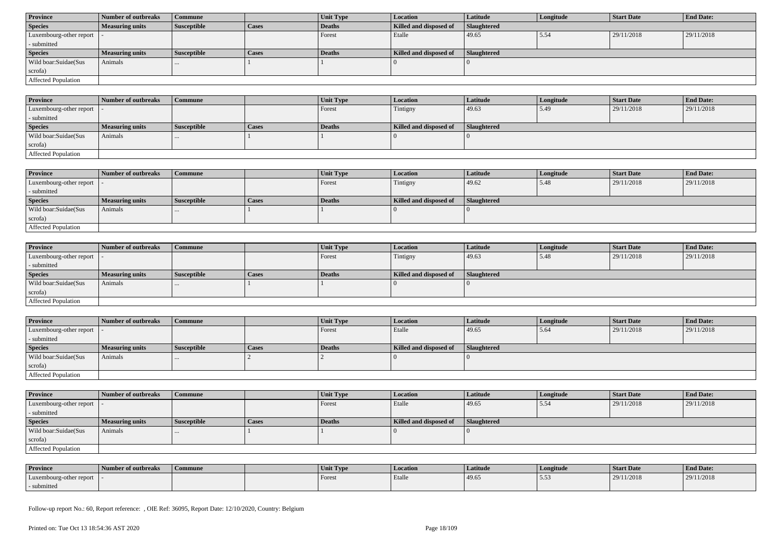| <b>Province</b>            | Number of outbreaks    | Commune            |              | Unit Type | <b>Location</b>        | <b>Latitude</b> | Longitude | <b>Start Date</b> | <b>End Date:</b> |
|----------------------------|------------------------|--------------------|--------------|-----------|------------------------|-----------------|-----------|-------------------|------------------|
| <b>Species</b>             | <b>Measuring units</b> | <b>Susceptible</b> | <b>Cases</b> | Deaths    | Killed and disposed of | Slaughtered     |           |                   |                  |
| Luxembourg-other report  - |                        |                    |              | Forest    | Etalle                 | 49.65           | 5.54      | 29/11/2018        | 29/11/2018       |
| - submitted                |                        |                    |              |           |                        |                 |           |                   |                  |
| <b>Species</b>             | <b>Measuring units</b> | <b>Susceptible</b> | <b>Cases</b> | Deaths    | Killed and disposed of | Slaughtered     |           |                   |                  |
| Wild boar:Suidae(Sus       | Animals                | $\cdots$           |              |           |                        |                 |           |                   |                  |
| scrofa)                    |                        |                    |              |           |                        |                 |           |                   |                  |
| Affected Population        |                        |                    |              |           |                        |                 |           |                   |                  |

| <b>Province</b>             | Number of outbreaks    | Commune            |       | Unit Type     | Location               | <b>Latitude</b> | Longitude | <b>Start Date</b> | <b>End Date:</b> |
|-----------------------------|------------------------|--------------------|-------|---------------|------------------------|-----------------|-----------|-------------------|------------------|
| Luxembourg-other report   - |                        |                    |       | Forest        | Tintigny               | 49.63           | 5.49      | 29/11/2018        | 29/11/2018       |
| - submitted                 |                        |                    |       |               |                        |                 |           |                   |                  |
| <b>Species</b>              | <b>Measuring units</b> | <b>Susceptible</b> | Cases | <b>Deaths</b> | Killed and disposed of | Slaughtered     |           |                   |                  |
| Wild boar:Suidae(Sus        | Animals                | $\cdots$           |       |               |                        |                 |           |                   |                  |
| scrofa)                     |                        |                    |       |               |                        |                 |           |                   |                  |
| <b>Affected Population</b>  |                        |                    |       |               |                        |                 |           |                   |                  |

| <b>Province</b>         | Number of outbreaks    | Commune            |              | Unit Type | <b>Location</b>        | <b>Latitude</b>    | Longitude | <b>Start Date</b> | <b>End Date:</b> |
|-------------------------|------------------------|--------------------|--------------|-----------|------------------------|--------------------|-----------|-------------------|------------------|
| Luxembourg-other report |                        |                    |              | Forest    | Tintigny               | 49.62              | 5.48      | 29/11/2018        | 29/11/2018       |
| - submitted             |                        |                    |              |           |                        |                    |           |                   |                  |
| <b>Species</b>          | <b>Measuring units</b> | <b>Susceptible</b> | <b>Cases</b> | Deaths    | Killed and disposed of | <b>Slaughtered</b> |           |                   |                  |
| Wild boar:Suidae(Sus    | Animals                | $\cdots$           |              |           |                        |                    |           |                   |                  |
| scrofa)                 |                        |                    |              |           |                        |                    |           |                   |                  |
| Affected Population     |                        |                    |              |           |                        |                    |           |                   |                  |

| <b>Province</b>            | Number of outbreaks    | <b>Commune</b>     |              | <b>Unit Type</b> | <i>Location</i>        | <b>Latitude</b>    | Longitude | <b>Start Date</b> | <b>End Date:</b> |
|----------------------------|------------------------|--------------------|--------------|------------------|------------------------|--------------------|-----------|-------------------|------------------|
| Luxembourg-other report  - |                        |                    |              | Forest           | Tintigny               | 49.63              | 5.48      | 29/11/2018        | 29/11/2018       |
| - submitted                |                        |                    |              |                  |                        |                    |           |                   |                  |
| <b>Species</b>             | <b>Measuring units</b> | <b>Susceptible</b> | <b>Cases</b> | <b>Deaths</b>    | Killed and disposed of | <b>Slaughtered</b> |           |                   |                  |
| Wild boar:Suidae(Sus       | Animals                | $\cdots$           |              |                  |                        |                    |           |                   |                  |
| scrofa)                    |                        |                    |              |                  |                        |                    |           |                   |                  |
| Affected Population        |                        |                    |              |                  |                        |                    |           |                   |                  |

| <b>Province</b>            | Number of outbreaks    | <b>Commune</b>     |              | Unit Type | Location               | Latitude    | Longitude | <b>Start Date</b> | <b>End Date:</b> |
|----------------------------|------------------------|--------------------|--------------|-----------|------------------------|-------------|-----------|-------------------|------------------|
| Luxembourg-other report  - |                        |                    |              | Forest    | Etalle                 | 49.65       | 5.64      | 29/11/2018        | 29/11/2018       |
| - submitted                |                        |                    |              |           |                        |             |           |                   |                  |
| <b>Species</b>             | <b>Measuring units</b> | <b>Susceptible</b> | <b>Cases</b> | Deaths    | Killed and disposed of | Slaughtered |           |                   |                  |
| Wild boar:Suidae(Sus       | Animals                |                    |              |           |                        |             |           |                   |                  |
| scrofa)                    |                        |                    |              |           |                        |             |           |                   |                  |
| Affected Population        |                        |                    |              |           |                        |             |           |                   |                  |

| <b>Province</b>            | Number of outbreaks    | Commune            |              | <b>Unit Type</b> | <b>Location</b>        | Latitude           | Longitude | <b>Start Date</b> | <b>End Date:</b> |
|----------------------------|------------------------|--------------------|--------------|------------------|------------------------|--------------------|-----------|-------------------|------------------|
| Luxembourg-other report  - |                        |                    |              | Forest           | Etalle                 | 49.65              | 15.54     | 29/11/2018        | 29/11/2018       |
| - submitted                |                        |                    |              |                  |                        |                    |           |                   |                  |
| <b>Species</b>             | <b>Measuring units</b> | <b>Susceptible</b> | <b>Cases</b> | Deaths           | Killed and disposed of | <b>Slaughtered</b> |           |                   |                  |
|                            |                        |                    |              |                  |                        |                    |           |                   |                  |
| Wild boar:Suidae(Sus       | Animals                |                    |              |                  |                        |                    |           |                   |                  |
| scrofa)                    |                        |                    |              |                  |                        |                    |           |                   |                  |

| <b>Province</b>         | Number of outbreaks | Commune | Unit Type | <b>Location</b> | Latitude | Longitude | Start Date | <b>End Date:</b> |
|-------------------------|---------------------|---------|-----------|-----------------|----------|-----------|------------|------------------|
| Luxembourg-other report |                     |         | Forest    | Etalle          | 49.65    |           | 29/11/2018 | 29/11/2018       |
| - submitted             |                     |         |           |                 |          |           |            |                  |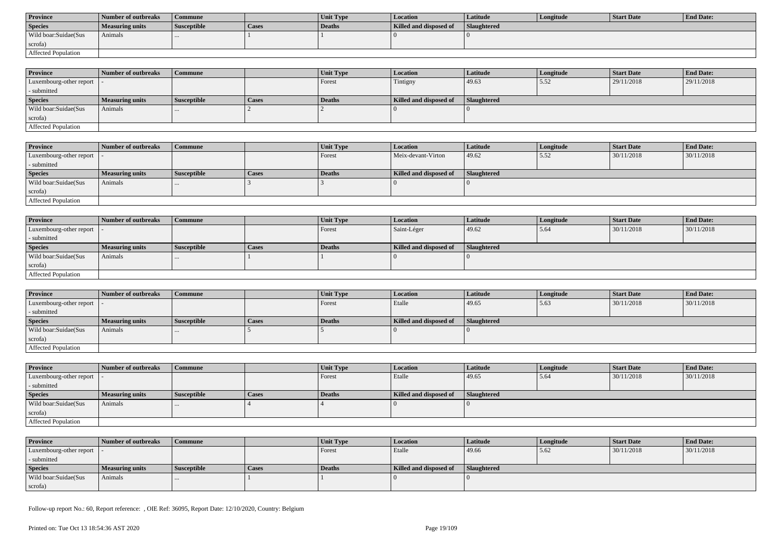| <b>Province</b>      | Number of outbreaks | Commune            |       | <b>Unit Type</b> | Location               | Latitude           | Longitude | Start Date | <b>End Date:</b> |
|----------------------|---------------------|--------------------|-------|------------------|------------------------|--------------------|-----------|------------|------------------|
| <b>Species</b>       | Measuring units     | <b>Susceptible</b> | Cases | Deaths           | Killed and disposed of | <b>Slaughtered</b> |           |            |                  |
| Wild boar:Suidae(Sus | Animals             |                    |       |                  |                        |                    |           |            |                  |
| scrofa)              |                     |                    |       |                  |                        |                    |           |            |                  |
| Affected Population  |                     |                    |       |                  |                        |                    |           |            |                  |

| <b>Province</b>            | Number of outbreaks | Commune            |              | <b>Unit Type</b> | <b>Location</b>        | <b>Latitude</b>    | Longitude | <b>Start Date</b> | <b>End Date:</b> |
|----------------------------|---------------------|--------------------|--------------|------------------|------------------------|--------------------|-----------|-------------------|------------------|
| Luxembourg-other report  - |                     |                    |              | Forest           | Tintigny               | 49.63              | 5.52      | 29/11/2018        | 29/11/2018       |
| - submitted                |                     |                    |              |                  |                        |                    |           |                   |                  |
| <b>Species</b>             | Measuring units     | <b>Susceptible</b> | <b>Cases</b> | <b>Deaths</b>    | Killed and disposed of | <b>Slaughtered</b> |           |                   |                  |
| Wild boar:Suidae(Sus       | Animals             | $\cdots$           |              |                  |                        |                    |           |                   |                  |
| scrofa)                    |                     |                    |              |                  |                        |                    |           |                   |                  |
| Affected Population        |                     |                    |              |                  |                        |                    |           |                   |                  |

| Province                | Number of outbreaks | <b>Commune</b>     |       | Unit Type | Location               | Latitude    | Longitude | <b>Start Date</b> | <b>End Date:</b> |
|-------------------------|---------------------|--------------------|-------|-----------|------------------------|-------------|-----------|-------------------|------------------|
| Luxembourg-other report |                     |                    |       | Forest    | Meix-devant-Virton     | 49.62       | 15.52     | 30/11/2018        | 30/11/2018       |
| - submitted             |                     |                    |       |           |                        |             |           |                   |                  |
| <b>Species</b>          | Measuring units     | <b>Susceptible</b> | Cases | Deaths    | Killed and disposed of | Slaughtered |           |                   |                  |
| Wild boar:Suidae(Sus    | Animals             |                    |       |           |                        |             |           |                   |                  |
| scrofa)                 |                     |                    |       |           |                        |             |           |                   |                  |
| Affected Population     |                     |                    |       |           |                        |             |           |                   |                  |

| <b>Province</b>            | Number of outbreaks    | Commune            |              | Unit Type | Location               | <b>Latitude</b> | Longitude | <b>Start Date</b> | <b>End Date:</b> |
|----------------------------|------------------------|--------------------|--------------|-----------|------------------------|-----------------|-----------|-------------------|------------------|
| Luxembourg-other report  - |                        |                    |              | Forest    | Saint-Léger            | 49.62           | 5.64      | 30/11/2018        | 30/11/2018       |
| - submitted                |                        |                    |              |           |                        |                 |           |                   |                  |
| <b>Species</b>             | <b>Measuring units</b> | <b>Susceptible</b> | <b>Cases</b> | Deaths    | Killed and disposed of | Slaughtered     |           |                   |                  |
| Wild boar:Suidae(Sus       | Animals                | $\cdots$           |              |           |                        |                 |           |                   |                  |
| scrofa)                    |                        |                    |              |           |                        |                 |           |                   |                  |
| Affected Population        |                        |                    |              |           |                        |                 |           |                   |                  |

| <b>Province</b>            | Number of outbreaks    | Commune            |       | Unit Type     | <i>Location</i>        | <b>Latitude</b>    | Longitude | <b>Start Date</b> | <b>End Date:</b> |
|----------------------------|------------------------|--------------------|-------|---------------|------------------------|--------------------|-----------|-------------------|------------------|
| Luxembourg-other report  - |                        |                    |       | <b>Forest</b> | Etalle                 | 49.65              | 15.63     | 30/11/2018        | 30/11/2018       |
| - submitted                |                        |                    |       |               |                        |                    |           |                   |                  |
| <b>Species</b>             | <b>Measuring units</b> | <b>Susceptible</b> | Cases | Deaths        | Killed and disposed of | <b>Slaughtered</b> |           |                   |                  |
| Wild boar: Suidae (Sus     | Animals                | $\cdots$           |       |               |                        |                    |           |                   |                  |
| scrofa)                    |                        |                    |       |               |                        |                    |           |                   |                  |
| Affected Population        |                        |                    |       |               |                        |                    |           |                   |                  |

| <b>Province</b>            | Number of outbreaks    | <b>Commune</b>     |              | <b>Unit Type</b> | <b>Location</b>        | <b>Latitude</b> | Longitude | <b>Start Date</b> | <b>End Date:</b> |
|----------------------------|------------------------|--------------------|--------------|------------------|------------------------|-----------------|-----------|-------------------|------------------|
| Luxembourg-other report  - |                        |                    |              | Forest           | Etalle                 | 49.65           | 15.64     | 30/11/2018        | 30/11/2018       |
| - submitted                |                        |                    |              |                  |                        |                 |           |                   |                  |
| <b>Species</b>             | <b>Measuring units</b> | <b>Susceptible</b> | <b>Cases</b> | Deaths           | Killed and disposed of | Slaughtered     |           |                   |                  |
| Wild boar:Suidae(Sus       | Animals                | $\cdots$           |              |                  |                        |                 |           |                   |                  |
| scrofa)                    |                        |                    |              |                  |                        |                 |           |                   |                  |
| Affected Population        |                        |                    |              |                  |                        |                 |           |                   |                  |

| <b>Province</b>            | Number of outbreaks    | Commune            |       | <b>Unit Type</b> | <b>Location</b>        | Latitude           | Longitude | Start Date | <b>End Date:</b> |
|----------------------------|------------------------|--------------------|-------|------------------|------------------------|--------------------|-----------|------------|------------------|
| Luxembourg-other report  - |                        |                    |       | Forest           | Etalle                 | 49.66              | 5.62      | 30/11/2018 | 30/11/2018       |
| - submitted                |                        |                    |       |                  |                        |                    |           |            |                  |
| <b>Species</b>             | <b>Measuring units</b> | <b>Susceptible</b> | Cases | Deaths           | Killed and disposed of | <b>Slaughtered</b> |           |            |                  |
| Wild boar:Suidae(Sus       | Animals                |                    |       |                  |                        |                    |           |            |                  |
| scrofa)                    |                        |                    |       |                  |                        |                    |           |            |                  |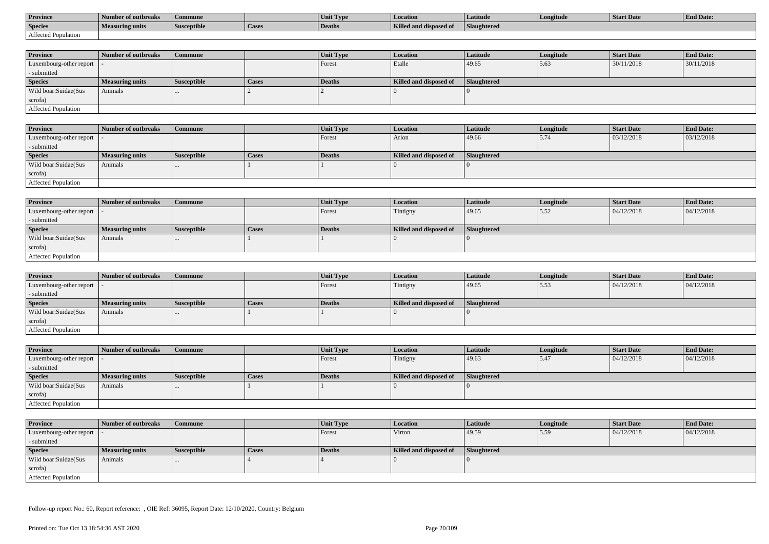| <b>Province</b>     | Number of outbreaks    | Commune            |                    | Unit Typ. | Location                             | Latitude    | Longitude | <b>Start Date</b> | <b>End Date:</b> |
|---------------------|------------------------|--------------------|--------------------|-----------|--------------------------------------|-------------|-----------|-------------------|------------------|
| <b>Species</b>      | <b>Measuring units</b> | <b>Susceptible</b> | <sup>1</sup> Cases | Deaths    | <b>Killed and disposy</b><br>™ od of | Slaughtered |           |                   |                  |
| Affected Population |                        |                    |                    |           |                                      |             |           |                   |                  |

| <b>Province</b>         | Number of outbreaks    | Commune            |              | Unit Type | Location               | Latitude    | Longitude | <b>Start Date</b> | <b>End Date:</b> |
|-------------------------|------------------------|--------------------|--------------|-----------|------------------------|-------------|-----------|-------------------|------------------|
| Luxembourg-other report |                        |                    |              | Forest    | Etalle                 | 49.65       | 5.63      | 30/11/2018        | 30/11/2018       |
| - submitted             |                        |                    |              |           |                        |             |           |                   |                  |
| <b>Species</b>          | <b>Measuring units</b> | <b>Susceptible</b> | <b>Cases</b> | Deaths    | Killed and disposed of | Slaughtered |           |                   |                  |
| Wild boar:Suidae(Sus    | Animals                |                    |              |           |                        |             |           |                   |                  |
| scrofa)                 |                        |                    |              |           |                        |             |           |                   |                  |
| Affected Population     |                        |                    |              |           |                        |             |           |                   |                  |

| <b>Province</b>            | Number of outbreaks    | <b>Commune</b>     |              | <b>Unit Type</b> | <b>Location</b>        | <b>Latitude</b> | Longitude | <b>Start Date</b> | <b>End Date:</b> |
|----------------------------|------------------------|--------------------|--------------|------------------|------------------------|-----------------|-----------|-------------------|------------------|
| Luxembourg-other report  - |                        |                    |              | Forest           | Arlon                  | 49.66           | 5.74      | 03/12/2018        | 03/12/2018       |
| - submitted                |                        |                    |              |                  |                        |                 |           |                   |                  |
| <b>Species</b>             | <b>Measuring units</b> | <b>Susceptible</b> | <b>Cases</b> | Deaths           | Killed and disposed of | Slaughtered     |           |                   |                  |
| Wild boar:Suidae(Sus       | Animals                |                    |              |                  |                        |                 |           |                   |                  |
| scrofa)                    |                        |                    |              |                  |                        |                 |           |                   |                  |
| Affected Population        |                        |                    |              |                  |                        |                 |           |                   |                  |

| <b>Province</b>            | Number of outbreaks    | <b>Commune</b>     |       | Unit Type | Location               | Latitude    | Longitude | <b>Start Date</b> | <b>End Date:</b> |
|----------------------------|------------------------|--------------------|-------|-----------|------------------------|-------------|-----------|-------------------|------------------|
| Luxembourg-other report  - |                        |                    |       | Forest    | Tintigny               | 49.65       | 5.52      | 04/12/2018        | 04/12/2018       |
| - submitted                |                        |                    |       |           |                        |             |           |                   |                  |
| <b>Species</b>             | <b>Measuring units</b> | <b>Susceptible</b> | Cases | Deaths    | Killed and disposed of | Slaughtered |           |                   |                  |
| Wild boar:Suidae(Sus       | Animals                |                    |       |           |                        |             |           |                   |                  |
| scrofa)                    |                        |                    |       |           |                        |             |           |                   |                  |
| Affected Population        |                        |                    |       |           |                        |             |           |                   |                  |

| <b>Province</b>         | Number of outbreaks    | <b>Commune</b>     |              | Unit Type | <i>Location</i>        | <b>Latitude</b> | Longitude | <b>Start Date</b> | <b>End Date:</b> |
|-------------------------|------------------------|--------------------|--------------|-----------|------------------------|-----------------|-----------|-------------------|------------------|
| Luxembourg-other report |                        |                    |              | Forest    | Tintigny               | 49.65           | 5.53      | 04/12/2018        | 04/12/2018       |
| - submitted             |                        |                    |              |           |                        |                 |           |                   |                  |
| <b>Species</b>          | <b>Measuring units</b> | <b>Susceptible</b> | <b>Cases</b> | Deaths    | Killed and disposed of | Slaughtered     |           |                   |                  |
| Wild boar:Suidae(Sus    | Animals                |                    |              |           |                        |                 |           |                   |                  |
| scrofa)                 |                        |                    |              |           |                        |                 |           |                   |                  |
| Affected Population     |                        |                    |              |           |                        |                 |           |                   |                  |

| <b>Province</b>            | Number of outbreaks    | Commune            |       | Unit Type | <b>Location</b>        | <b>Latitude</b> | Longitude | <b>Start Date</b> | <b>End Date:</b> |
|----------------------------|------------------------|--------------------|-------|-----------|------------------------|-----------------|-----------|-------------------|------------------|
| Luxembourg-other report  - |                        |                    |       | Forest    | Tintigny               | 49.63           | 5.47      | 04/12/2018        | 04/12/2018       |
| - submitted                |                        |                    |       |           |                        |                 |           |                   |                  |
| <b>Species</b>             | <b>Measuring units</b> | <b>Susceptible</b> | Cases | Deaths    | Killed and disposed of | Slaughtered     |           |                   |                  |
| Wild boar:Suidae(Sus       | Animals                | $\cdots$           |       |           |                        |                 |           |                   |                  |
| scrofa)                    |                        |                    |       |           |                        |                 |           |                   |                  |
| Affected Population        |                        |                    |       |           |                        |                 |           |                   |                  |

| <b>Province</b>            | Number of outbreaks    | <b>Commune</b>     |       | Unit Type     | Location               | <b>Latitude</b>    | Longitude | <b>Start Date</b> | <b>End Date:</b> |
|----------------------------|------------------------|--------------------|-------|---------------|------------------------|--------------------|-----------|-------------------|------------------|
| Luxembourg-other report  - |                        |                    |       | Forest        | Virton                 | 49.59              | 5.59      | 04/12/2018        | 04/12/2018       |
| - submitted                |                        |                    |       |               |                        |                    |           |                   |                  |
| <b>Species</b>             | <b>Measuring units</b> | <b>Susceptible</b> | Cases | <b>Deaths</b> | Killed and disposed of | <b>Slaughtered</b> |           |                   |                  |
| Wild boar:Suidae(Sus       | Animals                | $\cdots$           |       |               |                        |                    |           |                   |                  |
| scrofa)                    |                        |                    |       |               |                        |                    |           |                   |                  |
| Affected Population        |                        |                    |       |               |                        |                    |           |                   |                  |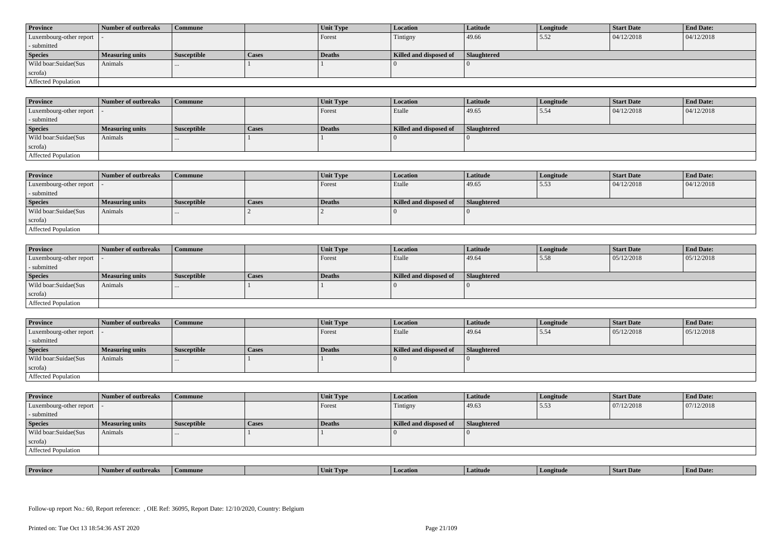| <b>Province</b>            | Number of outbreaks    | <b>Commune</b>     |              | Unit Type | Location               | <b>Latitude</b> | Longitude | <b>Start Date</b> | <b>End Date:</b> |
|----------------------------|------------------------|--------------------|--------------|-----------|------------------------|-----------------|-----------|-------------------|------------------|
| Luxembourg-other report  - |                        |                    |              | Forest    | Tintigny               | 49.66           | 15.52     | 04/12/2018        | 04/12/2018       |
| - submitted                |                        |                    |              |           |                        |                 |           |                   |                  |
| <b>Species</b>             | <b>Measuring units</b> | <b>Susceptible</b> | <b>Cases</b> | Deaths    | Killed and disposed of | Slaughtered     |           |                   |                  |
| Wild boar: Suidae (Sus     | Animals                |                    |              |           |                        |                 |           |                   |                  |
| scrofa)                    |                        |                    |              |           |                        |                 |           |                   |                  |
| Affected Population        |                        |                    |              |           |                        |                 |           |                   |                  |

| <b>Province</b>         | Number of outbreaks    | Commune            |       | Unit Type | <b>Location</b>        | Latitude    | Longitude | <b>Start Date</b> | <b>End Date:</b> |
|-------------------------|------------------------|--------------------|-------|-----------|------------------------|-------------|-----------|-------------------|------------------|
| Luxembourg-other report |                        |                    |       | Forest    | Etalle                 | 49.65       | 5.54      | 04/12/2018        | 04/12/2018       |
| - submitted             |                        |                    |       |           |                        |             |           |                   |                  |
| <b>Species</b>          | <b>Measuring units</b> | <b>Susceptible</b> | Cases | Deaths    | Killed and disposed of | Slaughtered |           |                   |                  |
| Wild boar:Suidae(Sus    | Animals                | $\cdots$           |       |           |                        |             |           |                   |                  |
| scrofa)                 |                        |                    |       |           |                        |             |           |                   |                  |
| Affected Population     |                        |                    |       |           |                        |             |           |                   |                  |

| <b>Province</b>            | Number of outbreaks    | Commune            |              | Unit Type | <b>Location</b>        | Latitude    | Longitude | Start Date | <b>End Date:</b> |
|----------------------------|------------------------|--------------------|--------------|-----------|------------------------|-------------|-----------|------------|------------------|
| Luxembourg-other report  - |                        |                    |              | Forest    | Etalle                 | 49.65       | 5.53      | 04/12/2018 | 04/12/2018       |
| - submitted                |                        |                    |              |           |                        |             |           |            |                  |
| <b>Species</b>             | <b>Measuring units</b> | <b>Susceptible</b> | <b>Cases</b> | Deaths    | Killed and disposed of | Slaughtered |           |            |                  |
| Wild boar:Suidae(Sus       | Animals                |                    |              |           |                        |             |           |            |                  |
| scrofa)                    |                        |                    |              |           |                        |             |           |            |                  |
| Affected Population        |                        |                    |              |           |                        |             |           |            |                  |

| <b>Province</b>            | Number of outbreaks    | <b>Commune</b>     |              | Unit Type | Location               | <b>Latitude</b> | Longitude | <b>Start Date</b> | <b>End Date:</b> |
|----------------------------|------------------------|--------------------|--------------|-----------|------------------------|-----------------|-----------|-------------------|------------------|
| Luxembourg-other report  - |                        |                    |              | Forest    | Etalle                 | 49.64           | 5.58      | 05/12/2018        | 05/12/2018       |
| - submitted                |                        |                    |              |           |                        |                 |           |                   |                  |
| <b>Species</b>             | <b>Measuring units</b> | <b>Susceptible</b> | <b>Cases</b> | Deaths    | Killed and disposed of | Slaughtered     |           |                   |                  |
| Wild boar:Suidae(Sus       | Animals                |                    |              |           |                        |                 |           |                   |                  |
| scrofa)                    |                        |                    |              |           |                        |                 |           |                   |                  |
| Affected Population        |                        |                    |              |           |                        |                 |           |                   |                  |

| <b>Province</b>            | Number of outbreaks | Commune            |       | Unit Type | <b>Location</b>        | <b>Latitude</b>    | Longitude | <b>Start Date</b> | <b>End Date:</b> |
|----------------------------|---------------------|--------------------|-------|-----------|------------------------|--------------------|-----------|-------------------|------------------|
| Luxembourg-other report  - |                     |                    |       | Forest    | Etalle                 | 49.64              | 5.54      | 05/12/2018        | 05/12/2018       |
| - submitted                |                     |                    |       |           |                        |                    |           |                   |                  |
| <b>Species</b>             | Measuring units     | <b>Susceptible</b> | Cases | Deaths    | Killed and disposed of | <b>Slaughtered</b> |           |                   |                  |
|                            |                     |                    |       |           |                        |                    |           |                   |                  |
| Wild boar:Suidae(Sus       | Animals             | $\cdots$           |       |           |                        |                    |           |                   |                  |
| scrofa)                    |                     |                    |       |           |                        |                    |           |                   |                  |

| <b>Province</b>            | Number of outbreaks    | <b>Commune</b>     |              | Unit Type | Location               | Latitude    | Longitude | <b>Start Date</b> | <b>End Date:</b> |
|----------------------------|------------------------|--------------------|--------------|-----------|------------------------|-------------|-----------|-------------------|------------------|
| Luxembourg-other report  - |                        |                    |              | Forest    | Tintigny               | 49.63       | 5.53      | 07/12/2018        | 07/12/2018       |
| - submitted                |                        |                    |              |           |                        |             |           |                   |                  |
| <b>Species</b>             | <b>Measuring units</b> | <b>Susceptible</b> | <b>Cases</b> | Deaths    | Killed and disposed of | Slaughtered |           |                   |                  |
| Wild boar:Suidae(Sus       | Animals                |                    |              |           |                        |             |           |                   |                  |
| scrofa)                    |                        |                    |              |           |                        |             |           |                   |                  |
| Affected Population        |                        |                    |              |           |                        |             |           |                   |                  |

| <b>Province</b> | rnreak: | amune | - I vn<br>Unit | Latitud | neıtude | <b>Start Date</b> | $\mathbf{r}$<br>d Date:<br>- H'm. |
|-----------------|---------|-------|----------------|---------|---------|-------------------|-----------------------------------|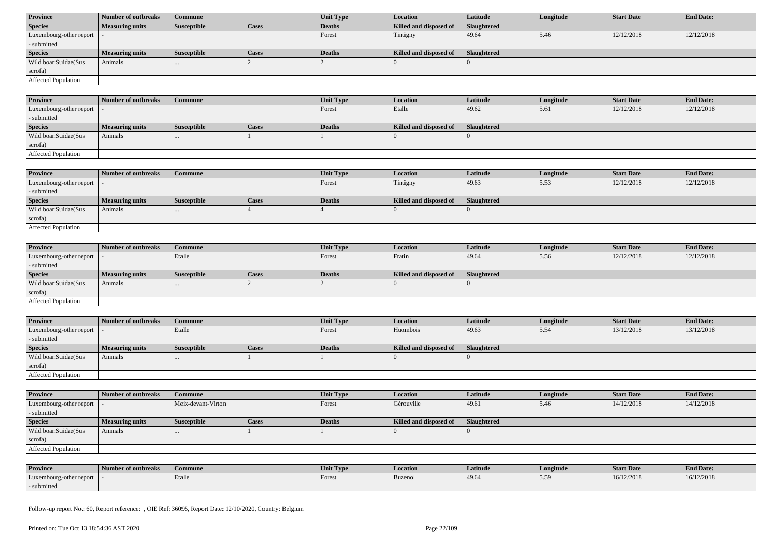| <b>Province</b>            | Number of outbreaks    | Commune            |              | Unit Type | <b>Location</b>        | <b>Latitude</b>    | Longitude | <b>Start Date</b> | <b>End Date:</b> |
|----------------------------|------------------------|--------------------|--------------|-----------|------------------------|--------------------|-----------|-------------------|------------------|
| <b>Species</b>             | <b>Measuring units</b> | <b>Susceptible</b> | <b>Cases</b> | Deaths    | Killed and disposed of | <b>Slaughtered</b> |           |                   |                  |
| Luxembourg-other report  - |                        |                    |              | Forest    | Tintigny               | 49.64              | 5.46      | 12/12/2018        | 12/12/2018       |
| - submitted                |                        |                    |              |           |                        |                    |           |                   |                  |
| <b>Species</b>             | <b>Measuring units</b> | <b>Susceptible</b> | <b>Cases</b> | Deaths    | Killed and disposed of | Slaughtered        |           |                   |                  |
| Wild boar:Suidae(Sus       | Animals                | $\cdots$           |              |           |                        |                    |           |                   |                  |
| scrofa)                    |                        |                    |              |           |                        |                    |           |                   |                  |
| Affected Population        |                        |                    |              |           |                        |                    |           |                   |                  |

| <b>Province</b>             | Number of outbreaks    | Commune            |       | Unit Type     | Location               | <b>Latitude</b> | Longitude | <b>Start Date</b> | <b>End Date:</b> |
|-----------------------------|------------------------|--------------------|-------|---------------|------------------------|-----------------|-----------|-------------------|------------------|
| Luxembourg-other report   - |                        |                    |       | Forest        | Etalle                 | 49.62           | 5.61      | 12/12/2018        | 12/12/2018       |
| - submitted                 |                        |                    |       |               |                        |                 |           |                   |                  |
| <b>Species</b>              | <b>Measuring units</b> | <b>Susceptible</b> | Cases | <b>Deaths</b> | Killed and disposed of | Slaughtered     |           |                   |                  |
| Wild boar:Suidae(Sus        | Animals                | $\cdots$           |       |               |                        |                 |           |                   |                  |
| scrofa)                     |                        |                    |       |               |                        |                 |           |                   |                  |
| <b>Affected Population</b>  |                        |                    |       |               |                        |                 |           |                   |                  |

| <b>Province</b>         | Number of outbreaks    | Commune            |              | Unit Type | <b>Location</b>        | <b>Latitude</b>    | Longitude | <b>Start Date</b> | <b>End Date:</b> |
|-------------------------|------------------------|--------------------|--------------|-----------|------------------------|--------------------|-----------|-------------------|------------------|
| Luxembourg-other report |                        |                    |              | Forest    | Tintigny               | 49.63              | 5.53      | 12/12/2018        | 12/12/2018       |
| - submitted             |                        |                    |              |           |                        |                    |           |                   |                  |
| <b>Species</b>          | <b>Measuring units</b> | <b>Susceptible</b> | <b>Cases</b> | Deaths    | Killed and disposed of | <b>Slaughtered</b> |           |                   |                  |
| Wild boar:Suidae(Sus    | Animals                | $\cdots$           |              |           |                        |                    |           |                   |                  |
| scrofa)                 |                        |                    |              |           |                        |                    |           |                   |                  |
| Affected Population     |                        |                    |              |           |                        |                    |           |                   |                  |

| <b>Province</b>            | Number of outbreaks    | Commune            |              | <b>Unit Type</b> | <b>Location</b>        | Latitude    | Longitude | <b>Start Date</b> | <b>End Date:</b> |
|----------------------------|------------------------|--------------------|--------------|------------------|------------------------|-------------|-----------|-------------------|------------------|
| Luxembourg-other report  - |                        | Etalle             |              | Forest           | Fratin                 | 49.64       | 5.56      | 12/12/2018        | 12/12/2018       |
| - submitted                |                        |                    |              |                  |                        |             |           |                   |                  |
| <b>Species</b>             | <b>Measuring units</b> | <b>Susceptible</b> | <b>Cases</b> | <b>Deaths</b>    | Killed and disposed of | Slaughtered |           |                   |                  |
| Wild boar:Suidae(Sus       | Animals                |                    |              |                  |                        |             |           |                   |                  |
| scrofa)                    |                        |                    |              |                  |                        |             |           |                   |                  |
| Affected Population        |                        |                    |              |                  |                        |             |           |                   |                  |

| <b>Province</b>            | Number of outbreaks    | <b>Commune</b>     |              | Unit Type | Location               | Latitude           | Longitude | <b>Start Date</b> | <b>End Date:</b> |
|----------------------------|------------------------|--------------------|--------------|-----------|------------------------|--------------------|-----------|-------------------|------------------|
| Luxembourg-other report  - |                        | Etalle             |              | Forest    | Huombois               | 49.63              | 15.54     | 13/12/2018        | 13/12/2018       |
| - submitted                |                        |                    |              |           |                        |                    |           |                   |                  |
| <b>Species</b>             | <b>Measuring units</b> | <b>Susceptible</b> | <b>Cases</b> | Deaths    | Killed and disposed of | <b>Slaughtered</b> |           |                   |                  |
| Wild boar:Suidae(Sus       | Animals                |                    |              |           |                        |                    |           |                   |                  |
| scrofa)                    |                        |                    |              |           |                        |                    |           |                   |                  |
|                            |                        |                    |              |           |                        |                    |           |                   |                  |

| <b>Province</b>         | Number of outbreaks    | Commune            |       | <b>Unit Type</b> | Location               | Latitude           | Longitude | <b>Start Date</b> | <b>End Date:</b> |
|-------------------------|------------------------|--------------------|-------|------------------|------------------------|--------------------|-----------|-------------------|------------------|
| Luxembourg-other report |                        | Meix-devant-Virton |       | Forest           | Gérouville             | 49.61              | 5.46      | 14/12/2018        | 14/12/2018       |
| - submitted             |                        |                    |       |                  |                        |                    |           |                   |                  |
| <b>Species</b>          | <b>Measuring units</b> | <b>Susceptible</b> | Cases | Deaths           | Killed and disposed of | <b>Slaughtered</b> |           |                   |                  |
| Wild boar:Suidae(Sus    | Animals                | $\cdots$           |       |                  |                        |                    |           |                   |                  |
| scrofa)                 |                        |                    |       |                  |                        |                    |           |                   |                  |
| Affected Population     |                        |                    |       |                  |                        |                    |           |                   |                  |

| <b>Province</b>         | Number of outbreaks | Commune | Unit Type | <b>Location</b> | Latitude | Longitude | <b>Start Date</b> | <b>End Date:</b> |
|-------------------------|---------------------|---------|-----------|-----------------|----------|-----------|-------------------|------------------|
| Luxembourg-other report |                     | Etalle  | Forest    | Buzenol         | 49.64    | 550       | 16/12/2018        | 16/12/2018       |
| - submitted             |                     |         |           |                 |          |           |                   |                  |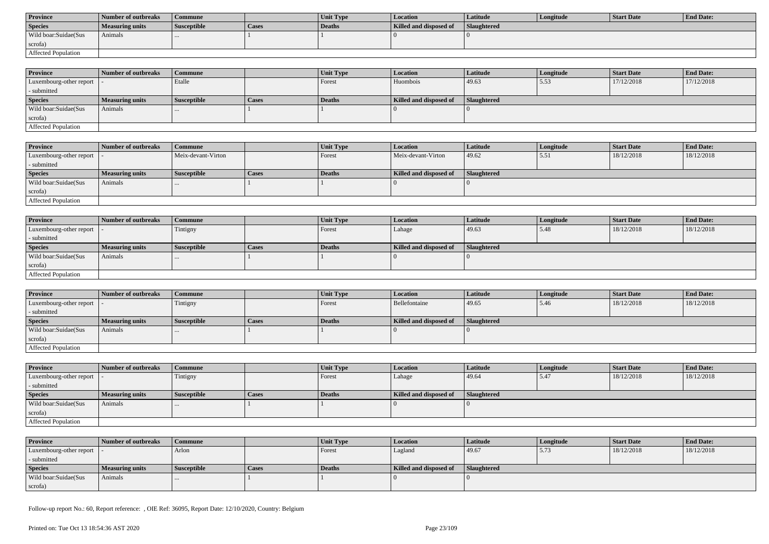| <b>Province</b>      | <b>Number of outbreaks</b> | Commune            |              | <b>Unit Type</b> | Location               | Latitude    | Longitude | Start Date | <b>End Date:</b> |
|----------------------|----------------------------|--------------------|--------------|------------------|------------------------|-------------|-----------|------------|------------------|
| <b>Species</b>       | Measuring units            | <b>Susceptible</b> | <b>Cases</b> | Deaths           | Killed and disposed of | Slaughtered |           |            |                  |
| Wild boar:Suidae(Sus | Animals                    |                    |              |                  |                        |             |           |            |                  |
| scrofa)              |                            |                    |              |                  |                        |             |           |            |                  |
| Affected Population  |                            |                    |              |                  |                        |             |           |            |                  |

| <b>Province</b>            | Number of outbreaks    | <b>Commune</b>     |              | <b>Unit Type</b> | <b>Location</b>        | Latitude           | Longitude | <b>Start Date</b> | <b>End Date:</b> |
|----------------------------|------------------------|--------------------|--------------|------------------|------------------------|--------------------|-----------|-------------------|------------------|
| Luxembourg-other report  - |                        | Etalle             |              | Forest           | Huombois               | 49.63              | 5.53      | 17/12/2018        | 17/12/2018       |
| - submitted                |                        |                    |              |                  |                        |                    |           |                   |                  |
| <b>Species</b>             | <b>Measuring units</b> | <b>Susceptible</b> | <b>Cases</b> | <b>Deaths</b>    | Killed and disposed of | <b>Slaughtered</b> |           |                   |                  |
| Wild boar:Suidae(Sus       | Animals                |                    |              |                  |                        |                    |           |                   |                  |
| scrofa)                    |                        |                    |              |                  |                        |                    |           |                   |                  |
| <b>Affected Population</b> |                        |                    |              |                  |                        |                    |           |                   |                  |

| <b>Province</b>         | Number of outbreaks | Commune            |       | Unit Type     | <i>Location</i>        | Latitude           | Longitude | Start Date | <b>End Date:</b> |
|-------------------------|---------------------|--------------------|-------|---------------|------------------------|--------------------|-----------|------------|------------------|
| Luxembourg-other report |                     | Meix-devant-Virton |       | <b>Forest</b> | Meix-devant-Virton     | 49.62              | 5.51      | 18/12/2018 | 18/12/2018       |
| - submitted             |                     |                    |       |               |                        |                    |           |            |                  |
| <b>Species</b>          | Measuring units     | <b>Susceptible</b> | Cases | Deaths        | Killed and disposed of | <b>Slaughtered</b> |           |            |                  |
| Wild boar:Suidae(Sus    | Animals             |                    |       |               |                        |                    |           |            |                  |
| scrofa)                 |                     |                    |       |               |                        |                    |           |            |                  |
| Affected Population     |                     |                    |       |               |                        |                    |           |            |                  |

| <b>Province</b>            | Number of outbreaks    | <b>Commune</b>     |              | Unit Type | <i>Location</i>        | Latitude    | Longitude | <b>Start Date</b> | <b>End Date:</b> |
|----------------------------|------------------------|--------------------|--------------|-----------|------------------------|-------------|-----------|-------------------|------------------|
| Luxembourg-other report  - |                        | Tintigny           |              | Forest    | Lahage                 | 49.63       | 5.48      | 18/12/2018        | 18/12/2018       |
| - submitted                |                        |                    |              |           |                        |             |           |                   |                  |
| <b>Species</b>             | <b>Measuring units</b> | <b>Susceptible</b> | <b>Cases</b> | Deaths    | Killed and disposed of | Slaughtered |           |                   |                  |
| Wild boar:Suidae(Sus       | Animals                |                    |              |           |                        |             |           |                   |                  |
| scrofa)                    |                        |                    |              |           |                        |             |           |                   |                  |
| Affected Population        |                        |                    |              |           |                        |             |           |                   |                  |

| <b>Province</b>            | Number of outbreaks | Commune            |              | Unit Type     | <i>Location</i>        | <b>Latitude</b>    | Longitude | <b>Start Date</b> | <b>End Date:</b> |
|----------------------------|---------------------|--------------------|--------------|---------------|------------------------|--------------------|-----------|-------------------|------------------|
| Luxembourg-other report  - |                     | Tintigny           |              | <b>Forest</b> | Bellefontaine          | 49.65              | 5.46      | 18/12/2018        | 18/12/2018       |
| - submitted                |                     |                    |              |               |                        |                    |           |                   |                  |
| <b>Species</b>             | Measuring units     | <b>Susceptible</b> | <b>Cases</b> | Deaths        | Killed and disposed of | <b>Slaughtered</b> |           |                   |                  |
| Wild boar: Suidae (Sus     | Animals             | $\cdots$           |              |               |                        |                    |           |                   |                  |
| scrofa)                    |                     |                    |              |               |                        |                    |           |                   |                  |
| Affected Population        |                     |                    |              |               |                        |                    |           |                   |                  |

| <b>Province</b>            | Number of outbreaks    | <b>Commune</b>     |              | <b>Unit Type</b> | <b>Location</b>        | <b>Latitude</b> | Longitude | <b>Start Date</b> | <b>End Date:</b> |
|----------------------------|------------------------|--------------------|--------------|------------------|------------------------|-----------------|-----------|-------------------|------------------|
| Luxembourg-other report  - |                        | Tintigny           |              | Forest           | Lahage                 | 49.64           | 5.47      | 18/12/2018        | 18/12/2018       |
| - submitted                |                        |                    |              |                  |                        |                 |           |                   |                  |
| <b>Species</b>             | <b>Measuring units</b> | <b>Susceptible</b> | <b>Cases</b> | Deaths           | Killed and disposed of | Slaughtered     |           |                   |                  |
| Wild boar:Suidae(Sus       | Animals                | $\cdots$           |              |                  |                        |                 |           |                   |                  |
| scrofa)                    |                        |                    |              |                  |                        |                 |           |                   |                  |
| Affected Population        |                        |                    |              |                  |                        |                 |           |                   |                  |

| <b>Province</b>            | Number of outbreaks | Commune     |       | <b>Unit Type</b> | <b>Location</b>               | Latitude    | Longitude | <b>Start Date</b> | <b>End Date:</b> |
|----------------------------|---------------------|-------------|-------|------------------|-------------------------------|-------------|-----------|-------------------|------------------|
| Luxembourg-other report  - |                     | Arlon       |       | Forest           | Lagland                       | 49.67       | 15.73     | 18/12/2018        | 18/12/2018       |
| - submitted                |                     |             |       |                  |                               |             |           |                   |                  |
| <b>Species</b>             | Measuring units     | Susceptible | Cases | Deaths           | <b>Killed and disposed of</b> | Slaughtered |           |                   |                  |
| Wild boar:Suidae(Sus       | Animals             | $\cdots$    |       |                  |                               |             |           |                   |                  |
| scrofa)                    |                     |             |       |                  |                               |             |           |                   |                  |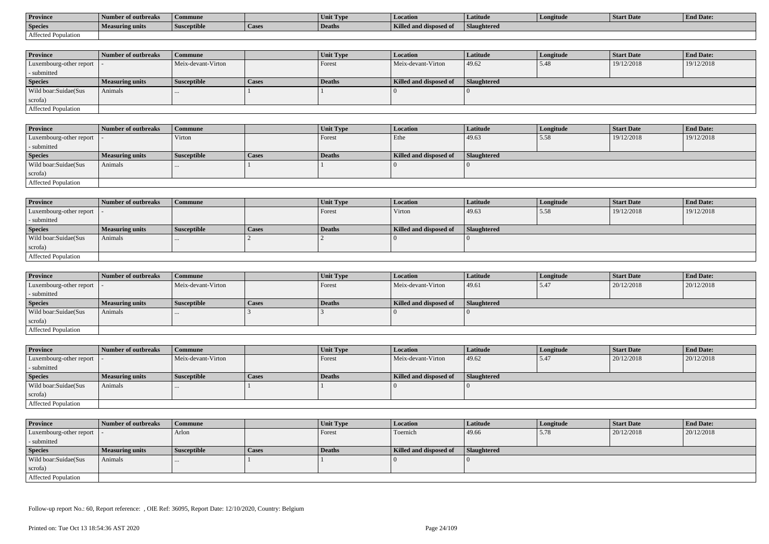| <b>Province</b>     | Number of outbreaks | Commune            |        | Unit Type     | <b>Location</b>               | Latitude    | Longitude | Start Date | <b>End Date:</b> |
|---------------------|---------------------|--------------------|--------|---------------|-------------------------------|-------------|-----------|------------|------------------|
| <b>Species</b>      | Measuring units     | <b>Susceptible</b> | 'Cases | <b>Deaths</b> | <b>Killed and disposed of</b> | Slaughtered |           |            |                  |
| Affected Population |                     |                    |        |               |                               |             |           |            |                  |

| <b>Province</b>            | Number of outbreaks | <b>Commune</b>     |              | <b>Unit Type</b> | <i>Location</i>        | Latitude           | Longitude | <b>Start Date</b> | <b>End Date:</b> |
|----------------------------|---------------------|--------------------|--------------|------------------|------------------------|--------------------|-----------|-------------------|------------------|
| Luxembourg-other report  - |                     | Meix-devant-Virton |              | Forest           | Meix-devant-Virton     | 49.62              | 5.48      | 19/12/2018        | 19/12/2018       |
| - submitted                |                     |                    |              |                  |                        |                    |           |                   |                  |
| <b>Species</b>             | Measuring units     | <b>Susceptible</b> | <b>Cases</b> | Deaths           | Killed and disposed of | <b>Slaughtered</b> |           |                   |                  |
| Wild boar:Suidae(Sus       | Animals             |                    |              |                  |                        |                    |           |                   |                  |
| scrofa)                    |                     |                    |              |                  |                        |                    |           |                   |                  |
| Affected Population        |                     |                    |              |                  |                        |                    |           |                   |                  |

| Province                   | Number of outbreaks    | Commune            |              | <b>Unit Type</b> | <b>Location</b>        | Latitude    | Longitude | <b>Start Date</b> | <b>End Date:</b> |
|----------------------------|------------------------|--------------------|--------------|------------------|------------------------|-------------|-----------|-------------------|------------------|
| Luxembourg-other report  - |                        | Virton             |              | Forest           | Ethe                   | 49.63       | 5.58      | 19/12/2018        | 19/12/2018       |
| - submitted                |                        |                    |              |                  |                        |             |           |                   |                  |
| <b>Species</b>             | <b>Measuring units</b> | <b>Susceptible</b> | <b>Cases</b> | Deaths           | Killed and disposed of | Slaughtered |           |                   |                  |
| Wild boar:Suidae(Sus       | Animals                |                    |              |                  |                        |             |           |                   |                  |
| scrofa)                    |                        |                    |              |                  |                        |             |           |                   |                  |
| Affected Population        |                        |                    |              |                  |                        |             |           |                   |                  |

| <b>Province</b>            | Number of outbreaks    | <b>Commune</b>     |              | Unit Type     | Location               | Latitude    | Longitude | <b>Start Date</b> | <b>End Date:</b> |
|----------------------------|------------------------|--------------------|--------------|---------------|------------------------|-------------|-----------|-------------------|------------------|
| Luxembourg-other report  - |                        |                    |              | <b>Forest</b> | Virton                 | 49.63       | 5.58      | 19/12/2018        | 19/12/2018       |
| - submitted                |                        |                    |              |               |                        |             |           |                   |                  |
| <b>Species</b>             | <b>Measuring units</b> | <b>Susceptible</b> | <b>Cases</b> | Deaths        | Killed and disposed of | Slaughtered |           |                   |                  |
| Wild boar:Suidae(Sus       | Animals                |                    |              |               |                        |             |           |                   |                  |
| scrofa)                    |                        |                    |              |               |                        |             |           |                   |                  |
| Affected Population        |                        |                    |              |               |                        |             |           |                   |                  |

| <b>Province</b>         | Number of outbreaks    | <b>Commune</b>     |              | Unit Type | <b>Location</b>        | Latitude    | Longitude | <b>Start Date</b> | <b>End Date:</b> |
|-------------------------|------------------------|--------------------|--------------|-----------|------------------------|-------------|-----------|-------------------|------------------|
| Luxembourg-other report |                        | Meix-devant-Virton |              | Forest    | Meix-devant-Virton     | 49.61       | 5.47      | 20/12/2018        | 20/12/2018       |
| - submitted             |                        |                    |              |           |                        |             |           |                   |                  |
| <b>Species</b>          | <b>Measuring units</b> | <b>Susceptible</b> | <b>Cases</b> | Deaths    | Killed and disposed of | Slaughtered |           |                   |                  |
| Wild boar:Suidae(Sus    | Animals                | $\cdots$           |              |           |                        |             |           |                   |                  |
| scrofa)                 |                        |                    |              |           |                        |             |           |                   |                  |
| Affected Population     |                        |                    |              |           |                        |             |           |                   |                  |

| <b>Province</b>            | Number of outbreaks    | Commune            |       | Unit Type | <b>Location</b>        | <b>Latitude</b>    | Longitude | <b>Start Date</b> | <b>End Date:</b> |
|----------------------------|------------------------|--------------------|-------|-----------|------------------------|--------------------|-----------|-------------------|------------------|
| Luxembourg-other report  - |                        | Meix-devant-Virton |       | Forest    | Meix-devant-Virton     | 49.62              | 5.47      | 20/12/2018        | 20/12/2018       |
| - submitted                |                        |                    |       |           |                        |                    |           |                   |                  |
| <b>Species</b>             | <b>Measuring units</b> | <b>Susceptible</b> | Cases | Deaths    | Killed and disposed of | <b>Slaughtered</b> |           |                   |                  |
| Wild boar:Suidae(Sus       | Animals                |                    |       |           |                        |                    |           |                   |                  |
| scrofa)                    |                        |                    |       |           |                        |                    |           |                   |                  |
| Affected Population        |                        |                    |       |           |                        |                    |           |                   |                  |

| <b>Province</b>            | Number of outbreaks    | <b>Commune</b>     |              | Unit Type | Location               | <b>Latitude</b>    | Longitude | <b>Start Date</b> | <b>End Date:</b> |
|----------------------------|------------------------|--------------------|--------------|-----------|------------------------|--------------------|-----------|-------------------|------------------|
| Luxembourg-other report  - |                        | Arlon              |              | Forest    | Toernich               | 49.66              | 5.78      | 20/12/2018        | 20/12/2018       |
| - submitted                |                        |                    |              |           |                        |                    |           |                   |                  |
| <b>Species</b>             | <b>Measuring units</b> | <b>Susceptible</b> | <b>Cases</b> | Deaths    | Killed and disposed of | <b>Slaughtered</b> |           |                   |                  |
| Wild boar:Suidae(Sus       | Animals                | $\cdots$           |              |           |                        |                    |           |                   |                  |
| scrofa)                    |                        |                    |              |           |                        |                    |           |                   |                  |
| Affected Population        |                        |                    |              |           |                        |                    |           |                   |                  |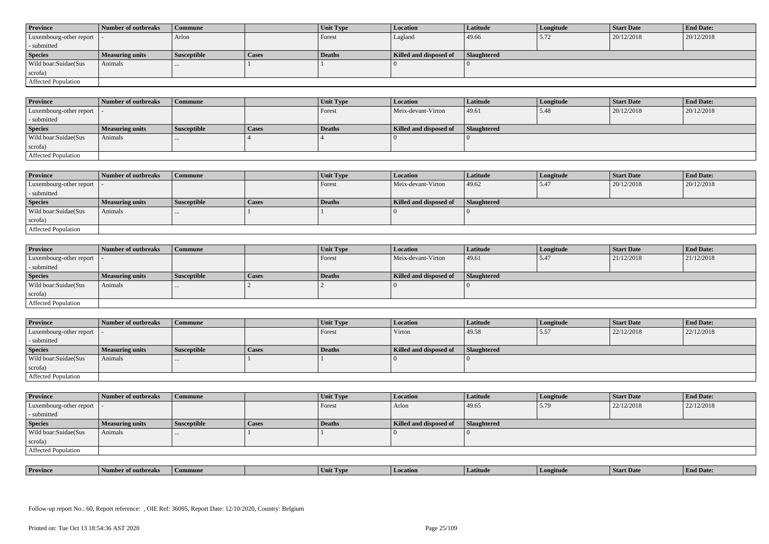| <b>Province</b>            | Number of outbreaks    | <b>Commune</b>     |              | Unit Type | Location               | <b>Latitude</b> | Longitude | <b>Start Date</b> | <b>End Date:</b> |
|----------------------------|------------------------|--------------------|--------------|-----------|------------------------|-----------------|-----------|-------------------|------------------|
| Luxembourg-other report  - |                        | Arlon              |              | Forest    | Lagland                | 49.66           | 5.72      | 20/12/2018        | 20/12/2018       |
| - submitted                |                        |                    |              |           |                        |                 |           |                   |                  |
| <b>Species</b>             | <b>Measuring units</b> | <b>Susceptible</b> | <b>Cases</b> | Deaths    | Killed and disposed of | Slaughtered     |           |                   |                  |
| Wild boar:Suidae(Sus       | Animals                |                    |              |           |                        |                 |           |                   |                  |
| scrofa)                    |                        |                    |              |           |                        |                 |           |                   |                  |
| Affected Population        |                        |                    |              |           |                        |                 |           |                   |                  |

| <b>Province</b>         | Number of outbreaks    | Commune            |       | Unit Type | <b>Location</b>        | Latitude           | Longitude | <b>Start Date</b> | <b>End Date:</b> |
|-------------------------|------------------------|--------------------|-------|-----------|------------------------|--------------------|-----------|-------------------|------------------|
| Luxembourg-other report |                        |                    |       | Forest    | Meix-devant-Virton     | 49.61              | 5.48      | 20/12/2018        | 20/12/2018       |
| - submitted             |                        |                    |       |           |                        |                    |           |                   |                  |
| <b>Species</b>          | <b>Measuring units</b> | <b>Susceptible</b> | Cases | Deaths    | Killed and disposed of | <b>Slaughtered</b> |           |                   |                  |
| Wild boar:Suidae(Sus    | Animals                | $\cdots$           |       |           |                        |                    |           |                   |                  |
| scrofa)                 |                        |                    |       |           |                        |                    |           |                   |                  |
| Affected Population     |                        |                    |       |           |                        |                    |           |                   |                  |

| <b>Province</b>            | Number of outbreaks    | <b>Commune</b>     |              | Unit Type     | <b>Location</b>        | Latitude    | Longitude | <b>Start Date</b> | <b>End Date:</b> |
|----------------------------|------------------------|--------------------|--------------|---------------|------------------------|-------------|-----------|-------------------|------------------|
| Luxembourg-other report  - |                        |                    |              | Forest        | Meix-devant-Virton     | 49.62       | 5.47      | 20/12/2018        | 20/12/2018       |
| - submitted                |                        |                    |              |               |                        |             |           |                   |                  |
| <b>Species</b>             | <b>Measuring units</b> | <b>Susceptible</b> | <b>Cases</b> | <b>Deaths</b> | Killed and disposed of | Slaughtered |           |                   |                  |
| Wild boar:Suidae(Sus       | Animals                |                    |              |               |                        |             |           |                   |                  |
| scrofa)                    |                        |                    |              |               |                        |             |           |                   |                  |
| Affected Population        |                        |                    |              |               |                        |             |           |                   |                  |

| <b>Province</b>            | Number of outbreaks    | <b>Commune</b>     |              | Unit Type     | Location               | <b>Latitude</b> | Longitude | <b>Start Date</b> | <b>End Date:</b> |
|----------------------------|------------------------|--------------------|--------------|---------------|------------------------|-----------------|-----------|-------------------|------------------|
| Luxembourg-other report  - |                        |                    |              | Forest        | Meix-devant-Virton     | 49.61           | 5.47      | 21/12/2018        | 21/12/2018       |
| - submitted                |                        |                    |              |               |                        |                 |           |                   |                  |
| <b>Species</b>             | <b>Measuring units</b> | <b>Susceptible</b> | <b>Cases</b> | <b>Deaths</b> | Killed and disposed of | Slaughtered     |           |                   |                  |
| Wild boar:Suidae(Sus       | Animals                |                    |              |               |                        |                 |           |                   |                  |
| scrofa)                    |                        |                    |              |               |                        |                 |           |                   |                  |
| Affected Population        |                        |                    |              |               |                        |                 |           |                   |                  |

| <b>Province</b>         | Number of outbreaks    | <b>Commune</b> |       | Unit Type | <b>Location</b>        | <b>Latitude</b>    | Longitude | <b>Start Date</b> | <b>End Date:</b> |
|-------------------------|------------------------|----------------|-------|-----------|------------------------|--------------------|-----------|-------------------|------------------|
| Luxembourg-other report |                        |                |       | Forest    | Virton                 | 49.58              | 5.57      | 22/12/2018        | 22/12/2018       |
| - submitted             |                        |                |       |           |                        |                    |           |                   |                  |
| <b>Species</b>          | <b>Measuring units</b> | Susceptible    | Cases | Deaths    | Killed and disposed of | <b>Slaughtered</b> |           |                   |                  |
| Wild boar:Suidae(Sus    | Animals                |                |       |           |                        |                    |           |                   |                  |
|                         |                        |                |       |           |                        |                    |           |                   |                  |
| scrofa)                 |                        |                |       |           |                        |                    |           |                   |                  |

| <b>Province</b>            | Number of outbreaks    | <b>Commune</b>     |              | Unit Type | Location               | <b>Latitude</b>    | Longitude | <b>Start Date</b> | <b>End Date:</b> |
|----------------------------|------------------------|--------------------|--------------|-----------|------------------------|--------------------|-----------|-------------------|------------------|
| Luxembourg-other report  - |                        |                    |              | Forest    | Arlon                  | 49.65              | 5.79      | 22/12/2018        | 22/12/2018       |
| - submitted                |                        |                    |              |           |                        |                    |           |                   |                  |
| <b>Species</b>             | <b>Measuring units</b> | <b>Susceptible</b> | <b>Cases</b> | Deaths    | Killed and disposed of | <b>Slaughtered</b> |           |                   |                  |
| Wild boar:Suidae(Sus       | Animals                |                    |              |           |                        |                    |           |                   |                  |
| scrofa)                    |                        |                    |              |           |                        |                    |           |                   |                  |
| Affected Population        |                        |                    |              |           |                        |                    |           |                   |                  |

| <b>Province</b> | <b>CONTRACTOR</b><br>er of outbreaks | Commune | . IVP | <i>cation</i><br>l Loc | Latitud | gitud | SIAIT Dave | <b>d</b> Date: |
|-----------------|--------------------------------------|---------|-------|------------------------|---------|-------|------------|----------------|
|                 |                                      |         |       |                        |         |       |            |                |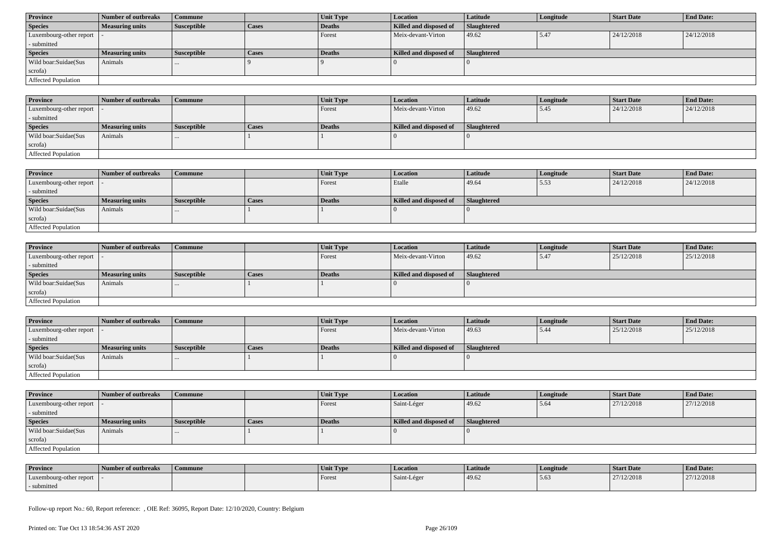| <b>Province</b>            | Number of outbreaks    | Commune            |              | Unit Type | <b>Location</b>        | <b>Latitude</b> | Longitude | <b>Start Date</b> | <b>End Date:</b> |  |
|----------------------------|------------------------|--------------------|--------------|-----------|------------------------|-----------------|-----------|-------------------|------------------|--|
| <b>Species</b>             | <b>Measuring units</b> | <b>Susceptible</b> | <b>Cases</b> | Deaths    | Killed and disposed of | Slaughtered     |           |                   |                  |  |
| Luxembourg-other report  - |                        |                    |              | Forest    | Meix-devant-Virton     | 49.62           | 5.47      | 24/12/2018        | 24/12/2018       |  |
| - submitted                |                        |                    |              |           |                        |                 |           |                   |                  |  |
| <b>Species</b>             | <b>Measuring units</b> | <b>Susceptible</b> | <b>Cases</b> | Deaths    | Killed and disposed of | Slaughtered     |           |                   |                  |  |
| Wild boar:Suidae(Sus       | Animals                | $\cdots$           |              |           |                        |                 |           |                   |                  |  |
| scrofa)                    |                        |                    |              |           |                        |                 |           |                   |                  |  |
| Affected Population        |                        |                    |              |           |                        |                 |           |                   |                  |  |

| <b>Province</b>             | 1 Number of outbreaks  | <b>Commune</b> |              | Unit Type | Location               | <b>Latitude</b> | Longitude | <b>Start Date</b> | <b>End Date:</b> |
|-----------------------------|------------------------|----------------|--------------|-----------|------------------------|-----------------|-----------|-------------------|------------------|
| Luxembourg-other report   - |                        |                |              | Forest    | Meix-devant-Virton     | 49.62           | l 5.45    | 24/12/2018        | 24/12/2018       |
| - submitted                 |                        |                |              |           |                        |                 |           |                   |                  |
| <b>Species</b>              | <b>Measuring units</b> | Susceptible    | <b>Cases</b> | Deaths    | Killed and disposed of | Slaughtered     |           |                   |                  |
| Wild boar:Suidae(Sus        | Animals                |                |              |           |                        |                 |           |                   |                  |
| scrofa)                     |                        |                |              |           |                        |                 |           |                   |                  |
| <b>Affected Population</b>  |                        |                |              |           |                        |                 |           |                   |                  |

| <b>Province</b>         | Number of outbreaks    | Commune            |              | Unit Type | <b>Location</b>        | <b>Latitude</b>    | Longitude | <b>Start Date</b> | <b>End Date:</b> |
|-------------------------|------------------------|--------------------|--------------|-----------|------------------------|--------------------|-----------|-------------------|------------------|
| Luxembourg-other report |                        |                    |              | Forest    | Etalle                 | 49.64              | 5.53      | 24/12/2018        | 24/12/2018       |
| - submitted             |                        |                    |              |           |                        |                    |           |                   |                  |
| <b>Species</b>          | <b>Measuring units</b> | <b>Susceptible</b> | <b>Cases</b> | Deaths    | Killed and disposed of | <b>Slaughtered</b> |           |                   |                  |
| Wild boar:Suidae(Sus    | Animals                | $\cdots$           |              |           |                        |                    |           |                   |                  |
| scrofa)                 |                        |                    |              |           |                        |                    |           |                   |                  |
| Affected Population     |                        |                    |              |           |                        |                    |           |                   |                  |

| <b>Province</b>            | Number of outbreaks    | <b>Commune</b>     |       | Unit Type | Location               | Latitude    | Longitude | <b>Start Date</b> | <b>End Date:</b> |
|----------------------------|------------------------|--------------------|-------|-----------|------------------------|-------------|-----------|-------------------|------------------|
| Luxembourg-other report  - |                        |                    |       | Forest    | Meix-devant-Virton     | 49.62       | 5.47      | 25/12/2018        | 25/12/2018       |
| - submitted                |                        |                    |       |           |                        |             |           |                   |                  |
| <b>Species</b>             | <b>Measuring units</b> | <b>Susceptible</b> | Cases | Deaths    | Killed and disposed of | Slaughtered |           |                   |                  |
| Wild boar:Suidae(Sus       | Animals                |                    |       |           |                        |             |           |                   |                  |
| scrofa)                    |                        |                    |       |           |                        |             |           |                   |                  |
| Affected Population        |                        |                    |       |           |                        |             |           |                   |                  |

| <b>Province</b>            | Number of outbreaks    | <b>Commune</b>     |              | Unit Type | Location               | Latitude    | Longitude | <b>Start Date</b> | <b>End Date:</b> |
|----------------------------|------------------------|--------------------|--------------|-----------|------------------------|-------------|-----------|-------------------|------------------|
| Luxembourg-other report  - |                        |                    |              | Forest    | Meix-devant-Virton     | 49.63       | 5.44      | 25/12/2018        | 25/12/2018       |
| - submitted                |                        |                    |              |           |                        |             |           |                   |                  |
| <b>Species</b>             | <b>Measuring units</b> | <b>Susceptible</b> | <b>Cases</b> | Deaths    | Killed and disposed of | Slaughtered |           |                   |                  |
| Wild boar:Suidae(Sus       | Animals                |                    |              |           |                        |             |           |                   |                  |
| scrofa)                    |                        |                    |              |           |                        |             |           |                   |                  |
| <b>Affected Population</b> |                        |                    |              |           |                        |             |           |                   |                  |

| <b>Province</b>            | Number of outbreaks | Commune            |       | Unit Type | <b>Location</b>        | <b>Latitude</b> | Longitude | <b>Start Date</b> | <b>End Date:</b> |
|----------------------------|---------------------|--------------------|-------|-----------|------------------------|-----------------|-----------|-------------------|------------------|
| Luxembourg-other report  - |                     |                    |       | Forest    | Saint-Léger            | 49.62           | 15.64     | 27/12/2018        | 27/12/2018       |
| - submitted                |                     |                    |       |           |                        |                 |           |                   |                  |
| <b>Species</b>             | Measuring units     | <b>Susceptible</b> | Cases | Deaths    | Killed and disposed of | Slaughtered     |           |                   |                  |
| Wild boar: Suidae (Sus     | Animals             | $\cdots$           |       |           |                        |                 |           |                   |                  |
| scrofa)                    |                     |                    |       |           |                        |                 |           |                   |                  |
| Affected Population        |                     |                    |       |           |                        |                 |           |                   |                  |

| <b>Province</b>         | Number of outbreaks | Commune | Unit Type | Location    | Latitude | Longitude | <b>Start Date</b> | <b>End Date:</b> |
|-------------------------|---------------------|---------|-----------|-------------|----------|-----------|-------------------|------------------|
| Luxembourg-other report |                     |         | Forest    | Saint-Léger | 49.62    |           | 27/12/2018        | 27/12/2018       |
| - submitted             |                     |         |           |             |          |           |                   |                  |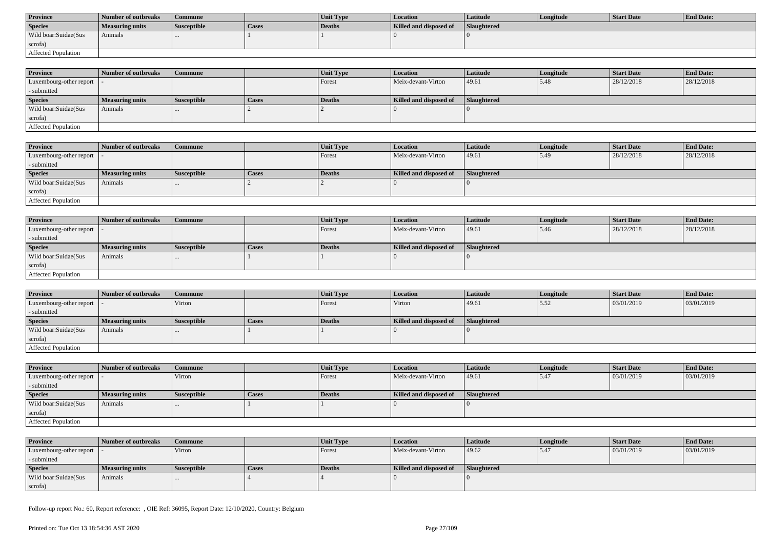| <b>Province</b>      | Number of outbreaks | Commune            |       | <b>Unit Type</b> | Location               | Latitude           | Longitude | Start Date | <b>End Date:</b> |
|----------------------|---------------------|--------------------|-------|------------------|------------------------|--------------------|-----------|------------|------------------|
| <b>Species</b>       | Measuring units     | <b>Susceptible</b> | Cases | Deaths           | Killed and disposed of | <b>Slaughtered</b> |           |            |                  |
| Wild boar:Suidae(Sus | Animals             |                    |       |                  |                        |                    |           |            |                  |
| scrofa)              |                     |                    |       |                  |                        |                    |           |            |                  |
| Affected Population  |                     |                    |       |                  |                        |                    |           |            |                  |

| <b>Province</b>            | Number of outbreaks | Commune            |              | <b>Unit Type</b> | <b>Location</b>        | <b>Latitude</b>    | Longitude | <b>Start Date</b> | <b>End Date:</b> |
|----------------------------|---------------------|--------------------|--------------|------------------|------------------------|--------------------|-----------|-------------------|------------------|
| Luxembourg-other report  - |                     |                    |              | Forest           | Meix-devant-Virton     | 49.61              | 5.48      | 28/12/2018        | 28/12/2018       |
| - submitted                |                     |                    |              |                  |                        |                    |           |                   |                  |
| <b>Species</b>             | Measuring units     | <b>Susceptible</b> | <b>Cases</b> | <b>Deaths</b>    | Killed and disposed of | <b>Slaughtered</b> |           |                   |                  |
| Wild boar:Suidae(Sus       | Animals             | $\cdots$           |              |                  |                        |                    |           |                   |                  |
| scrofa)                    |                     |                    |              |                  |                        |                    |           |                   |                  |
| Affected Population        |                     |                    |              |                  |                        |                    |           |                   |                  |

| <b>Province</b>         | Number of outbreaks    | <b>Commune</b>     |       | Unit Type | Location               | <b>Latitude</b> | Longitude | <b>Start Date</b> | <b>End Date:</b> |
|-------------------------|------------------------|--------------------|-------|-----------|------------------------|-----------------|-----------|-------------------|------------------|
| Luxembourg-other report |                        |                    |       | Forest    | Meix-devant-Virton     | 49.61           | 15.49     | 28/12/2018        | 28/12/2018       |
| - submitted             |                        |                    |       |           |                        |                 |           |                   |                  |
| <b>Species</b>          | <b>Measuring units</b> | <b>Susceptible</b> | Cases | Deaths    | Killed and disposed of | Slaughtered     |           |                   |                  |
| Wild boar:Suidae(Sus    | Animals                |                    |       |           |                        |                 |           |                   |                  |
| scrofa)                 |                        |                    |       |           |                        |                 |           |                   |                  |
| Affected Population     |                        |                    |       |           |                        |                 |           |                   |                  |

| <b>Province</b>             | Number of outbreaks    | <b>Commune</b>     |       | Unit Type | Location               | <b>Latitude</b> | Longitude | <b>Start Date</b> | <b>End Date:</b> |
|-----------------------------|------------------------|--------------------|-------|-----------|------------------------|-----------------|-----------|-------------------|------------------|
| Luxembourg-other report   - |                        |                    |       | Forest    | Meix-devant-Virton     | 49.61           | 5.46      | 28/12/2018        | 28/12/2018       |
| - submitted                 |                        |                    |       |           |                        |                 |           |                   |                  |
| <b>Species</b>              | <b>Measuring units</b> | <b>Susceptible</b> | Cases | Deaths    | Killed and disposed of | Slaughtered     |           |                   |                  |
| Wild boar:Suidae(Sus        | Animals                |                    |       |           |                        |                 |           |                   |                  |
| scrofa)                     |                        |                    |       |           |                        |                 |           |                   |                  |
| <b>Affected Population</b>  |                        |                    |       |           |                        |                 |           |                   |                  |

| <b>Province</b>            | Number of outbreaks    | Commune            |              | <b>Unit Type</b> | Location               | Latitude    | Longitude | <b>Start Date</b> | <b>End Date:</b> |
|----------------------------|------------------------|--------------------|--------------|------------------|------------------------|-------------|-----------|-------------------|------------------|
| Luxembourg-other report  - |                        | Virton             |              | Forest           | Virton                 | 49.61       | 5.52      | 03/01/2019        | 03/01/2019       |
| - submitted                |                        |                    |              |                  |                        |             |           |                   |                  |
| <b>Species</b>             | <b>Measuring units</b> | <b>Susceptible</b> | <b>Cases</b> | Deaths           | Killed and disposed of | Slaughtered |           |                   |                  |
| Wild boar:Suidae(Sus       | Animals                |                    |              |                  |                        |             |           |                   |                  |
| scrofa)                    |                        |                    |              |                  |                        |             |           |                   |                  |
| Affected Population        |                        |                    |              |                  |                        |             |           |                   |                  |

| <b>Province</b>                           | Number of outbreaks    | <b>Commune</b>     |       | <b>Unit Type</b> | <b>Location</b>        | <b>Latitude</b> | Longitude | <b>Start Date</b> | <b>End Date:</b> |
|-------------------------------------------|------------------------|--------------------|-------|------------------|------------------------|-----------------|-----------|-------------------|------------------|
| $\vert$ Luxembourg-other report $\vert$ . |                        | Virton             |       | Forest           | Meix-devant-Virton     | 49.61           | 5.47      | 03/01/2019        | 03/01/2019       |
| - submitted                               |                        |                    |       |                  |                        |                 |           |                   |                  |
| <b>Species</b>                            | <b>Measuring units</b> | <b>Susceptible</b> | Cases | Deaths           | Killed and disposed of | Slaughtered     |           |                   |                  |
| Wild boar:Suidae(Sus                      | Animals                | $\cdots$           |       |                  |                        |                 |           |                   |                  |
| scrofa)                                   |                        |                    |       |                  |                        |                 |           |                   |                  |
| Affected Population                       |                        |                    |       |                  |                        |                 |           |                   |                  |

| <b>Province</b>            | Number of outbreaks | Commune            |       | <b>Unit Type</b> | <b>Location</b>        | Latitude    | Longitude | Start Date | <b>End Date:</b> |
|----------------------------|---------------------|--------------------|-------|------------------|------------------------|-------------|-----------|------------|------------------|
| Luxembourg-other report  - |                     | Virton             |       | Forest           | Meix-devant-Virton     | 49.62       | 5.47      | 03/01/2019 | 03/01/2019       |
| - submitted                |                     |                    |       |                  |                        |             |           |            |                  |
| <b>Species</b>             | Measuring units     | <b>Susceptible</b> | Cases | Deaths           | Killed and disposed of | Slaughtered |           |            |                  |
| Wild boar:Suidae(Sus       | Animals             |                    |       |                  |                        |             |           |            |                  |
| scrofa)                    |                     |                    |       |                  |                        |             |           |            |                  |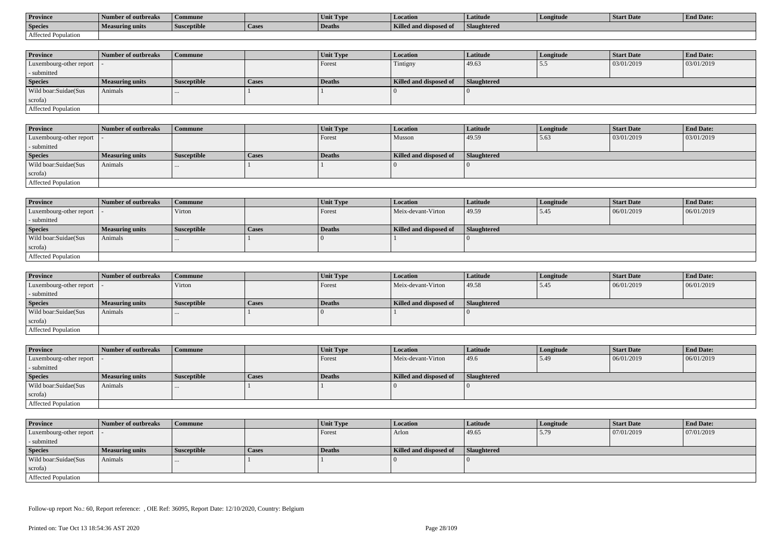| <b>Province</b>     | Number of outbreaks    | Commune            |                    | Unit Typ. | Location                             | Latitude    | Longitude | <b>Start Date</b> | <b>End Date:</b> |
|---------------------|------------------------|--------------------|--------------------|-----------|--------------------------------------|-------------|-----------|-------------------|------------------|
| <b>Species</b>      | <b>Measuring units</b> | <b>Susceptible</b> | <sup>1</sup> Cases | Deaths    | <b>Killed and disposy</b><br>™ od of | Slaughtered |           |                   |                  |
| Affected Population |                        |                    |                    |           |                                      |             |           |                   |                  |

| <b>Province</b>         | Number of outbreaks    | <b>Commune</b>     |              | Unit Type | <b>Location</b>        | <b>Latitude</b>    | Longitude | <b>Start Date</b> | <b>End Date:</b> |
|-------------------------|------------------------|--------------------|--------------|-----------|------------------------|--------------------|-----------|-------------------|------------------|
| Luxembourg-other report |                        |                    |              | Forest    | Tintigny               | 49.63              | .         | 03/01/2019        | 03/01/2019       |
| - submitted             |                        |                    |              |           |                        |                    |           |                   |                  |
| <b>Species</b>          | <b>Measuring units</b> | <b>Susceptible</b> | <b>Cases</b> | Deaths    | Killed and disposed of | <b>Slaughtered</b> |           |                   |                  |
| Wild boar:Suidae(Sus    | Animals                |                    |              |           |                        |                    |           |                   |                  |
| scrofa)                 |                        |                    |              |           |                        |                    |           |                   |                  |
| Affected Population     |                        |                    |              |           |                        |                    |           |                   |                  |

| <b>Province</b>             | Number of outbreaks | Commune            |              | Unit Type | Location               | Latitude    | Longitude | <b>Start Date</b> | <b>End Date:</b> |
|-----------------------------|---------------------|--------------------|--------------|-----------|------------------------|-------------|-----------|-------------------|------------------|
| Luxembourg-other report   - |                     |                    |              | Forest    | Musson                 | 49.59       | 5.63      | 03/01/2019        | 03/01/2019       |
| - submitted                 |                     |                    |              |           |                        |             |           |                   |                  |
| <b>Species</b>              | Measuring units     | <b>Susceptible</b> | <b>Cases</b> | Deaths    | Killed and disposed of | Slaughtered |           |                   |                  |
| Wild boar:Suidae(Sus        | Animals             |                    |              |           |                        |             |           |                   |                  |
| scrofa)                     |                     |                    |              |           |                        |             |           |                   |                  |
| <b>Affected Population</b>  |                     |                    |              |           |                        |             |           |                   |                  |

| <b>Province</b>            | Number of outbreaks    | <b>Commune</b>     |              | Unit Type | Location               | Latitude    | Longitude | <b>Start Date</b> | <b>End Date:</b> |
|----------------------------|------------------------|--------------------|--------------|-----------|------------------------|-------------|-----------|-------------------|------------------|
| Luxembourg-other report  - |                        | Virton             |              | Forest    | Meix-devant-Virton     | 49.59       | 5.45      | 06/01/2019        | 06/01/2019       |
| - submitted                |                        |                    |              |           |                        |             |           |                   |                  |
| <b>Species</b>             | <b>Measuring units</b> | <b>Susceptible</b> | <b>Cases</b> | Deaths    | Killed and disposed of | Slaughtered |           |                   |                  |
| Wild boar:Suidae(Sus       | Animals                |                    |              |           |                        |             |           |                   |                  |
| scrofa)                    |                        |                    |              |           |                        |             |           |                   |                  |
| Affected Population        |                        |                    |              |           |                        |             |           |                   |                  |

| <b>Province</b>            | Number of outbreaks | Commune            |       | Unit Type     | Location               | Latitude           | Longitude | <b>Start Date</b> | <b>End Date:</b> |
|----------------------------|---------------------|--------------------|-------|---------------|------------------------|--------------------|-----------|-------------------|------------------|
| Luxembourg-other report  - |                     | Virton             |       | Forest        | Meix-devant-Virton     | 49.58              | 5.45      | 06/01/2019        | 06/01/2019       |
| - submitted                |                     |                    |       |               |                        |                    |           |                   |                  |
| <b>Species</b>             | Measuring units     | <b>Susceptible</b> | Cases | <b>Deaths</b> | Killed and disposed of | <b>Slaughtered</b> |           |                   |                  |
| Wild boar:Suidae(Sus       | Animals             | $\cdots$           |       |               |                        |                    |           |                   |                  |
| scrofa)                    |                     |                    |       |               |                        |                    |           |                   |                  |
| Affected Population        |                     |                    |       |               |                        |                    |           |                   |                  |

| <b>Province</b>            | Number of outbreaks    | Commune            |       | Unit Type | <b>Location</b>        | <b>Latitude</b> | Longitude | <b>Start Date</b> | <b>End Date:</b> |
|----------------------------|------------------------|--------------------|-------|-----------|------------------------|-----------------|-----------|-------------------|------------------|
| Luxembourg-other report  - |                        |                    |       | Forest    | Meix-devant-Virton     | 49.6            | 5.49      | 06/01/2019        | 06/01/2019       |
| - submitted                |                        |                    |       |           |                        |                 |           |                   |                  |
| <b>Species</b>             | <b>Measuring units</b> | <b>Susceptible</b> | Cases | Deaths    | Killed and disposed of | Slaughtered     |           |                   |                  |
| Wild boar:Suidae(Sus       | Animals                | $\cdots$           |       |           |                        |                 |           |                   |                  |
| scrofa)                    |                        |                    |       |           |                        |                 |           |                   |                  |
| Affected Population        |                        |                    |       |           |                        |                 |           |                   |                  |

| <b>Province</b>            | Number of outbreaks    | <b>Commune</b>     |       | Unit Type     | Location               | <b>Latitude</b>    | Longitude | <b>Start Date</b> | <b>End Date:</b> |
|----------------------------|------------------------|--------------------|-------|---------------|------------------------|--------------------|-----------|-------------------|------------------|
| Luxembourg-other report  - |                        |                    |       | Forest        | Arlon                  | 49.65              | 5.79      | 07/01/2019        | 07/01/2019       |
| - submitted                |                        |                    |       |               |                        |                    |           |                   |                  |
| <b>Species</b>             | <b>Measuring units</b> | <b>Susceptible</b> | Cases | <b>Deaths</b> | Killed and disposed of | <b>Slaughtered</b> |           |                   |                  |
| Wild boar:Suidae(Sus       | Animals                | $\cdots$           |       |               |                        |                    |           |                   |                  |
| scrofa)                    |                        |                    |       |               |                        |                    |           |                   |                  |
| Affected Population        |                        |                    |       |               |                        |                    |           |                   |                  |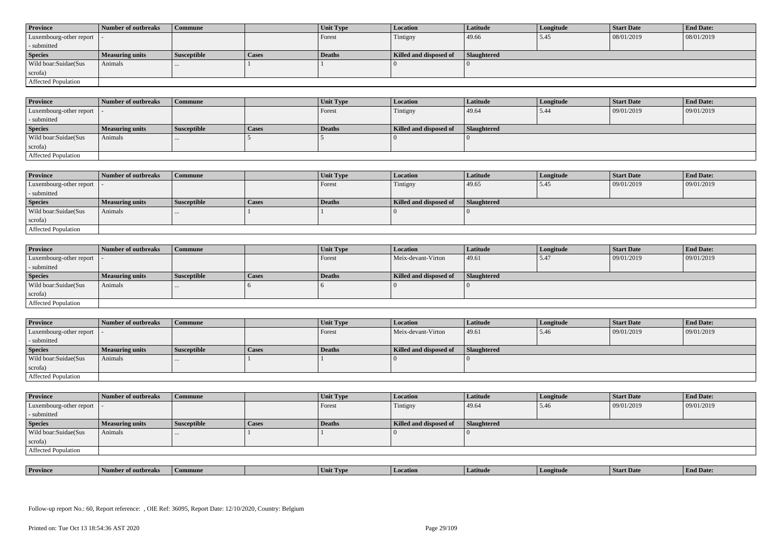| <b>Province</b>            | Number of outbreaks    | <b>Commune</b>     |              | Unit Type | Location               | <b>Latitude</b> | Longitude | <b>Start Date</b> | <b>End Date:</b> |
|----------------------------|------------------------|--------------------|--------------|-----------|------------------------|-----------------|-----------|-------------------|------------------|
| Luxembourg-other report  - |                        |                    |              | Forest    | Tintigny               | 49.66           | 5.45      | 08/01/2019        | 08/01/2019       |
| - submitted                |                        |                    |              |           |                        |                 |           |                   |                  |
| <b>Species</b>             | <b>Measuring units</b> | <b>Susceptible</b> | <b>Cases</b> | Deaths    | Killed and disposed of | Slaughtered     |           |                   |                  |
| Wild boar: Suidae (Sus     | Animals                |                    |              |           |                        |                 |           |                   |                  |
| scrofa)                    |                        |                    |              |           |                        |                 |           |                   |                  |
| Affected Population        |                        |                    |              |           |                        |                 |           |                   |                  |

| <b>Province</b>         | Number of outbreaks    | <b>Commune</b>     |       | Unit Type | <b>Location</b>        | Latitude    | Longitude | <b>Start Date</b> | <b>End Date:</b> |
|-------------------------|------------------------|--------------------|-------|-----------|------------------------|-------------|-----------|-------------------|------------------|
| Luxembourg-other report |                        |                    |       | Forest    | Tintigny               | 49.64       | 5.44      | 09/01/2019        | 09/01/2019       |
| - submitted             |                        |                    |       |           |                        |             |           |                   |                  |
| <b>Species</b>          | <b>Measuring units</b> | <b>Susceptible</b> | Cases | Deaths    | Killed and disposed of | Slaughtered |           |                   |                  |
| Wild boar:Suidae(Sus    | Animals                | $\cdots$           |       |           |                        |             |           |                   |                  |
| scrofa)                 |                        |                    |       |           |                        |             |           |                   |                  |
| Affected Population     |                        |                    |       |           |                        |             |           |                   |                  |

| <b>Province</b>         | Number of outbreaks    | Commune            |       | Unit Type | Location               | Latitude    | Longitude | <b>Start Date</b> | <b>End Date:</b> |
|-------------------------|------------------------|--------------------|-------|-----------|------------------------|-------------|-----------|-------------------|------------------|
| Luxembourg-other report |                        |                    |       | Forest    | Tintigny               | 49.65       | 5.45      | 09/01/2019        | 09/01/2019       |
| - submitted             |                        |                    |       |           |                        |             |           |                   |                  |
| <b>Species</b>          | <b>Measuring units</b> | <b>Susceptible</b> | Cases | Deaths    | Killed and disposed of | Slaughtered |           |                   |                  |
| Wild boar:Suidae(Sus    | Animals                | $\cdots$           |       |           |                        |             |           |                   |                  |
| scrofa)                 |                        |                    |       |           |                        |             |           |                   |                  |
| Affected Population     |                        |                    |       |           |                        |             |           |                   |                  |

| <b>Province</b>            | Number of outbreaks    | Commune            |              | <b>Unit Type</b> | <b>Location</b>        | Latitude    | Longitude | <b>Start Date</b> | <b>End Date:</b> |
|----------------------------|------------------------|--------------------|--------------|------------------|------------------------|-------------|-----------|-------------------|------------------|
| Luxembourg-other report  - |                        |                    |              | Forest           | Meix-devant-Virton     | 49.61       | 15.47     | 09/01/2019        | 09/01/2019       |
| - submitted                |                        |                    |              |                  |                        |             |           |                   |                  |
| <b>Species</b>             | <b>Measuring units</b> | <b>Susceptible</b> | <b>Cases</b> | <b>Deaths</b>    | Killed and disposed of | Slaughtered |           |                   |                  |
| Wild boar:Suidae(Sus       | Animals                |                    |              |                  |                        |             |           |                   |                  |
| scrofa)                    |                        |                    |              |                  |                        |             |           |                   |                  |
| Affected Population        |                        |                    |              |                  |                        |             |           |                   |                  |

| <b>Province</b>            | Number of outbreaks | Commune            |       | Unit Type | <b>Location</b>        | Latitude           | Longitude | <b>Start Date</b> | <b>End Date:</b> |
|----------------------------|---------------------|--------------------|-------|-----------|------------------------|--------------------|-----------|-------------------|------------------|
| Luxembourg-other report  - |                     |                    |       | Forest    | Meix-devant-Virton     | 49.61              | 15.46     | 09/01/2019        | 09/01/2019       |
| - submitted                |                     |                    |       |           |                        |                    |           |                   |                  |
| <b>Species</b>             | Measuring units     | <b>Susceptible</b> | Cases | Deaths    | Killed and disposed of | <b>Slaughtered</b> |           |                   |                  |
| Wild boar:Suidae(Sus       | Animals             | $\cdots$           |       |           |                        |                    |           |                   |                  |
|                            |                     |                    |       |           |                        |                    |           |                   |                  |
| scrofa)                    |                     |                    |       |           |                        |                    |           |                   |                  |

| <b>Province</b>            | Number of outbreaks    | <b>Commune</b>     |              | Unit Type | <b>Location</b>        | <b>Latitude</b>    | Longitude | <b>Start Date</b> | <b>End Date:</b> |
|----------------------------|------------------------|--------------------|--------------|-----------|------------------------|--------------------|-----------|-------------------|------------------|
| Luxembourg-other report  - |                        |                    |              | Forest    | Tintigny               | 49.64              | 5.46      | 09/01/2019        | 09/01/2019       |
| - submitted                |                        |                    |              |           |                        |                    |           |                   |                  |
| <b>Species</b>             | <b>Measuring units</b> | <b>Susceptible</b> | <b>Cases</b> | Deaths    | Killed and disposed of | <b>Slaughtered</b> |           |                   |                  |
| Wild boar:Suidae(Sus       | Animals                |                    |              |           |                        |                    |           |                   |                  |
| scrofa)                    |                        |                    |              |           |                        |                    |           |                   |                  |
| Affected Population        |                        |                    |              |           |                        |                    |           |                   |                  |

| <b>Province</b> | rnreak: | amune | - I vn<br>Unit | Latitud | neıtude | <b>Start Date</b> | $\mathbf{r}$<br>d Date:<br>- H'm. |
|-----------------|---------|-------|----------------|---------|---------|-------------------|-----------------------------------|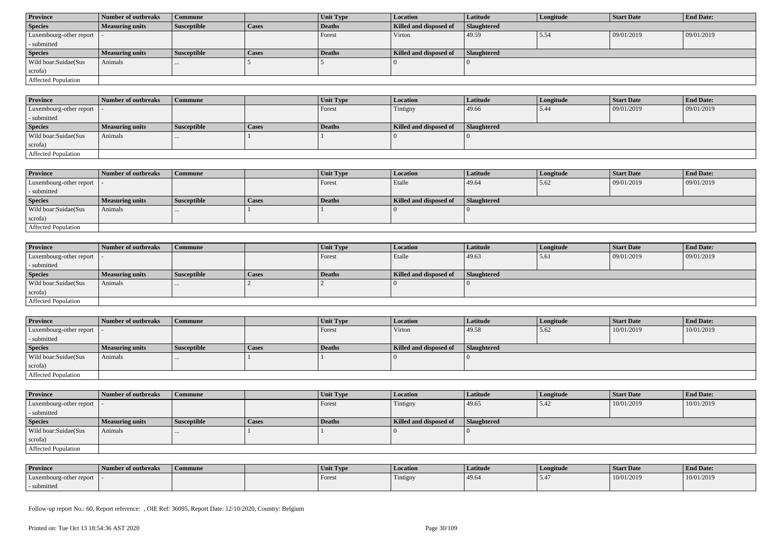| <b>Province</b>            | Number of outbreaks    | Commune            |              | Unit Type | <b>Location</b>        | <b>Latitude</b>    | Longitude | <b>Start Date</b> | <b>End Date:</b> |
|----------------------------|------------------------|--------------------|--------------|-----------|------------------------|--------------------|-----------|-------------------|------------------|
| <b>Species</b>             | <b>Measuring units</b> | <b>Susceptible</b> | <b>Cases</b> | Deaths    | Killed and disposed of | <b>Slaughtered</b> |           |                   |                  |
| Luxembourg-other report  - |                        |                    |              | Forest    | Virton                 | 49.59              | 5.54      | 09/01/2019        | 09/01/2019       |
| - submitted                |                        |                    |              |           |                        |                    |           |                   |                  |
| <b>Species</b>             | <b>Measuring units</b> | <b>Susceptible</b> | <b>Cases</b> | Deaths    | Killed and disposed of | Slaughtered        |           |                   |                  |
| Wild boar:Suidae(Sus       | Animals                | $\cdots$           |              |           |                        |                    |           |                   |                  |
| scrofa)                    |                        |                    |              |           |                        |                    |           |                   |                  |
|                            |                        |                    |              |           |                        |                    |           |                   |                  |

| <b>Province</b>             | Number of outbreaks    | Commune            |       | Unit Type     | Location               | <b>Latitude</b>    | Longitude | <b>Start Date</b> | <b>End Date:</b> |
|-----------------------------|------------------------|--------------------|-------|---------------|------------------------|--------------------|-----------|-------------------|------------------|
| Luxembourg-other report   - |                        |                    |       | Forest        | Tintigny               | 49.66              | 5.44      | 09/01/2019        | 09/01/2019       |
| - submitted                 |                        |                    |       |               |                        |                    |           |                   |                  |
| <b>Species</b>              | <b>Measuring units</b> | <b>Susceptible</b> | Cases | <b>Deaths</b> | Killed and disposed of | <b>Slaughtered</b> |           |                   |                  |
| Wild boar:Suidae(Sus        | Animals                | $\cdots$           |       |               |                        |                    |           |                   |                  |
| scrofa)                     |                        |                    |       |               |                        |                    |           |                   |                  |
| <b>Affected Population</b>  |                        |                    |       |               |                        |                    |           |                   |                  |

| <b>Province</b>         | Number of outbreaks    | Commune            |              | Unit Type | <b>Location</b>        | <b>Latitude</b>    | Longitude | <b>Start Date</b> | <b>End Date:</b> |
|-------------------------|------------------------|--------------------|--------------|-----------|------------------------|--------------------|-----------|-------------------|------------------|
| Luxembourg-other report |                        |                    |              | Forest    | Etalle                 | 49.64              | 5.62      | 09/01/2019        | 09/01/2019       |
| - submitted             |                        |                    |              |           |                        |                    |           |                   |                  |
| <b>Species</b>          | <b>Measuring units</b> | <b>Susceptible</b> | <b>Cases</b> | Deaths    | Killed and disposed of | <b>Slaughtered</b> |           |                   |                  |
| Wild boar:Suidae(Sus    | Animals                | $\cdots$           |              |           |                        |                    |           |                   |                  |
| scrofa)                 |                        |                    |              |           |                        |                    |           |                   |                  |
| Affected Population     |                        |                    |              |           |                        |                    |           |                   |                  |

| Province                   | Number of outbreaks    | <b>Commune</b>     |       | Unit Type | Location               | Latitude    | Longitude | <b>Start Date</b> | <b>End Date:</b> |
|----------------------------|------------------------|--------------------|-------|-----------|------------------------|-------------|-----------|-------------------|------------------|
| Luxembourg-other report  - |                        |                    |       | Forest    | Etalle                 | 49.63       | 5.61      | 09/01/2019        | 09/01/2019       |
| - submitted                |                        |                    |       |           |                        |             |           |                   |                  |
| <b>Species</b>             | <b>Measuring units</b> | <b>Susceptible</b> | Cases | Deaths    | Killed and disposed of | Slaughtered |           |                   |                  |
| Wild boar:Suidae(Sus       | Animals                |                    |       |           |                        |             |           |                   |                  |
| scrofa)                    |                        |                    |       |           |                        |             |           |                   |                  |
| Affected Population        |                        |                    |       |           |                        |             |           |                   |                  |

| <b>Province</b>            | Number of outbreaks    | <b>Commune</b>     |              | Unit Type | Location               | Latitude           | Longitude | <b>Start Date</b> | <b>End Date:</b> |
|----------------------------|------------------------|--------------------|--------------|-----------|------------------------|--------------------|-----------|-------------------|------------------|
| Luxembourg-other report  - |                        |                    |              | Forest    | Virton                 | 49.58              | 5.62      | 10/01/2019        | 10/01/2019       |
| - submitted                |                        |                    |              |           |                        |                    |           |                   |                  |
| <b>Species</b>             | <b>Measuring units</b> | <b>Susceptible</b> | <b>Cases</b> | Deaths    | Killed and disposed of | <b>Slaughtered</b> |           |                   |                  |
| Wild boar:Suidae(Sus       | Animals                |                    |              |           |                        |                    |           |                   |                  |
| scrofa)                    |                        |                    |              |           |                        |                    |           |                   |                  |
|                            |                        |                    |              |           |                        |                    |           |                   |                  |

| <b>Province</b>            | Number of outbreaks    | Commune            |              | <b>Unit Type</b> | <b>Location</b>        | <b>Latitude</b>    | Longitude | <b>Start Date</b> | <b>End Date:</b> |
|----------------------------|------------------------|--------------------|--------------|------------------|------------------------|--------------------|-----------|-------------------|------------------|
| Luxembourg-other report  - |                        |                    |              | Forest           | Tintigny               | 49.65              | 5.42      | 10/01/2019        | 10/01/2019       |
| - submitted                |                        |                    |              |                  |                        |                    |           |                   |                  |
| <b>Species</b>             | <b>Measuring units</b> | <b>Susceptible</b> | <b>Cases</b> | Deaths           | Killed and disposed of | <b>Slaughtered</b> |           |                   |                  |
|                            |                        |                    |              |                  |                        |                    |           |                   |                  |
| Wild boar:Suidae(Sus       | Animals                |                    |              |                  |                        |                    |           |                   |                  |
| scrofa)                    |                        |                    |              |                  |                        |                    |           |                   |                  |

| <b>Province</b>         | Number of outbreaks | Commune | Unit Type | Location | Latitude | Longitude | Start Date | <b>End Date:</b> |
|-------------------------|---------------------|---------|-----------|----------|----------|-----------|------------|------------------|
| Luxembourg-other report |                     |         | Forest    | Tintigny | 49.64    |           | 10/01/2019 | 10/01/2019       |
| submitted               |                     |         |           |          |          |           |            |                  |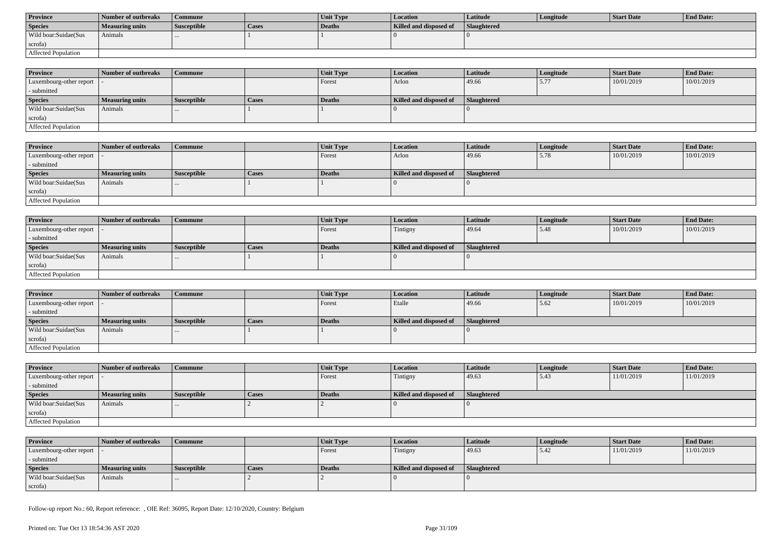| <b>Province</b>      | Number of outbreaks | Commune            |       | <b>Unit Type</b> | Location               | Latitude           | Longitude | Start Date | <b>End Date:</b> |
|----------------------|---------------------|--------------------|-------|------------------|------------------------|--------------------|-----------|------------|------------------|
| <b>Species</b>       | Measuring units     | <b>Susceptible</b> | Cases | Deaths           | Killed and disposed of | <b>Slaughtered</b> |           |            |                  |
| Wild boar:Suidae(Sus | Animals             |                    |       |                  |                        |                    |           |            |                  |
| scrofa)              |                     |                    |       |                  |                        |                    |           |            |                  |
| Affected Population  |                     |                    |       |                  |                        |                    |           |            |                  |

| <b>Province</b>                             | Number of outbreaks | <b>Commune</b>     |              | <b>Unit Type</b> | <b>Location</b>        | <b>Latitude</b>    | Longitude | <b>Start Date</b> | <b>End Date:</b> |
|---------------------------------------------|---------------------|--------------------|--------------|------------------|------------------------|--------------------|-----------|-------------------|------------------|
| Luxembourg-other report $\vert \cdot \vert$ |                     |                    |              | Forest           | Arlon                  | 49.66              | 5.77      | 10/01/2019        | 10/01/2019       |
| - submitted                                 |                     |                    |              |                  |                        |                    |           |                   |                  |
| <b>Species</b>                              | Measuring units     | <b>Susceptible</b> | <b>Cases</b> | <b>Deaths</b>    | Killed and disposed of | <b>Slaughtered</b> |           |                   |                  |
| Wild boar:Suidae(Sus                        | Animals             | $\cdots$           |              |                  |                        |                    |           |                   |                  |
| scrofa)                                     |                     |                    |              |                  |                        |                    |           |                   |                  |
| Affected Population                         |                     |                    |              |                  |                        |                    |           |                   |                  |

| <b>Province</b>         | Number of outbreaks | <b>Commune</b>     |       | Unit Type | <i>Location</i>        | Latitude    | Longitude | <b>Start Date</b> | <b>End Date:</b> |
|-------------------------|---------------------|--------------------|-------|-----------|------------------------|-------------|-----------|-------------------|------------------|
| Luxembourg-other report |                     |                    |       | Forest    | Arlon                  | 49.66       | 15.78     | 10/01/2019        | 10/01/2019       |
| - submitted             |                     |                    |       |           |                        |             |           |                   |                  |
| <b>Species</b>          | Measuring units     | <b>Susceptible</b> | Cases | Deaths    | Killed and disposed of | Slaughtered |           |                   |                  |
| Wild boar:Suidae(Sus    | Animals             |                    |       |           |                        |             |           |                   |                  |
| scrofa)                 |                     |                    |       |           |                        |             |           |                   |                  |
| Affected Population     |                     |                    |       |           |                        |             |           |                   |                  |

| <b>Province</b>            | Number of outbreaks    | Commune            |              | Unit Type | Location               | <b>Latitude</b> | Longitude | <b>Start Date</b> | <b>End Date:</b> |
|----------------------------|------------------------|--------------------|--------------|-----------|------------------------|-----------------|-----------|-------------------|------------------|
| Luxembourg-other report  - |                        |                    |              | Forest    | Tintigny               | 49.64           | 5.48      | 10/01/2019        | 10/01/2019       |
| - submitted                |                        |                    |              |           |                        |                 |           |                   |                  |
| <b>Species</b>             | <b>Measuring units</b> | <b>Susceptible</b> | <b>Cases</b> | Deaths    | Killed and disposed of | Slaughtered     |           |                   |                  |
| Wild boar:Suidae(Sus       | Animals                | $\cdots$           |              |           |                        |                 |           |                   |                  |
| scrofa)                    |                        |                    |              |           |                        |                 |           |                   |                  |
| Affected Population        |                        |                    |              |           |                        |                 |           |                   |                  |

| <b>Province</b>            | Number of outbreaks    | Commune            |       | Unit Type     | <i>Location</i>        | <b>Latitude</b>    | Longitude | <b>Start Date</b> | <b>End Date:</b> |
|----------------------------|------------------------|--------------------|-------|---------------|------------------------|--------------------|-----------|-------------------|------------------|
| Luxembourg-other report  - |                        |                    |       | <b>Forest</b> | Etalle                 | 49.66              | 15.62     | 10/01/2019        | 10/01/2019       |
| - submitted                |                        |                    |       |               |                        |                    |           |                   |                  |
| <b>Species</b>             | <b>Measuring units</b> | <b>Susceptible</b> | Cases | Deaths        | Killed and disposed of | <b>Slaughtered</b> |           |                   |                  |
| Wild boar: Suidae (Sus     | Animals                | $\cdots$           |       |               |                        |                    |           |                   |                  |
| scrofa)                    |                        |                    |       |               |                        |                    |           |                   |                  |
| Affected Population        |                        |                    |       |               |                        |                    |           |                   |                  |

| <b>Province</b>            | Number of outbreaks    | <b>Commune</b>     |              | <b>Unit Type</b> | <b>Location</b>        | <b>Latitude</b> | Longitude | <b>Start Date</b> | <b>End Date:</b> |
|----------------------------|------------------------|--------------------|--------------|------------------|------------------------|-----------------|-----------|-------------------|------------------|
| Luxembourg-other report  - |                        |                    |              | Forest           | Tintigny               | 49.63           | 5.43      | 11/01/2019        | 11/01/2019       |
| - submitted                |                        |                    |              |                  |                        |                 |           |                   |                  |
| <b>Species</b>             | <b>Measuring units</b> | <b>Susceptible</b> | <b>Cases</b> | Deaths           | Killed and disposed of | Slaughtered     |           |                   |                  |
| Wild boar:Suidae(Sus       | Animals                | $\cdots$           |              |                  |                        |                 |           |                   |                  |
| scrofa)                    |                        |                    |              |                  |                        |                 |           |                   |                  |
| Affected Population        |                        |                    |              |                  |                        |                 |           |                   |                  |

| <b>Province</b>            | Number of outbreaks | Commune            |       | <b>Unit Type</b> | <b>Location</b>        | Latitude    | Longitude | Start Date | <b>End Date:</b> |
|----------------------------|---------------------|--------------------|-------|------------------|------------------------|-------------|-----------|------------|------------------|
| Luxembourg-other report  - |                     |                    |       | Forest           | Tintigny               | 49.63       | 5.42      | 11/01/2019 | 11/01/2019       |
| - submitted                |                     |                    |       |                  |                        |             |           |            |                  |
| <b>Species</b>             | Measuring units     | <b>Susceptible</b> | Cases | Deaths           | Killed and disposed of | Slaughtered |           |            |                  |
| Wild boar:Suidae(Sus       | Animals             |                    |       |                  |                        |             |           |            |                  |
| scrofa)                    |                     |                    |       |                  |                        |             |           |            |                  |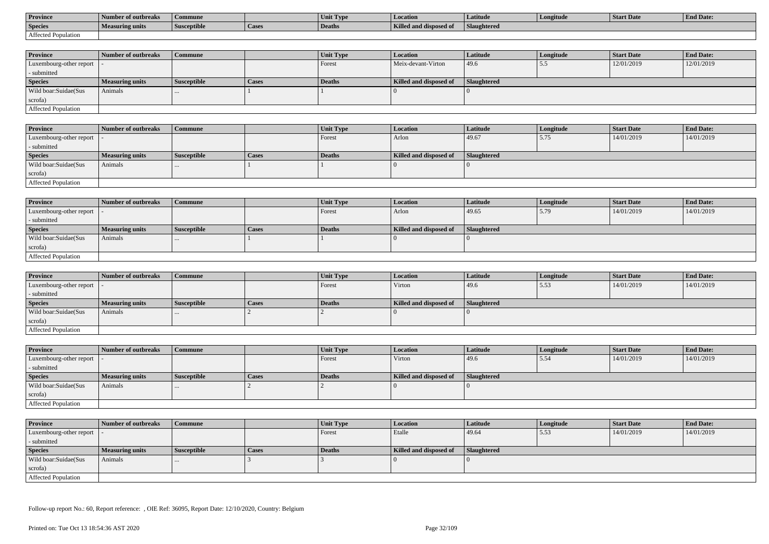| <b>Province</b>     | Number of outbreaks    | Commune            |                | Unit Type     | Location               | Latitude    | Longitude | <b>Start Date</b> | <b>End Date:</b> |
|---------------------|------------------------|--------------------|----------------|---------------|------------------------|-------------|-----------|-------------------|------------------|
| <b>Species</b>      | <b>Measuring units</b> | <b>Susceptible</b> | <b>L</b> Lasco | <b>Deaths</b> | Killed and disposed of | Slaughtered |           |                   |                  |
| Affected Population |                        |                    |                |               |                        |             |           |                   |                  |

| <b>Province</b>         | Number of outbreaks    | Commune            |              | Unit Type | Location               | Latitude    | Longitude | <b>Start Date</b> | <b>End Date:</b> |
|-------------------------|------------------------|--------------------|--------------|-----------|------------------------|-------------|-----------|-------------------|------------------|
| Luxembourg-other report |                        |                    |              | Forest    | Meix-devant-Virton     | 49.6        | J         | 12/01/2019        | 12/01/2019       |
| - submitted             |                        |                    |              |           |                        |             |           |                   |                  |
| <b>Species</b>          | <b>Measuring units</b> | <b>Susceptible</b> | <b>Cases</b> | Deaths    | Killed and disposed of | Slaughtered |           |                   |                  |
| Wild boar:Suidae(Sus    | Animals                |                    |              |           |                        |             |           |                   |                  |
| scrofa)                 |                        |                    |              |           |                        |             |           |                   |                  |
| Affected Population     |                        |                    |              |           |                        |             |           |                   |                  |

| <b>Province</b>            | Number of outbreaks | Commune            |              | <b>Unit Type</b> | Location               | Latitude    | Longitude | <b>Start Date</b> | <b>End Date:</b> |
|----------------------------|---------------------|--------------------|--------------|------------------|------------------------|-------------|-----------|-------------------|------------------|
| Luxembourg-other report  - |                     |                    |              | Forest           | Arlon                  | 49.67       | 5.75      | 14/01/2019        | 14/01/2019       |
| - submitted                |                     |                    |              |                  |                        |             |           |                   |                  |
| <b>Species</b>             | Measuring units     | <b>Susceptible</b> | <b>Cases</b> | Deaths           | Killed and disposed of | Slaughtered |           |                   |                  |
| Wild boar:Suidae(Sus       | Animals             |                    |              |                  |                        |             |           |                   |                  |
| scrofa)                    |                     |                    |              |                  |                        |             |           |                   |                  |
| Affected Population        |                     |                    |              |                  |                        |             |           |                   |                  |

| <b>Province</b>            | Number of outbreaks    | <b>Commune</b>     |              | Unit Type | Location               | Latitude    | Longitude | <b>Start Date</b> | <b>End Date:</b> |
|----------------------------|------------------------|--------------------|--------------|-----------|------------------------|-------------|-----------|-------------------|------------------|
| Luxembourg-other report  - |                        |                    |              | Forest    | Arlon                  | 49.65       | 5.79      | 14/01/2019        | 14/01/2019       |
| - submitted                |                        |                    |              |           |                        |             |           |                   |                  |
| <b>Species</b>             | <b>Measuring units</b> | <b>Susceptible</b> | <b>Cases</b> | Deaths    | Killed and disposed of | Slaughtered |           |                   |                  |
| Wild boar:Suidae(Sus       | Animals                |                    |              |           |                        |             |           |                   |                  |
| scrofa)                    |                        |                    |              |           |                        |             |           |                   |                  |
| Affected Population        |                        |                    |              |           |                        |             |           |                   |                  |

| <b>Province</b>         | Number of outbreaks    | <b>Commune</b>     |              | Unit Type | <i>Location</i>        | <b>Latitude</b> | Longitude | <b>Start Date</b> | <b>End Date:</b> |
|-------------------------|------------------------|--------------------|--------------|-----------|------------------------|-----------------|-----------|-------------------|------------------|
| Luxembourg-other report |                        |                    |              | Forest    | Virton                 | 49.6            | 15.53     | 14/01/2019        | 14/01/2019       |
| - submitted             |                        |                    |              |           |                        |                 |           |                   |                  |
| <b>Species</b>          | <b>Measuring units</b> | <b>Susceptible</b> | <b>Cases</b> | Deaths    | Killed and disposed of | Slaughtered     |           |                   |                  |
| Wild boar:Suidae(Sus    | Animals                | $\cdots$           |              |           |                        |                 |           |                   |                  |
| scrofa)                 |                        |                    |              |           |                        |                 |           |                   |                  |
| Affected Population     |                        |                    |              |           |                        |                 |           |                   |                  |

| <b>Province</b>            | Number of outbreaks    | <b>Commune</b>     |       | Unit Type     | <b>Location</b>        | <b>Latitude</b> | Longitude | <b>Start Date</b> | <b>End Date:</b> |
|----------------------------|------------------------|--------------------|-------|---------------|------------------------|-----------------|-----------|-------------------|------------------|
| Luxembourg-other report    |                        |                    |       | <b>Forest</b> | Virton                 | 49.6            | 15.54     | 14/01/2019        | 14/01/2019       |
| - submitted                |                        |                    |       |               |                        |                 |           |                   |                  |
| <b>Species</b>             | <b>Measuring units</b> | <b>Susceptible</b> | Cases | Deaths        | Killed and disposed of | Slaughtered     |           |                   |                  |
| Wild boar:Suidae(Sus       | Animals                |                    |       |               |                        |                 |           |                   |                  |
| scrofa)                    |                        |                    |       |               |                        |                 |           |                   |                  |
| <b>Affected Population</b> |                        |                    |       |               |                        |                 |           |                   |                  |

| <b>Province</b>            | Number of outbreaks | <b>Commune</b>     |              | Unit Type | Location               | <b>Latitude</b>    | Longitude | <b>Start Date</b> | <b>End Date:</b> |
|----------------------------|---------------------|--------------------|--------------|-----------|------------------------|--------------------|-----------|-------------------|------------------|
| Luxembourg-other report  - |                     |                    |              | Forest    | Etalle                 | 49.64              | 5.53      | 14/01/2019        | 14/01/2019       |
| - submitted                |                     |                    |              |           |                        |                    |           |                   |                  |
| <b>Species</b>             | Measuring units     | <b>Susceptible</b> | <b>Cases</b> | Deaths    | Killed and disposed of | <b>Slaughtered</b> |           |                   |                  |
| Wild boar:Suidae(Sus       | Animals             | $\cdots$           |              |           |                        |                    |           |                   |                  |
| scrofa)                    |                     |                    |              |           |                        |                    |           |                   |                  |
| Affected Population        |                     |                    |              |           |                        |                    |           |                   |                  |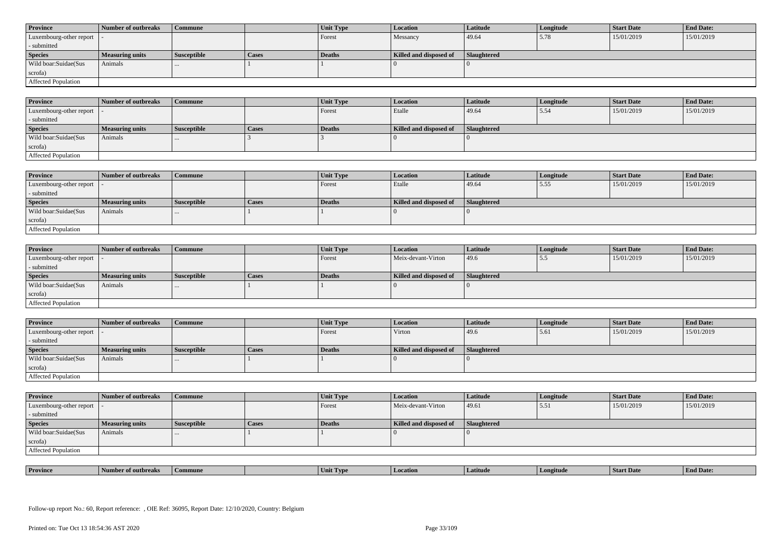| <b>Province</b>            | Number of outbreaks    | <b>Commune</b>     |              | Unit Type | Location               | <b>Latitude</b> | Longitude | <b>Start Date</b> | <b>End Date:</b> |
|----------------------------|------------------------|--------------------|--------------|-----------|------------------------|-----------------|-----------|-------------------|------------------|
| Luxembourg-other report  - |                        |                    |              | Forest    | Messancy               | 49.64           | 5.78      | 15/01/2019        | 15/01/2019       |
| - submitted                |                        |                    |              |           |                        |                 |           |                   |                  |
| <b>Species</b>             | <b>Measuring units</b> | <b>Susceptible</b> | <b>Cases</b> | Deaths    | Killed and disposed of | Slaughtered     |           |                   |                  |
| Wild boar:Suidae(Sus       | Animals                |                    |              |           |                        |                 |           |                   |                  |
| scrofa)                    |                        |                    |              |           |                        |                 |           |                   |                  |
| Affected Population        |                        |                    |              |           |                        |                 |           |                   |                  |

| <b>Province</b>         | Number of outbreaks    | <b>Commune</b>     |       | Unit Type | <b>Location</b>        | Latitude    | Longitude | <b>Start Date</b> | <b>End Date:</b> |
|-------------------------|------------------------|--------------------|-------|-----------|------------------------|-------------|-----------|-------------------|------------------|
| Luxembourg-other report |                        |                    |       | Forest    | Etalle                 | 49.64       | 15.54     | 15/01/2019        | 15/01/2019       |
| - submitted             |                        |                    |       |           |                        |             |           |                   |                  |
| <b>Species</b>          | <b>Measuring units</b> | <b>Susceptible</b> | Cases | Deaths    | Killed and disposed of | Slaughtered |           |                   |                  |
| Wild boar:Suidae(Sus    | Animals                | $\cdots$           |       |           |                        |             |           |                   |                  |
| scrofa)                 |                        |                    |       |           |                        |             |           |                   |                  |
| Affected Population     |                        |                    |       |           |                        |             |           |                   |                  |

| <b>Province</b>         | Number of outbreaks    | Commune            |       | Unit Type | Location               | Latitude    | Longitude | <b>Start Date</b> | <b>End Date:</b> |
|-------------------------|------------------------|--------------------|-------|-----------|------------------------|-------------|-----------|-------------------|------------------|
| Luxembourg-other report |                        |                    |       | Forest    | Etalle                 | 49.64       | 5.55      | 15/01/2019        | 15/01/2019       |
| - submitted             |                        |                    |       |           |                        |             |           |                   |                  |
| <b>Species</b>          | <b>Measuring units</b> | <b>Susceptible</b> | Cases | Deaths    | Killed and disposed of | Slaughtered |           |                   |                  |
| Wild boar:Suidae(Sus    | Animals                | $\cdots$           |       |           |                        |             |           |                   |                  |
| scrofa)                 |                        |                    |       |           |                        |             |           |                   |                  |
| Affected Population     |                        |                    |       |           |                        |             |           |                   |                  |

| <b>Province</b>            | Number of outbreaks    | Commune            |       | Unit Type     | <b>Location</b>        | <b>Latitude</b> | Longitude | <b>Start Date</b> | <b>End Date:</b> |
|----------------------------|------------------------|--------------------|-------|---------------|------------------------|-----------------|-----------|-------------------|------------------|
| Luxembourg-other report  - |                        |                    |       | Forest        | Meix-devant-Virton     | 49.6            | 5.5       | 15/01/2019        | 15/01/2019       |
| - submitted                |                        |                    |       |               |                        |                 |           |                   |                  |
| <b>Species</b>             | <b>Measuring units</b> | <b>Susceptible</b> | Cases | <b>Deaths</b> | Killed and disposed of | Slaughtered     |           |                   |                  |
| Wild boar:Suidae(Sus       | Animals                |                    |       |               |                        |                 |           |                   |                  |
| scrofa)                    |                        |                    |       |               |                        |                 |           |                   |                  |
| Affected Population        |                        |                    |       |               |                        |                 |           |                   |                  |

| <b>Province</b>            | Number of outbreaks | Commune            |       | Unit Type | <b>Location</b>        | <b>Latitude</b>    | Longitude | <b>Start Date</b> | <b>End Date:</b> |
|----------------------------|---------------------|--------------------|-------|-----------|------------------------|--------------------|-----------|-------------------|------------------|
| Luxembourg-other report  - |                     |                    |       | Forest    | Virton                 | 49.6               | 5.61      | 15/01/2019        | 15/01/2019       |
| - submitted                |                     |                    |       |           |                        |                    |           |                   |                  |
| <b>Species</b>             | Measuring units     | <b>Susceptible</b> | Cases | Deaths    | Killed and disposed of | <b>Slaughtered</b> |           |                   |                  |
|                            |                     |                    |       |           |                        |                    |           |                   |                  |
| Wild boar:Suidae(Sus       | Animals             | $\cdots$           |       |           |                        |                    |           |                   |                  |
| scrofa)                    |                     |                    |       |           |                        |                    |           |                   |                  |

| <b>Province</b>            | Number of outbreaks | <b>Commune</b>     |              | Unit Type | Location               | Latitude    | Longitude | <b>Start Date</b> | <b>End Date:</b> |
|----------------------------|---------------------|--------------------|--------------|-----------|------------------------|-------------|-----------|-------------------|------------------|
| Luxembourg-other report  - |                     |                    |              | Forest    | Meix-devant-Virton     | 49.61       | 5.51      | 15/01/2019        | 15/01/2019       |
| - submitted                |                     |                    |              |           |                        |             |           |                   |                  |
| <b>Species</b>             | Measuring units     | <b>Susceptible</b> | <b>Cases</b> | Deaths    | Killed and disposed of | Slaughtered |           |                   |                  |
| Wild boar:Suidae(Sus       | Animals             | $\cdots$           |              |           |                        |             |           |                   |                  |
| scrofa)                    |                     |                    |              |           |                        |             |           |                   |                  |
| Affected Population        |                     |                    |              |           |                        |             |           |                   |                  |

| <b>Province</b> | rnreak: | amune | - I vn<br>Unit | Latitud | neıtude | <b>Start Date</b> | $\mathbf{r}$<br>d Date:<br>- H'm. |
|-----------------|---------|-------|----------------|---------|---------|-------------------|-----------------------------------|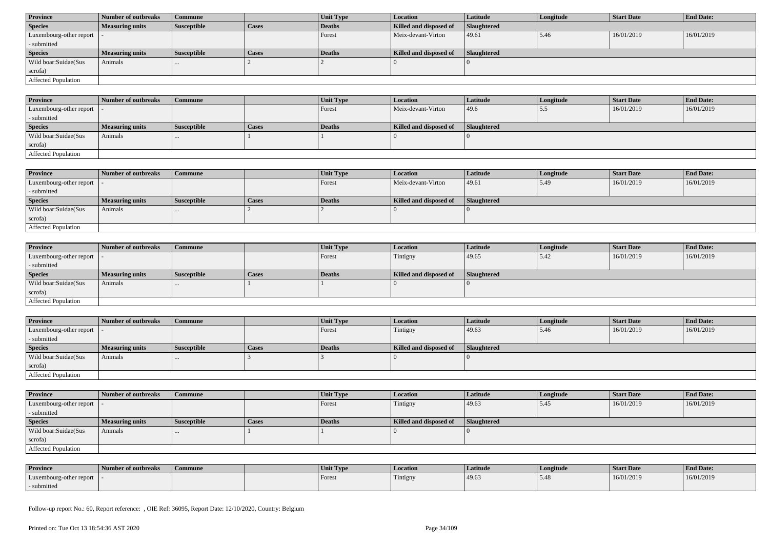| <b>Province</b>            | Number of outbreaks    | Commune            |              | Unit Type | <b>Location</b>        | <b>Latitude</b> | Longitude | <b>Start Date</b> | <b>End Date:</b> |
|----------------------------|------------------------|--------------------|--------------|-----------|------------------------|-----------------|-----------|-------------------|------------------|
| <b>Species</b>             | <b>Measuring units</b> | <b>Susceptible</b> | <b>Cases</b> | Deaths    | Killed and disposed of | Slaughtered     |           |                   |                  |
| Luxembourg-other report  - |                        |                    |              | Forest    | Meix-devant-Virton     | 49.61           | 5.46      | 16/01/2019        | 16/01/2019       |
| - submitted                |                        |                    |              |           |                        |                 |           |                   |                  |
| <b>Species</b>             | <b>Measuring units</b> | <b>Susceptible</b> | <b>Cases</b> | Deaths    | Killed and disposed of | Slaughtered     |           |                   |                  |
| Wild boar:Suidae(Sus       | Animals                | $\cdots$           |              |           |                        |                 |           |                   |                  |
| scrofa)                    |                        |                    |              |           |                        |                 |           |                   |                  |
| Affected Population        |                        |                    |              |           |                        |                 |           |                   |                  |

| <b>Province</b>             | Number of outbreaks    | <b>Commune</b> |              | Unit Type | Location               | <b>Latitude</b> | Longitude | <b>Start Date</b> | <b>End Date:</b> |
|-----------------------------|------------------------|----------------|--------------|-----------|------------------------|-----------------|-----------|-------------------|------------------|
| Luxembourg-other report   - |                        |                |              | Forest    | Meix-devant-Virton     | 49.6            | ັບມ       | 16/01/2019        | 16/01/2019       |
| - submitted                 |                        |                |              |           |                        |                 |           |                   |                  |
| <b>Species</b>              | <b>Measuring units</b> | Susceptible    | <b>Cases</b> | Deaths    | Killed and disposed of | Slaughtered     |           |                   |                  |
| Wild boar:Suidae(Sus        | Animals                |                |              |           |                        |                 |           |                   |                  |
| scrofa)                     |                        |                |              |           |                        |                 |           |                   |                  |
| <b>Affected Population</b>  |                        |                |              |           |                        |                 |           |                   |                  |

| <b>Province</b>             | 1 Number of outbreaks  | Commune     |              | <b>Unit Type</b> | <b>Location</b>        | Latitude           | Longitude | <b>Start Date</b> | <b>End Date:</b> |
|-----------------------------|------------------------|-------------|--------------|------------------|------------------------|--------------------|-----------|-------------------|------------------|
| Luxembourg-other report   - |                        |             |              | Forest           | Meix-devant-Virton     | 49.61              | 5.49      | 16/01/2019        | 16/01/2019       |
| - submitted                 |                        |             |              |                  |                        |                    |           |                   |                  |
| <b>Species</b>              | <b>Measuring units</b> | Susceptible | <b>Cases</b> | Deaths           | Killed and disposed of | <b>Slaughtered</b> |           |                   |                  |
| Wild boar:Suidae(Sus        | Animals                |             |              |                  |                        |                    |           |                   |                  |
| scrofa)                     |                        |             |              |                  |                        |                    |           |                   |                  |
| <b>Affected Population</b>  |                        |             |              |                  |                        |                    |           |                   |                  |

| Province                   | Number of outbreaks    | <b>Commune</b>     |       | Unit Type | Location               | Latitude    | Longitude | <b>Start Date</b> | <b>End Date:</b> |
|----------------------------|------------------------|--------------------|-------|-----------|------------------------|-------------|-----------|-------------------|------------------|
| Luxembourg-other report  - |                        |                    |       | Forest    | Tintigny               | 49.65       | 5.42      | 16/01/2019        | 16/01/2019       |
| - submitted                |                        |                    |       |           |                        |             |           |                   |                  |
| <b>Species</b>             | <b>Measuring units</b> | <b>Susceptible</b> | Cases | Deaths    | Killed and disposed of | Slaughtered |           |                   |                  |
| Wild boar:Suidae(Sus       | Animals                |                    |       |           |                        |             |           |                   |                  |
| scrofa)                    |                        |                    |       |           |                        |             |           |                   |                  |
| Affected Population        |                        |                    |       |           |                        |             |           |                   |                  |

| <b>Province</b>            | Number of outbreaks    | <b>Commune</b>     |              | Unit Type | Location               | Latitude           | Longitude | <b>Start Date</b> | <b>End Date:</b> |
|----------------------------|------------------------|--------------------|--------------|-----------|------------------------|--------------------|-----------|-------------------|------------------|
| Luxembourg-other report  - |                        |                    |              | Forest    | Tintigny               | 49.63              | 15.46     | 16/01/2019        | 16/01/2019       |
| - submitted                |                        |                    |              |           |                        |                    |           |                   |                  |
| <b>Species</b>             | <b>Measuring units</b> | <b>Susceptible</b> | <b>Cases</b> | Deaths    | Killed and disposed of | <b>Slaughtered</b> |           |                   |                  |
| Wild boar:Suidae(Sus       | Animals                |                    |              |           |                        |                    |           |                   |                  |
| scrofa)                    |                        |                    |              |           |                        |                    |           |                   |                  |
| Affected Population        |                        |                    |              |           |                        |                    |           |                   |                  |

| <b>Province</b>            | Number of outbreaks    | Commune            |              | <b>Unit Type</b> | <b>Location</b>        | <b>Latitude</b>    | Longitude | <b>Start Date</b> | <b>End Date:</b> |
|----------------------------|------------------------|--------------------|--------------|------------------|------------------------|--------------------|-----------|-------------------|------------------|
| Luxembourg-other report  - |                        |                    |              | Forest           | Tintigny               | 49.63              | l 5.45    | 16/01/2019        | 16/01/2019       |
| - submitted                |                        |                    |              |                  |                        |                    |           |                   |                  |
| <b>Species</b>             | <b>Measuring units</b> | <b>Susceptible</b> | <b>Cases</b> | Deaths           | Killed and disposed of | <b>Slaughtered</b> |           |                   |                  |
|                            |                        |                    |              |                  |                        |                    |           |                   |                  |
| Wild boar:Suidae(Sus       | Animals                |                    |              |                  |                        |                    |           |                   |                  |
| scrofa)                    |                        |                    |              |                  |                        |                    |           |                   |                  |

| <b>Province</b>         | Number of outbreaks | Commune | Unit Type | Location | Latitude | Longitude | Start Date | <b>End Date:</b> |
|-------------------------|---------------------|---------|-----------|----------|----------|-----------|------------|------------------|
| Luxembourg-other report |                     |         | Forest    | Tintigny | 49.63    |           | 16/01/2019 | 16/01/2019       |
| submitted               |                     |         |           |          |          |           |            |                  |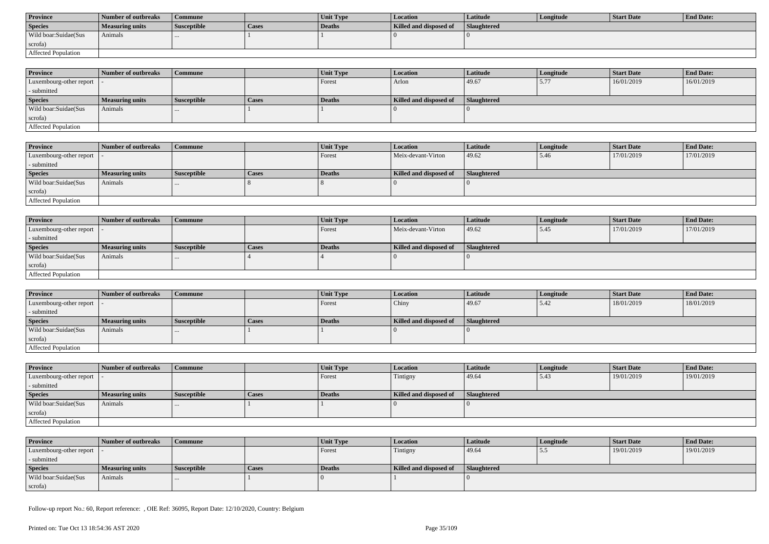| <b>Province</b>      | Number of outbreaks | Commune            |       | <b>Unit Type</b> | Location               | Latitude           | Longitude | Start Date | <b>End Date:</b> |
|----------------------|---------------------|--------------------|-------|------------------|------------------------|--------------------|-----------|------------|------------------|
| <b>Species</b>       | Measuring units     | <b>Susceptible</b> | Cases | Deaths           | Killed and disposed of | <b>Slaughtered</b> |           |            |                  |
| Wild boar:Suidae(Sus | Animals             |                    |       |                  |                        |                    |           |            |                  |
| scrofa)              |                     |                    |       |                  |                        |                    |           |            |                  |
| Affected Population  |                     |                    |       |                  |                        |                    |           |            |                  |

| <b>Province</b>                             | Number of outbreaks | <b>Commune</b>     |              | <b>Unit Type</b> | <b>Location</b>        | <b>Latitude</b>    | Longitude | <b>Start Date</b> | <b>End Date:</b> |
|---------------------------------------------|---------------------|--------------------|--------------|------------------|------------------------|--------------------|-----------|-------------------|------------------|
| Luxembourg-other report $\vert \cdot \vert$ |                     |                    |              | Forest           | Arlon                  | 49.67              | 5.77      | 16/01/2019        | 16/01/2019       |
| - submitted                                 |                     |                    |              |                  |                        |                    |           |                   |                  |
| <b>Species</b>                              | Measuring units     | <b>Susceptible</b> | <b>Cases</b> | <b>Deaths</b>    | Killed and disposed of | <b>Slaughtered</b> |           |                   |                  |
| Wild boar:Suidae(Sus                        | Animals             | $\cdots$           |              |                  |                        |                    |           |                   |                  |
| scrofa)                                     |                     |                    |              |                  |                        |                    |           |                   |                  |
| Affected Population                         |                     |                    |              |                  |                        |                    |           |                   |                  |

| <b>Province</b>         | Number of outbreaks    | Commune            |       | Unit Type | <i>Location</i>        | Latitude    | Longitude | <b>Start Date</b> | <b>End Date:</b> |
|-------------------------|------------------------|--------------------|-------|-----------|------------------------|-------------|-----------|-------------------|------------------|
| Luxembourg-other report |                        |                    |       | Forest    | Meix-devant-Virton     | 49.62       | 5.46      | 17/01/2019        | 17/01/2019       |
| - submitted             |                        |                    |       |           |                        |             |           |                   |                  |
| <b>Species</b>          | <b>Measuring units</b> | <b>Susceptible</b> | Cases | Deaths    | Killed and disposed of | Slaughtered |           |                   |                  |
| Wild boar:Suidae(Sus    | Animals                |                    |       |           |                        |             |           |                   |                  |
| scrofa)                 |                        |                    |       |           |                        |             |           |                   |                  |
| Affected Population     |                        |                    |       |           |                        |             |           |                   |                  |

| <b>Province</b>            | Number of outbreaks    | <b>Commune</b>     |              | Unit Type | Location               | Latitude    | Longitude | <b>Start Date</b> | <b>End Date:</b> |
|----------------------------|------------------------|--------------------|--------------|-----------|------------------------|-------------|-----------|-------------------|------------------|
| Luxembourg-other report  - |                        |                    |              | Forest    | Meix-devant-Virton     | 49.62       | 5.45      | 17/01/2019        | 17/01/2019       |
| - submitted                |                        |                    |              |           |                        |             |           |                   |                  |
| <b>Species</b>             | <b>Measuring units</b> | <b>Susceptible</b> | <b>Cases</b> | Deaths    | Killed and disposed of | Slaughtered |           |                   |                  |
| Wild boar:Suidae(Sus       | Animals                |                    |              |           |                        |             |           |                   |                  |
| scrofa)                    |                        |                    |              |           |                        |             |           |                   |                  |
| Affected Population        |                        |                    |              |           |                        |             |           |                   |                  |

| <b>Province</b>            | Number of outbreaks    | Commune            |              | <b>Unit Type</b> | Location               | Latitude    | Longitude | <b>Start Date</b> | <b>End Date:</b> |
|----------------------------|------------------------|--------------------|--------------|------------------|------------------------|-------------|-----------|-------------------|------------------|
| Luxembourg-other report  - |                        |                    |              | Forest           | Chiny                  | 49.67       | 5.42      | 18/01/2019        | 18/01/2019       |
| - submitted                |                        |                    |              |                  |                        |             |           |                   |                  |
| <b>Species</b>             | <b>Measuring units</b> | <b>Susceptible</b> | <b>Cases</b> | Deaths           | Killed and disposed of | Slaughtered |           |                   |                  |
| Wild boar:Suidae(Sus       | Animals                |                    |              |                  |                        |             |           |                   |                  |
| scrofa)                    |                        |                    |              |                  |                        |             |           |                   |                  |
| Affected Population        |                        |                    |              |                  |                        |             |           |                   |                  |

| <b>Province</b>            | Number of outbreaks    | <b>Commune</b>     |              | <b>Unit Type</b> | <b>Location</b>        | <b>Latitude</b> | Longitude | <b>Start Date</b> | <b>End Date:</b> |
|----------------------------|------------------------|--------------------|--------------|------------------|------------------------|-----------------|-----------|-------------------|------------------|
| Luxembourg-other report  - |                        |                    |              | Forest           | Tintigny               | 49.64           | 5.43      | 19/01/2019        | 19/01/2019       |
| - submitted                |                        |                    |              |                  |                        |                 |           |                   |                  |
| <b>Species</b>             | <b>Measuring units</b> | <b>Susceptible</b> | <b>Cases</b> | Deaths           | Killed and disposed of | Slaughtered     |           |                   |                  |
| Wild boar:Suidae(Sus       | Animals                | $\cdots$           |              |                  |                        |                 |           |                   |                  |
| scrofa)                    |                        |                    |              |                  |                        |                 |           |                   |                  |
| Affected Population        |                        |                    |              |                  |                        |                 |           |                   |                  |

| <b>Province</b>            | Number of outbreaks    | Commune            |       | <b>Unit Type</b> | Location               | Latitude    | Longitude | Start Date | <b>End Date:</b> |
|----------------------------|------------------------|--------------------|-------|------------------|------------------------|-------------|-----------|------------|------------------|
| Luxembourg-other report  - |                        |                    |       | Forest           | Tintigny               | 49.64       | ر در      | 19/01/2019 | 19/01/2019       |
| - submitted                |                        |                    |       |                  |                        |             |           |            |                  |
| <b>Species</b>             | <b>Measuring units</b> | <b>Susceptible</b> | Cases | Deaths           | Killed and disposed of | Slaughtered |           |            |                  |
| Wild boar:Suidae(Sus       | Animals                |                    |       |                  |                        |             |           |            |                  |
| scrofa)                    |                        |                    |       |                  |                        |             |           |            |                  |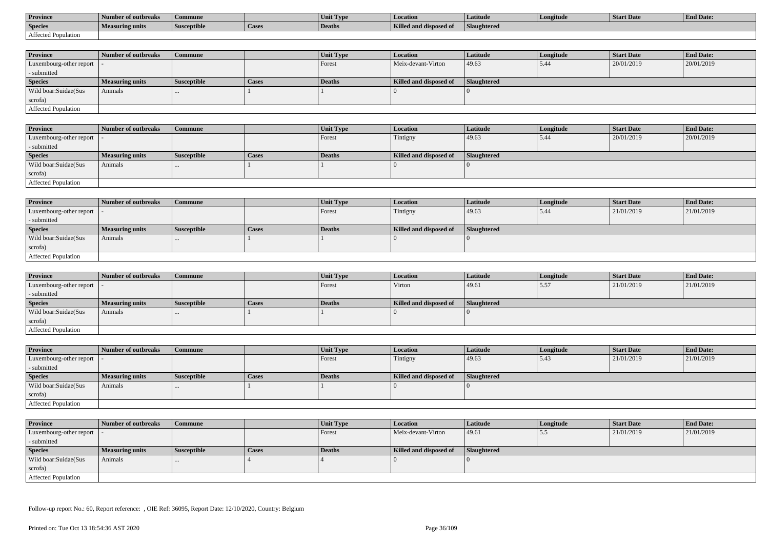| <b>Province</b>     | Number of outbreaks | Commune            |        | Unit Type     | <b>Location</b>               | Latitude    | Longitude | Start Date | <b>End Date:</b> |
|---------------------|---------------------|--------------------|--------|---------------|-------------------------------|-------------|-----------|------------|------------------|
| <b>Species</b>      | Measuring units     | <b>Susceptible</b> | 'Cases | <b>Deaths</b> | <b>Killed and disposed of</b> | Slaughtered |           |            |                  |
| Affected Population |                     |                    |        |               |                               |             |           |            |                  |

| <b>Province</b>         | Number of outbreaks    | Commune            |              | Unit Type | Location               | Latitude    | Longitude | <b>Start Date</b> | <b>End Date:</b> |
|-------------------------|------------------------|--------------------|--------------|-----------|------------------------|-------------|-----------|-------------------|------------------|
| Luxembourg-other report |                        |                    |              | Forest    | Meix-devant-Virton     | 49.63       | 5.44      | 20/01/2019        | 20/01/2019       |
| - submitted             |                        |                    |              |           |                        |             |           |                   |                  |
| <b>Species</b>          | <b>Measuring units</b> | <b>Susceptible</b> | <b>Cases</b> | Deaths    | Killed and disposed of | Slaughtered |           |                   |                  |
| Wild boar:Suidae(Sus    | Animals                |                    |              |           |                        |             |           |                   |                  |
| scrofa)                 |                        |                    |              |           |                        |             |           |                   |                  |
| Affected Population     |                        |                    |              |           |                        |             |           |                   |                  |

| <b>Province</b>            | Number of outbreaks | Commune            |              | <b>Unit Type</b> | Location               | Latitude    | Longitude | <b>Start Date</b> | <b>End Date:</b> |
|----------------------------|---------------------|--------------------|--------------|------------------|------------------------|-------------|-----------|-------------------|------------------|
| Luxembourg-other report  - |                     |                    |              | Forest           | Tintigny               | 49.63       | 5.44      | 20/01/2019        | 20/01/2019       |
| - submitted                |                     |                    |              |                  |                        |             |           |                   |                  |
| <b>Species</b>             | Measuring units     | <b>Susceptible</b> | <b>Cases</b> | Deaths           | Killed and disposed of | Slaughtered |           |                   |                  |
| Wild boar:Suidae(Sus       | Animals             |                    |              |                  |                        |             |           |                   |                  |
| scrofa)                    |                     |                    |              |                  |                        |             |           |                   |                  |
| Affected Population        |                     |                    |              |                  |                        |             |           |                   |                  |

| Province                    | Number of outbreaks | Commune            |              | <b>Unit Type</b> | <b>Location</b>        | Latitude    | Longitude | <b>Start Date</b> | <b>End Date:</b> |
|-----------------------------|---------------------|--------------------|--------------|------------------|------------------------|-------------|-----------|-------------------|------------------|
| Luxembourg-other report   - |                     |                    |              | Forest           | Tintigny               | 49.63       | 5.44      | 21/01/2019        | 21/01/2019       |
| - submitted                 |                     |                    |              |                  |                        |             |           |                   |                  |
| <b>Species</b>              | Measuring units     | <b>Susceptible</b> | <b>Cases</b> | <b>Deaths</b>    | Killed and disposed of | Slaughtered |           |                   |                  |
| Wild boar:Suidae(Sus        | Animals             | $\cdots$           |              |                  |                        |             |           |                   |                  |
| scrofa)                     |                     |                    |              |                  |                        |             |           |                   |                  |
| <b>Affected Population</b>  |                     |                    |              |                  |                        |             |           |                   |                  |

| <b>Province</b>                           | Number of outbreaks | Commune            |              | <b>Unit Type</b> | <b>Location</b>        | Latitude    | Longitude | <b>Start Date</b> | <b>End Date:</b> |
|-------------------------------------------|---------------------|--------------------|--------------|------------------|------------------------|-------------|-----------|-------------------|------------------|
| $\vert$ Luxembourg-other report $\vert$ - |                     |                    |              | Forest           | Virton                 | 49.61       | 5.57      | 21/01/2019        | 21/01/2019       |
| - submitted                               |                     |                    |              |                  |                        |             |           |                   |                  |
| <b>Species</b>                            | Measuring units     | <b>Susceptible</b> | <b>Cases</b> | Deaths           | Killed and disposed of | Slaughtered |           |                   |                  |
| Wild boar:Suidae(Sus                      | Animals             | $\cdots$           |              |                  |                        |             |           |                   |                  |
| scrofa)                                   |                     |                    |              |                  |                        |             |           |                   |                  |
| Affected Population                       |                     |                    |              |                  |                        |             |           |                   |                  |

| <b>Province</b>            | Number of outbreaks    | Commune            |       | Unit Type | <b>Location</b>        | <b>Latitude</b> | Longitude | <b>Start Date</b> | <b>End Date:</b> |
|----------------------------|------------------------|--------------------|-------|-----------|------------------------|-----------------|-----------|-------------------|------------------|
| Luxembourg-other report  - |                        |                    |       | Forest    | Tintigny               | 49.63           | 5.43      | 21/01/2019        | 21/01/2019       |
| - submitted                |                        |                    |       |           |                        |                 |           |                   |                  |
| <b>Species</b>             | <b>Measuring units</b> | <b>Susceptible</b> | Cases | Deaths    | Killed and disposed of | Slaughtered     |           |                   |                  |
| Wild boar:Suidae(Sus       | Animals                | $\cdots$           |       |           |                        |                 |           |                   |                  |
| scrofa)                    |                        |                    |       |           |                        |                 |           |                   |                  |
| Affected Population        |                        |                    |       |           |                        |                 |           |                   |                  |

| <b>Province</b>            | Number of outbreaks | <b>Commune</b>     |              | Unit Type | Location               | <b>Latitude</b>    | Longitude | <b>Start Date</b> | <b>End Date:</b> |
|----------------------------|---------------------|--------------------|--------------|-----------|------------------------|--------------------|-----------|-------------------|------------------|
| Luxembourg-other report  - |                     |                    |              | Forest    | Meix-devant-Virton     | 49.61              | .         | 21/01/2019        | 21/01/2019       |
| - submitted                |                     |                    |              |           |                        |                    |           |                   |                  |
| <b>Species</b>             | Measuring units     | <b>Susceptible</b> | <b>Cases</b> | Deaths    | Killed and disposed of | <b>Slaughtered</b> |           |                   |                  |
| Wild boar:Suidae(Sus       | Animals             | $\cdots$           |              |           |                        |                    |           |                   |                  |
| scrofa)                    |                     |                    |              |           |                        |                    |           |                   |                  |
| Affected Population        |                     |                    |              |           |                        |                    |           |                   |                  |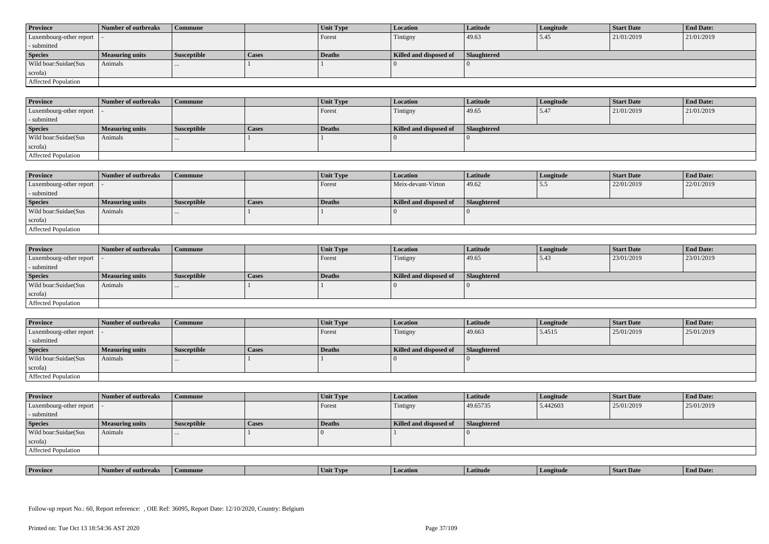| <b>Province</b>            | Number of outbreaks    | <b>Commune</b>     |              | Unit Type | Location               | <b>Latitude</b> | Longitude | <b>Start Date</b> | <b>End Date:</b> |
|----------------------------|------------------------|--------------------|--------------|-----------|------------------------|-----------------|-----------|-------------------|------------------|
| Luxembourg-other report  - |                        |                    |              | Forest    | Tintigny               | 49.63           | 5.45      | 21/01/2019        | 21/01/2019       |
| - submitted                |                        |                    |              |           |                        |                 |           |                   |                  |
| <b>Species</b>             | <b>Measuring units</b> | <b>Susceptible</b> | <b>Cases</b> | Deaths    | Killed and disposed of | Slaughtered     |           |                   |                  |
| Wild boar:Suidae(Sus       | Animals                |                    |              |           |                        |                 |           |                   |                  |
| scrofa)                    |                        |                    |              |           |                        |                 |           |                   |                  |
| Affected Population        |                        |                    |              |           |                        |                 |           |                   |                  |

| <b>Province</b>         | Number of outbreaks    | Commune            |       | Unit Type | <b>Location</b>        | Latitude           | Longitude | <b>Start Date</b> | <b>End Date:</b> |
|-------------------------|------------------------|--------------------|-------|-----------|------------------------|--------------------|-----------|-------------------|------------------|
| Luxembourg-other report |                        |                    |       | Forest    | Tintigny               | 49.65              | 5.47      | 21/01/2019        | 21/01/2019       |
| - submitted             |                        |                    |       |           |                        |                    |           |                   |                  |
| <b>Species</b>          | <b>Measuring units</b> | <b>Susceptible</b> | Cases | Deaths    | Killed and disposed of | <b>Slaughtered</b> |           |                   |                  |
| Wild boar:Suidae(Sus    | Animals                | $\cdots$           |       |           |                        |                    |           |                   |                  |
| scrofa)                 |                        |                    |       |           |                        |                    |           |                   |                  |
| Affected Population     |                        |                    |       |           |                        |                    |           |                   |                  |

| <b>Province</b>            | Number of outbreaks | Commune            |              | Unit Type | Location               | Latitude    | Longitude | <b>Start Date</b> | <b>End Date:</b> |
|----------------------------|---------------------|--------------------|--------------|-----------|------------------------|-------------|-----------|-------------------|------------------|
| Luxembourg-other report  - |                     |                    |              | Forest    | Meix-devant-Virton     | 49.62       | ن. ب      | 22/01/2019        | 22/01/2019       |
| - submitted                |                     |                    |              |           |                        |             |           |                   |                  |
| <b>Species</b>             | Measuring units     | <b>Susceptible</b> | <b>Cases</b> | Deaths    | Killed and disposed of | Slaughtered |           |                   |                  |
| Wild boar:Suidae(Sus       | Animals             |                    |              |           |                        |             |           |                   |                  |
| scrofa)                    |                     |                    |              |           |                        |             |           |                   |                  |
| Affected Population        |                     |                    |              |           |                        |             |           |                   |                  |

| <b>Province</b>            | Number of outbreaks    | <b>Commune</b>     |              | Unit Type     | Location               | <b>Latitude</b> | Longitude | <b>Start Date</b> | <b>End Date:</b> |
|----------------------------|------------------------|--------------------|--------------|---------------|------------------------|-----------------|-----------|-------------------|------------------|
| Luxembourg-other report  - |                        |                    |              | Forest        | Tintigny               | 49.65           | 15.43     | 23/01/2019        | 23/01/2019       |
| - submitted                |                        |                    |              |               |                        |                 |           |                   |                  |
| <b>Species</b>             | <b>Measuring units</b> | <b>Susceptible</b> | <b>Cases</b> | <b>Deaths</b> | Killed and disposed of | Slaughtered     |           |                   |                  |
| Wild boar:Suidae(Sus       | Animals                |                    |              |               |                        |                 |           |                   |                  |
| scrofa)                    |                        |                    |              |               |                        |                 |           |                   |                  |
| Affected Population        |                        |                    |              |               |                        |                 |           |                   |                  |

| <b>Province</b>             | <b>Number of outbreaks</b> | <b>Commune</b>     |       | Unit Type | <b>Location</b>        | <b>Latitude</b>    | Longitude | <b>Start Date</b> | <b>End Date:</b> |
|-----------------------------|----------------------------|--------------------|-------|-----------|------------------------|--------------------|-----------|-------------------|------------------|
| Luxembourg-other report   - |                            |                    |       | Forest    | Tintigny               | 49.663             | 5.4515    | 25/01/2019        | 25/01/2019       |
| - submitted                 |                            |                    |       |           |                        |                    |           |                   |                  |
| <b>Species</b>              | <b>Measuring units</b>     | <b>Susceptible</b> | Cases | Deaths    | Killed and disposed of | <b>Slaughtered</b> |           |                   |                  |
| Wild boar:Suidae(Sus        | Animals                    |                    |       |           |                        |                    |           |                   |                  |
| scrofa)                     |                            |                    |       |           |                        |                    |           |                   |                  |
|                             |                            |                    |       |           |                        |                    |           |                   |                  |

| <b>Province</b>            | Number of outbreaks | <b>Commune</b>     |              | Unit Type | <b>Location</b>        | <b>Latitude</b>    | Longitude | <b>Start Date</b> | <b>End Date:</b> |
|----------------------------|---------------------|--------------------|--------------|-----------|------------------------|--------------------|-----------|-------------------|------------------|
| Luxembourg-other report  - |                     |                    |              | Forest    | Tintigny               | 49.65735           | 5.442603  | 25/01/2019        | 25/01/2019       |
| - submitted                |                     |                    |              |           |                        |                    |           |                   |                  |
| <b>Species</b>             | Measuring units     | <b>Susceptible</b> | <b>Cases</b> | Deaths    | Killed and disposed of | <b>Slaughtered</b> |           |                   |                  |
| Wild boar:Suidae(Sus       | Animals             | $\cdots$           |              |           |                        |                    |           |                   |                  |
| scrofa)                    |                     |                    |              |           |                        |                    |           |                   |                  |
| Affected Population        |                     |                    |              |           |                        |                    |           |                   |                  |

| <b>Province</b><br><b>Start Date</b><br>1 Date.<br>Latitud<br>ımune<br>UVD <sub>t</sub><br>vertude<br>Umı.<br>эчигическая |  |  |  |  |  |
|---------------------------------------------------------------------------------------------------------------------------|--|--|--|--|--|
|                                                                                                                           |  |  |  |  |  |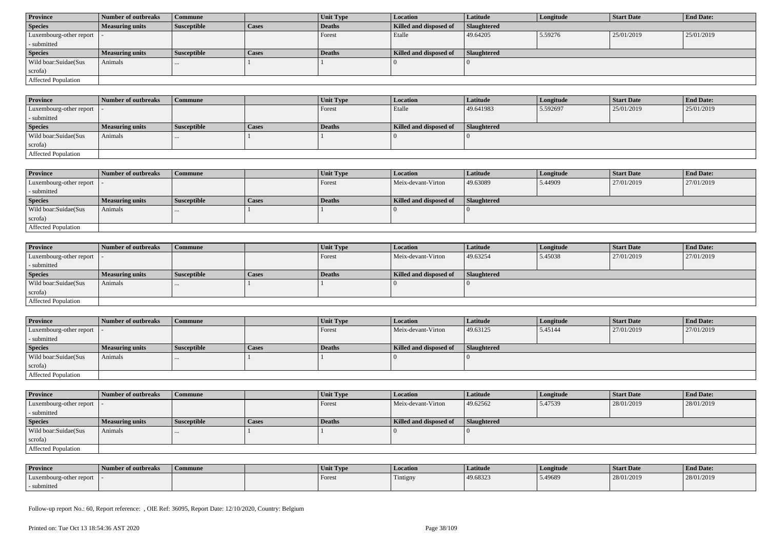| <b>Province</b>            | Number of outbreaks    | Commune            |              | Unit Type | <b>Location</b>        | <b>Latitude</b> | Longitude | <b>Start Date</b> | <b>End Date:</b> |
|----------------------------|------------------------|--------------------|--------------|-----------|------------------------|-----------------|-----------|-------------------|------------------|
| <b>Species</b>             | <b>Measuring units</b> | <b>Susceptible</b> | <b>Cases</b> | Deaths    | Killed and disposed of | Slaughtered     |           |                   |                  |
| Luxembourg-other report  - |                        |                    |              | Forest    | Etalle                 | 49.64205        | 5.59276   | 25/01/2019        | 25/01/2019       |
| - submitted                |                        |                    |              |           |                        |                 |           |                   |                  |
| <b>Species</b>             | <b>Measuring units</b> | <b>Susceptible</b> | <b>Cases</b> | Deaths    | Killed and disposed of | Slaughtered     |           |                   |                  |
| Wild boar:Suidae(Sus       | Animals                | $\cdots$           |              |           |                        |                 |           |                   |                  |
| scrofa)                    |                        |                    |              |           |                        |                 |           |                   |                  |
| Affected Population        |                        |                    |              |           |                        |                 |           |                   |                  |

| <b>Province</b>             | Number of outbreaks    | Commune            |       | Unit Type     | Location               | <b>Latitude</b>    | Longitude | <b>Start Date</b> | <b>End Date:</b> |
|-----------------------------|------------------------|--------------------|-------|---------------|------------------------|--------------------|-----------|-------------------|------------------|
| Luxembourg-other report   - |                        |                    |       | Forest        | Etalle                 | 49.641983          | 5.592697  | 25/01/2019        | 25/01/2019       |
| - submitted                 |                        |                    |       |               |                        |                    |           |                   |                  |
| <b>Species</b>              | <b>Measuring units</b> | <b>Susceptible</b> | Cases | <b>Deaths</b> | Killed and disposed of | <b>Slaughtered</b> |           |                   |                  |
| Wild boar:Suidae(Sus        | Animals                | $\cdots$           |       |               |                        |                    |           |                   |                  |
| scrofa)                     |                        |                    |       |               |                        |                    |           |                   |                  |
| <b>Affected Population</b>  |                        |                    |       |               |                        |                    |           |                   |                  |

| <b>Province</b>         | Number of outbreaks    | Commune            |              | <b>Unit Type</b> | <b>Location</b>        | <b>Latitude</b> | Longitude | <b>Start Date</b> | <b>End Date:</b> |
|-------------------------|------------------------|--------------------|--------------|------------------|------------------------|-----------------|-----------|-------------------|------------------|
| Luxembourg-other report |                        |                    |              | Forest           | Meix-devant-Virton     | 49.63089        | 5.44909   | 27/01/2019        | 27/01/2019       |
| - submitted             |                        |                    |              |                  |                        |                 |           |                   |                  |
| <b>Species</b>          | <b>Measuring units</b> | <b>Susceptible</b> | <b>Cases</b> | Deaths           | Killed and disposed of | Slaughtered     |           |                   |                  |
| Wild boar:Suidae(Sus    | Animals                | $\cdots$           |              |                  |                        |                 |           |                   |                  |
| scrofa)                 |                        |                    |              |                  |                        |                 |           |                   |                  |
| Affected Population     |                        |                    |              |                  |                        |                 |           |                   |                  |

| <b>Province</b>            | Number of outbreaks    | <b>Commune</b>     |              | <b>Unit Type</b> | <i>Location</i>        | <b>Latitude</b>    | Longitude | <b>Start Date</b> | <b>End Date:</b> |
|----------------------------|------------------------|--------------------|--------------|------------------|------------------------|--------------------|-----------|-------------------|------------------|
| Luxembourg-other report  - |                        |                    |              | Forest           | Meix-devant-Virton     | 49.63254           | 5.45038   | 27/01/2019        | 27/01/2019       |
| - submitted                |                        |                    |              |                  |                        |                    |           |                   |                  |
| <b>Species</b>             | <b>Measuring units</b> | <b>Susceptible</b> | <b>Cases</b> | <b>Deaths</b>    | Killed and disposed of | <b>Slaughtered</b> |           |                   |                  |
| Wild boar:Suidae(Sus       | Animals                | $\cdots$           |              |                  |                        |                    |           |                   |                  |
| scrofa)                    |                        |                    |              |                  |                        |                    |           |                   |                  |
| Affected Population        |                        |                    |              |                  |                        |                    |           |                   |                  |

| <b>Province</b>            | Number of outbreaks    | <b>Commune</b>     |              | Unit Type | Location               | Latitude           | Longitude | <b>Start Date</b> | <b>End Date:</b> |
|----------------------------|------------------------|--------------------|--------------|-----------|------------------------|--------------------|-----------|-------------------|------------------|
| Luxembourg-other report  - |                        |                    |              | Forest    | Meix-devant-Virton     | 49.63125           | 5.45144   | 27/01/2019        | 27/01/2019       |
| - submitted                |                        |                    |              |           |                        |                    |           |                   |                  |
| <b>Species</b>             | <b>Measuring units</b> | <b>Susceptible</b> | <b>Cases</b> | Deaths    | Killed and disposed of | <b>Slaughtered</b> |           |                   |                  |
| Wild boar:Suidae(Sus       | Animals                |                    |              |           |                        |                    |           |                   |                  |
| scrofa)                    |                        |                    |              |           |                        |                    |           |                   |                  |
| Affected Population        |                        |                    |              |           |                        |                    |           |                   |                  |

| <b>Province</b>            | Number of outbreaks    | Commune            |              | <b>Unit Type</b> | <b>Location</b>        | Latitude           | Longitude | <b>Start Date</b> | <b>End Date:</b> |
|----------------------------|------------------------|--------------------|--------------|------------------|------------------------|--------------------|-----------|-------------------|------------------|
| Luxembourg-other report  - |                        |                    |              | Forest           | Meix-devant-Virton     | 49.62562           | 5.47539   | 28/01/2019        | 28/01/2019       |
| - submitted                |                        |                    |              |                  |                        |                    |           |                   |                  |
| <b>Species</b>             | <b>Measuring units</b> | <b>Susceptible</b> | <b>Cases</b> | Deaths           | Killed and disposed of | <b>Slaughtered</b> |           |                   |                  |
| Wild boar:Suidae(Sus       |                        |                    |              |                  |                        |                    |           |                   |                  |
|                            | Animals                |                    |              |                  |                        |                    |           |                   |                  |
| scrofa)                    |                        |                    |              |                  |                        |                    |           |                   |                  |

| <b>Province</b>         | Number of outbreaks | Commune | Unit Type | Location | Latitude | Longitude | Start Date | <b>End Date:</b> |
|-------------------------|---------------------|---------|-----------|----------|----------|-----------|------------|------------------|
| Luxembourg-other report |                     |         | Forest    | Tintigny | 49.68323 | 5.49689   | 28/01/2019 | 28/01/2019       |
| submitted               |                     |         |           |          |          |           |            |                  |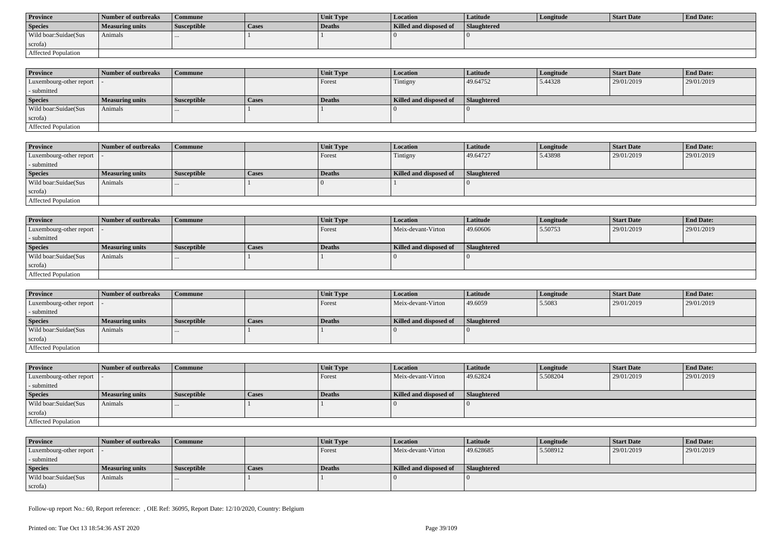| <b>Province</b>      | Number of outbreaks | Commune            |       | <b>Unit Type</b> | Location               | Latitude           | Longitude | Start Date | <b>End Date:</b> |
|----------------------|---------------------|--------------------|-------|------------------|------------------------|--------------------|-----------|------------|------------------|
| <b>Species</b>       | Measuring units     | <b>Susceptible</b> | Cases | Deaths           | Killed and disposed of | <b>Slaughtered</b> |           |            |                  |
| Wild boar:Suidae(Sus | Animals             |                    |       |                  |                        |                    |           |            |                  |
| scrofa)              |                     |                    |       |                  |                        |                    |           |            |                  |
| Affected Population  |                     |                    |       |                  |                        |                    |           |            |                  |

| <b>Province</b>            | Number of outbreaks | Commune            |              | <b>Unit Type</b> | <b>Location</b>        | <b>Latitude</b>    | Longitude | <b>Start Date</b> | <b>End Date:</b> |
|----------------------------|---------------------|--------------------|--------------|------------------|------------------------|--------------------|-----------|-------------------|------------------|
| Luxembourg-other report  - |                     |                    |              | Forest           | Tintigny               | 49.64752           | 5.44328   | 29/01/2019        | 29/01/2019       |
| - submitted                |                     |                    |              |                  |                        |                    |           |                   |                  |
| <b>Species</b>             | Measuring units     | <b>Susceptible</b> | <b>Cases</b> | <b>Deaths</b>    | Killed and disposed of | <b>Slaughtered</b> |           |                   |                  |
| Wild boar:Suidae(Sus       | Animals             | $\cdots$           |              |                  |                        |                    |           |                   |                  |
| scrofa)                    |                     |                    |              |                  |                        |                    |           |                   |                  |
| Affected Population        |                     |                    |              |                  |                        |                    |           |                   |                  |

| <b>Province</b>         | Number of outbreaks | <b>Commune</b>     |       | Unit Type | <b>Location</b>        | Latitude    | Longitude | <b>Start Date</b> | <b>End Date:</b> |
|-------------------------|---------------------|--------------------|-------|-----------|------------------------|-------------|-----------|-------------------|------------------|
| Luxembourg-other report |                     |                    |       | Forest    | Tintigny               | 49.64727    | 5.43898   | 29/01/2019        | 29/01/2019       |
| - submitted             |                     |                    |       |           |                        |             |           |                   |                  |
| <b>Species</b>          | Measuring units     | <b>Susceptible</b> | Cases | Deaths    | Killed and disposed of | Slaughtered |           |                   |                  |
| Wild boar:Suidae(Sus    | Animals             |                    |       |           |                        |             |           |                   |                  |
| scrofa)                 |                     |                    |       |           |                        |             |           |                   |                  |
| Affected Population     |                     |                    |       |           |                        |             |           |                   |                  |

| <b>Province</b>            | Number of outbreaks    | <b>Commune</b>     |              | Unit Type | Location               | <b>Latitude</b> | Longitude | <b>Start Date</b> | <b>End Date:</b> |
|----------------------------|------------------------|--------------------|--------------|-----------|------------------------|-----------------|-----------|-------------------|------------------|
| Luxembourg-other report  - |                        |                    |              | Forest    | Meix-devant-Virton     | 49.60606        | 5.50753   | 29/01/2019        | 29/01/2019       |
| - submitted                |                        |                    |              |           |                        |                 |           |                   |                  |
| <b>Species</b>             | <b>Measuring units</b> | <b>Susceptible</b> | <b>Cases</b> | Deaths    | Killed and disposed of | Slaughtered     |           |                   |                  |
| Wild boar:Suidae(Sus       | Animals                |                    |              |           |                        |                 |           |                   |                  |
| scrofa)                    |                        |                    |              |           |                        |                 |           |                   |                  |
| Affected Population        |                        |                    |              |           |                        |                 |           |                   |                  |

| <b>Province</b>            | Number of outbreaks | l Commune          |              | Unit Type | <i>Location</i>        | Latitude           | Longitude | <b>Start Date</b> | <b>End Date:</b> |
|----------------------------|---------------------|--------------------|--------------|-----------|------------------------|--------------------|-----------|-------------------|------------------|
| Luxembourg-other report  - |                     |                    |              | Forest    | Meix-devant-Virton     | 49.6059            | 5.5083    | 29/01/2019        | 29/01/2019       |
| - submitted                |                     |                    |              |           |                        |                    |           |                   |                  |
| <b>Species</b>             | Measuring units     | <b>Susceptible</b> | <b>Cases</b> | Deaths    | Killed and disposed of | <b>Slaughtered</b> |           |                   |                  |
| Wild boar: Suidae (Sus     | Animals             |                    |              |           |                        |                    |           |                   |                  |
| scrofa)                    |                     |                    |              |           |                        |                    |           |                   |                  |
| Affected Population        |                     |                    |              |           |                        |                    |           |                   |                  |

| <b>Province</b>            | Number of outbreaks    | <b>Commune</b>     |       | <b>Unit Type</b> | <b>Location</b>        | <b>Latitude</b> | Longitude | <b>Start Date</b> | <b>End Date:</b> |
|----------------------------|------------------------|--------------------|-------|------------------|------------------------|-----------------|-----------|-------------------|------------------|
| Luxembourg-other report  - |                        |                    |       | Forest           | Meix-devant-Virton     | 49.62824        | 5.508204  | 29/01/2019        | 29/01/2019       |
| - submitted                |                        |                    |       |                  |                        |                 |           |                   |                  |
| <b>Species</b>             | <b>Measuring units</b> | <b>Susceptible</b> | Cases | Deaths           | Killed and disposed of | Slaughtered     |           |                   |                  |
| Wild boar:Suidae(Sus       | Animals                |                    |       |                  |                        |                 |           |                   |                  |
| scrofa)                    |                        |                    |       |                  |                        |                 |           |                   |                  |
| Affected Population        |                        |                    |       |                  |                        |                 |           |                   |                  |

| <b>Province</b>            | Number of outbreaks | Commune     |       | <b>Unit Type</b> | <b>Location</b>        | Latitude    | Longitude | <b>Start Date</b> | <b>End Date:</b> |
|----------------------------|---------------------|-------------|-------|------------------|------------------------|-------------|-----------|-------------------|------------------|
| Luxembourg-other report  - |                     |             |       | Forest           | Meix-devant-Virton     | 49.628685   | 5.508912  | 29/01/2019        | 29/01/2019       |
| - submitted                |                     |             |       |                  |                        |             |           |                   |                  |
| <b>Species</b>             | Measuring units     | Susceptible | Cases | Deaths           | Killed and disposed of | Slaughtered |           |                   |                  |
| Wild boar:Suidae(Sus       | Animals             | $\cdots$    |       |                  |                        |             |           |                   |                  |
| scrofa)                    |                     |             |       |                  |                        |             |           |                   |                  |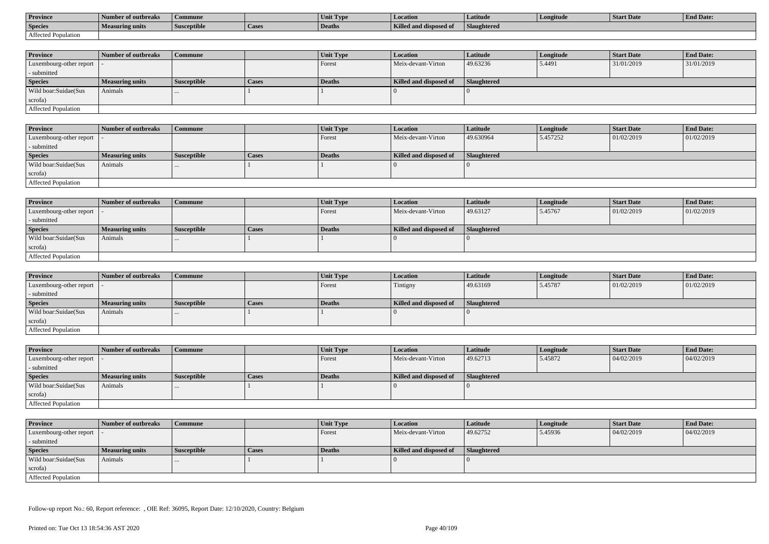| <b>Province</b>     | Number of outbreaks    | Commune            |                | Unit Type     | Location               | Latitude    | Longitude | <b>Start Date</b> | <b>End Date:</b> |
|---------------------|------------------------|--------------------|----------------|---------------|------------------------|-------------|-----------|-------------------|------------------|
| <b>Species</b>      | <b>Measuring units</b> | <b>Susceptible</b> | <b>L</b> Lasca | <b>Deaths</b> | Killed and disposed of | Slaughtered |           |                   |                  |
| Affected Population |                        |                    |                |               |                        |             |           |                   |                  |

| <b>Province</b>         | Number of outbreaks    | Commune            |              | Unit Type | Location               | Latitude    | Longitude | <b>Start Date</b> | <b>End Date:</b> |
|-------------------------|------------------------|--------------------|--------------|-----------|------------------------|-------------|-----------|-------------------|------------------|
| Luxembourg-other report |                        |                    |              | Forest    | Meix-devant-Virton     | 49.63236    | 5.4491    | 31/01/2019        | 31/01/2019       |
| - submitted             |                        |                    |              |           |                        |             |           |                   |                  |
| <b>Species</b>          | <b>Measuring units</b> | <b>Susceptible</b> | <b>Cases</b> | Deaths    | Killed and disposed of | Slaughtered |           |                   |                  |
| Wild boar:Suidae(Sus    | Animals                |                    |              |           |                        |             |           |                   |                  |
| scrofa)                 |                        |                    |              |           |                        |             |           |                   |                  |
| Affected Population     |                        |                    |              |           |                        |             |           |                   |                  |

| <b>Province</b>            | Number of outbreaks | Commune            |       | <b>Unit Type</b> | Location               | Latitude    | Longitude | <b>Start Date</b> | <b>End Date:</b> |
|----------------------------|---------------------|--------------------|-------|------------------|------------------------|-------------|-----------|-------------------|------------------|
| Luxembourg-other report  - |                     |                    |       | Forest           | Meix-devant-Virton     | 49.630964   | 5.457252  | 01/02/2019        | 01/02/2019       |
| - submitted                |                     |                    |       |                  |                        |             |           |                   |                  |
| <b>Species</b>             | Measuring units     | <b>Susceptible</b> | Cases | Deaths           | Killed and disposed of | Slaughtered |           |                   |                  |
| Wild boar:Suidae(Sus       | Animals             |                    |       |                  |                        |             |           |                   |                  |
| scrofa)                    |                     |                    |       |                  |                        |             |           |                   |                  |
| Affected Population        |                     |                    |       |                  |                        |             |           |                   |                  |

| <b>Province</b>            | Number of outbreaks    | <b>Commune</b>     |              | Unit Type | Location               | Latitude    | Longitude | <b>Start Date</b> | <b>End Date:</b> |
|----------------------------|------------------------|--------------------|--------------|-----------|------------------------|-------------|-----------|-------------------|------------------|
| Luxembourg-other report  - |                        |                    |              | I Forest  | Meix-devant-Virton     | 49.63127    | 5.45767   | 01/02/2019        | 01/02/2019       |
| - submitted                |                        |                    |              |           |                        |             |           |                   |                  |
| <b>Species</b>             | <b>Measuring units</b> | <b>Susceptible</b> | <b>Cases</b> | Deaths    | Killed and disposed of | Slaughtered |           |                   |                  |
| Wild boar:Suidae(Sus       | Animals                |                    |              |           |                        |             |           |                   |                  |
| scrofa)                    |                        |                    |              |           |                        |             |           |                   |                  |
| Affected Population        |                        |                    |              |           |                        |             |           |                   |                  |

| <b>Province</b>            | Number of outbreaks | <b>Commune</b>     |              | Unit Type     | <i>Location</i>        | Latitude           | Longitude | <b>Start Date</b> | <b>End Date:</b> |
|----------------------------|---------------------|--------------------|--------------|---------------|------------------------|--------------------|-----------|-------------------|------------------|
| Luxembourg-other report  - |                     |                    |              | Forest        | Tintigny               | 49.63169           | 5.45787   | 01/02/2019        | 01/02/2019       |
| - submitted                |                     |                    |              |               |                        |                    |           |                   |                  |
| <b>Species</b>             | Measuring units     | <b>Susceptible</b> | <b>Cases</b> | <b>Deaths</b> | Killed and disposed of | <b>Slaughtered</b> |           |                   |                  |
| Wild boar:Suidae(Sus       | Animals             | $\cdots$           |              |               |                        |                    |           |                   |                  |
| scrofa)                    |                     |                    |              |               |                        |                    |           |                   |                  |
| Affected Population        |                     |                    |              |               |                        |                    |           |                   |                  |

| <b>Province</b>            | Number of outbreaks    | <b>Commune</b>     |       | Unit Type | <b>Location</b>        | <b>Latitude</b> | Longitude | <b>Start Date</b> | <b>End Date:</b> |
|----------------------------|------------------------|--------------------|-------|-----------|------------------------|-----------------|-----------|-------------------|------------------|
| Luxembourg-other report  - |                        |                    |       | Forest    | Meix-devant-Virton     | 49.62713        | 5.45872   | 04/02/2019        | 04/02/2019       |
| - submitted                |                        |                    |       |           |                        |                 |           |                   |                  |
| <b>Species</b>             | <b>Measuring units</b> | <b>Susceptible</b> | Cases | Deaths    | Killed and disposed of | Slaughtered     |           |                   |                  |
| Wild boar:Suidae(Sus       | Animals                |                    |       |           |                        |                 |           |                   |                  |
| scrofa)                    |                        |                    |       |           |                        |                 |           |                   |                  |
| Affected Population        |                        |                    |       |           |                        |                 |           |                   |                  |

| <b>Province</b>            | Number of outbreaks    | <b>Commune</b>     |       | Unit Type     | <i>Location</i>        | <b>Latitude</b>    | Longitude | <b>Start Date</b> | <b>End Date:</b> |
|----------------------------|------------------------|--------------------|-------|---------------|------------------------|--------------------|-----------|-------------------|------------------|
| Luxembourg-other report  - |                        |                    |       | Forest        | Meix-devant-Virton     | 49.62752           | 5.45936   | 04/02/2019        | 04/02/2019       |
| - submitted                |                        |                    |       |               |                        |                    |           |                   |                  |
| <b>Species</b>             | <b>Measuring units</b> | <b>Susceptible</b> | Cases | <b>Deaths</b> | Killed and disposed of | <b>Slaughtered</b> |           |                   |                  |
| Wild boar:Suidae(Sus       | Animals                | $\cdots$           |       |               |                        |                    |           |                   |                  |
| scrofa)                    |                        |                    |       |               |                        |                    |           |                   |                  |
| Affected Population        |                        |                    |       |               |                        |                    |           |                   |                  |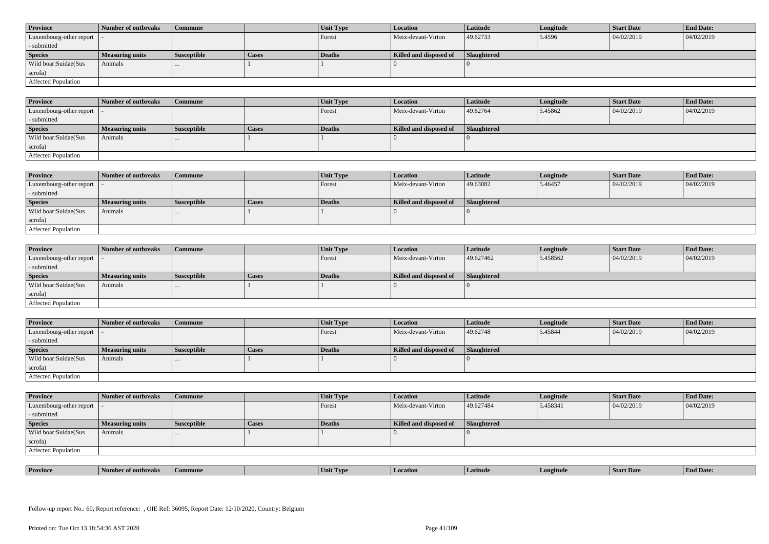| <b>Province</b>            | Number of outbreaks    | <b>Commune</b>     |              | Unit Type | Location               | <b>Latitude</b> | Longitude | <b>Start Date</b> | <b>End Date:</b> |
|----------------------------|------------------------|--------------------|--------------|-----------|------------------------|-----------------|-----------|-------------------|------------------|
| Luxembourg-other report  - |                        |                    |              | Forest    | Meix-devant-Virton     | 49.62733        | 5.4596    | 04/02/2019        | 04/02/2019       |
| - submitted                |                        |                    |              |           |                        |                 |           |                   |                  |
| <b>Species</b>             | <b>Measuring units</b> | <b>Susceptible</b> | <b>Cases</b> | Deaths    | Killed and disposed of | Slaughtered     |           |                   |                  |
| Wild boar: Suidae (Sus     | Animals                |                    |              |           |                        |                 |           |                   |                  |
| scrofa)                    |                        |                    |              |           |                        |                 |           |                   |                  |
| <b>Affected Population</b> |                        |                    |              |           |                        |                 |           |                   |                  |

| <b>Province</b>         | Number of outbreaks | <b>Commune</b>     |       | Unit Type     | <b>Location</b>        | Latitude    | Longitude | <b>Start Date</b> | <b>End Date:</b> |
|-------------------------|---------------------|--------------------|-------|---------------|------------------------|-------------|-----------|-------------------|------------------|
| Luxembourg-other report |                     |                    |       | Forest        | Meix-devant-Virton     | 49.62764    | 5.45862   | 04/02/2019        | 04/02/2019       |
| - submitted             |                     |                    |       |               |                        |             |           |                   |                  |
| <b>Species</b>          | Measuring units     | <b>Susceptible</b> | Cases | <b>Deaths</b> | Killed and disposed of | Slaughtered |           |                   |                  |
| Wild boar:Suidae(Sus    | Animals             |                    |       |               |                        |             |           |                   |                  |
| scrofa)                 |                     |                    |       |               |                        |             |           |                   |                  |
| Affected Population     |                     |                    |       |               |                        |             |           |                   |                  |

| <b>Province</b>            | Number of outbreaks | Commune            |              | Unit Type | Location               | Latitude    | Longitude | <b>Start Date</b> | <b>End Date:</b> |
|----------------------------|---------------------|--------------------|--------------|-----------|------------------------|-------------|-----------|-------------------|------------------|
| Luxembourg-other report  - |                     |                    |              | Forest    | Meix-devant-Virton     | 49.63082    | 5.46457   | 04/02/2019        | 04/02/2019       |
| submitted                  |                     |                    |              |           |                        |             |           |                   |                  |
| <b>Species</b>             | Measuring units     | <b>Susceptible</b> | <b>Cases</b> | Deaths    | Killed and disposed of | Slaughtered |           |                   |                  |
| Wild boar:Suidae(Sus       | Animals             |                    |              |           |                        |             |           |                   |                  |
| scrofa)                    |                     |                    |              |           |                        |             |           |                   |                  |
| Affected Population        |                     |                    |              |           |                        |             |           |                   |                  |

| <b>Province</b>            | Number of outbreaks    | <b>Commune</b>     |              | Unit Type     | Location               | Latitude    | Longitude | <b>Start Date</b> | <b>End Date:</b> |
|----------------------------|------------------------|--------------------|--------------|---------------|------------------------|-------------|-----------|-------------------|------------------|
| Luxembourg-other report  - |                        |                    |              | Forest        | Meix-devant-Virton     | 49.627462   | 5.458562  | 04/02/2019        | 04/02/2019       |
| - submitted                |                        |                    |              |               |                        |             |           |                   |                  |
| <b>Species</b>             | <b>Measuring units</b> | <b>Susceptible</b> | <b>Cases</b> | <b>Deaths</b> | Killed and disposed of | Slaughtered |           |                   |                  |
| Wild boar:Suidae(Sus       | Animals                |                    |              |               |                        |             |           |                   |                  |
| scrofa)                    |                        |                    |              |               |                        |             |           |                   |                  |
| Affected Population        |                        |                    |              |               |                        |             |           |                   |                  |

| <b>Province</b>            | Number of outbreaks | Commune     |       | Unit Type | <b>Location</b>        | Latitude           | Longitude | <b>Start Date</b> | <b>End Date:</b> |
|----------------------------|---------------------|-------------|-------|-----------|------------------------|--------------------|-----------|-------------------|------------------|
| Luxembourg-other report  - |                     |             |       | Forest    | Meix-devant-Virton     | 49.62748           | 5.45844   | 04/02/2019        | 04/02/2019       |
| - submitted                |                     |             |       |           |                        |                    |           |                   |                  |
| <b>Species</b>             | Measuring units     | Susceptible | Cases | Deaths    | Killed and disposed of | <b>Slaughtered</b> |           |                   |                  |
| Wild boar:Suidae(Sus       | Animals             | $\cdots$    |       |           |                        |                    |           |                   |                  |
|                            |                     |             |       |           |                        |                    |           |                   |                  |
| scrofa)                    |                     |             |       |           |                        |                    |           |                   |                  |

| <b>Province</b>            | Number of outbreaks    | <b>Commune</b>     |              | Unit Type | Location               | Latitude    | Longitude | <b>Start Date</b> | <b>End Date:</b> |
|----------------------------|------------------------|--------------------|--------------|-----------|------------------------|-------------|-----------|-------------------|------------------|
| Luxembourg-other report  - |                        |                    |              | Forest    | Meix-devant-Virton     | 49.627484   | 5.458341  | 04/02/2019        | 04/02/2019       |
| - submitted                |                        |                    |              |           |                        |             |           |                   |                  |
| <b>Species</b>             | <b>Measuring units</b> | <b>Susceptible</b> | <b>Cases</b> | Deaths    | Killed and disposed of | Slaughtered |           |                   |                  |
| Wild boar:Suidae(Sus       | Animals                | $\cdots$           |              |           |                        |             |           |                   |                  |
| scrofa)                    |                        |                    |              |           |                        |             |           |                   |                  |
| Affected Population        |                        |                    |              |           |                        |             |           |                   |                  |

| <b>Province</b> | rnreak: | amune | - I vn<br>Unit | Latitud | neıtude | <b>Start Date</b> | $\mathbf{r}$<br>d Date:<br>- H'm. |
|-----------------|---------|-------|----------------|---------|---------|-------------------|-----------------------------------|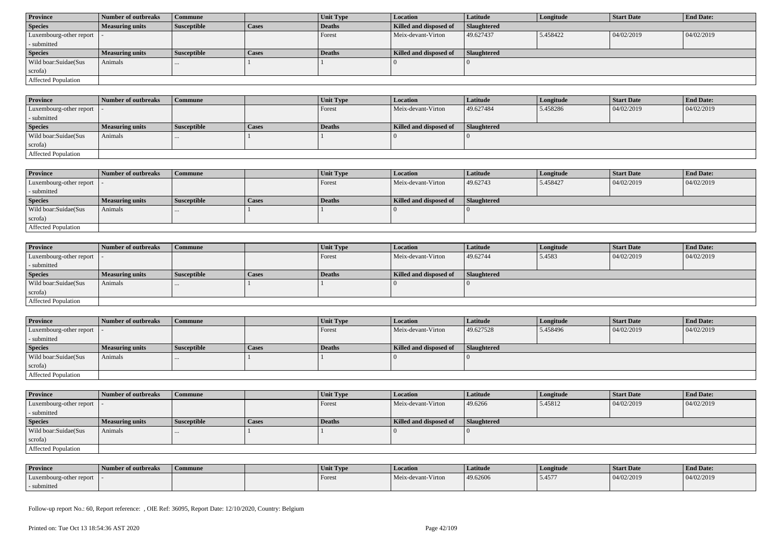| <b>Province</b>            | Number of outbreaks    | Commune            |              | Unit Type | <b>Location</b>        | <b>Latitude</b> | Longitude | <b>Start Date</b> | <b>End Date:</b> |
|----------------------------|------------------------|--------------------|--------------|-----------|------------------------|-----------------|-----------|-------------------|------------------|
| <b>Species</b>             | <b>Measuring units</b> | <b>Susceptible</b> | <b>Cases</b> | Deaths    | Killed and disposed of | Slaughtered     |           |                   |                  |
| Luxembourg-other report  - |                        |                    |              | Forest    | Meix-devant-Virton     | 49.627437       | 5.458422  | 04/02/2019        | 04/02/2019       |
| - submitted                |                        |                    |              |           |                        |                 |           |                   |                  |
| <b>Species</b>             | <b>Measuring units</b> | <b>Susceptible</b> | <b>Cases</b> | Deaths    | Killed and disposed of | Slaughtered     |           |                   |                  |
| Wild boar:Suidae(Sus       | Animals                | $\cdots$           |              |           |                        |                 |           |                   |                  |
| scrofa)                    |                        |                    |              |           |                        |                 |           |                   |                  |
|                            |                        |                    |              |           |                        |                 |           |                   |                  |

| <b>Province</b>            | 1 Number of outbreaks  | <b>Commune</b> |              | <b>Unit Type</b> | <b>Location</b>        | <b>Latitude</b> | Longitude | <b>Start Date</b> | <b>End Date:</b> |
|----------------------------|------------------------|----------------|--------------|------------------|------------------------|-----------------|-----------|-------------------|------------------|
| Luxembourg-other report -  |                        |                |              | Forest           | Meix-devant-Virton     | 49.627484       | 5.458286  | 04/02/2019        | 04/02/2019       |
| - submitted                |                        |                |              |                  |                        |                 |           |                   |                  |
| <b>Species</b>             | <b>Measuring units</b> | Susceptible    | <b>Cases</b> | Deaths           | Killed and disposed of | Slaughtered     |           |                   |                  |
| Wild boar:Suidae(Sus       | Animals                |                |              |                  |                        |                 |           |                   |                  |
| scrofa)                    |                        |                |              |                  |                        |                 |           |                   |                  |
| <b>Affected Population</b> |                        |                |              |                  |                        |                 |           |                   |                  |

| <b>Province</b>         | Number of outbreaks    | Commune            |       | Unit Type | <b>Location</b>        | <b>Latitude</b> | Longitude | <b>Start Date</b> | <b>End Date:</b> |
|-------------------------|------------------------|--------------------|-------|-----------|------------------------|-----------------|-----------|-------------------|------------------|
| Luxembourg-other report |                        |                    |       | Forest    | Meix-devant-Virton     | 49.62743        | 5.458427  | 04/02/2019        | 04/02/2019       |
| - submitted             |                        |                    |       |           |                        |                 |           |                   |                  |
| <b>Species</b>          | <b>Measuring units</b> | <b>Susceptible</b> | Cases | Deaths    | Killed and disposed of | Slaughtered     |           |                   |                  |
| Wild boar:Suidae(Sus    | Animals                | $\cdots$           |       |           |                        |                 |           |                   |                  |
| scrofa)                 |                        |                    |       |           |                        |                 |           |                   |                  |
| Affected Population     |                        |                    |       |           |                        |                 |           |                   |                  |

| <b>Province</b>            | Number of outbreaks    | <b>Commune</b>     |              | <b>Unit Type</b> | <i>Location</i>        | <b>Latitude</b>    | Longitude | <b>Start Date</b> | <b>End Date:</b> |
|----------------------------|------------------------|--------------------|--------------|------------------|------------------------|--------------------|-----------|-------------------|------------------|
| Luxembourg-other report  - |                        |                    |              | Forest           | Meix-devant-Virton     | 49.62744           | 5.4583    | 04/02/2019        | 04/02/2019       |
| - submitted                |                        |                    |              |                  |                        |                    |           |                   |                  |
| <b>Species</b>             | <b>Measuring units</b> | <b>Susceptible</b> | <b>Cases</b> | <b>Deaths</b>    | Killed and disposed of | <b>Slaughtered</b> |           |                   |                  |
| Wild boar:Suidae(Sus       | Animals                | $\cdots$           |              |                  |                        |                    |           |                   |                  |
| scrofa)                    |                        |                    |              |                  |                        |                    |           |                   |                  |
| Affected Population        |                        |                    |              |                  |                        |                    |           |                   |                  |

| <b>Province</b>            | Number of outbreaks    | <b>Commune</b>     |              | Unit Type | Location               | Latitude           | Longitude | <b>Start Date</b> | <b>End Date:</b> |
|----------------------------|------------------------|--------------------|--------------|-----------|------------------------|--------------------|-----------|-------------------|------------------|
| Luxembourg-other report  - |                        |                    |              | Forest    | Meix-devant-Virton     | 49.627528          | 5.458496  | 04/02/2019        | 04/02/2019       |
| - submitted                |                        |                    |              |           |                        |                    |           |                   |                  |
| <b>Species</b>             | <b>Measuring units</b> | <b>Susceptible</b> | <b>Cases</b> | Deaths    | Killed and disposed of | <b>Slaughtered</b> |           |                   |                  |
| Wild boar:Suidae(Sus       | Animals                |                    |              |           |                        |                    |           |                   |                  |
| scrofa)                    |                        |                    |              |           |                        |                    |           |                   |                  |
|                            |                        |                    |              |           |                        |                    |           |                   |                  |

| <b>Province</b>            | Number of outbreaks | Commune            |              | Unit Type | <b>Location</b>        | <b>Latitude</b> | Longitude | <b>Start Date</b> | <b>End Date:</b> |
|----------------------------|---------------------|--------------------|--------------|-----------|------------------------|-----------------|-----------|-------------------|------------------|
| Luxembourg-other report  - |                     |                    |              | Forest    | Meix-devant-Virton     | 49.6266         | 5.45812   | 04/02/2019        | 04/02/2019       |
| - submitted                |                     |                    |              |           |                        |                 |           |                   |                  |
| <b>Species</b>             | Measuring units     | <b>Susceptible</b> | <b>Cases</b> | Deaths    | Killed and disposed of | Slaughtered     |           |                   |                  |
| Wild boar: Suidae (Sus     | Animals             | $\cdots$           |              |           |                        |                 |           |                   |                  |
| scrofa)                    |                     |                    |              |           |                        |                 |           |                   |                  |
| Affected Population        |                     |                    |              |           |                        |                 |           |                   |                  |

| <b>Province</b>         | Number of outbreaks | Commune | Unit Type | <b>Location</b>    | Latitude | Longitude | <b>Start Date</b> | <b>End Date:</b> |
|-------------------------|---------------------|---------|-----------|--------------------|----------|-----------|-------------------|------------------|
| Luxembourg-other report |                     |         | Forest    | Meix-devant-Virton | 49.62606 | 5.4577    | 04/02/2019        | 04/02/2019       |
| submitted               |                     |         |           |                    |          |           |                   |                  |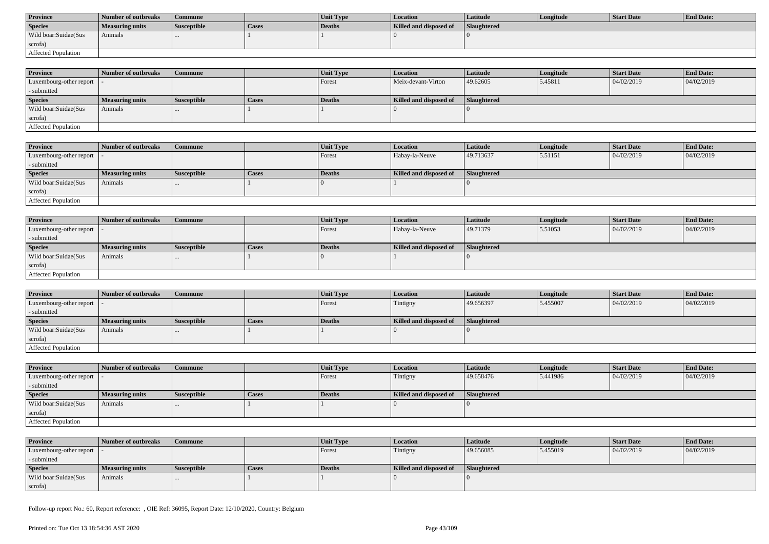| <b>Province</b>      | Number of outbreaks | Commune            |       | <b>Unit Type</b> | Location               | Latitude           | Longitude | Start Date | <b>End Date:</b> |
|----------------------|---------------------|--------------------|-------|------------------|------------------------|--------------------|-----------|------------|------------------|
| <b>Species</b>       | Measuring units     | <b>Susceptible</b> | Cases | Deaths           | Killed and disposed of | <b>Slaughtered</b> |           |            |                  |
| Wild boar:Suidae(Sus | Animals             |                    |       |                  |                        |                    |           |            |                  |
| scrofa)              |                     |                    |       |                  |                        |                    |           |            |                  |
| Affected Population  |                     |                    |       |                  |                        |                    |           |            |                  |

| <b>Province</b>            | Number of outbreaks    | Commune            |              | <b>Unit Type</b> | <b>Location</b>        | <b>Latitude</b>    | Longitude | <b>Start Date</b> | <b>End Date:</b> |
|----------------------------|------------------------|--------------------|--------------|------------------|------------------------|--------------------|-----------|-------------------|------------------|
| Luxembourg-other report  - |                        |                    |              | Forest           | Meix-devant-Virton     | 49.62605           | 5.45811   | 04/02/2019        | 04/02/2019       |
| - submitted                |                        |                    |              |                  |                        |                    |           |                   |                  |
| <b>Species</b>             | <b>Measuring units</b> | <b>Susceptible</b> | <b>Cases</b> | <b>Deaths</b>    | Killed and disposed of | <b>Slaughtered</b> |           |                   |                  |
| Wild boar:Suidae(Sus       | Animals                | $\cdots$           |              |                  |                        |                    |           |                   |                  |
| scrofa)                    |                        |                    |              |                  |                        |                    |           |                   |                  |
| Affected Population        |                        |                    |              |                  |                        |                    |           |                   |                  |

| <b>Province</b>         | Number of outbreaks | <b>Commune</b>     |       | Unit Type | Location               | Latitude           | Longitude | <b>Start Date</b> | <b>End Date:</b> |
|-------------------------|---------------------|--------------------|-------|-----------|------------------------|--------------------|-----------|-------------------|------------------|
| Luxembourg-other report |                     |                    |       | Forest    | Habay-la-Neuve         | 49.713637          | 5.51151   | 04/02/2019        | 04/02/2019       |
| - submitted             |                     |                    |       |           |                        |                    |           |                   |                  |
| <b>Species</b>          | Measuring units     | <b>Susceptible</b> | Cases | Deaths    | Killed and disposed of | <b>Slaughtered</b> |           |                   |                  |
| Wild boar:Suidae(Sus    | Animals             |                    |       |           |                        |                    |           |                   |                  |
| scrofa)                 |                     |                    |       |           |                        |                    |           |                   |                  |
| Affected Population     |                     |                    |       |           |                        |                    |           |                   |                  |

| <b>Province</b>            | Number of outbreaks    | Commune            |              | Unit Type | <b>Location</b>        | <b>Latitude</b>    | Longitude | <b>Start Date</b> | <b>End Date:</b> |
|----------------------------|------------------------|--------------------|--------------|-----------|------------------------|--------------------|-----------|-------------------|------------------|
| Luxembourg-other report  - |                        |                    |              | Forest    | Habay-la-Neuve         | 49.71379           | 5.51053   | 04/02/2019        | 04/02/2019       |
| - submitted                |                        |                    |              |           |                        |                    |           |                   |                  |
| <b>Species</b>             | <b>Measuring units</b> | <b>Susceptible</b> | <b>Cases</b> | Deaths    | Killed and disposed of | <b>Slaughtered</b> |           |                   |                  |
| Wild boar:Suidae(Sus       | Animals                | $\cdots$           |              |           |                        |                    |           |                   |                  |
| scrofa)                    |                        |                    |              |           |                        |                    |           |                   |                  |
| Affected Population        |                        |                    |              |           |                        |                    |           |                   |                  |

| <b>Province</b>            | Number of outbreaks    | Commune            |              | <b>Unit Type</b> | Location               | Latitude           | Longitude | <b>Start Date</b> | <b>End Date:</b> |
|----------------------------|------------------------|--------------------|--------------|------------------|------------------------|--------------------|-----------|-------------------|------------------|
| Luxembourg-other report  - |                        |                    |              | Forest           | Tintigny               | 49.656397          | 5.455007  | 04/02/2019        | 04/02/2019       |
| - submitted                |                        |                    |              |                  |                        |                    |           |                   |                  |
| <b>Species</b>             | <b>Measuring units</b> | <b>Susceptible</b> | <b>Cases</b> | Deaths           | Killed and disposed of | <b>Slaughtered</b> |           |                   |                  |
| Wild boar:Suidae(Sus       | Animals                |                    |              |                  |                        |                    |           |                   |                  |
| scrofa)                    |                        |                    |              |                  |                        |                    |           |                   |                  |
| Affected Population        |                        |                    |              |                  |                        |                    |           |                   |                  |

| <b>Province</b>            | Number of outbreaks    | <b>Commune</b>     |              | Unit Type     | Location               | Latitude    | Longitude | <b>Start Date</b> | <b>End Date:</b> |
|----------------------------|------------------------|--------------------|--------------|---------------|------------------------|-------------|-----------|-------------------|------------------|
| Luxembourg-other report  - |                        |                    |              | <b>Forest</b> | Tintigny               | 49.658476   | 5.441986  | 04/02/2019        | 04/02/2019       |
| - submitted                |                        |                    |              |               |                        |             |           |                   |                  |
| <b>Species</b>             | <b>Measuring units</b> | <b>Susceptible</b> | <b>Cases</b> | Deaths        | Killed and disposed of | Slaughtered |           |                   |                  |
| Wild boar:Suidae(Sus       | Animals                |                    |              |               |                        |             |           |                   |                  |
| scrofa)                    |                        |                    |              |               |                        |             |           |                   |                  |
| Affected Population        |                        |                    |              |               |                        |             |           |                   |                  |

| <b>Province</b>            | Number of outbreaks    | Commune            |              | <b>Unit Type</b> | <b>Location</b>        | Latitude    | Longitude | Start Date | <b>End Date:</b> |
|----------------------------|------------------------|--------------------|--------------|------------------|------------------------|-------------|-----------|------------|------------------|
| Luxembourg-other report  - |                        |                    |              | Forest           | Tintigny               | 49.656085   | 5.455019  | 04/02/2019 | 04/02/2019       |
| - submitted                |                        |                    |              |                  |                        |             |           |            |                  |
| <b>Species</b>             | <b>Measuring units</b> | <b>Susceptible</b> | <b>Cases</b> | Deaths           | Killed and disposed of | Slaughtered |           |            |                  |
| Wild boar:Suidae(Sus       | Animals                |                    |              |                  |                        |             |           |            |                  |
| scrofa)                    |                        |                    |              |                  |                        |             |           |            |                  |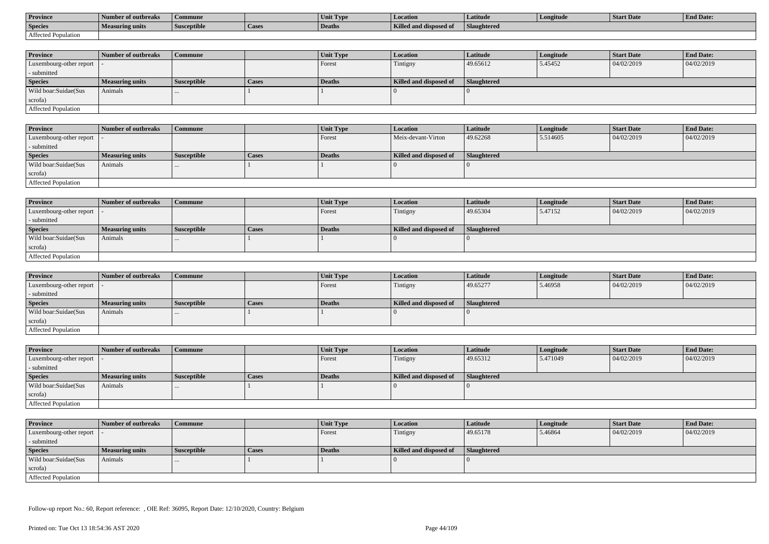| <b>Province</b>     | Number of outbreaks    | Commune            |                    | Unit Typ. | Location                             | Latitude    | Longitude | <b>Start Date</b> | <b>End Date:</b> |
|---------------------|------------------------|--------------------|--------------------|-----------|--------------------------------------|-------------|-----------|-------------------|------------------|
| <b>Species</b>      | <b>Measuring units</b> | <b>Susceptible</b> | <sup>1</sup> Cases | Deaths    | <b>Killed and disposy</b><br>™ od of | Slaughtered |           |                   |                  |
| Affected Population |                        |                    |                    |           |                                      |             |           |                   |                  |

| <b>Province</b>         | Number of outbreaks    | <b>Commune</b>     |              | Unit Type | <b>Location</b>        | <b>Latitude</b>    | Longitude | <b>Start Date</b> | <b>End Date:</b> |
|-------------------------|------------------------|--------------------|--------------|-----------|------------------------|--------------------|-----------|-------------------|------------------|
| Luxembourg-other report |                        |                    |              | Forest    | Tintigny               | 49.65612           | 5.45452   | 04/02/2019        | 04/02/2019       |
| - submitted             |                        |                    |              |           |                        |                    |           |                   |                  |
| <b>Species</b>          | <b>Measuring units</b> | <b>Susceptible</b> | <b>Cases</b> | Deaths    | Killed and disposed of | <b>Slaughtered</b> |           |                   |                  |
| Wild boar:Suidae(Sus    | Animals                |                    |              |           |                        |                    |           |                   |                  |
| scrofa)                 |                        |                    |              |           |                        |                    |           |                   |                  |
| Affected Population     |                        |                    |              |           |                        |                    |           |                   |                  |

| <b>Province</b>            | Number of outbreaks | Commune            |       | <b>Unit Type</b> | Location               | Latitude    | Longitude | <b>Start Date</b> | <b>End Date:</b> |
|----------------------------|---------------------|--------------------|-------|------------------|------------------------|-------------|-----------|-------------------|------------------|
| Luxembourg-other report  - |                     |                    |       | Forest           | Meix-devant-Virton     | 49.62268    | 5.514605  | 04/02/2019        | 04/02/2019       |
| - submitted                |                     |                    |       |                  |                        |             |           |                   |                  |
| <b>Species</b>             | Measuring units     | <b>Susceptible</b> | Cases | Deaths           | Killed and disposed of | Slaughtered |           |                   |                  |
| Wild boar:Suidae(Sus       | Animals             |                    |       |                  |                        |             |           |                   |                  |
| scrofa)                    |                     |                    |       |                  |                        |             |           |                   |                  |
| Affected Population        |                     |                    |       |                  |                        |             |           |                   |                  |

| <b>Province</b>            | Number of outbreaks    | <b>Commune</b>     |       | Unit Type | Location               | Latitude    | Longitude | <b>Start Date</b> | <b>End Date:</b> |
|----------------------------|------------------------|--------------------|-------|-----------|------------------------|-------------|-----------|-------------------|------------------|
| Luxembourg-other report  - |                        |                    |       | Forest    | Tintigny               | 49.65304    | 5.47152   | 04/02/2019        | 04/02/2019       |
| - submitted                |                        |                    |       |           |                        |             |           |                   |                  |
| <b>Species</b>             | <b>Measuring units</b> | <b>Susceptible</b> | Cases | Deaths    | Killed and disposed of | Slaughtered |           |                   |                  |
| Wild boar:Suidae(Sus       | Animals                |                    |       |           |                        |             |           |                   |                  |
| scrofa)                    |                        |                    |       |           |                        |             |           |                   |                  |
| Affected Population        |                        |                    |       |           |                        |             |           |                   |                  |

| <b>Province</b>         | Number of outbreaks    | <b>Commune</b>     |              | Unit Type | <i>Location</i>        | <b>Latitude</b> | Longitude | <b>Start Date</b> | <b>End Date:</b> |
|-------------------------|------------------------|--------------------|--------------|-----------|------------------------|-----------------|-----------|-------------------|------------------|
| Luxembourg-other report |                        |                    |              | Forest    | Tintigny               | 49.65277        | 5.46958   | 04/02/2019        | 04/02/2019       |
| - submitted             |                        |                    |              |           |                        |                 |           |                   |                  |
| <b>Species</b>          | <b>Measuring units</b> | <b>Susceptible</b> | <b>Cases</b> | Deaths    | Killed and disposed of | Slaughtered     |           |                   |                  |
| Wild boar:Suidae(Sus    | Animals                | $\cdots$           |              |           |                        |                 |           |                   |                  |
| scrofa)                 |                        |                    |              |           |                        |                 |           |                   |                  |
| Affected Population     |                        |                    |              |           |                        |                 |           |                   |                  |

| <b>Province</b>            | Number of outbreaks    | Commune            |       | Unit Type | <b>Location</b>        | <b>Latitude</b> | Longitude | <b>Start Date</b> | <b>End Date:</b> |
|----------------------------|------------------------|--------------------|-------|-----------|------------------------|-----------------|-----------|-------------------|------------------|
| Luxembourg-other report  - |                        |                    |       | Forest    | Tintigny               | 49.65312        | 5.471049  | 04/02/2019        | 04/02/2019       |
| - submitted                |                        |                    |       |           |                        |                 |           |                   |                  |
| <b>Species</b>             | <b>Measuring units</b> | <b>Susceptible</b> | Cases | Deaths    | Killed and disposed of | Slaughtered     |           |                   |                  |
| Wild boar:Suidae(Sus       | Animals                | $\cdots$           |       |           |                        |                 |           |                   |                  |
| scrofa)                    |                        |                    |       |           |                        |                 |           |                   |                  |
| Affected Population        |                        |                    |       |           |                        |                 |           |                   |                  |

| <b>Province</b>            | Number of outbreaks    | <b>Commune</b>     |       | Unit Type     | <i>Location</i>        | <b>Latitude</b> | Longitude | <b>Start Date</b> | <b>End Date:</b> |
|----------------------------|------------------------|--------------------|-------|---------------|------------------------|-----------------|-----------|-------------------|------------------|
| Luxembourg-other report  - |                        |                    |       | Forest        | Tintigny               | 49.65178        | 5.46864   | 04/02/2019        | 04/02/2019       |
| - submitted                |                        |                    |       |               |                        |                 |           |                   |                  |
| <b>Species</b>             | <b>Measuring units</b> | <b>Susceptible</b> | Cases | <b>Deaths</b> | Killed and disposed of | Slaughtered     |           |                   |                  |
| Wild boar:Suidae(Sus       | Animals                | $\cdots$           |       |               |                        |                 |           |                   |                  |
| scrofa)                    |                        |                    |       |               |                        |                 |           |                   |                  |
| Affected Population        |                        |                    |       |               |                        |                 |           |                   |                  |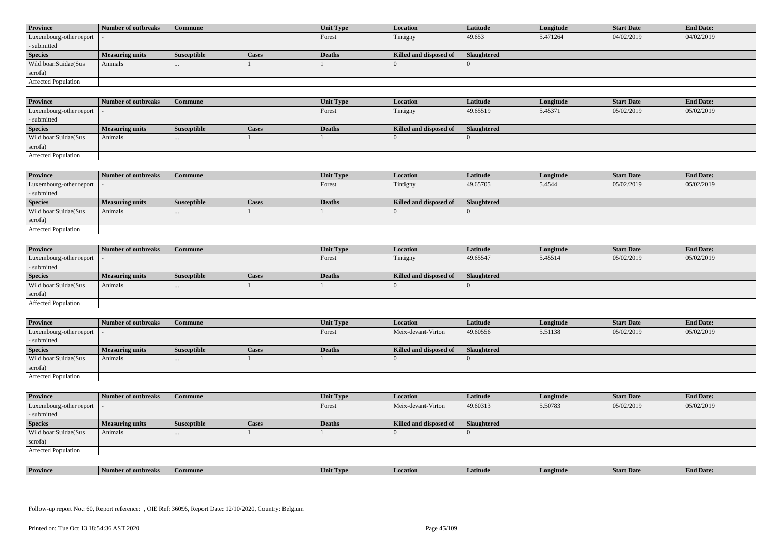| <b>Province</b>            | Number of outbreaks    | <b>Commune</b>     |              | Unit Type | Location               | <b>Latitude</b> | Longitude | <b>Start Date</b> | <b>End Date:</b> |
|----------------------------|------------------------|--------------------|--------------|-----------|------------------------|-----------------|-----------|-------------------|------------------|
| Luxembourg-other report  - |                        |                    |              | Forest    | Tintigny               | 49.653          | 5.471264  | 04/02/2019        | 04/02/2019       |
| - submitted                |                        |                    |              |           |                        |                 |           |                   |                  |
| <b>Species</b>             | <b>Measuring units</b> | <b>Susceptible</b> | <b>Cases</b> | Deaths    | Killed and disposed of | Slaughtered     |           |                   |                  |
| Wild boar: Suidae (Sus     | Animals                |                    |              |           |                        |                 |           |                   |                  |
| scrofa)                    |                        |                    |              |           |                        |                 |           |                   |                  |
| Affected Population        |                        |                    |              |           |                        |                 |           |                   |                  |

| <b>Province</b>         | Number of outbreaks | <b>Commune</b>     |       | Unit Type     | Location               | Latitude    | Longitude | <b>Start Date</b> | <b>End Date:</b> |
|-------------------------|---------------------|--------------------|-------|---------------|------------------------|-------------|-----------|-------------------|------------------|
| Luxembourg-other report |                     |                    |       | Forest        | Tintigny               | 49.65519    | 5.45371   | 05/02/2019        | 05/02/2019       |
| - submitted             |                     |                    |       |               |                        |             |           |                   |                  |
| <b>Species</b>          | Measuring units     | <b>Susceptible</b> | Cases | <b>Deaths</b> | Killed and disposed of | Slaughtered |           |                   |                  |
| Wild boar:Suidae(Sus    | Animals             |                    |       |               |                        |             |           |                   |                  |
| scrofa)                 |                     |                    |       |               |                        |             |           |                   |                  |
| Affected Population     |                     |                    |       |               |                        |             |           |                   |                  |

| <b>Province</b>            | Number of outbreaks | Commune            |              | Unit Type | Location               | <b>Latitude</b> | Longitude | <b>Start Date</b> | <b>End Date:</b> |
|----------------------------|---------------------|--------------------|--------------|-----------|------------------------|-----------------|-----------|-------------------|------------------|
| Luxembourg-other report  - |                     |                    |              | Forest    | Tintigny               | 49.65705        | 5.4544    | 05/02/2019        | 05/02/2019       |
| - submitted                |                     |                    |              |           |                        |                 |           |                   |                  |
| <b>Species</b>             | Measuring units     | <b>Susceptible</b> | <b>Cases</b> | Deaths    | Killed and disposed of | Slaughtered     |           |                   |                  |
| Wild boar:Suidae(Sus       | Animals             |                    |              |           |                        |                 |           |                   |                  |
| scrofa)                    |                     |                    |              |           |                        |                 |           |                   |                  |
| Affected Population        |                     |                    |              |           |                        |                 |           |                   |                  |

| <b>Province</b>            | Number of outbreaks    | <b>Commune</b>     |              | Unit Type     | Location               | <b>Latitude</b> | Longitude | <b>Start Date</b> | <b>End Date:</b> |
|----------------------------|------------------------|--------------------|--------------|---------------|------------------------|-----------------|-----------|-------------------|------------------|
| Luxembourg-other report  - |                        |                    |              | Forest        | Tintigny               | 49.65547        | 5.45514   | 05/02/2019        | 05/02/2019       |
| - submitted                |                        |                    |              |               |                        |                 |           |                   |                  |
| <b>Species</b>             | <b>Measuring units</b> | <b>Susceptible</b> | <b>Cases</b> | <b>Deaths</b> | Killed and disposed of | Slaughtered     |           |                   |                  |
| Wild boar:Suidae(Sus       | Animals                |                    |              |               |                        |                 |           |                   |                  |
| scrofa)                    |                        |                    |              |               |                        |                 |           |                   |                  |
| Affected Population        |                        |                    |              |               |                        |                 |           |                   |                  |

| <b>Province</b>            | Number of outbreaks    | Commune            |       | <b>Unit Type</b> | <b>Location</b>        | <b>Latitude</b> | Longitude | <b>Start Date</b> | <b>End Date:</b> |
|----------------------------|------------------------|--------------------|-------|------------------|------------------------|-----------------|-----------|-------------------|------------------|
| Luxembourg-other report  - |                        |                    |       | Forest           | Meix-devant-Virton     | 49.60556        | 5.51138   | 05/02/2019        | 05/02/2019       |
| - submitted                |                        |                    |       |                  |                        |                 |           |                   |                  |
| <b>Species</b>             | <b>Measuring units</b> | <b>Susceptible</b> | Cases | <b>Deaths</b>    | Killed and disposed of | Slaughtered     |           |                   |                  |
| Wild boar:Suidae(Sus       | Animals                |                    |       |                  |                        |                 |           |                   |                  |
|                            |                        | $\cdots$           |       |                  |                        |                 |           |                   |                  |
| scrofa)                    |                        |                    |       |                  |                        |                 |           |                   |                  |

| <b>Province</b>            | Number of outbreaks    | <b>Commune</b>     |              | Unit Type     | Location               | <b>Latitude</b>    | Longitude | <b>Start Date</b> | <b>End Date:</b> |
|----------------------------|------------------------|--------------------|--------------|---------------|------------------------|--------------------|-----------|-------------------|------------------|
| Luxembourg-other report -  |                        |                    |              | Forest        | Meix-devant-Virton     | 49.60313           | 5.50783   | 05/02/2019        | 05/02/2019       |
| - submitted                |                        |                    |              |               |                        |                    |           |                   |                  |
| <b>Species</b>             | <b>Measuring units</b> | <b>Susceptible</b> | <b>Cases</b> | <b>Deaths</b> | Killed and disposed of | <b>Slaughtered</b> |           |                   |                  |
| Wild boar:Suidae(Sus       | Animals                | $\cdots$           |              |               |                        |                    |           |                   |                  |
| scrofa)                    |                        |                    |              |               |                        |                    |           |                   |                  |
| <b>Affected Population</b> |                        |                    |              |               |                        |                    |           |                   |                  |

| <b>Province</b> | of outbreaks<br>-Number | Commune | . Tvr<br>™Um⊾ | ocation | Latitud | ngitude | <b>Start Date</b> | En.<br>nd Date: |
|-----------------|-------------------------|---------|---------------|---------|---------|---------|-------------------|-----------------|
|                 |                         |         |               |         |         |         |                   |                 |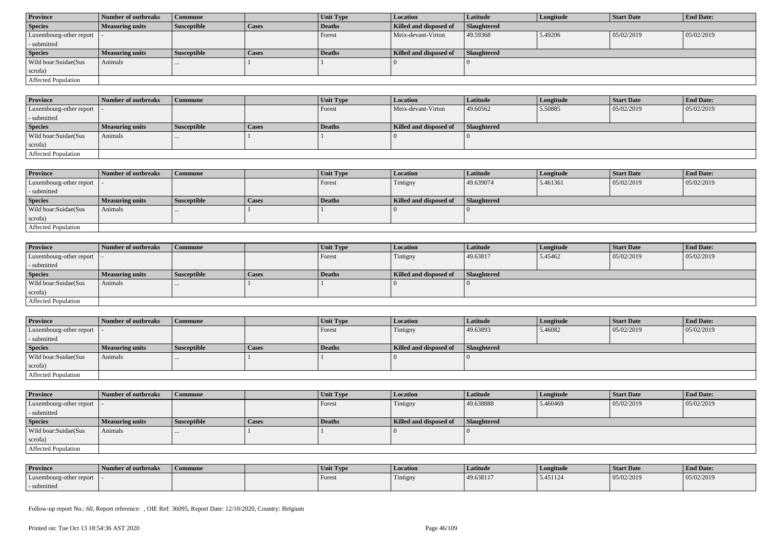| <b>Province</b>            | Number of outbreaks    | Commune            |              | Unit Type | <b>Location</b>        | <b>Latitude</b> | Longitude | <b>Start Date</b> | <b>End Date:</b> |
|----------------------------|------------------------|--------------------|--------------|-----------|------------------------|-----------------|-----------|-------------------|------------------|
| <b>Species</b>             | <b>Measuring units</b> | <b>Susceptible</b> | <b>Cases</b> | Deaths    | Killed and disposed of | Slaughtered     |           |                   |                  |
| Luxembourg-other report  - |                        |                    |              | Forest    | Meix-devant-Virton     | 49.59368        | 5.49206   | 05/02/2019        | 05/02/2019       |
| - submitted                |                        |                    |              |           |                        |                 |           |                   |                  |
| <b>Species</b>             | <b>Measuring units</b> | <b>Susceptible</b> | <b>Cases</b> | Deaths    | Killed and disposed of | Slaughtered     |           |                   |                  |
| Wild boar:Suidae(Sus       | Animals                | $\cdots$           |              |           |                        |                 |           |                   |                  |
| scrofa)                    |                        |                    |              |           |                        |                 |           |                   |                  |
| Affected Population        |                        |                    |              |           |                        |                 |           |                   |                  |

| <b>Province</b>            | 1 Number of outbreaks  | <b>Commune</b> |              | <b>Unit Type</b> | <b>Location</b>        | <b>Latitude</b> | Longitude | <b>Start Date</b> | <b>End Date:</b> |
|----------------------------|------------------------|----------------|--------------|------------------|------------------------|-----------------|-----------|-------------------|------------------|
| Luxembourg-other report -  |                        |                |              | Forest           | Meix-devant-Virton     | 49.60562        | 5.50885   | 05/02/2019        | 05/02/2019       |
| - submitted                |                        |                |              |                  |                        |                 |           |                   |                  |
| <b>Species</b>             | <b>Measuring units</b> | Susceptible    | <b>Cases</b> | Deaths           | Killed and disposed of | Slaughtered     |           |                   |                  |
| Wild boar:Suidae(Sus       | Animals                |                |              |                  |                        |                 |           |                   |                  |
| scrofa)                    |                        |                |              |                  |                        |                 |           |                   |                  |
| <b>Affected Population</b> |                        |                |              |                  |                        |                 |           |                   |                  |

| <b>Province</b>            | Number of outbreaks    | Commune            |              | <b>Unit Type</b> | <b>Location</b>        | Latitude           | Longitude | <b>Start Date</b> | <b>End Date:</b> |
|----------------------------|------------------------|--------------------|--------------|------------------|------------------------|--------------------|-----------|-------------------|------------------|
| Luxembourg-other report    |                        |                    |              | Forest           | Tintigny               | 49.639074          | 5.461361  | 05/02/2019        | 05/02/2019       |
| - submitted                |                        |                    |              |                  |                        |                    |           |                   |                  |
| <b>Species</b>             | <b>Measuring units</b> | <b>Susceptible</b> | <b>Cases</b> | Deaths           | Killed and disposed of | <b>Slaughtered</b> |           |                   |                  |
| Wild boar:Suidae(Sus       | Animals                |                    |              |                  |                        |                    |           |                   |                  |
| scrofa)                    |                        |                    |              |                  |                        |                    |           |                   |                  |
| <b>Affected Population</b> |                        |                    |              |                  |                        |                    |           |                   |                  |

| Province                   | Number of outbreaks    | <b>Commune</b>     |       | Unit Type | Location               | Latitude    | Longitude | <b>Start Date</b> | <b>End Date:</b> |
|----------------------------|------------------------|--------------------|-------|-----------|------------------------|-------------|-----------|-------------------|------------------|
| Luxembourg-other report  - |                        |                    |       | Forest    | Tintigny               | 49.63817    | 5.45462   | 05/02/2019        | 05/02/2019       |
| - submitted                |                        |                    |       |           |                        |             |           |                   |                  |
| <b>Species</b>             | <b>Measuring units</b> | <b>Susceptible</b> | Cases | Deaths    | Killed and disposed of | Slaughtered |           |                   |                  |
| Wild boar:Suidae(Sus       | Animals                |                    |       |           |                        |             |           |                   |                  |
| scrofa)                    |                        |                    |       |           |                        |             |           |                   |                  |
| Affected Population        |                        |                    |       |           |                        |             |           |                   |                  |

| <b>Province</b>            | Number of outbreaks    | <b>Commune</b>     |              | Unit Type | Location               | Latitude           | Longitude | <b>Start Date</b> | <b>End Date:</b> |
|----------------------------|------------------------|--------------------|--------------|-----------|------------------------|--------------------|-----------|-------------------|------------------|
| Luxembourg-other report  - |                        |                    |              | Forest    | Tintigny               | 49.63893           | 5.46082   | 05/02/2019        | 05/02/2019       |
| - submitted                |                        |                    |              |           |                        |                    |           |                   |                  |
| <b>Species</b>             | <b>Measuring units</b> | <b>Susceptible</b> | <b>Cases</b> | Deaths    | Killed and disposed of | <b>Slaughtered</b> |           |                   |                  |
| Wild boar:Suidae(Sus       | Animals                |                    |              |           |                        |                    |           |                   |                  |
| scrofa)                    |                        |                    |              |           |                        |                    |           |                   |                  |
|                            |                        |                    |              |           |                        |                    |           |                   |                  |

| <b>Province</b>            | Number of outbreaks    | Commune            |              | <b>Unit Type</b> | <b>Location</b>        | Latitude           | Longitude | <b>Start Date</b> | <b>End Date:</b> |
|----------------------------|------------------------|--------------------|--------------|------------------|------------------------|--------------------|-----------|-------------------|------------------|
| Luxembourg-other report  - |                        |                    |              | Forest           | Tintigny               | 49.638888          | 5.460469  | 05/02/2019        | 05/02/2019       |
| - submitted                |                        |                    |              |                  |                        |                    |           |                   |                  |
| <b>Species</b>             | <b>Measuring units</b> | <b>Susceptible</b> | <b>Cases</b> | Deaths           | Killed and disposed of | <b>Slaughtered</b> |           |                   |                  |
|                            |                        |                    |              |                  |                        |                    |           |                   |                  |
| Wild boar:Suidae(Sus       | Animals                |                    |              |                  |                        |                    |           |                   |                  |
| scrofa)                    |                        |                    |              |                  |                        |                    |           |                   |                  |

| <b>Province</b>         | Number of outbreaks | Commune | Unit Type | <b>Location</b> | Latitude  | Longitude | <b>Start Date</b> | <b>End Date:</b> |
|-------------------------|---------------------|---------|-----------|-----------------|-----------|-----------|-------------------|------------------|
| Luxembourg-other report |                     |         | Forest    | Tintigny        | 49.638117 | 5.451124  | 05/02/2019        | 05/02/2019       |
| submitted               |                     |         |           |                 |           |           |                   |                  |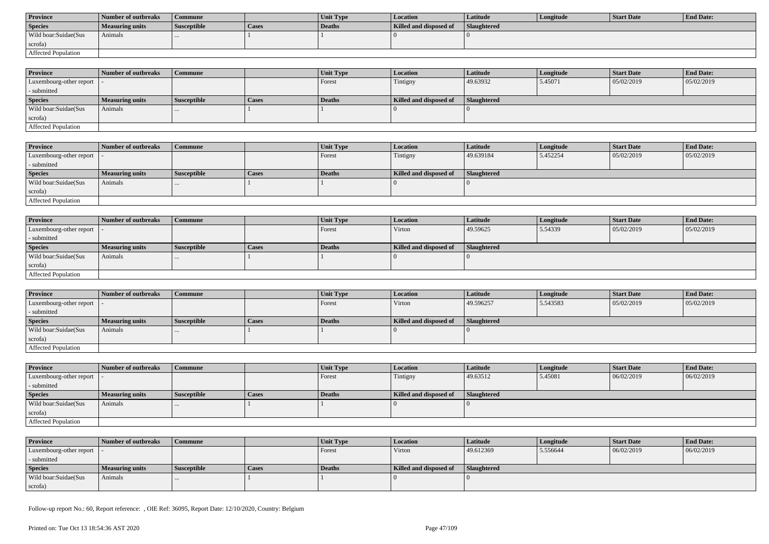| <b>Province</b>      | Number of outbreaks | Commune            |       | <b>Unit Type</b> | Location               | Latitude           | Longitude | Start Date | <b>End Date:</b> |
|----------------------|---------------------|--------------------|-------|------------------|------------------------|--------------------|-----------|------------|------------------|
| <b>Species</b>       | Measuring units     | <b>Susceptible</b> | Cases | Deaths           | Killed and disposed of | <b>Slaughtered</b> |           |            |                  |
| Wild boar:Suidae(Sus | Animals             |                    |       |                  |                        |                    |           |            |                  |
| scrofa)              |                     |                    |       |                  |                        |                    |           |            |                  |
| Affected Population  |                     |                    |       |                  |                        |                    |           |            |                  |

| <b>Province</b>            | Number of outbreaks | Commune            |              | <b>Unit Type</b> | <b>Location</b>        | <b>Latitude</b>    | Longitude | <b>Start Date</b> | <b>End Date:</b> |
|----------------------------|---------------------|--------------------|--------------|------------------|------------------------|--------------------|-----------|-------------------|------------------|
| Luxembourg-other report  - |                     |                    |              | Forest           | Tintigny               | 49.63932           | 5.45071   | 05/02/2019        | 05/02/2019       |
| - submitted                |                     |                    |              |                  |                        |                    |           |                   |                  |
| <b>Species</b>             | Measuring units     | <b>Susceptible</b> | <b>Cases</b> | <b>Deaths</b>    | Killed and disposed of | <b>Slaughtered</b> |           |                   |                  |
| Wild boar:Suidae(Sus       | Animals             | $\cdots$           |              |                  |                        |                    |           |                   |                  |
| scrofa)                    |                     |                    |              |                  |                        |                    |           |                   |                  |
| Affected Population        |                     |                    |              |                  |                        |                    |           |                   |                  |

| <b>Province</b>         | Number of outbreaks    | <b>Commune</b>     |       | Unit Type | Location               | <b>Latitude</b> | Longitude | <b>Start Date</b> | <b>End Date:</b> |
|-------------------------|------------------------|--------------------|-------|-----------|------------------------|-----------------|-----------|-------------------|------------------|
| Luxembourg-other report |                        |                    |       | Forest    | Tintigny               | 49.639184       | 5.452254  | 05/02/2019        | 05/02/2019       |
| - submitted             |                        |                    |       |           |                        |                 |           |                   |                  |
| <b>Species</b>          | <b>Measuring units</b> | <b>Susceptible</b> | Cases | Deaths    | Killed and disposed of | Slaughtered     |           |                   |                  |
| Wild boar:Suidae(Sus    | Animals                |                    |       |           |                        |                 |           |                   |                  |
| scrofa)                 |                        |                    |       |           |                        |                 |           |                   |                  |
| Affected Population     |                        |                    |       |           |                        |                 |           |                   |                  |

| <b>Province</b>            | Number of outbreaks    | <b>Commune</b>     |              | Unit Type | Location               | Latitude    | Longitude | <b>Start Date</b> | <b>End Date:</b> |
|----------------------------|------------------------|--------------------|--------------|-----------|------------------------|-------------|-----------|-------------------|------------------|
| Luxembourg-other report  - |                        |                    |              | Forest    | Virton                 | 49.59625    | 5.54339   | 05/02/2019        | 05/02/2019       |
| - submitted                |                        |                    |              |           |                        |             |           |                   |                  |
| <b>Species</b>             | <b>Measuring units</b> | <b>Susceptible</b> | <b>Cases</b> | Deaths    | Killed and disposed of | Slaughtered |           |                   |                  |
| Wild boar:Suidae(Sus       | Animals                |                    |              |           |                        |             |           |                   |                  |
| scrofa)                    |                        |                    |              |           |                        |             |           |                   |                  |
| Affected Population        |                        |                    |              |           |                        |             |           |                   |                  |

| <b>Province</b>                           | Number of outbreaks    | l Commune          |              | <b>Unit Type</b> | Location               | <b>Latitude</b> | Longitude | <b>Start Date</b> | <b>End Date:</b> |
|-------------------------------------------|------------------------|--------------------|--------------|------------------|------------------------|-----------------|-----------|-------------------|------------------|
| $\vert$ Luxembourg-other report $\vert$ . |                        |                    |              | Forest           | Virton                 | 49.596257       | 5.543583  | 05/02/2019        | 05/02/2019       |
| - submitted                               |                        |                    |              |                  |                        |                 |           |                   |                  |
| <b>Species</b>                            | <b>Measuring units</b> | <b>Susceptible</b> | <b>Cases</b> | Deaths           | Killed and disposed of | Slaughtered     |           |                   |                  |
| Wild boar: Suidae (Sus                    | Animals                |                    |              |                  |                        |                 |           |                   |                  |
| scrofa)                                   |                        |                    |              |                  |                        |                 |           |                   |                  |
| Affected Population                       |                        |                    |              |                  |                        |                 |           |                   |                  |

| <b>Province</b>                           | Number of outbreaks    | <b>Commune</b>     |              | <b>Unit Type</b> | <b>Location</b>        | <b>Latitude</b> | Longitude | <b>Start Date</b> | <b>End Date:</b> |
|-------------------------------------------|------------------------|--------------------|--------------|------------------|------------------------|-----------------|-----------|-------------------|------------------|
| $\vert$ Luxembourg-other report $\vert$ - |                        |                    |              | Forest           | Tintigny               | 49.63512        | 5.45081   | 06/02/2019        | 06/02/2019       |
| - submitted                               |                        |                    |              |                  |                        |                 |           |                   |                  |
| <b>Species</b>                            | <b>Measuring units</b> | <b>Susceptible</b> | <b>Cases</b> | Deaths           | Killed and disposed of | Slaughtered     |           |                   |                  |
| Wild boar:Suidae(Sus                      | Animals                | $\cdots$           |              |                  |                        |                 |           |                   |                  |
| scrofa)                                   |                        |                    |              |                  |                        |                 |           |                   |                  |
| Affected Population                       |                        |                    |              |                  |                        |                 |           |                   |                  |

| <b>Province</b>            | Number of outbreaks    | Commune            |       | <b>Unit Type</b> | <b>Location</b>        | Latitude    | Longitude | Start Date | <b>End Date:</b> |
|----------------------------|------------------------|--------------------|-------|------------------|------------------------|-------------|-----------|------------|------------------|
| Luxembourg-other report  - |                        |                    |       | Forest           | Virton                 | 49.612369   | 5.556644  | 06/02/2019 | 06/02/2019       |
| - submitted                |                        |                    |       |                  |                        |             |           |            |                  |
| <b>Species</b>             | <b>Measuring units</b> | <b>Susceptible</b> | Cases | Deaths           | Killed and disposed of | Slaughtered |           |            |                  |
| Wild boar:Suidae(Sus       | Animals                |                    |       |                  |                        |             |           |            |                  |
| scrofa)                    |                        |                    |       |                  |                        |             |           |            |                  |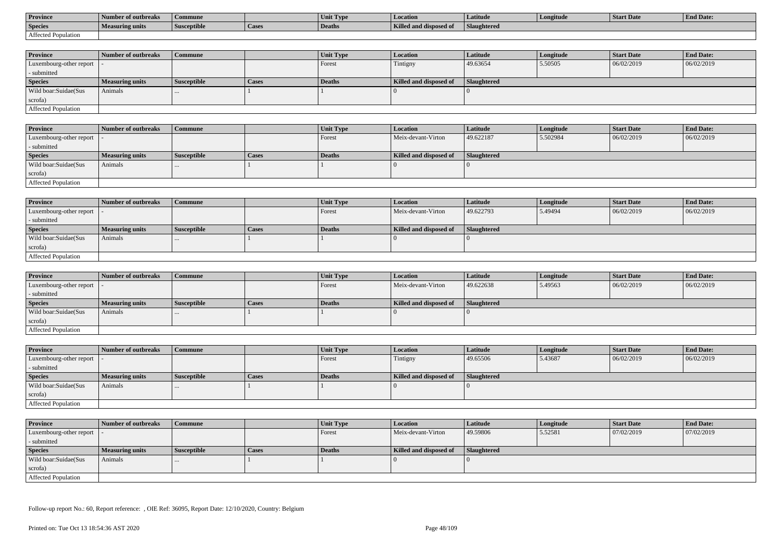| <b>Province</b>     | Number of outbreaks | Commune            |        | Unit Type     | <b>Location</b>               | Latitude    | Longitude | Start Date | <b>End Date:</b> |
|---------------------|---------------------|--------------------|--------|---------------|-------------------------------|-------------|-----------|------------|------------------|
| <b>Species</b>      | Measuring units     | <b>Susceptible</b> | 'Cases | <b>Deaths</b> | <b>Killed and disposed of</b> | Slaughtered |           |            |                  |
| Affected Population |                     |                    |        |               |                               |             |           |            |                  |

| <b>Province</b>         | Number of outbreaks    | <b>Commune</b>     |              | Unit Type | <b>Location</b>        | <b>Latitude</b>    | Longitude | <b>Start Date</b> | <b>End Date:</b> |
|-------------------------|------------------------|--------------------|--------------|-----------|------------------------|--------------------|-----------|-------------------|------------------|
| Luxembourg-other report |                        |                    |              | Forest    | Tintigny               | 49.63654           | 5.50505   | 06/02/2019        | 06/02/2019       |
| - submitted             |                        |                    |              |           |                        |                    |           |                   |                  |
| <b>Species</b>          | <b>Measuring units</b> | <b>Susceptible</b> | <b>Cases</b> | Deaths    | Killed and disposed of | <b>Slaughtered</b> |           |                   |                  |
| Wild boar:Suidae(Sus    | Animals                |                    |              |           |                        |                    |           |                   |                  |
| scrofa)                 |                        |                    |              |           |                        |                    |           |                   |                  |
| Affected Population     |                        |                    |              |           |                        |                    |           |                   |                  |

| <b>Province</b>            | Number of outbreaks | Commune            |       | <b>Unit Type</b> | Location               | Latitude    | Longitude | <b>Start Date</b> | <b>End Date:</b> |
|----------------------------|---------------------|--------------------|-------|------------------|------------------------|-------------|-----------|-------------------|------------------|
| Luxembourg-other report  - |                     |                    |       | Forest           | Meix-devant-Virton     | 49.622187   | 5.502984  | 06/02/2019        | 06/02/2019       |
| - submitted                |                     |                    |       |                  |                        |             |           |                   |                  |
| <b>Species</b>             | Measuring units     | <b>Susceptible</b> | Cases | Deaths           | Killed and disposed of | Slaughtered |           |                   |                  |
| Wild boar:Suidae(Sus       | Animals             |                    |       |                  |                        |             |           |                   |                  |
| scrofa)                    |                     |                    |       |                  |                        |             |           |                   |                  |
| Affected Population        |                     |                    |       |                  |                        |             |           |                   |                  |

| <b>Province</b>            | Number of outbreaks    | <b>Commune</b>     |       | Unit Type | Location               | Latitude    | Longitude | <b>Start Date</b> | <b>End Date:</b> |
|----------------------------|------------------------|--------------------|-------|-----------|------------------------|-------------|-----------|-------------------|------------------|
| Luxembourg-other report  - |                        |                    |       | I Forest  | Meix-devant-Virton     | 49.622793   | 5.49494   | 06/02/2019        | 06/02/2019       |
| - submitted                |                        |                    |       |           |                        |             |           |                   |                  |
| <b>Species</b>             | <b>Measuring units</b> | <b>Susceptible</b> | Cases | Deaths    | Killed and disposed of | Slaughtered |           |                   |                  |
| Wild boar:Suidae(Sus       | Animals                |                    |       |           |                        |             |           |                   |                  |
| scrofa)                    |                        |                    |       |           |                        |             |           |                   |                  |
| Affected Population        |                        |                    |       |           |                        |             |           |                   |                  |

| <b>Province</b>         | Number of outbreaks    | <b>Commune</b>     |              | Unit Type     | <i>Location</i>        | <b>Latitude</b> | Longitude | <b>Start Date</b> | <b>End Date:</b> |
|-------------------------|------------------------|--------------------|--------------|---------------|------------------------|-----------------|-----------|-------------------|------------------|
| Luxembourg-other report |                        |                    |              | <b>Forest</b> | Meix-devant-Virton     | 49.622638       | 5.49563   | 06/02/2019        | 06/02/2019       |
| - submitted             |                        |                    |              |               |                        |                 |           |                   |                  |
| <b>Species</b>          | <b>Measuring units</b> | <b>Susceptible</b> | <b>Cases</b> | Deaths        | Killed and disposed of | Slaughtered     |           |                   |                  |
| Wild boar:Suidae(Sus    | Animals                | $\cdots$           |              |               |                        |                 |           |                   |                  |
| scrofa)                 |                        |                    |              |               |                        |                 |           |                   |                  |
| Affected Population     |                        |                    |              |               |                        |                 |           |                   |                  |

| <b>Province</b>            | Number of outbreaks    | Commune            |       | Unit Type | <b>Location</b>        | <b>Latitude</b> | Longitude | <b>Start Date</b> | <b>End Date:</b> |
|----------------------------|------------------------|--------------------|-------|-----------|------------------------|-----------------|-----------|-------------------|------------------|
| Luxembourg-other report  - |                        |                    |       | Forest    | Tintigny               | 49.65506        | 5.43687   | 06/02/2019        | 06/02/2019       |
| - submitted                |                        |                    |       |           |                        |                 |           |                   |                  |
| <b>Species</b>             | <b>Measuring units</b> | <b>Susceptible</b> | Cases | Deaths    | Killed and disposed of | Slaughtered     |           |                   |                  |
| Wild boar:Suidae(Sus       | Animals                | $\cdots$           |       |           |                        |                 |           |                   |                  |
| scrofa)                    |                        |                    |       |           |                        |                 |           |                   |                  |
| Affected Population        |                        |                    |       |           |                        |                 |           |                   |                  |

| <b>Province</b>            | Number of outbreaks    | <b>Commune</b>     |       | Unit Type     | <i>Location</i>        | <b>Latitude</b>    | Longitude | <b>Start Date</b> | <b>End Date:</b> |
|----------------------------|------------------------|--------------------|-------|---------------|------------------------|--------------------|-----------|-------------------|------------------|
| Luxembourg-other report  - |                        |                    |       | Forest        | Meix-devant-Virton     | 49.59806           | 5.52581   | 07/02/2019        | 07/02/2019       |
| - submitted                |                        |                    |       |               |                        |                    |           |                   |                  |
| <b>Species</b>             | <b>Measuring units</b> | <b>Susceptible</b> | Cases | <b>Deaths</b> | Killed and disposed of | <b>Slaughtered</b> |           |                   |                  |
| Wild boar:Suidae(Sus       | Animals                | $\cdots$           |       |               |                        |                    |           |                   |                  |
| scrofa)                    |                        |                    |       |               |                        |                    |           |                   |                  |
| Affected Population        |                        |                    |       |               |                        |                    |           |                   |                  |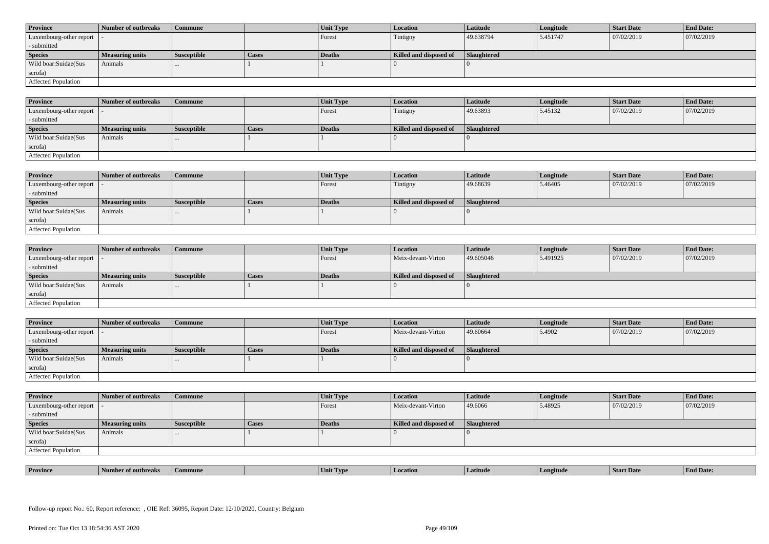| <b>Province</b>            | Number of outbreaks    | <b>Commune</b>     |              | Unit Type | Location               | <b>Latitude</b> | Longitude | <b>Start Date</b> | <b>End Date:</b> |
|----------------------------|------------------------|--------------------|--------------|-----------|------------------------|-----------------|-----------|-------------------|------------------|
| Luxembourg-other report  - |                        |                    |              | Forest    | Tintigny               | 49.638794       | 5.451747  | 07/02/2019        | 07/02/2019       |
| - submitted                |                        |                    |              |           |                        |                 |           |                   |                  |
| <b>Species</b>             | <b>Measuring units</b> | <b>Susceptible</b> | <b>Cases</b> | Deaths    | Killed and disposed of | Slaughtered     |           |                   |                  |
| Wild boar: Suidae (Sus     | Animals                |                    |              |           |                        |                 |           |                   |                  |
| scrofa)                    |                        |                    |              |           |                        |                 |           |                   |                  |
| <b>Affected Population</b> |                        |                    |              |           |                        |                 |           |                   |                  |

| <b>Province</b>         | Number of outbreaks | <b>Commune</b>     |       | Unit Type     | Location               | Latitude    | Longitude | <b>Start Date</b> | <b>End Date:</b> |
|-------------------------|---------------------|--------------------|-------|---------------|------------------------|-------------|-----------|-------------------|------------------|
| Luxembourg-other report |                     |                    |       | Forest        | Tintigny               | 49.63893    | 5.45132   | 07/02/2019        | 07/02/2019       |
| - submitted             |                     |                    |       |               |                        |             |           |                   |                  |
| <b>Species</b>          | Measuring units     | <b>Susceptible</b> | Cases | <b>Deaths</b> | Killed and disposed of | Slaughtered |           |                   |                  |
| Wild boar:Suidae(Sus    | Animals             |                    |       |               |                        |             |           |                   |                  |
| scrofa)                 |                     |                    |       |               |                        |             |           |                   |                  |
| Affected Population     |                     |                    |       |               |                        |             |           |                   |                  |

| <b>Province</b>            | Number of outbreaks | Commune              |              | Unit Type | Location               | <b>Latitude</b> | Longitude | <b>Start Date</b> | <b>End Date:</b> |
|----------------------------|---------------------|----------------------|--------------|-----------|------------------------|-----------------|-----------|-------------------|------------------|
| Luxembourg-other report  - |                     |                      |              | Forest    | Tintigny               | 49.68639        | 5.46405   | 07/02/2019        | 07/02/2019       |
| - submitted                |                     |                      |              |           |                        |                 |           |                   |                  |
| <b>Species</b>             | Measuring units     | <b>Susceptible</b>   | <b>Cases</b> | Deaths    | Killed and disposed of | Slaughtered     |           |                   |                  |
| Wild boar:Suidae(Sus       | Animals             | $\sim$ $\sim$ $\sim$ |              |           |                        |                 |           |                   |                  |
| scrofa)                    |                     |                      |              |           |                        |                 |           |                   |                  |
| Affected Population        |                     |                      |              |           |                        |                 |           |                   |                  |

| <b>Province</b>            | Number of outbreaks    | <b>Commune</b>     |              | Unit Type     | Location               | Latitude    | Longitude | <b>Start Date</b> | <b>End Date:</b> |
|----------------------------|------------------------|--------------------|--------------|---------------|------------------------|-------------|-----------|-------------------|------------------|
| Luxembourg-other report  - |                        |                    |              | Forest        | Meix-devant-Virton     | 49.605046   | 5.491925  | 07/02/2019        | 07/02/2019       |
| - submitted                |                        |                    |              |               |                        |             |           |                   |                  |
| <b>Species</b>             | <b>Measuring units</b> | <b>Susceptible</b> | <b>Cases</b> | <b>Deaths</b> | Killed and disposed of | Slaughtered |           |                   |                  |
| Wild boar:Suidae(Sus       | Animals                |                    |              |               |                        |             |           |                   |                  |
| scrofa)                    |                        |                    |              |               |                        |             |           |                   |                  |
| Affected Population        |                        |                    |              |               |                        |             |           |                   |                  |

| <b>Province</b>            | Number of outbreaks    | Commune            |       | <b>Unit Type</b> | <b>Location</b>        | <b>Latitude</b> | Longitude | <b>Start Date</b> | <b>End Date:</b> |
|----------------------------|------------------------|--------------------|-------|------------------|------------------------|-----------------|-----------|-------------------|------------------|
| Luxembourg-other report  - |                        |                    |       | Forest           | Meix-devant-Virton     | 49.60664        | 5.4902    | 07/02/2019        | 07/02/2019       |
| - submitted                |                        |                    |       |                  |                        |                 |           |                   |                  |
| <b>Species</b>             | <b>Measuring units</b> | <b>Susceptible</b> | Cases | <b>Deaths</b>    | Killed and disposed of | Slaughtered     |           |                   |                  |
| Wild boar:Suidae(Sus       | Animals                | $\cdots$           |       |                  |                        |                 |           |                   |                  |
|                            |                        |                    |       |                  |                        |                 |           |                   |                  |
| scrofa)                    |                        |                    |       |                  |                        |                 |           |                   |                  |

| <b>Province</b>            | Number of outbreaks    | <b>Commune</b>     |              | Unit Type | Location               | Latitude    | Longitude | <b>Start Date</b> | <b>End Date:</b> |
|----------------------------|------------------------|--------------------|--------------|-----------|------------------------|-------------|-----------|-------------------|------------------|
| Luxembourg-other report  - |                        |                    |              | Forest    | Meix-devant-Virton     | 49.6066     | 5.48925   | 07/02/2019        | 07/02/2019       |
| - submitted                |                        |                    |              |           |                        |             |           |                   |                  |
| <b>Species</b>             | <b>Measuring units</b> | <b>Susceptible</b> | <b>Cases</b> | Deaths    | Killed and disposed of | Slaughtered |           |                   |                  |
| Wild boar:Suidae(Sus       | Animals                | $\cdots$           |              |           |                        |             |           |                   |                  |
| scrofa)                    |                        |                    |              |           |                        |             |           |                   |                  |
| Affected Population        |                        |                    |              |           |                        |             |           |                   |                  |

| . | <b>Province</b> |         |       | U VD. |            |         | <b>Start Date</b> | $\mathbf{r}$<br>nd Date:<br>- Enc |
|---|-----------------|---------|-------|-------|------------|---------|-------------------|-----------------------------------|
|   |                 | tnreak: | nmune | Unit  | . Latitud⁄ | ngitude |                   |                                   |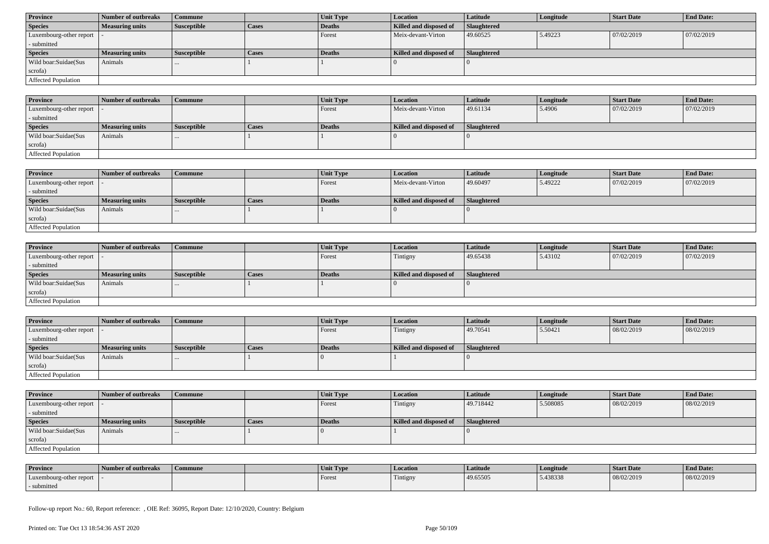| <b>Province</b>            | Number of outbreaks    | Commune            |              | Unit Type | <b>Location</b>        | <b>Latitude</b> | Longitude | <b>Start Date</b> | <b>End Date:</b> |
|----------------------------|------------------------|--------------------|--------------|-----------|------------------------|-----------------|-----------|-------------------|------------------|
| <b>Species</b>             | <b>Measuring units</b> | <b>Susceptible</b> | <b>Cases</b> | Deaths    | Killed and disposed of | Slaughtered     |           |                   |                  |
| Luxembourg-other report  - |                        |                    |              | Forest    | Meix-devant-Virton     | 49.60525        | 5.49223   | 07/02/2019        | 07/02/2019       |
| - submitted                |                        |                    |              |           |                        |                 |           |                   |                  |
| <b>Species</b>             | <b>Measuring units</b> | <b>Susceptible</b> | <b>Cases</b> | Deaths    | Killed and disposed of | Slaughtered     |           |                   |                  |
| Wild boar:Suidae(Sus       | Animals                | $\cdots$           |              |           |                        |                 |           |                   |                  |
| scrofa)                    |                        |                    |              |           |                        |                 |           |                   |                  |
|                            |                        |                    |              |           |                        |                 |           |                   |                  |

| <b>Province</b>                             | 1 Number of outbreaks  | <b>Commune</b> |              | Unit Type | <b>Location</b>        | <b>Latitude</b> | Longitude | <b>Start Date</b> | <b>End Date:</b> |
|---------------------------------------------|------------------------|----------------|--------------|-----------|------------------------|-----------------|-----------|-------------------|------------------|
| $\lvert$ Luxembourg-other report $\lvert$ . |                        |                |              | Forest    | Meix-devant-Virton     | 49.61134        | 5.4906    | 07/02/2019        | 07/02/2019       |
| - submitted                                 |                        |                |              |           |                        |                 |           |                   |                  |
| <b>Species</b>                              | <b>Measuring units</b> | Susceptible    | <b>Cases</b> | Deaths    | Killed and disposed of | Slaughtered     |           |                   |                  |
| Wild boar:Suidae(Sus                        | Animals                |                |              |           |                        |                 |           |                   |                  |
| scrofa)                                     |                        |                |              |           |                        |                 |           |                   |                  |
| <b>Affected Population</b>                  |                        |                |              |           |                        |                 |           |                   |                  |

| <b>Province</b>         | Number of outbreaks    | Commune            |       | Unit Type | <b>Location</b>        | <b>Latitude</b> | Longitude | <b>Start Date</b> | <b>End Date:</b> |
|-------------------------|------------------------|--------------------|-------|-----------|------------------------|-----------------|-----------|-------------------|------------------|
| Luxembourg-other report |                        |                    |       | Forest    | Meix-devant-Virton     | 49.60497        | 5.49222   | 07/02/2019        | 07/02/2019       |
| - submitted             |                        |                    |       |           |                        |                 |           |                   |                  |
| <b>Species</b>          | <b>Measuring units</b> | <b>Susceptible</b> | Cases | Deaths    | Killed and disposed of | Slaughtered     |           |                   |                  |
| Wild boar:Suidae(Sus    | Animals                | $\cdots$           |       |           |                        |                 |           |                   |                  |
| scrofa)                 |                        |                    |       |           |                        |                 |           |                   |                  |
| Affected Population     |                        |                    |       |           |                        |                 |           |                   |                  |

| <b>Province</b>            | Number of outbreaks    | <b>Commune</b>     |              | <b>Unit Type</b> | <i>Location</i>        | <b>Latitude</b>    | Longitude | <b>Start Date</b> | <b>End Date:</b> |
|----------------------------|------------------------|--------------------|--------------|------------------|------------------------|--------------------|-----------|-------------------|------------------|
| Luxembourg-other report  - |                        |                    |              | Forest           | Tintigny               | 49.65438           | 5.43102   | 07/02/2019        | 07/02/2019       |
| - submitted                |                        |                    |              |                  |                        |                    |           |                   |                  |
| <b>Species</b>             | <b>Measuring units</b> | <b>Susceptible</b> | <b>Cases</b> | <b>Deaths</b>    | Killed and disposed of | <b>Slaughtered</b> |           |                   |                  |
| Wild boar:Suidae(Sus       | Animals                | $\cdots$           |              |                  |                        |                    |           |                   |                  |
| scrofa)                    |                        |                    |              |                  |                        |                    |           |                   |                  |
| Affected Population        |                        |                    |              |                  |                        |                    |           |                   |                  |

| <b>Province</b>            | Number of outbreaks    | <b>Commune</b>     |              | Unit Type | Location               | Latitude           | Longitude | <b>Start Date</b> | <b>End Date:</b> |
|----------------------------|------------------------|--------------------|--------------|-----------|------------------------|--------------------|-----------|-------------------|------------------|
| Luxembourg-other report  - |                        |                    |              | Forest    | Tintigny               | 49.70541           | 5.50421   | 08/02/2019        | 08/02/2019       |
| - submitted                |                        |                    |              |           |                        |                    |           |                   |                  |
| <b>Species</b>             | <b>Measuring units</b> | <b>Susceptible</b> | <b>Cases</b> | Deaths    | Killed and disposed of | <b>Slaughtered</b> |           |                   |                  |
| Wild boar:Suidae(Sus       | Animals                |                    |              |           |                        |                    |           |                   |                  |
| scrofa)                    |                        |                    |              |           |                        |                    |           |                   |                  |
|                            |                        |                    |              |           |                        |                    |           |                   |                  |

| <b>Province</b>         | Number of outbreaks    | <b>Commune</b>     |       | Unit Type | <b>Location</b>        | <b>Latitude</b>    | Longitude | <b>Start Date</b> | <b>End Date:</b> |
|-------------------------|------------------------|--------------------|-------|-----------|------------------------|--------------------|-----------|-------------------|------------------|
| Luxembourg-other report |                        |                    |       | Forest    | Tintigny               | 49.718442          | 5.508085  | 08/02/2019        | 08/02/2019       |
| - submitted             |                        |                    |       |           |                        |                    |           |                   |                  |
| <b>Species</b>          | <b>Measuring units</b> | <b>Susceptible</b> | Cases | Deaths    | Killed and disposed of | <b>Slaughtered</b> |           |                   |                  |
| Wild boar:Suidae(Sus    | Animals                |                    |       |           |                        |                    |           |                   |                  |
|                         |                        |                    |       |           |                        |                    |           |                   |                  |
| scrofa)                 |                        |                    |       |           |                        |                    |           |                   |                  |

| <b>Province</b>         | <b>Number of outbreaks</b> | Commune | Unit Type | Location | Latitude | Longitude | Start Date | <b>End Date:</b> |
|-------------------------|----------------------------|---------|-----------|----------|----------|-----------|------------|------------------|
| Luxembourg-other report |                            |         | Forest    | Tintigny | 49.65505 | 5.438338  | 08/02/2019 | 08/02/2019       |
| submitted               |                            |         |           |          |          |           |            |                  |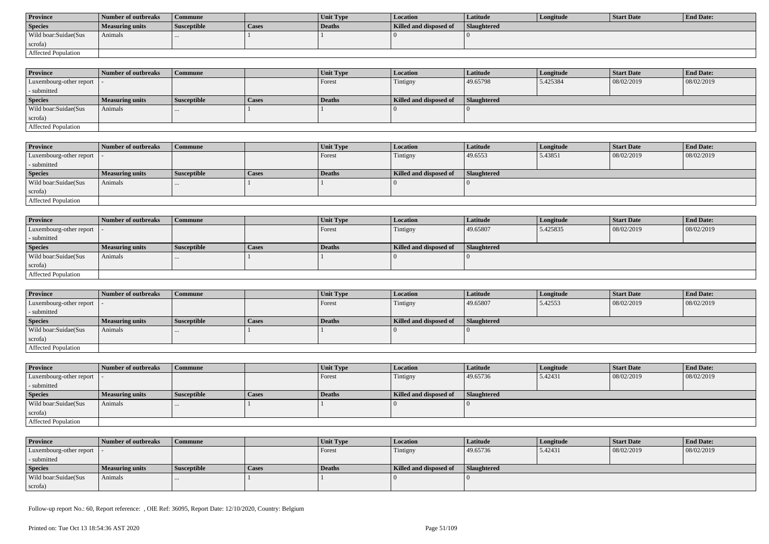| <b>Province</b>      | <b>Number of outbreaks</b> | Commune            |              | <b>Unit Type</b> | Location               | Latitude    | Longitude | Start Date | <b>End Date:</b> |
|----------------------|----------------------------|--------------------|--------------|------------------|------------------------|-------------|-----------|------------|------------------|
| <b>Species</b>       | Measuring units            | <b>Susceptible</b> | <b>Cases</b> | Deaths           | Killed and disposed of | Slaughtered |           |            |                  |
| Wild boar:Suidae(Sus | Animals                    |                    |              |                  |                        |             |           |            |                  |
| scrofa)              |                            |                    |              |                  |                        |             |           |            |                  |
| Affected Population  |                            |                    |              |                  |                        |             |           |            |                  |

| <b>Province</b>            | Number of outbreaks | Commune            |              | <b>Unit Type</b> | <b>Location</b>        | <b>Latitude</b>    | Longitude | <b>Start Date</b> | <b>End Date:</b> |
|----------------------------|---------------------|--------------------|--------------|------------------|------------------------|--------------------|-----------|-------------------|------------------|
| Luxembourg-other report  - |                     |                    |              | Forest           | Tintigny               | 49.65798           | 5.425384  | 08/02/2019        | 08/02/2019       |
| - submitted                |                     |                    |              |                  |                        |                    |           |                   |                  |
| <b>Species</b>             | Measuring units     | <b>Susceptible</b> | <b>Cases</b> | <b>Deaths</b>    | Killed and disposed of | <b>Slaughtered</b> |           |                   |                  |
| Wild boar:Suidae(Sus       | Animals             | $\cdots$           |              |                  |                        |                    |           |                   |                  |
| scrofa)                    |                     |                    |              |                  |                        |                    |           |                   |                  |
| Affected Population        |                     |                    |              |                  |                        |                    |           |                   |                  |

| <b>Province</b>         | Number of outbreaks    | <b>Commune</b>     |       | Unit Type | Location               | Latitude    | Longitude | Start Date | <b>End Date:</b> |
|-------------------------|------------------------|--------------------|-------|-----------|------------------------|-------------|-----------|------------|------------------|
| Luxembourg-other report |                        |                    |       | Forest    | Tintigny               | 49.6553     | 5.43851   | 08/02/2019 | 08/02/2019       |
| - submitted             |                        |                    |       |           |                        |             |           |            |                  |
| <b>Species</b>          | <b>Measuring units</b> | <b>Susceptible</b> | Cases | Deaths    | Killed and disposed of | Slaughtered |           |            |                  |
| Wild boar:Suidae(Sus    | Animals                |                    |       |           |                        |             |           |            |                  |
| scrofa)                 |                        |                    |       |           |                        |             |           |            |                  |
| Affected Population     |                        |                    |       |           |                        |             |           |            |                  |

| <b>Province</b>            | Number of outbreaks    | <b>Commune</b>     |              | Unit Type | Location               | Latitude    | Longitude | <b>Start Date</b> | <b>End Date:</b> |
|----------------------------|------------------------|--------------------|--------------|-----------|------------------------|-------------|-----------|-------------------|------------------|
| Luxembourg-other report  - |                        |                    |              | Forest    | Tintigny               | 49.65807    | 5.425835  | 08/02/2019        | 08/02/2019       |
| - submitted                |                        |                    |              |           |                        |             |           |                   |                  |
| <b>Species</b>             | <b>Measuring units</b> | <b>Susceptible</b> | <b>Cases</b> | Deaths    | Killed and disposed of | Slaughtered |           |                   |                  |
| Wild boar:Suidae(Sus       | Animals                |                    |              |           |                        |             |           |                   |                  |
| scrofa)                    |                        |                    |              |           |                        |             |           |                   |                  |
| Affected Population        |                        |                    |              |           |                        |             |           |                   |                  |

| <b>Province</b>                           | Number of outbreaks    | l Commune          |              | <b>Unit Type</b> | Location               | <b>Latitude</b> | Longitude | <b>Start Date</b> | <b>End Date:</b> |
|-------------------------------------------|------------------------|--------------------|--------------|------------------|------------------------|-----------------|-----------|-------------------|------------------|
| $\vert$ Luxembourg-other report $\vert$ . |                        |                    |              | Forest           | Tintigny               | 49.65807        | 5.42553   | 08/02/2019        | 08/02/2019       |
| - submitted                               |                        |                    |              |                  |                        |                 |           |                   |                  |
| <b>Species</b>                            | <b>Measuring units</b> | <b>Susceptible</b> | <b>Cases</b> | Deaths           | Killed and disposed of | Slaughtered     |           |                   |                  |
| Wild boar: Suidae (Sus                    | Animals                |                    |              |                  |                        |                 |           |                   |                  |
| scrofa)                                   |                        |                    |              |                  |                        |                 |           |                   |                  |
| Affected Population                       |                        |                    |              |                  |                        |                 |           |                   |                  |

| <b>Province</b>                           | Number of outbreaks    | <b>Commune</b>     |              | <b>Unit Type</b> | <b>Location</b>        | <b>Latitude</b> | Longitude | <b>Start Date</b> | <b>End Date:</b> |
|-------------------------------------------|------------------------|--------------------|--------------|------------------|------------------------|-----------------|-----------|-------------------|------------------|
| $\vert$ Luxembourg-other report $\vert$ - |                        |                    |              | Forest           | Tintigny               | 49.65736        | 5.42431   | 08/02/2019        | 08/02/2019       |
| - submitted                               |                        |                    |              |                  |                        |                 |           |                   |                  |
| <b>Species</b>                            | <b>Measuring units</b> | <b>Susceptible</b> | <b>Cases</b> | Deaths           | Killed and disposed of | Slaughtered     |           |                   |                  |
| Wild boar:Suidae(Sus                      | Animals                | $\cdots$           |              |                  |                        |                 |           |                   |                  |
| scrofa)                                   |                        |                    |              |                  |                        |                 |           |                   |                  |
| Affected Population                       |                        |                    |              |                  |                        |                 |           |                   |                  |

| <b>Province</b>            | Number of outbreaks    | Commune            |              | <b>Unit Type</b> | <b>Location</b>        | Latitude    | Longitude | Start Date | <b>End Date:</b> |
|----------------------------|------------------------|--------------------|--------------|------------------|------------------------|-------------|-----------|------------|------------------|
| Luxembourg-other report  - |                        |                    |              | Forest           | Tintigny               | 49.65736    | 5.42431   | 08/02/2019 | 08/02/2019       |
| - submitted                |                        |                    |              |                  |                        |             |           |            |                  |
| <b>Species</b>             | <b>Measuring units</b> | <b>Susceptible</b> | <b>Cases</b> | Deaths           | Killed and disposed of | Slaughtered |           |            |                  |
| Wild boar:Suidae(Sus       | Animals                |                    |              |                  |                        |             |           |            |                  |
| scrofa)                    |                        |                    |              |                  |                        |             |           |            |                  |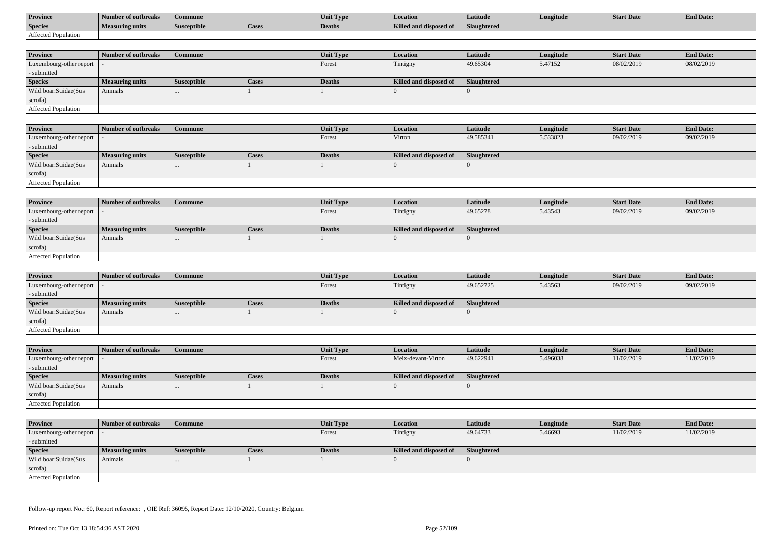| <b>Province</b>     | Number of outbreaks    | Commune            |                    | Unit Typ. | Location                             | Latitude    | Longitude | <b>Start Date</b> | <b>End Date:</b> |
|---------------------|------------------------|--------------------|--------------------|-----------|--------------------------------------|-------------|-----------|-------------------|------------------|
| <b>Species</b>      | <b>Measuring units</b> | <b>Susceptible</b> | <sup>1</sup> Cases | Deaths    | <b>Killed and disposy</b><br>™ od of | Slaughtered |           |                   |                  |
| Affected Population |                        |                    |                    |           |                                      |             |           |                   |                  |

| <b>Province</b>         | Number of outbreaks    | <b>Commune</b>     |              | Unit Type | <b>Location</b>        | <b>Latitude</b>    | Longitude | <b>Start Date</b> | <b>End Date:</b> |
|-------------------------|------------------------|--------------------|--------------|-----------|------------------------|--------------------|-----------|-------------------|------------------|
| Luxembourg-other report |                        |                    |              | Forest    | Tintigny               | 49.65304           | 5.47152   | 08/02/2019        | 08/02/2019       |
| - submitted             |                        |                    |              |           |                        |                    |           |                   |                  |
| <b>Species</b>          | <b>Measuring units</b> | <b>Susceptible</b> | <b>Cases</b> | Deaths    | Killed and disposed of | <b>Slaughtered</b> |           |                   |                  |
| Wild boar:Suidae(Sus    | Animals                |                    |              |           |                        |                    |           |                   |                  |
| scrofa)                 |                        |                    |              |           |                        |                    |           |                   |                  |
| Affected Population     |                        |                    |              |           |                        |                    |           |                   |                  |

| <b>Province</b>            | Number of outbreaks | Commune            |              | <b>Unit Type</b> | Location               | Latitude    | Longitude | <b>Start Date</b> | <b>End Date:</b> |
|----------------------------|---------------------|--------------------|--------------|------------------|------------------------|-------------|-----------|-------------------|------------------|
| Luxembourg-other report  - |                     |                    |              | Forest           | Virton                 | 49.585341   | 5.533823  | 09/02/2019        | 09/02/2019       |
| - submitted                |                     |                    |              |                  |                        |             |           |                   |                  |
| <b>Species</b>             | Measuring units     | <b>Susceptible</b> | <b>Cases</b> | Deaths           | Killed and disposed of | Slaughtered |           |                   |                  |
| Wild boar:Suidae(Sus       | Animals             |                    |              |                  |                        |             |           |                   |                  |
| scrofa)                    |                     |                    |              |                  |                        |             |           |                   |                  |
| Affected Population        |                     |                    |              |                  |                        |             |           |                   |                  |

| <b>Province</b>            | Number of outbreaks    | Commune            |              | Unit Type | Location               | Latitude    | Longitude | <b>Start Date</b> | <b>End Date:</b> |
|----------------------------|------------------------|--------------------|--------------|-----------|------------------------|-------------|-----------|-------------------|------------------|
| Luxembourg-other report  - |                        |                    |              | Forest    | Tintigny               | 49.65278    | 5.43543   | 09/02/2019        | 09/02/2019       |
| - submitted                |                        |                    |              |           |                        |             |           |                   |                  |
| <b>Species</b>             | <b>Measuring units</b> | <b>Susceptible</b> | <b>Cases</b> | Deaths    | Killed and disposed of | Slaughtered |           |                   |                  |
| Wild boar:Suidae(Sus       | Animals                | $\cdots$           |              |           |                        |             |           |                   |                  |
| scrofa)                    |                        |                    |              |           |                        |             |           |                   |                  |
| Affected Population        |                        |                    |              |           |                        |             |           |                   |                  |

| <b>Province</b>            | Number of outbreaks | <b>Commune</b>     |              | Unit Type     | <i>Location</i>        | Latitude           | Longitude | <b>Start Date</b> | <b>End Date:</b> |
|----------------------------|---------------------|--------------------|--------------|---------------|------------------------|--------------------|-----------|-------------------|------------------|
| Luxembourg-other report  - |                     |                    |              | Forest        | Tintigny               | 49.652725          | 5.43563   | 09/02/2019        | 09/02/2019       |
| - submitted                |                     |                    |              |               |                        |                    |           |                   |                  |
| <b>Species</b>             | Measuring units     | <b>Susceptible</b> | <b>Cases</b> | <b>Deaths</b> | Killed and disposed of | <b>Slaughtered</b> |           |                   |                  |
| Wild boar:Suidae(Sus       | Animals             | $\cdots$           |              |               |                        |                    |           |                   |                  |
| scrofa)                    |                     |                    |              |               |                        |                    |           |                   |                  |
| Affected Population        |                     |                    |              |               |                        |                    |           |                   |                  |

| <b>Province</b>            | Number of outbreaks    | Commune            |       | Unit Type | <b>Location</b>        | <b>Latitude</b>    | Longitude | <b>Start Date</b> | <b>End Date:</b> |
|----------------------------|------------------------|--------------------|-------|-----------|------------------------|--------------------|-----------|-------------------|------------------|
| Luxembourg-other report  - |                        |                    |       | Forest    | Meix-devant-Virton     | 49.622941          | 5.496038  | 11/02/2019        | 11/02/2019       |
| - submitted                |                        |                    |       |           |                        |                    |           |                   |                  |
| <b>Species</b>             | <b>Measuring units</b> | <b>Susceptible</b> | Cases | Deaths    | Killed and disposed of | <b>Slaughtered</b> |           |                   |                  |
| Wild boar:Suidae(Sus       | Animals                | $\cdots$           |       |           |                        |                    |           |                   |                  |
| scrofa)                    |                        |                    |       |           |                        |                    |           |                   |                  |
| Affected Population        |                        |                    |       |           |                        |                    |           |                   |                  |

| <b>Province</b>            | Number of outbreaks    | <b>Commune</b>     |       | Unit Type     | Location               | <b>Latitude</b> | Longitude | <b>Start Date</b> | <b>End Date:</b> |
|----------------------------|------------------------|--------------------|-------|---------------|------------------------|-----------------|-----------|-------------------|------------------|
| Luxembourg-other report  - |                        |                    |       | Forest        | Tintigny               | 49.64733        | 5.46693   | 11/02/2019        | 11/02/2019       |
| - submitted                |                        |                    |       |               |                        |                 |           |                   |                  |
| <b>Species</b>             | <b>Measuring units</b> | <b>Susceptible</b> | Cases | <b>Deaths</b> | Killed and disposed of | Slaughtered     |           |                   |                  |
| Wild boar:Suidae(Sus       | Animals                | $\cdots$           |       |               |                        |                 |           |                   |                  |
| scrofa)                    |                        |                    |       |               |                        |                 |           |                   |                  |
| Affected Population        |                        |                    |       |               |                        |                 |           |                   |                  |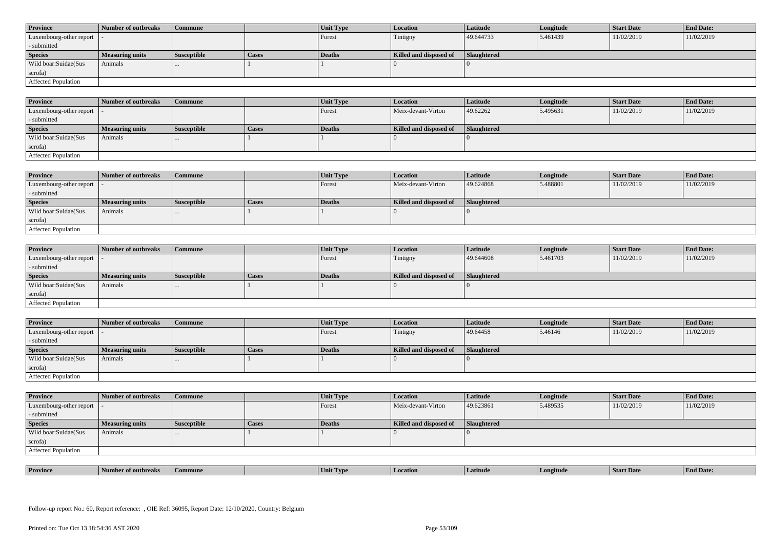| <b>Province</b>            | Number of outbreaks    | <b>Commune</b>     |              | Unit Type | Location               | <b>Latitude</b> | Longitude | <b>Start Date</b> | <b>End Date:</b> |
|----------------------------|------------------------|--------------------|--------------|-----------|------------------------|-----------------|-----------|-------------------|------------------|
| Luxembourg-other report  - |                        |                    |              | Forest    | Tintigny               | 49.644733       | 5.461439  | 11/02/2019        | 11/02/2019       |
| - submitted                |                        |                    |              |           |                        |                 |           |                   |                  |
| <b>Species</b>             | <b>Measuring units</b> | <b>Susceptible</b> | <b>Cases</b> | Deaths    | Killed and disposed of | Slaughtered     |           |                   |                  |
| Wild boar: Suidae (Sus     | Animals                |                    |              |           |                        |                 |           |                   |                  |
| scrofa)                    |                        |                    |              |           |                        |                 |           |                   |                  |
| <b>Affected Population</b> |                        |                    |              |           |                        |                 |           |                   |                  |

| <b>Province</b>         | Number of outbreaks | <b>Commune</b>     |       | Unit Type | <i>Location</i>        | Latitude    | Longitude | <b>Start Date</b> | <b>End Date:</b> |
|-------------------------|---------------------|--------------------|-------|-----------|------------------------|-------------|-----------|-------------------|------------------|
| Luxembourg-other report |                     |                    |       | Forest    | Meix-devant-Virton     | 49.62262    | 5.495631  | 11/02/2019        | 11/02/2019       |
| - submitted             |                     |                    |       |           |                        |             |           |                   |                  |
| <b>Species</b>          | Measuring units     | <b>Susceptible</b> | Cases | Deaths    | Killed and disposed of | Slaughtered |           |                   |                  |
| Wild boar:Suidae(Sus    | Animals             |                    |       |           |                        |             |           |                   |                  |
| scrofa)                 |                     |                    |       |           |                        |             |           |                   |                  |
| Affected Population     |                     |                    |       |           |                        |             |           |                   |                  |

| <b>Province</b>            | Number of outbreaks | Commune     |              | Unit Type | Location               | <b>Latitude</b> | Longitude | <b>Start Date</b> | <b>End Date:</b> |
|----------------------------|---------------------|-------------|--------------|-----------|------------------------|-----------------|-----------|-------------------|------------------|
| Luxembourg-other report  - |                     |             |              | Forest    | Meix-devant-Virton     | 49.624868       | 5.488801  | 11/02/2019        | 11/02/2019       |
| submitted                  |                     |             |              |           |                        |                 |           |                   |                  |
| <b>Species</b>             | Measuring units     | Susceptible | <b>Cases</b> | Deaths    | Killed and disposed of | Slaughtered     |           |                   |                  |
| Wild boar:Suidae(Sus       | Animals             |             |              |           |                        |                 |           |                   |                  |
| scrofa)                    |                     |             |              |           |                        |                 |           |                   |                  |
| Affected Population        |                     |             |              |           |                        |                 |           |                   |                  |

| <b>Province</b>            | Number of outbreaks    | <b>Commune</b>     |              | Unit Type     | Location               | <b>Latitude</b> | Longitude | <b>Start Date</b> | <b>End Date:</b> |
|----------------------------|------------------------|--------------------|--------------|---------------|------------------------|-----------------|-----------|-------------------|------------------|
| Luxembourg-other report  - |                        |                    |              | Forest        | Tintigny               | 49.644608       | 5.461703  | 11/02/2019        | 11/02/2019       |
| - submitted                |                        |                    |              |               |                        |                 |           |                   |                  |
| <b>Species</b>             | <b>Measuring units</b> | <b>Susceptible</b> | <b>Cases</b> | <b>Deaths</b> | Killed and disposed of | Slaughtered     |           |                   |                  |
| Wild boar:Suidae(Sus       | Animals                |                    |              |               |                        |                 |           |                   |                  |
| scrofa)                    |                        |                    |              |               |                        |                 |           |                   |                  |
| Affected Population        |                        |                    |              |               |                        |                 |           |                   |                  |

| <b>Province</b>            | Number of outbreaks | Commune            |       | Unit Type | <b>Location</b>        | Latitude           | Longitude | <b>Start Date</b> | <b>End Date:</b> |
|----------------------------|---------------------|--------------------|-------|-----------|------------------------|--------------------|-----------|-------------------|------------------|
| Luxembourg-other report  - |                     |                    |       | Forest    | Tintigny               | 49.64458           | 5.46146   | 11/02/2019        | 11/02/2019       |
| - submitted                |                     |                    |       |           |                        |                    |           |                   |                  |
| <b>Species</b>             | Measuring units     | <b>Susceptible</b> | Cases | Deaths    | Killed and disposed of | <b>Slaughtered</b> |           |                   |                  |
| Wild boar:Suidae(Sus       | Animals             |                    |       |           |                        |                    |           |                   |                  |
|                            |                     | $\cdots$           |       |           |                        |                    |           |                   |                  |
| scrofa)                    |                     |                    |       |           |                        |                    |           |                   |                  |

| <b>Province</b>            | Number of outbreaks    | <b>Commune</b>     |       | Unit Type | Location               | <b>Latitude</b> | Longitude | <b>Start Date</b> | <b>End Date:</b> |
|----------------------------|------------------------|--------------------|-------|-----------|------------------------|-----------------|-----------|-------------------|------------------|
| Luxembourg-other report  - |                        |                    |       | Forest    | Meix-devant-Virton     | 49.623861       | 5.489535  | 11/02/2019        | 11/02/2019       |
| - submitted                |                        |                    |       |           |                        |                 |           |                   |                  |
| <b>Species</b>             | <b>Measuring units</b> | <b>Susceptible</b> | Cases | Deaths    | Killed and disposed of | Slaughtered     |           |                   |                  |
| Wild boar:Suidae(Sus       | Animals                | $\cdots$           |       |           |                        |                 |           |                   |                  |
| scrofa)                    |                        |                    |       |           |                        |                 |           |                   |                  |
| Affected Population        |                        |                    |       |           |                        |                 |           |                   |                  |

| <b>Province</b><br>. .<br><b>Location</b><br>Latitud<br>ngitude<br>of outbreaks<br>Commune<br>. TVP<br>™Un⊾ | <b>Start Date</b> | "En.<br>nd Date: |
|-------------------------------------------------------------------------------------------------------------|-------------------|------------------|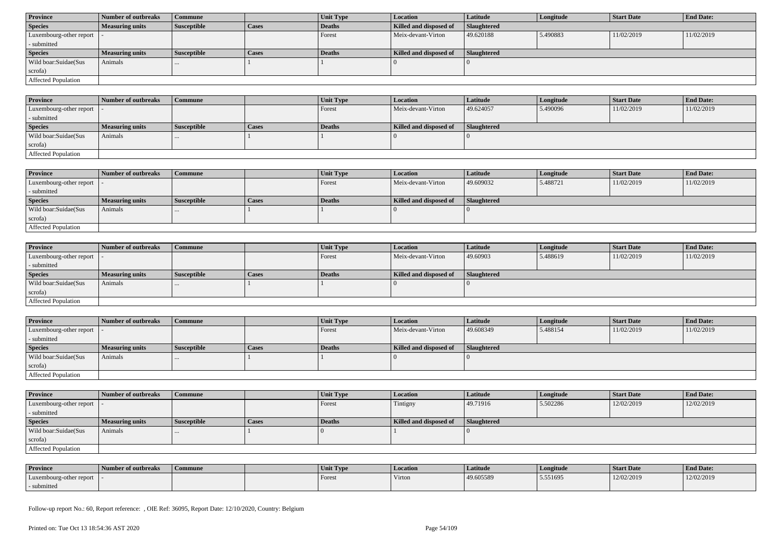| <b>Province</b>            | Number of outbreaks    | Commune            |              | Unit Type     | <b>Location</b>        | Latitude    | Longitude | <b>Start Date</b> | <b>End Date:</b> |  |
|----------------------------|------------------------|--------------------|--------------|---------------|------------------------|-------------|-----------|-------------------|------------------|--|
| <b>Species</b>             | <b>Measuring units</b> | <b>Susceptible</b> | <b>Cases</b> | Deaths        | Killed and disposed of | Slaughtered |           |                   |                  |  |
| Luxembourg-other report  - |                        |                    |              | Forest        | Meix-devant-Virton     | 49.620188   | 5.490883  | 11/02/2019        | 11/02/2019       |  |
| - submitted                |                        |                    |              |               |                        |             |           |                   |                  |  |
| <b>Species</b>             | <b>Measuring units</b> | <b>Susceptible</b> | <b>Cases</b> | <b>Deaths</b> | Killed and disposed of | Slaughtered |           |                   |                  |  |
| Wild boar:Suidae(Sus       | Animals                | $\cdots$           |              |               |                        |             |           |                   |                  |  |
| scrofa)                    |                        |                    |              |               |                        |             |           |                   |                  |  |
| Affected Population        |                        |                    |              |               |                        |             |           |                   |                  |  |

| <b>Province</b>            | 1 Number of outbreaks  | <b>Commune</b> |              | Unit Type | <b>Location</b>        | <b>Latitude</b> | Longitude | <b>Start Date</b> | <b>End Date:</b> |
|----------------------------|------------------------|----------------|--------------|-----------|------------------------|-----------------|-----------|-------------------|------------------|
| Luxembourg-other report -  |                        |                |              | Forest    | Meix-devant-Virton     | 49.624057       | 5.490096  | 11/02/2019        | 11/02/2019       |
| - submitted                |                        |                |              |           |                        |                 |           |                   |                  |
| <b>Species</b>             | <b>Measuring units</b> | Susceptible    | <b>Cases</b> | Deaths    | Killed and disposed of | Slaughtered     |           |                   |                  |
| Wild boar:Suidae(Sus       | Animals                |                |              |           |                        |                 |           |                   |                  |
| scrofa)                    |                        |                |              |           |                        |                 |           |                   |                  |
| <b>Affected Population</b> |                        |                |              |           |                        |                 |           |                   |                  |

| <b>Province</b>             | <b>Number of outbreaks</b> | <b>Commune</b>     |       | Unit Type | Location               | Latitude    | Longitude | <b>Start Date</b> | <b>End Date:</b> |
|-----------------------------|----------------------------|--------------------|-------|-----------|------------------------|-------------|-----------|-------------------|------------------|
| Luxembourg-other report   - |                            |                    |       | Forest    | Meix-devant-Virton     | 49.609032   | 5.488721  | 11/02/2019        | 11/02/2019       |
| - submitted                 |                            |                    |       |           |                        |             |           |                   |                  |
| <b>Species</b>              | <b>Measuring units</b>     | <b>Susceptible</b> | Cases | Deaths    | Killed and disposed of | Slaughtered |           |                   |                  |
| Wild boar:Suidae(Sus        | Animals                    |                    |       |           |                        |             |           |                   |                  |
| scrofa)                     |                            |                    |       |           |                        |             |           |                   |                  |
| <b>Affected Population</b>  |                            |                    |       |           |                        |             |           |                   |                  |

| <b>Province</b>            | Number of outbreaks    | <b>Commune</b>     |              | <b>Unit Type</b> | <i>Location</i>        | <b>Latitude</b>    | Longitude | <b>Start Date</b> | <b>End Date:</b> |
|----------------------------|------------------------|--------------------|--------------|------------------|------------------------|--------------------|-----------|-------------------|------------------|
| Luxembourg-other report  - |                        |                    |              | Forest           | Meix-devant-Virton     | 49.60903           | 5.488619  | 11/02/2019        | 11/02/2019       |
| - submitted                |                        |                    |              |                  |                        |                    |           |                   |                  |
| <b>Species</b>             | <b>Measuring units</b> | <b>Susceptible</b> | <b>Cases</b> | Deaths           | Killed and disposed of | <b>Slaughtered</b> |           |                   |                  |
| Wild boar:Suidae(Sus       | Animals                | $\cdots$           |              |                  |                        |                    |           |                   |                  |
| scrofa)                    |                        |                    |              |                  |                        |                    |           |                   |                  |
| Affected Population        |                        |                    |              |                  |                        |                    |           |                   |                  |

| <b>Province</b>            | Number of outbreaks    | <b>Commune</b>     |              | Unit Type | Location               | Latitude    | Longitude | <b>Start Date</b> | <b>End Date:</b> |
|----------------------------|------------------------|--------------------|--------------|-----------|------------------------|-------------|-----------|-------------------|------------------|
| Luxembourg-other report  - |                        |                    |              | Forest    | Meix-devant-Virton     | 49.608349   | 5.488154  | 11/02/2019        | 11/02/2019       |
| - submitted                |                        |                    |              |           |                        |             |           |                   |                  |
| <b>Species</b>             | <b>Measuring units</b> | <b>Susceptible</b> | <b>Cases</b> | Deaths    | Killed and disposed of | Slaughtered |           |                   |                  |
| Wild boar:Suidae(Sus       | Animals                |                    |              |           |                        |             |           |                   |                  |
| scrofa)                    |                        |                    |              |           |                        |             |           |                   |                  |
| Affected Population        |                        |                    |              |           |                        |             |           |                   |                  |

| <b>Province</b>            | Number of outbreaks    | Commune            |       | Unit Type | <b>Location</b>        | <b>Latitude</b> | Longitude | <b>Start Date</b> | <b>End Date:</b> |
|----------------------------|------------------------|--------------------|-------|-----------|------------------------|-----------------|-----------|-------------------|------------------|
| Luxembourg-other report  - |                        |                    |       | Forest    | Tintigny               | 49.71916        | 5.502286  | 12/02/2019        | 12/02/2019       |
| - submitted                |                        |                    |       |           |                        |                 |           |                   |                  |
| <b>Species</b>             | <b>Measuring units</b> | <b>Susceptible</b> | Cases | Deaths    | Killed and disposed of | Slaughtered     |           |                   |                  |
| Wild boar: Suidae (Sus     | Animals                | .                  |       |           |                        |                 |           |                   |                  |
| scrofa)                    |                        |                    |       |           |                        |                 |           |                   |                  |
| Affected Population        |                        |                    |       |           |                        |                 |           |                   |                  |

| <b>Province</b>         | Number of outbreaks | Commune | Unit Type | <b>Location</b> | Latitude  | Longitude | <b>Start Date</b> | <b>End Date:</b> |
|-------------------------|---------------------|---------|-----------|-----------------|-----------|-----------|-------------------|------------------|
| Luxembourg-other report |                     |         | Forest    | Virton          | 49.605589 | 5.551695  | 12/02/2019        | 12/02/2019       |
| submitted               |                     |         |           |                 |           |           |                   |                  |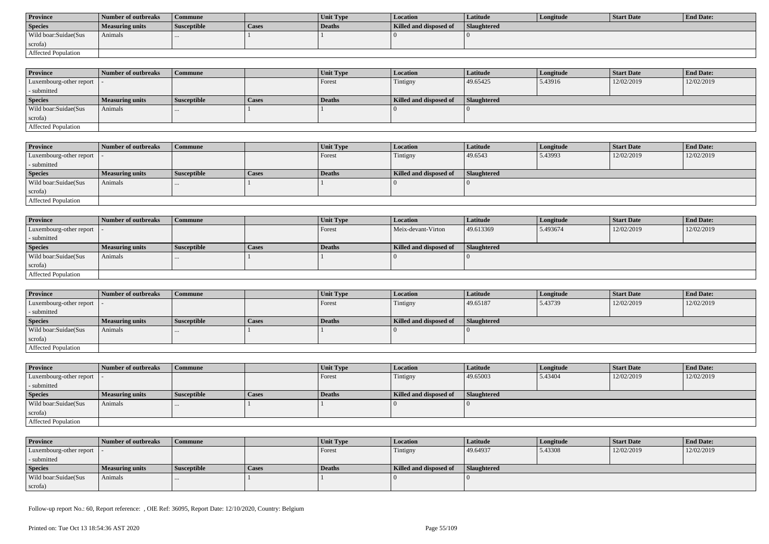| <b>Province</b>      | Number of outbreaks | Commune            |       | <b>Unit Type</b> | Location               | Latitude           | Longitude | Start Date | <b>End Date:</b> |
|----------------------|---------------------|--------------------|-------|------------------|------------------------|--------------------|-----------|------------|------------------|
| <b>Species</b>       | Measuring units     | <b>Susceptible</b> | Cases | Deaths           | Killed and disposed of | <b>Slaughtered</b> |           |            |                  |
| Wild boar:Suidae(Sus | Animals             |                    |       |                  |                        |                    |           |            |                  |
| scrofa)              |                     |                    |       |                  |                        |                    |           |            |                  |
| Affected Population  |                     |                    |       |                  |                        |                    |           |            |                  |

| <b>Province</b>            | Number of outbreaks | Commune            |              | <b>Unit Type</b> | <b>Location</b>        | <b>Latitude</b>    | Longitude | <b>Start Date</b> | <b>End Date:</b> |
|----------------------------|---------------------|--------------------|--------------|------------------|------------------------|--------------------|-----------|-------------------|------------------|
| Luxembourg-other report  - |                     |                    |              | Forest           | Tintigny               | 49.65425           | 5.43916   | 12/02/2019        | 12/02/2019       |
| - submitted                |                     |                    |              |                  |                        |                    |           |                   |                  |
| <b>Species</b>             | Measuring units     | <b>Susceptible</b> | <b>Cases</b> | <b>Deaths</b>    | Killed and disposed of | <b>Slaughtered</b> |           |                   |                  |
| Wild boar:Suidae(Sus       | Animals             | $\cdots$           |              |                  |                        |                    |           |                   |                  |
| scrofa)                    |                     |                    |              |                  |                        |                    |           |                   |                  |
| Affected Population        |                     |                    |              |                  |                        |                    |           |                   |                  |

| <b>Province</b>         | Number of outbreaks    | <b>Commune</b>     |       | <b>Unit Type</b> | Location               | <b>Latitude</b> | Longitude | <b>Start Date</b> | <b>End Date:</b> |
|-------------------------|------------------------|--------------------|-------|------------------|------------------------|-----------------|-----------|-------------------|------------------|
| Luxembourg-other report |                        |                    |       | Forest           | Tintigny               | 49.6543         | 5.43993   | 12/02/2019        | 12/02/2019       |
| - submitted             |                        |                    |       |                  |                        |                 |           |                   |                  |
| <b>Species</b>          | <b>Measuring units</b> | <b>Susceptible</b> | Cases | Deaths           | Killed and disposed of | Slaughtered     |           |                   |                  |
| Wild boar:Suidae(Sus    | Animals                |                    |       |                  |                        |                 |           |                   |                  |
| scrofa)                 |                        |                    |       |                  |                        |                 |           |                   |                  |
| Affected Population     |                        |                    |       |                  |                        |                 |           |                   |                  |

| <b>Province</b>            | Number of outbreaks    | <b>Commune</b>     |       | Unit Type | Location               | <b>Latitude</b> | Longitude | <b>Start Date</b> | <b>End Date:</b> |
|----------------------------|------------------------|--------------------|-------|-----------|------------------------|-----------------|-----------|-------------------|------------------|
| Luxembourg-other report  - |                        |                    |       | Forest    | Meix-devant-Virton     | 49.613369       | 5.493674  | 12/02/2019        | 12/02/2019       |
| - submitted                |                        |                    |       |           |                        |                 |           |                   |                  |
| <b>Species</b>             | <b>Measuring units</b> | <b>Susceptible</b> | Cases | Deaths    | Killed and disposed of | Slaughtered     |           |                   |                  |
| Wild boar:Suidae(Sus       | Animals                |                    |       |           |                        |                 |           |                   |                  |
| scrofa)                    |                        |                    |       |           |                        |                 |           |                   |                  |
| Affected Population        |                        |                    |       |           |                        |                 |           |                   |                  |

| <b>Province</b>                           | Number of outbreaks    | l Commune          |              | <b>Unit Type</b> | Location               | <b>Latitude</b> | Longitude | <b>Start Date</b> | <b>End Date:</b> |
|-------------------------------------------|------------------------|--------------------|--------------|------------------|------------------------|-----------------|-----------|-------------------|------------------|
| $\vert$ Luxembourg-other report $\vert$ . |                        |                    |              | Forest           | Tintigny               | 49.65187        | 5.43739   | 12/02/2019        | 12/02/2019       |
| - submitted                               |                        |                    |              |                  |                        |                 |           |                   |                  |
| <b>Species</b>                            | <b>Measuring units</b> | <b>Susceptible</b> | <b>Cases</b> | Deaths           | Killed and disposed of | Slaughtered     |           |                   |                  |
| Wild boar: Suidae (Sus                    | Animals                |                    |              |                  |                        |                 |           |                   |                  |
| scrofa)                                   |                        |                    |              |                  |                        |                 |           |                   |                  |
| Affected Population                       |                        |                    |              |                  |                        |                 |           |                   |                  |

| <b>Province</b>                           | Number of outbreaks    | <b>Commune</b>     |              | <b>Unit Type</b> | <b>Location</b>        | <b>Latitude</b> | Longitude | <b>Start Date</b> | <b>End Date:</b> |
|-------------------------------------------|------------------------|--------------------|--------------|------------------|------------------------|-----------------|-----------|-------------------|------------------|
| $\vert$ Luxembourg-other report $\vert$ - |                        |                    |              | Forest           | Tintigny               | 49.65003        | 5.43404   | 12/02/2019        | 12/02/2019       |
| - submitted                               |                        |                    |              |                  |                        |                 |           |                   |                  |
| <b>Species</b>                            | <b>Measuring units</b> | <b>Susceptible</b> | <b>Cases</b> | Deaths           | Killed and disposed of | Slaughtered     |           |                   |                  |
| Wild boar:Suidae(Sus                      | Animals                | $\cdots$           |              |                  |                        |                 |           |                   |                  |
| scrofa)                                   |                        |                    |              |                  |                        |                 |           |                   |                  |
| Affected Population                       |                        |                    |              |                  |                        |                 |           |                   |                  |

| <b>Province</b>            | Number of outbreaks    | Commune            |       | <b>Unit Type</b> | <b>Location</b>        | Latitude    | Longitude | Start Date | <b>End Date:</b> |
|----------------------------|------------------------|--------------------|-------|------------------|------------------------|-------------|-----------|------------|------------------|
| Luxembourg-other report  - |                        |                    |       | Forest           | Tintigny               | 49.64937    | 5.43308   | 12/02/2019 | 12/02/2019       |
| - submitted                |                        |                    |       |                  |                        |             |           |            |                  |
| <b>Species</b>             | <b>Measuring units</b> | <b>Susceptible</b> | Cases | Deaths           | Killed and disposed of | Slaughtered |           |            |                  |
| Wild boar:Suidae(Sus       | Animals                |                    |       |                  |                        |             |           |            |                  |
| scrofa)                    |                        |                    |       |                  |                        |             |           |            |                  |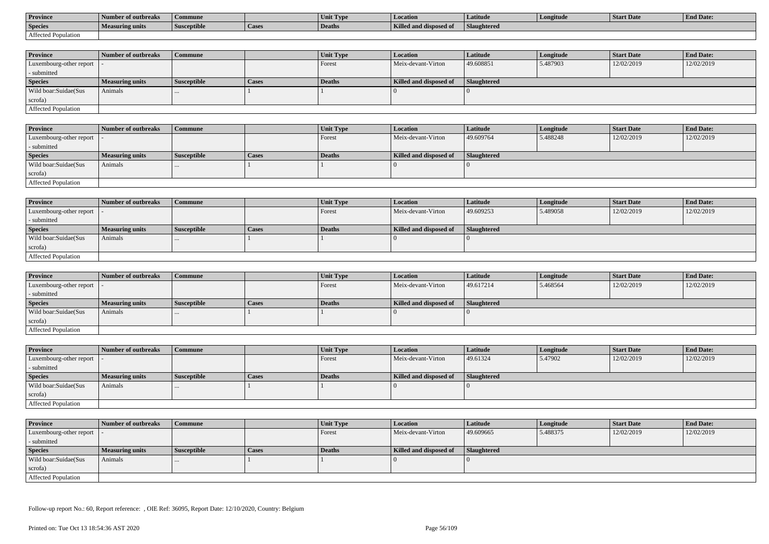| <b>Province</b>     | Number of outbreaks | Commune            |        | Unit Type     | <b>Location</b>               | Latitude    | Longitude | Start Date | <b>End Date:</b> |
|---------------------|---------------------|--------------------|--------|---------------|-------------------------------|-------------|-----------|------------|------------------|
| <b>Species</b>      | Measuring units     | <b>Susceptible</b> | 'Cases | <b>Deaths</b> | <b>Killed and disposed of</b> | Slaughtered |           |            |                  |
| Affected Population |                     |                    |        |               |                               |             |           |            |                  |

| <b>Province</b>         | Number of outbreaks    | <b>Commune</b>     |              | Unit Type | <b>Location</b>        | <b>Latitude</b>    | Longitude | <b>Start Date</b> | <b>End Date:</b> |
|-------------------------|------------------------|--------------------|--------------|-----------|------------------------|--------------------|-----------|-------------------|------------------|
| Luxembourg-other report |                        |                    |              | Forest    | Meix-devant-Virton     | 49.608851          | 5.487903  | 12/02/2019        | 12/02/2019       |
| - submitted             |                        |                    |              |           |                        |                    |           |                   |                  |
| <b>Species</b>          | <b>Measuring units</b> | <b>Susceptible</b> | <b>Cases</b> | Deaths    | Killed and disposed of | <b>Slaughtered</b> |           |                   |                  |
| Wild boar:Suidae(Sus    | Animals                |                    |              |           |                        |                    |           |                   |                  |
| scrofa)                 |                        |                    |              |           |                        |                    |           |                   |                  |
| Affected Population     |                        |                    |              |           |                        |                    |           |                   |                  |

| <b>Province</b>            | Number of outbreaks | Commune            |       | <b>Unit Type</b> | Location               | Latitude    | Longitude | <b>Start Date</b> | <b>End Date:</b> |
|----------------------------|---------------------|--------------------|-------|------------------|------------------------|-------------|-----------|-------------------|------------------|
| Luxembourg-other report  - |                     |                    |       | Forest           | Meix-devant-Virton     | 49.609764   | 5.488248  | 12/02/2019        | 12/02/2019       |
| - submitted                |                     |                    |       |                  |                        |             |           |                   |                  |
| <b>Species</b>             | Measuring units     | <b>Susceptible</b> | Cases | Deaths           | Killed and disposed of | Slaughtered |           |                   |                  |
| Wild boar:Suidae(Sus       | Animals             |                    |       |                  |                        |             |           |                   |                  |
| scrofa)                    |                     |                    |       |                  |                        |             |           |                   |                  |
| Affected Population        |                     |                    |       |                  |                        |             |           |                   |                  |

| <b>Province</b>            | Number of outbreaks    | <b>Commune</b>     |       | Unit Type | Location               | Latitude    | Longitude | <b>Start Date</b> | <b>End Date:</b> |
|----------------------------|------------------------|--------------------|-------|-----------|------------------------|-------------|-----------|-------------------|------------------|
| Luxembourg-other report  - |                        |                    |       | I Forest  | Meix-devant-Virton     | 49.609253   | 5.489058  | 12/02/2019        | 12/02/2019       |
| - submitted                |                        |                    |       |           |                        |             |           |                   |                  |
| <b>Species</b>             | <b>Measuring units</b> | <b>Susceptible</b> | Cases | Deaths    | Killed and disposed of | Slaughtered |           |                   |                  |
| Wild boar:Suidae(Sus       | Animals                |                    |       |           |                        |             |           |                   |                  |
| scrofa)                    |                        |                    |       |           |                        |             |           |                   |                  |
| Affected Population        |                        |                    |       |           |                        |             |           |                   |                  |

| <b>Province</b>            | Number of outbreaks | Commune            |       | Unit Type     | Location               | Latitude           | Longitude | <b>Start Date</b> | <b>End Date:</b> |
|----------------------------|---------------------|--------------------|-------|---------------|------------------------|--------------------|-----------|-------------------|------------------|
| Luxembourg-other report  - |                     |                    |       | Forest        | Meix-devant-Virton     | 49.617214          | 5.468564  | 12/02/2019        | 12/02/2019       |
| - submitted                |                     |                    |       |               |                        |                    |           |                   |                  |
| <b>Species</b>             | Measuring units     | <b>Susceptible</b> | Cases | <b>Deaths</b> | Killed and disposed of | <b>Slaughtered</b> |           |                   |                  |
| Wild boar: Suidae (Sus     | Animals             | $\cdots$           |       |               |                        |                    |           |                   |                  |
| scrofa)                    |                     |                    |       |               |                        |                    |           |                   |                  |
| Affected Population        |                     |                    |       |               |                        |                    |           |                   |                  |

| <b>Province</b>            | Number of outbreaks    | Commune            |       | Unit Type | <b>Location</b>        | <b>Latitude</b>    | Longitude | <b>Start Date</b> | <b>End Date:</b> |
|----------------------------|------------------------|--------------------|-------|-----------|------------------------|--------------------|-----------|-------------------|------------------|
| Luxembourg-other report  - |                        |                    |       | Forest    | Meix-devant-Virton     | 49.61324           | 5.47902   | 12/02/2019        | 12/02/2019       |
| - submitted                |                        |                    |       |           |                        |                    |           |                   |                  |
| <b>Species</b>             | <b>Measuring units</b> | <b>Susceptible</b> | Cases | Deaths    | Killed and disposed of | <b>Slaughtered</b> |           |                   |                  |
| Wild boar:Suidae(Sus       | Animals                | $\cdots$           |       |           |                        |                    |           |                   |                  |
| scrofa)                    |                        |                    |       |           |                        |                    |           |                   |                  |
| Affected Population        |                        |                    |       |           |                        |                    |           |                   |                  |

| <b>Province</b>            | Number of outbreaks    | <b>Commune</b>     |       | Unit Type     | <i>Location</i>        | <b>Latitude</b>    | Longitude | <b>Start Date</b> | <b>End Date:</b> |
|----------------------------|------------------------|--------------------|-------|---------------|------------------------|--------------------|-----------|-------------------|------------------|
| Luxembourg-other report  - |                        |                    |       | Forest        | Meix-devant-Virton     | 49.609665          | 5.488375  | 12/02/2019        | 12/02/2019       |
| - submitted                |                        |                    |       |               |                        |                    |           |                   |                  |
| <b>Species</b>             | <b>Measuring units</b> | <b>Susceptible</b> | Cases | <b>Deaths</b> | Killed and disposed of | <b>Slaughtered</b> |           |                   |                  |
| Wild boar:Suidae(Sus       | Animals                | $\cdots$           |       |               |                        |                    |           |                   |                  |
| scrofa)                    |                        |                    |       |               |                        |                    |           |                   |                  |
| Affected Population        |                        |                    |       |               |                        |                    |           |                   |                  |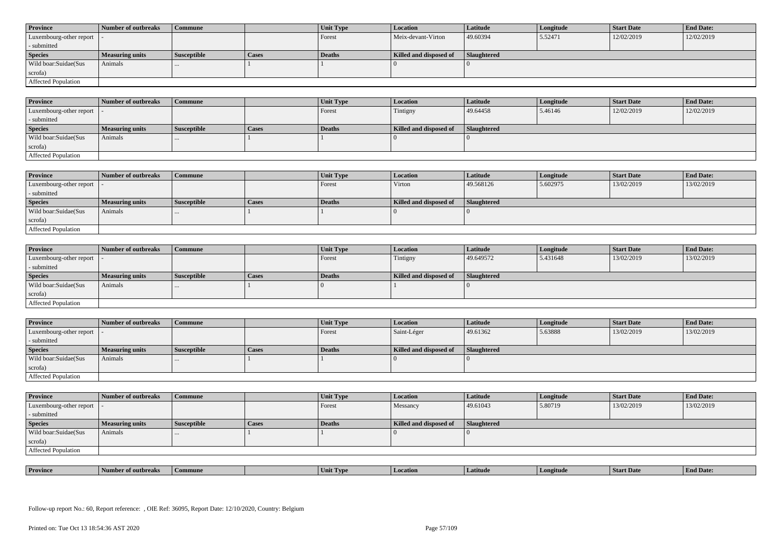| <b>Province</b>            | Number of outbreaks    | <b>Commune</b>     |              | Unit Type | Location               | <b>Latitude</b> | Longitude | <b>Start Date</b> | <b>End Date:</b> |
|----------------------------|------------------------|--------------------|--------------|-----------|------------------------|-----------------|-----------|-------------------|------------------|
| Luxembourg-other report  - |                        |                    |              | Forest    | Meix-devant-Virton     | 49.60394        | 5.52471   | 12/02/2019        | 12/02/2019       |
| - submitted                |                        |                    |              |           |                        |                 |           |                   |                  |
| <b>Species</b>             | <b>Measuring units</b> | <b>Susceptible</b> | <b>Cases</b> | Deaths    | Killed and disposed of | Slaughtered     |           |                   |                  |
| Wild boar: Suidae (Sus     | Animals                |                    |              |           |                        |                 |           |                   |                  |
| scrofa)                    |                        |                    |              |           |                        |                 |           |                   |                  |
| <b>Affected Population</b> |                        |                    |              |           |                        |                 |           |                   |                  |

| <b>Province</b>         | Number of outbreaks | <b>Commune</b>     |       | Unit Type | Location               | Latitude    | Longitude | <b>Start Date</b> | <b>End Date:</b> |
|-------------------------|---------------------|--------------------|-------|-----------|------------------------|-------------|-----------|-------------------|------------------|
| Luxembourg-other report |                     |                    |       | Forest    | Tintigny               | 49.64458    | 5.46146   | 12/02/2019        | 12/02/2019       |
| - submitted             |                     |                    |       |           |                        |             |           |                   |                  |
| <b>Species</b>          | Measuring units     | <b>Susceptible</b> | Cases | Deaths    | Killed and disposed of | Slaughtered |           |                   |                  |
| Wild boar:Suidae(Sus    | Animals             |                    |       |           |                        |             |           |                   |                  |
| scrofa)                 |                     |                    |       |           |                        |             |           |                   |                  |
| Affected Population     |                     |                    |       |           |                        |             |           |                   |                  |

| <b>Province</b>            | Number of outbreaks | Commune            |              | Unit Type | Location               | Latitude    | Longitude | Start Date | <b>End Date:</b> |
|----------------------------|---------------------|--------------------|--------------|-----------|------------------------|-------------|-----------|------------|------------------|
| Luxembourg-other report  - |                     |                    |              | Forest    | Virton                 | 49.568126   | 5.602975  | 13/02/2019 | 13/02/2019       |
| - submitted                |                     |                    |              |           |                        |             |           |            |                  |
| <b>Species</b>             | Measuring units     | <b>Susceptible</b> | <b>Cases</b> | Deaths    | Killed and disposed of | Slaughtered |           |            |                  |
| Wild boar:Suidae(Sus       | Animals             |                    |              |           |                        |             |           |            |                  |
| scrofa)                    |                     |                    |              |           |                        |             |           |            |                  |
| Affected Population        |                     |                    |              |           |                        |             |           |            |                  |

| <b>Province</b>            | Number of outbreaks    | <b>Commune</b>     |       | <b>Unit Type</b> | <i>Location</i>        | Latitude           | Longitude | <b>Start Date</b> | <b>End Date:</b> |
|----------------------------|------------------------|--------------------|-------|------------------|------------------------|--------------------|-----------|-------------------|------------------|
| Luxembourg-other report  - |                        |                    |       | Forest           | Tintigny               | 49.649572          | 5.431648  | 13/02/2019        | 13/02/2019       |
| - submitted                |                        |                    |       |                  |                        |                    |           |                   |                  |
| <b>Species</b>             | <b>Measuring units</b> | <b>Susceptible</b> | Cases | <b>Deaths</b>    | Killed and disposed of | <b>Slaughtered</b> |           |                   |                  |
| Wild boar:Suidae(Sus       | Animals                | $\cdots$           |       |                  |                        |                    |           |                   |                  |
| scrofa)                    |                        |                    |       |                  |                        |                    |           |                   |                  |
| Affected Population        |                        |                    |       |                  |                        |                    |           |                   |                  |

| <b>Province</b>            | Number of outbreaks | Commune            |       | Unit Type | <b>Location</b>        | Latitude           | Longitude | <b>Start Date</b> | <b>End Date:</b> |
|----------------------------|---------------------|--------------------|-------|-----------|------------------------|--------------------|-----------|-------------------|------------------|
| Luxembourg-other report  - |                     |                    |       | Forest    | Saint-Léger            | 49.61362           | 5.63888   | 13/02/2019        | 13/02/2019       |
| - submitted                |                     |                    |       |           |                        |                    |           |                   |                  |
| <b>Species</b>             | Measuring units     | <b>Susceptible</b> | Cases | Deaths    | Killed and disposed of | <b>Slaughtered</b> |           |                   |                  |
|                            |                     |                    |       |           |                        |                    |           |                   |                  |
| Wild boar:Suidae(Sus       | Animals             | $\cdots$           |       |           |                        |                    |           |                   |                  |
| scrofa)                    |                     |                    |       |           |                        |                    |           |                   |                  |

| <b>Province</b>            | Number of outbreaks    | <b>Commune</b>     |              | Unit Type | Location               | Latitude    | Longitude | <b>Start Date</b> | <b>End Date:</b> |
|----------------------------|------------------------|--------------------|--------------|-----------|------------------------|-------------|-----------|-------------------|------------------|
| Luxembourg-other report  - |                        |                    |              | Forest    | Messancy               | 49.61043    | 5.80719   | 13/02/2019        | 13/02/2019       |
| - submitted                |                        |                    |              |           |                        |             |           |                   |                  |
| <b>Species</b>             | <b>Measuring units</b> | <b>Susceptible</b> | <b>Cases</b> | Deaths    | Killed and disposed of | Slaughtered |           |                   |                  |
| Wild boar:Suidae(Sus       | Animals                |                    |              |           |                        |             |           |                   |                  |
| scrofa)                    |                        |                    |              |           |                        |             |           |                   |                  |
| Affected Population        |                        |                    |              |           |                        |             |           |                   |                  |

| . | <b>Province</b> |         |       | U VD. |            |         | <b>Start Date</b> | $\mathbf{r}$<br>nd Date:<br>- Enc |
|---|-----------------|---------|-------|-------|------------|---------|-------------------|-----------------------------------|
|   |                 | tnreak: | nmune | Unit  | . Latitud⁄ | ngitude |                   |                                   |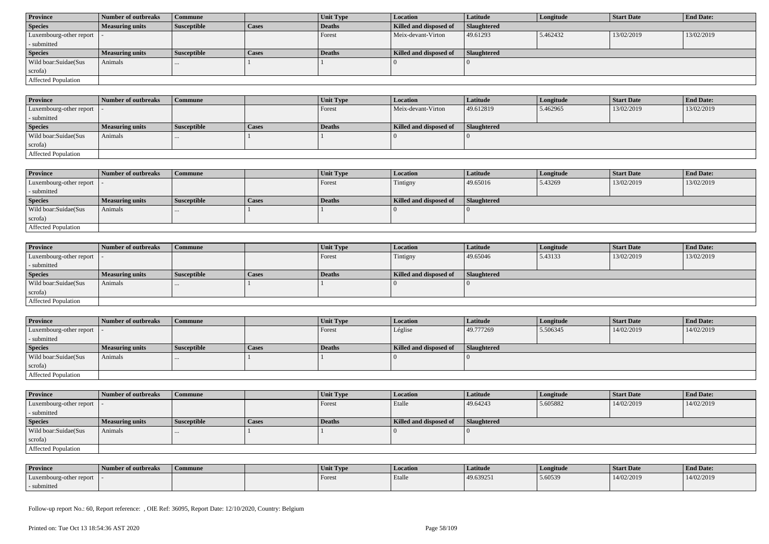| <b>Province</b>            | Number of outbreaks    | Commune            |              | Unit Type | <b>Location</b>        | <b>Latitude</b> | Longitude | <b>Start Date</b> | <b>End Date:</b> |  |
|----------------------------|------------------------|--------------------|--------------|-----------|------------------------|-----------------|-----------|-------------------|------------------|--|
| <b>Species</b>             | <b>Measuring units</b> | <b>Susceptible</b> | <b>Cases</b> | Deaths    | Killed and disposed of | Slaughtered     |           |                   |                  |  |
| Luxembourg-other report  - |                        |                    |              | Forest    | Meix-devant-Virton     | 49.61293        | 5.462432  | 13/02/2019        | 13/02/2019       |  |
| - submitted                |                        |                    |              |           |                        |                 |           |                   |                  |  |
| <b>Species</b>             | <b>Measuring units</b> | <b>Susceptible</b> | <b>Cases</b> | Deaths    | Killed and disposed of | Slaughtered     |           |                   |                  |  |
| Wild boar:Suidae(Sus       | Animals                | $\cdots$           |              |           |                        |                 |           |                   |                  |  |
| scrofa)                    |                        |                    |              |           |                        |                 |           |                   |                  |  |
| Affected Population        |                        |                    |              |           |                        |                 |           |                   |                  |  |

| <b>Province</b>            | 1 Number of outbreaks  | <b>Commune</b> |              | Unit Type | <b>Location</b>        | <b>Latitude</b> | Longitude | <b>Start Date</b> | <b>End Date:</b> |
|----------------------------|------------------------|----------------|--------------|-----------|------------------------|-----------------|-----------|-------------------|------------------|
| Luxembourg-other report -  |                        |                |              | Forest    | Meix-devant-Virton     | 49.612819       | 5.462965  | 13/02/2019        | 13/02/2019       |
| - submitted                |                        |                |              |           |                        |                 |           |                   |                  |
| <b>Species</b>             | <b>Measuring units</b> | Susceptible    | <b>Cases</b> | Deaths    | Killed and disposed of | Slaughtered     |           |                   |                  |
| Wild boar:Suidae(Sus       | Animals                |                |              |           |                        |                 |           |                   |                  |
| scrofa)                    |                        |                |              |           |                        |                 |           |                   |                  |
| <b>Affected Population</b> |                        |                |              |           |                        |                 |           |                   |                  |

| <b>Province</b>            | Number of outbreaks    | Commune            |              | <b>Unit Type</b> | <b>Location</b>        | Latitude           | Longitude | <b>Start Date</b> | <b>End Date:</b> |
|----------------------------|------------------------|--------------------|--------------|------------------|------------------------|--------------------|-----------|-------------------|------------------|
| Luxembourg-other report    |                        |                    |              | Forest           | Tintigny               | 49.65016           | 5.43269   | 13/02/2019        | 13/02/2019       |
| - submitted                |                        |                    |              |                  |                        |                    |           |                   |                  |
| <b>Species</b>             | <b>Measuring units</b> | <b>Susceptible</b> | <b>Cases</b> | Deaths           | Killed and disposed of | <b>Slaughtered</b> |           |                   |                  |
| Wild boar:Suidae(Sus       | Animals                |                    |              |                  |                        |                    |           |                   |                  |
| scrofa)                    |                        |                    |              |                  |                        |                    |           |                   |                  |
| <b>Affected Population</b> |                        |                    |              |                  |                        |                    |           |                   |                  |

| Province                   | Number of outbreaks    | <b>Commune</b>     |       | Unit Type | Location               | Latitude    | Longitude | <b>Start Date</b> | <b>End Date:</b> |
|----------------------------|------------------------|--------------------|-------|-----------|------------------------|-------------|-----------|-------------------|------------------|
| Luxembourg-other report  - |                        |                    |       | Forest    | Tintigny               | 49.65046    | 5.43133   | 13/02/2019        | 13/02/2019       |
| - submitted                |                        |                    |       |           |                        |             |           |                   |                  |
| <b>Species</b>             | <b>Measuring units</b> | <b>Susceptible</b> | Cases | Deaths    | Killed and disposed of | Slaughtered |           |                   |                  |
| Wild boar:Suidae(Sus       | Animals                |                    |       |           |                        |             |           |                   |                  |
| scrofa)                    |                        |                    |       |           |                        |             |           |                   |                  |
| Affected Population        |                        |                    |       |           |                        |             |           |                   |                  |

| <b>Province</b>            | Number of outbreaks    | <b>Commune</b>     |              | Unit Type | Location               | Latitude           | Longitude | <b>Start Date</b> | <b>End Date:</b> |
|----------------------------|------------------------|--------------------|--------------|-----------|------------------------|--------------------|-----------|-------------------|------------------|
| Luxembourg-other report  - |                        |                    |              | Forest    | Léglise                | 49.777269          | 5.506345  | 14/02/2019        | 14/02/2019       |
| - submitted                |                        |                    |              |           |                        |                    |           |                   |                  |
| <b>Species</b>             | <b>Measuring units</b> | <b>Susceptible</b> | <b>Cases</b> | Deaths    | Killed and disposed of | <b>Slaughtered</b> |           |                   |                  |
| Wild boar:Suidae(Sus       | Animals                |                    |              |           |                        |                    |           |                   |                  |
| scrofa)                    |                        |                    |              |           |                        |                    |           |                   |                  |
|                            |                        |                    |              |           |                        |                    |           |                   |                  |

| <b>Province</b>         | Number of outbreaks    | <b>Commune</b>     |       | Unit Type | <b>Location</b>        | <b>Latitude</b>    | Longitude | <b>Start Date</b> | <b>End Date:</b> |
|-------------------------|------------------------|--------------------|-------|-----------|------------------------|--------------------|-----------|-------------------|------------------|
| Luxembourg-other report |                        |                    |       | Forest    | Etalle                 | 49.64243           | 5.605882  | 14/02/2019        | 14/02/2019       |
| - submitted             |                        |                    |       |           |                        |                    |           |                   |                  |
| <b>Species</b>          | <b>Measuring units</b> | <b>Susceptible</b> | Cases | Deaths    | Killed and disposed of | <b>Slaughtered</b> |           |                   |                  |
| Wild boar:Suidae(Sus    | Animals                |                    |       |           |                        |                    |           |                   |                  |
|                         |                        |                    |       |           |                        |                    |           |                   |                  |
| scrofa)                 |                        |                    |       |           |                        |                    |           |                   |                  |

| <b>Province</b>         | Number of outbreaks | Commune | Unit Type | Location | Latitude  | Longitude | <b>Start Date</b> | <b>End Date:</b> |
|-------------------------|---------------------|---------|-----------|----------|-----------|-----------|-------------------|------------------|
| Luxembourg-other report |                     |         | Forest    | Etalle   | 49.639251 | 5.60539   | 14/02/2019        | 14/02/2019       |
| - submitted             |                     |         |           |          |           |           |                   |                  |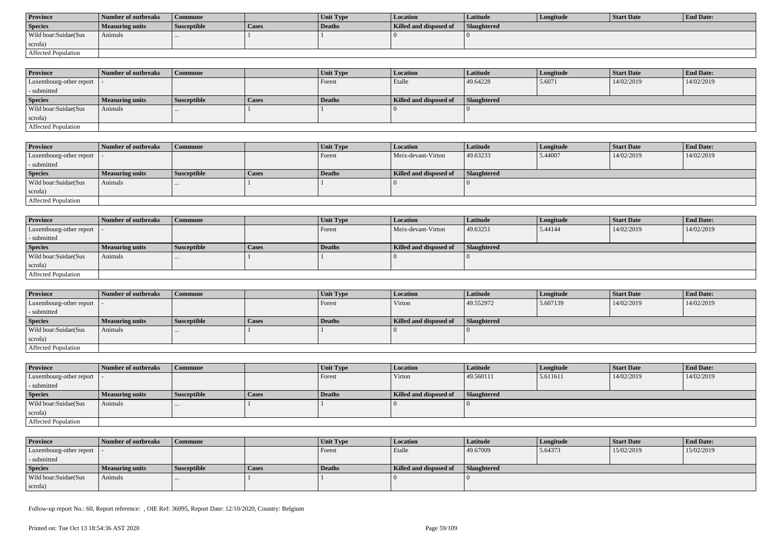| <b>Province</b>      | Number of outbreaks | Commune            |       | <b>Unit Type</b> | Location               | Latitude           | Longitude | Start Date | <b>End Date:</b> |
|----------------------|---------------------|--------------------|-------|------------------|------------------------|--------------------|-----------|------------|------------------|
| <b>Species</b>       | Measuring units     | <b>Susceptible</b> | Cases | Deaths           | Killed and disposed of | <b>Slaughtered</b> |           |            |                  |
| Wild boar:Suidae(Sus | Animals             |                    |       |                  |                        |                    |           |            |                  |
| scrofa)              |                     |                    |       |                  |                        |                    |           |            |                  |
| Affected Population  |                     |                    |       |                  |                        |                    |           |            |                  |

| <b>Province</b>            | Number of outbreaks | Commune            |              | <b>Unit Type</b> | <b>Location</b>        | <b>Latitude</b>    | Longitude | <b>Start Date</b> | <b>End Date:</b> |
|----------------------------|---------------------|--------------------|--------------|------------------|------------------------|--------------------|-----------|-------------------|------------------|
| Luxembourg-other report  - |                     |                    |              | Forest           | Etalle                 | 49.64228           | 5.6071    | 14/02/2019        | 14/02/2019       |
| - submitted                |                     |                    |              |                  |                        |                    |           |                   |                  |
| <b>Species</b>             | Measuring units     | <b>Susceptible</b> | <b>Cases</b> | <b>Deaths</b>    | Killed and disposed of | <b>Slaughtered</b> |           |                   |                  |
| Wild boar:Suidae(Sus       | Animals             | $\cdots$           |              |                  |                        |                    |           |                   |                  |
| scrofa)                    |                     |                    |              |                  |                        |                    |           |                   |                  |
| Affected Population        |                     |                    |              |                  |                        |                    |           |                   |                  |

| <b>Province</b>         | Number of outbreaks | <b>Commune</b>     |       | Unit Type | Location               | Latitude           | Longitude | <b>Start Date</b> | <b>End Date:</b> |
|-------------------------|---------------------|--------------------|-------|-----------|------------------------|--------------------|-----------|-------------------|------------------|
| Luxembourg-other report |                     |                    |       | Forest    | Meix-devant-Virton     | 49.63233           | 5.44007   | 14/02/2019        | 14/02/2019       |
| - submitted             |                     |                    |       |           |                        |                    |           |                   |                  |
| <b>Species</b>          | Measuring units     | <b>Susceptible</b> | Cases | Deaths    | Killed and disposed of | <b>Slaughtered</b> |           |                   |                  |
| Wild boar:Suidae(Sus    | Animals             |                    |       |           |                        |                    |           |                   |                  |
| scrofa)                 |                     |                    |       |           |                        |                    |           |                   |                  |
| Affected Population     |                     |                    |       |           |                        |                    |           |                   |                  |

| <b>Province</b>            | Number of outbreaks    | Commune            |              | Unit Type | Location               | Latitude    | Longitude | <b>Start Date</b> | <b>End Date:</b> |
|----------------------------|------------------------|--------------------|--------------|-----------|------------------------|-------------|-----------|-------------------|------------------|
| Luxembourg-other report  - |                        |                    |              | Forest    | Meix-devant-Virton     | 49.63251    | 5.44144   | 14/02/2019        | 14/02/2019       |
| - submitted                |                        |                    |              |           |                        |             |           |                   |                  |
| <b>Species</b>             | <b>Measuring units</b> | <b>Susceptible</b> | <b>Cases</b> | Deaths    | Killed and disposed of | Slaughtered |           |                   |                  |
| Wild boar:Suidae(Sus       | Animals                | $\cdots$           |              |           |                        |             |           |                   |                  |
| scrofa)                    |                        |                    |              |           |                        |             |           |                   |                  |
| Affected Population        |                        |                    |              |           |                        |             |           |                   |                  |

| <b>Province</b>                           | Number of outbreaks    | l Commune          |              | Unit Type | Location               | Latitude    | Longitude | <b>Start Date</b> | <b>End Date:</b> |
|-------------------------------------------|------------------------|--------------------|--------------|-----------|------------------------|-------------|-----------|-------------------|------------------|
| $\vert$ Luxembourg-other report $\vert$ . |                        |                    |              | Forest    | Virton                 | 49.552972   | 5.607139  | 14/02/2019        | 14/02/2019       |
| - submitted                               |                        |                    |              |           |                        |             |           |                   |                  |
| <b>Species</b>                            | <b>Measuring units</b> | <b>Susceptible</b> | <b>Cases</b> | Deaths    | Killed and disposed of | Slaughtered |           |                   |                  |
| Wild boar: Suidae (Sus                    | Animals                |                    |              |           |                        |             |           |                   |                  |
| scrofa)                                   |                        |                    |              |           |                        |             |           |                   |                  |
| Affected Population                       |                        |                    |              |           |                        |             |           |                   |                  |

| <b>Province</b>                           | Number of outbreaks    | <b>Commune</b>     |       | <b>Unit Type</b> | <b>Location</b>        | <b>Latitude</b> | Longitude | <b>Start Date</b> | <b>End Date:</b> |
|-------------------------------------------|------------------------|--------------------|-------|------------------|------------------------|-----------------|-----------|-------------------|------------------|
| $\vert$ Luxembourg-other report $\vert$ - |                        |                    |       | Forest           | Virton                 | 49.560111       | 5.611611  | 14/02/2019        | 14/02/2019       |
| - submitted                               |                        |                    |       |                  |                        |                 |           |                   |                  |
| <b>Species</b>                            | <b>Measuring units</b> | <b>Susceptible</b> | Cases | Deaths           | Killed and disposed of | Slaughtered     |           |                   |                  |
| Wild boar:Suidae(Sus                      | Animals                | $\cdots$           |       |                  |                        |                 |           |                   |                  |
| scrofa)                                   |                        |                    |       |                  |                        |                 |           |                   |                  |
| Affected Population                       |                        |                    |       |                  |                        |                 |           |                   |                  |

| <b>Province</b>            | Number of outbreaks    | Commune            |       | <b>Unit Type</b> | <b>Location</b>        | Latitude    | Longitude | Start Date | <b>End Date:</b> |
|----------------------------|------------------------|--------------------|-------|------------------|------------------------|-------------|-----------|------------|------------------|
| Luxembourg-other report  - |                        |                    |       | Forest           | Etalle                 | 49.67009    | 5.64373   | 15/02/2019 | 15/02/2019       |
| - submitted                |                        |                    |       |                  |                        |             |           |            |                  |
| <b>Species</b>             | <b>Measuring units</b> | <b>Susceptible</b> | Cases | Deaths           | Killed and disposed of | Slaughtered |           |            |                  |
| Wild boar:Suidae(Sus       | Animals                |                    |       |                  |                        |             |           |            |                  |
| scrofa)                    |                        |                    |       |                  |                        |             |           |            |                  |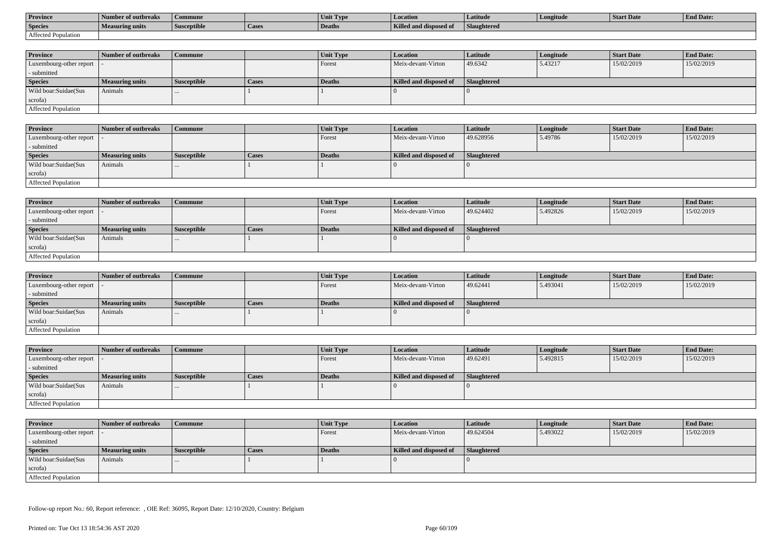| <b>Province</b>     | Number of outbreaks | Commune            |        | Unit Type     | <b>Location</b>               | Latitude    | Longitude | Start Date | <b>End Date:</b> |
|---------------------|---------------------|--------------------|--------|---------------|-------------------------------|-------------|-----------|------------|------------------|
| <b>Species</b>      | Measuring units     | <b>Susceptible</b> | 'Cases | <b>Deaths</b> | <b>Killed and disposed of</b> | Slaughtered |           |            |                  |
| Affected Population |                     |                    |        |               |                               |             |           |            |                  |

| <b>Province</b>         | Number of outbreaks    | <b>Commune</b>     |              | Unit Type | <b>Location</b>        | <b>Latitude</b>    | Longitude | <b>Start Date</b> | <b>End Date:</b> |
|-------------------------|------------------------|--------------------|--------------|-----------|------------------------|--------------------|-----------|-------------------|------------------|
| Luxembourg-other report |                        |                    |              | Forest    | Meix-devant-Virton     | 49.6342            | 5.43217   | 15/02/2019        | 15/02/2019       |
| - submitted             |                        |                    |              |           |                        |                    |           |                   |                  |
| <b>Species</b>          | <b>Measuring units</b> | <b>Susceptible</b> | <b>Cases</b> | Deaths    | Killed and disposed of | <b>Slaughtered</b> |           |                   |                  |
| Wild boar:Suidae(Sus    | Animals                |                    |              |           |                        |                    |           |                   |                  |
| scrofa)                 |                        |                    |              |           |                        |                    |           |                   |                  |
| Affected Population     |                        |                    |              |           |                        |                    |           |                   |                  |

| <b>Province</b>            | Number of outbreaks | Commune            |       | <b>Unit Type</b> | Location               | Latitude    | Longitude | <b>Start Date</b> | <b>End Date:</b> |
|----------------------------|---------------------|--------------------|-------|------------------|------------------------|-------------|-----------|-------------------|------------------|
| Luxembourg-other report  - |                     |                    |       | Forest           | Meix-devant-Virton     | 49.628956   | 5.49786   | 15/02/2019        | 15/02/2019       |
| - submitted                |                     |                    |       |                  |                        |             |           |                   |                  |
| <b>Species</b>             | Measuring units     | <b>Susceptible</b> | Cases | Deaths           | Killed and disposed of | Slaughtered |           |                   |                  |
| Wild boar:Suidae(Sus       | Animals             |                    |       |                  |                        |             |           |                   |                  |
| scrofa)                    |                     |                    |       |                  |                        |             |           |                   |                  |
| Affected Population        |                     |                    |       |                  |                        |             |           |                   |                  |

| <b>Province</b>            | Number of outbreaks    | <b>Commune</b>     |              | Unit Type | Location               | Latitude    | Longitude | <b>Start Date</b> | <b>End Date:</b> |
|----------------------------|------------------------|--------------------|--------------|-----------|------------------------|-------------|-----------|-------------------|------------------|
| Luxembourg-other report  - |                        |                    |              | I Forest  | Meix-devant-Virton     | 49.624402   | 5.492826  | 15/02/2019        | 15/02/2019       |
| - submitted                |                        |                    |              |           |                        |             |           |                   |                  |
| <b>Species</b>             | <b>Measuring units</b> | <b>Susceptible</b> | <b>Cases</b> | Deaths    | Killed and disposed of | Slaughtered |           |                   |                  |
| Wild boar:Suidae(Sus       | Animals                |                    |              |           |                        |             |           |                   |                  |
| scrofa)                    |                        |                    |              |           |                        |             |           |                   |                  |
| Affected Population        |                        |                    |              |           |                        |             |           |                   |                  |

| <b>Province</b>         | Number of outbreaks    | <b>Commune</b>     |              | Unit Type     | <i>Location</i>        | <b>Latitude</b> | Longitude | <b>Start Date</b> | <b>End Date:</b> |
|-------------------------|------------------------|--------------------|--------------|---------------|------------------------|-----------------|-----------|-------------------|------------------|
| Luxembourg-other report |                        |                    |              | <b>Forest</b> | Meix-devant-Virton     | 49.62441        | 5.493041  | 15/02/2019        | 15/02/2019       |
| - submitted             |                        |                    |              |               |                        |                 |           |                   |                  |
| <b>Species</b>          | <b>Measuring units</b> | <b>Susceptible</b> | <b>Cases</b> | Deaths        | Killed and disposed of | Slaughtered     |           |                   |                  |
| Wild boar:Suidae(Sus    | Animals                | $\cdots$           |              |               |                        |                 |           |                   |                  |
| scrofa)                 |                        |                    |              |               |                        |                 |           |                   |                  |
| Affected Population     |                        |                    |              |               |                        |                 |           |                   |                  |

| <b>Province</b>            | Number of outbreaks    | Commune            |       | Unit Type | <b>Location</b>        | <b>Latitude</b>    | Longitude | <b>Start Date</b> | <b>End Date:</b> |
|----------------------------|------------------------|--------------------|-------|-----------|------------------------|--------------------|-----------|-------------------|------------------|
| Luxembourg-other report  - |                        |                    |       | Forest    | Meix-devant-Virton     | 49.62491           | 5.492815  | 15/02/2019        | 15/02/2019       |
| - submitted                |                        |                    |       |           |                        |                    |           |                   |                  |
| <b>Species</b>             | <b>Measuring units</b> | <b>Susceptible</b> | Cases | Deaths    | Killed and disposed of | <b>Slaughtered</b> |           |                   |                  |
| Wild boar:Suidae(Sus       | Animals                | $\cdots$           |       |           |                        |                    |           |                   |                  |
| scrofa)                    |                        |                    |       |           |                        |                    |           |                   |                  |
| Affected Population        |                        |                    |       |           |                        |                    |           |                   |                  |

| <b>Province</b>            | Number of outbreaks    | <b>Commune</b>     |       | Unit Type     | <i>Location</i>        | <b>Latitude</b>    | Longitude | <b>Start Date</b> | <b>End Date:</b> |
|----------------------------|------------------------|--------------------|-------|---------------|------------------------|--------------------|-----------|-------------------|------------------|
| Luxembourg-other report  - |                        |                    |       | Forest        | Meix-devant-Virton     | 49.624504          | 5.493022  | 15/02/2019        | 15/02/2019       |
| - submitted                |                        |                    |       |               |                        |                    |           |                   |                  |
| <b>Species</b>             | <b>Measuring units</b> | <b>Susceptible</b> | Cases | <b>Deaths</b> | Killed and disposed of | <b>Slaughtered</b> |           |                   |                  |
| Wild boar:Suidae(Sus       | Animals                | $\cdots$           |       |               |                        |                    |           |                   |                  |
| scrofa)                    |                        |                    |       |               |                        |                    |           |                   |                  |
| Affected Population        |                        |                    |       |               |                        |                    |           |                   |                  |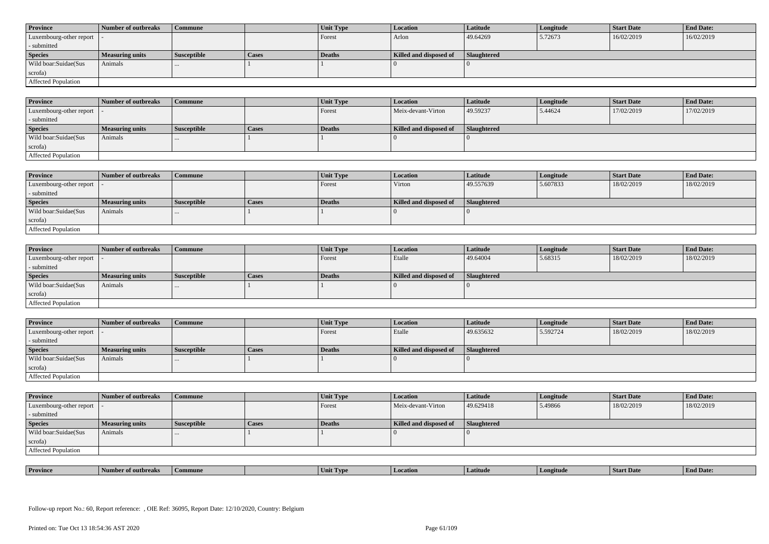| <b>Province</b>            | Number of outbreaks    | <b>Commune</b>     |              | Unit Type | Location               | <b>Latitude</b> | Longitude | <b>Start Date</b> | <b>End Date:</b> |
|----------------------------|------------------------|--------------------|--------------|-----------|------------------------|-----------------|-----------|-------------------|------------------|
| Luxembourg-other report  - |                        |                    |              | Forest    | Arlon                  | 49.64269        | 5.72673   | 16/02/2019        | 16/02/2019       |
| - submitted                |                        |                    |              |           |                        |                 |           |                   |                  |
| <b>Species</b>             | <b>Measuring units</b> | <b>Susceptible</b> | <b>Cases</b> | Deaths    | Killed and disposed of | Slaughtered     |           |                   |                  |
| Wild boar:Suidae(Sus       | Animals                |                    |              |           |                        |                 |           |                   |                  |
| scrofa)                    |                        |                    |              |           |                        |                 |           |                   |                  |
| Affected Population        |                        |                    |              |           |                        |                 |           |                   |                  |

| <b>Province</b>         | Number of outbreaks | <b>Commune</b>     |       | Unit Type | <b>Location</b>        | Latitude    | Longitude | <b>Start Date</b> | <b>End Date:</b> |
|-------------------------|---------------------|--------------------|-------|-----------|------------------------|-------------|-----------|-------------------|------------------|
| Luxembourg-other report |                     |                    |       | Forest    | Meix-devant-Virton     | 49.59237    | 5.44624   | 17/02/2019        | 17/02/2019       |
| - submitted             |                     |                    |       |           |                        |             |           |                   |                  |
| <b>Species</b>          | Measuring units     | <b>Susceptible</b> | Cases | Deaths    | Killed and disposed of | Slaughtered |           |                   |                  |
| Wild boar:Suidae(Sus    | Animals             |                    |       |           |                        |             |           |                   |                  |
| scrofa)                 |                     |                    |       |           |                        |             |           |                   |                  |
| Affected Population     |                     |                    |       |           |                        |             |           |                   |                  |

| <b>Province</b>            | Number of outbreaks | Commune            |              | Unit Type | Location               | Latitude    | Longitude | <b>Start Date</b> | <b>End Date:</b> |
|----------------------------|---------------------|--------------------|--------------|-----------|------------------------|-------------|-----------|-------------------|------------------|
| Luxembourg-other report  - |                     |                    |              | Forest    | Virton                 | 49.557639   | 5.607833  | 18/02/2019        | 18/02/2019       |
| - submitted                |                     |                    |              |           |                        |             |           |                   |                  |
| <b>Species</b>             | Measuring units     | <b>Susceptible</b> | <b>Cases</b> | Deaths    | Killed and disposed of | Slaughtered |           |                   |                  |
| Wild boar:Suidae(Sus       | Animals             |                    |              |           |                        |             |           |                   |                  |
| scrofa)                    |                     |                    |              |           |                        |             |           |                   |                  |
| Affected Population        |                     |                    |              |           |                        |             |           |                   |                  |

| <b>Province</b>            | Number of outbreaks    | <b>Commune</b>     |              | Unit Type | Location               | Latitude    | Longitude | <b>Start Date</b> | <b>End Date:</b> |
|----------------------------|------------------------|--------------------|--------------|-----------|------------------------|-------------|-----------|-------------------|------------------|
| Luxembourg-other report  - |                        |                    |              | Forest    | Etalle                 | 49.64004    | 5.68315   | 18/02/2019        | 18/02/2019       |
| - submitted                |                        |                    |              |           |                        |             |           |                   |                  |
| <b>Species</b>             | <b>Measuring units</b> | <b>Susceptible</b> | <b>Cases</b> | Deaths    | Killed and disposed of | Slaughtered |           |                   |                  |
| Wild boar:Suidae(Sus       | Animals                |                    |              |           |                        |             |           |                   |                  |
| scrofa)                    |                        |                    |              |           |                        |             |           |                   |                  |
| Affected Population        |                        |                    |              |           |                        |             |           |                   |                  |

| <b>Province</b>            | Number of outbreaks | Commune            |       | Unit Type | <b>Location</b>        | Latitude           | Longitude | <b>Start Date</b> | <b>End Date:</b> |
|----------------------------|---------------------|--------------------|-------|-----------|------------------------|--------------------|-----------|-------------------|------------------|
| Luxembourg-other report  - |                     |                    |       | Forest    | Etalle                 | 49.635632          | 5.592724  | 18/02/2019        | 18/02/2019       |
| - submitted                |                     |                    |       |           |                        |                    |           |                   |                  |
| <b>Species</b>             | Measuring units     | <b>Susceptible</b> | Cases | Deaths    | Killed and disposed of | <b>Slaughtered</b> |           |                   |                  |
|                            |                     |                    |       |           |                        |                    |           |                   |                  |
| Wild boar:Suidae(Sus       | Animals             | $\cdots$           |       |           |                        |                    |           |                   |                  |
| scrofa)                    |                     |                    |       |           |                        |                    |           |                   |                  |

| <b>Province</b>            | Number of outbreaks | <b>Commune</b>     |       | Unit Type | Location               | <b>Latitude</b>    | Longitude | <b>Start Date</b> | <b>End Date:</b> |
|----------------------------|---------------------|--------------------|-------|-----------|------------------------|--------------------|-----------|-------------------|------------------|
| Luxembourg-other report  - |                     |                    |       | Forest    | Meix-devant-Virton     | 49.629418          | 5.49866   | 18/02/2019        | 18/02/2019       |
| - submitted                |                     |                    |       |           |                        |                    |           |                   |                  |
| <b>Species</b>             | Measuring units     | <b>Susceptible</b> | Cases | Deaths    | Killed and disposed of | <b>Slaughtered</b> |           |                   |                  |
| Wild boar: Suidae (Sus     | Animals             |                    |       |           |                        |                    |           |                   |                  |
| scrofa)                    |                     |                    |       |           |                        |                    |           |                   |                  |
| Affected Population        |                     |                    |       |           |                        |                    |           |                   |                  |

| <b>Province</b><br><b>Start Date</b><br>1 Date.<br>Latitud<br>ımune<br>UVD <sub>t</sub><br>vertude<br>Umı.<br>эчигического |  |  |  |  |  |
|----------------------------------------------------------------------------------------------------------------------------|--|--|--|--|--|
|                                                                                                                            |  |  |  |  |  |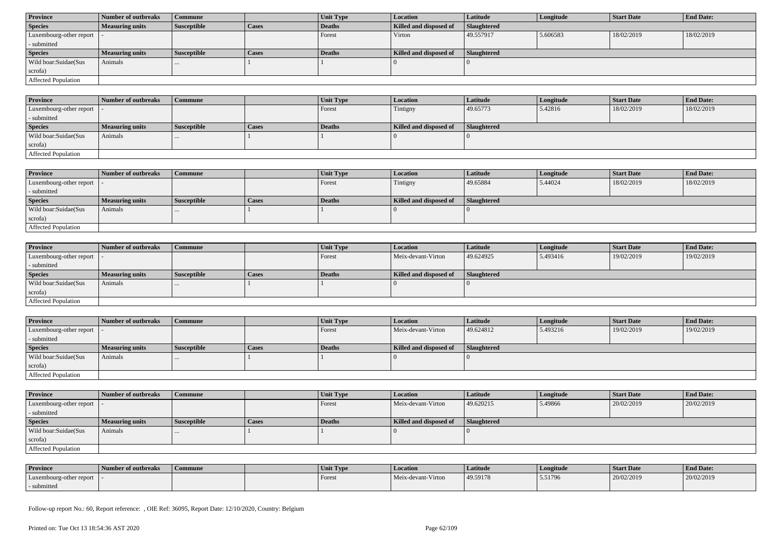| <b>Province</b>            | Number of outbreaks    | Commune            |              | Unit Type | <b>Location</b>        | <b>Latitude</b>    | Longitude | <b>Start Date</b> | <b>End Date:</b> |
|----------------------------|------------------------|--------------------|--------------|-----------|------------------------|--------------------|-----------|-------------------|------------------|
| <b>Species</b>             | <b>Measuring units</b> | <b>Susceptible</b> | <b>Cases</b> | Deaths    | Killed and disposed of | <b>Slaughtered</b> |           |                   |                  |
| Luxembourg-other report  - |                        |                    |              | Forest    | Virton                 | 49.557917          | 5.606583  | 18/02/2019        | 18/02/2019       |
| - submitted                |                        |                    |              |           |                        |                    |           |                   |                  |
| <b>Species</b>             | <b>Measuring units</b> | <b>Susceptible</b> | <b>Cases</b> | Deaths    | Killed and disposed of | Slaughtered        |           |                   |                  |
| Wild boar:Suidae(Sus       | Animals                | $\cdots$           |              |           |                        |                    |           |                   |                  |
| scrofa)                    |                        |                    |              |           |                        |                    |           |                   |                  |
|                            |                        |                    |              |           |                        |                    |           |                   |                  |

| <b>Province</b>             | Number of outbreaks    | Commune            |       | Unit Type     | Location               | <b>Latitude</b>    | Longitude | <b>Start Date</b> | <b>End Date:</b> |
|-----------------------------|------------------------|--------------------|-------|---------------|------------------------|--------------------|-----------|-------------------|------------------|
| Luxembourg-other report   - |                        |                    |       | Forest        | Tintigny               | 49.65773           | 5.42816   | 18/02/2019        | 18/02/2019       |
| - submitted                 |                        |                    |       |               |                        |                    |           |                   |                  |
| <b>Species</b>              | <b>Measuring units</b> | <b>Susceptible</b> | Cases | <b>Deaths</b> | Killed and disposed of | <b>Slaughtered</b> |           |                   |                  |
| Wild boar:Suidae(Sus        | Animals                | $\cdots$           |       |               |                        |                    |           |                   |                  |
| scrofa)                     |                        |                    |       |               |                        |                    |           |                   |                  |
| <b>Affected Population</b>  |                        |                    |       |               |                        |                    |           |                   |                  |

| <b>Province</b>         | Number of outbreaks    | Commune            |              | <b>Unit Type</b> | <b>Location</b>        | <b>Latitude</b> | Longitude | <b>Start Date</b> | <b>End Date:</b> |
|-------------------------|------------------------|--------------------|--------------|------------------|------------------------|-----------------|-----------|-------------------|------------------|
| Luxembourg-other report |                        |                    |              | Forest           | Tintigny               | 49.65884        | 5.44024   | 18/02/2019        | 18/02/2019       |
| - submitted             |                        |                    |              |                  |                        |                 |           |                   |                  |
| <b>Species</b>          | <b>Measuring units</b> | <b>Susceptible</b> | <b>Cases</b> | Deaths           | Killed and disposed of | Slaughtered     |           |                   |                  |
| Wild boar:Suidae(Sus    | Animals                | $\cdots$           |              |                  |                        |                 |           |                   |                  |
| scrofa)                 |                        |                    |              |                  |                        |                 |           |                   |                  |
| Affected Population     |                        |                    |              |                  |                        |                 |           |                   |                  |

| <b>Province</b>            | Number of outbreaks    | <b>Commune</b>     |              | <b>Unit Type</b> | <i>Location</i>        | <b>Latitude</b>    | Longitude | <b>Start Date</b> | <b>End Date:</b> |
|----------------------------|------------------------|--------------------|--------------|------------------|------------------------|--------------------|-----------|-------------------|------------------|
| Luxembourg-other report  - |                        |                    |              | Forest           | Meix-devant-Virton     | 49.624925          | 5.493416  | 19/02/2019        | 19/02/2019       |
| - submitted                |                        |                    |              |                  |                        |                    |           |                   |                  |
| <b>Species</b>             | <b>Measuring units</b> | <b>Susceptible</b> | <b>Cases</b> | Deaths           | Killed and disposed of | <b>Slaughtered</b> |           |                   |                  |
| Wild boar:Suidae(Sus       | Animals                | $\cdots$           |              |                  |                        |                    |           |                   |                  |
| scrofa)                    |                        |                    |              |                  |                        |                    |           |                   |                  |
| Affected Population        |                        |                    |              |                  |                        |                    |           |                   |                  |

| <b>Province</b>            | Number of outbreaks    | <b>Commune</b>     |              | Unit Type | Location               | Latitude           | Longitude | <b>Start Date</b> | <b>End Date:</b> |
|----------------------------|------------------------|--------------------|--------------|-----------|------------------------|--------------------|-----------|-------------------|------------------|
| Luxembourg-other report  - |                        |                    |              | Forest    | Meix-devant-Virton     | 49.624812          | 5.493216  | 19/02/2019        | 19/02/2019       |
| - submitted                |                        |                    |              |           |                        |                    |           |                   |                  |
| <b>Species</b>             | <b>Measuring units</b> | <b>Susceptible</b> | <b>Cases</b> | Deaths    | Killed and disposed of | <b>Slaughtered</b> |           |                   |                  |
| Wild boar:Suidae(Sus       | Animals                |                    |              |           |                        |                    |           |                   |                  |
| scrofa)                    |                        |                    |              |           |                        |                    |           |                   |                  |
| Affected Population        |                        |                    |              |           |                        |                    |           |                   |                  |

| <b>Province</b>            | Number of outbreaks | Commune            |              | Unit Type | Location               | <b>Latitude</b> | Longitude | <b>Start Date</b> | <b>End Date:</b> |
|----------------------------|---------------------|--------------------|--------------|-----------|------------------------|-----------------|-----------|-------------------|------------------|
| Luxembourg-other report  - |                     |                    |              | Forest    | Meix-devant-Virton     | 49.620215       | 5.49866   | 20/02/2019        | 20/02/2019       |
| - submitted                |                     |                    |              |           |                        |                 |           |                   |                  |
| <b>Species</b>             | Measuring units     | <b>Susceptible</b> | <b>Cases</b> | Deaths    | Killed and disposed of | Slaughtered     |           |                   |                  |
| Wild boar: Suidae (Sus     | Animals             | $\cdots$           |              |           |                        |                 |           |                   |                  |
| scrofa)                    |                     |                    |              |           |                        |                 |           |                   |                  |
| Affected Population        |                     |                    |              |           |                        |                 |           |                   |                  |

| <b>Province</b>         | Number of outbreaks | <b>Commune</b> | Unit Type | <b>Location</b>    | Latitude | Longitude | <b>Start Date</b> | <b>End Date:</b> |
|-------------------------|---------------------|----------------|-----------|--------------------|----------|-----------|-------------------|------------------|
| Luxembourg-other report |                     |                | Forest    | Meix-devant-Virton | 49.59178 | 5.51796   | 20/02/2019        | 20/02/2019       |
| submitted               |                     |                |           |                    |          |           |                   |                  |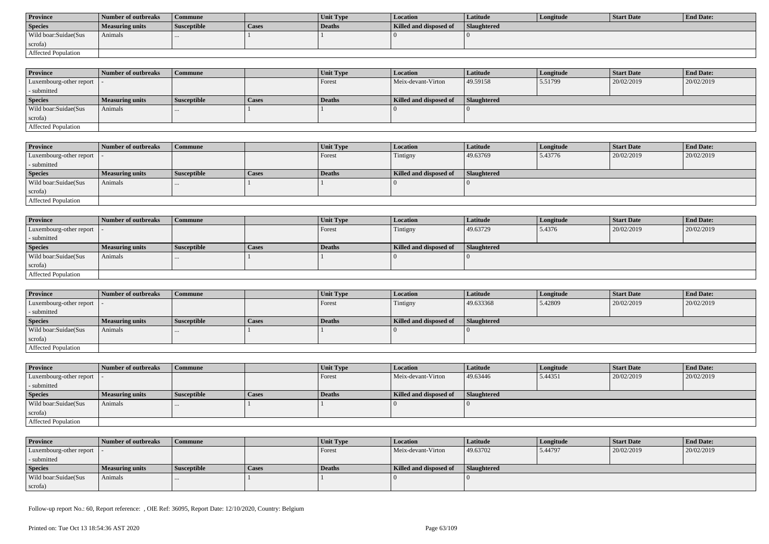| <b>Province</b>      | Number of outbreaks | Commune            |       | <b>Unit Type</b> | Location               | Latitude           | Longitude | Start Date | <b>End Date:</b> |
|----------------------|---------------------|--------------------|-------|------------------|------------------------|--------------------|-----------|------------|------------------|
| <b>Species</b>       | Measuring units     | <b>Susceptible</b> | Cases | Deaths           | Killed and disposed of | <b>Slaughtered</b> |           |            |                  |
| Wild boar:Suidae(Sus | Animals             |                    |       |                  |                        |                    |           |            |                  |
| scrofa)              |                     |                    |       |                  |                        |                    |           |            |                  |
| Affected Population  |                     |                    |       |                  |                        |                    |           |            |                  |

| <b>Province</b>            | Number of outbreaks | Commune            |              | <b>Unit Type</b> | <b>Location</b>        | <b>Latitude</b>    | Longitude | <b>Start Date</b> | <b>End Date:</b> |
|----------------------------|---------------------|--------------------|--------------|------------------|------------------------|--------------------|-----------|-------------------|------------------|
| Luxembourg-other report  - |                     |                    |              | Forest           | Meix-devant-Virton     | 49.59158           | 5.51799   | 20/02/2019        | 20/02/2019       |
| - submitted                |                     |                    |              |                  |                        |                    |           |                   |                  |
| <b>Species</b>             | Measuring units     | <b>Susceptible</b> | <b>Cases</b> | <b>Deaths</b>    | Killed and disposed of | <b>Slaughtered</b> |           |                   |                  |
| Wild boar:Suidae(Sus       | Animals             | $\cdots$           |              |                  |                        |                    |           |                   |                  |
| scrofa)                    |                     |                    |              |                  |                        |                    |           |                   |                  |
| Affected Population        |                     |                    |              |                  |                        |                    |           |                   |                  |

| <b>Province</b>         | Number of outbreaks | <b>Commune</b>     |       | Unit Type | <b>Location</b>        | Latitude    | Longitude | <b>Start Date</b> | <b>End Date:</b> |
|-------------------------|---------------------|--------------------|-------|-----------|------------------------|-------------|-----------|-------------------|------------------|
| Luxembourg-other report |                     |                    |       | Forest    | Tintigny               | 49.63769    | 5.43776   | 20/02/2019        | 20/02/2019       |
| - submitted             |                     |                    |       |           |                        |             |           |                   |                  |
| <b>Species</b>          | Measuring units     | <b>Susceptible</b> | Cases | Deaths    | Killed and disposed of | Slaughtered |           |                   |                  |
| Wild boar:Suidae(Sus    | Animals             |                    |       |           |                        |             |           |                   |                  |
| scrofa)                 |                     |                    |       |           |                        |             |           |                   |                  |
| Affected Population     |                     |                    |       |           |                        |             |           |                   |                  |

| Province                   | Number of outbreaks    | <b>Commune</b>     |              | Unit Type | Location               | Latitude    | Longitude | <b>Start Date</b> | <b>End Date:</b> |
|----------------------------|------------------------|--------------------|--------------|-----------|------------------------|-------------|-----------|-------------------|------------------|
| Luxembourg-other report  - |                        |                    |              | Forest    | Tintigny               | 49.63729    | 5.4376    | 20/02/2019        | 20/02/2019       |
| - submitted                |                        |                    |              |           |                        |             |           |                   |                  |
| <b>Species</b>             | <b>Measuring units</b> | <b>Susceptible</b> | <b>Cases</b> | Deaths    | Killed and disposed of | Slaughtered |           |                   |                  |
| Wild boar:Suidae(Sus       | Animals                |                    |              |           |                        |             |           |                   |                  |
| scrofa)                    |                        |                    |              |           |                        |             |           |                   |                  |
| <b>Affected Population</b> |                        |                    |              |           |                        |             |           |                   |                  |

| <b>Province</b>         | Number of outbreaks | l Commune          |              | <b>Unit Type</b> | <b>Location</b>        | <b>Latitude</b>    | Longitude | <b>Start Date</b> | <b>End Date:</b> |
|-------------------------|---------------------|--------------------|--------------|------------------|------------------------|--------------------|-----------|-------------------|------------------|
| Luxembourg-other report |                     |                    |              | Forest           | Tintigny               | 49.633368          | 5.42809   | 20/02/2019        | 20/02/2019       |
| - submitted             |                     |                    |              |                  |                        |                    |           |                   |                  |
| <b>Species</b>          | Measuring units     | <b>Susceptible</b> | <b>Cases</b> | Deaths           | Killed and disposed of | <b>Slaughtered</b> |           |                   |                  |
| Wild boar: Suidae (Sus  | Animals             |                    |              |                  |                        |                    |           |                   |                  |
| scrofa)                 |                     |                    |              |                  |                        |                    |           |                   |                  |
| Affected Population     |                     |                    |              |                  |                        |                    |           |                   |                  |

| <b>Province</b>            | Number of outbreaks    | <b>Commune</b>     |              | Unit Type     | Location               | <b>Latitude</b> | Longitude | <b>Start Date</b> | <b>End Date:</b> |
|----------------------------|------------------------|--------------------|--------------|---------------|------------------------|-----------------|-----------|-------------------|------------------|
| Luxembourg-other report  - |                        |                    |              | Forest        | Meix-devant-Virton     | 49.63446        | 5.44351   | 20/02/2019        | 20/02/2019       |
| - submitted                |                        |                    |              |               |                        |                 |           |                   |                  |
| <b>Species</b>             | <b>Measuring units</b> | <b>Susceptible</b> | <b>Cases</b> | <b>Deaths</b> | Killed and disposed of | Slaughtered     |           |                   |                  |
| Wild boar:Suidae(Sus       | Animals                |                    |              |               |                        |                 |           |                   |                  |
| scrofa)                    |                        |                    |              |               |                        |                 |           |                   |                  |
| Affected Population        |                        |                    |              |               |                        |                 |           |                   |                  |

| <b>Province</b>            | Number of outbreaks    | <b>Commune</b>     |              | Unit Type     | <b>Location</b>        | Latitude    | Longitude | <b>Start Date</b> | <b>End Date:</b> |
|----------------------------|------------------------|--------------------|--------------|---------------|------------------------|-------------|-----------|-------------------|------------------|
| Luxembourg-other report  - |                        |                    |              | <b>Forest</b> | Meix-devant-Virton     | 49.63702    | 5.44797   | 20/02/2019        | 20/02/2019       |
| - submitted                |                        |                    |              |               |                        |             |           |                   |                  |
| <b>Species</b>             | <b>Measuring units</b> | <b>Susceptible</b> | <b>Cases</b> | Deaths        | Killed and disposed of | Slaughtered |           |                   |                  |
| Wild boar:Suidae(Sus       | Animals                |                    |              |               |                        |             |           |                   |                  |
| scrofa)                    |                        |                    |              |               |                        |             |           |                   |                  |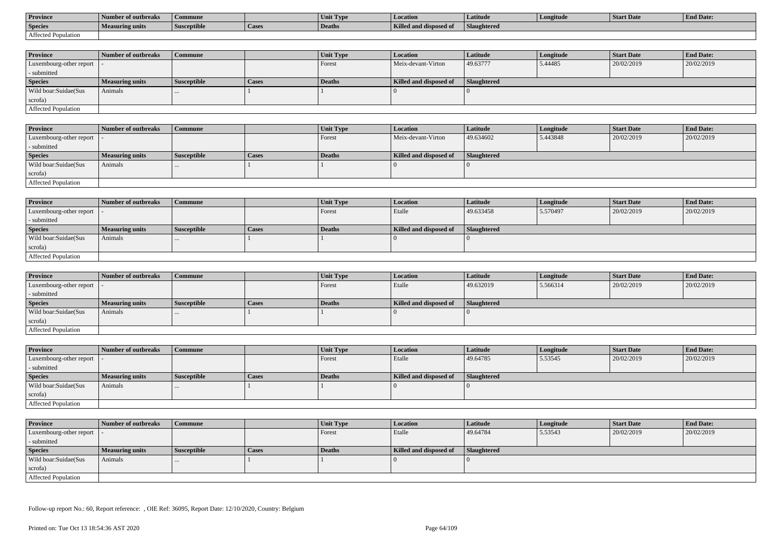| <b>Province</b>     | Number of outbreaks | Commune            |        | Unit Type     | <b>Location</b>               | Latitude    | Longitude | Start Date | <b>End Date:</b> |
|---------------------|---------------------|--------------------|--------|---------------|-------------------------------|-------------|-----------|------------|------------------|
| <b>Species</b>      | Measuring units     | <b>Susceptible</b> | 'Cases | <b>Deaths</b> | <b>Killed and disposed of</b> | Slaughtered |           |            |                  |
| Affected Population |                     |                    |        |               |                               |             |           |            |                  |

| <b>Province</b>         | Number of outbreaks    | Commune            |              | <b>Unit Type</b> | Location               | Latitude           | Longitude | <b>Start Date</b> | <b>End Date:</b> |
|-------------------------|------------------------|--------------------|--------------|------------------|------------------------|--------------------|-----------|-------------------|------------------|
| Luxembourg-other report |                        |                    |              | Forest           | Meix-devant-Virton     | 49.63777           | 5.44485   | 20/02/2019        | 20/02/2019       |
| - submitted             |                        |                    |              |                  |                        |                    |           |                   |                  |
| <b>Species</b>          | <b>Measuring units</b> | <b>Susceptible</b> | <b>Cases</b> | Deaths           | Killed and disposed of | <b>Slaughtered</b> |           |                   |                  |
| Wild boar:Suidae(Sus    | Animals                |                    |              |                  |                        |                    |           |                   |                  |
| scrofa)                 |                        |                    |              |                  |                        |                    |           |                   |                  |
| Affected Population     |                        |                    |              |                  |                        |                    |           |                   |                  |

| <b>Province</b>            | Number of outbreaks    | <b>Commune</b>     |              | <b>Unit Type</b> | <b>Location</b>        | <b>Latitude</b> | Longitude | <b>Start Date</b> | <b>End Date:</b> |
|----------------------------|------------------------|--------------------|--------------|------------------|------------------------|-----------------|-----------|-------------------|------------------|
| Luxembourg-other report  - |                        |                    |              | Forest           | Meix-devant-Virton     | 49.634602       | 5.443848  | 20/02/2019        | 20/02/2019       |
| - submitted                |                        |                    |              |                  |                        |                 |           |                   |                  |
| <b>Species</b>             | <b>Measuring units</b> | <b>Susceptible</b> | <b>Cases</b> | Deaths           | Killed and disposed of | Slaughtered     |           |                   |                  |
| Wild boar:Suidae(Sus       | Animals                |                    |              |                  |                        |                 |           |                   |                  |
| scrofa)                    |                        |                    |              |                  |                        |                 |           |                   |                  |
| Affected Population        |                        |                    |              |                  |                        |                 |           |                   |                  |

| <b>Province</b>            | Number of outbreaks    | <b>Commune</b>     |       | Unit Type | Location               | Latitude    | Longitude | <b>Start Date</b> | <b>End Date:</b> |
|----------------------------|------------------------|--------------------|-------|-----------|------------------------|-------------|-----------|-------------------|------------------|
| Luxembourg-other report  - |                        |                    |       | I Forest  | Etalle                 | 49.633458   | 5.570497  | 20/02/2019        | 20/02/2019       |
| - submitted                |                        |                    |       |           |                        |             |           |                   |                  |
| <b>Species</b>             | <b>Measuring units</b> | <b>Susceptible</b> | Cases | Deaths    | Killed and disposed of | Slaughtered |           |                   |                  |
| Wild boar:Suidae(Sus       | Animals                |                    |       |           |                        |             |           |                   |                  |
| scrofa)                    |                        |                    |       |           |                        |             |           |                   |                  |
| Affected Population        |                        |                    |       |           |                        |             |           |                   |                  |

| <b>Province</b>         | Number of outbreaks    | <b>Commune</b>     |              | Unit Type | <i>Location</i>        | <b>Latitude</b> | Longitude | <b>Start Date</b> | <b>End Date:</b> |
|-------------------------|------------------------|--------------------|--------------|-----------|------------------------|-----------------|-----------|-------------------|------------------|
| Luxembourg-other report |                        |                    |              | Forest    | Etalle                 | 49.632019       | 5.566314  | 20/02/2019        | 20/02/2019       |
| - submitted             |                        |                    |              |           |                        |                 |           |                   |                  |
| <b>Species</b>          | <b>Measuring units</b> | <b>Susceptible</b> | <b>Cases</b> | Deaths    | Killed and disposed of | Slaughtered     |           |                   |                  |
| Wild boar:Suidae(Sus    | Animals                | $\cdots$           |              |           |                        |                 |           |                   |                  |
| scrofa)                 |                        |                    |              |           |                        |                 |           |                   |                  |
| Affected Population     |                        |                    |              |           |                        |                 |           |                   |                  |

| <b>Province</b>            | Number of outbreaks    | Commune            |       | Unit Type | <b>Location</b>        | <b>Latitude</b> | Longitude | <b>Start Date</b> | <b>End Date:</b> |
|----------------------------|------------------------|--------------------|-------|-----------|------------------------|-----------------|-----------|-------------------|------------------|
| Luxembourg-other report  - |                        |                    |       | Forest    | Etalle                 | 49.64785        | 5.53545   | 20/02/2019        | 20/02/2019       |
| - submitted                |                        |                    |       |           |                        |                 |           |                   |                  |
| <b>Species</b>             | <b>Measuring units</b> | <b>Susceptible</b> | Cases | Deaths    | Killed and disposed of | Slaughtered     |           |                   |                  |
| Wild boar:Suidae(Sus       | Animals                | $\cdots$           |       |           |                        |                 |           |                   |                  |
| scrofa)                    |                        |                    |       |           |                        |                 |           |                   |                  |
| Affected Population        |                        |                    |       |           |                        |                 |           |                   |                  |

| <b>Province</b>            | Number of outbreaks    | <b>Commune</b>     |       | Unit Type     | <i>Location</i>        | <b>Latitude</b> | Longitude | <b>Start Date</b> | <b>End Date:</b> |
|----------------------------|------------------------|--------------------|-------|---------------|------------------------|-----------------|-----------|-------------------|------------------|
| Luxembourg-other report  - |                        |                    |       | Forest        | Etalle                 | 49.64784        | 5.53543   | 20/02/2019        | 20/02/2019       |
| - submitted                |                        |                    |       |               |                        |                 |           |                   |                  |
| <b>Species</b>             | <b>Measuring units</b> | <b>Susceptible</b> | Cases | <b>Deaths</b> | Killed and disposed of | Slaughtered     |           |                   |                  |
| Wild boar:Suidae(Sus       | Animals                | $\cdots$           |       |               |                        |                 |           |                   |                  |
| scrofa)                    |                        |                    |       |               |                        |                 |           |                   |                  |
| Affected Population        |                        |                    |       |               |                        |                 |           |                   |                  |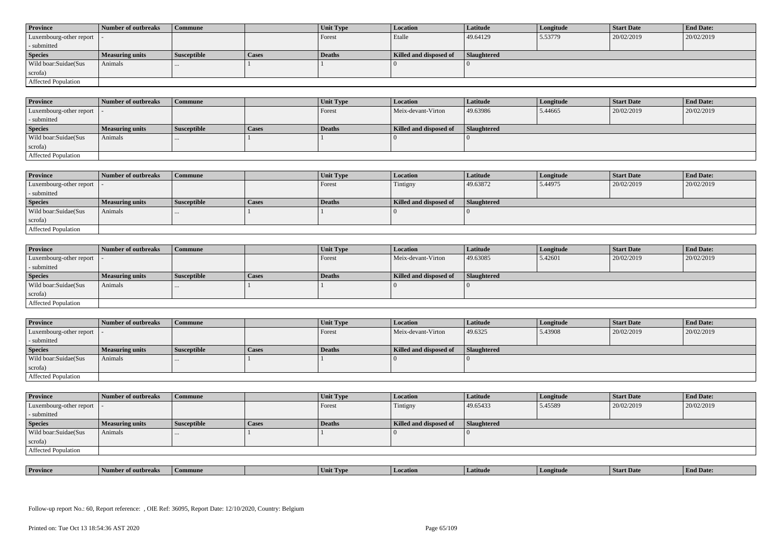| <b>Province</b>            | Number of outbreaks    | <b>Commune</b>     |              | Unit Type | Location               | <b>Latitude</b> | Longitude | <b>Start Date</b> | <b>End Date:</b> |
|----------------------------|------------------------|--------------------|--------------|-----------|------------------------|-----------------|-----------|-------------------|------------------|
| Luxembourg-other report  - |                        |                    |              | Forest    | Etalle                 | 49.64129        | 5.53779   | 20/02/2019        | 20/02/2019       |
| - submitted                |                        |                    |              |           |                        |                 |           |                   |                  |
| <b>Species</b>             | <b>Measuring units</b> | <b>Susceptible</b> | <b>Cases</b> | Deaths    | Killed and disposed of | Slaughtered     |           |                   |                  |
| Wild boar:Suidae(Sus       | Animals                |                    |              |           |                        |                 |           |                   |                  |
| scrofa)                    |                        |                    |              |           |                        |                 |           |                   |                  |
| Affected Population        |                        |                    |              |           |                        |                 |           |                   |                  |

| <b>Province</b>         | Number of outbreaks | <b>Commune</b>     |       | Unit Type     | <b>Location</b>        | Latitude    | Longitude | <b>Start Date</b> | <b>End Date:</b> |
|-------------------------|---------------------|--------------------|-------|---------------|------------------------|-------------|-----------|-------------------|------------------|
| Luxembourg-other report |                     |                    |       | Forest        | Meix-devant-Virton     | 49.63986    | 5.44665   | 20/02/2019        | 20/02/2019       |
| - submitted             |                     |                    |       |               |                        |             |           |                   |                  |
| <b>Species</b>          | Measuring units     | <b>Susceptible</b> | Cases | <b>Deaths</b> | Killed and disposed of | Slaughtered |           |                   |                  |
| Wild boar:Suidae(Sus    | Animals             |                    |       |               |                        |             |           |                   |                  |
| scrofa)                 |                     |                    |       |               |                        |             |           |                   |                  |
| Affected Population     |                     |                    |       |               |                        |             |           |                   |                  |

| <b>Province</b>            | Number of outbreaks | Commune              |              | Unit Type | Location               | <b>Latitude</b> | Longitude | <b>Start Date</b> | <b>End Date:</b> |
|----------------------------|---------------------|----------------------|--------------|-----------|------------------------|-----------------|-----------|-------------------|------------------|
| Luxembourg-other report  - |                     |                      |              | Forest    | Tintigny               | 49.63872        | 5.44975   | 20/02/2019        | 20/02/2019       |
| - submitted                |                     |                      |              |           |                        |                 |           |                   |                  |
| <b>Species</b>             | Measuring units     | <b>Susceptible</b>   | <b>Cases</b> | Deaths    | Killed and disposed of | Slaughtered     |           |                   |                  |
| Wild boar:Suidae(Sus       | Animals             | $\sim$ $\sim$ $\sim$ |              |           |                        |                 |           |                   |                  |
| scrofa)                    |                     |                      |              |           |                        |                 |           |                   |                  |
| Affected Population        |                     |                      |              |           |                        |                 |           |                   |                  |

| <b>Province</b>            | Number of outbreaks    | <b>Commune</b>     |              | Unit Type     | Location               | Latitude    | Longitude | <b>Start Date</b> | <b>End Date:</b> |
|----------------------------|------------------------|--------------------|--------------|---------------|------------------------|-------------|-----------|-------------------|------------------|
| Luxembourg-other report  - |                        |                    |              | Forest        | Meix-devant-Virton     | 49.63085    | 5.42601   | 20/02/2019        | 20/02/2019       |
| - submitted                |                        |                    |              |               |                        |             |           |                   |                  |
| <b>Species</b>             | <b>Measuring units</b> | <b>Susceptible</b> | <b>Cases</b> | <b>Deaths</b> | Killed and disposed of | Slaughtered |           |                   |                  |
| Wild boar:Suidae(Sus       | Animals                |                    |              |               |                        |             |           |                   |                  |
| scrofa)                    |                        |                    |              |               |                        |             |           |                   |                  |
| Affected Population        |                        |                    |              |               |                        |             |           |                   |                  |

| <b>Province</b>            | Number of outbreaks    | Commune            |       | <b>Unit Type</b> | <b>Location</b>        | <b>Latitude</b> | Longitude | <b>Start Date</b> | <b>End Date:</b> |
|----------------------------|------------------------|--------------------|-------|------------------|------------------------|-----------------|-----------|-------------------|------------------|
| Luxembourg-other report  - |                        |                    |       | Forest           | Meix-devant-Virton     | 49.6325         | 5.43908   | 20/02/2019        | 20/02/2019       |
| - submitted                |                        |                    |       |                  |                        |                 |           |                   |                  |
| <b>Species</b>             | <b>Measuring units</b> | <b>Susceptible</b> | Cases | <b>Deaths</b>    | Killed and disposed of | Slaughtered     |           |                   |                  |
| Wild boar:Suidae(Sus       | Animals                | $\cdots$           |       |                  |                        |                 |           |                   |                  |
| scrofa)                    |                        |                    |       |                  |                        |                 |           |                   |                  |
|                            |                        |                    |       |                  |                        |                 |           |                   |                  |

| <b>Province</b>            | Number of outbreaks    | <b>Commune</b>     |              | Unit Type | <b>Location</b>        | <b>Latitude</b>    | Longitude | <b>Start Date</b> | <b>End Date:</b> |
|----------------------------|------------------------|--------------------|--------------|-----------|------------------------|--------------------|-----------|-------------------|------------------|
| Luxembourg-other report  - |                        |                    |              | Forest    | Tintigny               | 49.65433           | 5.45589   | 20/02/2019        | 20/02/2019       |
| - submitted                |                        |                    |              |           |                        |                    |           |                   |                  |
| <b>Species</b>             | <b>Measuring units</b> | <b>Susceptible</b> | <b>Cases</b> | Deaths    | Killed and disposed of | <b>Slaughtered</b> |           |                   |                  |
| Wild boar:Suidae(Sus       | Animals                |                    |              |           |                        |                    |           |                   |                  |
| scrofa)                    |                        |                    |              |           |                        |                    |           |                   |                  |
| Affected Population        |                        |                    |              |           |                        |                    |           |                   |                  |

| <b>Province</b> | rnreak: | amune | - I vn<br>Unit | Latitud | neıtude | <b>Start Date</b> | $\mathbf{r}$<br>d Date:<br>- H'm. |
|-----------------|---------|-------|----------------|---------|---------|-------------------|-----------------------------------|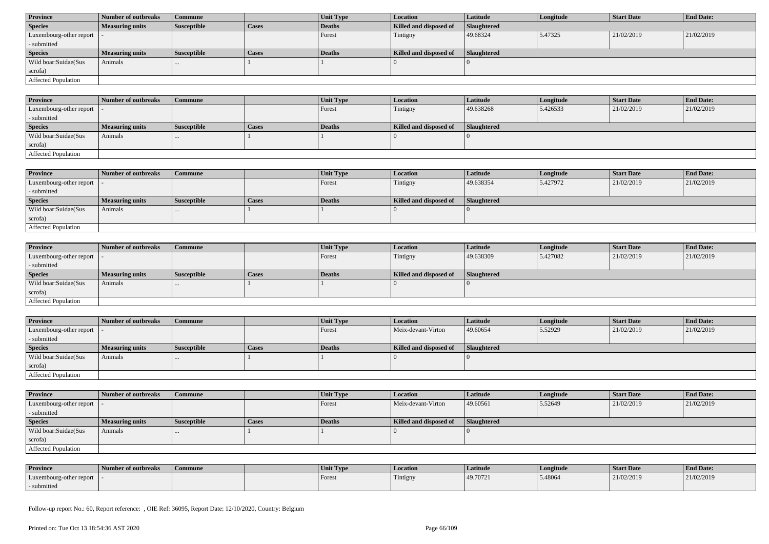| <b>Province</b>            | Number of outbreaks    | Commune            |              | Unit Type | <b>Location</b>        | <b>Latitude</b>    | Longitude | <b>Start Date</b> | <b>End Date:</b> |
|----------------------------|------------------------|--------------------|--------------|-----------|------------------------|--------------------|-----------|-------------------|------------------|
| <b>Species</b>             | <b>Measuring units</b> | <b>Susceptible</b> | <b>Cases</b> | Deaths    | Killed and disposed of | <b>Slaughtered</b> |           |                   |                  |
| Luxembourg-other report  - |                        |                    |              | Forest    | Tintigny               | 49.68324           | 5.47325   | 21/02/2019        | 21/02/2019       |
| - submitted                |                        |                    |              |           |                        |                    |           |                   |                  |
| <b>Species</b>             | <b>Measuring units</b> | <b>Susceptible</b> | <b>Cases</b> | Deaths    | Killed and disposed of | Slaughtered        |           |                   |                  |
| Wild boar:Suidae(Sus       | Animals                | $\cdots$           |              |           |                        |                    |           |                   |                  |
| scrofa)                    |                        |                    |              |           |                        |                    |           |                   |                  |
| Affected Population        |                        |                    |              |           |                        |                    |           |                   |                  |

| <b>Province</b>         | Number of outbreaks    | <b>Commune</b> |       | Unit Type | <i>Location</i>        | Latitude    | Longitude | <b>Start Date</b> | <b>End Date:</b> |
|-------------------------|------------------------|----------------|-------|-----------|------------------------|-------------|-----------|-------------------|------------------|
| Luxembourg-other report |                        |                |       | Forest    | Tintigny               | 49.638268   | 5.426533  | 21/02/2019        | 21/02/2019       |
| - submitted             |                        |                |       |           |                        |             |           |                   |                  |
| <b>Species</b>          | <b>Measuring units</b> | Susceptible    | Cases | Deaths    | Killed and disposed of | Slaughtered |           |                   |                  |
| Wild boar:Suidae(Sus    | Animals                |                |       |           |                        |             |           |                   |                  |
| scrofa)                 |                        |                |       |           |                        |             |           |                   |                  |
| Affected Population     |                        |                |       |           |                        |             |           |                   |                  |

| <b>Province</b>            | <b>Number of outbreaks</b> | <b>Commune</b>     |       | Unit Type     | <b>Location</b>        | <b>Latitude</b> | Longitude | <b>Start Date</b> | <b>End Date:</b> |
|----------------------------|----------------------------|--------------------|-------|---------------|------------------------|-----------------|-----------|-------------------|------------------|
| Luxembourg-other report    |                            |                    |       | <b>Forest</b> | Tintigny               | 49.638354       | 5.427972  | 21/02/2019        | 21/02/2019       |
| - submitted                |                            |                    |       |               |                        |                 |           |                   |                  |
| <b>Species</b>             | <b>Measuring units</b>     | <b>Susceptible</b> | Cases | Deaths        | Killed and disposed of | Slaughtered     |           |                   |                  |
| Wild boar:Suidae(Sus       | Animals                    |                    |       |               |                        |                 |           |                   |                  |
| scrofa)                    |                            |                    |       |               |                        |                 |           |                   |                  |
| <b>Affected Population</b> |                            |                    |       |               |                        |                 |           |                   |                  |

| <b>Province</b>            | Number of outbreaks    | <b>Commune</b>     |              | <b>Unit Type</b> | <i>Location</i>        | <b>Latitude</b>    | Longitude | <b>Start Date</b> | <b>End Date:</b> |
|----------------------------|------------------------|--------------------|--------------|------------------|------------------------|--------------------|-----------|-------------------|------------------|
| Luxembourg-other report  - |                        |                    |              | Forest           | Tintigny               | 49.638309          | 5.427082  | 21/02/2019        | 21/02/2019       |
| - submitted                |                        |                    |              |                  |                        |                    |           |                   |                  |
| <b>Species</b>             | <b>Measuring units</b> | <b>Susceptible</b> | <b>Cases</b> | <b>Deaths</b>    | Killed and disposed of | <b>Slaughtered</b> |           |                   |                  |
| Wild boar:Suidae(Sus       | Animals                | $\cdots$           |              |                  |                        |                    |           |                   |                  |
| scrofa)                    |                        |                    |              |                  |                        |                    |           |                   |                  |
| Affected Population        |                        |                    |              |                  |                        |                    |           |                   |                  |

| <b>Province</b>            | Number of outbreaks    | <b>Commune</b>     |              | Unit Type | Location               | Latitude    | Longitude | <b>Start Date</b> | <b>End Date:</b> |
|----------------------------|------------------------|--------------------|--------------|-----------|------------------------|-------------|-----------|-------------------|------------------|
| Luxembourg-other report  - |                        |                    |              | Forest    | Meix-devant-Virton     | 49.60654    | 5.52929   | 21/02/2019        | 21/02/2019       |
| - submitted                |                        |                    |              |           |                        |             |           |                   |                  |
| <b>Species</b>             | <b>Measuring units</b> | <b>Susceptible</b> | <b>Cases</b> | Deaths    | Killed and disposed of | Slaughtered |           |                   |                  |
| Wild boar:Suidae(Sus       | Animals                |                    |              |           |                        |             |           |                   |                  |
| scrofa)                    |                        |                    |              |           |                        |             |           |                   |                  |
| <b>Affected Population</b> |                        |                    |              |           |                        |             |           |                   |                  |

| <b>Province</b>            | Number of outbreaks | Commune            |              | Unit Type | Location               | <b>Latitude</b> | Longitude | <b>Start Date</b> | <b>End Date:</b> |
|----------------------------|---------------------|--------------------|--------------|-----------|------------------------|-----------------|-----------|-------------------|------------------|
| Luxembourg-other report  - |                     |                    |              | Forest    | Meix-devant-Virton     | 49.60561        | 5.52649   | 21/02/2019        | 21/02/2019       |
| - submitted                |                     |                    |              |           |                        |                 |           |                   |                  |
| <b>Species</b>             | Measuring units     | <b>Susceptible</b> | <b>Cases</b> | Deaths    | Killed and disposed of | Slaughtered     |           |                   |                  |
| Wild boar: Suidae (Sus     | Animals             | $\cdots$           |              |           |                        |                 |           |                   |                  |
| scrofa)                    |                     |                    |              |           |                        |                 |           |                   |                  |
| Affected Population        |                     |                    |              |           |                        |                 |           |                   |                  |

| <b>Province</b>         | Number of outbreaks | Commune | Unit Type | Location | Latitude | Longitude | Start Date | <b>End Date:</b> |
|-------------------------|---------------------|---------|-----------|----------|----------|-----------|------------|------------------|
| Luxembourg-other report |                     |         | Forest    | Tintigny | 49.70721 | 5.48064   | 21/02/2019 | 21/02/2019       |
| submitted               |                     |         |           |          |          |           |            |                  |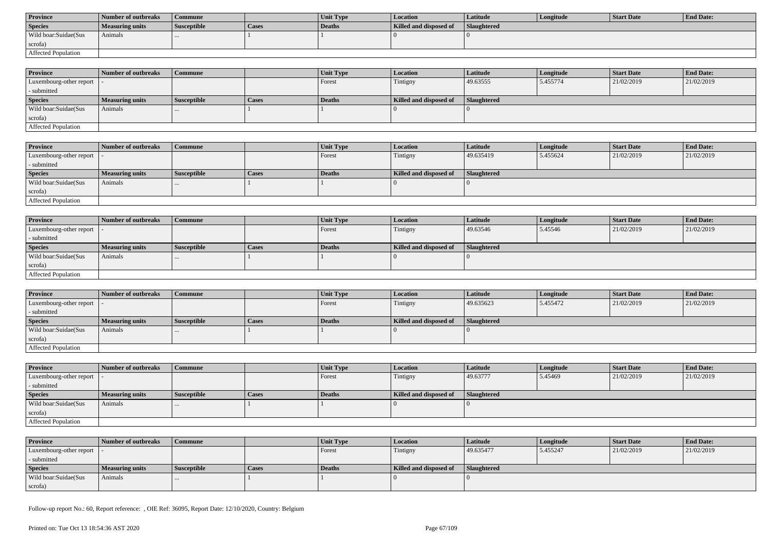| <b>Province</b>      | Number of outbreaks | Commune            |              | <b>Unit Type</b> | Location               | Latitude    | Longitude | Start Date | <b>End Date:</b> |
|----------------------|---------------------|--------------------|--------------|------------------|------------------------|-------------|-----------|------------|------------------|
| <b>Species</b>       | Measuring units     | <b>Susceptible</b> | <b>Cases</b> | Deaths           | Killed and disposed of | Slaughtered |           |            |                  |
| Wild boar:Suidae(Sus | Animals             |                    |              |                  |                        |             |           |            |                  |
| scrofa)              |                     |                    |              |                  |                        |             |           |            |                  |
| Affected Population  |                     |                    |              |                  |                        |             |           |            |                  |

| <b>Province</b>            | Number of outbreaks | Commune            |              | <b>Unit Type</b> | <b>Location</b>        | <b>Latitude</b>    | Longitude | <b>Start Date</b> | <b>End Date:</b> |
|----------------------------|---------------------|--------------------|--------------|------------------|------------------------|--------------------|-----------|-------------------|------------------|
| Luxembourg-other report  - |                     |                    |              | Forest           | Tintigny               | 49.63555           | 5.455774  | 21/02/2019        | 21/02/2019       |
| - submitted                |                     |                    |              |                  |                        |                    |           |                   |                  |
| <b>Species</b>             | Measuring units     | <b>Susceptible</b> | <b>Cases</b> | <b>Deaths</b>    | Killed and disposed of | <b>Slaughtered</b> |           |                   |                  |
| Wild boar:Suidae(Sus       | Animals             | $\cdots$           |              |                  |                        |                    |           |                   |                  |
| scrofa)                    |                     |                    |              |                  |                        |                    |           |                   |                  |
| Affected Population        |                     |                    |              |                  |                        |                    |           |                   |                  |

| <b>Province</b>         | Number of outbreaks    | <b>Commune</b>     |       | Unit Type | Location               | <b>Latitude</b> | Longitude | <b>Start Date</b> | <b>End Date:</b> |
|-------------------------|------------------------|--------------------|-------|-----------|------------------------|-----------------|-----------|-------------------|------------------|
| Luxembourg-other report |                        |                    |       | Forest    | Tintigny               | 49.635419       | 5.455624  | 21/02/2019        | 21/02/2019       |
| - submitted             |                        |                    |       |           |                        |                 |           |                   |                  |
| <b>Species</b>          | <b>Measuring units</b> | <b>Susceptible</b> | Cases | Deaths    | Killed and disposed of | Slaughtered     |           |                   |                  |
| Wild boar:Suidae(Sus    | Animals                |                    |       |           |                        |                 |           |                   |                  |
| scrofa)                 |                        |                    |       |           |                        |                 |           |                   |                  |
| Affected Population     |                        |                    |       |           |                        |                 |           |                   |                  |

| <b>Province</b>            | Number of outbreaks    | <b>Commune</b>     |              | Unit Type | Location               | Latitude    | Longitude | <b>Start Date</b> | <b>End Date:</b> |
|----------------------------|------------------------|--------------------|--------------|-----------|------------------------|-------------|-----------|-------------------|------------------|
| Luxembourg-other report  - |                        |                    |              | Forest    | Tintigny               | 49.63546    | 5.45546   | 21/02/2019        | 21/02/2019       |
| - submitted                |                        |                    |              |           |                        |             |           |                   |                  |
| <b>Species</b>             | <b>Measuring units</b> | <b>Susceptible</b> | <b>Cases</b> | Deaths    | Killed and disposed of | Slaughtered |           |                   |                  |
| Wild boar:Suidae(Sus       | Animals                |                    |              |           |                        |             |           |                   |                  |
| scrofa)                    |                        |                    |              |           |                        |             |           |                   |                  |
| Affected Population        |                        |                    |              |           |                        |             |           |                   |                  |

| <b>Province</b>            | Number of outbreaks    | Commune            |              | <b>Unit Type</b> | Location               | Latitude           | Longitude | <b>Start Date</b> | <b>End Date:</b> |
|----------------------------|------------------------|--------------------|--------------|------------------|------------------------|--------------------|-----------|-------------------|------------------|
| Luxembourg-other report  - |                        |                    |              | Forest           | Tintigny               | 49.635623          | 5.455472  | 21/02/2019        | 21/02/2019       |
| - submitted                |                        |                    |              |                  |                        |                    |           |                   |                  |
| <b>Species</b>             | <b>Measuring units</b> | <b>Susceptible</b> | <b>Cases</b> | Deaths           | Killed and disposed of | <b>Slaughtered</b> |           |                   |                  |
| Wild boar:Suidae(Sus       | Animals                |                    |              |                  |                        |                    |           |                   |                  |
| scrofa)                    |                        |                    |              |                  |                        |                    |           |                   |                  |
| Affected Population        |                        |                    |              |                  |                        |                    |           |                   |                  |

| <b>Province</b>            | Number of outbreaks    | <b>Commune</b>     |              | Unit Type | Location               | <b>Latitude</b> | Longitude | <b>Start Date</b> | <b>End Date:</b> |
|----------------------------|------------------------|--------------------|--------------|-----------|------------------------|-----------------|-----------|-------------------|------------------|
| Luxembourg-other report  - |                        |                    |              | Forest    | Tintigny               | 49.63777        | 5.45469   | 21/02/2019        | 21/02/2019       |
| - submitted                |                        |                    |              |           |                        |                 |           |                   |                  |
| <b>Species</b>             | <b>Measuring units</b> | <b>Susceptible</b> | <b>Cases</b> | Deaths    | Killed and disposed of | Slaughtered     |           |                   |                  |
| Wild boar:Suidae(Sus       | Animals                |                    |              |           |                        |                 |           |                   |                  |
| scrofa)                    |                        |                    |              |           |                        |                 |           |                   |                  |
| Affected Population        |                        |                    |              |           |                        |                 |           |                   |                  |

| <b>Province</b>            | Number of outbreaks    | Commune            |       | <b>Unit Type</b> | <b>Location</b>        | Latitude    | Longitude | Start Date | <b>End Date:</b> |
|----------------------------|------------------------|--------------------|-------|------------------|------------------------|-------------|-----------|------------|------------------|
| Luxembourg-other report  - |                        |                    |       | Forest           | Tintigny               | 49.635477   | 5.455247  | 21/02/2019 | 21/02/2019       |
| - submitted                |                        |                    |       |                  |                        |             |           |            |                  |
| <b>Species</b>             | <b>Measuring units</b> | <b>Susceptible</b> | Cases | Deaths           | Killed and disposed of | Slaughtered |           |            |                  |
| Wild boar:Suidae(Sus       | Animals                |                    |       |                  |                        |             |           |            |                  |
| scrofa)                    |                        |                    |       |                  |                        |             |           |            |                  |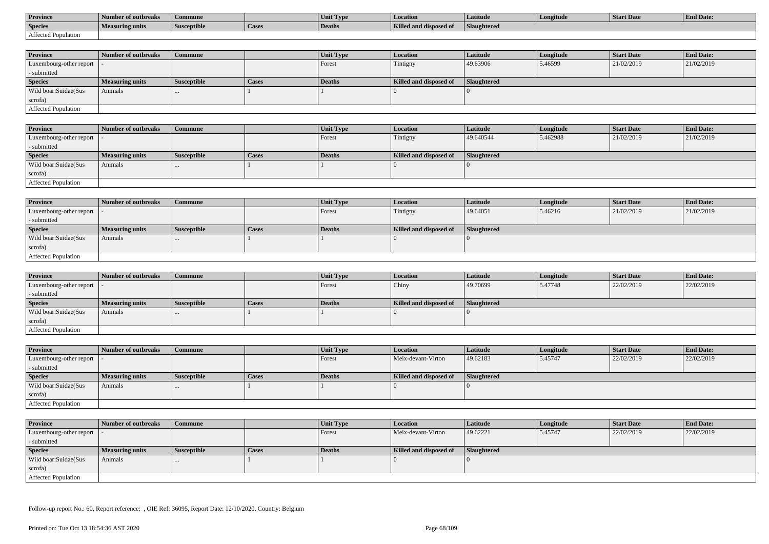| <b>Province</b>     | Number of outbreaks    | Commune            |                    | Unit Typ. | Location                             | Latitude    | Longitude | <b>Start Date</b> | <b>End Date:</b> |
|---------------------|------------------------|--------------------|--------------------|-----------|--------------------------------------|-------------|-----------|-------------------|------------------|
| <b>Species</b>      | <b>Measuring units</b> | <b>Susceptible</b> | <sup>1</sup> Cases | Deaths    | <b>Killed and disposy</b><br>™ od of | Slaughtered |           |                   |                  |
| Affected Population |                        |                    |                    |           |                                      |             |           |                   |                  |

| <b>Province</b>         | Number of outbreaks    | Commune            |              | <b>Unit Type</b> | Location               | Latitude    | Longitude | <b>Start Date</b> | <b>End Date:</b> |
|-------------------------|------------------------|--------------------|--------------|------------------|------------------------|-------------|-----------|-------------------|------------------|
| Luxembourg-other report |                        |                    |              | Forest           | Tintigny               | 49.63906    | 5.46599   | 21/02/2019        | 21/02/2019       |
| - submitted             |                        |                    |              |                  |                        |             |           |                   |                  |
| <b>Species</b>          | <b>Measuring units</b> | <b>Susceptible</b> | <b>Cases</b> | Deaths           | Killed and disposed of | Slaughtered |           |                   |                  |
| Wild boar: Suidae (Sus  | Animals                |                    |              |                  |                        |             |           |                   |                  |
| scrofa)                 |                        |                    |              |                  |                        |             |           |                   |                  |
| Affected Population     |                        |                    |              |                  |                        |             |           |                   |                  |

| <b>Province</b>            | Number of outbreaks    | <b>Commune</b>     |              | <b>Unit Type</b> | Location               | Latitude    | Longitude | <b>Start Date</b> | <b>End Date:</b> |
|----------------------------|------------------------|--------------------|--------------|------------------|------------------------|-------------|-----------|-------------------|------------------|
| Luxembourg-other report  - |                        |                    |              | Forest           | Tintigny               | 49.640544   | 5.462988  | 21/02/2019        | 21/02/2019       |
| - submitted                |                        |                    |              |                  |                        |             |           |                   |                  |
| <b>Species</b>             | <b>Measuring units</b> | <b>Susceptible</b> | <b>Cases</b> | Deaths           | Killed and disposed of | Slaughtered |           |                   |                  |
| Wild boar:Suidae(Sus       | Animals                |                    |              |                  |                        |             |           |                   |                  |
| scrofa)                    |                        |                    |              |                  |                        |             |           |                   |                  |
| Affected Population        |                        |                    |              |                  |                        |             |           |                   |                  |

| <b>Province</b>            | Number of outbreaks    | <b>Commune</b>     |              | Unit Type | Location               | Latitude    | Longitude | <b>Start Date</b> | <b>End Date:</b> |
|----------------------------|------------------------|--------------------|--------------|-----------|------------------------|-------------|-----------|-------------------|------------------|
| Luxembourg-other report  - |                        |                    |              | Forest    | Tintigny               | 49.64051    | 5.46216   | 21/02/2019        | 21/02/2019       |
| - submitted                |                        |                    |              |           |                        |             |           |                   |                  |
| <b>Species</b>             | <b>Measuring units</b> | <b>Susceptible</b> | <b>Cases</b> | Deaths    | Killed and disposed of | Slaughtered |           |                   |                  |
| Wild boar:Suidae(Sus       | Animals                |                    |              |           |                        |             |           |                   |                  |
| scrofa)                    |                        |                    |              |           |                        |             |           |                   |                  |
| Affected Population        |                        |                    |              |           |                        |             |           |                   |                  |

| <b>Province</b>         | Number of outbreaks    | <b>Commune</b>     |              | <b>Unit Type</b> | <i>Location</i>        | <b>Latitude</b> | Longitude | <b>Start Date</b> | <b>End Date:</b> |
|-------------------------|------------------------|--------------------|--------------|------------------|------------------------|-----------------|-----------|-------------------|------------------|
| Luxembourg-other report |                        |                    |              | Forest           | Chiny                  | 49.70699        | 5.47748   | 22/02/2019        | 22/02/2019       |
| - submitted             |                        |                    |              |                  |                        |                 |           |                   |                  |
| <b>Species</b>          | <b>Measuring units</b> | <b>Susceptible</b> | <b>Cases</b> | Deaths           | Killed and disposed of | Slaughtered     |           |                   |                  |
| Wild boar:Suidae(Sus    | Animals                |                    |              |                  |                        |                 |           |                   |                  |
| scrofa)                 |                        |                    |              |                  |                        |                 |           |                   |                  |
| Affected Population     |                        |                    |              |                  |                        |                 |           |                   |                  |

| <b>Province</b>            | Number of outbreaks    | Commune            |       | Unit Type | <b>Location</b>        | <b>Latitude</b>    | Longitude | <b>Start Date</b> | <b>End Date:</b> |
|----------------------------|------------------------|--------------------|-------|-----------|------------------------|--------------------|-----------|-------------------|------------------|
| Luxembourg-other report  - |                        |                    |       | Forest    | Meix-devant-Virton     | 49.62183           | 5.45747   | 22/02/2019        | 22/02/2019       |
| - submitted                |                        |                    |       |           |                        |                    |           |                   |                  |
| <b>Species</b>             | <b>Measuring units</b> | <b>Susceptible</b> | Cases | Deaths    | Killed and disposed of | <b>Slaughtered</b> |           |                   |                  |
| Wild boar:Suidae(Sus       | Animals                | $\cdots$           |       |           |                        |                    |           |                   |                  |
| scrofa)                    |                        |                    |       |           |                        |                    |           |                   |                  |
| Affected Population        |                        |                    |       |           |                        |                    |           |                   |                  |

| <b>Province</b>            | Number of outbreaks    | <b>Commune</b>     |       | Unit Type     | <i>Location</i>        | <b>Latitude</b>    | Longitude | <b>Start Date</b> | <b>End Date:</b> |
|----------------------------|------------------------|--------------------|-------|---------------|------------------------|--------------------|-----------|-------------------|------------------|
| Luxembourg-other report  - |                        |                    |       | Forest        | Meix-devant-Virton     | 49.62221           | 5.45747   | 22/02/2019        | 22/02/2019       |
| - submitted                |                        |                    |       |               |                        |                    |           |                   |                  |
| <b>Species</b>             | <b>Measuring units</b> | <b>Susceptible</b> | Cases | <b>Deaths</b> | Killed and disposed of | <b>Slaughtered</b> |           |                   |                  |
| Wild boar:Suidae(Sus       | Animals                | $\cdots$           |       |               |                        |                    |           |                   |                  |
| scrofa)                    |                        |                    |       |               |                        |                    |           |                   |                  |
| Affected Population        |                        |                    |       |               |                        |                    |           |                   |                  |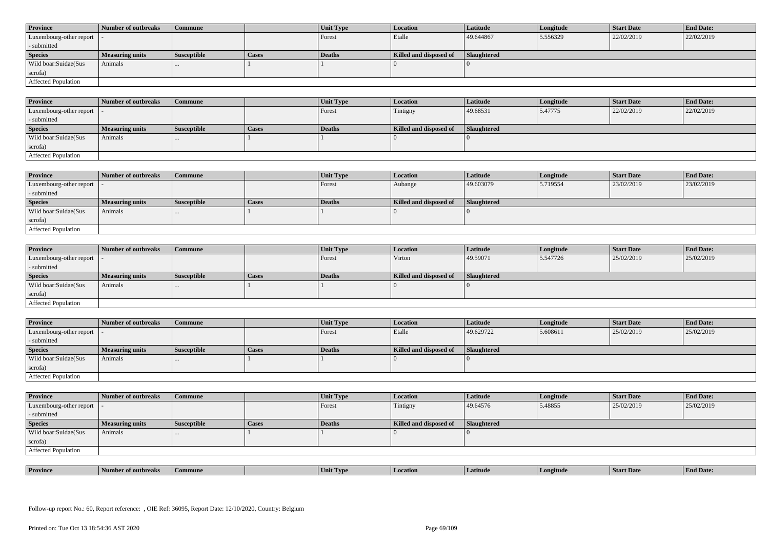| <b>Province</b>            | Number of outbreaks    | <b>Commune</b>     |              | Unit Type | Location               | <b>Latitude</b> | Longitude | <b>Start Date</b> | <b>End Date:</b> |
|----------------------------|------------------------|--------------------|--------------|-----------|------------------------|-----------------|-----------|-------------------|------------------|
| Luxembourg-other report  - |                        |                    |              | Forest    | Etalle                 | 49.644867       | 5.556329  | 22/02/2019        | 22/02/2019       |
| - submitted                |                        |                    |              |           |                        |                 |           |                   |                  |
| <b>Species</b>             | <b>Measuring units</b> | <b>Susceptible</b> | <b>Cases</b> | Deaths    | Killed and disposed of | Slaughtered     |           |                   |                  |
| Wild boar: Suidae (Sus     | Animals                |                    |              |           |                        |                 |           |                   |                  |
| scrofa)                    |                        |                    |              |           |                        |                 |           |                   |                  |
| <b>Affected Population</b> |                        |                    |              |           |                        |                 |           |                   |                  |

| <b>Province</b>         | Number of outbreaks | <b>Commune</b>     |       | Unit Type | Location               | Latitude    | Longitude | <b>Start Date</b> | <b>End Date:</b> |
|-------------------------|---------------------|--------------------|-------|-----------|------------------------|-------------|-----------|-------------------|------------------|
| Luxembourg-other report |                     |                    |       | Forest    | Tintigny               | 49.68531    | 5.47775   | 22/02/2019        | 22/02/2019       |
| - submitted             |                     |                    |       |           |                        |             |           |                   |                  |
| <b>Species</b>          | Measuring units     | <b>Susceptible</b> | Cases | Deaths    | Killed and disposed of | Slaughtered |           |                   |                  |
| Wild boar:Suidae(Sus    | Animals             |                    |       |           |                        |             |           |                   |                  |
| scrofa)                 |                     |                    |       |           |                        |             |           |                   |                  |
| Affected Population     |                     |                    |       |           |                        |             |           |                   |                  |

| <b>Province</b>            | Number of outbreaks | <b>Commune</b>     |              | Unit Type | Location               | Latitude    | Longitude | <b>Start Date</b> | <b>End Date:</b> |
|----------------------------|---------------------|--------------------|--------------|-----------|------------------------|-------------|-----------|-------------------|------------------|
| Luxembourg-other report  - |                     |                    |              | Forest    | Aubange                | 49.603079   | 5.719554  | 23/02/2019        | 23/02/2019       |
| - submitted                |                     |                    |              |           |                        |             |           |                   |                  |
| <b>Species</b>             | Measuring units     | <b>Susceptible</b> | <b>Cases</b> | Deaths    | Killed and disposed of | Slaughtered |           |                   |                  |
| Wild boar:Suidae(Sus       | Animals             | 1.11               |              |           |                        |             |           |                   |                  |
| scrofa)                    |                     |                    |              |           |                        |             |           |                   |                  |
| Affected Population        |                     |                    |              |           |                        |             |           |                   |                  |

| <b>Province</b>            | Number of outbreaks    | <b>Commune</b>     |              | Unit Type | Location               | Latitude    | Longitude | <b>Start Date</b> | <b>End Date:</b> |
|----------------------------|------------------------|--------------------|--------------|-----------|------------------------|-------------|-----------|-------------------|------------------|
| Luxembourg-other report  - |                        |                    |              | Forest    | Virton                 | 49.59071    | 5.547726  | 25/02/2019        | 25/02/2019       |
| - submitted                |                        |                    |              |           |                        |             |           |                   |                  |
| <b>Species</b>             | <b>Measuring units</b> | <b>Susceptible</b> | <b>Cases</b> | Deaths    | Killed and disposed of | Slaughtered |           |                   |                  |
| Wild boar:Suidae(Sus       | Animals                |                    |              |           |                        |             |           |                   |                  |
| scrofa)                    |                        |                    |              |           |                        |             |           |                   |                  |
| Affected Population        |                        |                    |              |           |                        |             |           |                   |                  |

| <b>Province</b>            | Number of outbreaks | Commune            |       | Unit Type | <b>Location</b>        | Latitude           | Longitude | <b>Start Date</b> | <b>End Date:</b> |
|----------------------------|---------------------|--------------------|-------|-----------|------------------------|--------------------|-----------|-------------------|------------------|
| Luxembourg-other report  - |                     |                    |       | Forest    | Etalle                 | 49.629722          | 5.608611  | 25/02/2019        | 25/02/2019       |
| - submitted                |                     |                    |       |           |                        |                    |           |                   |                  |
| <b>Species</b>             | Measuring units     | <b>Susceptible</b> | Cases | Deaths    | Killed and disposed of | <b>Slaughtered</b> |           |                   |                  |
| Wild boar:Suidae(Sus       |                     |                    |       |           |                        |                    |           |                   |                  |
|                            | Animals             | $\cdots$           |       |           |                        |                    |           |                   |                  |
| scrofa)                    |                     |                    |       |           |                        |                    |           |                   |                  |

| <b>Province</b>            | Number of outbreaks    | <b>Commune</b>     |              | Unit Type | Location               | Latitude    | Longitude | <b>Start Date</b> | <b>End Date:</b> |
|----------------------------|------------------------|--------------------|--------------|-----------|------------------------|-------------|-----------|-------------------|------------------|
| Luxembourg-other report  - |                        |                    |              | Forest    | Tintigny               | 49.64576    | 5.48855   | 25/02/2019        | 25/02/2019       |
| - submitted                |                        |                    |              |           |                        |             |           |                   |                  |
| <b>Species</b>             | <b>Measuring units</b> | <b>Susceptible</b> | <b>Cases</b> | Deaths    | Killed and disposed of | Slaughtered |           |                   |                  |
| Wild boar:Suidae(Sus       | Animals                |                    |              |           |                        |             |           |                   |                  |
| scrofa)                    |                        |                    |              |           |                        |             |           |                   |                  |
| Affected Population        |                        |                    |              |           |                        |             |           |                   |                  |

| . | <b>Province</b> |         |       | U VD. |            |         | <b>Start Date</b> | $\mathbf{r}$<br>nd Date:<br>- Enc |
|---|-----------------|---------|-------|-------|------------|---------|-------------------|-----------------------------------|
|   |                 | tnreak: | nmune | Unit  | . Latitud⁄ | ngitude |                   |                                   |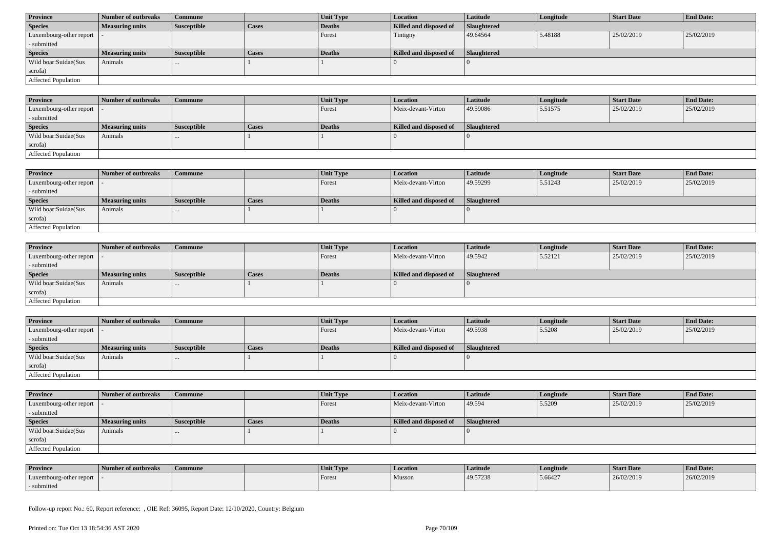| <b>Province</b>            | Number of outbreaks    | Commune            |              | Unit Type | <b>Location</b>        | <b>Latitude</b>    | Longitude | <b>Start Date</b> | <b>End Date:</b> |  |
|----------------------------|------------------------|--------------------|--------------|-----------|------------------------|--------------------|-----------|-------------------|------------------|--|
| <b>Species</b>             | <b>Measuring units</b> | <b>Susceptible</b> | <b>Cases</b> | Deaths    | Killed and disposed of | <b>Slaughtered</b> |           |                   |                  |  |
| Luxembourg-other report  - |                        |                    |              | Forest    | Tintigny               | 49.64564           | 5.48188   | 25/02/2019        | 25/02/2019       |  |
| - submitted                |                        |                    |              |           |                        |                    |           |                   |                  |  |
| <b>Species</b>             | <b>Measuring units</b> | <b>Susceptible</b> | <b>Cases</b> | Deaths    | Killed and disposed of | Slaughtered        |           |                   |                  |  |
| Wild boar:Suidae(Sus       | Animals                | $\cdots$           |              |           |                        |                    |           |                   |                  |  |
| scrofa)                    |                        |                    |              |           |                        |                    |           |                   |                  |  |
|                            |                        |                    |              |           |                        |                    |           |                   |                  |  |

| <b>Province</b>                             | 1 Number of outbreaks  | <b>Commune</b> |              | <b>Unit Type</b> | <b>Location</b>        | <b>Latitude</b> | Longitude | <b>Start Date</b> | <b>End Date:</b> |
|---------------------------------------------|------------------------|----------------|--------------|------------------|------------------------|-----------------|-----------|-------------------|------------------|
| $\lvert$ Luxembourg-other report $\lvert$ . |                        |                |              | Forest           | Meix-devant-Virton     | 49.59086        | 5.51575   | 25/02/2019        | 25/02/2019       |
| - submitted                                 |                        |                |              |                  |                        |                 |           |                   |                  |
| <b>Species</b>                              | <b>Measuring units</b> | Susceptible    | <b>Cases</b> | Deaths           | Killed and disposed of | Slaughtered     |           |                   |                  |
| Wild boar:Suidae(Sus                        | Animals                |                |              |                  |                        |                 |           |                   |                  |
| scrofa)                                     |                        |                |              |                  |                        |                 |           |                   |                  |
| <b>Affected Population</b>                  |                        |                |              |                  |                        |                 |           |                   |                  |

| <b>Province</b>         | Number of outbreaks    | Commune            |       | Unit Type | <b>Location</b>        | <b>Latitude</b> | Longitude | <b>Start Date</b> | <b>End Date:</b> |
|-------------------------|------------------------|--------------------|-------|-----------|------------------------|-----------------|-----------|-------------------|------------------|
| Luxembourg-other report |                        |                    |       | Forest    | Meix-devant-Virton     | 49.59299        | 5.51243   | 25/02/2019        | 25/02/2019       |
| - submitted             |                        |                    |       |           |                        |                 |           |                   |                  |
| <b>Species</b>          | <b>Measuring units</b> | <b>Susceptible</b> | Cases | Deaths    | Killed and disposed of | Slaughtered     |           |                   |                  |
| Wild boar:Suidae(Sus    | Animals                | $\cdots$           |       |           |                        |                 |           |                   |                  |
| scrofa)                 |                        |                    |       |           |                        |                 |           |                   |                  |
| Affected Population     |                        |                    |       |           |                        |                 |           |                   |                  |

| <b>Province</b>            | Number of outbreaks    | <b>Commune</b>     |              | <b>Unit Type</b> | <i>Location</i>        | <b>Latitude</b>    | Longitude | <b>Start Date</b> | <b>End Date:</b> |
|----------------------------|------------------------|--------------------|--------------|------------------|------------------------|--------------------|-----------|-------------------|------------------|
| Luxembourg-other report  - |                        |                    |              | Forest           | Meix-devant-Virton     | 49.5942            | 5.52121   | 25/02/2019        | 25/02/2019       |
| - submitted                |                        |                    |              |                  |                        |                    |           |                   |                  |
| <b>Species</b>             | <b>Measuring units</b> | <b>Susceptible</b> | <b>Cases</b> | <b>Deaths</b>    | Killed and disposed of | <b>Slaughtered</b> |           |                   |                  |
| Wild boar:Suidae(Sus       | Animals                | $\cdots$           |              |                  |                        |                    |           |                   |                  |
| scrofa)                    |                        |                    |              |                  |                        |                    |           |                   |                  |
| Affected Population        |                        |                    |              |                  |                        |                    |           |                   |                  |

| <b>Province</b>            | Number of outbreaks    | <b>Commune</b>     |              | Unit Type | Location               | Latitude    | Longitude | <b>Start Date</b> | <b>End Date:</b> |
|----------------------------|------------------------|--------------------|--------------|-----------|------------------------|-------------|-----------|-------------------|------------------|
| Luxembourg-other report  - |                        |                    |              | Forest    | Meix-devant-Virton     | 49.5938     | 5.5208    | 25/02/2019        | 25/02/2019       |
| - submitted                |                        |                    |              |           |                        |             |           |                   |                  |
| <b>Species</b>             | <b>Measuring units</b> | <b>Susceptible</b> | <b>Cases</b> | Deaths    | Killed and disposed of | Slaughtered |           |                   |                  |
| Wild boar:Suidae(Sus       | Animals                |                    |              |           |                        |             |           |                   |                  |
| scrofa)                    |                        |                    |              |           |                        |             |           |                   |                  |
| Affected Population        |                        |                    |              |           |                        |             |           |                   |                  |

| <b>Province</b>            | Number of outbreaks    | Commune            |              | <b>Unit Type</b> | <b>Location</b>        | Latitude           | Longitude | <b>Start Date</b> | <b>End Date:</b> |
|----------------------------|------------------------|--------------------|--------------|------------------|------------------------|--------------------|-----------|-------------------|------------------|
| Luxembourg-other report  - |                        |                    |              | Forest           | Meix-devant-Virton     | 49.594             | 5.5209    | 25/02/2019        | 25/02/2019       |
| - submitted                |                        |                    |              |                  |                        |                    |           |                   |                  |
| <b>Species</b>             | <b>Measuring units</b> | <b>Susceptible</b> | <b>Cases</b> | Deaths           | Killed and disposed of | <b>Slaughtered</b> |           |                   |                  |
| Wild boar:Suidae(Sus       | Animals                |                    |              |                  |                        |                    |           |                   |                  |
|                            |                        |                    |              |                  |                        |                    |           |                   |                  |
| scrofa)                    |                        |                    |              |                  |                        |                    |           |                   |                  |

| <b>Province</b>         | Number of outbreaks | Commune | Unit Type | <b>Location</b> | Latitude | Longitude | <b>Start Date</b> | <b>End Date:</b> |
|-------------------------|---------------------|---------|-----------|-----------------|----------|-----------|-------------------|------------------|
| Luxembourg-other report |                     |         | Forest    | Musson          | 49.57238 | 5.66427   | 26/02/2019        | 26/02/2019       |
| submitted               |                     |         |           |                 |          |           |                   |                  |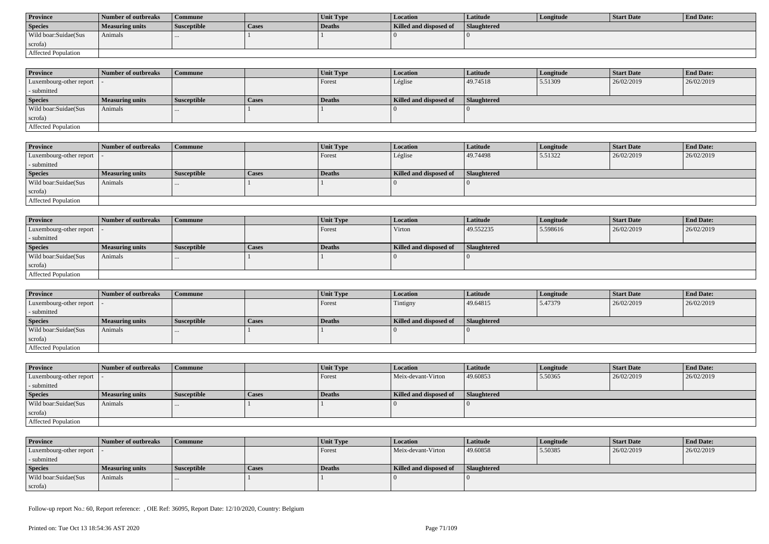| <b>Province</b>      | Number of outbreaks | Commune            |       | <b>Unit Type</b> | Location               | Latitude           | Longitude | Start Date | <b>End Date:</b> |
|----------------------|---------------------|--------------------|-------|------------------|------------------------|--------------------|-----------|------------|------------------|
| <b>Species</b>       | Measuring units     | <b>Susceptible</b> | Cases | Deaths           | Killed and disposed of | <b>Slaughtered</b> |           |            |                  |
| Wild boar:Suidae(Sus | Animals             |                    |       |                  |                        |                    |           |            |                  |
| scrofa)              |                     |                    |       |                  |                        |                    |           |            |                  |
| Affected Population  |                     |                    |       |                  |                        |                    |           |            |                  |

| <b>Province</b>            | Number of outbreaks | Commune            |              | <b>Unit Type</b> | <b>Location</b>        | <b>Latitude</b>    | Longitude | <b>Start Date</b> | <b>End Date:</b> |
|----------------------------|---------------------|--------------------|--------------|------------------|------------------------|--------------------|-----------|-------------------|------------------|
| Luxembourg-other report  - |                     |                    |              | Forest           | Léglise                | 49.74518           | 5.51309   | 26/02/2019        | 26/02/2019       |
| - submitted                |                     |                    |              |                  |                        |                    |           |                   |                  |
| <b>Species</b>             | Measuring units     | <b>Susceptible</b> | <b>Cases</b> | <b>Deaths</b>    | Killed and disposed of | <b>Slaughtered</b> |           |                   |                  |
| Wild boar:Suidae(Sus       | Animals             | $\cdots$           |              |                  |                        |                    |           |                   |                  |
| scrofa)                    |                     |                    |              |                  |                        |                    |           |                   |                  |
| Affected Population        |                     |                    |              |                  |                        |                    |           |                   |                  |

| <b>Province</b>         | Number of outbreaks | <b>Commune</b>     |       | Unit Type | <b>Location</b>        | Latitude    | Longitude | <b>Start Date</b> | <b>End Date:</b> |
|-------------------------|---------------------|--------------------|-------|-----------|------------------------|-------------|-----------|-------------------|------------------|
| Luxembourg-other report |                     |                    |       | Forest    | Léglise                | 49.74498    | 5.51322   | 26/02/2019        | 26/02/2019       |
| - submitted             |                     |                    |       |           |                        |             |           |                   |                  |
| <b>Species</b>          | Measuring units     | <b>Susceptible</b> | Cases | Deaths    | Killed and disposed of | Slaughtered |           |                   |                  |
| Wild boar:Suidae(Sus    | Animals             |                    |       |           |                        |             |           |                   |                  |
| scrofa)                 |                     |                    |       |           |                        |             |           |                   |                  |
| Affected Population     |                     |                    |       |           |                        |             |           |                   |                  |

| <b>Province</b>            | Number of outbreaks    | <b>Commune</b>     |              | Unit Type | Location               | Latitude           | Longitude | <b>Start Date</b> | <b>End Date:</b> |
|----------------------------|------------------------|--------------------|--------------|-----------|------------------------|--------------------|-----------|-------------------|------------------|
| Luxembourg-other report  - |                        |                    |              | Forest    | Virton                 | 49.552235          | 5.598616  | 26/02/2019        | 26/02/2019       |
| - submitted                |                        |                    |              |           |                        |                    |           |                   |                  |
| <b>Species</b>             | <b>Measuring units</b> | <b>Susceptible</b> | <b>Cases</b> | Deaths    | Killed and disposed of | <b>Slaughtered</b> |           |                   |                  |
| Wild boar:Suidae(Sus       | Animals                |                    |              |           |                        |                    |           |                   |                  |
| scrofa)                    |                        |                    |              |           |                        |                    |           |                   |                  |
| <b>Affected Population</b> |                        |                    |              |           |                        |                    |           |                   |                  |

| <b>Province</b>                           | Number of outbreaks    | l Commune          |              | <b>Unit Type</b> | Location               | <b>Latitude</b> | Longitude | <b>Start Date</b> | <b>End Date:</b> |
|-------------------------------------------|------------------------|--------------------|--------------|------------------|------------------------|-----------------|-----------|-------------------|------------------|
| $\vert$ Luxembourg-other report $\vert$ . |                        |                    |              | Forest           | Tintigny               | 49.64815        | 5.47379   | 26/02/2019        | 26/02/2019       |
| - submitted                               |                        |                    |              |                  |                        |                 |           |                   |                  |
| <b>Species</b>                            | <b>Measuring units</b> | <b>Susceptible</b> | <b>Cases</b> | Deaths           | Killed and disposed of | Slaughtered     |           |                   |                  |
| Wild boar: Suidae (Sus                    | Animals                |                    |              |                  |                        |                 |           |                   |                  |
| scrofa)                                   |                        |                    |              |                  |                        |                 |           |                   |                  |
| Affected Population                       |                        |                    |              |                  |                        |                 |           |                   |                  |

| <b>Province</b>            | Number of outbreaks    | <b>Commune</b>     |              | <b>Unit Type</b> | <b>Location</b>        | <b>Latitude</b> | Longitude | <b>Start Date</b> | <b>End Date:</b> |
|----------------------------|------------------------|--------------------|--------------|------------------|------------------------|-----------------|-----------|-------------------|------------------|
| Luxembourg-other report  - |                        |                    |              | Forest           | Meix-devant-Virton     | 49.60853        | 5.50365   | 26/02/2019        | 26/02/2019       |
| - submitted                |                        |                    |              |                  |                        |                 |           |                   |                  |
| <b>Species</b>             | <b>Measuring units</b> | <b>Susceptible</b> | <b>Cases</b> | Deaths           | Killed and disposed of | Slaughtered     |           |                   |                  |
| Wild boar:Suidae(Sus       | Animals                | $\cdots$           |              |                  |                        |                 |           |                   |                  |
| scrofa)                    |                        |                    |              |                  |                        |                 |           |                   |                  |
| Affected Population        |                        |                    |              |                  |                        |                 |           |                   |                  |

| <b>Province</b>            | Number of outbreaks | Commune            |       | <b>Unit Type</b> | <b>Location</b>        | Latitude    | Longitude | Start Date | <b>End Date:</b> |
|----------------------------|---------------------|--------------------|-------|------------------|------------------------|-------------|-----------|------------|------------------|
| Luxembourg-other report  - |                     |                    |       | Forest           | Meix-devant-Virton     | 49.60858    | 5.50385   | 26/02/2019 | 26/02/2019       |
| - submitted                |                     |                    |       |                  |                        |             |           |            |                  |
| <b>Species</b>             | Measuring units     | <b>Susceptible</b> | Cases | Deaths           | Killed and disposed of | Slaughtered |           |            |                  |
| Wild boar:Suidae(Sus       | Animals             |                    |       |                  |                        |             |           |            |                  |
| scrofa)                    |                     |                    |       |                  |                        |             |           |            |                  |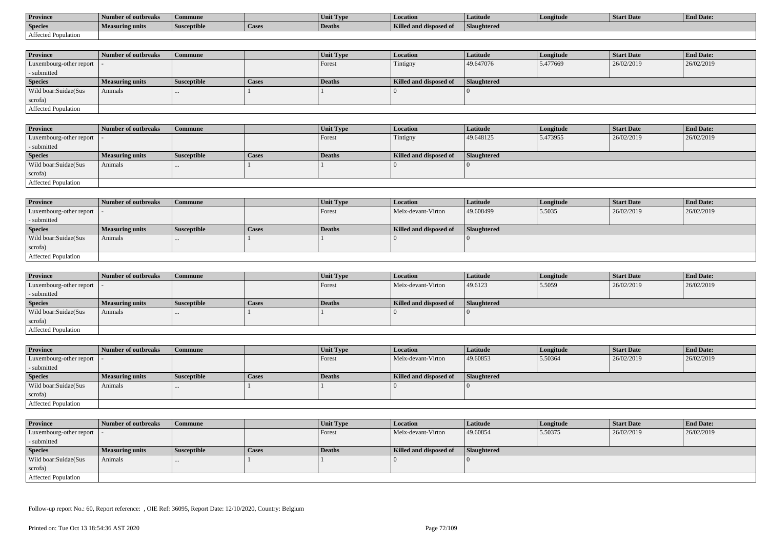| <b>Province</b>     | Number of outbreaks    | Commune            |                    | Unit Typ. | Location                             | Latitude    | Longitude | <b>Start Date</b> | <b>End Date:</b> |
|---------------------|------------------------|--------------------|--------------------|-----------|--------------------------------------|-------------|-----------|-------------------|------------------|
| <b>Species</b>      | <b>Measuring units</b> | <b>Susceptible</b> | <sup>1</sup> Cases | Deaths    | <b>Killed and disposy</b><br>™ od of | Slaughtered |           |                   |                  |
| Affected Population |                        |                    |                    |           |                                      |             |           |                   |                  |

| <b>Province</b>         | Number of outbreaks    | <b>Commune</b>     |              | Unit Type | <b>Location</b>        | <b>Latitude</b>    | Longitude | <b>Start Date</b> | <b>End Date:</b> |
|-------------------------|------------------------|--------------------|--------------|-----------|------------------------|--------------------|-----------|-------------------|------------------|
| Luxembourg-other report |                        |                    |              | Forest    | Tintigny               | 49.647076          | 5.477669  | 26/02/2019        | 26/02/2019       |
| - submitted             |                        |                    |              |           |                        |                    |           |                   |                  |
| <b>Species</b>          | <b>Measuring units</b> | <b>Susceptible</b> | <b>Cases</b> | Deaths    | Killed and disposed of | <b>Slaughtered</b> |           |                   |                  |
| Wild boar:Suidae(Sus    | Animals                |                    |              |           |                        |                    |           |                   |                  |
| scrofa)                 |                        |                    |              |           |                        |                    |           |                   |                  |
| Affected Population     |                        |                    |              |           |                        |                    |           |                   |                  |

| <b>Province</b>            | Number of outbreaks | Commune            |              | <b>Unit Type</b> | Location               | Latitude    | Longitude | <b>Start Date</b> | <b>End Date:</b> |
|----------------------------|---------------------|--------------------|--------------|------------------|------------------------|-------------|-----------|-------------------|------------------|
| Luxembourg-other report  - |                     |                    |              | Forest           | Tintigny               | 49.648125   | 5.473955  | 26/02/2019        | 26/02/2019       |
| - submitted                |                     |                    |              |                  |                        |             |           |                   |                  |
| <b>Species</b>             | Measuring units     | <b>Susceptible</b> | <b>Cases</b> | Deaths           | Killed and disposed of | Slaughtered |           |                   |                  |
| Wild boar:Suidae(Sus       | Animals             |                    |              |                  |                        |             |           |                   |                  |
| scrofa)                    |                     |                    |              |                  |                        |             |           |                   |                  |
| Affected Population        |                     |                    |              |                  |                        |             |           |                   |                  |

| <b>Province</b>            | Number of outbreaks    | <b>Commune</b>     |       | Unit Type | Location               | Latitude    | Longitude | <b>Start Date</b> | <b>End Date:</b> |
|----------------------------|------------------------|--------------------|-------|-----------|------------------------|-------------|-----------|-------------------|------------------|
| Luxembourg-other report  - |                        |                    |       | I Forest  | Meix-devant-Virton     | 49.608499   | 5.5035    | 26/02/2019        | 26/02/2019       |
| - submitted                |                        |                    |       |           |                        |             |           |                   |                  |
| <b>Species</b>             | <b>Measuring units</b> | <b>Susceptible</b> | Cases | Deaths    | Killed and disposed of | Slaughtered |           |                   |                  |
| Wild boar:Suidae(Sus       | Animals                |                    |       |           |                        |             |           |                   |                  |
| scrofa)                    |                        |                    |       |           |                        |             |           |                   |                  |
| Affected Population        |                        |                    |       |           |                        |             |           |                   |                  |

| <b>Province</b>         | Number of outbreaks    | <b>Commune</b>     |              | Unit Type     | <i>Location</i>        | <b>Latitude</b> | Longitude | <b>Start Date</b> | <b>End Date:</b> |
|-------------------------|------------------------|--------------------|--------------|---------------|------------------------|-----------------|-----------|-------------------|------------------|
| Luxembourg-other report |                        |                    |              | <b>Forest</b> | Meix-devant-Virton     | 49.6123         | 5.5059    | 26/02/2019        | 26/02/2019       |
| - submitted             |                        |                    |              |               |                        |                 |           |                   |                  |
| <b>Species</b>          | <b>Measuring units</b> | <b>Susceptible</b> | <b>Cases</b> | Deaths        | Killed and disposed of | Slaughtered     |           |                   |                  |
| Wild boar:Suidae(Sus    | Animals                | $\cdots$           |              |               |                        |                 |           |                   |                  |
| scrofa)                 |                        |                    |              |               |                        |                 |           |                   |                  |
| Affected Population     |                        |                    |              |               |                        |                 |           |                   |                  |

| <b>Province</b>            | Number of outbreaks    | Commune            |       | Unit Type | <b>Location</b>        | <b>Latitude</b> | Longitude | <b>Start Date</b> | <b>End Date:</b> |
|----------------------------|------------------------|--------------------|-------|-----------|------------------------|-----------------|-----------|-------------------|------------------|
| Luxembourg-other report  - |                        |                    |       | Forest    | Meix-devant-Virton     | 49.60853        | 5.50364   | 26/02/2019        | 26/02/2019       |
| - submitted                |                        |                    |       |           |                        |                 |           |                   |                  |
| <b>Species</b>             | <b>Measuring units</b> | <b>Susceptible</b> | Cases | Deaths    | Killed and disposed of | Slaughtered     |           |                   |                  |
| Wild boar:Suidae(Sus       | Animals                | $\cdots$           |       |           |                        |                 |           |                   |                  |
| scrofa)                    |                        |                    |       |           |                        |                 |           |                   |                  |
| Affected Population        |                        |                    |       |           |                        |                 |           |                   |                  |

| <b>Province</b>            | Number of outbreaks    | <b>Commune</b>     |       | Unit Type     | <i>Location</i>        | <b>Latitude</b>    | Longitude | <b>Start Date</b> | <b>End Date:</b> |
|----------------------------|------------------------|--------------------|-------|---------------|------------------------|--------------------|-----------|-------------------|------------------|
| Luxembourg-other report  - |                        |                    |       | Forest        | Meix-devant-Virton     | 49.60854           | 5.50375   | 26/02/2019        | 26/02/2019       |
| - submitted                |                        |                    |       |               |                        |                    |           |                   |                  |
| <b>Species</b>             | <b>Measuring units</b> | <b>Susceptible</b> | Cases | <b>Deaths</b> | Killed and disposed of | <b>Slaughtered</b> |           |                   |                  |
| Wild boar:Suidae(Sus       | Animals                | $\cdots$           |       |               |                        |                    |           |                   |                  |
| scrofa)                    |                        |                    |       |               |                        |                    |           |                   |                  |
| Affected Population        |                        |                    |       |               |                        |                    |           |                   |                  |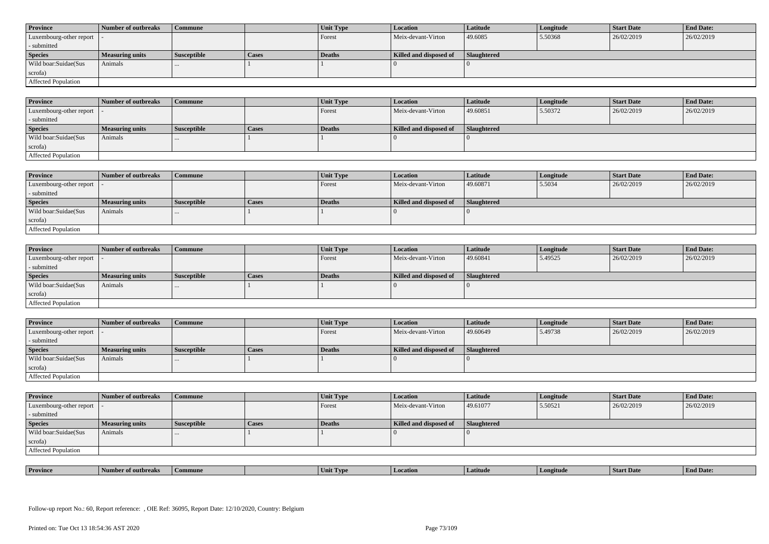| <b>Province</b>            | Number of outbreaks    | <b>Commune</b>     |              | Unit Type | Location               | <b>Latitude</b> | Longitude | <b>Start Date</b> | <b>End Date:</b> |
|----------------------------|------------------------|--------------------|--------------|-----------|------------------------|-----------------|-----------|-------------------|------------------|
| Luxembourg-other report  - |                        |                    |              | Forest    | Meix-devant-Virton     | 49.6085         | 5.50368   | 26/02/2019        | 26/02/2019       |
| - submitted                |                        |                    |              |           |                        |                 |           |                   |                  |
| <b>Species</b>             | <b>Measuring units</b> | <b>Susceptible</b> | <b>Cases</b> | Deaths    | Killed and disposed of | Slaughtered     |           |                   |                  |
| Wild boar: Suidae (Sus     | Animals                |                    |              |           |                        |                 |           |                   |                  |
| scrofa)                    |                        |                    |              |           |                        |                 |           |                   |                  |
| <b>Affected Population</b> |                        |                    |              |           |                        |                 |           |                   |                  |

| <b>Province</b>         | Number of outbreaks | <b>Commune</b>     |       | Unit Type     | <b>Location</b>        | Latitude    | Longitude | <b>Start Date</b> | <b>End Date:</b> |
|-------------------------|---------------------|--------------------|-------|---------------|------------------------|-------------|-----------|-------------------|------------------|
| Luxembourg-other report |                     |                    |       | Forest        | Meix-devant-Virton     | 49.60851    | 5.50372   | 26/02/2019        | 26/02/2019       |
| - submitted             |                     |                    |       |               |                        |             |           |                   |                  |
| <b>Species</b>          | Measuring units     | <b>Susceptible</b> | Cases | <b>Deaths</b> | Killed and disposed of | Slaughtered |           |                   |                  |
| Wild boar:Suidae(Sus    | Animals             |                    |       |               |                        |             |           |                   |                  |
| scrofa)                 |                     |                    |       |               |                        |             |           |                   |                  |
| Affected Population     |                     |                    |       |               |                        |             |           |                   |                  |

| <b>Province</b>            | Number of outbreaks | Commune     |              | Unit Type | Location               | <b>Latitude</b> | Longitude | Start Date | <b>End Date:</b> |
|----------------------------|---------------------|-------------|--------------|-----------|------------------------|-----------------|-----------|------------|------------------|
| Luxembourg-other report  - |                     |             |              | Forest    | Meix-devant-Virton     | 49.60871        | 5.5034    | 26/02/2019 | 26/02/2019       |
| - submitted                |                     |             |              |           |                        |                 |           |            |                  |
| <b>Species</b>             | Measuring units     | Susceptible | <b>Cases</b> | Deaths    | Killed and disposed of | Slaughtered     |           |            |                  |
| Wild boar:Suidae(Sus       | Animals             |             |              |           |                        |                 |           |            |                  |
| scrofa)                    |                     |             |              |           |                        |                 |           |            |                  |
| Affected Population        |                     |             |              |           |                        |                 |           |            |                  |

| <b>Province</b>            | Number of outbreaks    | <b>Commune</b>     |              | Unit Type     | Location               | <b>Latitude</b> | Longitude | <b>Start Date</b> | <b>End Date:</b> |
|----------------------------|------------------------|--------------------|--------------|---------------|------------------------|-----------------|-----------|-------------------|------------------|
| Luxembourg-other report  - |                        |                    |              | Forest        | Meix-devant-Virton     | 49.60841        | 5.49525   | 26/02/2019        | 26/02/2019       |
| - submitted                |                        |                    |              |               |                        |                 |           |                   |                  |
| <b>Species</b>             | <b>Measuring units</b> | <b>Susceptible</b> | <b>Cases</b> | <b>Deaths</b> | Killed and disposed of | Slaughtered     |           |                   |                  |
| Wild boar:Suidae(Sus       | Animals                |                    |              |               |                        |                 |           |                   |                  |
| scrofa)                    |                        |                    |              |               |                        |                 |           |                   |                  |
| Affected Population        |                        |                    |              |               |                        |                 |           |                   |                  |

| <b>Province</b>            | Number of outbreaks | Commune     |       | Unit Type | <b>Location</b>        | Latitude           | Longitude | <b>Start Date</b> | <b>End Date:</b> |
|----------------------------|---------------------|-------------|-------|-----------|------------------------|--------------------|-----------|-------------------|------------------|
| Luxembourg-other report  - |                     |             |       | Forest    | Meix-devant-Virton     | 49.60649           | 5.49738   | 26/02/2019        | 26/02/2019       |
| - submitted                |                     |             |       |           |                        |                    |           |                   |                  |
| <b>Species</b>             | Measuring units     | Susceptible | Cases | Deaths    | Killed and disposed of | <b>Slaughtered</b> |           |                   |                  |
| Wild boar:Suidae(Sus       | Animals             | $\cdots$    |       |           |                        |                    |           |                   |                  |
|                            |                     |             |       |           |                        |                    |           |                   |                  |
| scrofa)                    |                     |             |       |           |                        |                    |           |                   |                  |

| <b>Province</b>            | Number of outbreaks    | <b>Commune</b>     |              | Unit Type | Location               | Latitude    | Longitude | <b>Start Date</b> | <b>End Date:</b> |
|----------------------------|------------------------|--------------------|--------------|-----------|------------------------|-------------|-----------|-------------------|------------------|
| Luxembourg-other report  - |                        |                    |              | Forest    | Meix-devant-Virton     | 49.61077    | 5.50521   | 26/02/2019        | 26/02/2019       |
| - submitted                |                        |                    |              |           |                        |             |           |                   |                  |
| <b>Species</b>             | <b>Measuring units</b> | <b>Susceptible</b> | <b>Cases</b> | Deaths    | Killed and disposed of | Slaughtered |           |                   |                  |
| Wild boar:Suidae(Sus       | Animals                | $\cdots$           |              |           |                        |             |           |                   |                  |
| scrofa)                    |                        |                    |              |           |                        |             |           |                   |                  |
| Affected Population        |                        |                    |              |           |                        |             |           |                   |                  |

| . | <b>Province</b> |         |       | U VD. |            |         | <b>Start Date</b> | $\mathbf{r}$<br>nd Date:<br>- Enc |
|---|-----------------|---------|-------|-------|------------|---------|-------------------|-----------------------------------|
|   |                 | tnreak: | nmune | Unit  | . Latitud⁄ | ngitude |                   |                                   |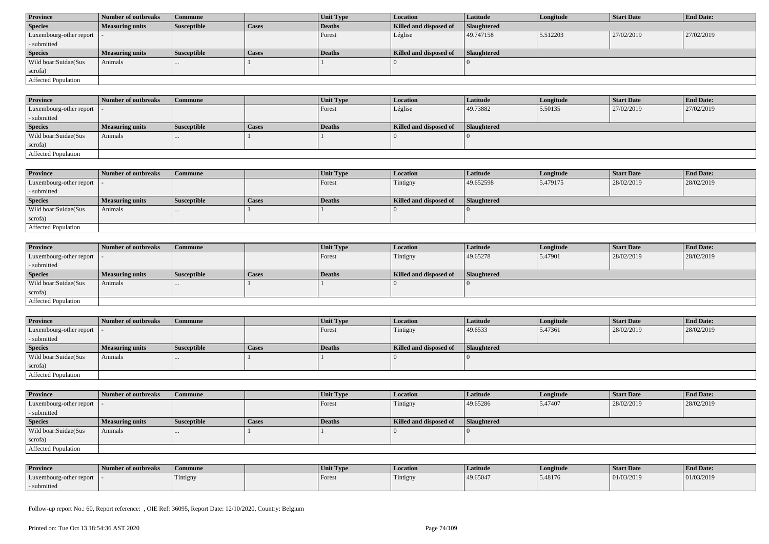| <b>Province</b>         | Number of outbreaks | <b>Commune</b>     |              | Unit Type | <b>Location</b>        | Latitude    | Longitude  | <b>Start Date</b> | <b>End Date:</b> |  |  |
|-------------------------|---------------------|--------------------|--------------|-----------|------------------------|-------------|------------|-------------------|------------------|--|--|
| <b>Species</b>          | Measuring units     | <b>Susceptible</b> | <b>Cases</b> | Deaths    | Killed and disposed of | Slaughtered |            |                   |                  |  |  |
| Luxembourg-other report |                     |                    |              | Forest    | Léglise                | 49.747158   | 1,5.512203 | 27/02/2019        | 27/02/2019       |  |  |
| - submitted             |                     |                    |              |           |                        |             |            |                   |                  |  |  |
| <b>Species</b>          | Measuring units     | <b>Susceptible</b> | <b>Cases</b> | Deaths    | Killed and disposed of | Slaughtered |            |                   |                  |  |  |
|                         |                     |                    |              |           |                        |             |            |                   |                  |  |  |
| Wild boar:Suidae(Sus    | Animals             | $\cdots$           |              |           |                        |             |            |                   |                  |  |  |
| scrofa)                 |                     |                    |              |           |                        |             |            |                   |                  |  |  |

| <b>Province</b>             | Number of outbreaks    | Commune            |       | Unit Type     | Location               | <b>Latitude</b>    | Longitude | <b>Start Date</b> | <b>End Date:</b> |
|-----------------------------|------------------------|--------------------|-------|---------------|------------------------|--------------------|-----------|-------------------|------------------|
| Luxembourg-other report   - |                        |                    |       | Forest        | Léglise                | 49.73882           | 5.50135   | 27/02/2019        | 27/02/2019       |
| - submitted                 |                        |                    |       |               |                        |                    |           |                   |                  |
| <b>Species</b>              | <b>Measuring units</b> | <b>Susceptible</b> | Cases | <b>Deaths</b> | Killed and disposed of | <b>Slaughtered</b> |           |                   |                  |
| Wild boar:Suidae(Sus        | Animals                | $\cdots$           |       |               |                        |                    |           |                   |                  |
| scrofa)                     |                        |                    |       |               |                        |                    |           |                   |                  |
| <b>Affected Population</b>  |                        |                    |       |               |                        |                    |           |                   |                  |

| <b>Province</b>         | Number of outbreaks    | Commune            |              | <b>Unit Type</b> | <b>Location</b>        | <b>Latitude</b>    | Longitude | <b>Start Date</b> | <b>End Date:</b> |
|-------------------------|------------------------|--------------------|--------------|------------------|------------------------|--------------------|-----------|-------------------|------------------|
| Luxembourg-other report |                        |                    |              | Forest           | Tintigny               | 49.652598          | 5.479175  | 28/02/2019        | 28/02/2019       |
| - submitted             |                        |                    |              |                  |                        |                    |           |                   |                  |
| <b>Species</b>          | <b>Measuring units</b> | <b>Susceptible</b> | <b>Cases</b> | Deaths           | Killed and disposed of | <b>Slaughtered</b> |           |                   |                  |
| Wild boar:Suidae(Sus    | Animals                | $\cdots$           |              |                  |                        |                    |           |                   |                  |
| scrofa)                 |                        |                    |              |                  |                        |                    |           |                   |                  |
| Affected Population     |                        |                    |              |                  |                        |                    |           |                   |                  |

| <b>Province</b>            | Number of outbreaks    | Commune            |              | <b>Unit Type</b> | Location               | <b>Latitude</b> | Longitude | <b>Start Date</b> | <b>End Date:</b> |
|----------------------------|------------------------|--------------------|--------------|------------------|------------------------|-----------------|-----------|-------------------|------------------|
| Luxembourg-other report  - |                        |                    |              | Forest           | Tintigny               | 49.65278        | 5.47901   | 28/02/2019        | 28/02/2019       |
| - submitted                |                        |                    |              |                  |                        |                 |           |                   |                  |
| <b>Species</b>             | <b>Measuring units</b> | <b>Susceptible</b> | <b>Cases</b> | Deaths           | Killed and disposed of | Slaughtered     |           |                   |                  |
| Wild boar:Suidae(Sus       | Animals                | $\cdots$           |              |                  |                        |                 |           |                   |                  |
| scrofa)                    |                        |                    |              |                  |                        |                 |           |                   |                  |
| Affected Population        |                        |                    |              |                  |                        |                 |           |                   |                  |

| <b>Province</b>             | Number of outbreaks    | <b>Commune</b>     |              | Unit Type | Location               | Latitude    | Longitude | <b>Start Date</b> | <b>End Date:</b> |
|-----------------------------|------------------------|--------------------|--------------|-----------|------------------------|-------------|-----------|-------------------|------------------|
| Luxembourg-other report   - |                        |                    |              | Forest    | Tintigny               | 49.6533     | 5.47361   | 28/02/2019        | 28/02/2019       |
| - submitted                 |                        |                    |              |           |                        |             |           |                   |                  |
| <b>Species</b>              | <b>Measuring units</b> | <b>Susceptible</b> | <b>Cases</b> | Deaths    | Killed and disposed of | Slaughtered |           |                   |                  |
| Wild boar:Suidae(Sus        | Animals                |                    |              |           |                        |             |           |                   |                  |
| scrofa)                     |                        |                    |              |           |                        |             |           |                   |                  |
| <b>Affected Population</b>  |                        |                    |              |           |                        |             |           |                   |                  |

| <b>Province</b>         | Number of outbreaks    | <b>Commune</b>     |       | <b>Unit Type</b> | <b>Location</b>        | <b>Latitude</b>    | Longitude | <b>Start Date</b> | <b>End Date:</b> |
|-------------------------|------------------------|--------------------|-------|------------------|------------------------|--------------------|-----------|-------------------|------------------|
| Luxembourg-other report |                        |                    |       | Forest           | Tintigny               | 49.65286           | 5.47407   | 28/02/2019        | 28/02/2019       |
| - submitted             |                        |                    |       |                  |                        |                    |           |                   |                  |
| <b>Species</b>          | <b>Measuring units</b> | <b>Susceptible</b> | Cases | Deaths           | Killed and disposed of | <b>Slaughtered</b> |           |                   |                  |
| Wild boar:Suidae(Sus    |                        |                    |       |                  |                        |                    |           |                   |                  |
|                         | Animals                |                    |       |                  |                        |                    |           |                   |                  |
| scrofa)                 |                        |                    |       |                  |                        |                    |           |                   |                  |

| <b>Province</b>         | Number of outbreaks | Commune  | Unit Type | <b>Location</b>               | Latitude | Longitude | Start Date | <b>End Date:</b> |
|-------------------------|---------------------|----------|-----------|-------------------------------|----------|-----------|------------|------------------|
| Luxembourg-other report |                     | Tintigny | Forest    | <b>CONTRACTOR</b><br>Tintigny | 49.65047 | 5.48176   | 01/03/2019 | 01/03/2019       |
| - submitted             |                     |          |           |                               |          |           |            |                  |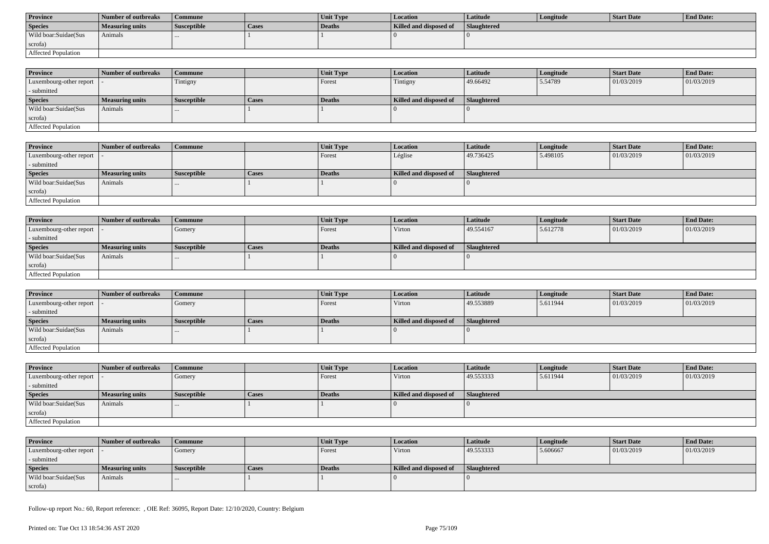| <b>Province</b>      | Number of outbreaks | Commune            |              | <b>Unit Type</b> | Location               | Latitude    | Longitude | Start Date | <b>End Date:</b> |
|----------------------|---------------------|--------------------|--------------|------------------|------------------------|-------------|-----------|------------|------------------|
| <b>Species</b>       | Measuring units     | <b>Susceptible</b> | <b>Cases</b> | Deaths           | Killed and disposed of | Slaughtered |           |            |                  |
| Wild boar:Suidae(Sus | Animals             |                    |              |                  |                        |             |           |            |                  |
| scrofa)              |                     |                    |              |                  |                        |             |           |            |                  |
| Affected Population  |                     |                    |              |                  |                        |             |           |            |                  |

| <b>Province</b>            | Number of outbreaks | Commune            |              | <b>Unit Type</b> | <b>Location</b>        | <b>Latitude</b>    | Longitude | <b>Start Date</b> | <b>End Date:</b> |
|----------------------------|---------------------|--------------------|--------------|------------------|------------------------|--------------------|-----------|-------------------|------------------|
| Luxembourg-other report  - |                     | Tintigny           |              | Forest           | Tintigny               | 49.66492           | 5.54789   | 01/03/2019        | 01/03/2019       |
| - submitted                |                     |                    |              |                  |                        |                    |           |                   |                  |
| <b>Species</b>             | Measuring units     | <b>Susceptible</b> | <b>Cases</b> | <b>Deaths</b>    | Killed and disposed of | <b>Slaughtered</b> |           |                   |                  |
| Wild boar:Suidae(Sus       | Animals             | $\cdots$           |              |                  |                        |                    |           |                   |                  |
| scrofa)                    |                     |                    |              |                  |                        |                    |           |                   |                  |
| Affected Population        |                     |                    |              |                  |                        |                    |           |                   |                  |

| <b>Province</b>         | Number of outbreaks    | <b>Commune</b>     |       | Unit Type | <i>Location</i>        | Latitude           | Longitude | Start Date | <b>End Date:</b> |
|-------------------------|------------------------|--------------------|-------|-----------|------------------------|--------------------|-----------|------------|------------------|
| Luxembourg-other report |                        |                    |       | Forest    | Léglise                | 49.736425          | 5.498105  | 01/03/2019 | 01/03/2019       |
| - submitted             |                        |                    |       |           |                        |                    |           |            |                  |
| <b>Species</b>          | <b>Measuring units</b> | <b>Susceptible</b> | Cases | Deaths    | Killed and disposed of | <b>Slaughtered</b> |           |            |                  |
| Wild boar:Suidae(Sus    | Animals                |                    |       |           |                        |                    |           |            |                  |
| scrofa)                 |                        |                    |       |           |                        |                    |           |            |                  |
| Affected Population     |                        |                    |       |           |                        |                    |           |            |                  |

| <b>Province</b>            | Number of outbreaks    | <b>Commune</b>     |              | Unit Type | Location               | Latitude    | Longitude | <b>Start Date</b> | <b>End Date:</b> |
|----------------------------|------------------------|--------------------|--------------|-----------|------------------------|-------------|-----------|-------------------|------------------|
| Luxembourg-other report  - |                        | Gomery             |              | Forest    | Virton                 | 49.554167   | 5.612778  | 01/03/2019        | 01/03/2019       |
| - submitted                |                        |                    |              |           |                        |             |           |                   |                  |
| <b>Species</b>             | <b>Measuring units</b> | <b>Susceptible</b> | <b>Cases</b> | Deaths    | Killed and disposed of | Slaughtered |           |                   |                  |
| Wild boar:Suidae(Sus       | Animals                |                    |              |           |                        |             |           |                   |                  |
| scrofa)                    |                        |                    |              |           |                        |             |           |                   |                  |
| Affected Population        |                        |                    |              |           |                        |             |           |                   |                  |

| <b>Province</b>            | Number of outbreaks    | l Commune          |              | <b>Unit Type</b> | Location               | Latitude    | Longitude | <b>Start Date</b> | <b>End Date:</b> |
|----------------------------|------------------------|--------------------|--------------|------------------|------------------------|-------------|-----------|-------------------|------------------|
| Luxembourg-other report  - |                        | Gomery             |              | Forest           | Virton                 | 49.553889   | 5.611944  | 01/03/2019        | 01/03/2019       |
| - submitted                |                        |                    |              |                  |                        |             |           |                   |                  |
| <b>Species</b>             | <b>Measuring units</b> | <b>Susceptible</b> | <b>Cases</b> | Deaths           | Killed and disposed of | Slaughtered |           |                   |                  |
| Wild boar:Suidae(Sus       | Animals                |                    |              |                  |                        |             |           |                   |                  |
| scrofa)                    |                        |                    |              |                  |                        |             |           |                   |                  |
| Affected Population        |                        |                    |              |                  |                        |             |           |                   |                  |

| <b>Province</b>            | Number of outbreaks | <b>Commune</b>     |       | <b>Unit Type</b> | Location               | <b>Latitude</b> | Longitude | <b>Start Date</b> | <b>End Date:</b> |
|----------------------------|---------------------|--------------------|-------|------------------|------------------------|-----------------|-----------|-------------------|------------------|
| Luxembourg-other report  - |                     | Gomery             |       | Forest           | Virton                 | 49.553333       | 5.611944  | 01/03/2019        | 01/03/2019       |
| - submitted                |                     |                    |       |                  |                        |                 |           |                   |                  |
| <b>Species</b>             | Measuring units     | <b>Susceptible</b> | Cases | <b>Deaths</b>    | Killed and disposed of | Slaughtered     |           |                   |                  |
| Wild boar:Suidae(Sus       | Animals             | $\cdots$           |       |                  |                        |                 |           |                   |                  |
| scrofa)                    |                     |                    |       |                  |                        |                 |           |                   |                  |
| Affected Population        |                     |                    |       |                  |                        |                 |           |                   |                  |

| <b>Province</b>            | Number of outbreaks    | Commune            |       | Unit Type | <i>Location</i>        | <b>Latitude</b> | Longitude | Start Date | <b>End Date:</b> |
|----------------------------|------------------------|--------------------|-------|-----------|------------------------|-----------------|-----------|------------|------------------|
| Luxembourg-other report  - |                        | Gomery             |       | Forest    | Virton                 | 49.553333       | 5.606667  | 01/03/2019 | 01/03/2019       |
| - submitted                |                        |                    |       |           |                        |                 |           |            |                  |
| <b>Species</b>             | <b>Measuring units</b> | <b>Susceptible</b> | Cases | Deaths    | Killed and disposed of | Slaughtered     |           |            |                  |
| Wild boar:Suidae(Sus       | Animals                | $\cdots$           |       |           |                        |                 |           |            |                  |
| scrofa)                    |                        |                    |       |           |                        |                 |           |            |                  |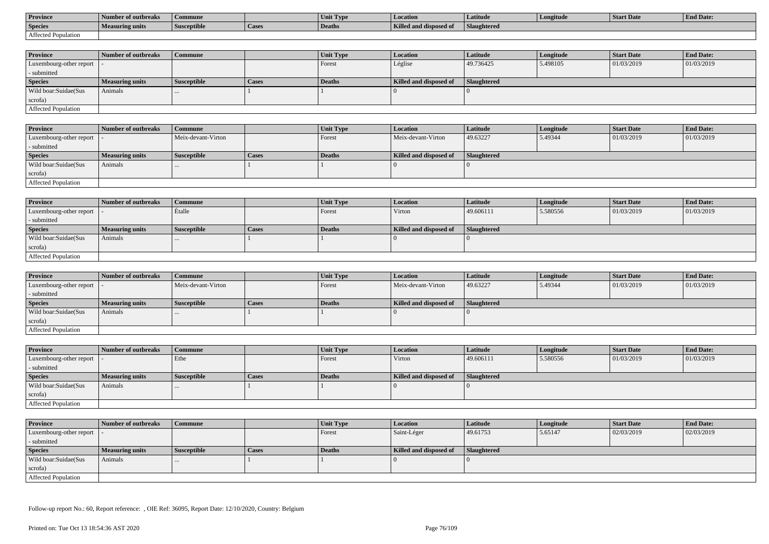| <b>Province</b>     | Number of outbreaks    | Commune            |                    | Unit Typ. | Location                             | Latitude    | Longitude | <b>Start Date</b> | <b>End Date:</b> |
|---------------------|------------------------|--------------------|--------------------|-----------|--------------------------------------|-------------|-----------|-------------------|------------------|
| <b>Species</b>      | <b>Measuring units</b> | <b>Susceptible</b> | <sup>1</sup> Cases | Deaths    | <b>Killed and disposy</b><br>™ od of | Slaughtered |           |                   |                  |
| Affected Population |                        |                    |                    |           |                                      |             |           |                   |                  |

| <b>Province</b>         | Number of outbreaks    | <b>Commune</b>     |              | Unit Type | <b>Location</b>        | <b>Latitude</b>    | Longitude | <b>Start Date</b> | <b>End Date:</b> |
|-------------------------|------------------------|--------------------|--------------|-----------|------------------------|--------------------|-----------|-------------------|------------------|
| Luxembourg-other report |                        |                    |              | Forest    | Léglise                | 49.736425          | 5.498105  | 01/03/2019        | 01/03/2019       |
| - submitted             |                        |                    |              |           |                        |                    |           |                   |                  |
| <b>Species</b>          | <b>Measuring units</b> | <b>Susceptible</b> | <b>Cases</b> | Deaths    | Killed and disposed of | <b>Slaughtered</b> |           |                   |                  |
| Wild boar:Suidae(Sus    | Animals                |                    |              |           |                        |                    |           |                   |                  |
| scrofa)                 |                        |                    |              |           |                        |                    |           |                   |                  |
| Affected Population     |                        |                    |              |           |                        |                    |           |                   |                  |

| Province                                    | Number of outbreaks    | Commune            |              | <b>Unit Type</b> | <b>Location</b>        | Latitude    | Longitude | <b>Start Date</b> | <b>End Date:</b> |
|---------------------------------------------|------------------------|--------------------|--------------|------------------|------------------------|-------------|-----------|-------------------|------------------|
| Luxembourg-other report $\vert \cdot \vert$ |                        | Meix-devant-Virton |              | Forest           | Meix-devant-Virton     | 49.63227    | 5.49344   | 01/03/2019        | 01/03/2019       |
| - submitted                                 |                        |                    |              |                  |                        |             |           |                   |                  |
| <b>Species</b>                              | <b>Measuring units</b> | <b>Susceptible</b> | <b>Cases</b> | <b>Deaths</b>    | Killed and disposed of | Slaughtered |           |                   |                  |
| Wild boar:Suidae(Sus                        | Animals                | $\cdots$           |              |                  |                        |             |           |                   |                  |
| scrofa)                                     |                        |                    |              |                  |                        |             |           |                   |                  |
| <b>Affected Population</b>                  |                        |                    |              |                  |                        |             |           |                   |                  |

| <b>Province</b>            | Number of outbreaks    | <b>Commune</b>     |       | Unit Type | Location               | Latitude    | Longitude | <b>Start Date</b> | <b>End Date:</b> |
|----------------------------|------------------------|--------------------|-------|-----------|------------------------|-------------|-----------|-------------------|------------------|
| Luxembourg-other report  - |                        | Etalle             |       | I Forest  | Virton                 | 49.606111   | 5.580556  | 01/03/2019        | 01/03/2019       |
| - submitted                |                        |                    |       |           |                        |             |           |                   |                  |
| <b>Species</b>             | <b>Measuring units</b> | <b>Susceptible</b> | Cases | Deaths    | Killed and disposed of | Slaughtered |           |                   |                  |
| Wild boar:Suidae(Sus       | Animals                |                    |       |           |                        |             |           |                   |                  |
| scrofa)                    |                        |                    |       |           |                        |             |           |                   |                  |
| Affected Population        |                        |                    |       |           |                        |             |           |                   |                  |

| <b>Province</b>            | Number of outbreaks    | Commune            |              | Unit Type | <b>Location</b>        | Latitude    | Longitude | <b>Start Date</b> | <b>End Date:</b> |
|----------------------------|------------------------|--------------------|--------------|-----------|------------------------|-------------|-----------|-------------------|------------------|
| Luxembourg-other report  - |                        | Meix-devant-Virton |              | Forest    | Meix-devant-Virton     | 49.63227    | 5.49344   | 01/03/2019        | 01/03/2019       |
| - submitted                |                        |                    |              |           |                        |             |           |                   |                  |
| <b>Species</b>             | <b>Measuring units</b> | <b>Susceptible</b> | <b>Cases</b> | Deaths    | Killed and disposed of | Slaughtered |           |                   |                  |
| Wild boar:Suidae(Sus       | Animals                | $\cdots$           |              |           |                        |             |           |                   |                  |
| scrofa)                    |                        |                    |              |           |                        |             |           |                   |                  |
| Affected Population        |                        |                    |              |           |                        |             |           |                   |                  |

| <b>Province</b>            | Number of outbreaks    | Commune            |       | Unit Type | <b>Location</b>        | <b>Latitude</b> | Longitude | <b>Start Date</b> | <b>End Date:</b> |
|----------------------------|------------------------|--------------------|-------|-----------|------------------------|-----------------|-----------|-------------------|------------------|
| Luxembourg-other report  - |                        | Ethe               |       | Forest    | Virton                 | 49.606111       | 5.580556  | 01/03/2019        | 01/03/2019       |
| - submitted                |                        |                    |       |           |                        |                 |           |                   |                  |
| <b>Species</b>             | <b>Measuring units</b> | <b>Susceptible</b> | Cases | Deaths    | Killed and disposed of | Slaughtered     |           |                   |                  |
| Wild boar:Suidae(Sus       | Animals                | $\cdots$           |       |           |                        |                 |           |                   |                  |
| scrofa)                    |                        |                    |       |           |                        |                 |           |                   |                  |
| Affected Population        |                        |                    |       |           |                        |                 |           |                   |                  |

| <b>Province</b>            | Number of outbreaks    | <b>Commune</b>     |              | <b>Unit Type</b> | <i>Location</i>        | Latitude    | Longitude | <b>Start Date</b> | <b>End Date:</b> |
|----------------------------|------------------------|--------------------|--------------|------------------|------------------------|-------------|-----------|-------------------|------------------|
| Luxembourg-other report  - |                        |                    |              | Forest           | Saint-Léger            | 49.61753    | 5.65147   | 02/03/2019        | 02/03/2019       |
| - submitted                |                        |                    |              |                  |                        |             |           |                   |                  |
| <b>Species</b>             | <b>Measuring units</b> | <b>Susceptible</b> | <b>Cases</b> | <b>Deaths</b>    | Killed and disposed of | Slaughtered |           |                   |                  |
| Wild boar:Suidae(Sus       | Animals                | $\cdots$           |              |                  |                        |             |           |                   |                  |
| scrofa)                    |                        |                    |              |                  |                        |             |           |                   |                  |
| Affected Population        |                        |                    |              |                  |                        |             |           |                   |                  |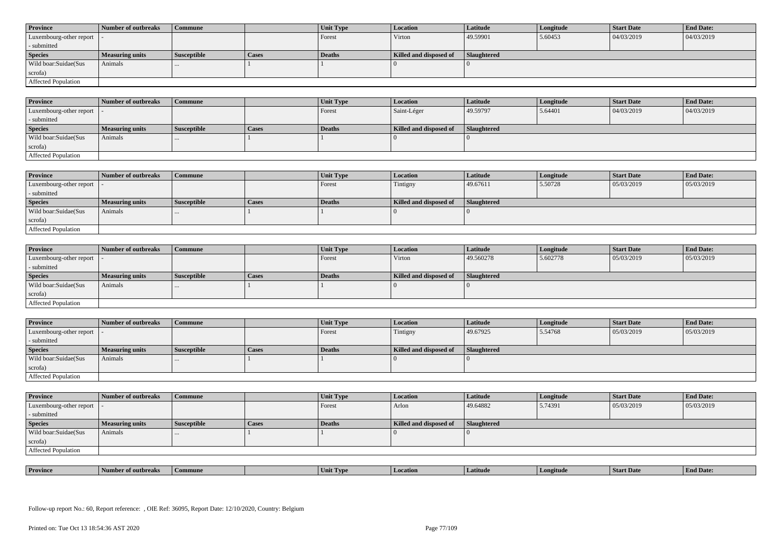| <b>Province</b>            | Number of outbreaks    | <b>Commune</b>     |              | Unit Type | Location               | <b>Latitude</b> | Longitude | <b>Start Date</b> | <b>End Date:</b> |
|----------------------------|------------------------|--------------------|--------------|-----------|------------------------|-----------------|-----------|-------------------|------------------|
| Luxembourg-other report  - |                        |                    |              | Forest    | Virton                 | 49.59901        | 5.60453   | 04/03/2019        | 04/03/2019       |
| - submitted                |                        |                    |              |           |                        |                 |           |                   |                  |
| <b>Species</b>             | <b>Measuring units</b> | <b>Susceptible</b> | <b>Cases</b> | Deaths    | Killed and disposed of | Slaughtered     |           |                   |                  |
| Wild boar: Suidae (Sus     | Animals                |                    |              |           |                        |                 |           |                   |                  |
| scrofa)                    |                        |                    |              |           |                        |                 |           |                   |                  |
| <b>Affected Population</b> |                        |                    |              |           |                        |                 |           |                   |                  |

| <b>Province</b>         | Number of outbreaks | <b>Commune</b>     |       | Unit Type     | Location               | Latitude    | Longitude | <b>Start Date</b> | <b>End Date:</b> |
|-------------------------|---------------------|--------------------|-------|---------------|------------------------|-------------|-----------|-------------------|------------------|
| Luxembourg-other report |                     |                    |       | Forest        | Saint-Léger            | 49.59797    | 5.64401   | 04/03/2019        | 04/03/2019       |
| - submitted             |                     |                    |       |               |                        |             |           |                   |                  |
| <b>Species</b>          | Measuring units     | <b>Susceptible</b> | Cases | <b>Deaths</b> | Killed and disposed of | Slaughtered |           |                   |                  |
| Wild boar:Suidae(Sus    | Animals             |                    |       |               |                        |             |           |                   |                  |
| scrofa)                 |                     |                    |       |               |                        |             |           |                   |                  |
| Affected Population     |                     |                    |       |               |                        |             |           |                   |                  |

| <b>Province</b>            | Number of outbreaks | Commune              |              | Unit Type | Location               | <b>Latitude</b> | Longitude | <b>Start Date</b> | <b>End Date:</b> |
|----------------------------|---------------------|----------------------|--------------|-----------|------------------------|-----------------|-----------|-------------------|------------------|
| Luxembourg-other report  - |                     |                      |              | Forest    | Tintigny               | 49.67611        | 5.50728   | 05/03/2019        | 05/03/2019       |
| - submitted                |                     |                      |              |           |                        |                 |           |                   |                  |
| <b>Species</b>             | Measuring units     | <b>Susceptible</b>   | <b>Cases</b> | Deaths    | Killed and disposed of | Slaughtered     |           |                   |                  |
| Wild boar:Suidae(Sus       | Animals             | $\sim$ $\sim$ $\sim$ |              |           |                        |                 |           |                   |                  |
| scrofa)                    |                     |                      |              |           |                        |                 |           |                   |                  |
| Affected Population        |                     |                      |              |           |                        |                 |           |                   |                  |

| <b>Province</b>            | Number of outbreaks    | <b>Commune</b>     |              | <b>Unit Type</b> | <i>Location</i>        | Latitude           | Longitude | <b>Start Date</b> | <b>End Date:</b> |
|----------------------------|------------------------|--------------------|--------------|------------------|------------------------|--------------------|-----------|-------------------|------------------|
| Luxembourg-other report  - |                        |                    |              | Forest           | Virton                 | 49.560278          | 5.602778  | 05/03/2019        | 05/03/2019       |
| - submitted                |                        |                    |              |                  |                        |                    |           |                   |                  |
| <b>Species</b>             | <b>Measuring units</b> | <b>Susceptible</b> | <b>Cases</b> | <b>Deaths</b>    | Killed and disposed of | <b>Slaughtered</b> |           |                   |                  |
| Wild boar:Suidae(Sus       | Animals                | $\cdots$           |              |                  |                        |                    |           |                   |                  |
| scrofa)                    |                        |                    |              |                  |                        |                    |           |                   |                  |
| Affected Population        |                        |                    |              |                  |                        |                    |           |                   |                  |

| <b>Province</b>            | Number of outbreaks    | Commune            |       | <b>Unit Type</b> | <b>Location</b>        | <b>Latitude</b> | Longitude | <b>Start Date</b> | <b>End Date:</b> |
|----------------------------|------------------------|--------------------|-------|------------------|------------------------|-----------------|-----------|-------------------|------------------|
| Luxembourg-other report  - |                        |                    |       | Forest           | Tintigny               | 49.67925        | 5.54768   | 05/03/2019        | 05/03/2019       |
| - submitted                |                        |                    |       |                  |                        |                 |           |                   |                  |
| <b>Species</b>             | <b>Measuring units</b> | <b>Susceptible</b> | Cases | <b>Deaths</b>    | Killed and disposed of | Slaughtered     |           |                   |                  |
| Wild boar:Suidae(Sus       | Animals                |                    |       |                  |                        |                 |           |                   |                  |
|                            |                        | $\cdots$           |       |                  |                        |                 |           |                   |                  |
| scrofa)                    |                        |                    |       |                  |                        |                 |           |                   |                  |

| <b>Province</b>            | Number of outbreaks    | <b>Commune</b>     |              | Unit Type | Location               | <b>Latitude</b> | Longitude | <b>Start Date</b> | <b>End Date:</b> |
|----------------------------|------------------------|--------------------|--------------|-----------|------------------------|-----------------|-----------|-------------------|------------------|
| Luxembourg-other report  - |                        |                    |              | Forest    | Arlon                  | 49.64882        | 5.74391   | 05/03/2019        | 05/03/2019       |
| - submitted                |                        |                    |              |           |                        |                 |           |                   |                  |
| <b>Species</b>             | <b>Measuring units</b> | <b>Susceptible</b> | <b>Cases</b> | Deaths    | Killed and disposed of | Slaughtered     |           |                   |                  |
| Wild boar:Suidae(Sus       | Animals                | $\cdots$           |              |           |                        |                 |           |                   |                  |
| scrofa)                    |                        |                    |              |           |                        |                 |           |                   |                  |
| Affected Population        |                        |                    |              |           |                        |                 |           |                   |                  |

| <b>Province</b> | rnreak: | amune | - I vn<br>Unit | Latitud | neıtude | <b>Start Date</b> | $\mathbf{r}$<br>d Date:<br>- H'm. |
|-----------------|---------|-------|----------------|---------|---------|-------------------|-----------------------------------|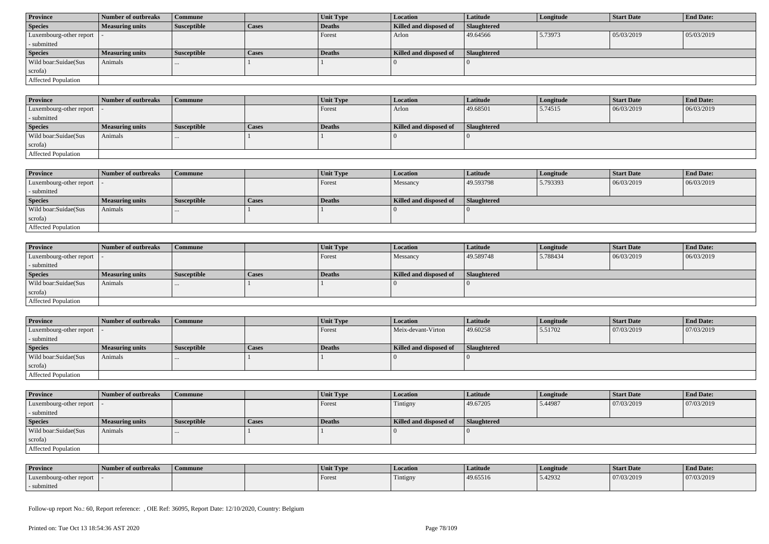| <b>Province</b>            | Number of outbreaks    | Commune            |              | Unit Type | <b>Location</b>        | <b>Latitude</b>    | Longitude | <b>Start Date</b> | <b>End Date:</b> |
|----------------------------|------------------------|--------------------|--------------|-----------|------------------------|--------------------|-----------|-------------------|------------------|
| <b>Species</b>             | <b>Measuring units</b> | <b>Susceptible</b> | <b>Cases</b> | Deaths    | Killed and disposed of | <b>Slaughtered</b> |           |                   |                  |
| Luxembourg-other report  - |                        |                    |              | Forest    | Arlon                  | 49.64566           | 5.73973   | 05/03/2019        | 05/03/2019       |
| - submitted                |                        |                    |              |           |                        |                    |           |                   |                  |
| <b>Species</b>             | <b>Measuring units</b> | <b>Susceptible</b> | <b>Cases</b> | Deaths    | Killed and disposed of | Slaughtered        |           |                   |                  |
| Wild boar:Suidae(Sus       | Animals                | $\cdots$           |              |           |                        |                    |           |                   |                  |
| scrofa)                    |                        |                    |              |           |                        |                    |           |                   |                  |
| Affected Population        |                        |                    |              |           |                        |                    |           |                   |                  |

| <b>Province</b>            | Number of outbreaks    | <b>Commune</b> |       | Unit Type | <i>Location</i>        | Latitude    | Longitude | <b>Start Date</b> | <b>End Date:</b> |
|----------------------------|------------------------|----------------|-------|-----------|------------------------|-------------|-----------|-------------------|------------------|
| Luxembourg-other report    |                        |                |       | Forest    | Arlon                  | 49.68501    | 5.74515   | 06/03/2019        | 06/03/2019       |
| - submitted                |                        |                |       |           |                        |             |           |                   |                  |
| <b>Species</b>             | <b>Measuring units</b> | Susceptible    | Cases | Deaths    | Killed and disposed of | Slaughtered |           |                   |                  |
| Wild boar:Suidae(Sus       | Animals                |                |       |           |                        |             |           |                   |                  |
| scrofa)                    |                        |                |       |           |                        |             |           |                   |                  |
| <b>Affected Population</b> |                        |                |       |           |                        |             |           |                   |                  |

| <b>Province</b>            | <b>Number of outbreaks</b> | <b>Commune</b>     |       | Unit Type     | <b>Location</b>        | <b>Latitude</b> | Longitude | <b>Start Date</b> | <b>End Date:</b> |
|----------------------------|----------------------------|--------------------|-------|---------------|------------------------|-----------------|-----------|-------------------|------------------|
| Luxembourg-other report    |                            |                    |       | <b>Forest</b> | Messancy               | 49.593798       | 5.793393  | 06/03/2019        | 06/03/2019       |
| - submitted                |                            |                    |       |               |                        |                 |           |                   |                  |
| <b>Species</b>             | <b>Measuring units</b>     | <b>Susceptible</b> | Cases | Deaths        | Killed and disposed of | Slaughtered     |           |                   |                  |
| Wild boar:Suidae(Sus       | Animals                    |                    |       |               |                        |                 |           |                   |                  |
| scrofa)                    |                            |                    |       |               |                        |                 |           |                   |                  |
| <b>Affected Population</b> |                            |                    |       |               |                        |                 |           |                   |                  |

| <b>Province</b>            | Number of outbreaks    | <b>Commune</b>     |              | <b>Unit Type</b> | <i>Location</i>        | <b>Latitude</b>    | Longitude | <b>Start Date</b> | <b>End Date:</b> |
|----------------------------|------------------------|--------------------|--------------|------------------|------------------------|--------------------|-----------|-------------------|------------------|
| Luxembourg-other report  - |                        |                    |              | Forest           | Messancy               | 49.589748          | 5.788434  | 06/03/2019        | 06/03/2019       |
| - submitted                |                        |                    |              |                  |                        |                    |           |                   |                  |
| <b>Species</b>             | <b>Measuring units</b> | <b>Susceptible</b> | <b>Cases</b> | Deaths           | Killed and disposed of | <b>Slaughtered</b> |           |                   |                  |
| Wild boar:Suidae(Sus       | Animals                | $\cdots$           |              |                  |                        |                    |           |                   |                  |
| scrofa)                    |                        |                    |              |                  |                        |                    |           |                   |                  |
| Affected Population        |                        |                    |              |                  |                        |                    |           |                   |                  |

| <b>Province</b>            | Number of outbreaks    | <b>Commune</b>     |              | Unit Type | Location               | Latitude    | Longitude | <b>Start Date</b> | <b>End Date:</b> |
|----------------------------|------------------------|--------------------|--------------|-----------|------------------------|-------------|-----------|-------------------|------------------|
| Luxembourg-other report  - |                        |                    |              | Forest    | Meix-devant-Virton     | 49.60258    | 5.51702   | 07/03/2019        | 07/03/2019       |
| - submitted                |                        |                    |              |           |                        |             |           |                   |                  |
| <b>Species</b>             | <b>Measuring units</b> | <b>Susceptible</b> | <b>Cases</b> | Deaths    | Killed and disposed of | Slaughtered |           |                   |                  |
| Wild boar:Suidae(Sus       | Animals                |                    |              |           |                        |             |           |                   |                  |
| scrofa)                    |                        |                    |              |           |                        |             |           |                   |                  |
| <b>Affected Population</b> |                        |                    |              |           |                        |             |           |                   |                  |

| <b>Province</b>         | Number of outbreaks    | <b>Commune</b>     |       | Unit Type | <b>Location</b>        | <b>Latitude</b>    | Longitude | <b>Start Date</b> | <b>End Date:</b> |
|-------------------------|------------------------|--------------------|-------|-----------|------------------------|--------------------|-----------|-------------------|------------------|
| Luxembourg-other report |                        |                    |       | Forest    | Tintigny               | 49.67205           | 5.44987   | 07/03/2019        | 07/03/2019       |
| - submitted             |                        |                    |       |           |                        |                    |           |                   |                  |
| <b>Species</b>          | <b>Measuring units</b> | <b>Susceptible</b> | Cases | Deaths    | Killed and disposed of | <b>Slaughtered</b> |           |                   |                  |
|                         |                        |                    |       |           |                        |                    |           |                   |                  |
| Wild boar:Suidae(Sus    | Animals                |                    |       |           |                        |                    |           |                   |                  |
| scrofa)                 |                        |                    |       |           |                        |                    |           |                   |                  |

| <b>Province</b>         | Number of outbreaks | Commune | Unit Type | Location | Latitude | Longitude | Start Date | <b>End Date:</b> |
|-------------------------|---------------------|---------|-----------|----------|----------|-----------|------------|------------------|
| Luxembourg-other report |                     |         | Forest    | Tintigny | 49.65516 | 5.42932   | 07/03/2019 | 07/03/2019       |
| submitted               |                     |         |           |          |          |           |            |                  |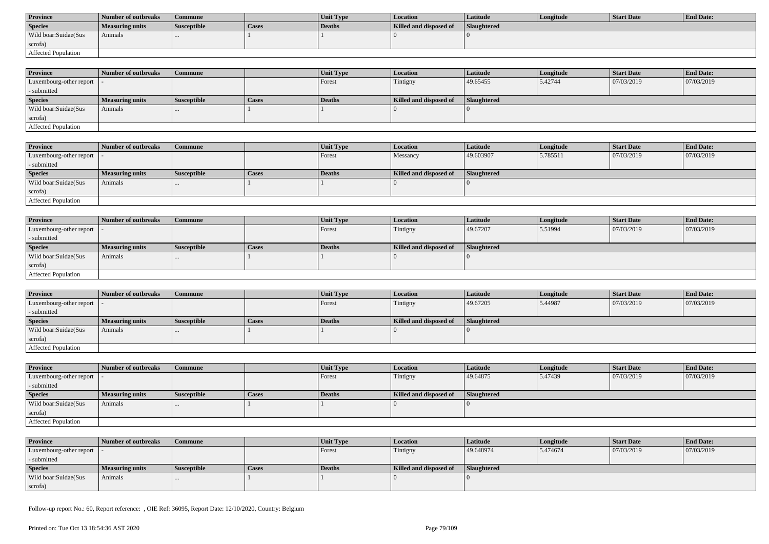| <b>Province</b>      | Number of outbreaks | Commune            |       | <b>Unit Type</b> | Location               | Latitude           | Longitude | Start Date | <b>End Date:</b> |
|----------------------|---------------------|--------------------|-------|------------------|------------------------|--------------------|-----------|------------|------------------|
| <b>Species</b>       | Measuring units     | <b>Susceptible</b> | Cases | Deaths           | Killed and disposed of | <b>Slaughtered</b> |           |            |                  |
| Wild boar:Suidae(Sus | Animals             |                    |       |                  |                        |                    |           |            |                  |
| scrofa)              |                     |                    |       |                  |                        |                    |           |            |                  |
| Affected Population  |                     |                    |       |                  |                        |                    |           |            |                  |

| <b>Province</b>            | Number of outbreaks | Commune            |              | <b>Unit Type</b> | <b>Location</b>        | <b>Latitude</b>    | Longitude | <b>Start Date</b> | <b>End Date:</b> |
|----------------------------|---------------------|--------------------|--------------|------------------|------------------------|--------------------|-----------|-------------------|------------------|
| Luxembourg-other report  - |                     |                    |              | Forest           | Tintigny               | 49.65455           | 5.42744   | 07/03/2019        | 07/03/2019       |
| - submitted                |                     |                    |              |                  |                        |                    |           |                   |                  |
| <b>Species</b>             | Measuring units     | <b>Susceptible</b> | <b>Cases</b> | <b>Deaths</b>    | Killed and disposed of | <b>Slaughtered</b> |           |                   |                  |
| Wild boar:Suidae(Sus       | Animals             | $\cdots$           |              |                  |                        |                    |           |                   |                  |
| scrofa)                    |                     |                    |              |                  |                        |                    |           |                   |                  |
| Affected Population        |                     |                    |              |                  |                        |                    |           |                   |                  |

| <b>Province</b>         | Number of outbreaks    | <b>Commune</b>     |       | Unit Type | Location               | <b>Latitude</b> | Longitude | <b>Start Date</b> | <b>End Date:</b> |
|-------------------------|------------------------|--------------------|-------|-----------|------------------------|-----------------|-----------|-------------------|------------------|
| Luxembourg-other report |                        |                    |       | Forest    | Messancy               | 49.603907       | 5.785511  | 07/03/2019        | 07/03/2019       |
| - submitted             |                        |                    |       |           |                        |                 |           |                   |                  |
| <b>Species</b>          | <b>Measuring units</b> | <b>Susceptible</b> | Cases | Deaths    | Killed and disposed of | Slaughtered     |           |                   |                  |
| Wild boar:Suidae(Sus    | Animals                |                    |       |           |                        |                 |           |                   |                  |
| scrofa)                 |                        |                    |       |           |                        |                 |           |                   |                  |
| Affected Population     |                        |                    |       |           |                        |                 |           |                   |                  |

| <b>Province</b>            | Number of outbreaks    | <b>Commune</b>     |              | Unit Type | Location               | Latitude    | Longitude | <b>Start Date</b> | <b>End Date:</b> |
|----------------------------|------------------------|--------------------|--------------|-----------|------------------------|-------------|-----------|-------------------|------------------|
| Luxembourg-other report  - |                        |                    |              | Forest    | Tintigny               | 49.67207    | 5.51994   | 07/03/2019        | 07/03/2019       |
| - submitted                |                        |                    |              |           |                        |             |           |                   |                  |
| <b>Species</b>             | <b>Measuring units</b> | <b>Susceptible</b> | <b>Cases</b> | Deaths    | Killed and disposed of | Slaughtered |           |                   |                  |
| Wild boar:Suidae(Sus       | Animals                |                    |              |           |                        |             |           |                   |                  |
| scrofa)                    |                        |                    |              |           |                        |             |           |                   |                  |
| <b>Affected Population</b> |                        |                    |              |           |                        |             |           |                   |                  |

| <b>Province</b>            | Number of outbreaks    | Commune            |              | <b>Unit Type</b> | Location               | Latitude    | Longitude | <b>Start Date</b> | <b>End Date:</b> |
|----------------------------|------------------------|--------------------|--------------|------------------|------------------------|-------------|-----------|-------------------|------------------|
| Luxembourg-other report  - |                        |                    |              | Forest           | Tintigny               | 49.67205    | 5.44987   | 07/03/2019        | 07/03/2019       |
| - submitted                |                        |                    |              |                  |                        |             |           |                   |                  |
| <b>Species</b>             | <b>Measuring units</b> | <b>Susceptible</b> | <b>Cases</b> | Deaths           | Killed and disposed of | Slaughtered |           |                   |                  |
| Wild boar:Suidae(Sus       | Animals                |                    |              |                  |                        |             |           |                   |                  |
| scrofa)                    |                        |                    |              |                  |                        |             |           |                   |                  |
| Affected Population        |                        |                    |              |                  |                        |             |           |                   |                  |

| <b>Province</b>            | Number of outbreaks    | <b>Commune</b>     |              | Unit Type | Location               | <b>Latitude</b> | Longitude | <b>Start Date</b> | <b>End Date:</b> |
|----------------------------|------------------------|--------------------|--------------|-----------|------------------------|-----------------|-----------|-------------------|------------------|
| Luxembourg-other report  - |                        |                    |              | Forest    | Tintigny               | 49.64875        | 5.47439   | 07/03/2019        | 07/03/2019       |
| - submitted                |                        |                    |              |           |                        |                 |           |                   |                  |
| <b>Species</b>             | <b>Measuring units</b> | <b>Susceptible</b> | <b>Cases</b> | Deaths    | Killed and disposed of | Slaughtered     |           |                   |                  |
| Wild boar:Suidae(Sus       | Animals                |                    |              |           |                        |                 |           |                   |                  |
| scrofa)                    |                        |                    |              |           |                        |                 |           |                   |                  |
| Affected Population        |                        |                    |              |           |                        |                 |           |                   |                  |

| <b>Province</b>            | Number of outbreaks    | Commune            |              | <b>Unit Type</b> | <b>Location</b>        | Latitude    | Longitude | Start Date | <b>End Date:</b> |
|----------------------------|------------------------|--------------------|--------------|------------------|------------------------|-------------|-----------|------------|------------------|
| Luxembourg-other report  - |                        |                    |              | Forest           | Tintigny               | 49.648974   | 5.474674  | 07/03/2019 | 07/03/2019       |
| - submitted                |                        |                    |              |                  |                        |             |           |            |                  |
| <b>Species</b>             | <b>Measuring units</b> | <b>Susceptible</b> | <b>Cases</b> | Deaths           | Killed and disposed of | Slaughtered |           |            |                  |
| Wild boar:Suidae(Sus       | Animals                |                    |              |                  |                        |             |           |            |                  |
| scrofa)                    |                        |                    |              |                  |                        |             |           |            |                  |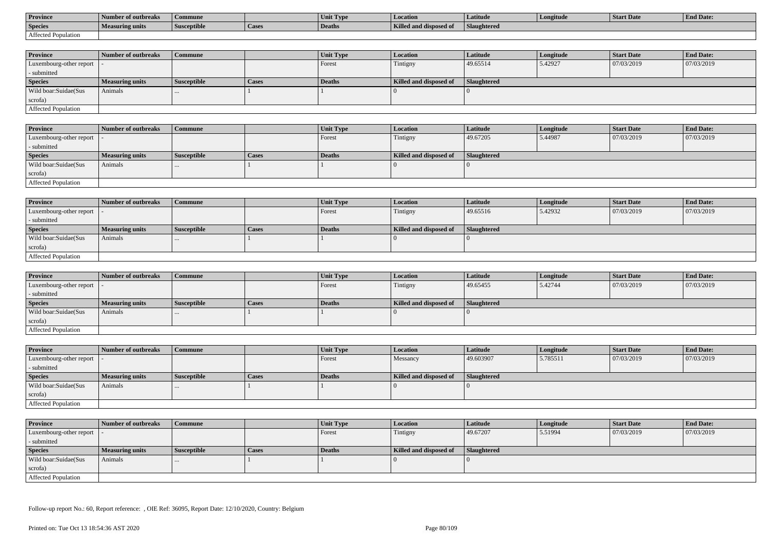| <b>Province</b>     | Number of outbreaks    | Commune            |                    | Unit Typ. | Location                             | Latitude    | Longitude | <b>Start Date</b> | <b>End Date:</b> |
|---------------------|------------------------|--------------------|--------------------|-----------|--------------------------------------|-------------|-----------|-------------------|------------------|
| <b>Species</b>      | <b>Measuring units</b> | <b>Susceptible</b> | <sup>1</sup> Cases | Deaths    | <b>Killed and disposy</b><br>™ od of | Slaughtered |           |                   |                  |
| Affected Population |                        |                    |                    |           |                                      |             |           |                   |                  |

| <b>Province</b>         | Number of outbreaks    | <b>Commune</b>     |              | Unit Type | <b>Location</b>        | <b>Latitude</b>    | Longitude | <b>Start Date</b> | <b>End Date:</b> |
|-------------------------|------------------------|--------------------|--------------|-----------|------------------------|--------------------|-----------|-------------------|------------------|
| Luxembourg-other report |                        |                    |              | Forest    | Tintigny               | 49.65514           | 5.42927   | 07/03/2019        | 07/03/2019       |
| - submitted             |                        |                    |              |           |                        |                    |           |                   |                  |
| <b>Species</b>          | <b>Measuring units</b> | <b>Susceptible</b> | <b>Cases</b> | Deaths    | Killed and disposed of | <b>Slaughtered</b> |           |                   |                  |
| Wild boar:Suidae(Sus    | Animals                |                    |              |           |                        |                    |           |                   |                  |
| scrofa)                 |                        |                    |              |           |                        |                    |           |                   |                  |
| Affected Population     |                        |                    |              |           |                        |                    |           |                   |                  |

| <b>Province</b>            | Number of outbreaks | Commune            |              | <b>Unit Type</b> | Location               | Latitude    | Longitude | <b>Start Date</b> | <b>End Date:</b> |
|----------------------------|---------------------|--------------------|--------------|------------------|------------------------|-------------|-----------|-------------------|------------------|
| Luxembourg-other report  - |                     |                    |              | Forest           | Tintigny               | 49.67205    | 5.44987   | 07/03/2019        | 07/03/2019       |
| - submitted                |                     |                    |              |                  |                        |             |           |                   |                  |
| <b>Species</b>             | Measuring units     | <b>Susceptible</b> | <b>Cases</b> | Deaths           | Killed and disposed of | Slaughtered |           |                   |                  |
| Wild boar:Suidae(Sus       | Animals             |                    |              |                  |                        |             |           |                   |                  |
| scrofa)                    |                     |                    |              |                  |                        |             |           |                   |                  |
| Affected Population        |                     |                    |              |                  |                        |             |           |                   |                  |

| <b>Province</b>            | Number of outbreaks    | Commune            |              | Unit Type | Location               | Latitude    | Longitude | <b>Start Date</b> | <b>End Date:</b> |
|----------------------------|------------------------|--------------------|--------------|-----------|------------------------|-------------|-----------|-------------------|------------------|
| Luxembourg-other report  - |                        |                    |              | Forest    | Tintigny               | 49.65516    | 5.42932   | 07/03/2019        | 07/03/2019       |
| - submitted                |                        |                    |              |           |                        |             |           |                   |                  |
| <b>Species</b>             | <b>Measuring units</b> | <b>Susceptible</b> | <b>Cases</b> | Deaths    | Killed and disposed of | Slaughtered |           |                   |                  |
| Wild boar:Suidae(Sus       | Animals                | $\cdots$           |              |           |                        |             |           |                   |                  |
| scrofa)                    |                        |                    |              |           |                        |             |           |                   |                  |
| Affected Population        |                        |                    |              |           |                        |             |           |                   |                  |

| <b>Province</b>            | Number of outbreaks | <b>Commune</b>     |              | Unit Type     | <i>Location</i>        | Latitude           | Longitude | <b>Start Date</b> | <b>End Date:</b> |
|----------------------------|---------------------|--------------------|--------------|---------------|------------------------|--------------------|-----------|-------------------|------------------|
| Luxembourg-other report  - |                     |                    |              | Forest        | Tintigny               | 49.65455           | 5.42744   | 07/03/2019        | 07/03/2019       |
| - submitted                |                     |                    |              |               |                        |                    |           |                   |                  |
| <b>Species</b>             | Measuring units     | <b>Susceptible</b> | <b>Cases</b> | <b>Deaths</b> | Killed and disposed of | <b>Slaughtered</b> |           |                   |                  |
| Wild boar:Suidae(Sus       | Animals             | $\cdots$           |              |               |                        |                    |           |                   |                  |
| scrofa)                    |                     |                    |              |               |                        |                    |           |                   |                  |
| Affected Population        |                     |                    |              |               |                        |                    |           |                   |                  |

| <b>Province</b>            | Number of outbreaks    | Commune            |       | Unit Type | Location               | <b>Latitude</b> | Longitude | <b>Start Date</b> | <b>End Date:</b> |
|----------------------------|------------------------|--------------------|-------|-----------|------------------------|-----------------|-----------|-------------------|------------------|
| Luxembourg-other report  - |                        |                    |       | Forest    | Messancy               | 49.603907       | 5.785511  | 07/03/2019        | 07/03/2019       |
| - submitted                |                        |                    |       |           |                        |                 |           |                   |                  |
| <b>Species</b>             | <b>Measuring units</b> | <b>Susceptible</b> | Cases | Deaths    | Killed and disposed of | Slaughtered     |           |                   |                  |
| Wild boar:Suidae(Sus       | Animals                | $\cdots$           |       |           |                        |                 |           |                   |                  |
| scrofa)                    |                        |                    |       |           |                        |                 |           |                   |                  |
| Affected Population        |                        |                    |       |           |                        |                 |           |                   |                  |

| <b>Province</b>            | Number of outbreaks    | <b>Commune</b>     |       | Unit Type     | Location               | <b>Latitude</b> | Longitude | <b>Start Date</b> | <b>End Date:</b> |
|----------------------------|------------------------|--------------------|-------|---------------|------------------------|-----------------|-----------|-------------------|------------------|
| Luxembourg-other report  - |                        |                    |       | Forest        | Tintigny               | 49.67207        | 5.51994   | 07/03/2019        | 07/03/2019       |
| - submitted                |                        |                    |       |               |                        |                 |           |                   |                  |
| <b>Species</b>             | <b>Measuring units</b> | <b>Susceptible</b> | Cases | <b>Deaths</b> | Killed and disposed of | Slaughtered     |           |                   |                  |
| Wild boar:Suidae(Sus       | Animals                | $\cdots$           |       |               |                        |                 |           |                   |                  |
| scrofa)                    |                        |                    |       |               |                        |                 |           |                   |                  |
| Affected Population        |                        |                    |       |               |                        |                 |           |                   |                  |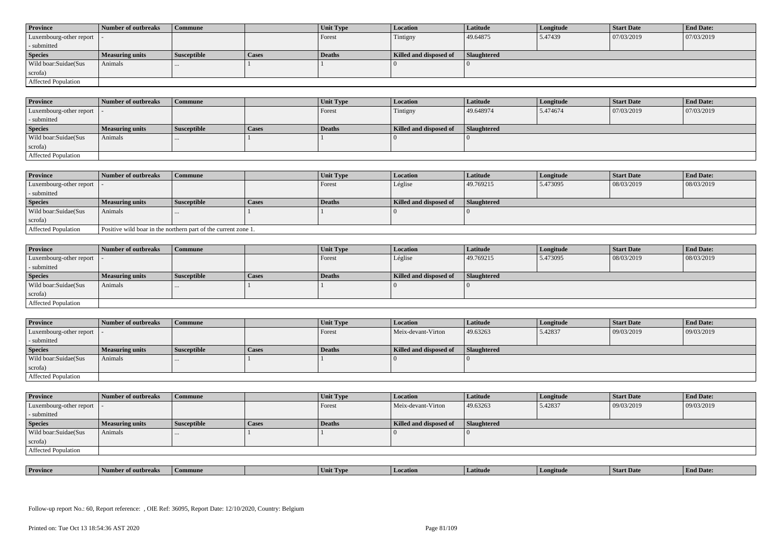| <b>Province</b>            | Number of outbreaks    | <b>Commune</b>     |              | Unit Type | Location               | <b>Latitude</b> | Longitude | <b>Start Date</b> | <b>End Date:</b> |
|----------------------------|------------------------|--------------------|--------------|-----------|------------------------|-----------------|-----------|-------------------|------------------|
| Luxembourg-other report  - |                        |                    |              | Forest    | Tintigny               | 49.64875        | 5.47439   | 07/03/2019        | 07/03/2019       |
| - submitted                |                        |                    |              |           |                        |                 |           |                   |                  |
| <b>Species</b>             | <b>Measuring units</b> | <b>Susceptible</b> | <b>Cases</b> | Deaths    | Killed and disposed of | Slaughtered     |           |                   |                  |
| Wild boar: Suidae (Sus     | Animals                |                    |              |           |                        |                 |           |                   |                  |
| scrofa)                    |                        |                    |              |           |                        |                 |           |                   |                  |
| <b>Affected Population</b> |                        |                    |              |           |                        |                 |           |                   |                  |

| <b>Province</b>         | Number of outbreaks | <b>Commune</b>     |       | Unit Type | <b>Location</b>        | Latitude    | Longitude | <b>Start Date</b> | <b>End Date:</b> |
|-------------------------|---------------------|--------------------|-------|-----------|------------------------|-------------|-----------|-------------------|------------------|
| Luxembourg-other report |                     |                    |       | Forest    | Tintigny               | 49.648974   | 5.474674  | 07/03/2019        | 07/03/2019       |
| - submitted             |                     |                    |       |           |                        |             |           |                   |                  |
| <b>Species</b>          | Measuring units     | <b>Susceptible</b> | Cases | Deaths    | Killed and disposed of | Slaughtered |           |                   |                  |
| Wild boar:Suidae(Sus    | Animals             |                    |       |           |                        |             |           |                   |                  |
| scrofa)                 |                     |                    |       |           |                        |             |           |                   |                  |
| Affected Population     |                     |                    |       |           |                        |             |           |                   |                  |

| <b>Province</b>            | Number of outbreaks                                            | Commune            |       | Unit Type     | <b>Location</b>        | Latitude    | Longitude | <b>Start Date</b> | <b>End Date:</b> |
|----------------------------|----------------------------------------------------------------|--------------------|-------|---------------|------------------------|-------------|-----------|-------------------|------------------|
| Luxembourg-other report  - |                                                                |                    |       | Forest        | Léglise                | 49.769215   | 5.473095  | 08/03/2019        | 08/03/2019       |
| - submitted                |                                                                |                    |       |               |                        |             |           |                   |                  |
| <b>Species</b>             | <b>Measuring units</b>                                         | <b>Susceptible</b> | Cases | <b>Deaths</b> | Killed and disposed of | Slaughtered |           |                   |                  |
| Wild boar:Suidae(Sus       | Animals                                                        | $\cdots$           |       |               |                        |             |           |                   |                  |
| scrofa)                    |                                                                |                    |       |               |                        |             |           |                   |                  |
| Affected Population        | Positive wild boar in the northern part of the current zone 1. |                    |       |               |                        |             |           |                   |                  |

| <b>Province</b>            | Number of outbreaks    | Commune     |       | Unit Type     | <b>Location</b>        | <b>Latitude</b> | Longitude | <b>Start Date</b> | <b>End Date:</b> |
|----------------------------|------------------------|-------------|-------|---------------|------------------------|-----------------|-----------|-------------------|------------------|
| Luxembourg-other report  - |                        |             |       | Forest        | Léglise                | 49.769215       | 5.473095  | 08/03/2019        | 08/03/2019       |
| - submitted                |                        |             |       |               |                        |                 |           |                   |                  |
| <b>Species</b>             | <b>Measuring units</b> | Susceptible | Cases | <b>Deaths</b> | Killed and disposed of | Slaughtered     |           |                   |                  |
| Wild boar:Suidae(Sus       | Animals                |             |       |               |                        |                 |           |                   |                  |
| scrofa)                    |                        |             |       |               |                        |                 |           |                   |                  |
| Affected Population        |                        |             |       |               |                        |                 |           |                   |                  |

| <b>Province</b>            | Number of outbreaks | Commune            |       | <b>Unit Type</b> | <b>Location</b>        | <b>Latitude</b>    | Longitude | <b>Start Date</b> | <b>End Date:</b> |
|----------------------------|---------------------|--------------------|-------|------------------|------------------------|--------------------|-----------|-------------------|------------------|
| Luxembourg-other report  - |                     |                    |       | Forest           | Meix-devant-Virton     | 49.63263           | 5.42837   | 09/03/2019        | 09/03/2019       |
| - submitted                |                     |                    |       |                  |                        |                    |           |                   |                  |
| <b>Species</b>             | Measuring units     | <b>Susceptible</b> | Cases | <b>Deaths</b>    | Killed and disposed of | <b>Slaughtered</b> |           |                   |                  |
| Wild boar:Suidae(Sus       | Animals             |                    |       |                  |                        |                    |           |                   |                  |
|                            |                     | $\cdots$           |       |                  |                        |                    |           |                   |                  |
| scrofa)                    |                     |                    |       |                  |                        |                    |           |                   |                  |

| <b>Province</b>            | Number of outbreaks | <b>Commune</b>     |              | <b>Unit Type</b> | <b>Location</b>        | Latitude           | Longitude | <b>Start Date</b> | <b>End Date:</b> |
|----------------------------|---------------------|--------------------|--------------|------------------|------------------------|--------------------|-----------|-------------------|------------------|
| Luxembourg-other report  - |                     |                    |              | Forest           | Meix-devant-Virton     | 49.63263           | 5.42837   | 09/03/2019        | 09/03/2019       |
| - submitted                |                     |                    |              |                  |                        |                    |           |                   |                  |
| <b>Species</b>             | Measuring units     | <b>Susceptible</b> | <b>Cases</b> | Deaths           | Killed and disposed of | <b>Slaughtered</b> |           |                   |                  |
| Wild boar:Suidae(Sus       | Animals             | $\cdots$           |              |                  |                        |                    |           |                   |                  |
| scrofa)                    |                     |                    |              |                  |                        |                    |           |                   |                  |
| Affected Population        |                     |                    |              |                  |                        |                    |           |                   |                  |

| <b>Province</b> | of outbreaks<br>- Number - | Commune | Init Type | Location | atitude : | gitud | Staff Day | <b>End Date:</b> |
|-----------------|----------------------------|---------|-----------|----------|-----------|-------|-----------|------------------|
|                 |                            |         |           |          |           |       |           |                  |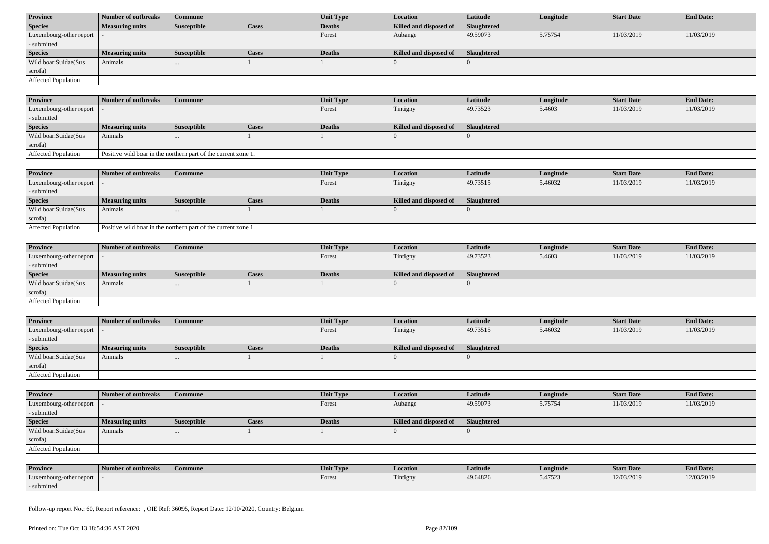| <b>Province</b>            | Number of outbreaks    | Commune            |              | Unit Type | <b>Location</b>        | <b>Latitude</b>    | Longitude | <b>Start Date</b> | <b>End Date:</b> |
|----------------------------|------------------------|--------------------|--------------|-----------|------------------------|--------------------|-----------|-------------------|------------------|
| <b>Species</b>             | <b>Measuring units</b> | <b>Susceptible</b> | <b>Cases</b> | Deaths    | Killed and disposed of | <b>Slaughtered</b> |           |                   |                  |
| Luxembourg-other report  - |                        |                    |              | Forest    | Aubange                | 49.59073           | 5.75754   | 11/03/2019        | 11/03/2019       |
| - submitted                |                        |                    |              |           |                        |                    |           |                   |                  |
| <b>Species</b>             | <b>Measuring units</b> | <b>Susceptible</b> | <b>Cases</b> | Deaths    | Killed and disposed of | Slaughtered        |           |                   |                  |
| Wild boar:Suidae(Sus       | Animals                | $\cdots$           |              |           |                        |                    |           |                   |                  |
| scrofa)                    |                        |                    |              |           |                        |                    |           |                   |                  |
| Affected Population        |                        |                    |              |           |                        |                    |           |                   |                  |

| <b>Province</b>            | Number of outbreaks                                            | <b>Commune</b>     |              | Unit Type | <b>Location</b>        | <b>Latitude</b>    | Longitude | <b>Start Date</b> | <b>End Date:</b> |
|----------------------------|----------------------------------------------------------------|--------------------|--------------|-----------|------------------------|--------------------|-----------|-------------------|------------------|
| Luxembourg-other report  - |                                                                |                    |              | Forest    | Tintigny               | 49.73523           | 5.4603    | 11/03/2019        | 11/03/2019       |
| - submitted                |                                                                |                    |              |           |                        |                    |           |                   |                  |
| <b>Species</b>             | <b>Measuring units</b>                                         | <b>Susceptible</b> | <b>Cases</b> | Deaths    | Killed and disposed of | <b>Slaughtered</b> |           |                   |                  |
| Wild boar:Suidae(Sus       | Animals                                                        |                    |              |           |                        |                    |           |                   |                  |
| scrofa)                    |                                                                |                    |              |           |                        |                    |           |                   |                  |
| <b>Affected Population</b> | Positive wild boar in the northern part of the current zone 1. |                    |              |           |                        |                    |           |                   |                  |

| <b>Province</b>            | 1 Number of outbreaks                                          | Commune     |       | Unit Type | <b>Location</b>        | Latitude           | Longitude | Start Date | <b>End Date:</b> |
|----------------------------|----------------------------------------------------------------|-------------|-------|-----------|------------------------|--------------------|-----------|------------|------------------|
| Luxembourg-other report    |                                                                |             |       | Forest    | Tintigny               | 49.73515           | 5.46032   | 11/03/2019 | 11/03/2019       |
| - submitted                |                                                                |             |       |           |                        |                    |           |            |                  |
| <b>Species</b>             | <b>Measuring units</b>                                         | Susceptible | Cases | Deaths    | Killed and disposed of | <b>Slaughtered</b> |           |            |                  |
| Wild boar:Suidae(Sus       | Animals                                                        |             |       |           |                        |                    |           |            |                  |
| scrofa)                    |                                                                |             |       |           |                        |                    |           |            |                  |
| <b>Affected Population</b> | Positive wild boar in the northern part of the current zone 1. |             |       |           |                        |                    |           |            |                  |

| <b>Province</b>            | Number of outbreaks | Commune            |              | <b>Unit Type</b> | <i>Location</i>        | <b>Latitude</b>    | Longitude | <b>Start Date</b> | <b>End Date:</b> |
|----------------------------|---------------------|--------------------|--------------|------------------|------------------------|--------------------|-----------|-------------------|------------------|
| Luxembourg-other report  - |                     |                    |              | Forest           | Tintigny               | 49.73523           | 5.4603    | 11/03/2019        | 11/03/2019       |
| - submitted                |                     |                    |              |                  |                        |                    |           |                   |                  |
| <b>Species</b>             | Measuring units     | <b>Susceptible</b> | <b>Cases</b> | <b>Deaths</b>    | Killed and disposed of | <b>Slaughtered</b> |           |                   |                  |
| Wild boar:Suidae(Sus       | Animals             | $\cdots$           |              |                  |                        |                    |           |                   |                  |
| scrofa)                    |                     |                    |              |                  |                        |                    |           |                   |                  |
| Affected Population        |                     |                    |              |                  |                        |                    |           |                   |                  |

| <b>Province</b>            | Number of outbreaks | Commune            |       | <b>Unit Type</b> | <i>Location</i>        | Latitude           | Longitude | <b>Start Date</b> | <b>End Date:</b> |
|----------------------------|---------------------|--------------------|-------|------------------|------------------------|--------------------|-----------|-------------------|------------------|
| Luxembourg-other report  - |                     |                    |       | Forest           | Tintigny               | 49.73515           | 5.46032   | 11/03/2019        | 11/03/2019       |
| - submitted                |                     |                    |       |                  |                        |                    |           |                   |                  |
| <b>Species</b>             | Measuring units     | <b>Susceptible</b> | Cases | Deaths           | Killed and disposed of | <b>Slaughtered</b> |           |                   |                  |
| Wild boar:Suidae(Sus       | Animals             | $\cdots$           |       |                  |                        |                    |           |                   |                  |
| scrofa)                    |                     |                    |       |                  |                        |                    |           |                   |                  |
| Affected Population        |                     |                    |       |                  |                        |                    |           |                   |                  |

| <b>Province</b>         | Number of outbreaks    | <b>Commune</b>     |       | Unit Type | <b>Location</b>        | <b>Latitude</b>    | Longitude | <b>Start Date</b> | <b>End Date:</b> |
|-------------------------|------------------------|--------------------|-------|-----------|------------------------|--------------------|-----------|-------------------|------------------|
| Luxembourg-other report |                        |                    |       | Forest    | Aubange                | 49.59073           | 5.75754   | 11/03/2019        | 11/03/2019       |
| - submitted             |                        |                    |       |           |                        |                    |           |                   |                  |
| <b>Species</b>          | <b>Measuring units</b> | <b>Susceptible</b> | Cases | Deaths    | Killed and disposed of | <b>Slaughtered</b> |           |                   |                  |
| Wild boar:Suidae(Sus    | Animals                |                    |       |           |                        |                    |           |                   |                  |
|                         |                        |                    |       |           |                        |                    |           |                   |                  |
| scrofa)                 |                        |                    |       |           |                        |                    |           |                   |                  |

| <b>Province</b>         | Number of outbreaks | Commune | Unit Type | <b>Location</b>               | Latitude | Longitude | Start Date | <b>End Date:</b> |
|-------------------------|---------------------|---------|-----------|-------------------------------|----------|-----------|------------|------------------|
| Luxembourg-other report |                     |         | Forest    | <b>CONTRACTOR</b><br>Tintigny | 49.64826 | 5.47523   | 12/03/2019 | 12/03/2019       |
| - submitted             |                     |         |           |                               |          |           |            |                  |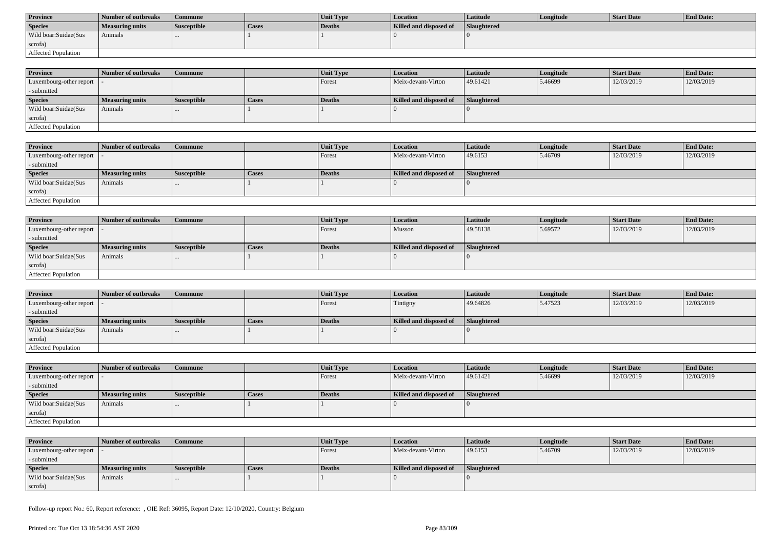| <b>Province</b>      | Number of outbreaks | Commune            |       | <b>Unit Type</b> | Location               | Latitude           | Longitude | Start Date | <b>End Date:</b> |
|----------------------|---------------------|--------------------|-------|------------------|------------------------|--------------------|-----------|------------|------------------|
| <b>Species</b>       | Measuring units     | <b>Susceptible</b> | Cases | Deaths           | Killed and disposed of | <b>Slaughtered</b> |           |            |                  |
| Wild boar:Suidae(Sus | Animals             |                    |       |                  |                        |                    |           |            |                  |
| scrofa)              |                     |                    |       |                  |                        |                    |           |            |                  |
| Affected Population  |                     |                    |       |                  |                        |                    |           |            |                  |

| <b>Province</b>                             | Number of outbreaks    | Commune            |              | <b>Unit Type</b> | <b>Location</b>        | <b>Latitude</b>    | Longitude | <b>Start Date</b> | <b>End Date:</b> |
|---------------------------------------------|------------------------|--------------------|--------------|------------------|------------------------|--------------------|-----------|-------------------|------------------|
| Luxembourg-other report $\vert \cdot \vert$ |                        |                    |              | Forest           | Meix-devant-Virton     | 49.61421           | 5.46699   | 12/03/2019        | 12/03/2019       |
| - submitted                                 |                        |                    |              |                  |                        |                    |           |                   |                  |
| <b>Species</b>                              | <b>Measuring units</b> | <b>Susceptible</b> | <b>Cases</b> | <b>Deaths</b>    | Killed and disposed of | <b>Slaughtered</b> |           |                   |                  |
| Wild boar:Suidae(Sus                        | Animals                | $\cdots$           |              |                  |                        |                    |           |                   |                  |
| scrofa)                                     |                        |                    |              |                  |                        |                    |           |                   |                  |
| Affected Population                         |                        |                    |              |                  |                        |                    |           |                   |                  |

| <b>Province</b>         | Number of outbreaks | <b>Commune</b>     |       | Unit Type | Location               | Latitude           | Longitude | <b>Start Date</b> | <b>End Date:</b> |
|-------------------------|---------------------|--------------------|-------|-----------|------------------------|--------------------|-----------|-------------------|------------------|
| Luxembourg-other report |                     |                    |       | Forest    | Meix-devant-Virton     | 49.6153            | 5.46709   | 12/03/2019        | 12/03/2019       |
| - submitted             |                     |                    |       |           |                        |                    |           |                   |                  |
| <b>Species</b>          | Measuring units     | <b>Susceptible</b> | Cases | Deaths    | Killed and disposed of | <b>Slaughtered</b> |           |                   |                  |
| Wild boar:Suidae(Sus    | Animals             |                    |       |           |                        |                    |           |                   |                  |
| scrofa)                 |                     |                    |       |           |                        |                    |           |                   |                  |
| Affected Population     |                     |                    |       |           |                        |                    |           |                   |                  |

| <b>Province</b>            | Number of outbreaks    | <b>Commune</b>     |              | Unit Type | Location               | Latitude    | Longitude | <b>Start Date</b> | <b>End Date:</b> |
|----------------------------|------------------------|--------------------|--------------|-----------|------------------------|-------------|-----------|-------------------|------------------|
| Luxembourg-other report  - |                        |                    |              | Forest    | Musson                 | 49.58138    | 5.69572   | 12/03/2019        | 12/03/2019       |
| - submitted                |                        |                    |              |           |                        |             |           |                   |                  |
| <b>Species</b>             | <b>Measuring units</b> | <b>Susceptible</b> | <b>Cases</b> | Deaths    | Killed and disposed of | Slaughtered |           |                   |                  |
| Wild boar:Suidae(Sus       | Animals                |                    |              |           |                        |             |           |                   |                  |
| scrofa)                    |                        |                    |              |           |                        |             |           |                   |                  |
| Affected Population        |                        |                    |              |           |                        |             |           |                   |                  |

| <b>Province</b>                           | Number of outbreaks    | l Commune          |              | <b>Unit Type</b> | Location               | <b>Latitude</b> | Longitude | <b>Start Date</b> | <b>End Date:</b> |
|-------------------------------------------|------------------------|--------------------|--------------|------------------|------------------------|-----------------|-----------|-------------------|------------------|
| $\vert$ Luxembourg-other report $\vert$ . |                        |                    |              | Forest           | Tintigny               | 49.64826        | 5.47523   | 12/03/2019        | 12/03/2019       |
| - submitted                               |                        |                    |              |                  |                        |                 |           |                   |                  |
| <b>Species</b>                            | <b>Measuring units</b> | <b>Susceptible</b> | <b>Cases</b> | Deaths           | Killed and disposed of | Slaughtered     |           |                   |                  |
| Wild boar: Suidae (Sus                    | Animals                |                    |              |                  |                        |                 |           |                   |                  |
| scrofa)                                   |                        |                    |              |                  |                        |                 |           |                   |                  |
| Affected Population                       |                        |                    |              |                  |                        |                 |           |                   |                  |

| <b>Province</b>            | Number of outbreaks    | <b>Commune</b>     |              | <b>Unit Type</b> | <b>Location</b>        | <b>Latitude</b> | Longitude | <b>Start Date</b> | <b>End Date:</b> |
|----------------------------|------------------------|--------------------|--------------|------------------|------------------------|-----------------|-----------|-------------------|------------------|
| Luxembourg-other report  - |                        |                    |              | Forest           | Meix-devant-Virton     | 49.61421        | 5.46699   | 12/03/2019        | 12/03/2019       |
| - submitted                |                        |                    |              |                  |                        |                 |           |                   |                  |
| <b>Species</b>             | <b>Measuring units</b> | <b>Susceptible</b> | <b>Cases</b> | Deaths           | Killed and disposed of | Slaughtered     |           |                   |                  |
| Wild boar:Suidae(Sus       | Animals                | $\cdots$           |              |                  |                        |                 |           |                   |                  |
| scrofa)                    |                        |                    |              |                  |                        |                 |           |                   |                  |
| Affected Population        |                        |                    |              |                  |                        |                 |           |                   |                  |

| <b>Province</b>            | Number of outbreaks | Commune            |       | <b>Unit Type</b> | <b>Location</b>        | Latitude    | Longitude | Start Date | <b>End Date:</b> |
|----------------------------|---------------------|--------------------|-------|------------------|------------------------|-------------|-----------|------------|------------------|
| Luxembourg-other report  - |                     |                    |       | Forest           | Meix-devant-Virton     | 49.6153     | 5.46709   | 12/03/2019 | 12/03/2019       |
| - submitted                |                     |                    |       |                  |                        |             |           |            |                  |
| <b>Species</b>             | Measuring units     | <b>Susceptible</b> | Cases | Deaths           | Killed and disposed of | Slaughtered |           |            |                  |
| Wild boar:Suidae(Sus       | Animals             |                    |       |                  |                        |             |           |            |                  |
| scrofa)                    |                     |                    |       |                  |                        |             |           |            |                  |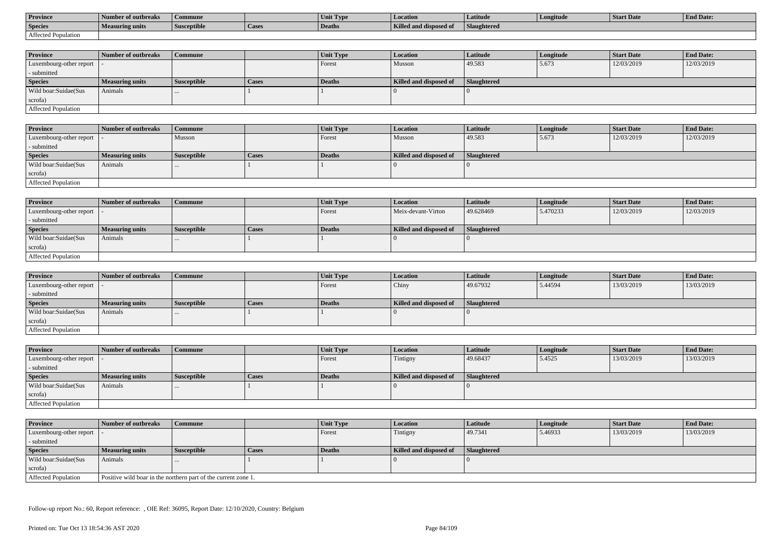| <b>Province</b>     | Number of outbreaks    | Commune            |                    | Unit Typ. | Location                             | Latitude    | Longitude | <b>Start Date</b> | <b>End Date:</b> |
|---------------------|------------------------|--------------------|--------------------|-----------|--------------------------------------|-------------|-----------|-------------------|------------------|
| <b>Species</b>      | <b>Measuring units</b> | <b>Susceptible</b> | <sup>1</sup> Cases | Deaths    | <b>Killed and disposy</b><br>™ od of | Slaughtered |           |                   |                  |
| Affected Population |                        |                    |                    |           |                                      |             |           |                   |                  |

| <b>Province</b>         | Number of outbreaks    | <b>Commune</b>     |              | Unit Type | <b>Location</b>        | <b>Latitude</b>    | Longitude | <b>Start Date</b> | <b>End Date:</b> |
|-------------------------|------------------------|--------------------|--------------|-----------|------------------------|--------------------|-----------|-------------------|------------------|
| Luxembourg-other report |                        |                    |              | Forest    | Musson                 | 49.583             | 5.673     | 12/03/2019        | 12/03/2019       |
| - submitted             |                        |                    |              |           |                        |                    |           |                   |                  |
| <b>Species</b>          | <b>Measuring units</b> | <b>Susceptible</b> | <b>Cases</b> | Deaths    | Killed and disposed of | <b>Slaughtered</b> |           |                   |                  |
| Wild boar:Suidae(Sus    | Animals                |                    |              |           |                        |                    |           |                   |                  |
| scrofa)                 |                        |                    |              |           |                        |                    |           |                   |                  |
| Affected Population     |                        |                    |              |           |                        |                    |           |                   |                  |

| Province                   | Number of outbreaks    | Commune            |              | <b>Unit Type</b> | <b>Location</b>        | Latitude    | Longitude | <b>Start Date</b> | <b>End Date:</b> |
|----------------------------|------------------------|--------------------|--------------|------------------|------------------------|-------------|-----------|-------------------|------------------|
| Luxembourg-other report  - |                        | Musson             |              | Forest           | Musson                 | 49.583      | 5.673     | 12/03/2019        | 12/03/2019       |
| - submitted                |                        |                    |              |                  |                        |             |           |                   |                  |
| <b>Species</b>             | <b>Measuring units</b> | <b>Susceptible</b> | <b>Cases</b> | Deaths           | Killed and disposed of | Slaughtered |           |                   |                  |
| Wild boar:Suidae(Sus       | Animals                |                    |              |                  |                        |             |           |                   |                  |
| scrofa)                    |                        |                    |              |                  |                        |             |           |                   |                  |
| Affected Population        |                        |                    |              |                  |                        |             |           |                   |                  |

| <b>Province</b>            | Number of outbreaks    | Commune            |              | Unit Type | Location               | Latitude    | Longitude | <b>Start Date</b> | <b>End Date:</b> |
|----------------------------|------------------------|--------------------|--------------|-----------|------------------------|-------------|-----------|-------------------|------------------|
| Luxembourg-other report  - |                        |                    |              | Forest    | Meix-devant-Virton     | 49.628469   | 5.470233  | 12/03/2019        | 12/03/2019       |
| - submitted                |                        |                    |              |           |                        |             |           |                   |                  |
| <b>Species</b>             | <b>Measuring units</b> | <b>Susceptible</b> | <b>Cases</b> | Deaths    | Killed and disposed of | Slaughtered |           |                   |                  |
| Wild boar:Suidae(Sus       | Animals                |                    |              |           |                        |             |           |                   |                  |
| scrofa)                    |                        |                    |              |           |                        |             |           |                   |                  |
| Affected Population        |                        |                    |              |           |                        |             |           |                   |                  |

| <b>Province</b>         | Number of outbreaks    | <b>Commune</b>     |              | Unit Type | <i>Location</i>        | <b>Latitude</b> | Longitude | <b>Start Date</b> | <b>End Date:</b> |
|-------------------------|------------------------|--------------------|--------------|-----------|------------------------|-----------------|-----------|-------------------|------------------|
| Luxembourg-other report |                        |                    |              | Forest    | Chiny                  | 49.67932        | 5.44594   | 13/03/2019        | 13/03/2019       |
| - submitted             |                        |                    |              |           |                        |                 |           |                   |                  |
| <b>Species</b>          | <b>Measuring units</b> | <b>Susceptible</b> | <b>Cases</b> | Deaths    | Killed and disposed of | Slaughtered     |           |                   |                  |
| Wild boar:Suidae(Sus    | Animals                | $\cdots$           |              |           |                        |                 |           |                   |                  |
| scrofa)                 |                        |                    |              |           |                        |                 |           |                   |                  |
| Affected Population     |                        |                    |              |           |                        |                 |           |                   |                  |

| <b>Province</b>            | Number of outbreaks    | Commune            |       | Unit Type | Location               | <b>Latitude</b> | Longitude | <b>Start Date</b> | <b>End Date:</b> |
|----------------------------|------------------------|--------------------|-------|-----------|------------------------|-----------------|-----------|-------------------|------------------|
| Luxembourg-other report  - |                        |                    |       | Forest    | Tintigny               | 49.68437        | 5.4525    | 13/03/2019        | 13/03/2019       |
| - submitted                |                        |                    |       |           |                        |                 |           |                   |                  |
| <b>Species</b>             | <b>Measuring units</b> | <b>Susceptible</b> | Cases | Deaths    | Killed and disposed of | Slaughtered     |           |                   |                  |
| Wild boar:Suidae(Sus       | Animals                | $\cdots$           |       |           |                        |                 |           |                   |                  |
| scrofa)                    |                        |                    |       |           |                        |                 |           |                   |                  |
| Affected Population        |                        |                    |       |           |                        |                 |           |                   |                  |

| <b>Province</b>            | Number of outbreaks    | <b>Commune</b>                                                 |              | Unit Type     | <b>Location</b>        | Latitude    | Longitude | <b>Start Date</b> | <b>End Date:</b> |  |
|----------------------------|------------------------|----------------------------------------------------------------|--------------|---------------|------------------------|-------------|-----------|-------------------|------------------|--|
| Luxembourg-other report    |                        |                                                                |              | <b>Forest</b> | Tintigny               | 49.7341     | 5.46933   | 13/03/2019        | 13/03/2019       |  |
| - submitted                |                        |                                                                |              |               |                        |             |           |                   |                  |  |
| <b>Species</b>             | <b>Measuring units</b> | <b>Susceptible</b>                                             | <b>Cases</b> | Deaths        | Killed and disposed of | Slaughtered |           |                   |                  |  |
| Wild boar:Suidae(Sus       | Animals                | $\cdots$                                                       |              |               |                        |             |           |                   |                  |  |
| scrofa)                    |                        |                                                                |              |               |                        |             |           |                   |                  |  |
| <b>Affected Population</b> |                        | Positive wild boar in the northern part of the current zone 1. |              |               |                        |             |           |                   |                  |  |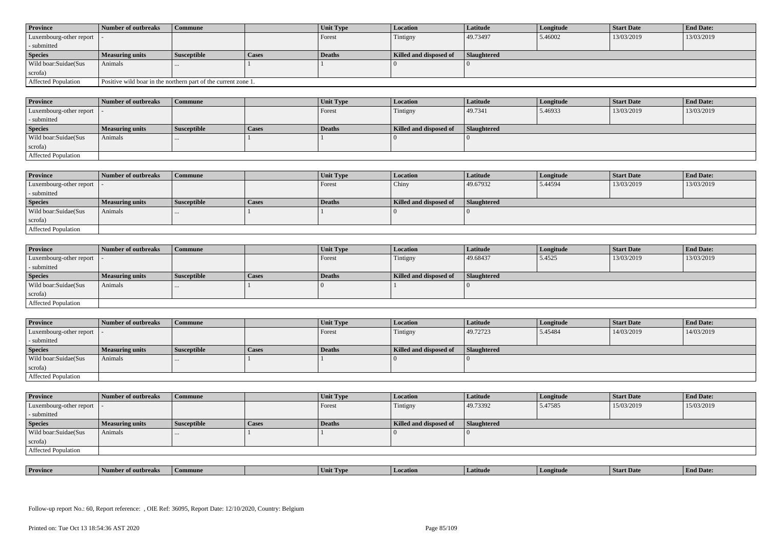| <b>Province</b>            | Number of outbreaks    | <b>Commune</b>                                                 |              | <b>Unit Type</b> | <b>Location</b>        | Latitude           | Longitude | <b>Start Date</b> | <b>End Date:</b> |
|----------------------------|------------------------|----------------------------------------------------------------|--------------|------------------|------------------------|--------------------|-----------|-------------------|------------------|
| Luxembourg-other report  - |                        |                                                                |              | Forest           | Tintigny               | 49.73497           | 5.46002   | 13/03/2019        | 13/03/2019       |
| - submitted                |                        |                                                                |              |                  |                        |                    |           |                   |                  |
| <b>Species</b>             | <b>Measuring units</b> | <b>Susceptible</b>                                             | <b>Cases</b> | Deaths           | Killed and disposed of | <b>Slaughtered</b> |           |                   |                  |
| Wild boar:Suidae(Sus       | Animals                |                                                                |              |                  |                        |                    |           |                   |                  |
| scrofa)                    |                        |                                                                |              |                  |                        |                    |           |                   |                  |
| Affected Population        |                        | Positive wild boar in the northern part of the current zone 1. |              |                  |                        |                    |           |                   |                  |

| <b>Province</b>         | Number of outbreaks | <b>Commune</b>     |       | Unit Type | <b>Location</b>        | Latitude    | Longitude | <b>Start Date</b> | <b>End Date:</b> |
|-------------------------|---------------------|--------------------|-------|-----------|------------------------|-------------|-----------|-------------------|------------------|
| Luxembourg-other report |                     |                    |       | Forest    | Tintigny               | 49.7341     | 5.46933   | 13/03/2019        | 13/03/2019       |
| - submitted             |                     |                    |       |           |                        |             |           |                   |                  |
| <b>Species</b>          | Measuring units     | <b>Susceptible</b> | Cases | Deaths    | Killed and disposed of | Slaughtered |           |                   |                  |
| Wild boar:Suidae(Sus    | Animals             |                    |       |           |                        |             |           |                   |                  |
| scrofa)                 |                     |                    |       |           |                        |             |           |                   |                  |
| Affected Population     |                     |                    |       |           |                        |             |           |                   |                  |

| <b>Province</b>                             | Number of outbreaks | Commune            |              | Unit Type | Location               | <b>Latitude</b> | Longitude | Start Date | <b>End Date:</b> |
|---------------------------------------------|---------------------|--------------------|--------------|-----------|------------------------|-----------------|-----------|------------|------------------|
| Luxembourg-other report $\vert \cdot \vert$ |                     |                    |              | Forest    | Chiny                  | 49.67932        | 5.44594   | 13/03/2019 | 13/03/2019       |
| - submitted                                 |                     |                    |              |           |                        |                 |           |            |                  |
| <b>Species</b>                              | Measuring units     | <i>Susceptible</i> | <b>Cases</b> | Deaths    | Killed and disposed of | Slaughtered     |           |            |                  |
| Wild boar:Suidae(Sus                        | Animals             |                    |              |           |                        |                 |           |            |                  |
| scrofa)                                     |                     |                    |              |           |                        |                 |           |            |                  |
| Affected Population                         |                     |                    |              |           |                        |                 |           |            |                  |

| <b>Province</b>            | Number of outbreaks    | <b>Commune</b>     |              | Unit Type     | Location               | <b>Latitude</b> | Longitude | <b>Start Date</b> | <b>End Date:</b> |
|----------------------------|------------------------|--------------------|--------------|---------------|------------------------|-----------------|-----------|-------------------|------------------|
| Luxembourg-other report  - |                        |                    |              | Forest        | Tintigny               | 49.68437        | 5.4525    | 13/03/2019        | 13/03/2019       |
| - submitted                |                        |                    |              |               |                        |                 |           |                   |                  |
| <b>Species</b>             | <b>Measuring units</b> | <b>Susceptible</b> | <b>Cases</b> | <b>Deaths</b> | Killed and disposed of | Slaughtered     |           |                   |                  |
| Wild boar:Suidae(Sus       | Animals                |                    |              |               |                        |                 |           |                   |                  |
| scrofa)                    |                        |                    |              |               |                        |                 |           |                   |                  |
| Affected Population        |                        |                    |              |               |                        |                 |           |                   |                  |

| <b>Province</b>             | <b>Number of outbreaks</b> | <b>Commune</b>     |       | Unit Type | <b>Location</b>        | <b>Latitude</b>    | Longitude | <b>Start Date</b> | <b>End Date:</b> |
|-----------------------------|----------------------------|--------------------|-------|-----------|------------------------|--------------------|-----------|-------------------|------------------|
| Luxembourg-other report   - |                            |                    |       | Forest    | Tintigny               | 49.72723           | 5.45484   | 14/03/2019        | 14/03/2019       |
| - submitted                 |                            |                    |       |           |                        |                    |           |                   |                  |
| <b>Species</b>              | <b>Measuring units</b>     | <b>Susceptible</b> | Cases | Deaths    | Killed and disposed of | <b>Slaughtered</b> |           |                   |                  |
| Wild boar:Suidae(Sus        | Animals                    |                    |       |           |                        |                    |           |                   |                  |
| scrofa)                     |                            |                    |       |           |                        |                    |           |                   |                  |
|                             |                            |                    |       |           |                        |                    |           |                   |                  |

| <b>Province</b>            | Number of outbreaks    | <b>Commune</b>     |              | Unit Type | Location               | <b>Latitude</b>    | Longitude | <b>Start Date</b> | <b>End Date:</b> |
|----------------------------|------------------------|--------------------|--------------|-----------|------------------------|--------------------|-----------|-------------------|------------------|
| Luxembourg-other report  - |                        |                    |              | Forest    | Tintigny               | 49.73392           | 5.47585   | 15/03/2019        | 15/03/2019       |
| - submitted                |                        |                    |              |           |                        |                    |           |                   |                  |
| <b>Species</b>             | <b>Measuring units</b> | <b>Susceptible</b> | <b>Cases</b> | Deaths    | Killed and disposed of | <b>Slaughtered</b> |           |                   |                  |
| Wild boar: Suidae (Sus     | Animals                |                    |              |           |                        |                    |           |                   |                  |
| scrofa)                    |                        |                    |              |           |                        |                    |           |                   |                  |
| Affected Population        |                        |                    |              |           |                        |                    |           |                   |                  |

| <b>Province</b> | <b>CONTRACTOR</b><br>er of outbreaks | Commune | . IVP | <i>cation</i><br>l Loc | Latitud | gitud | SIAIT Dave | <b>d</b> Date: |
|-----------------|--------------------------------------|---------|-------|------------------------|---------|-------|------------|----------------|
|                 |                                      |         |       |                        |         |       |            |                |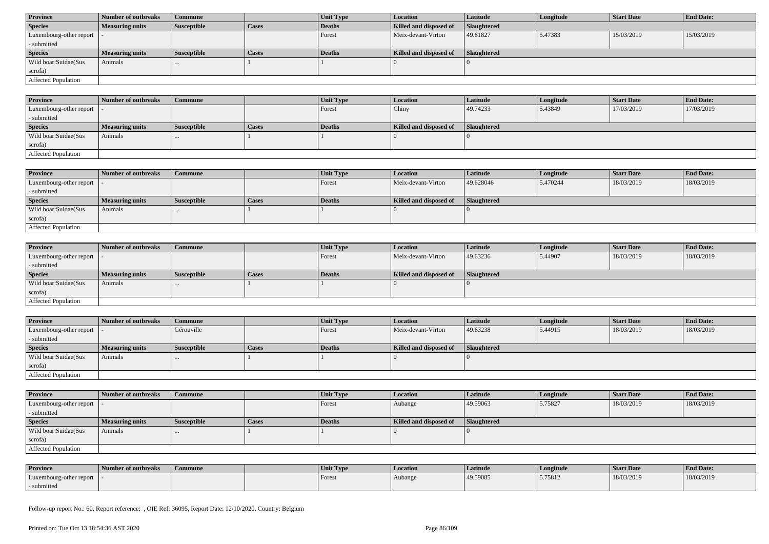| <b>Province</b>            | Number of outbreaks    | Commune            |              | Unit Type | <b>Location</b>        | <b>Latitude</b> | Longitude | <b>Start Date</b> | <b>End Date:</b> |
|----------------------------|------------------------|--------------------|--------------|-----------|------------------------|-----------------|-----------|-------------------|------------------|
| <b>Species</b>             | <b>Measuring units</b> | <b>Susceptible</b> | <b>Cases</b> | Deaths    | Killed and disposed of | Slaughtered     |           |                   |                  |
| Luxembourg-other report  - |                        |                    |              | Forest    | Meix-devant-Virton     | 49.61827        | 5.47383   | 15/03/2019        | 15/03/2019       |
| - submitted                |                        |                    |              |           |                        |                 |           |                   |                  |
| <b>Species</b>             | <b>Measuring units</b> | <b>Susceptible</b> | <b>Cases</b> | Deaths    | Killed and disposed of | Slaughtered     |           |                   |                  |
| Wild boar:Suidae(Sus       | Animals                | $\cdots$           |              |           |                        |                 |           |                   |                  |
| scrofa)                    |                        |                    |              |           |                        |                 |           |                   |                  |
| Affected Population        |                        |                    |              |           |                        |                 |           |                   |                  |

| <b>Province</b>             | Number of outbreaks    | Commune            |       | Unit Type     | Location               | <b>Latitude</b> | Longitude | <b>Start Date</b> | <b>End Date:</b> |
|-----------------------------|------------------------|--------------------|-------|---------------|------------------------|-----------------|-----------|-------------------|------------------|
| Luxembourg-other report   - |                        |                    |       | Forest        | Chiny                  | 49.74233        | 5.43849   | 17/03/2019        | 17/03/2019       |
| - submitted                 |                        |                    |       |               |                        |                 |           |                   |                  |
| <b>Species</b>              | <b>Measuring units</b> | <b>Susceptible</b> | Cases | <b>Deaths</b> | Killed and disposed of | Slaughtered     |           |                   |                  |
| Wild boar:Suidae(Sus        | Animals                | $\cdots$           |       |               |                        |                 |           |                   |                  |
| scrofa)                     |                        |                    |       |               |                        |                 |           |                   |                  |
| <b>Affected Population</b>  |                        |                    |       |               |                        |                 |           |                   |                  |

| <b>Province</b>         | Number of outbreaks    | Commune            |              | <b>Unit Type</b> | <b>Location</b>        | <b>Latitude</b> | Longitude | <b>Start Date</b> | <b>End Date:</b> |
|-------------------------|------------------------|--------------------|--------------|------------------|------------------------|-----------------|-----------|-------------------|------------------|
| Luxembourg-other report |                        |                    |              | Forest           | Meix-devant-Virton     | 49.628046       | 5.470244  | 18/03/2019        | 18/03/2019       |
| - submitted             |                        |                    |              |                  |                        |                 |           |                   |                  |
| <b>Species</b>          | <b>Measuring units</b> | <b>Susceptible</b> | <b>Cases</b> | Deaths           | Killed and disposed of | Slaughtered     |           |                   |                  |
| Wild boar:Suidae(Sus    | Animals                | $\cdots$           |              |                  |                        |                 |           |                   |                  |
| scrofa)                 |                        |                    |              |                  |                        |                 |           |                   |                  |
| Affected Population     |                        |                    |              |                  |                        |                 |           |                   |                  |

| <b>Province</b>            | Number of outbreaks    | <b>Commune</b>     |              | <b>Unit Type</b> | <i>Location</i>        | <b>Latitude</b>    | Longitude | <b>Start Date</b> | <b>End Date:</b> |
|----------------------------|------------------------|--------------------|--------------|------------------|------------------------|--------------------|-----------|-------------------|------------------|
| Luxembourg-other report  - |                        |                    |              | Forest           | Meix-devant-Virton     | 49.63236           | 5.44907   | 18/03/2019        | 18/03/2019       |
| - submitted                |                        |                    |              |                  |                        |                    |           |                   |                  |
| <b>Species</b>             | <b>Measuring units</b> | <b>Susceptible</b> | <b>Cases</b> | Deaths           | Killed and disposed of | <b>Slaughtered</b> |           |                   |                  |
| Wild boar:Suidae(Sus       | Animals                | $\cdots$           |              |                  |                        |                    |           |                   |                  |
| scrofa)                    |                        |                    |              |                  |                        |                    |           |                   |                  |
| Affected Population        |                        |                    |              |                  |                        |                    |           |                   |                  |

| <b>Province</b>            | Number of outbreaks    | <b>Commune</b>     |       | Unit Type | Location               | Latitude           | Longitude | <b>Start Date</b> | <b>End Date:</b> |
|----------------------------|------------------------|--------------------|-------|-----------|------------------------|--------------------|-----------|-------------------|------------------|
| Luxembourg-other report  - |                        | Gérouville         |       | Forest    | Meix-devant-Virton     | 49.63238           | 5.44915   | 18/03/2019        | 18/03/2019       |
| - submitted                |                        |                    |       |           |                        |                    |           |                   |                  |
| <b>Species</b>             | <b>Measuring units</b> | <b>Susceptible</b> | Cases | Deaths    | Killed and disposed of | <b>Slaughtered</b> |           |                   |                  |
| Wild boar:Suidae(Sus       | Animals                |                    |       |           |                        |                    |           |                   |                  |
| scrofa)                    |                        |                    |       |           |                        |                    |           |                   |                  |
| Affected Population        |                        |                    |       |           |                        |                    |           |                   |                  |

| <b>Province</b>         | Number of outbreaks    | <b>Commune</b>     |       | Unit Type | <b>Location</b>        | <b>Latitude</b>    | Longitude | <b>Start Date</b> | <b>End Date:</b> |
|-------------------------|------------------------|--------------------|-------|-----------|------------------------|--------------------|-----------|-------------------|------------------|
| Luxembourg-other report |                        |                    |       | Forest    | Aubange                | 49.59063           | 5.75827   | 18/03/2019        | 18/03/2019       |
| - submitted             |                        |                    |       |           |                        |                    |           |                   |                  |
| <b>Species</b>          | <b>Measuring units</b> | <b>Susceptible</b> | Cases | Deaths    | Killed and disposed of | <b>Slaughtered</b> |           |                   |                  |
|                         |                        |                    |       |           |                        |                    |           |                   |                  |
| Wild boar:Suidae(Sus    | Animals                |                    |       |           |                        |                    |           |                   |                  |
| scrofa)                 |                        |                    |       |           |                        |                    |           |                   |                  |

| <b>Province</b>         | Number of outbreaks | Commune | Unit Type | <b>Location</b> | Latitude | Longitude | <b>Start Date</b> | <b>End Date:</b> |
|-------------------------|---------------------|---------|-----------|-----------------|----------|-----------|-------------------|------------------|
| Luxembourg-other report |                     |         | Forest    | Aubange         | 49.59085 | 5.75812   | 18/03/2019        | 18/03/2019       |
| submitted               |                     |         |           |                 |          |           |                   |                  |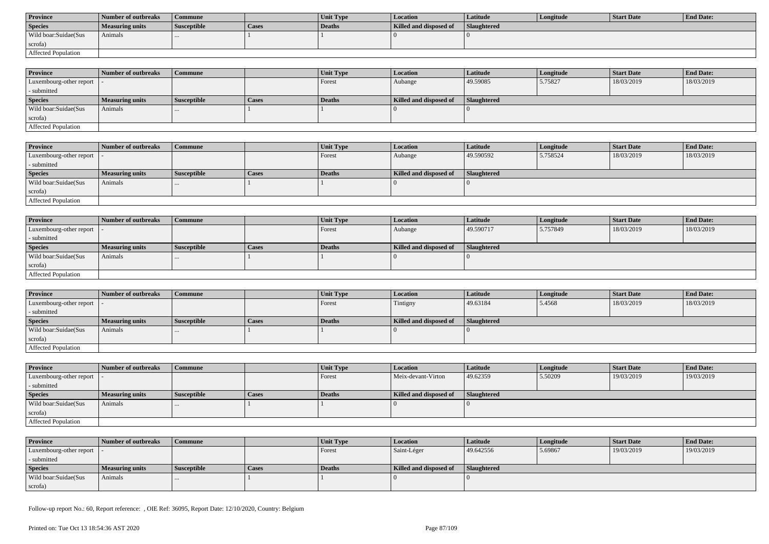| <b>Province</b>      | Number of outbreaks | Commune            |       | <b>Unit Type</b> | Location               | Latitude           | Longitude | Start Date | <b>End Date:</b> |
|----------------------|---------------------|--------------------|-------|------------------|------------------------|--------------------|-----------|------------|------------------|
| <b>Species</b>       | Measuring units     | <b>Susceptible</b> | Cases | Deaths           | Killed and disposed of | <b>Slaughtered</b> |           |            |                  |
| Wild boar:Suidae(Sus | Animals             |                    |       |                  |                        |                    |           |            |                  |
| scrofa)              |                     |                    |       |                  |                        |                    |           |            |                  |
| Affected Population  |                     |                    |       |                  |                        |                    |           |            |                  |

| <b>Province</b>            | Number of outbreaks | Commune            |              | <b>Unit Type</b> | <b>Location</b>        | <b>Latitude</b>    | Longitude | <b>Start Date</b> | <b>End Date:</b> |
|----------------------------|---------------------|--------------------|--------------|------------------|------------------------|--------------------|-----------|-------------------|------------------|
| Luxembourg-other report  - |                     |                    |              | Forest           | Aubange                | 49.59085           | 5.75827   | 18/03/2019        | 18/03/2019       |
| - submitted                |                     |                    |              |                  |                        |                    |           |                   |                  |
| <b>Species</b>             | Measuring units     | <b>Susceptible</b> | <b>Cases</b> | <b>Deaths</b>    | Killed and disposed of | <b>Slaughtered</b> |           |                   |                  |
| Wild boar:Suidae(Sus       | Animals             | $\cdots$           |              |                  |                        |                    |           |                   |                  |
| scrofa)                    |                     |                    |              |                  |                        |                    |           |                   |                  |
| Affected Population        |                     |                    |              |                  |                        |                    |           |                   |                  |

| <b>Province</b>         | Number of outbreaks    | <b>Commune</b>     |       | Unit Type | Location               | <b>Latitude</b> | Longitude | <b>Start Date</b> | <b>End Date:</b> |
|-------------------------|------------------------|--------------------|-------|-----------|------------------------|-----------------|-----------|-------------------|------------------|
| Luxembourg-other report |                        |                    |       | Forest    | Aubange                | 49.590592       | 5.758524  | 18/03/2019        | 18/03/2019       |
| - submitted             |                        |                    |       |           |                        |                 |           |                   |                  |
| <b>Species</b>          | <b>Measuring units</b> | <b>Susceptible</b> | Cases | Deaths    | Killed and disposed of | Slaughtered     |           |                   |                  |
| Wild boar:Suidae(Sus    | Animals                |                    |       |           |                        |                 |           |                   |                  |
| scrofa)                 |                        |                    |       |           |                        |                 |           |                   |                  |
| Affected Population     |                        |                    |       |           |                        |                 |           |                   |                  |

| <b>Province</b>            | Number of outbreaks    | <b>Commune</b>     |              | Unit Type | Location               | Latitude    | Longitude | <b>Start Date</b> | <b>End Date:</b> |
|----------------------------|------------------------|--------------------|--------------|-----------|------------------------|-------------|-----------|-------------------|------------------|
| Luxembourg-other report  - |                        |                    |              | Forest    | Aubange                | 49.590717   | 5.757849  | 18/03/2019        | 18/03/2019       |
| - submitted                |                        |                    |              |           |                        |             |           |                   |                  |
| <b>Species</b>             | <b>Measuring units</b> | <b>Susceptible</b> | <b>Cases</b> | Deaths    | Killed and disposed of | Slaughtered |           |                   |                  |
| Wild boar:Suidae(Sus       | Animals                |                    |              |           |                        |             |           |                   |                  |
| scrofa)                    |                        |                    |              |           |                        |             |           |                   |                  |
| Affected Population        |                        |                    |              |           |                        |             |           |                   |                  |

| <b>Province</b>                           | Number of outbreaks    | l Commune          |              | <b>Unit Type</b> | Location               | <b>Latitude</b> | Longitude | <b>Start Date</b> | <b>End Date:</b> |
|-------------------------------------------|------------------------|--------------------|--------------|------------------|------------------------|-----------------|-----------|-------------------|------------------|
| $\vert$ Luxembourg-other report $\vert$ . |                        |                    |              | Forest           | Tintigny               | 49.63184        | 5.4568    | 18/03/2019        | 18/03/2019       |
| - submitted                               |                        |                    |              |                  |                        |                 |           |                   |                  |
| <b>Species</b>                            | <b>Measuring units</b> | <b>Susceptible</b> | <b>Cases</b> | Deaths           | Killed and disposed of | Slaughtered     |           |                   |                  |
| Wild boar: Suidae (Sus                    | Animals                |                    |              |                  |                        |                 |           |                   |                  |
| scrofa)                                   |                        |                    |              |                  |                        |                 |           |                   |                  |
| Affected Population                       |                        |                    |              |                  |                        |                 |           |                   |                  |

| <b>Province</b>            | Number of outbreaks    | <b>Commune</b>     |       | <b>Unit Type</b> | <b>Location</b>        | <b>Latitude</b> | Longitude | <b>Start Date</b> | <b>End Date:</b> |
|----------------------------|------------------------|--------------------|-------|------------------|------------------------|-----------------|-----------|-------------------|------------------|
| Luxembourg-other report  - |                        |                    |       | Forest           | Meix-devant-Virton     | 49.62359        | 5.50209   | 19/03/2019        | 19/03/2019       |
| - submitted                |                        |                    |       |                  |                        |                 |           |                   |                  |
| <b>Species</b>             | <b>Measuring units</b> | <b>Susceptible</b> | Cases | Deaths           | Killed and disposed of | Slaughtered     |           |                   |                  |
| Wild boar:Suidae(Sus       | Animals                | $\cdots$           |       |                  |                        |                 |           |                   |                  |
| scrofa)                    |                        |                    |       |                  |                        |                 |           |                   |                  |
| Affected Population        |                        |                    |       |                  |                        |                 |           |                   |                  |

| <b>Province</b>            | Number of outbreaks | Commune            |              | <b>Unit Type</b> | <b>Location</b>        | Latitude    | Longitude | Start Date | <b>End Date:</b> |
|----------------------------|---------------------|--------------------|--------------|------------------|------------------------|-------------|-----------|------------|------------------|
| Luxembourg-other report  - |                     |                    |              | Forest           | Saint-Léger            | 49.642556   | 5.69867   | 19/03/2019 | 19/03/2019       |
| - submitted                |                     |                    |              |                  |                        |             |           |            |                  |
| <b>Species</b>             | Measuring units     | <b>Susceptible</b> | <b>Cases</b> | Deaths           | Killed and disposed of | Slaughtered |           |            |                  |
| Wild boar:Suidae(Sus       | Animals             |                    |              |                  |                        |             |           |            |                  |
| scrofa)                    |                     |                    |              |                  |                        |             |           |            |                  |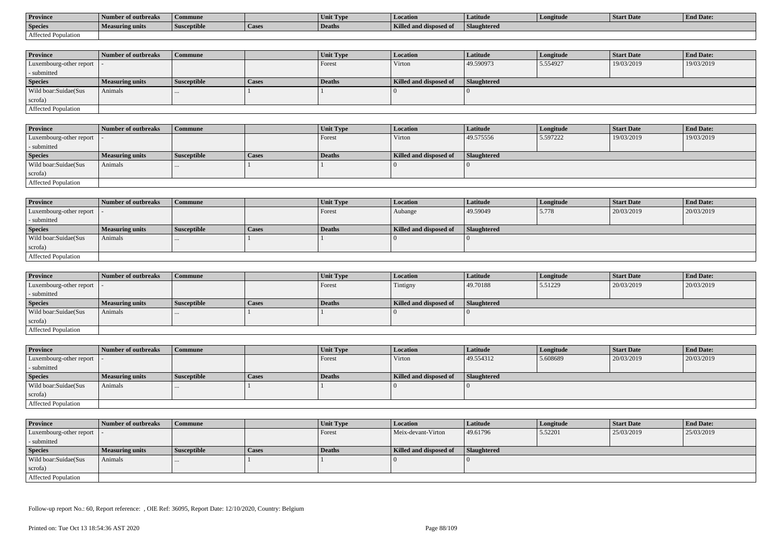| <b>Province</b>     | Number of outbreaks    | Commune            |                    | Unit Typ. | Location                             | Latitude    | Longitude | <b>Start Date</b> | <b>End Date:</b> |
|---------------------|------------------------|--------------------|--------------------|-----------|--------------------------------------|-------------|-----------|-------------------|------------------|
| <b>Species</b>      | <b>Measuring units</b> | <b>Susceptible</b> | <sup>1</sup> Cases | Deaths    | <b>Killed and disposy</b><br>™ od of | Slaughtered |           |                   |                  |
| Affected Population |                        |                    |                    |           |                                      |             |           |                   |                  |

| <b>Province</b>         | Number of outbreaks    | <b>Commune</b>     |              | Unit Type | <b>Location</b>        | <b>Latitude</b>    | Longitude | <b>Start Date</b> | <b>End Date:</b> |
|-------------------------|------------------------|--------------------|--------------|-----------|------------------------|--------------------|-----------|-------------------|------------------|
| Luxembourg-other report |                        |                    |              | Forest    | Virton                 | 49.590973          | 5.554927  | 19/03/2019        | 19/03/2019       |
| - submitted             |                        |                    |              |           |                        |                    |           |                   |                  |
| <b>Species</b>          | <b>Measuring units</b> | <b>Susceptible</b> | <b>Cases</b> | Deaths    | Killed and disposed of | <b>Slaughtered</b> |           |                   |                  |
| Wild boar:Suidae(Sus    | Animals                |                    |              |           |                        |                    |           |                   |                  |
| scrofa)                 |                        |                    |              |           |                        |                    |           |                   |                  |
| Affected Population     |                        |                    |              |           |                        |                    |           |                   |                  |

| <b>Province</b>            | Number of outbreaks | Commune            |              | <b>Unit Type</b> | Location               | Latitude    | Longitude | <b>Start Date</b> | <b>End Date:</b> |
|----------------------------|---------------------|--------------------|--------------|------------------|------------------------|-------------|-----------|-------------------|------------------|
| Luxembourg-other report  - |                     |                    |              | Forest           | Virton                 | 49.575556   | 5.597222  | 19/03/2019        | 19/03/2019       |
| - submitted                |                     |                    |              |                  |                        |             |           |                   |                  |
| <b>Species</b>             | Measuring units     | <b>Susceptible</b> | <b>Cases</b> | Deaths           | Killed and disposed of | Slaughtered |           |                   |                  |
| Wild boar:Suidae(Sus       | Animals             |                    |              |                  |                        |             |           |                   |                  |
| scrofa)                    |                     |                    |              |                  |                        |             |           |                   |                  |
| Affected Population        |                     |                    |              |                  |                        |             |           |                   |                  |

| <b>Province</b>            | Number of outbreaks    | Commune            |              | Unit Type | Location               | Latitude    | Longitude | <b>Start Date</b> | <b>End Date:</b> |
|----------------------------|------------------------|--------------------|--------------|-----------|------------------------|-------------|-----------|-------------------|------------------|
| Luxembourg-other report  - |                        |                    |              | Forest    | Aubange                | 49.59049    | 5.778     | 20/03/2019        | 20/03/2019       |
| - submitted                |                        |                    |              |           |                        |             |           |                   |                  |
| <b>Species</b>             | <b>Measuring units</b> | <b>Susceptible</b> | <b>Cases</b> | Deaths    | Killed and disposed of | Slaughtered |           |                   |                  |
| Wild boar:Suidae(Sus       | Animals                | $\cdots$           |              |           |                        |             |           |                   |                  |
| scrofa)                    |                        |                    |              |           |                        |             |           |                   |                  |
| Affected Population        |                        |                    |              |           |                        |             |           |                   |                  |

| <b>Province</b>         | Number of outbreaks    | <b>Commune</b>     |              | Unit Type | <i>Location</i>        | <b>Latitude</b> | Longitude | <b>Start Date</b> | <b>End Date:</b> |
|-------------------------|------------------------|--------------------|--------------|-----------|------------------------|-----------------|-----------|-------------------|------------------|
| Luxembourg-other report |                        |                    |              | Forest    | Tintigny               | 49.70188        | 5.51229   | 20/03/2019        | 20/03/2019       |
| - submitted             |                        |                    |              |           |                        |                 |           |                   |                  |
| <b>Species</b>          | <b>Measuring units</b> | <b>Susceptible</b> | <b>Cases</b> | Deaths    | Killed and disposed of | Slaughtered     |           |                   |                  |
| Wild boar:Suidae(Sus    | Animals                | $\cdots$           |              |           |                        |                 |           |                   |                  |
| scrofa)                 |                        |                    |              |           |                        |                 |           |                   |                  |
| Affected Population     |                        |                    |              |           |                        |                 |           |                   |                  |

| <b>Province</b>            | Number of outbreaks    | Commune            |       | Unit Type | <b>Location</b>        | <b>Latitude</b> | Longitude | <b>Start Date</b> | <b>End Date:</b> |
|----------------------------|------------------------|--------------------|-------|-----------|------------------------|-----------------|-----------|-------------------|------------------|
| Luxembourg-other report  - |                        |                    |       | Forest    | Virton                 | 49.554312       | 5.608689  | 20/03/2019        | 20/03/2019       |
| - submitted                |                        |                    |       |           |                        |                 |           |                   |                  |
| <b>Species</b>             | <b>Measuring units</b> | <b>Susceptible</b> | Cases | Deaths    | Killed and disposed of | Slaughtered     |           |                   |                  |
| Wild boar:Suidae(Sus       | Animals                | $\cdots$           |       |           |                        |                 |           |                   |                  |
| scrofa)                    |                        |                    |       |           |                        |                 |           |                   |                  |
| Affected Population        |                        |                    |       |           |                        |                 |           |                   |                  |

| <b>Province</b>            | Number of outbreaks    | <b>Commune</b>     |       | Unit Type     | <i>Location</i>        | <b>Latitude</b> | Longitude | <b>Start Date</b> | <b>End Date:</b> |
|----------------------------|------------------------|--------------------|-------|---------------|------------------------|-----------------|-----------|-------------------|------------------|
| Luxembourg-other report  - |                        |                    |       | Forest        | Meix-devant-Virton     | 49.61796        | 5.52201   | 25/03/2019        | 25/03/2019       |
| - submitted                |                        |                    |       |               |                        |                 |           |                   |                  |
| <b>Species</b>             | <b>Measuring units</b> | <b>Susceptible</b> | Cases | <b>Deaths</b> | Killed and disposed of | Slaughtered     |           |                   |                  |
| Wild boar:Suidae(Sus       | Animals                | $\cdots$           |       |               |                        |                 |           |                   |                  |
| scrofa)                    |                        |                    |       |               |                        |                 |           |                   |                  |
| Affected Population        |                        |                    |       |               |                        |                 |           |                   |                  |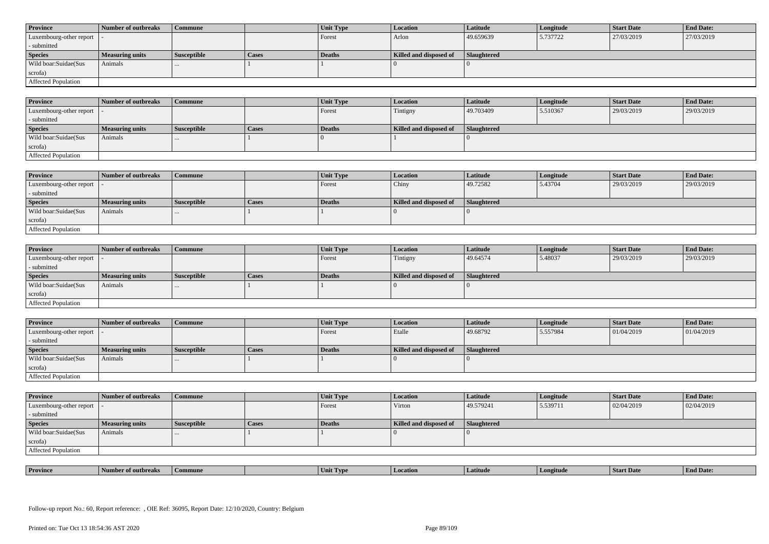| <b>Province</b>            | Number of outbreaks    | <b>Commune</b>     |              | Unit Type | Location               | <b>Latitude</b> | Longitude | <b>Start Date</b> | <b>End Date:</b> |
|----------------------------|------------------------|--------------------|--------------|-----------|------------------------|-----------------|-----------|-------------------|------------------|
| Luxembourg-other report  - |                        |                    |              | Forest    | Arlon                  | 49.659639       | 5.737722  | 27/03/2019        | 27/03/2019       |
| - submitted                |                        |                    |              |           |                        |                 |           |                   |                  |
| <b>Species</b>             | <b>Measuring units</b> | <b>Susceptible</b> | <b>Cases</b> | Deaths    | Killed and disposed of | Slaughtered     |           |                   |                  |
| Wild boar: Suidae (Sus     | Animals                |                    |              |           |                        |                 |           |                   |                  |
| scrofa)                    |                        |                    |              |           |                        |                 |           |                   |                  |
| Affected Population        |                        |                    |              |           |                        |                 |           |                   |                  |

| <b>Province</b>         | Number of outbreaks    | <b>Commune</b>     |       | Unit Type | <b>Location</b>        | Latitude    | Longitude | <b>Start Date</b> | <b>End Date:</b> |
|-------------------------|------------------------|--------------------|-------|-----------|------------------------|-------------|-----------|-------------------|------------------|
| Luxembourg-other report |                        |                    |       | Forest    | Tintigny               | 49.703409   | 5.510367  | 29/03/2019        | 29/03/2019       |
| - submitted             |                        |                    |       |           |                        |             |           |                   |                  |
| <b>Species</b>          | <b>Measuring units</b> | <b>Susceptible</b> | Cases | Deaths    | Killed and disposed of | Slaughtered |           |                   |                  |
| Wild boar:Suidae(Sus    | Animals                | $\cdots$           |       |           |                        |             |           |                   |                  |
| scrofa)                 |                        |                    |       |           |                        |             |           |                   |                  |
| Affected Population     |                        |                    |       |           |                        |             |           |                   |                  |

| <b>Province</b>         | Number of outbreaks    | Commune            |              | Unit Type | Location               | Latitude    | Longitude | <b>Start Date</b> | <b>End Date:</b> |
|-------------------------|------------------------|--------------------|--------------|-----------|------------------------|-------------|-----------|-------------------|------------------|
| Luxembourg-other report |                        |                    |              | Forest    | Chiny                  | 49.72582    | 5.43704   | 29/03/2019        | 29/03/2019       |
| - submitted             |                        |                    |              |           |                        |             |           |                   |                  |
| <b>Species</b>          | <b>Measuring units</b> | <b>Susceptible</b> | <b>Cases</b> | Deaths    | Killed and disposed of | Slaughtered |           |                   |                  |
| Wild boar:Suidae(Sus    | Animals                |                    |              |           |                        |             |           |                   |                  |
| scrofa)                 |                        |                    |              |           |                        |             |           |                   |                  |
| Affected Population     |                        |                    |              |           |                        |             |           |                   |                  |

| <b>Province</b>            | Number of outbreaks    | <b>Commune</b>     |              | <b>Unit Type</b> | <i>Location</i>        | <b>Latitude</b>    | Longitude | <b>Start Date</b> | <b>End Date:</b> |
|----------------------------|------------------------|--------------------|--------------|------------------|------------------------|--------------------|-----------|-------------------|------------------|
| Luxembourg-other report  - |                        |                    |              | Forest           | Tintigny               | 49.64574           | 5.48037   | 29/03/2019        | 29/03/2019       |
| - submitted                |                        |                    |              |                  |                        |                    |           |                   |                  |
| <b>Species</b>             | <b>Measuring units</b> | <b>Susceptible</b> | <b>Cases</b> | <b>Deaths</b>    | Killed and disposed of | <b>Slaughtered</b> |           |                   |                  |
| Wild boar:Suidae(Sus       | Animals                |                    |              |                  |                        |                    |           |                   |                  |
| scrofa)                    |                        |                    |              |                  |                        |                    |           |                   |                  |
| Affected Population        |                        |                    |              |                  |                        |                    |           |                   |                  |

| <b>Province</b>            | Number of outbreaks | Commune            |       | Unit Type | <b>Location</b>        | Latitude           | Longitude | <b>Start Date</b> | <b>End Date:</b> |
|----------------------------|---------------------|--------------------|-------|-----------|------------------------|--------------------|-----------|-------------------|------------------|
| Luxembourg-other report  - |                     |                    |       | Forest    | Etalle                 | 49.68792           | 5.557984  | 01/04/2019        | 01/04/2019       |
| - submitted                |                     |                    |       |           |                        |                    |           |                   |                  |
| <b>Species</b>             | Measuring units     | <b>Susceptible</b> | Cases | Deaths    | Killed and disposed of | <b>Slaughtered</b> |           |                   |                  |
| Wild boar:Suidae(Sus       | Animals             | $\cdots$           |       |           |                        |                    |           |                   |                  |
| scrofa)                    |                     |                    |       |           |                        |                    |           |                   |                  |
|                            |                     |                    |       |           |                        |                    |           |                   |                  |

| <b>Province</b>            | Number of outbreaks    | Commune            |              | <b>Unit Type</b> | <b>Location</b>        | Latitude    | Longitude | <b>Start Date</b> | <b>End Date:</b> |
|----------------------------|------------------------|--------------------|--------------|------------------|------------------------|-------------|-----------|-------------------|------------------|
| Luxembourg-other report  - |                        |                    |              | Forest           | Virton                 | 49.579241   | 5.539711  | 02/04/2019        | 02/04/2019       |
| - submitted                |                        |                    |              |                  |                        |             |           |                   |                  |
| <b>Species</b>             | <b>Measuring units</b> | <b>Susceptible</b> | <b>Cases</b> | <b>Deaths</b>    | Killed and disposed of | Slaughtered |           |                   |                  |
| Wild boar:Suidae(Sus       | Animals                | $\cdots$           |              |                  |                        |             |           |                   |                  |
| scrofa)                    |                        |                    |              |                  |                        |             |           |                   |                  |
| <b>Affected Population</b> |                        |                    |              |                  |                        |             |           |                   |                  |

| . | <b>Province</b> |         |       | U VD. |            |         | <b>Start Date</b> | $\mathbf{r}$<br>nd Date:<br>- Enc |
|---|-----------------|---------|-------|-------|------------|---------|-------------------|-----------------------------------|
|   |                 | tnreak: | nmune | Unit  | . Latitud⁄ | ngitude |                   |                                   |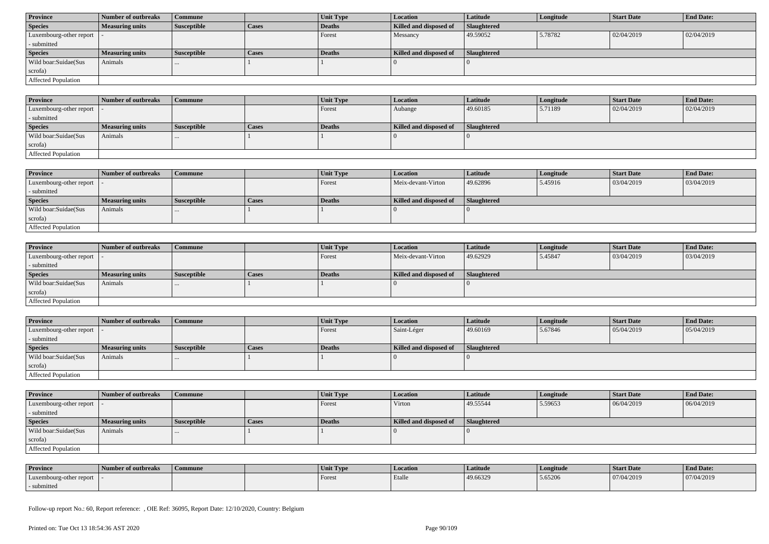| <b>Province</b>            | Number of outbreaks    | Commune            |              | Unit Type | <b>Location</b>        | <b>Latitude</b>    | Longitude | <b>Start Date</b> | <b>End Date:</b> |
|----------------------------|------------------------|--------------------|--------------|-----------|------------------------|--------------------|-----------|-------------------|------------------|
| <b>Species</b>             | <b>Measuring units</b> | <b>Susceptible</b> | <b>Cases</b> | Deaths    | Killed and disposed of | <b>Slaughtered</b> |           |                   |                  |
| Luxembourg-other report  - |                        |                    |              | Forest    | Messancy               | 49.59052           | 5.78782   | 02/04/2019        | 02/04/2019       |
| - submitted                |                        |                    |              |           |                        |                    |           |                   |                  |
| <b>Species</b>             | <b>Measuring units</b> | <b>Susceptible</b> | <b>Cases</b> | Deaths    | Killed and disposed of | Slaughtered        |           |                   |                  |
| Wild boar:Suidae(Sus       | Animals                | $\cdots$           |              |           |                        |                    |           |                   |                  |
| scrofa)                    |                        |                    |              |           |                        |                    |           |                   |                  |
| Affected Population        |                        |                    |              |           |                        |                    |           |                   |                  |

| <b>Province</b>             | Number of outbreaks    | Commune            |       | Unit Type     | Location               | <b>Latitude</b>    | Longitude | <b>Start Date</b> | <b>End Date:</b> |
|-----------------------------|------------------------|--------------------|-------|---------------|------------------------|--------------------|-----------|-------------------|------------------|
| Luxembourg-other report   - |                        |                    |       | Forest        | Aubange                | 49.60185           | 5.71189   | 02/04/2019        | 02/04/2019       |
| - submitted                 |                        |                    |       |               |                        |                    |           |                   |                  |
| <b>Species</b>              | <b>Measuring units</b> | <b>Susceptible</b> | Cases | <b>Deaths</b> | Killed and disposed of | <b>Slaughtered</b> |           |                   |                  |
| Wild boar:Suidae(Sus        | Animals                | $\cdots$           |       |               |                        |                    |           |                   |                  |
| scrofa)                     |                        |                    |       |               |                        |                    |           |                   |                  |
| <b>Affected Population</b>  |                        |                    |       |               |                        |                    |           |                   |                  |

| <b>Province</b>         | Number of outbreaks    | Commune            |       | <b>Unit Type</b> | <b>Location</b>        | <b>Latitude</b> | Longitude | <b>Start Date</b> | <b>End Date:</b> |
|-------------------------|------------------------|--------------------|-------|------------------|------------------------|-----------------|-----------|-------------------|------------------|
| Luxembourg-other report |                        |                    |       | Forest           | Meix-devant-Virton     | 49.62896        | 5.45916   | 03/04/2019        | 03/04/2019       |
| - submitted             |                        |                    |       |                  |                        |                 |           |                   |                  |
| <b>Species</b>          | <b>Measuring units</b> | <b>Susceptible</b> | Cases | Deaths           | Killed and disposed of | Slaughtered     |           |                   |                  |
| Wild boar:Suidae(Sus    | Animals                | $\cdots$           |       |                  |                        |                 |           |                   |                  |
| scrofa)                 |                        |                    |       |                  |                        |                 |           |                   |                  |
| Affected Population     |                        |                    |       |                  |                        |                 |           |                   |                  |

| <b>Province</b>            | Number of outbreaks    | <b>Commune</b>     |              | <b>Unit Type</b> | <i>Location</i>        | <b>Latitude</b>    | Longitude | <b>Start Date</b> | <b>End Date:</b> |
|----------------------------|------------------------|--------------------|--------------|------------------|------------------------|--------------------|-----------|-------------------|------------------|
| Luxembourg-other report  - |                        |                    |              | Forest           | Meix-devant-Virton     | 49.62929           | 5.45847   | 03/04/2019        | 03/04/2019       |
| - submitted                |                        |                    |              |                  |                        |                    |           |                   |                  |
| <b>Species</b>             | <b>Measuring units</b> | <b>Susceptible</b> | <b>Cases</b> | Deaths           | Killed and disposed of | <b>Slaughtered</b> |           |                   |                  |
| Wild boar:Suidae(Sus       | Animals                | $\cdots$           |              |                  |                        |                    |           |                   |                  |
| scrofa)                    |                        |                    |              |                  |                        |                    |           |                   |                  |
| Affected Population        |                        |                    |              |                  |                        |                    |           |                   |                  |

| <b>Province</b>            | Number of outbreaks    | <b>Commune</b>     |              | <b>Unit Type</b> | <b>Location</b>        | Latitude           | Longitude | <b>Start Date</b> | <b>End Date:</b> |
|----------------------------|------------------------|--------------------|--------------|------------------|------------------------|--------------------|-----------|-------------------|------------------|
| Luxembourg-other report  - |                        |                    |              | Forest           | Saint-Léger            | 49.60169           | 5.67846   | 05/04/2019        | 05/04/2019       |
| - submitted                |                        |                    |              |                  |                        |                    |           |                   |                  |
| <b>Species</b>             | <b>Measuring units</b> | <b>Susceptible</b> | <b>Cases</b> | <b>Deaths</b>    | Killed and disposed of | <b>Slaughtered</b> |           |                   |                  |
| Wild boar:Suidae(Sus       | Animals                |                    |              |                  |                        |                    |           |                   |                  |
| scrofa)                    |                        |                    |              |                  |                        |                    |           |                   |                  |
| Affected Population        |                        |                    |              |                  |                        |                    |           |                   |                  |

| <b>Province</b>         | Number of outbreaks    | <b>Commune</b>     |       | Unit Type | <b>Location</b>        | <b>Latitude</b>    | Longitude | <b>Start Date</b> | <b>End Date:</b> |
|-------------------------|------------------------|--------------------|-------|-----------|------------------------|--------------------|-----------|-------------------|------------------|
| Luxembourg-other report |                        |                    |       | Forest    | Virton                 | 49.55544           | 5.59653   | 06/04/2019        | 06/04/2019       |
| - submitted             |                        |                    |       |           |                        |                    |           |                   |                  |
| <b>Species</b>          | <b>Measuring units</b> | <b>Susceptible</b> | Cases | Deaths    | Killed and disposed of | <b>Slaughtered</b> |           |                   |                  |
| Wild boar:Suidae(Sus    | Animals                |                    |       |           |                        |                    |           |                   |                  |
|                         |                        |                    |       |           |                        |                    |           |                   |                  |
| scrofa)                 |                        |                    |       |           |                        |                    |           |                   |                  |

| <b>Province</b>         | Number of outbreaks | Commune | Unit Type | Location | Latitude | Longitude | Start Date | <b>End Date:</b> |
|-------------------------|---------------------|---------|-----------|----------|----------|-----------|------------|------------------|
| Luxembourg-other report |                     |         | Forest    | Etalle   | 49.66329 | 5.65206   | 07/04/2019 | 07/04/2019       |
| - submitted             |                     |         |           |          |          |           |            |                  |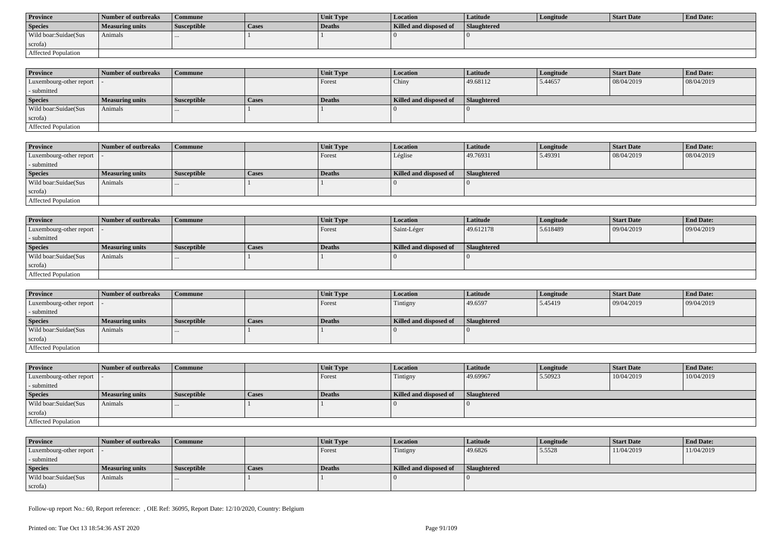| <b>Province</b>      | Number of outbreaks | Commune            |       | <b>Unit Type</b> | Location               | Latitude           | Longitude | Start Date | <b>End Date:</b> |
|----------------------|---------------------|--------------------|-------|------------------|------------------------|--------------------|-----------|------------|------------------|
| <b>Species</b>       | Measuring units     | <b>Susceptible</b> | Cases | Deaths           | Killed and disposed of | <b>Slaughtered</b> |           |            |                  |
| Wild boar:Suidae(Sus | Animals             |                    |       |                  |                        |                    |           |            |                  |
| scrofa)              |                     |                    |       |                  |                        |                    |           |            |                  |
| Affected Population  |                     |                    |       |                  |                        |                    |           |            |                  |

| <b>Province</b>            | Number of outbreaks | Commune            |              | <b>Unit Type</b> | <b>Location</b>        | <b>Latitude</b>    | Longitude | <b>Start Date</b> | <b>End Date:</b> |
|----------------------------|---------------------|--------------------|--------------|------------------|------------------------|--------------------|-----------|-------------------|------------------|
| Luxembourg-other report  - |                     |                    |              | Forest           | Chiny                  | 49.68112           | 5.44657   | 08/04/2019        | 08/04/2019       |
| - submitted                |                     |                    |              |                  |                        |                    |           |                   |                  |
| <b>Species</b>             | Measuring units     | <b>Susceptible</b> | <b>Cases</b> | <b>Deaths</b>    | Killed and disposed of | <b>Slaughtered</b> |           |                   |                  |
| Wild boar:Suidae(Sus       | Animals             | $\cdots$           |              |                  |                        |                    |           |                   |                  |
| scrofa)                    |                     |                    |              |                  |                        |                    |           |                   |                  |
| Affected Population        |                     |                    |              |                  |                        |                    |           |                   |                  |

| <b>Province</b>         | Number of outbreaks    | <b>Commune</b>     |       | <b>Unit Type</b> | Location               | <b>Latitude</b> | Longitude | <b>Start Date</b> | <b>End Date:</b> |
|-------------------------|------------------------|--------------------|-------|------------------|------------------------|-----------------|-----------|-------------------|------------------|
| Luxembourg-other report |                        |                    |       | Forest           | Léglise                | 49.76931        | 5.49391   | 08/04/2019        | 08/04/2019       |
| - submitted             |                        |                    |       |                  |                        |                 |           |                   |                  |
| <b>Species</b>          | <b>Measuring units</b> | <b>Susceptible</b> | Cases | Deaths           | Killed and disposed of | Slaughtered     |           |                   |                  |
| Wild boar:Suidae(Sus    | Animals                |                    |       |                  |                        |                 |           |                   |                  |
| scrofa)                 |                        |                    |       |                  |                        |                 |           |                   |                  |
| Affected Population     |                        |                    |       |                  |                        |                 |           |                   |                  |

| <b>Province</b>            | Number of outbreaks    | Commune            |              | Unit Type | Location               | Latitude    | Longitude | <b>Start Date</b> | <b>End Date:</b> |
|----------------------------|------------------------|--------------------|--------------|-----------|------------------------|-------------|-----------|-------------------|------------------|
| Luxembourg-other report  - |                        |                    |              | Forest    | Saint-Léger            | 49.612178   | 5.618489  | 09/04/2019        | 09/04/2019       |
| - submitted                |                        |                    |              |           |                        |             |           |                   |                  |
| <b>Species</b>             | <b>Measuring units</b> | <b>Susceptible</b> | <b>Cases</b> | Deaths    | Killed and disposed of | Slaughtered |           |                   |                  |
| Wild boar:Suidae(Sus       | Animals                | $\cdots$           |              |           |                        |             |           |                   |                  |
| scrofa)                    |                        |                    |              |           |                        |             |           |                   |                  |
| Affected Population        |                        |                    |              |           |                        |             |           |                   |                  |

| <b>Province</b>            | Number of outbreaks    | Commune            |              | <b>Unit Type</b> | Location               | Latitude    | Longitude | <b>Start Date</b> | <b>End Date:</b> |
|----------------------------|------------------------|--------------------|--------------|------------------|------------------------|-------------|-----------|-------------------|------------------|
| Luxembourg-other report  - |                        |                    |              | Forest           | Tintigny               | 49.6597     | 5.45419   | 09/04/2019        | 09/04/2019       |
| - submitted                |                        |                    |              |                  |                        |             |           |                   |                  |
| <b>Species</b>             | <b>Measuring units</b> | <b>Susceptible</b> | <b>Cases</b> | Deaths           | Killed and disposed of | Slaughtered |           |                   |                  |
| Wild boar:Suidae(Sus       | Animals                |                    |              |                  |                        |             |           |                   |                  |
| scrofa)                    |                        |                    |              |                  |                        |             |           |                   |                  |
| Affected Population        |                        |                    |              |                  |                        |             |           |                   |                  |

| <b>Province</b>            | Number of outbreaks    | <b>Commune</b>     |              | Unit Type | Location               | <b>Latitude</b> | Longitude | <b>Start Date</b> | <b>End Date:</b> |
|----------------------------|------------------------|--------------------|--------------|-----------|------------------------|-----------------|-----------|-------------------|------------------|
| Luxembourg-other report  - |                        |                    |              | Forest    | Tintigny               | 49.69967        | 5.50923   | 10/04/2019        | 10/04/2019       |
| - submitted                |                        |                    |              |           |                        |                 |           |                   |                  |
| <b>Species</b>             | <b>Measuring units</b> | <b>Susceptible</b> | <b>Cases</b> | Deaths    | Killed and disposed of | Slaughtered     |           |                   |                  |
| Wild boar:Suidae(Sus       | Animals                |                    |              |           |                        |                 |           |                   |                  |
| scrofa)                    |                        |                    |              |           |                        |                 |           |                   |                  |
| Affected Population        |                        |                    |              |           |                        |                 |           |                   |                  |

| <b>Province</b>            | Number of outbreaks | Commune            |       | <b>Unit Type</b> | <b>Location</b>        | Latitude    | Longitude | Start Date | <b>End Date:</b> |
|----------------------------|---------------------|--------------------|-------|------------------|------------------------|-------------|-----------|------------|------------------|
| Luxembourg-other report  - |                     |                    |       | Forest           | Tintigny               | 49.6826     | 5.5528    | 11/04/2019 | 11/04/2019       |
| - submitted                |                     |                    |       |                  |                        |             |           |            |                  |
| <b>Species</b>             | Measuring units     | <b>Susceptible</b> | Cases | Deaths           | Killed and disposed of | Slaughtered |           |            |                  |
| Wild boar:Suidae(Sus       | Animals             |                    |       |                  |                        |             |           |            |                  |
| scrofa)                    |                     |                    |       |                  |                        |             |           |            |                  |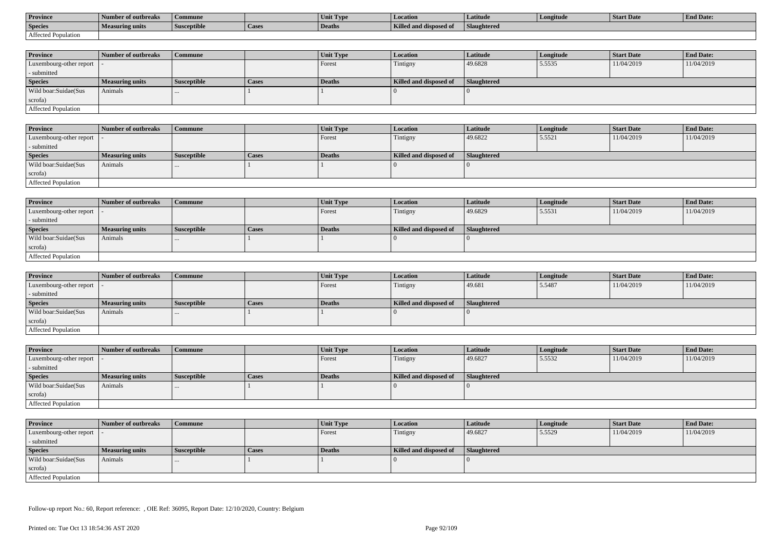| <b>Province</b>     | Number of outbreaks    | Commune            |                    | Unit Typ. | Location                             | Latitude    | Longitude | <b>Start Date</b> | <b>End Date:</b> |
|---------------------|------------------------|--------------------|--------------------|-----------|--------------------------------------|-------------|-----------|-------------------|------------------|
| <b>Species</b>      | <b>Measuring units</b> | <b>Susceptible</b> | <sup>1</sup> Cases | Deaths    | <b>Killed and disposy</b><br>™ od of | Slaughtered |           |                   |                  |
| Affected Population |                        |                    |                    |           |                                      |             |           |                   |                  |

| <b>Province</b>                           | Number of outbreaks    | Commune            |              | Unit Type | Location               | Latitude    | Longitude | <b>Start Date</b> | <b>End Date:</b> |
|-------------------------------------------|------------------------|--------------------|--------------|-----------|------------------------|-------------|-----------|-------------------|------------------|
| $\vert$ Luxembourg-other report $\vert$ . |                        |                    |              | Forest    | Tintigny               | 49.6828     | 5.5535    | 11/04/2019        | 11/04/2019       |
| - submitted                               |                        |                    |              |           |                        |             |           |                   |                  |
| <b>Species</b>                            | <b>Measuring units</b> | <b>Susceptible</b> | <b>Cases</b> | Deaths    | Killed and disposed of | Slaughtered |           |                   |                  |
| Wild boar: Suidae (Sus                    | Animals                |                    |              |           |                        |             |           |                   |                  |
| scrofa)                                   |                        |                    |              |           |                        |             |           |                   |                  |
| Affected Population                       |                        |                    |              |           |                        |             |           |                   |                  |

| <b>Province</b>            | Number of outbreaks    | <b>Commune</b>     |              | Unit Type | <b>Location</b>        | Latitude    | Longitude | <b>Start Date</b> | <b>End Date:</b> |
|----------------------------|------------------------|--------------------|--------------|-----------|------------------------|-------------|-----------|-------------------|------------------|
| Luxembourg-other report  - |                        |                    |              | Forest    | Tintigny               | 49.6822     | 5.5521    | 11/04/2019        | 11/04/2019       |
| - submitted                |                        |                    |              |           |                        |             |           |                   |                  |
| <b>Species</b>             | <b>Measuring units</b> | <b>Susceptible</b> | <b>Cases</b> | Deaths    | Killed and disposed of | Slaughtered |           |                   |                  |
| Wild boar:Suidae(Sus       | Animals                |                    |              |           |                        |             |           |                   |                  |
| scrofa)                    |                        |                    |              |           |                        |             |           |                   |                  |
| Affected Population        |                        |                    |              |           |                        |             |           |                   |                  |

| <b>Province</b>            | Number of outbreaks    | <b>Commune</b>     |              | Unit Type | <i>Location</i>        | Latitude    | Longitude | <b>Start Date</b> | <b>End Date:</b> |
|----------------------------|------------------------|--------------------|--------------|-----------|------------------------|-------------|-----------|-------------------|------------------|
| Luxembourg-other report  - |                        |                    |              | Forest    | Tintigny               | 49.6829     | 5.5531    | 11/04/2019        | 11/04/2019       |
| - submitted                |                        |                    |              |           |                        |             |           |                   |                  |
| <b>Species</b>             | <b>Measuring units</b> | <b>Susceptible</b> | <b>Cases</b> | Deaths    | Killed and disposed of | Slaughtered |           |                   |                  |
| Wild boar:Suidae(Sus       | Animals                |                    |              |           |                        |             |           |                   |                  |
| scrofa)                    |                        |                    |              |           |                        |             |           |                   |                  |
| Affected Population        |                        |                    |              |           |                        |             |           |                   |                  |

| <b>Province</b>            | Number of outbreaks | Commune            |              | Unit Type     | <i>Location</i>        | Latitude           | Longitude | <b>Start Date</b> | <b>End Date:</b> |
|----------------------------|---------------------|--------------------|--------------|---------------|------------------------|--------------------|-----------|-------------------|------------------|
| Luxembourg-other report  - |                     |                    |              | Forest        | Tintigny               | 49.681             | 5.5487    | 11/04/2019        | 11/04/2019       |
| - submitted                |                     |                    |              |               |                        |                    |           |                   |                  |
| <b>Species</b>             | Measuring units     | <b>Susceptible</b> | <b>Cases</b> | <b>Deaths</b> | Killed and disposed of | <b>Slaughtered</b> |           |                   |                  |
| Wild boar:Suidae(Sus       | Animals             | $\cdots$           |              |               |                        |                    |           |                   |                  |
| scrofa)                    |                     |                    |              |               |                        |                    |           |                   |                  |
| Affected Population        |                     |                    |              |               |                        |                    |           |                   |                  |

| <b>Province</b>            | Number of outbreaks    | <b>Commune</b>     |       | Unit Type | <b>Location</b>        | Latitude    | Longitude | <b>Start Date</b> | <b>End Date:</b> |
|----------------------------|------------------------|--------------------|-------|-----------|------------------------|-------------|-----------|-------------------|------------------|
| Luxembourg-other report    |                        |                    |       | Forest    | Tintigny               | 49.6827     | 5.5532    | 11/04/2019        | 11/04/2019       |
| - submitted                |                        |                    |       |           |                        |             |           |                   |                  |
| <b>Species</b>             | <b>Measuring units</b> | <b>Susceptible</b> | Cases | Deaths    | Killed and disposed of | Slaughtered |           |                   |                  |
| Wild boar:Suidae(Sus       | Animals                |                    |       |           |                        |             |           |                   |                  |
| scrofa)                    |                        |                    |       |           |                        |             |           |                   |                  |
| <b>Affected Population</b> |                        |                    |       |           |                        |             |           |                   |                  |

| <b>Province</b>            | Number of outbreaks | <b>Commune</b>     |       | <b>Unit Type</b> | Location               | Latitude           | Longitude | <b>Start Date</b> | <b>End Date:</b> |
|----------------------------|---------------------|--------------------|-------|------------------|------------------------|--------------------|-----------|-------------------|------------------|
| Luxembourg-other report  - |                     |                    |       | Forest           | Tintigny               | 49.6827            | 5.5529    | 11/04/2019        | 11/04/2019       |
| - submitted                |                     |                    |       |                  |                        |                    |           |                   |                  |
| <b>Species</b>             | Measuring units     | <b>Susceptible</b> | Cases | Deaths           | Killed and disposed of | <b>Slaughtered</b> |           |                   |                  |
| Wild boar:Suidae(Sus       | Animals             | $\cdots$           |       |                  |                        |                    |           |                   |                  |
| scrofa)                    |                     |                    |       |                  |                        |                    |           |                   |                  |
| Affected Population        |                     |                    |       |                  |                        |                    |           |                   |                  |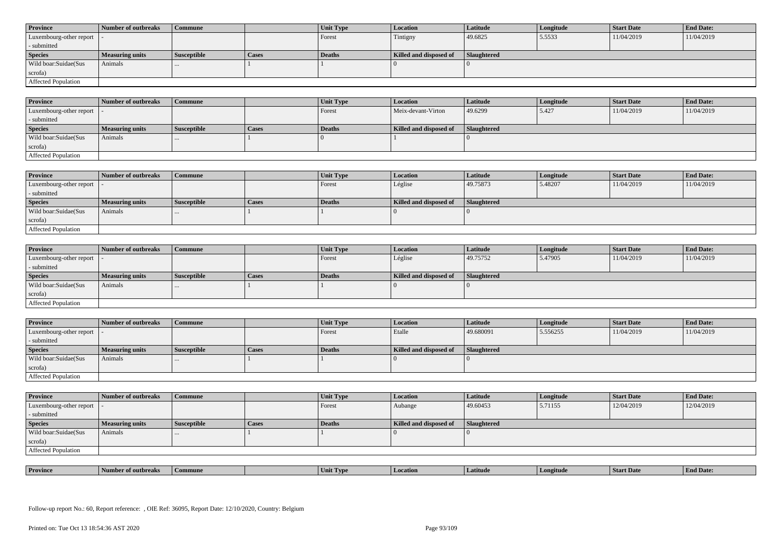| <b>Province</b>            | Number of outbreaks    | <b>Commune</b>     |              | Unit Type | Location               | <b>Latitude</b> | Longitude | <b>Start Date</b> | <b>End Date:</b> |
|----------------------------|------------------------|--------------------|--------------|-----------|------------------------|-----------------|-----------|-------------------|------------------|
| Luxembourg-other report  - |                        |                    |              | Forest    | Tintigny               | 49.6825         | 5.5533    | 11/04/2019        | 11/04/2019       |
| - submitted                |                        |                    |              |           |                        |                 |           |                   |                  |
| <b>Species</b>             | <b>Measuring units</b> | <b>Susceptible</b> | <b>Cases</b> | Deaths    | Killed and disposed of | Slaughtered     |           |                   |                  |
| Wild boar: Suidae (Sus     | Animals                |                    |              |           |                        |                 |           |                   |                  |
| scrofa)                    |                        |                    |              |           |                        |                 |           |                   |                  |
| <b>Affected Population</b> |                        |                    |              |           |                        |                 |           |                   |                  |

| <b>Province</b>         | Number of outbreaks | <b>Commune</b>     |       | Unit Type | <b>Location</b>        | Latitude    | Longitude | <b>Start Date</b> | <b>End Date:</b> |
|-------------------------|---------------------|--------------------|-------|-----------|------------------------|-------------|-----------|-------------------|------------------|
| Luxembourg-other report |                     |                    |       | Forest    | Meix-devant-Virton     | 49.6299     | 5.427     | 11/04/2019        | 11/04/2019       |
| - submitted             |                     |                    |       |           |                        |             |           |                   |                  |
| <b>Species</b>          | Measuring units     | <b>Susceptible</b> | Cases | Deaths    | Killed and disposed of | Slaughtered |           |                   |                  |
| Wild boar:Suidae(Sus    | Animals             |                    |       |           |                        |             |           |                   |                  |
| scrofa)                 |                     |                    |       |           |                        |             |           |                   |                  |
| Affected Population     |                     |                    |       |           |                        |             |           |                   |                  |

| <b>Province</b>            | Number of outbreaks | Commune              |              | Unit Type | Location               | <b>Latitude</b> | Longitude | Start Date | <b>End Date:</b> |
|----------------------------|---------------------|----------------------|--------------|-----------|------------------------|-----------------|-----------|------------|------------------|
| Luxembourg-other report  - |                     |                      |              | Forest    | Léglise                | 49.75873        | 5.48207   | 11/04/2019 | 11/04/2019       |
| submitted                  |                     |                      |              |           |                        |                 |           |            |                  |
| <b>Species</b>             | Measuring units     | <b>Susceptible</b>   | <b>Cases</b> | Deaths    | Killed and disposed of | Slaughtered     |           |            |                  |
| Wild boar:Suidae(Sus       | Animals             | $\sim$ $\sim$ $\sim$ |              |           |                        |                 |           |            |                  |
| scrofa)                    |                     |                      |              |           |                        |                 |           |            |                  |
| Affected Population        |                     |                      |              |           |                        |                 |           |            |                  |

| <b>Province</b>            | Number of outbreaks    | <b>Commune</b>     |       | <b>Unit Type</b> | <i>Location</i>        | Latitude           | Longitude | <b>Start Date</b> | <b>End Date:</b> |
|----------------------------|------------------------|--------------------|-------|------------------|------------------------|--------------------|-----------|-------------------|------------------|
| Luxembourg-other report  - |                        |                    |       | Forest           | Léglise                | 49.75752           | 5.47905   | 11/04/2019        | 11/04/2019       |
| - submitted                |                        |                    |       |                  |                        |                    |           |                   |                  |
| <b>Species</b>             | <b>Measuring units</b> | <b>Susceptible</b> | Cases | <b>Deaths</b>    | Killed and disposed of | <b>Slaughtered</b> |           |                   |                  |
| Wild boar:Suidae(Sus       | Animals                | $\cdots$           |       |                  |                        |                    |           |                   |                  |
| scrofa)                    |                        |                    |       |                  |                        |                    |           |                   |                  |
| Affected Population        |                        |                    |       |                  |                        |                    |           |                   |                  |

| <b>Province</b>             | <b>Number of outbreaks</b> | <b>Commune</b>     |       | Unit Type | <b>Location</b>        | <b>Latitude</b>    | Longitude | <b>Start Date</b> | <b>End Date:</b> |
|-----------------------------|----------------------------|--------------------|-------|-----------|------------------------|--------------------|-----------|-------------------|------------------|
| Luxembourg-other report   - |                            |                    |       | Forest    | Etalle                 | 49.680091          | 5.556255  | 11/04/2019        | 11/04/2019       |
| - submitted                 |                            |                    |       |           |                        |                    |           |                   |                  |
| <b>Species</b>              | <b>Measuring units</b>     | <b>Susceptible</b> | Cases | Deaths    | Killed and disposed of | <b>Slaughtered</b> |           |                   |                  |
| Wild boar:Suidae(Sus        | Animals                    |                    |       |           |                        |                    |           |                   |                  |
| scrofa)                     |                            |                    |       |           |                        |                    |           |                   |                  |
|                             |                            |                    |       |           |                        |                    |           |                   |                  |

| <b>Province</b>            | Number of outbreaks    | <b>Commune</b>     |       | Unit Type | Location               | <b>Latitude</b>    | Longitude | <b>Start Date</b> | <b>End Date:</b> |
|----------------------------|------------------------|--------------------|-------|-----------|------------------------|--------------------|-----------|-------------------|------------------|
| Luxembourg-other report  - |                        |                    |       | Forest    | Aubange                | 49.60453           | 5.71155   | 12/04/2019        | 12/04/2019       |
| - submitted                |                        |                    |       |           |                        |                    |           |                   |                  |
| <b>Species</b>             | <b>Measuring units</b> | <b>Susceptible</b> | Cases | Deaths    | Killed and disposed of | <b>Slaughtered</b> |           |                   |                  |
| Wild boar: Suidae (Sus     | Animals                |                    |       |           |                        |                    |           |                   |                  |
| scrofa)                    |                        |                    |       |           |                        |                    |           |                   |                  |
| Affected Population        |                        |                    |       |           |                        |                    |           |                   |                  |

| <b>Province</b> | <b>CONTRACTOR</b><br>er of outbreaks | Commune | . IVP | <i>cation</i><br>l Loc | Latitud | gitud | SIAIT Dave | <b>d</b> Date: |
|-----------------|--------------------------------------|---------|-------|------------------------|---------|-------|------------|----------------|
|                 |                                      |         |       |                        |         |       |            |                |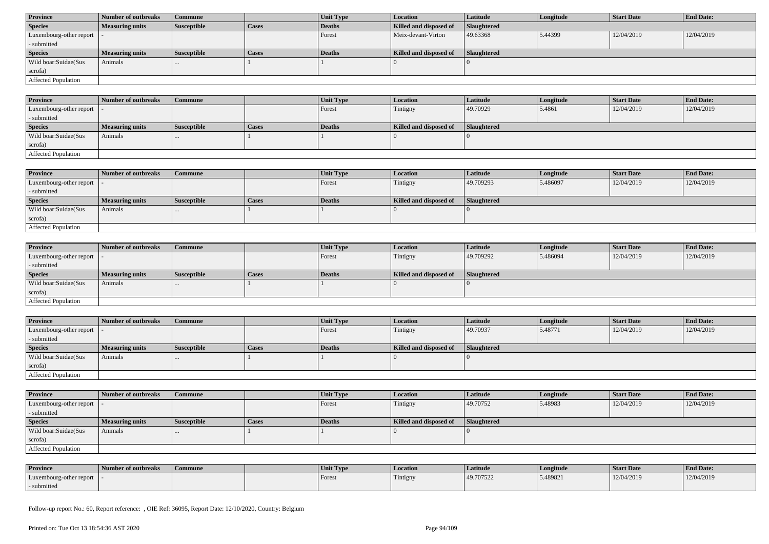| <b>Province</b>            | Number of outbreaks    | Commune            |              | Unit Type | <b>Location</b>        | <b>Latitude</b> | Longitude | <b>Start Date</b> | <b>End Date:</b> |
|----------------------------|------------------------|--------------------|--------------|-----------|------------------------|-----------------|-----------|-------------------|------------------|
| <b>Species</b>             | <b>Measuring units</b> | <b>Susceptible</b> | <b>Cases</b> | Deaths    | Killed and disposed of | Slaughtered     |           |                   |                  |
| Luxembourg-other report  - |                        |                    |              | Forest    | Meix-devant-Virton     | 49.63368        | 5.44399   | 12/04/2019        | 12/04/2019       |
| - submitted                |                        |                    |              |           |                        |                 |           |                   |                  |
| <b>Species</b>             | <b>Measuring units</b> | <b>Susceptible</b> | <b>Cases</b> | Deaths    | Killed and disposed of | Slaughtered     |           |                   |                  |
| Wild boar:Suidae(Sus       | Animals                | $\cdots$           |              |           |                        |                 |           |                   |                  |
| scrofa)                    |                        |                    |              |           |                        |                 |           |                   |                  |
| Affected Population        |                        |                    |              |           |                        |                 |           |                   |                  |

| <b>Province</b>             | Number of outbreaks    | Commune            |       | Unit Type     | Location               | <b>Latitude</b>    | Longitude | <b>Start Date</b> | <b>End Date:</b> |
|-----------------------------|------------------------|--------------------|-------|---------------|------------------------|--------------------|-----------|-------------------|------------------|
| Luxembourg-other report   - |                        |                    |       | Forest        | Tintigny               | 49.70929           | 5.4861    | 12/04/2019        | 12/04/2019       |
| - submitted                 |                        |                    |       |               |                        |                    |           |                   |                  |
| <b>Species</b>              | <b>Measuring units</b> | <b>Susceptible</b> | Cases | <b>Deaths</b> | Killed and disposed of | <b>Slaughtered</b> |           |                   |                  |
| Wild boar:Suidae(Sus        | Animals                | $\cdots$           |       |               |                        |                    |           |                   |                  |
| scrofa)                     |                        |                    |       |               |                        |                    |           |                   |                  |
| <b>Affected Population</b>  |                        |                    |       |               |                        |                    |           |                   |                  |

| <b>Province</b>         | Number of outbreaks    | Commune            |              | <b>Unit Type</b> | <b>Location</b>        | <b>Latitude</b> | Longitude | <b>Start Date</b> | <b>End Date:</b> |
|-------------------------|------------------------|--------------------|--------------|------------------|------------------------|-----------------|-----------|-------------------|------------------|
| Luxembourg-other report |                        |                    |              | Forest           | Tintigny               | 49.709293       | 5.486097  | 12/04/2019        | 12/04/2019       |
| - submitted             |                        |                    |              |                  |                        |                 |           |                   |                  |
| <b>Species</b>          | <b>Measuring units</b> | <b>Susceptible</b> | <b>Cases</b> | Deaths           | Killed and disposed of | Slaughtered     |           |                   |                  |
| Wild boar:Suidae(Sus    | Animals                | $\cdots$           |              |                  |                        |                 |           |                   |                  |
| scrofa)                 |                        |                    |              |                  |                        |                 |           |                   |                  |
| Affected Population     |                        |                    |              |                  |                        |                 |           |                   |                  |

| <b>Province</b>            | Number of outbreaks    | <b>Commune</b>     |              | <b>Unit Type</b> | <i>Location</i>        | <b>Latitude</b>    | Longitude | <b>Start Date</b> | <b>End Date:</b> |
|----------------------------|------------------------|--------------------|--------------|------------------|------------------------|--------------------|-----------|-------------------|------------------|
| Luxembourg-other report  - |                        |                    |              | Forest           | Tintigny               | 49.709292          | 5.486094  | 12/04/2019        | 12/04/2019       |
| - submitted                |                        |                    |              |                  |                        |                    |           |                   |                  |
| <b>Species</b>             | <b>Measuring units</b> | <b>Susceptible</b> | <b>Cases</b> | <b>Deaths</b>    | Killed and disposed of | <b>Slaughtered</b> |           |                   |                  |
| Wild boar:Suidae(Sus       | Animals                | $\cdots$           |              |                  |                        |                    |           |                   |                  |
| scrofa)                    |                        |                    |              |                  |                        |                    |           |                   |                  |
| Affected Population        |                        |                    |              |                  |                        |                    |           |                   |                  |

| <b>Province</b>            | Number of outbreaks    | <b>Commune</b>     |              | Unit Type | Location               | Latitude    | Longitude | <b>Start Date</b> | <b>End Date:</b> |
|----------------------------|------------------------|--------------------|--------------|-----------|------------------------|-------------|-----------|-------------------|------------------|
| Luxembourg-other report  - |                        |                    |              | Forest    | Tintigny               | 49.70937    | 5.48771   | 12/04/2019        | 12/04/2019       |
| - submitted                |                        |                    |              |           |                        |             |           |                   |                  |
| <b>Species</b>             | <b>Measuring units</b> | <b>Susceptible</b> | <b>Cases</b> | Deaths    | Killed and disposed of | Slaughtered |           |                   |                  |
| Wild boar:Suidae(Sus       | Animals                |                    |              |           |                        |             |           |                   |                  |
| scrofa)                    |                        |                    |              |           |                        |             |           |                   |                  |
| Affected Population        |                        |                    |              |           |                        |             |           |                   |                  |

| <b>Province</b>         | Number of outbreaks    | <b>Commune</b>     |       | Unit Type | <b>Location</b>        | <b>Latitude</b>    | Longitude | <b>Start Date</b> | <b>End Date:</b> |
|-------------------------|------------------------|--------------------|-------|-----------|------------------------|--------------------|-----------|-------------------|------------------|
| Luxembourg-other report |                        |                    |       | Forest    | Tintigny               | 49.70752           | 5.48983   | 12/04/2019        | 12/04/2019       |
| - submitted             |                        |                    |       |           |                        |                    |           |                   |                  |
| <b>Species</b>          | <b>Measuring units</b> | <b>Susceptible</b> | Cases | Deaths    | Killed and disposed of | <b>Slaughtered</b> |           |                   |                  |
| Wild boar:Suidae(Sus    | Animals                |                    |       |           |                        |                    |           |                   |                  |
|                         |                        |                    |       |           |                        |                    |           |                   |                  |
| scrofa)                 |                        |                    |       |           |                        |                    |           |                   |                  |

| <b>Province</b>         | Number of outbreaks | Commune | Unit Type | Location | Latitude  | Longitude | Start Date | <b>End Date:</b> |
|-------------------------|---------------------|---------|-----------|----------|-----------|-----------|------------|------------------|
| Luxembourg-other report |                     |         | Forest    | Tintigny | 49.707522 | 5.489821  | 12/04/2019 | 12/04/2019       |
| submitted               |                     |         |           |          |           |           |            |                  |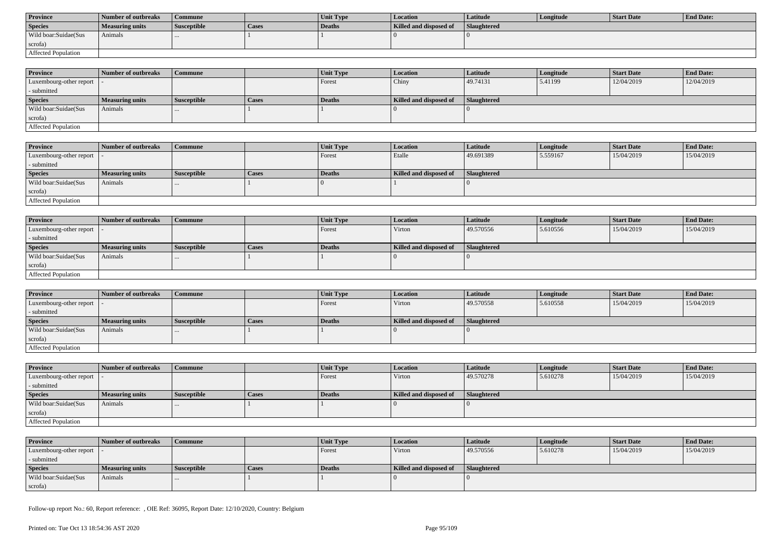| <b>Province</b>      | Number of outbreaks | Commune            |              | <b>Unit Type</b> | Location               | Latitude    | Longitude | Start Date | <b>End Date:</b> |
|----------------------|---------------------|--------------------|--------------|------------------|------------------------|-------------|-----------|------------|------------------|
| <b>Species</b>       | Measuring units     | <b>Susceptible</b> | <b>Cases</b> | Deaths           | Killed and disposed of | Slaughtered |           |            |                  |
| Wild boar:Suidae(Sus | Animals             |                    |              |                  |                        |             |           |            |                  |
| scrofa)              |                     |                    |              |                  |                        |             |           |            |                  |
| Affected Population  |                     |                    |              |                  |                        |             |           |            |                  |

| <b>Province</b>            | Number of outbreaks | Commune            |              | <b>Unit Type</b> | <b>Location</b>        | <b>Latitude</b>    | Longitude | <b>Start Date</b> | <b>End Date:</b> |
|----------------------------|---------------------|--------------------|--------------|------------------|------------------------|--------------------|-----------|-------------------|------------------|
| Luxembourg-other report  - |                     |                    |              | Forest           | Chiny                  | 49.74131           | 5.41199   | 12/04/2019        | 12/04/2019       |
| - submitted                |                     |                    |              |                  |                        |                    |           |                   |                  |
| <b>Species</b>             | Measuring units     | <b>Susceptible</b> | <b>Cases</b> | <b>Deaths</b>    | Killed and disposed of | <b>Slaughtered</b> |           |                   |                  |
| Wild boar:Suidae(Sus       | Animals             | $\cdots$           |              |                  |                        |                    |           |                   |                  |
| scrofa)                    |                     |                    |              |                  |                        |                    |           |                   |                  |
| Affected Population        |                     |                    |              |                  |                        |                    |           |                   |                  |

| <b>Province</b>         | Number of outbreaks    | Commune            |       | Unit Type | <i>Location</i>               | Latitude    | Longitude | Start Date | <b>End Date:</b> |
|-------------------------|------------------------|--------------------|-------|-----------|-------------------------------|-------------|-----------|------------|------------------|
| Luxembourg-other report |                        |                    |       | Forest    | Etalle                        | 49.691389   | 5.559167  | 15/04/2019 | 15/04/2019       |
| - submitted             |                        |                    |       |           |                               |             |           |            |                  |
| <b>Species</b>          | <b>Measuring units</b> | <b>Susceptible</b> | Cases | Deaths    | <b>Killed and disposed of</b> | Slaughtered |           |            |                  |
| Wild boar:Suidae(Sus    | Animals                |                    |       |           |                               |             |           |            |                  |
| scrofa)                 |                        |                    |       |           |                               |             |           |            |                  |
| Affected Population     |                        |                    |       |           |                               |             |           |            |                  |

| <b>Province</b>            | Number of outbreaks    | <b>Commune</b>     |              | Unit Type | Location               | Latitude    | Longitude | <b>Start Date</b> | <b>End Date:</b> |
|----------------------------|------------------------|--------------------|--------------|-----------|------------------------|-------------|-----------|-------------------|------------------|
| Luxembourg-other report  - |                        |                    |              | Forest    | Virton                 | 49.570556   | 5.610556  | 15/04/2019        | 15/04/2019       |
| - submitted                |                        |                    |              |           |                        |             |           |                   |                  |
| <b>Species</b>             | <b>Measuring units</b> | <b>Susceptible</b> | <b>Cases</b> | Deaths    | Killed and disposed of | Slaughtered |           |                   |                  |
| Wild boar:Suidae(Sus       | Animals                |                    |              |           |                        |             |           |                   |                  |
| scrofa)                    |                        |                    |              |           |                        |             |           |                   |                  |
| Affected Population        |                        |                    |              |           |                        |             |           |                   |                  |

| <b>Province</b>                           | Number of outbreaks    | l Commune          |              | <b>Unit Type</b> | Location               | Latitude    | Longitude | <b>Start Date</b> | <b>End Date:</b> |
|-------------------------------------------|------------------------|--------------------|--------------|------------------|------------------------|-------------|-----------|-------------------|------------------|
| $\vert$ Luxembourg-other report $\vert$ . |                        |                    |              | Forest           | Virton                 | 49.570558   | 5.610558  | 15/04/2019        | 15/04/2019       |
| - submitted                               |                        |                    |              |                  |                        |             |           |                   |                  |
| <b>Species</b>                            | <b>Measuring units</b> | <b>Susceptible</b> | <b>Cases</b> | Deaths           | Killed and disposed of | Slaughtered |           |                   |                  |
| Wild boar: Suidae (Sus                    | Animals                |                    |              |                  |                        |             |           |                   |                  |
| scrofa)                                   |                        |                    |              |                  |                        |             |           |                   |                  |
| Affected Population                       |                        |                    |              |                  |                        |             |           |                   |                  |

| <b>Province</b>            | Number of outbreaks    | <b>Commune</b>     |       | <b>Unit Type</b> | <b>Location</b>        | <b>Latitude</b> | Longitude | <b>Start Date</b> | <b>End Date:</b> |
|----------------------------|------------------------|--------------------|-------|------------------|------------------------|-----------------|-----------|-------------------|------------------|
| Luxembourg-other report  - |                        |                    |       | Forest           | Virton                 | 49.570278       | 5.610278  | 15/04/2019        | 15/04/2019       |
| - submitted                |                        |                    |       |                  |                        |                 |           |                   |                  |
| <b>Species</b>             | <b>Measuring units</b> | <b>Susceptible</b> | Cases | Deaths           | Killed and disposed of | Slaughtered     |           |                   |                  |
| Wild boar:Suidae(Sus       | Animals                | $\cdots$           |       |                  |                        |                 |           |                   |                  |
| scrofa)                    |                        |                    |       |                  |                        |                 |           |                   |                  |
| Affected Population        |                        |                    |       |                  |                        |                 |           |                   |                  |

| <b>Province</b>            | Number of outbreaks    | Commune            |       | <b>Unit Type</b> | <b>Location</b>        | Latitude    | Longitude | Start Date | <b>End Date:</b> |
|----------------------------|------------------------|--------------------|-------|------------------|------------------------|-------------|-----------|------------|------------------|
| Luxembourg-other report  - |                        |                    |       | Forest           | Virton                 | 49.570556   | 5.610278  | 15/04/2019 | 15/04/2019       |
| - submitted                |                        |                    |       |                  |                        |             |           |            |                  |
| <b>Species</b>             | <b>Measuring units</b> | <b>Susceptible</b> | Cases | Deaths           | Killed and disposed of | Slaughtered |           |            |                  |
| Wild boar:Suidae(Sus       | Animals                |                    |       |                  |                        |             |           |            |                  |
| scrofa)                    |                        |                    |       |                  |                        |             |           |            |                  |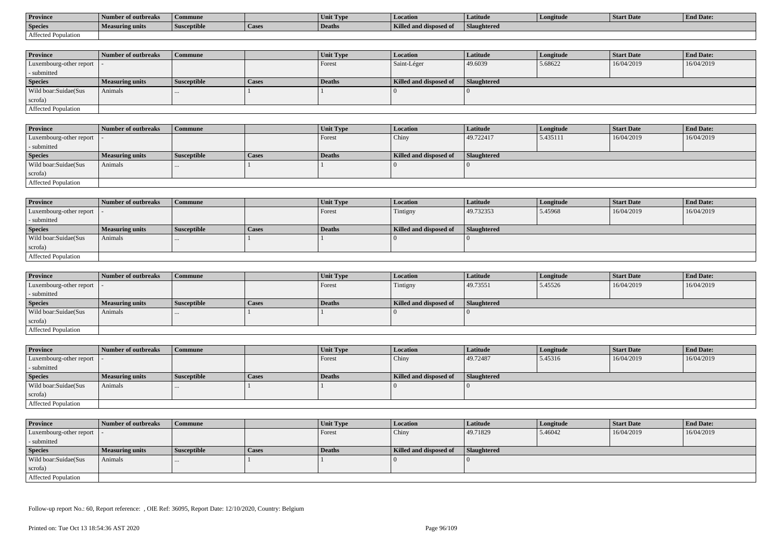| <b>Province</b>     | Number of outbreaks    | Commune            |                | Unit Type     | Location               | Latitude    | Longitude | <b>Start Date</b> | <b>End Date:</b> |
|---------------------|------------------------|--------------------|----------------|---------------|------------------------|-------------|-----------|-------------------|------------------|
| <b>Species</b>      | <b>Measuring units</b> | <b>Susceptible</b> | <b>L</b> Lasco | <b>Deaths</b> | Killed and disposed of | Slaughtered |           |                   |                  |
| Affected Population |                        |                    |                |               |                        |             |           |                   |                  |

| <b>Province</b>         | Number of outbreaks    | Commune            |              | <b>Unit Type</b> | Location               | Latitude    | Longitude | <b>Start Date</b> | <b>End Date:</b> |
|-------------------------|------------------------|--------------------|--------------|------------------|------------------------|-------------|-----------|-------------------|------------------|
| Luxembourg-other report |                        |                    |              | Forest           | Saint-Léger            | 49.6039     | 5.68622   | 16/04/2019        | 16/04/2019       |
| - submitted             |                        |                    |              |                  |                        |             |           |                   |                  |
| <b>Species</b>          | <b>Measuring units</b> | <b>Susceptible</b> | <b>Cases</b> | Deaths           | Killed and disposed of | Slaughtered |           |                   |                  |
| Wild boar: Suidae (Sus  | Animals                |                    |              |                  |                        |             |           |                   |                  |
| scrofa)                 |                        |                    |              |                  |                        |             |           |                   |                  |
| Affected Population     |                        |                    |              |                  |                        |             |           |                   |                  |

| <b>Province</b>            | Number of outbreaks    | <b>Commune</b>     |              | <b>Unit Type</b> | Location               | Latitude    | Longitude | <b>Start Date</b> | <b>End Date:</b> |
|----------------------------|------------------------|--------------------|--------------|------------------|------------------------|-------------|-----------|-------------------|------------------|
| Luxembourg-other report  - |                        |                    |              | Forest           | Chiny                  | 49.722417   | 5.435111  | 16/04/2019        | 16/04/2019       |
| - submitted                |                        |                    |              |                  |                        |             |           |                   |                  |
| <b>Species</b>             | <b>Measuring units</b> | <b>Susceptible</b> | <b>Cases</b> | Deaths           | Killed and disposed of | Slaughtered |           |                   |                  |
| Wild boar:Suidae(Sus       | Animals                |                    |              |                  |                        |             |           |                   |                  |
| scrofa)                    |                        |                    |              |                  |                        |             |           |                   |                  |
| Affected Population        |                        |                    |              |                  |                        |             |           |                   |                  |

| <b>Province</b>            | Number of outbreaks    | <b>Commune</b>     |              | Unit Type | Location               | Latitude    | Longitude | <b>Start Date</b> | <b>End Date:</b> |
|----------------------------|------------------------|--------------------|--------------|-----------|------------------------|-------------|-----------|-------------------|------------------|
| Luxembourg-other report  - |                        |                    |              | Forest    | Tintigny               | 49.732353   | 5.45968   | 16/04/2019        | 16/04/2019       |
| - submitted                |                        |                    |              |           |                        |             |           |                   |                  |
| <b>Species</b>             | <b>Measuring units</b> | <b>Susceptible</b> | <b>Cases</b> | Deaths    | Killed and disposed of | Slaughtered |           |                   |                  |
| Wild boar:Suidae(Sus       | Animals                |                    |              |           |                        |             |           |                   |                  |
| scrofa)                    |                        |                    |              |           |                        |             |           |                   |                  |
| Affected Population        |                        |                    |              |           |                        |             |           |                   |                  |

| <b>Province</b>            | Number of outbreaks | <b>Commune</b>     |              | Unit Type     | Location               | Latitude           | Longitude | <b>Start Date</b> | <b>End Date:</b> |
|----------------------------|---------------------|--------------------|--------------|---------------|------------------------|--------------------|-----------|-------------------|------------------|
| Luxembourg-other report  - |                     |                    |              | Forest        | Tintigny               | 49.73551           | 5.45526   | 16/04/2019        | 16/04/2019       |
| - submitted                |                     |                    |              |               |                        |                    |           |                   |                  |
| <b>Species</b>             | Measuring units     | <b>Susceptible</b> | <b>Cases</b> | <b>Deaths</b> | Killed and disposed of | <b>Slaughtered</b> |           |                   |                  |
| Wild boar:Suidae(Sus       | Animals             | $\cdots$           |              |               |                        |                    |           |                   |                  |
| scrofa)                    |                     |                    |              |               |                        |                    |           |                   |                  |
| Affected Population        |                     |                    |              |               |                        |                    |           |                   |                  |

| <b>Province</b>            | Number of outbreaks    | <b>Commune</b>     |       | Unit Type     | <b>Location</b>        | <b>Latitude</b> | Longitude | <b>Start Date</b> | <b>End Date:</b> |
|----------------------------|------------------------|--------------------|-------|---------------|------------------------|-----------------|-----------|-------------------|------------------|
| Luxembourg-other report    |                        |                    |       | <b>Forest</b> | Chiny                  | 49.72487        | 5.45316   | 16/04/2019        | 16/04/2019       |
| - submitted                |                        |                    |       |               |                        |                 |           |                   |                  |
| <b>Species</b>             | <b>Measuring units</b> | <b>Susceptible</b> | Cases | Deaths        | Killed and disposed of | Slaughtered     |           |                   |                  |
| Wild boar:Suidae(Sus       | Animals                |                    |       |               |                        |                 |           |                   |                  |
| scrofa)                    |                        |                    |       |               |                        |                 |           |                   |                  |
| <b>Affected Population</b> |                        |                    |       |               |                        |                 |           |                   |                  |

| <b>Province</b>            | Number of outbreaks | <b>Commune</b>     |              | <b>Unit Type</b> | Location               | Latitude           | Longitude | <b>Start Date</b> | <b>End Date:</b> |
|----------------------------|---------------------|--------------------|--------------|------------------|------------------------|--------------------|-----------|-------------------|------------------|
| Luxembourg-other report  - |                     |                    |              | Forest           | Chiny                  | 49.71829           | 5.46042   | 16/04/2019        | 16/04/2019       |
| - submitted                |                     |                    |              |                  |                        |                    |           |                   |                  |
| <b>Species</b>             | Measuring units     | <b>Susceptible</b> | <b>Cases</b> | Deaths           | Killed and disposed of | <b>Slaughtered</b> |           |                   |                  |
| Wild boar:Suidae(Sus       | Animals             | $\cdots$           |              |                  |                        |                    |           |                   |                  |
| scrofa)                    |                     |                    |              |                  |                        |                    |           |                   |                  |
| Affected Population        |                     |                    |              |                  |                        |                    |           |                   |                  |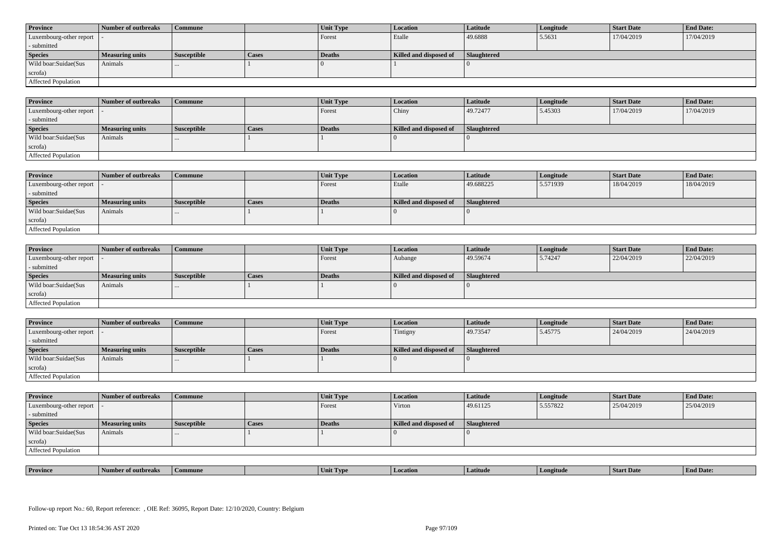| <b>Province</b>            | Number of outbreaks    | <b>Commune</b>     |              | Unit Type | Location               | <b>Latitude</b> | Longitude | <b>Start Date</b> | <b>End Date:</b> |
|----------------------------|------------------------|--------------------|--------------|-----------|------------------------|-----------------|-----------|-------------------|------------------|
| Luxembourg-other report  - |                        |                    |              | Forest    | Etalle                 | 49.6888         | 5.5631    | 17/04/2019        | 17/04/2019       |
| - submitted                |                        |                    |              |           |                        |                 |           |                   |                  |
| <b>Species</b>             | <b>Measuring units</b> | <b>Susceptible</b> | <b>Cases</b> | Deaths    | Killed and disposed of | Slaughtered     |           |                   |                  |
| Wild boar: Suidae (Sus     | Animals                |                    |              |           |                        |                 |           |                   |                  |
| scrofa)                    |                        |                    |              |           |                        |                 |           |                   |                  |
| <b>Affected Population</b> |                        |                    |              |           |                        |                 |           |                   |                  |

| <b>Province</b>         | Number of outbreaks    | <b>Commune</b>     |       | Unit Type | <b>Location</b>        | Latitude    | Longitude | <b>Start Date</b> | <b>End Date:</b> |
|-------------------------|------------------------|--------------------|-------|-----------|------------------------|-------------|-----------|-------------------|------------------|
| Luxembourg-other report |                        |                    |       | Forest    | Chiny                  | 49.72477    | 5.45303   | 17/04/2019        | 17/04/2019       |
| - submitted             |                        |                    |       |           |                        |             |           |                   |                  |
| <b>Species</b>          | <b>Measuring units</b> | <b>Susceptible</b> | Cases | Deaths    | Killed and disposed of | Slaughtered |           |                   |                  |
| Wild boar:Suidae(Sus    | Animals                | $\cdots$           |       |           |                        |             |           |                   |                  |
| scrofa)                 |                        |                    |       |           |                        |             |           |                   |                  |
| Affected Population     |                        |                    |       |           |                        |             |           |                   |                  |

| <b>Province</b>         | Number of outbreaks    | Commune            |              | Unit Type | Location               | <b>Latitude</b> | Longitude | <b>Start Date</b> | <b>End Date:</b> |
|-------------------------|------------------------|--------------------|--------------|-----------|------------------------|-----------------|-----------|-------------------|------------------|
| Luxembourg-other report |                        |                    |              | Forest    | Etalle                 | 49.688225       | 5.571939  | 18/04/2019        | 18/04/2019       |
| - submitted             |                        |                    |              |           |                        |                 |           |                   |                  |
| <b>Species</b>          | <b>Measuring units</b> | <b>Susceptible</b> | <b>Cases</b> | Deaths    | Killed and disposed of | Slaughtered     |           |                   |                  |
| Wild boar:Suidae(Sus    | Animals                | $\cdots$           |              |           |                        |                 |           |                   |                  |
| scrofa)                 |                        |                    |              |           |                        |                 |           |                   |                  |
| Affected Population     |                        |                    |              |           |                        |                 |           |                   |                  |

| <b>Province</b>            | Number of outbreaks    | <b>Commune</b>     |              | <b>Unit Type</b> | <i>Location</i>        | <b>Latitude</b>    | Longitude | <b>Start Date</b> | <b>End Date:</b> |
|----------------------------|------------------------|--------------------|--------------|------------------|------------------------|--------------------|-----------|-------------------|------------------|
| Luxembourg-other report  - |                        |                    |              | Forest           | Aubange                | 49.59674           | 5.74247   | 22/04/2019        | 22/04/2019       |
| - submitted                |                        |                    |              |                  |                        |                    |           |                   |                  |
| <b>Species</b>             | <b>Measuring units</b> | <b>Susceptible</b> | <b>Cases</b> | <b>Deaths</b>    | Killed and disposed of | <b>Slaughtered</b> |           |                   |                  |
| Wild boar:Suidae(Sus       | Animals                |                    |              |                  |                        |                    |           |                   |                  |
| scrofa)                    |                        |                    |              |                  |                        |                    |           |                   |                  |
| Affected Population        |                        |                    |              |                  |                        |                    |           |                   |                  |

| <b>Province</b>            | Number of outbreaks | Commune            |       | Unit Type | <b>Location</b>        | Latitude    | Longitude | <b>Start Date</b> | <b>End Date:</b> |
|----------------------------|---------------------|--------------------|-------|-----------|------------------------|-------------|-----------|-------------------|------------------|
| Luxembourg-other report  - |                     |                    |       | Forest    | Tintigny               | 49.73547    | 5.45775   | 24/04/2019        | 24/04/2019       |
| - submitted                |                     |                    |       |           |                        |             |           |                   |                  |
| <b>Species</b>             | Measuring units     | <b>Susceptible</b> | Cases | Deaths    | Killed and disposed of | Slaughtered |           |                   |                  |
| Wild boar:Suidae(Sus       | Animals             | $\cdots$           |       |           |                        |             |           |                   |                  |
| scrofa)                    |                     |                    |       |           |                        |             |           |                   |                  |
|                            |                     |                    |       |           |                        |             |           |                   |                  |

| <b>Province</b>            | Number of outbreaks | <b>Commune</b>     |              | Unit Type | <b>Location</b>        | <b>Latitude</b>    | Longitude | <b>Start Date</b> | <b>End Date:</b> |
|----------------------------|---------------------|--------------------|--------------|-----------|------------------------|--------------------|-----------|-------------------|------------------|
| Luxembourg-other report  - |                     |                    |              | Forest    | Virton                 | 49.61125           | 5.557822  | 25/04/2019        | 25/04/2019       |
| - submitted                |                     |                    |              |           |                        |                    |           |                   |                  |
| <b>Species</b>             | Measuring units     | <b>Susceptible</b> | <b>Cases</b> | Deaths    | Killed and disposed of | <b>Slaughtered</b> |           |                   |                  |
| Wild boar:Suidae(Sus       | Animals             | $\cdots$           |              |           |                        |                    |           |                   |                  |
| scrofa)                    |                     |                    |              |           |                        |                    |           |                   |                  |
| Affected Population        |                     |                    |              |           |                        |                    |           |                   |                  |

| <b>Province</b> | <b>CONTRACTOR</b><br>er of outbreaks | Commune | . IVP | <i>cation</i><br>l Loc | Latitud | gitud | SIAIT Dave | <b>d</b> Date: |
|-----------------|--------------------------------------|---------|-------|------------------------|---------|-------|------------|----------------|
|                 |                                      |         |       |                        |         |       |            |                |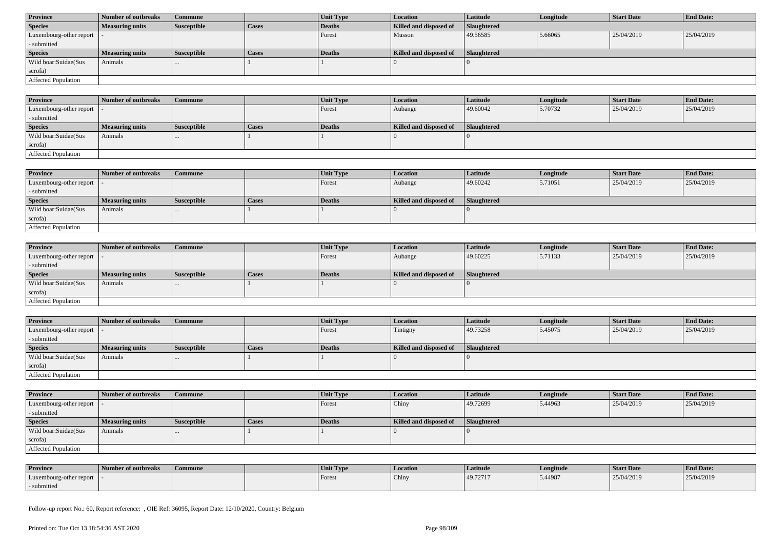| <b>Province</b>            | Number of outbreaks    | Commune            |              | Unit Type | <b>Location</b>        | <b>Latitude</b>    | Longitude | <b>Start Date</b> | <b>End Date:</b> |  |
|----------------------------|------------------------|--------------------|--------------|-----------|------------------------|--------------------|-----------|-------------------|------------------|--|
| <b>Species</b>             | <b>Measuring units</b> | <b>Susceptible</b> | <b>Cases</b> | Deaths    | Killed and disposed of | <b>Slaughtered</b> |           |                   |                  |  |
| Luxembourg-other report  - |                        |                    |              | Forest    | Musson                 | 49.56585           | 5.66065   | 25/04/2019        | 25/04/2019       |  |
| - submitted                |                        |                    |              |           |                        |                    |           |                   |                  |  |
| <b>Species</b>             | <b>Measuring units</b> | <b>Susceptible</b> | <b>Cases</b> | Deaths    | Killed and disposed of | Slaughtered        |           |                   |                  |  |
| Wild boar:Suidae(Sus       | Animals                | $\cdots$           |              |           |                        |                    |           |                   |                  |  |
| scrofa)                    |                        |                    |              |           |                        |                    |           |                   |                  |  |
|                            |                        |                    |              |           |                        |                    |           |                   |                  |  |

| <b>Province</b>         | Number of outbreaks    | <b>Commune</b> |       | Unit Type | Location               | Latitude    | Longitude | <b>Start Date</b> | <b>End Date:</b> |
|-------------------------|------------------------|----------------|-------|-----------|------------------------|-------------|-----------|-------------------|------------------|
| Luxembourg-other report |                        |                |       | Forest    | Aubange                | 49.60042    | 5.70732   | 25/04/2019        | 25/04/2019       |
| - submitted             |                        |                |       |           |                        |             |           |                   |                  |
| <b>Species</b>          | <b>Measuring units</b> | Susceptible    | Cases | Deaths    | Killed and disposed of | Slaughtered |           |                   |                  |
| Wild boar:Suidae(Sus    | Animals                |                |       |           |                        |             |           |                   |                  |
| scrofa)                 |                        |                |       |           |                        |             |           |                   |                  |
| Affected Population     |                        |                |       |           |                        |             |           |                   |                  |

| <b>Province</b>            | <b>Number of outbreaks</b> | <b>Commune</b>     |       | Unit Type     | <b>Location</b>        | <b>Latitude</b> | Longitude | <b>Start Date</b> | <b>End Date:</b> |
|----------------------------|----------------------------|--------------------|-------|---------------|------------------------|-----------------|-----------|-------------------|------------------|
| Luxembourg-other report    |                            |                    |       | <b>Forest</b> | Aubange                | 49.60242        | 5.71051   | 25/04/2019        | 25/04/2019       |
| - submitted                |                            |                    |       |               |                        |                 |           |                   |                  |
| <b>Species</b>             | <b>Measuring units</b>     | <b>Susceptible</b> | Cases | Deaths        | Killed and disposed of | Slaughtered     |           |                   |                  |
| Wild boar:Suidae(Sus       | Animals                    |                    |       |               |                        |                 |           |                   |                  |
| scrofa)                    |                            |                    |       |               |                        |                 |           |                   |                  |
| <b>Affected Population</b> |                            |                    |       |               |                        |                 |           |                   |                  |

| <b>Province</b>            | Number of outbreaks    | <b>Commune</b>     |              | <b>Unit Type</b> | <i>Location</i>        | <b>Latitude</b>    | Longitude | <b>Start Date</b> | <b>End Date:</b> |
|----------------------------|------------------------|--------------------|--------------|------------------|------------------------|--------------------|-----------|-------------------|------------------|
| Luxembourg-other report  - |                        |                    |              | Forest           | Aubange                | 49.60225           | 5.71133   | 25/04/2019        | 25/04/2019       |
| - submitted                |                        |                    |              |                  |                        |                    |           |                   |                  |
| <b>Species</b>             | <b>Measuring units</b> | <b>Susceptible</b> | <b>Cases</b> | <b>Deaths</b>    | Killed and disposed of | <b>Slaughtered</b> |           |                   |                  |
| Wild boar:Suidae(Sus       | Animals                | $\cdots$           |              |                  |                        |                    |           |                   |                  |
| scrofa)                    |                        |                    |              |                  |                        |                    |           |                   |                  |
| Affected Population        |                        |                    |              |                  |                        |                    |           |                   |                  |

| <b>Province</b>            | Number of outbreaks    | <b>Commune</b>     |              | Unit Type | Location               | Latitude    | Longitude | <b>Start Date</b> | <b>End Date:</b> |
|----------------------------|------------------------|--------------------|--------------|-----------|------------------------|-------------|-----------|-------------------|------------------|
| Luxembourg-other report  - |                        |                    |              | Forest    | Tintigny               | 49.73258    | 5.45075   | 25/04/2019        | 25/04/2019       |
| - submitted                |                        |                    |              |           |                        |             |           |                   |                  |
| <b>Species</b>             | <b>Measuring units</b> | <b>Susceptible</b> | <b>Cases</b> | Deaths    | Killed and disposed of | Slaughtered |           |                   |                  |
| Wild boar:Suidae(Sus       | Animals                |                    |              |           |                        |             |           |                   |                  |
| scrofa)                    |                        |                    |              |           |                        |             |           |                   |                  |
| Affected Population        |                        |                    |              |           |                        |             |           |                   |                  |

| <b>Province</b>         | Number of outbreaks    | <b>Commune</b>     |       | Unit Type | <b>Location</b>        | <b>Latitude</b>    | Longitude | <b>Start Date</b> | <b>End Date:</b> |
|-------------------------|------------------------|--------------------|-------|-----------|------------------------|--------------------|-----------|-------------------|------------------|
| Luxembourg-other report |                        |                    |       | Forest    | Chiny                  | 49.72699           | 5.44963   | 25/04/2019        | 25/04/2019       |
| - submitted             |                        |                    |       |           |                        |                    |           |                   |                  |
| <b>Species</b>          | <b>Measuring units</b> | <b>Susceptible</b> | Cases | Deaths    | Killed and disposed of | <b>Slaughtered</b> |           |                   |                  |
| Wild boar:Suidae(Sus    | Animals                |                    |       |           |                        |                    |           |                   |                  |
|                         |                        |                    |       |           |                        |                    |           |                   |                  |
| scrofa)                 |                        |                    |       |           |                        |                    |           |                   |                  |

| <b>Province</b>         | Number of outbreaks | Commune | Unit Type     | <b>Location</b> | Latitude | Longitude | <b>Start Date</b> | <b>End Date:</b> |
|-------------------------|---------------------|---------|---------------|-----------------|----------|-----------|-------------------|------------------|
| Luxembourg-other report |                     |         | <b>Forest</b> | Chiny           | 49.72717 | 5.44987   | 25/04/2019        | 25/04/2019       |
| - submitted             |                     |         |               |                 |          |           |                   |                  |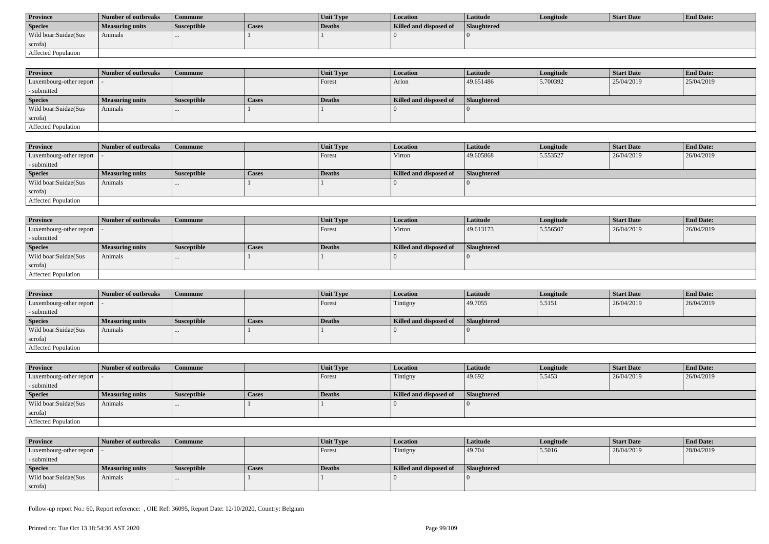| <b>Province</b>      | Number of outbreaks | Commune            |       | <b>Unit Type</b> | Location               | Latitude           | Longitude | Start Date | <b>End Date:</b> |
|----------------------|---------------------|--------------------|-------|------------------|------------------------|--------------------|-----------|------------|------------------|
| <b>Species</b>       | Measuring units     | <b>Susceptible</b> | Cases | Deaths           | Killed and disposed of | <b>Slaughtered</b> |           |            |                  |
| Wild boar:Suidae(Sus | Animals             |                    |       |                  |                        |                    |           |            |                  |
| scrofa)              |                     |                    |       |                  |                        |                    |           |            |                  |
| Affected Population  |                     |                    |       |                  |                        |                    |           |            |                  |

| <b>Province</b>            | Number of outbreaks | Commune            |              | <b>Unit Type</b> | <b>Location</b>        | <b>Latitude</b>    | Longitude | <b>Start Date</b> | <b>End Date:</b> |
|----------------------------|---------------------|--------------------|--------------|------------------|------------------------|--------------------|-----------|-------------------|------------------|
| Luxembourg-other report  - |                     |                    |              | Forest           | Arlon                  | 49.651486          | 5.700392  | 25/04/2019        | 25/04/2019       |
| - submitted                |                     |                    |              |                  |                        |                    |           |                   |                  |
| <b>Species</b>             | Measuring units     | <b>Susceptible</b> | <b>Cases</b> | <b>Deaths</b>    | Killed and disposed of | <b>Slaughtered</b> |           |                   |                  |
| Wild boar:Suidae(Sus       | Animals             | $\cdots$           |              |                  |                        |                    |           |                   |                  |
| scrofa)                    |                     |                    |              |                  |                        |                    |           |                   |                  |
| Affected Population        |                     |                    |              |                  |                        |                    |           |                   |                  |

| <b>Province</b>         | Number of outbreaks    | <b>Commune</b>     |       | Unit Type | Location               | <b>Latitude</b> | Longitude | <b>Start Date</b> | <b>End Date:</b> |
|-------------------------|------------------------|--------------------|-------|-----------|------------------------|-----------------|-----------|-------------------|------------------|
| Luxembourg-other report |                        |                    |       | Forest    | Virton                 | 49.605868       | 5.553527  | 26/04/2019        | 26/04/2019       |
| - submitted             |                        |                    |       |           |                        |                 |           |                   |                  |
| <b>Species</b>          | <b>Measuring units</b> | <b>Susceptible</b> | Cases | Deaths    | Killed and disposed of | Slaughtered     |           |                   |                  |
| Wild boar:Suidae(Sus    | Animals                |                    |       |           |                        |                 |           |                   |                  |
| scrofa)                 |                        |                    |       |           |                        |                 |           |                   |                  |
| Affected Population     |                        |                    |       |           |                        |                 |           |                   |                  |

| <b>Province</b>            | Number of outbreaks    | Commune            |              | Unit Type | Location               | Latitude    | Longitude | <b>Start Date</b> | <b>End Date:</b> |
|----------------------------|------------------------|--------------------|--------------|-----------|------------------------|-------------|-----------|-------------------|------------------|
| Luxembourg-other report  - |                        |                    |              | Forest    | Virton                 | 49.613173   | 5.556507  | 26/04/2019        | 26/04/2019       |
| - submitted                |                        |                    |              |           |                        |             |           |                   |                  |
| <b>Species</b>             | <b>Measuring units</b> | <b>Susceptible</b> | <b>Cases</b> | Deaths    | Killed and disposed of | Slaughtered |           |                   |                  |
| Wild boar:Suidae(Sus       | Animals                | $\cdots$           |              |           |                        |             |           |                   |                  |
| scrofa)                    |                        |                    |              |           |                        |             |           |                   |                  |
| Affected Population        |                        |                    |              |           |                        |             |           |                   |                  |

| <b>Province</b>                           | Number of outbreaks    | l Commune          |              | <b>Unit Type</b> | Location               | <b>Latitude</b> | Longitude | <b>Start Date</b> | <b>End Date:</b> |
|-------------------------------------------|------------------------|--------------------|--------------|------------------|------------------------|-----------------|-----------|-------------------|------------------|
| $\vert$ Luxembourg-other report $\vert$ . |                        |                    |              | Forest           | Tintigny               | 49.7055         | 5.5151    | 26/04/2019        | 26/04/2019       |
| - submitted                               |                        |                    |              |                  |                        |                 |           |                   |                  |
| <b>Species</b>                            | <b>Measuring units</b> | <b>Susceptible</b> | <b>Cases</b> | Deaths           | Killed and disposed of | Slaughtered     |           |                   |                  |
| Wild boar: Suidae (Sus                    | Animals                |                    |              |                  |                        |                 |           |                   |                  |
| scrofa)                                   |                        |                    |              |                  |                        |                 |           |                   |                  |
| Affected Population                       |                        |                    |              |                  |                        |                 |           |                   |                  |

| <b>Province</b>            | Number of outbreaks    | <b>Commune</b>     |              | <b>Unit Type</b> | <b>Location</b>        | <b>Latitude</b> | Longitude | <b>Start Date</b> | <b>End Date:</b> |
|----------------------------|------------------------|--------------------|--------------|------------------|------------------------|-----------------|-----------|-------------------|------------------|
| Luxembourg-other report  - |                        |                    |              | Forest           | Tintigny               | 49.692          | 5.5453    | 26/04/2019        | 26/04/2019       |
| - submitted                |                        |                    |              |                  |                        |                 |           |                   |                  |
| <b>Species</b>             | <b>Measuring units</b> | <b>Susceptible</b> | <b>Cases</b> | Deaths           | Killed and disposed of | Slaughtered     |           |                   |                  |
| Wild boar:Suidae(Sus       | Animals                | $\cdots$           |              |                  |                        |                 |           |                   |                  |
| scrofa)                    |                        |                    |              |                  |                        |                 |           |                   |                  |
| Affected Population        |                        |                    |              |                  |                        |                 |           |                   |                  |

| <b>Province</b>            | Number of outbreaks | Commune                  |       | <b>Unit Type</b> | <b>Location</b>        | Latitude           | Longitude | <b>Start Date</b> | <b>End Date:</b> |
|----------------------------|---------------------|--------------------------|-------|------------------|------------------------|--------------------|-----------|-------------------|------------------|
| Luxembourg-other report  - |                     |                          |       | Forest           | Tintigny               | 49.704             | 5.5016    | 28/04/2019        | 28/04/2019       |
| - submitted                |                     |                          |       |                  |                        |                    |           |                   |                  |
| <b>Species</b>             | Measuring units     | <sup>I</sup> Susceptible | Cases | Deaths           | Killed and disposed of | <b>Slaughtered</b> |           |                   |                  |
| Wild boar:Suidae(Sus       | Animals             | $\cdots$                 |       |                  |                        |                    |           |                   |                  |
| scrofa)                    |                     |                          |       |                  |                        |                    |           |                   |                  |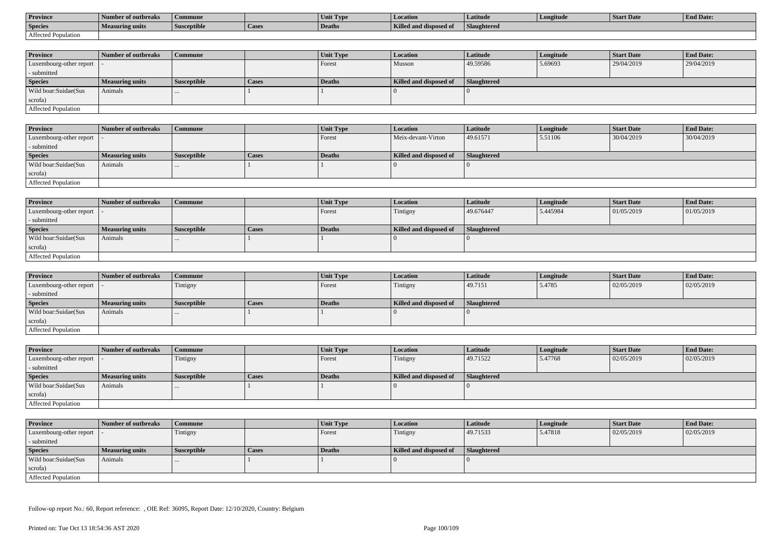| <b>Province</b>     | Number of outbreaks    | Commune            |                    | Unit Typ. | Location                             | Latitude    | Longitude | <b>Start Date</b> | <b>End Date:</b> |
|---------------------|------------------------|--------------------|--------------------|-----------|--------------------------------------|-------------|-----------|-------------------|------------------|
| <b>Species</b>      | <b>Measuring units</b> | <b>Susceptible</b> | <sup>1</sup> Cases | Deaths    | <b>Killed and disposy</b><br>™ od of | Slaughtered |           |                   |                  |
| Affected Population |                        |                    |                    |           |                                      |             |           |                   |                  |

| <b>Province</b>         | Number of outbreaks    | <b>Commune</b>     |              | Unit Type | <b>Location</b>        | <b>Latitude</b>    | Longitude | <b>Start Date</b> | <b>End Date:</b> |
|-------------------------|------------------------|--------------------|--------------|-----------|------------------------|--------------------|-----------|-------------------|------------------|
| Luxembourg-other report |                        |                    |              | Forest    | Musson                 | 49.59586           | 5.69693   | 29/04/2019        | 29/04/2019       |
| - submitted             |                        |                    |              |           |                        |                    |           |                   |                  |
| <b>Species</b>          | <b>Measuring units</b> | <b>Susceptible</b> | <b>Cases</b> | Deaths    | Killed and disposed of | <b>Slaughtered</b> |           |                   |                  |
| Wild boar:Suidae(Sus    | Animals                |                    |              |           |                        |                    |           |                   |                  |
| scrofa)                 |                        |                    |              |           |                        |                    |           |                   |                  |
| Affected Population     |                        |                    |              |           |                        |                    |           |                   |                  |

| <b>Province</b>            | Number of outbreaks | Commune            |       | <b>Unit Type</b> | Location               | Latitude    | Longitude | <b>Start Date</b> | <b>End Date:</b> |
|----------------------------|---------------------|--------------------|-------|------------------|------------------------|-------------|-----------|-------------------|------------------|
| Luxembourg-other report  - |                     |                    |       | Forest           | Meix-devant-Virton     | 49.61571    | 5.51106   | 30/04/2019        | 30/04/2019       |
| - submitted                |                     |                    |       |                  |                        |             |           |                   |                  |
| <b>Species</b>             | Measuring units     | <b>Susceptible</b> | Cases | Deaths           | Killed and disposed of | Slaughtered |           |                   |                  |
| Wild boar:Suidae(Sus       | Animals             |                    |       |                  |                        |             |           |                   |                  |
| scrofa)                    |                     |                    |       |                  |                        |             |           |                   |                  |
| Affected Population        |                     |                    |       |                  |                        |             |           |                   |                  |

| <b>Province</b>            | Number of outbreaks    | <b>Commune</b>     |       | Unit Type | Location               | Latitude    | Longitude | <b>Start Date</b> | <b>End Date:</b> |
|----------------------------|------------------------|--------------------|-------|-----------|------------------------|-------------|-----------|-------------------|------------------|
| Luxembourg-other report  - |                        |                    |       | Forest    | Tintigny               | 49.676447   | 5.445984  | 01/05/2019        | 01/05/2019       |
| - submitted                |                        |                    |       |           |                        |             |           |                   |                  |
| <b>Species</b>             | <b>Measuring units</b> | <b>Susceptible</b> | Cases | Deaths    | Killed and disposed of | Slaughtered |           |                   |                  |
| Wild boar:Suidae(Sus       | Animals                |                    |       |           |                        |             |           |                   |                  |
| scrofa)                    |                        |                    |       |           |                        |             |           |                   |                  |
| Affected Population        |                        |                    |       |           |                        |             |           |                   |                  |

| <b>Province</b>         | Number of outbreaks    | <b>Commune</b>     |              | Unit Type | <i>Location</i>        | <b>Latitude</b> | Longitude | <b>Start Date</b> | <b>End Date:</b> |
|-------------------------|------------------------|--------------------|--------------|-----------|------------------------|-----------------|-----------|-------------------|------------------|
| Luxembourg-other report |                        | Tintigny           |              | Forest    | Tintigny               | 49.7151         | 5.4785    | 02/05/2019        | 02/05/2019       |
| - submitted             |                        |                    |              |           |                        |                 |           |                   |                  |
| <b>Species</b>          | <b>Measuring units</b> | <b>Susceptible</b> | <b>Cases</b> | Deaths    | Killed and disposed of | Slaughtered     |           |                   |                  |
| Wild boar:Suidae(Sus    | Animals                | $\cdots$           |              |           |                        |                 |           |                   |                  |
| scrofa)                 |                        |                    |              |           |                        |                 |           |                   |                  |
| Affected Population     |                        |                    |              |           |                        |                 |           |                   |                  |

| <b>Province</b>            | <b>Number of outbreaks</b> | Commune            |       | Unit Type | Location               | <b>Latitude</b> | Longitude | <b>Start Date</b> | <b>End Date:</b> |
|----------------------------|----------------------------|--------------------|-------|-----------|------------------------|-----------------|-----------|-------------------|------------------|
| Luxembourg-other report  - |                            | Tintigny           |       | Forest    | Tintigny               | 49.71522        | 5.47768   | 02/05/2019        | 02/05/2019       |
| - submitted                |                            |                    |       |           |                        |                 |           |                   |                  |
| <b>Species</b>             | <b>Measuring units</b>     | <b>Susceptible</b> | Cases | Deaths    | Killed and disposed of | Slaughtered     |           |                   |                  |
| Wild boar:Suidae(Sus       | Animals                    | $\cdots$           |       |           |                        |                 |           |                   |                  |
| scrofa)                    |                            |                    |       |           |                        |                 |           |                   |                  |
| Affected Population        |                            |                    |       |           |                        |                 |           |                   |                  |

| <b>Province</b>            | Number of outbreaks    | <b>Commune</b>     |              | <b>Unit Type</b> | <i>Location</i>        | Latitude    | Longitude | <b>Start Date</b> | <b>End Date:</b> |
|----------------------------|------------------------|--------------------|--------------|------------------|------------------------|-------------|-----------|-------------------|------------------|
| Luxembourg-other report  - |                        | Tintigny           |              | Forest           | Tintigny               | 49.71533    | 5.47818   | 02/05/2019        | 02/05/2019       |
| - submitted                |                        |                    |              |                  |                        |             |           |                   |                  |
| <b>Species</b>             | <b>Measuring units</b> | <b>Susceptible</b> | <b>Cases</b> | <b>Deaths</b>    | Killed and disposed of | Slaughtered |           |                   |                  |
| Wild boar:Suidae(Sus       | Animals                | $\cdots$           |              |                  |                        |             |           |                   |                  |
| scrofa)                    |                        |                    |              |                  |                        |             |           |                   |                  |
| Affected Population        |                        |                    |              |                  |                        |             |           |                   |                  |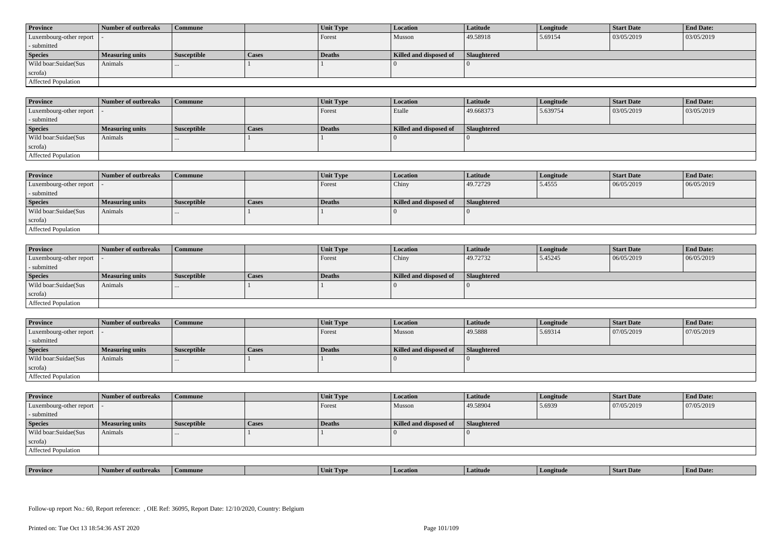| <b>Province</b>            | Number of outbreaks    | <b>Commune</b>     |              | Unit Type     | Location               | <b>Latitude</b> | Longitude | <b>Start Date</b> | <b>End Date:</b> |
|----------------------------|------------------------|--------------------|--------------|---------------|------------------------|-----------------|-----------|-------------------|------------------|
| Luxembourg-other report  - |                        |                    |              | Forest        | Musson                 | 49.58918        | 5.69154   | 03/05/2019        | 03/05/2019       |
| - submitted                |                        |                    |              |               |                        |                 |           |                   |                  |
| <b>Species</b>             | <b>Measuring units</b> | <b>Susceptible</b> | <b>Cases</b> | <b>Deaths</b> | Killed and disposed of | Slaughtered     |           |                   |                  |
| Wild boar: Suidae (Sus     | Animals                |                    |              |               |                        |                 |           |                   |                  |
| scrofa)                    |                        |                    |              |               |                        |                 |           |                   |                  |
| Affected Population        |                        |                    |              |               |                        |                 |           |                   |                  |

| <b>Province</b>         | Number of outbreaks    | <b>Commune</b>     |       | Unit Type | <b>Location</b>        | Latitude    | Longitude | <b>Start Date</b> | <b>End Date:</b> |
|-------------------------|------------------------|--------------------|-------|-----------|------------------------|-------------|-----------|-------------------|------------------|
| Luxembourg-other report |                        |                    |       | Forest    | Etalle                 | 49.668373   | 5.639754  | 03/05/2019        | 03/05/2019       |
| - submitted             |                        |                    |       |           |                        |             |           |                   |                  |
| <b>Species</b>          | <b>Measuring units</b> | <b>Susceptible</b> | Cases | Deaths    | Killed and disposed of | Slaughtered |           |                   |                  |
| Wild boar:Suidae(Sus    | Animals                | $\cdots$           |       |           |                        |             |           |                   |                  |
| scrofa)                 |                        |                    |       |           |                        |             |           |                   |                  |
| Affected Population     |                        |                    |       |           |                        |             |           |                   |                  |

| <b>Province</b>         | Number of outbreaks    | Commune            |       | Unit Type | Location               | <b>Latitude</b> | Longitude | <b>Start Date</b> | <b>End Date:</b> |
|-------------------------|------------------------|--------------------|-------|-----------|------------------------|-----------------|-----------|-------------------|------------------|
| Luxembourg-other report |                        |                    |       | Forest    | Chiny                  | 49.72729        | 5.4555    | 06/05/2019        | 06/05/2019       |
| - submitted             |                        |                    |       |           |                        |                 |           |                   |                  |
| <b>Species</b>          | <b>Measuring units</b> | <b>Susceptible</b> | Cases | Deaths    | Killed and disposed of | Slaughtered     |           |                   |                  |
| Wild boar:Suidae(Sus    | Animals                | $\cdots$           |       |           |                        |                 |           |                   |                  |
| scrofa)                 |                        |                    |       |           |                        |                 |           |                   |                  |
| Affected Population     |                        |                    |       |           |                        |                 |           |                   |                  |

| <b>Province</b>            | Number of outbreaks    | <b>Commune</b>     |              | <b>Unit Type</b> | <i>Location</i>        | <b>Latitude</b>    | Longitude | <b>Start Date</b> | <b>End Date:</b> |
|----------------------------|------------------------|--------------------|--------------|------------------|------------------------|--------------------|-----------|-------------------|------------------|
| Luxembourg-other report  - |                        |                    |              | Forest           | Chiny                  | 49.72732           | 5.45245   | 06/05/2019        | 06/05/2019       |
| - submitted                |                        |                    |              |                  |                        |                    |           |                   |                  |
| <b>Species</b>             | <b>Measuring units</b> | <b>Susceptible</b> | <b>Cases</b> | <b>Deaths</b>    | Killed and disposed of | <b>Slaughtered</b> |           |                   |                  |
| Wild boar:Suidae(Sus       | Animals                |                    |              |                  |                        |                    |           |                   |                  |
| scrofa)                    |                        |                    |              |                  |                        |                    |           |                   |                  |
| Affected Population        |                        |                    |              |                  |                        |                    |           |                   |                  |

| <b>Province</b>            | Number of outbreaks    | <b>Commune</b>     |              | Unit Type | Location               | <b>Latitude</b>    | Longitude | <b>Start Date</b> | <b>End Date:</b> |
|----------------------------|------------------------|--------------------|--------------|-----------|------------------------|--------------------|-----------|-------------------|------------------|
| Luxembourg-other report  - |                        |                    |              | Forest    | Musson                 | 49.5888            | 5.69314   | 07/05/2019        | 07/05/2019       |
| - submitted                |                        |                    |              |           |                        |                    |           |                   |                  |
| <b>Species</b>             | <b>Measuring units</b> | <b>Susceptible</b> | <b>Cases</b> | Deaths    | Killed and disposed of | <b>Slaughtered</b> |           |                   |                  |
| Wild boar:Suidae(Sus       |                        |                    |              |           |                        |                    |           |                   |                  |
|                            | Animals                |                    |              |           |                        |                    |           |                   |                  |
| scrofa)                    |                        |                    |              |           |                        |                    |           |                   |                  |

| <b>Province</b>            | Number of outbreaks | <b>Commune</b>     |              | <b>Unit Type</b> | Location               | <b>Latitude</b>    | Longitude | <b>Start Date</b> | <b>End Date:</b> |
|----------------------------|---------------------|--------------------|--------------|------------------|------------------------|--------------------|-----------|-------------------|------------------|
| Luxembourg-other report  - |                     |                    |              | Forest           | Musson                 | 49.58904           | 5.6939    | 07/05/2019        | 07/05/2019       |
| - submitted                |                     |                    |              |                  |                        |                    |           |                   |                  |
| <b>Species</b>             | Measuring units     | <b>Susceptible</b> | <b>Cases</b> | Deaths           | Killed and disposed of | <b>Slaughtered</b> |           |                   |                  |
| Wild boar:Suidae(Sus       | Animals             | $\cdots$           |              |                  |                        |                    |           |                   |                  |
| scrofa)                    |                     |                    |              |                  |                        |                    |           |                   |                  |
| Affected Population        |                     |                    |              |                  |                        |                    |           |                   |                  |

| <b>Province</b> | rnreak: | amune | - I vn<br>Unit | Latitud | neıtude | <b>Start Date</b> | $\mathbf{r}$<br>d Date:<br>- H'm. |
|-----------------|---------|-------|----------------|---------|---------|-------------------|-----------------------------------|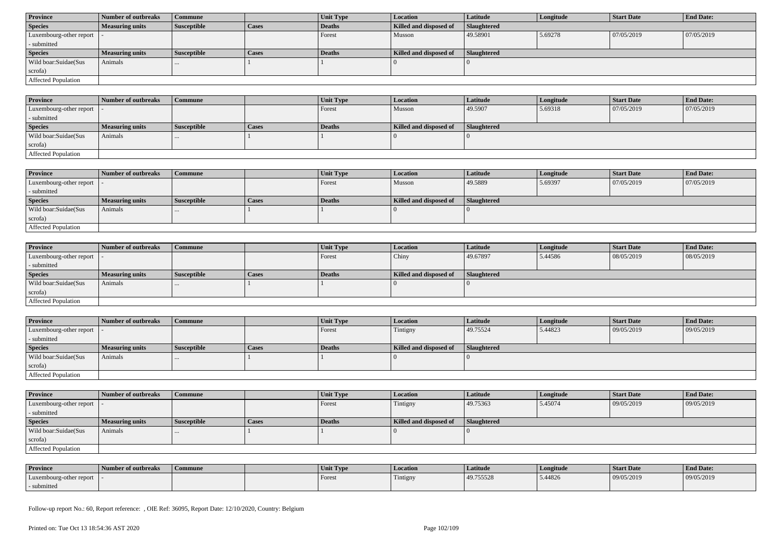| <b>Province</b>         | Number of outbreaks    | <b>Commune</b>     |              | Unit Type     | <b>Location</b>        | Latitude    | Longitude | <b>Start Date</b> | <b>End Date:</b> |
|-------------------------|------------------------|--------------------|--------------|---------------|------------------------|-------------|-----------|-------------------|------------------|
| <b>Species</b>          | Measuring units        | <b>Susceptible</b> | <b>Cases</b> | Deaths        | Killed and disposed of | Slaughtered |           |                   |                  |
| Luxembourg-other report |                        |                    |              | Forest        | Musson                 | 49.58901    | 5.69278   | 07/05/2019        | 07/05/2019       |
| - submitted             |                        |                    |              |               |                        |             |           |                   |                  |
| <b>Species</b>          |                        |                    |              |               |                        |             |           |                   |                  |
|                         | <b>Measuring units</b> | <b>Susceptible</b> | <b>Cases</b> | <b>Deaths</b> | Killed and disposed of | Slaughtered |           |                   |                  |
| Wild boar:Suidae(Sus    | Animals                | $\cdots$           |              |               |                        |             |           |                   |                  |
| scrofa)                 |                        |                    |              |               |                        |             |           |                   |                  |

| <b>Province</b>         | Number of outbreaks    | <b>Commune</b> |       | Unit Type | <i>Location</i>        | Latitude    | Longitude | <b>Start Date</b> | <b>End Date:</b> |
|-------------------------|------------------------|----------------|-------|-----------|------------------------|-------------|-----------|-------------------|------------------|
| Luxembourg-other report |                        |                |       | Forest    | Musson                 | 49.5907     | 5.69318   | 07/05/2019        | 07/05/2019       |
| - submitted             |                        |                |       |           |                        |             |           |                   |                  |
| <b>Species</b>          | <b>Measuring units</b> | Susceptible    | Cases | Deaths    | Killed and disposed of | Slaughtered |           |                   |                  |
| Wild boar:Suidae(Sus    | Animals                |                |       |           |                        |             |           |                   |                  |
| scrofa)                 |                        |                |       |           |                        |             |           |                   |                  |
| Affected Population     |                        |                |       |           |                        |             |           |                   |                  |

| <b>Province</b>            | 1 Number of outbreaks  | <b>Commune</b>     |       | Unit Type     | <b>Location</b>        | <b>Latitude</b> | Longitude | <b>Start Date</b> | <b>End Date:</b> |
|----------------------------|------------------------|--------------------|-------|---------------|------------------------|-----------------|-----------|-------------------|------------------|
| Luxembourg-other report    |                        |                    |       | <b>Forest</b> | Musson                 | 49.5889         | 5.69397   | 07/05/2019        | 07/05/2019       |
| - submitted                |                        |                    |       |               |                        |                 |           |                   |                  |
| <b>Species</b>             | <b>Measuring units</b> | <b>Susceptible</b> | Cases | Deaths        | Killed and disposed of | Slaughtered     |           |                   |                  |
| Wild boar:Suidae(Sus       | Animals                |                    |       |               |                        |                 |           |                   |                  |
| scrofa)                    |                        |                    |       |               |                        |                 |           |                   |                  |
| <b>Affected Population</b> |                        |                    |       |               |                        |                 |           |                   |                  |

| <b>Province</b>            | Number of outbreaks    | <b>Commune</b>     |              | <b>Unit Type</b> | <i>Location</i>        | <b>Latitude</b>    | Longitude | <b>Start Date</b> | <b>End Date:</b> |
|----------------------------|------------------------|--------------------|--------------|------------------|------------------------|--------------------|-----------|-------------------|------------------|
| Luxembourg-other report  - |                        |                    |              | Forest           | Chiny                  | 49.67897           | 5.44586   | 08/05/2019        | 08/05/2019       |
| - submitted                |                        |                    |              |                  |                        |                    |           |                   |                  |
| <b>Species</b>             | <b>Measuring units</b> | <b>Susceptible</b> | <b>Cases</b> | Deaths           | Killed and disposed of | <b>Slaughtered</b> |           |                   |                  |
| Wild boar:Suidae(Sus       | Animals                | $\cdots$           |              |                  |                        |                    |           |                   |                  |
| scrofa)                    |                        |                    |              |                  |                        |                    |           |                   |                  |
| Affected Population        |                        |                    |              |                  |                        |                    |           |                   |                  |

| <b>Province</b>            | Number of outbreaks    | <b>Commune</b>     |              | Unit Type | Location               | Latitude    | Longitude | <b>Start Date</b> | <b>End Date:</b> |
|----------------------------|------------------------|--------------------|--------------|-----------|------------------------|-------------|-----------|-------------------|------------------|
| Luxembourg-other report  - |                        |                    |              | Forest    | Tintigny               | 49.75524    | 5.44823   | 09/05/2019        | 09/05/2019       |
| - submitted                |                        |                    |              |           |                        |             |           |                   |                  |
| <b>Species</b>             | <b>Measuring units</b> | <b>Susceptible</b> | <b>Cases</b> | Deaths    | Killed and disposed of | Slaughtered |           |                   |                  |
| Wild boar:Suidae(Sus       | Animals                |                    |              |           |                        |             |           |                   |                  |
| scrofa)                    |                        |                    |              |           |                        |             |           |                   |                  |
| Affected Population        |                        |                    |              |           |                        |             |           |                   |                  |

| <b>Province</b>            | Number of outbreaks    | Commune            |              | <b>Unit Type</b> | <b>Location</b>        | Latitude           | Longitude | <b>Start Date</b> | <b>End Date:</b> |
|----------------------------|------------------------|--------------------|--------------|------------------|------------------------|--------------------|-----------|-------------------|------------------|
| Luxembourg-other report  - |                        |                    |              | Forest           | Tintigny               | 49.75363           | 5.45074   | 09/05/2019        | 09/05/2019       |
| - submitted                |                        |                    |              |                  |                        |                    |           |                   |                  |
| <b>Species</b>             | <b>Measuring units</b> | <b>Susceptible</b> | <b>Cases</b> | Deaths           | Killed and disposed of | <b>Slaughtered</b> |           |                   |                  |
|                            |                        |                    |              |                  |                        |                    |           |                   |                  |
| Wild boar:Suidae(Sus       | Animals                |                    |              |                  |                        |                    |           |                   |                  |
| scrofa)                    |                        |                    |              |                  |                        |                    |           |                   |                  |

| <b>Province</b>         | Number of outbreaks | Commune | Unit Type | Location | Latitude  | Longitude | Start Date | <b>End Date:</b> |
|-------------------------|---------------------|---------|-----------|----------|-----------|-----------|------------|------------------|
| Luxembourg-other report |                     |         | Forest    | Tintigny | 49.755528 | 5.44826   | 09/05/2019 | 09/05/2019       |
| submitted               |                     |         |           |          |           |           |            |                  |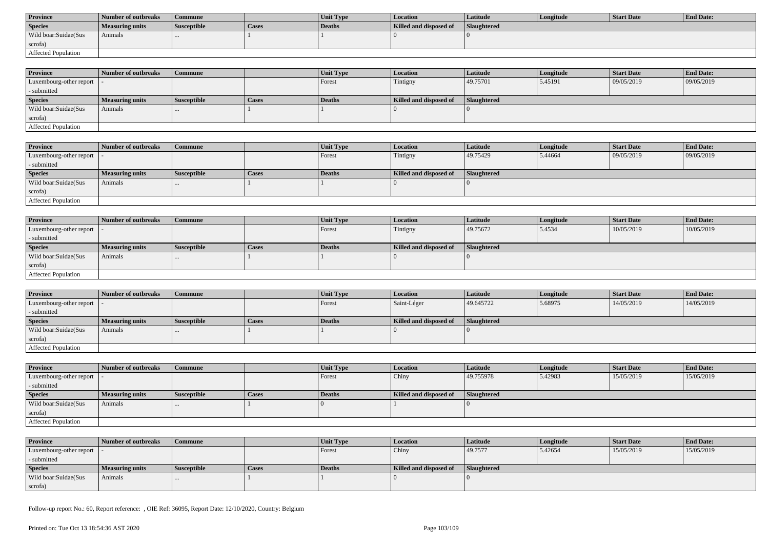| <b>Province</b>      | Number of outbreaks | Commune            |              | <b>Unit Type</b> | Location               | Latitude    | Longitude | Start Date | <b>End Date:</b> |
|----------------------|---------------------|--------------------|--------------|------------------|------------------------|-------------|-----------|------------|------------------|
| <b>Species</b>       | Measuring units     | <b>Susceptible</b> | <b>Cases</b> | Deaths           | Killed and disposed of | Slaughtered |           |            |                  |
| Wild boar:Suidae(Sus | Animals             |                    |              |                  |                        |             |           |            |                  |
| scrofa)              |                     |                    |              |                  |                        |             |           |            |                  |
| Affected Population  |                     |                    |              |                  |                        |             |           |            |                  |

| <b>Province</b>            | Number of outbreaks | Commune            |              | <b>Unit Type</b> | <b>Location</b>        | <b>Latitude</b>    | Longitude | <b>Start Date</b> | <b>End Date:</b> |
|----------------------------|---------------------|--------------------|--------------|------------------|------------------------|--------------------|-----------|-------------------|------------------|
| Luxembourg-other report  - |                     |                    |              | Forest           | Tintigny               | 49.75701           | 5.45191   | 09/05/2019        | 09/05/2019       |
| - submitted                |                     |                    |              |                  |                        |                    |           |                   |                  |
| <b>Species</b>             | Measuring units     | <b>Susceptible</b> | <b>Cases</b> | <b>Deaths</b>    | Killed and disposed of | <b>Slaughtered</b> |           |                   |                  |
| Wild boar:Suidae(Sus       | Animals             | $\cdots$           |              |                  |                        |                    |           |                   |                  |
| scrofa)                    |                     |                    |              |                  |                        |                    |           |                   |                  |
| Affected Population        |                     |                    |              |                  |                        |                    |           |                   |                  |

| <b>Province</b>         | Number of outbreaks    | <b>Commune</b>     |       | <b>Unit Type</b> | Location               | <b>Latitude</b> | Longitude | <b>Start Date</b> | <b>End Date:</b> |
|-------------------------|------------------------|--------------------|-------|------------------|------------------------|-----------------|-----------|-------------------|------------------|
| Luxembourg-other report |                        |                    |       | Forest           | Tintigny               | 49.75429        | 5.44664   | 09/05/2019        | 09/05/2019       |
| - submitted             |                        |                    |       |                  |                        |                 |           |                   |                  |
| <b>Species</b>          | <b>Measuring units</b> | <b>Susceptible</b> | Cases | Deaths           | Killed and disposed of | Slaughtered     |           |                   |                  |
| Wild boar:Suidae(Sus    | Animals                |                    |       |                  |                        |                 |           |                   |                  |
| scrofa)                 |                        |                    |       |                  |                        |                 |           |                   |                  |
| Affected Population     |                        |                    |       |                  |                        |                 |           |                   |                  |

| <b>Province</b>            | Number of outbreaks    | <b>Commune</b>     |              | Unit Type | Location               | Latitude    | Longitude | <b>Start Date</b> | <b>End Date:</b> |
|----------------------------|------------------------|--------------------|--------------|-----------|------------------------|-------------|-----------|-------------------|------------------|
| Luxembourg-other report  - |                        |                    |              | Forest    | Tintigny               | 49.75672    | 5.4534    | 10/05/2019        | 10/05/2019       |
| - submitted                |                        |                    |              |           |                        |             |           |                   |                  |
| <b>Species</b>             | <b>Measuring units</b> | <b>Susceptible</b> | <b>Cases</b> | Deaths    | Killed and disposed of | Slaughtered |           |                   |                  |
| Wild boar:Suidae(Sus       | Animals                |                    |              |           |                        |             |           |                   |                  |
| scrofa)                    |                        |                    |              |           |                        |             |           |                   |                  |
| Affected Population        |                        |                    |              |           |                        |             |           |                   |                  |

| <b>Province</b>            | Number of outbreaks    | Commune            |              | Unit Type     | <i>Location</i>        | <b>Latitude</b>    | Longitude | <b>Start Date</b> | <b>End Date:</b> |
|----------------------------|------------------------|--------------------|--------------|---------------|------------------------|--------------------|-----------|-------------------|------------------|
| Luxembourg-other report  - |                        |                    |              | <b>Forest</b> | Saint-Léger            | 49.645722          | 5.68975   | 14/05/2019        | 14/05/2019       |
| - submitted                |                        |                    |              |               |                        |                    |           |                   |                  |
| <b>Species</b>             | <b>Measuring units</b> | <b>Susceptible</b> | <b>Cases</b> | Deaths        | Killed and disposed of | <b>Slaughtered</b> |           |                   |                  |
| Wild boar: Suidae (Sus     | Animals                | $\cdots$           |              |               |                        |                    |           |                   |                  |
| scrofa)                    |                        |                    |              |               |                        |                    |           |                   |                  |
| Affected Population        |                        |                    |              |               |                        |                    |           |                   |                  |

| <b>Province</b>                           | Number of outbreaks    | <b>Commune</b>     |              | <b>Unit Type</b> | <b>Location</b>        | <b>Latitude</b> | Longitude | <b>Start Date</b> | <b>End Date:</b> |
|-------------------------------------------|------------------------|--------------------|--------------|------------------|------------------------|-----------------|-----------|-------------------|------------------|
| $\vert$ Luxembourg-other report $\vert$ - |                        |                    |              | Forest           | Chiny                  | 49.755978       | 5.42983   | 15/05/2019        | 15/05/2019       |
| - submitted                               |                        |                    |              |                  |                        |                 |           |                   |                  |
| <b>Species</b>                            | <b>Measuring units</b> | <b>Susceptible</b> | <b>Cases</b> | Deaths           | Killed and disposed of | Slaughtered     |           |                   |                  |
| Wild boar:Suidae(Sus                      | Animals                | $\cdots$           |              |                  |                        |                 |           |                   |                  |
| scrofa)                                   |                        |                    |              |                  |                        |                 |           |                   |                  |
| Affected Population                       |                        |                    |              |                  |                        |                 |           |                   |                  |

| <b>Province</b>            | Number of outbreaks | Commune            |       | <b>Unit Type</b> | <b>Location</b>        | Latitude    | Longitude | Start Date | <b>End Date:</b> |
|----------------------------|---------------------|--------------------|-------|------------------|------------------------|-------------|-----------|------------|------------------|
| Luxembourg-other report  - |                     |                    |       | Forest           | Chiny                  | 49.7577     | 5.42654   | 15/05/2019 | 15/05/2019       |
| - submitted                |                     |                    |       |                  |                        |             |           |            |                  |
| <b>Species</b>             | Measuring units     | <b>Susceptible</b> | Cases | Deaths           | Killed and disposed of | Slaughtered |           |            |                  |
| Wild boar:Suidae(Sus       | Animals             |                    |       |                  |                        |             |           |            |                  |
| scrofa)                    |                     |                    |       |                  |                        |             |           |            |                  |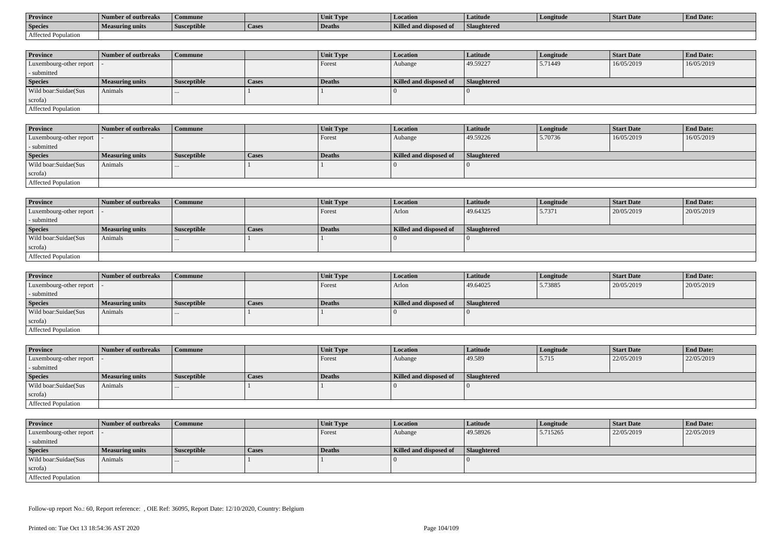| <b>Province</b>     | Number of outbreaks    | Commune            |                    | Unit Typ. | Location                             | Latitude    | Longitude | <b>Start Date</b> | <b>End Date:</b> |
|---------------------|------------------------|--------------------|--------------------|-----------|--------------------------------------|-------------|-----------|-------------------|------------------|
| <b>Species</b>      | <b>Measuring units</b> | <b>Susceptible</b> | <sup>1</sup> Cases | Deaths    | <b>Killed and disposy</b><br>™ od of | Slaughtered |           |                   |                  |
| Affected Population |                        |                    |                    |           |                                      |             |           |                   |                  |

| <b>Province</b>         | Number of outbreaks    | Commune            |              | <b>Unit Type</b> | Location               | Latitude    | Longitude | <b>Start Date</b> | <b>End Date:</b> |
|-------------------------|------------------------|--------------------|--------------|------------------|------------------------|-------------|-----------|-------------------|------------------|
| Luxembourg-other report |                        |                    |              | Forest           | Aubange                | 49.59227    | 5.71449   | 16/05/2019        | 16/05/2019       |
| - submitted             |                        |                    |              |                  |                        |             |           |                   |                  |
| <b>Species</b>          | <b>Measuring units</b> | <b>Susceptible</b> | <b>Cases</b> | Deaths           | Killed and disposed of | Slaughtered |           |                   |                  |
| Wild boar: Suidae (Sus  | Animals                |                    |              |                  |                        |             |           |                   |                  |
| scrofa)                 |                        |                    |              |                  |                        |             |           |                   |                  |
| Affected Population     |                        |                    |              |                  |                        |             |           |                   |                  |

| <b>Province</b>            | Number of outbreaks    | <b>Commune</b>     |              | Unit Type | <b>Location</b>        | Latitude    | Longitude | <b>Start Date</b> | <b>End Date:</b> |
|----------------------------|------------------------|--------------------|--------------|-----------|------------------------|-------------|-----------|-------------------|------------------|
| Luxembourg-other report  - |                        |                    |              | Forest    | Aubange                | 49.59226    | 5.70736   | 16/05/2019        | 16/05/2019       |
| - submitted                |                        |                    |              |           |                        |             |           |                   |                  |
| <b>Species</b>             | <b>Measuring units</b> | <b>Susceptible</b> | <b>Cases</b> | Deaths    | Killed and disposed of | Slaughtered |           |                   |                  |
| Wild boar:Suidae(Sus       | Animals                |                    |              |           |                        |             |           |                   |                  |
| scrofa)                    |                        |                    |              |           |                        |             |           |                   |                  |
| Affected Population        |                        |                    |              |           |                        |             |           |                   |                  |

| <b>Province</b>            | Number of outbreaks    | Commune            |       | Unit Type | Location               | <b>Latitude</b> | Longitude | <b>Start Date</b> | <b>End Date:</b> |
|----------------------------|------------------------|--------------------|-------|-----------|------------------------|-----------------|-----------|-------------------|------------------|
| Luxembourg-other report  - |                        |                    |       | Forest    | Arlon                  | 49.64325        | 5.7371    | 20/05/2019        | 20/05/2019       |
| - submitted                |                        |                    |       |           |                        |                 |           |                   |                  |
| <b>Species</b>             | <b>Measuring units</b> | <b>Susceptible</b> | Cases | Deaths    | Killed and disposed of | Slaughtered     |           |                   |                  |
| Wild boar:Suidae(Sus       | Animals                |                    |       |           |                        |                 |           |                   |                  |
| scrofa)                    |                        |                    |       |           |                        |                 |           |                   |                  |
| Affected Population        |                        |                    |       |           |                        |                 |           |                   |                  |

| <b>Province</b>            | Number of outbreaks    | <b>Commune</b>     |              | <b>Unit Type</b> | <i>Location</i>        | <b>Latitude</b>    | Longitude | <b>Start Date</b> | <b>End Date:</b> |
|----------------------------|------------------------|--------------------|--------------|------------------|------------------------|--------------------|-----------|-------------------|------------------|
| Luxembourg-other report  - |                        |                    |              | Forest           | Arlon                  | 49.64025           | 5.73885   | 20/05/2019        | 20/05/2019       |
| - submitted                |                        |                    |              |                  |                        |                    |           |                   |                  |
| <b>Species</b>             | <b>Measuring units</b> | <b>Susceptible</b> | <b>Cases</b> | <b>Deaths</b>    | Killed and disposed of | <b>Slaughtered</b> |           |                   |                  |
| Wild boar:Suidae(Sus       | Animals                | $\cdots$           |              |                  |                        |                    |           |                   |                  |
| scrofa)                    |                        |                    |              |                  |                        |                    |           |                   |                  |
| Affected Population        |                        |                    |              |                  |                        |                    |           |                   |                  |

| Province                   | Number of outbreaks    | <b>Commune</b>     |       | Unit Type     | <b>Location</b>        | <b>Latitude</b> | Longitude | <b>Start Date</b> | <b>End Date:</b> |
|----------------------------|------------------------|--------------------|-------|---------------|------------------------|-----------------|-----------|-------------------|------------------|
| Luxembourg-other report    |                        |                    |       | <b>Forest</b> | Aubange                | 49.589          | 5.715     | 22/05/2019        | 22/05/2019       |
| - submitted                |                        |                    |       |               |                        |                 |           |                   |                  |
| <b>Species</b>             | <b>Measuring units</b> | <b>Susceptible</b> | Cases | Deaths        | Killed and disposed of | Slaughtered     |           |                   |                  |
| Wild boar:Suidae(Sus       | Animals                |                    |       |               |                        |                 |           |                   |                  |
| scrofa)                    |                        |                    |       |               |                        |                 |           |                   |                  |
| <b>Affected Population</b> |                        |                    |       |               |                        |                 |           |                   |                  |

| <b>Province</b>            | Number of outbreaks    | <b>Commune</b>     |       | Unit Type     | <i>Location</i>        | <b>Latitude</b> | Longitude | <b>Start Date</b> | <b>End Date:</b> |
|----------------------------|------------------------|--------------------|-------|---------------|------------------------|-----------------|-----------|-------------------|------------------|
| Luxembourg-other report  - |                        |                    |       | Forest        | Aubange                | 49.58926        | 5.715265  | 22/05/2019        | 22/05/2019       |
| - submitted                |                        |                    |       |               |                        |                 |           |                   |                  |
| <b>Species</b>             | <b>Measuring units</b> | <b>Susceptible</b> | Cases | <b>Deaths</b> | Killed and disposed of | Slaughtered     |           |                   |                  |
| Wild boar:Suidae(Sus       | Animals                | $\cdots$           |       |               |                        |                 |           |                   |                  |
| scrofa)                    |                        |                    |       |               |                        |                 |           |                   |                  |
| Affected Population        |                        |                    |       |               |                        |                 |           |                   |                  |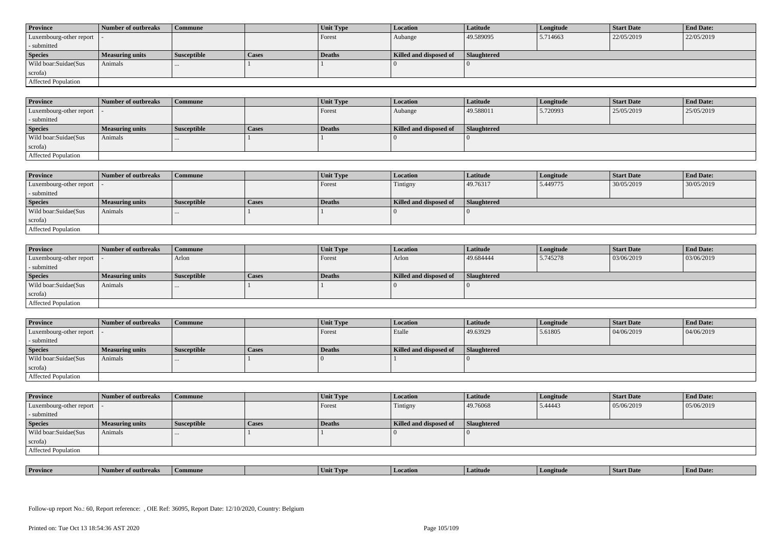| <b>Province</b>            | Number of outbreaks    | <b>Commune</b>     |              | Unit Type | Location               | <b>Latitude</b> | Longitude | <b>Start Date</b> | <b>End Date:</b> |
|----------------------------|------------------------|--------------------|--------------|-----------|------------------------|-----------------|-----------|-------------------|------------------|
| Luxembourg-other report  - |                        |                    |              | Forest    | Aubange                | 49.589095       | 5.714663  | 22/05/2019        | 22/05/2019       |
| - submitted                |                        |                    |              |           |                        |                 |           |                   |                  |
| <b>Species</b>             | <b>Measuring units</b> | <b>Susceptible</b> | <b>Cases</b> | Deaths    | Killed and disposed of | Slaughtered     |           |                   |                  |
| Wild boar: Suidae (Sus     | Animals                |                    |              |           |                        |                 |           |                   |                  |
| scrofa)                    |                        |                    |              |           |                        |                 |           |                   |                  |
| <b>Affected Population</b> |                        |                    |              |           |                        |                 |           |                   |                  |

| <b>Province</b>         | Number of outbreaks | <b>Commune</b>     |       | Unit Type     | Location               | Latitude    | Longitude | <b>Start Date</b> | <b>End Date:</b> |
|-------------------------|---------------------|--------------------|-------|---------------|------------------------|-------------|-----------|-------------------|------------------|
| Luxembourg-other report |                     |                    |       | Forest        | Aubange                | 49.588011   | 5.720993  | 25/05/2019        | 25/05/2019       |
| - submitted             |                     |                    |       |               |                        |             |           |                   |                  |
| <b>Species</b>          | Measuring units     | <b>Susceptible</b> | Cases | <b>Deaths</b> | Killed and disposed of | Slaughtered |           |                   |                  |
| Wild boar:Suidae(Sus    | Animals             |                    |       |               |                        |             |           |                   |                  |
| scrofa)                 |                     |                    |       |               |                        |             |           |                   |                  |
| Affected Population     |                     |                    |       |               |                        |             |           |                   |                  |

| <b>Province</b>            | Number of outbreaks | <b>Commune</b>     |              | Unit Type | Location               | Latitude    | Longitude | <b>Start Date</b> | <b>End Date:</b> |
|----------------------------|---------------------|--------------------|--------------|-----------|------------------------|-------------|-----------|-------------------|------------------|
| Luxembourg-other report  - |                     |                    |              | Forest    | Tintigny               | 49.76317    | 5.449775  | 30/05/2019        | 30/05/2019       |
| - submitted                |                     |                    |              |           |                        |             |           |                   |                  |
| <b>Species</b>             | Measuring units     | <b>Susceptible</b> | <b>Cases</b> | Deaths    | Killed and disposed of | Slaughtered |           |                   |                  |
| Wild boar:Suidae(Sus       | Animals             | 1.11               |              |           |                        |             |           |                   |                  |
| scrofa)                    |                     |                    |              |           |                        |             |           |                   |                  |
| Affected Population        |                     |                    |              |           |                        |             |           |                   |                  |

| <b>Province</b>            | Number of outbreaks | <b>Commune</b>     |              | <b>Unit Type</b> | <i>Location</i>        | Latitude           | Longitude | <b>Start Date</b> | <b>End Date:</b> |
|----------------------------|---------------------|--------------------|--------------|------------------|------------------------|--------------------|-----------|-------------------|------------------|
| Luxembourg-other report  - |                     | Arlon              |              | Forest           | Arlon                  | 49.684444          | 5.745278  | 03/06/2019        | 03/06/2019       |
| - submitted                |                     |                    |              |                  |                        |                    |           |                   |                  |
| <b>Species</b>             | Measuring units     | <b>Susceptible</b> | <b>Cases</b> | <b>Deaths</b>    | Killed and disposed of | <b>Slaughtered</b> |           |                   |                  |
| Wild boar:Suidae(Sus       | Animals             | $\cdots$           |              |                  |                        |                    |           |                   |                  |
| scrofa)                    |                     |                    |              |                  |                        |                    |           |                   |                  |
| Affected Population        |                     |                    |              |                  |                        |                    |           |                   |                  |

| <b>Province</b>            | Number of outbreaks | Commune            |       | Unit Type | <b>Location</b>        | Latitude           | Longitude | <b>Start Date</b> | <b>End Date:</b> |
|----------------------------|---------------------|--------------------|-------|-----------|------------------------|--------------------|-----------|-------------------|------------------|
| Luxembourg-other report  - |                     |                    |       | Forest    | Etalle                 | 49.63929           | 5.61805   | 04/06/2019        | 04/06/2019       |
| - submitted                |                     |                    |       |           |                        |                    |           |                   |                  |
| <b>Species</b>             | Measuring units     | <b>Susceptible</b> | Cases | Deaths    | Killed and disposed of | <b>Slaughtered</b> |           |                   |                  |
| Wild boar:Suidae(Sus       | Animals             |                    |       |           |                        |                    |           |                   |                  |
|                            |                     | $\cdots$           |       |           |                        |                    |           |                   |                  |
| scrofa)                    |                     |                    |       |           |                        |                    |           |                   |                  |

| <b>Province</b>            | Number of outbreaks    | <b>Commune</b>     |              | Unit Type | Location               | <b>Latitude</b> | Longitude | <b>Start Date</b> | <b>End Date:</b> |  |
|----------------------------|------------------------|--------------------|--------------|-----------|------------------------|-----------------|-----------|-------------------|------------------|--|
| Luxembourg-other report  - |                        |                    |              | Forest    | Tintigny               | 49.76068        | 5.44443   | 05/06/2019        | 05/06/2019       |  |
| - submitted                |                        |                    |              |           |                        |                 |           |                   |                  |  |
| <b>Species</b>             | <b>Measuring units</b> | <b>Susceptible</b> | <b>Cases</b> | Deaths    | Killed and disposed of | Slaughtered     |           |                   |                  |  |
| Wild boar:Suidae(Sus       | Animals                | $\cdots$           |              |           |                        |                 |           |                   |                  |  |
| scrofa)                    |                        |                    |              |           |                        |                 |           |                   |                  |  |
| Affected Population        |                        |                    |              |           |                        |                 |           |                   |                  |  |

| <b>Province</b><br>. .<br><b>Location</b><br>Latitud<br>ngitude<br>of outbreaks<br>Commune<br>. TVP<br>™Un⊾ | <b>Start Date</b> | "En.<br>nd Date: |
|-------------------------------------------------------------------------------------------------------------|-------------------|------------------|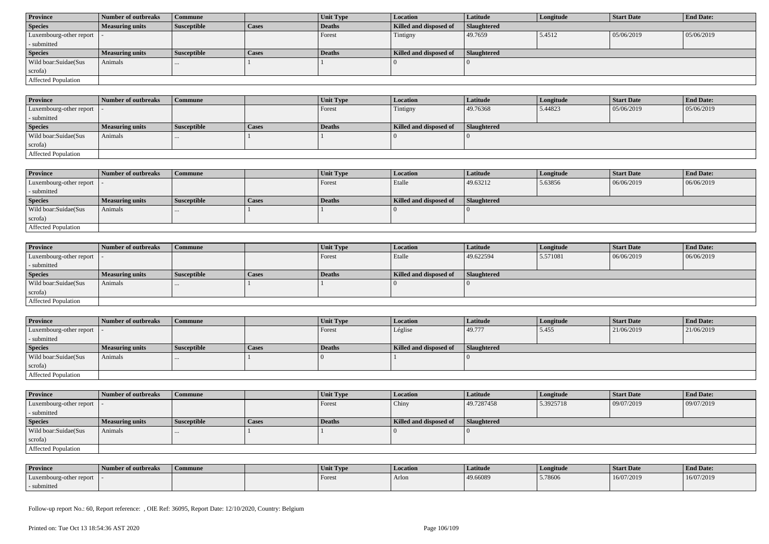| <b>Province</b>            | Number of outbreaks    | Commune            |              | Unit Type | <b>Location</b>        | <b>Latitude</b>    | Longitude | <b>Start Date</b> | <b>End Date:</b> |  |
|----------------------------|------------------------|--------------------|--------------|-----------|------------------------|--------------------|-----------|-------------------|------------------|--|
| <b>Species</b>             | <b>Measuring units</b> | <b>Susceptible</b> | <b>Cases</b> | Deaths    | Killed and disposed of | <b>Slaughtered</b> |           |                   |                  |  |
| Luxembourg-other report  - |                        |                    |              | Forest    | Tintigny               | 49.7659            | 5.4512    | 05/06/2019        | 05/06/2019       |  |
| - submitted                |                        |                    |              |           |                        |                    |           |                   |                  |  |
| <b>Species</b>             | <b>Measuring units</b> | <b>Susceptible</b> | <b>Cases</b> | Deaths    | Killed and disposed of | Slaughtered        |           |                   |                  |  |
| Wild boar:Suidae(Sus       | Animals                | $\cdots$           |              |           |                        |                    |           |                   |                  |  |
| scrofa)                    |                        |                    |              |           |                        |                    |           |                   |                  |  |
| Affected Population        |                        |                    |              |           |                        |                    |           |                   |                  |  |

| <b>Province</b>             | Number of outbreaks    | Commune            |       | Unit Type     | Location               | <b>Latitude</b>    | Longitude | <b>Start Date</b> | <b>End Date:</b> |
|-----------------------------|------------------------|--------------------|-------|---------------|------------------------|--------------------|-----------|-------------------|------------------|
| Luxembourg-other report   - |                        |                    |       | Forest        | Tintigny               | 49.76368           | 5.44823   | 05/06/2019        | 05/06/2019       |
| - submitted                 |                        |                    |       |               |                        |                    |           |                   |                  |
| <b>Species</b>              | <b>Measuring units</b> | <b>Susceptible</b> | Cases | <b>Deaths</b> | Killed and disposed of | <b>Slaughtered</b> |           |                   |                  |
| Wild boar:Suidae(Sus        | Animals                | $\cdots$           |       |               |                        |                    |           |                   |                  |
| scrofa)                     |                        |                    |       |               |                        |                    |           |                   |                  |
| <b>Affected Population</b>  |                        |                    |       |               |                        |                    |           |                   |                  |

| <b>Province</b>         | Number of outbreaks    | Commune            |              | <b>Unit Type</b> | <b>Location</b>        | <b>Latitude</b> | Longitude | <b>Start Date</b> | <b>End Date:</b> |
|-------------------------|------------------------|--------------------|--------------|------------------|------------------------|-----------------|-----------|-------------------|------------------|
| Luxembourg-other report |                        |                    |              | Forest           | Etalle                 | 49.63212        | 5.63856   | 06/06/2019        | 06/06/2019       |
| - submitted             |                        |                    |              |                  |                        |                 |           |                   |                  |
| <b>Species</b>          | <b>Measuring units</b> | <b>Susceptible</b> | <b>Cases</b> | Deaths           | Killed and disposed of | Slaughtered     |           |                   |                  |
| Wild boar:Suidae(Sus    | Animals                | $\cdots$           |              |                  |                        |                 |           |                   |                  |
| scrofa)                 |                        |                    |              |                  |                        |                 |           |                   |                  |
| Affected Population     |                        |                    |              |                  |                        |                 |           |                   |                  |

| <b>Province</b>            | Number of outbreaks    | <b>Commune</b>     |              | <b>Unit Type</b> | <i>Location</i>        | <b>Latitude</b>    | Longitude | <b>Start Date</b> | <b>End Date:</b> |
|----------------------------|------------------------|--------------------|--------------|------------------|------------------------|--------------------|-----------|-------------------|------------------|
| Luxembourg-other report  - |                        |                    |              | Forest           | Etalle                 | 49.622594          | 5.571081  | 06/06/2019        | 06/06/2019       |
| - submitted                |                        |                    |              |                  |                        |                    |           |                   |                  |
| <b>Species</b>             | <b>Measuring units</b> | <b>Susceptible</b> | <b>Cases</b> | Deaths           | Killed and disposed of | <b>Slaughtered</b> |           |                   |                  |
| Wild boar:Suidae(Sus       | Animals                | $\cdots$           |              |                  |                        |                    |           |                   |                  |
| scrofa)                    |                        |                    |              |                  |                        |                    |           |                   |                  |
| Affected Population        |                        |                    |              |                  |                        |                    |           |                   |                  |

| <b>Province</b>            | Number of outbreaks    | <b>Commune</b>     |              | Unit Type | Location               | Latitude           | Longitude | <b>Start Date</b> | <b>End Date:</b> |
|----------------------------|------------------------|--------------------|--------------|-----------|------------------------|--------------------|-----------|-------------------|------------------|
| Luxembourg-other report  - |                        |                    |              | Forest    | Léglise                | 49.777             | 5.455     | 21/06/2019        | 21/06/2019       |
| - submitted                |                        |                    |              |           |                        |                    |           |                   |                  |
| <b>Species</b>             | <b>Measuring units</b> | <b>Susceptible</b> | <b>Cases</b> | Deaths    | Killed and disposed of | <b>Slaughtered</b> |           |                   |                  |
| Wild boar:Suidae(Sus       | Animals                |                    |              |           |                        |                    |           |                   |                  |
| scrofa)                    |                        |                    |              |           |                        |                    |           |                   |                  |
| Affected Population        |                        |                    |              |           |                        |                    |           |                   |                  |

| <b>Province</b>            | Number of outbreaks    | Commune            |              | <b>Unit Type</b> | <b>Location</b>        | Latitude           | Longitude | <b>Start Date</b> | <b>End Date:</b> |
|----------------------------|------------------------|--------------------|--------------|------------------|------------------------|--------------------|-----------|-------------------|------------------|
| Luxembourg-other report  - |                        |                    |              | Forest           | Chiny                  | 49.7287458         | 5.3925718 | 09/07/2019        | 09/07/2019       |
| - submitted                |                        |                    |              |                  |                        |                    |           |                   |                  |
| <b>Species</b>             | <b>Measuring units</b> | <b>Susceptible</b> | <b>Cases</b> | Deaths           | Killed and disposed of | <b>Slaughtered</b> |           |                   |                  |
| Wild boar:Suidae(Sus       | Animals                |                    |              |                  |                        |                    |           |                   |                  |
|                            |                        |                    |              |                  |                        |                    |           |                   |                  |
| scrofa)                    |                        |                    |              |                  |                        |                    |           |                   |                  |

| <b>Province</b>         | Number of outbreaks | Commune | Unit Type | Location | Latitude | Longitude | Start Date | <b>End Date:</b> |
|-------------------------|---------------------|---------|-----------|----------|----------|-----------|------------|------------------|
| Luxembourg-other report |                     |         | Forest    | Arlon    | 49.66089 | 5.78606   | 16/07/2019 | 16/07/2019       |
| submitted               |                     |         |           |          |          |           |            |                  |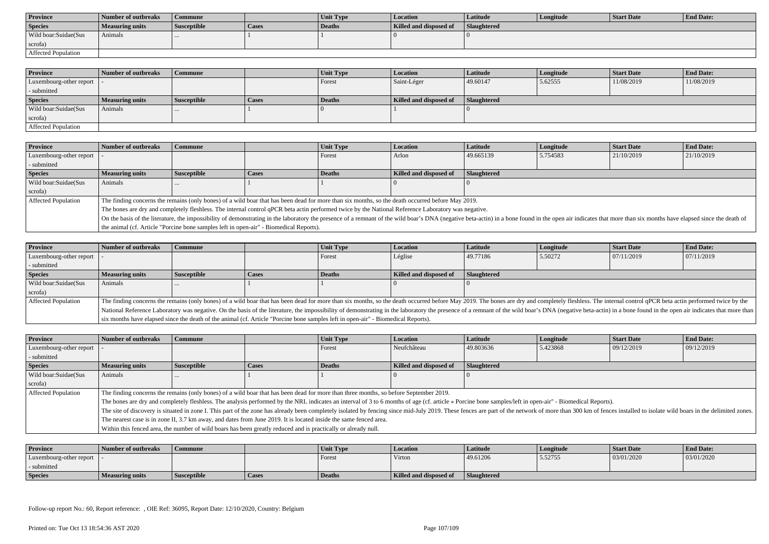| <b>Province</b>      | Number of outbreaks | Commune            |       | <b>Unit Type</b> | Location               | Latitude           | Longitude | Start Date | <b>End Date:</b> |
|----------------------|---------------------|--------------------|-------|------------------|------------------------|--------------------|-----------|------------|------------------|
| <b>Species</b>       | Measuring units     | <b>Susceptible</b> | Cases | Deaths           | Killed and disposed of | <b>Slaughtered</b> |           |            |                  |
| Wild boar:Suidae(Sus | Animals             |                    |       |                  |                        |                    |           |            |                  |
| scrofa)              |                     |                    |       |                  |                        |                    |           |            |                  |
| Affected Population  |                     |                    |       |                  |                        |                    |           |            |                  |

| <b>Province</b>         | Number of outbreaks | <b>Commune</b>     |              | <b>Unit Type</b> | <i>Location</i>        | Latitude           | Longitude | <b>Start Date</b> | <b>End Date:</b> |
|-------------------------|---------------------|--------------------|--------------|------------------|------------------------|--------------------|-----------|-------------------|------------------|
| Luxembourg-other report |                     |                    |              | Forest           | Saint-Léger            | 49.60147           | 5.62555   | 11/08/2019        | 11/08/2019       |
| - submitted             |                     |                    |              |                  |                        |                    |           |                   |                  |
| <b>Species</b>          | Measuring units     | <b>Susceptible</b> | <b>Cases</b> | Deaths           | Killed and disposed of | <b>Slaughtered</b> |           |                   |                  |
| Wild boar:Suidae(Sus    | Animals             |                    |              |                  |                        |                    |           |                   |                  |
| scrofa)                 |                     |                    |              |                  |                        |                    |           |                   |                  |
| Affected Population     |                     |                    |              |                  |                        |                    |           |                   |                  |

| <b>Province</b>         | <b>Number of outbreaks</b>                                                                                                                                                                                                     | Commune                                                                                                                                             |         | Unit Type | <b>Location</b>        | <b>Latitude</b>    | Longitude | <b>Start Date</b> | <b>End Date:</b> |  |
|-------------------------|--------------------------------------------------------------------------------------------------------------------------------------------------------------------------------------------------------------------------------|-----------------------------------------------------------------------------------------------------------------------------------------------------|---------|-----------|------------------------|--------------------|-----------|-------------------|------------------|--|
| Luxembourg-other report |                                                                                                                                                                                                                                |                                                                                                                                                     |         | Forest    | Arlon                  | 49.665139          | 5.754583  | 21/10/2019        | 21/10/2019       |  |
| submitted               |                                                                                                                                                                                                                                |                                                                                                                                                     |         |           |                        |                    |           |                   |                  |  |
| <b>Species</b>          | <b>Measuring units</b>                                                                                                                                                                                                         | Susceptible                                                                                                                                         | l Cases | Deaths    | Killed and disposed of | <b>Slaughtered</b> |           |                   |                  |  |
| Wild boar:Suidae(Sus    | Animals                                                                                                                                                                                                                        |                                                                                                                                                     |         |           |                        |                    |           |                   |                  |  |
| scrofa)                 |                                                                                                                                                                                                                                |                                                                                                                                                     |         |           |                        |                    |           |                   |                  |  |
| Affected Population     |                                                                                                                                                                                                                                | The finding concerns the remains (only bones) of a wild boar that has been dead for more than six months, so the death occurred before May 2019.    |         |           |                        |                    |           |                   |                  |  |
|                         |                                                                                                                                                                                                                                | The bones are dry and completely fleshless. The internal control qPCR beta actin performed twice by the National Reference Laboratory was negative. |         |           |                        |                    |           |                   |                  |  |
|                         | On the basis of the literature, the impossibility of demonstrating in the laboratory the presence of a remnant of the wild boar's DNA (negative beta-actin) in a bone found in the open air indicates that more than six month |                                                                                                                                                     |         |           |                        |                    |           |                   |                  |  |
|                         | the animal (cf. Article "Porcine bone samples left in open-air" - Biomedical Reports).                                                                                                                                         |                                                                                                                                                     |         |           |                        |                    |           |                   |                  |  |

| <b>Province</b>            | Number of outbreaks    | <b>Commune</b>                                                                                                                                                                                                                 |              | Unit Type | <b>Location</b>        | Latitude                                                                                                                                                                                                                       | Longitude | <b>Start Date</b> | <b>End Date:</b> |
|----------------------------|------------------------|--------------------------------------------------------------------------------------------------------------------------------------------------------------------------------------------------------------------------------|--------------|-----------|------------------------|--------------------------------------------------------------------------------------------------------------------------------------------------------------------------------------------------------------------------------|-----------|-------------------|------------------|
| Luxembourg-other report    |                        |                                                                                                                                                                                                                                |              | Forest    | Léglise                | 49.77186                                                                                                                                                                                                                       | 5.50272   | 07/11/2019        | 07/11/2019       |
| - submitted                |                        |                                                                                                                                                                                                                                |              |           |                        |                                                                                                                                                                                                                                |           |                   |                  |
| <b>Species</b>             | <b>Measuring units</b> | <b>Susceptible</b>                                                                                                                                                                                                             | <b>Cases</b> | Deaths    | Killed and disposed of | Slaughtered                                                                                                                                                                                                                    |           |                   |                  |
| Wild boar:Suidae(Sus       | Animals                |                                                                                                                                                                                                                                |              |           |                        |                                                                                                                                                                                                                                |           |                   |                  |
| scrofa)                    |                        |                                                                                                                                                                                                                                |              |           |                        |                                                                                                                                                                                                                                |           |                   |                  |
| <b>Affected Population</b> |                        |                                                                                                                                                                                                                                |              |           |                        | The finding concerns the remains (only bones) of a wild boar that has been dead for more than six months, so the death occurred before May 2019. The bones are dry and completely fleshless. The internal control qPCR beta ac |           |                   |                  |
|                            |                        | National Reference Laboratory was negative. On the basis of the literature, the impossibility of demonstrating in the laboratory the presence of a remnant of the wild boar's DNA (negative beta-actin) in a bone found in the |              |           |                        |                                                                                                                                                                                                                                |           |                   |                  |
|                            |                        | six months have elapsed since the death of the animal (cf. Article "Porcine bone samples left in open-air" - Biomedical Reports).                                                                                              |              |           |                        |                                                                                                                                                                                                                                |           |                   |                  |

| Province                   | <b>Number of outbreaks</b>                                                                                        | <b>Commune</b>                                                                                                                                                                                                                 |       | Unit Type | <b>Location</b>        | Latitude    | Longitude | <b>Start Date</b> | <b>End Date:</b> |
|----------------------------|-------------------------------------------------------------------------------------------------------------------|--------------------------------------------------------------------------------------------------------------------------------------------------------------------------------------------------------------------------------|-------|-----------|------------------------|-------------|-----------|-------------------|------------------|
| Luxembourg-other report    |                                                                                                                   |                                                                                                                                                                                                                                |       | Forest    | Neufchâteau            | 49.803636   | 5.423868  | 09/12/2019        | 09/12/2019       |
| submitted                  |                                                                                                                   |                                                                                                                                                                                                                                |       |           |                        |             |           |                   |                  |
| <b>Species</b>             | <b>Measuring units</b>                                                                                            | Susceptible                                                                                                                                                                                                                    | Cases | Deaths    | Killed and disposed of | Slaughtered |           |                   |                  |
| Wild boar:Suidae(Sus       | Animals                                                                                                           |                                                                                                                                                                                                                                |       |           |                        |             |           |                   |                  |
| scrofa)                    |                                                                                                                   |                                                                                                                                                                                                                                |       |           |                        |             |           |                   |                  |
| <b>Affected Population</b> |                                                                                                                   | The finding concerns the remains (only bones) of a wild boar that has been dead for more than three months, so before September 2019.                                                                                          |       |           |                        |             |           |                   |                  |
|                            |                                                                                                                   | The bones are dry and completely fleshless. The analysis performed by the NRL indicates an interval of 3 to 6 months of age (cf. article « Porcine bone samples/left in open-air" - Biomedical Reports).                       |       |           |                        |             |           |                   |                  |
|                            |                                                                                                                   | The site of discovery is situated in zone I. This part of the zone has already been completely isolated by fencing since mid-July 2019. These fences are part of the network of more than 300 km of fences installed to isolat |       |           |                        |             |           |                   |                  |
|                            | The nearest case is in zone II, 3.7 km away, and dates from June 2019. It is located inside the same fenced area. |                                                                                                                                                                                                                                |       |           |                        |             |           |                   |                  |
|                            |                                                                                                                   | Within this fenced area, the number of wild boars has been greatly reduced and is practically or already null.                                                                                                                 |       |           |                        |             |           |                   |                  |

| <b>Province</b>         | Number of outbreaks | Commune            |       | Unit Type | Location                      | Latitude    | Longitude | <b>Start Date</b> | <b>End Date:</b> |
|-------------------------|---------------------|--------------------|-------|-----------|-------------------------------|-------------|-----------|-------------------|------------------|
| Luxembourg-other report |                     |                    |       | Forest    | Virton                        | 49.61206    | 5.52755   | 03/01/2020        | 03/01/2020       |
| - submitted             |                     |                    |       |           |                               |             |           |                   |                  |
| <b>Species</b>          | Measuring units     | <b>Susceptible</b> | Cases | Deaths    | <b>Killed and disposed of</b> | Slaughtered |           |                   |                  |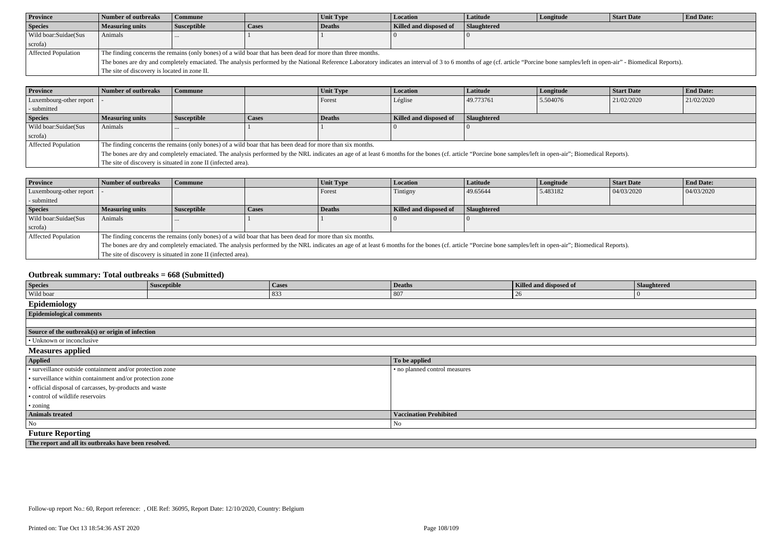| <b>Province</b>      | Number of outbreaks                                                                                         | Commune            |              | Unit Type | Location               | <b>Latitude</b>    | Longitude | <b>Start Date</b>                                                                                                                                                                                                              | <b>End Date:</b> |
|----------------------|-------------------------------------------------------------------------------------------------------------|--------------------|--------------|-----------|------------------------|--------------------|-----------|--------------------------------------------------------------------------------------------------------------------------------------------------------------------------------------------------------------------------------|------------------|
| <b>Species</b>       | <b>Measuring units</b>                                                                                      | <b>Susceptible</b> | <b>Cases</b> | Deaths    | Killed and disposed of | <b>Slaughtered</b> |           |                                                                                                                                                                                                                                |                  |
| Wild boar:Suidae(Sus | Animals                                                                                                     |                    |              |           |                        |                    |           |                                                                                                                                                                                                                                |                  |
| scrofa)              |                                                                                                             |                    |              |           |                        |                    |           |                                                                                                                                                                                                                                |                  |
| Affected Population  | The finding concerns the remains (only bones) of a wild boar that has been dead for more than three months. |                    |              |           |                        |                    |           |                                                                                                                                                                                                                                |                  |
|                      |                                                                                                             |                    |              |           |                        |                    |           | The bones are dry and completely emaciated. The analysis performed by the National Reference Laboratory indicates an interval of 3 to 6 months of age (cf. article "Porcine bone samples/left in open-air" - Biomedical Report |                  |
|                      | The site of discovery is located in zone II.                                                                |                    |              |           |                        |                    |           |                                                                                                                                                                                                                                |                  |

| <b>Province</b>         | Number of outbreaks    | <b>Commune</b>                                                                                                                                                                                               |              | Unit Type     | <b>Location</b>        | Latitude           | Longitude | <b>Start Date</b> | <b>End Date:</b> |
|-------------------------|------------------------|--------------------------------------------------------------------------------------------------------------------------------------------------------------------------------------------------------------|--------------|---------------|------------------------|--------------------|-----------|-------------------|------------------|
| Luxembourg-other report |                        |                                                                                                                                                                                                              |              | Forest        | Léglise                | 49.773761          | 5.504076  | 21/02/2020        | 21/02/2020       |
| - submitted             |                        |                                                                                                                                                                                                              |              |               |                        |                    |           |                   |                  |
| <b>Species</b>          | <b>Measuring units</b> | <b>Susceptible</b>                                                                                                                                                                                           | <b>Cases</b> | <b>Deaths</b> | Killed and disposed of | <b>Slaughtered</b> |           |                   |                  |
| Wild boar:Suidae(Sus    | Animals                |                                                                                                                                                                                                              |              |               |                        |                    |           |                   |                  |
| scrofa)                 |                        |                                                                                                                                                                                                              |              |               |                        |                    |           |                   |                  |
| Affected Population     |                        | The finding concerns the remains (only bones) of a wild boar that has been dead for more than six months.                                                                                                    |              |               |                        |                    |           |                   |                  |
|                         |                        | The bones are dry and completely emaciated. The analysis performed by the NRL indicates an age of at least 6 months for the bones (cf. article "Porcine bone samples/left in open-air"; Biomedical Reports). |              |               |                        |                    |           |                   |                  |
|                         |                        | The site of discovery is situated in zone II (infected area).                                                                                                                                                |              |               |                        |                    |           |                   |                  |

| <b>Province</b>         | Number of outbreaks                                                                                                                                                                                          | <b>Commune</b> |       | Unit Type     | <b>Location</b>               | Latitude           | Longitude | <b>Start Date</b> | <b>End Date:</b> |
|-------------------------|--------------------------------------------------------------------------------------------------------------------------------------------------------------------------------------------------------------|----------------|-------|---------------|-------------------------------|--------------------|-----------|-------------------|------------------|
| Luxembourg-other report |                                                                                                                                                                                                              |                |       | <b>Forest</b> | Tintigny                      | 49.65644           | 5.483182  | 04/03/2020        | 04/03/2020       |
| - submitted             |                                                                                                                                                                                                              |                |       |               |                               |                    |           |                   |                  |
| <b>Species</b>          | <b>Measuring units</b>                                                                                                                                                                                       | Susceptible    | Cases | Deaths        | <b>Killed and disposed of</b> | <b>Slaughtered</b> |           |                   |                  |
| Wild boar:Suidae(Sus    | Animals                                                                                                                                                                                                      |                |       |               |                               |                    |           |                   |                  |
| scrofa)                 |                                                                                                                                                                                                              |                |       |               |                               |                    |           |                   |                  |
| Affected Population     | The finding concerns the remains (only bones) of a wild boar that has been dead for more than six months.                                                                                                    |                |       |               |                               |                    |           |                   |                  |
|                         | The bones are dry and completely emaciated. The analysis performed by the NRL indicates an age of at least 6 months for the bones (cf. article "Porcine bone samples/left in open-air"; Biomedical Reports). |                |       |               |                               |                    |           |                   |                  |
|                         | The site of discovery is situated in zone II (infected area).                                                                                                                                                |                |       |               |                               |                    |           |                   |                  |

## **Outbreak summary: Total outbreaks = 668 (Submitted)**

| <b>Species</b>                                            | Susceptible                                          | <b>Cases</b> | <b>Deaths</b>                 | Killed and disposed of | Slaughtered |  |  |  |  |
|-----------------------------------------------------------|------------------------------------------------------|--------------|-------------------------------|------------------------|-------------|--|--|--|--|
| Wild boar                                                 |                                                      | 833          | 807                           | 26                     | 10          |  |  |  |  |
| Epidemiology                                              |                                                      |              |                               |                        |             |  |  |  |  |
| <b>Epidemiological comments</b>                           |                                                      |              |                               |                        |             |  |  |  |  |
|                                                           |                                                      |              |                               |                        |             |  |  |  |  |
| Source of the outbreak(s) or origin of infection          |                                                      |              |                               |                        |             |  |  |  |  |
| • Unknown or inconclusive                                 |                                                      |              |                               |                        |             |  |  |  |  |
| <b>Measures applied</b>                                   |                                                      |              |                               |                        |             |  |  |  |  |
| Applied                                                   |                                                      |              | To be applied                 |                        |             |  |  |  |  |
| • surveillance outside containment and/or protection zone |                                                      |              | • no planned control measures |                        |             |  |  |  |  |
| • surveillance within containment and/or protection zone  |                                                      |              |                               |                        |             |  |  |  |  |
| · official disposal of carcasses, by-products and waste   |                                                      |              |                               |                        |             |  |  |  |  |
| • control of wildlife reservoirs                          |                                                      |              |                               |                        |             |  |  |  |  |
| • zoning                                                  |                                                      |              |                               |                        |             |  |  |  |  |
| <b>Animals treated</b>                                    |                                                      |              | <b>Vaccination Prohibited</b> |                        |             |  |  |  |  |
| No                                                        | No                                                   |              |                               |                        |             |  |  |  |  |
| <b>Future Reporting</b>                                   |                                                      |              |                               |                        |             |  |  |  |  |
|                                                           | The report and all its outbreaks have been resolved. |              |                               |                        |             |  |  |  |  |